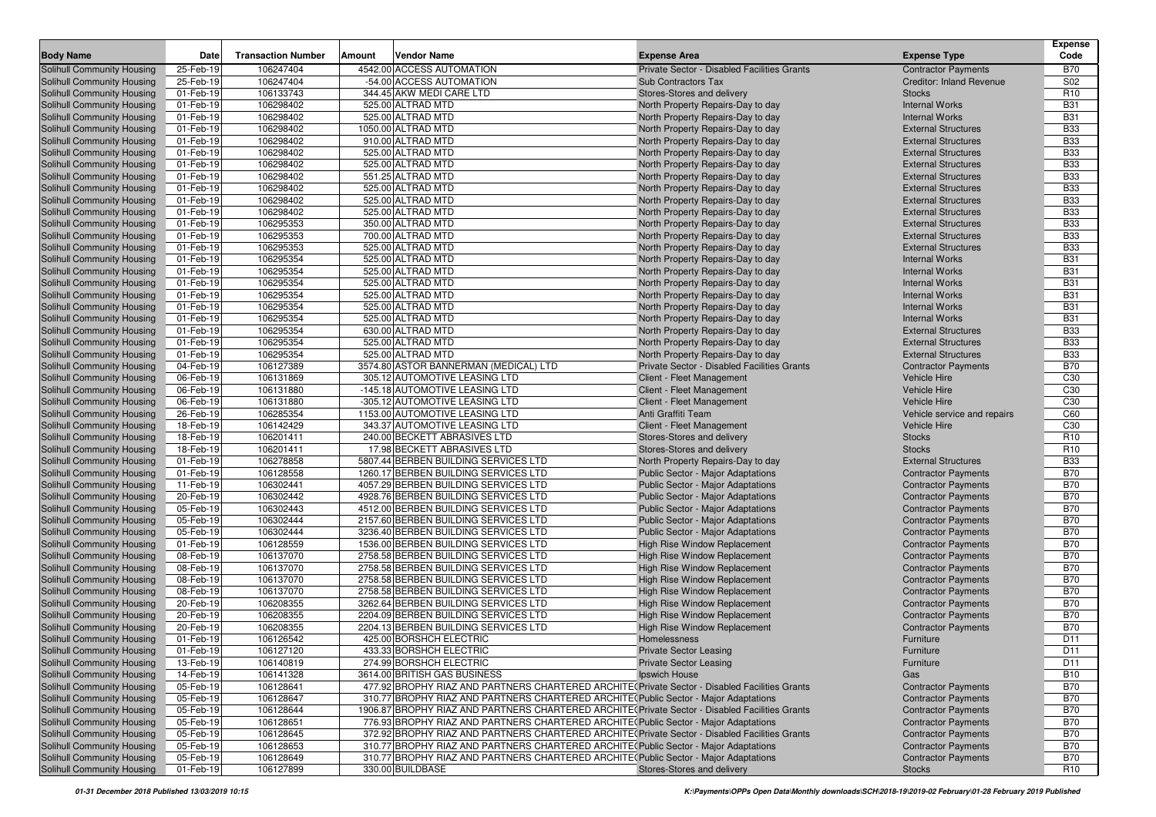| <b>Body Name</b>                                         | Date                   | <b>Transaction Number</b> | Amount | Vendor Name                                                                                      | <b>Expense Area</b>                                 | <b>Expense Type</b>                     | <b>Expense</b><br>Code   |
|----------------------------------------------------------|------------------------|---------------------------|--------|--------------------------------------------------------------------------------------------------|-----------------------------------------------------|-----------------------------------------|--------------------------|
|                                                          | 25-Feb-19              | 106247404                 |        | 4542.00 ACCESS AUTOMATION                                                                        | Private Sector - Disabled Facilities Grants         | <b>Contractor Payments</b>              | <b>B70</b>               |
| Solihull Community Housing<br>Solihull Community Housing | 25-Feb-19              | 106247404                 |        | -54.00 ACCESS AUTOMATION                                                                         | Sub Contractors Tax                                 | <b>Creditor: Inland Revenue</b>         | S <sub>02</sub>          |
| Solihull Community Housing                               | 01-Feb-19              | 106133743                 |        | 344.45 AKW MEDI CARE LTD                                                                         | Stores-Stores and delivery                          | <b>Stocks</b>                           | R <sub>10</sub>          |
| Solihull Community Housing                               | 01-Feb-19              | 106298402                 |        | 525.00 ALTRAD MTD                                                                                | North Property Repairs-Day to day                   | <b>Internal Works</b>                   | <b>B31</b>               |
| Solihull Community Housing                               | 01-Feb-19              | 106298402                 |        | 525.00 ALTRAD MTD                                                                                | North Property Repairs-Day to day                   | <b>Internal Works</b>                   | <b>B31</b>               |
| Solihull Community Housing                               | 01-Feb-19              | 106298402                 |        | 1050.00 ALTRAD MTD                                                                               | North Property Repairs-Day to day                   | <b>External Structures</b>              | <b>B33</b>               |
| Solihull Community Housing                               | 01-Feb-19              | 106298402                 |        | 910.00 ALTRAD MTD                                                                                | North Property Repairs-Day to day                   | <b>External Structures</b>              | <b>B33</b>               |
| Solihull Community Housing                               | 01-Feb-19              | 106298402                 |        | 525.00 ALTRAD MTD                                                                                | North Property Repairs-Day to day                   | <b>External Structures</b>              | <b>B33</b>               |
| Solihull Community Housing                               | 01-Feb-19              | 106298402                 |        | 525.00 ALTRAD MTD                                                                                | North Property Repairs-Day to day                   | <b>External Structures</b>              | <b>B33</b>               |
| Solihull Community Housing                               | 01-Feb-19              | 106298402                 |        | 551.25 ALTRAD MTD                                                                                | North Property Repairs-Day to day                   | <b>External Structures</b>              | <b>B33</b>               |
| Solihull Community Housing                               | 01-Feb-19              | 106298402                 |        | 525.00 ALTRAD MTD                                                                                | North Property Repairs-Day to day                   | <b>External Structures</b>              | <b>B33</b>               |
| Solihull Community Housing                               | 01-Feb-19              | 106298402                 |        | 525.00 ALTRAD MTD                                                                                | North Property Repairs-Day to day                   | <b>External Structures</b>              | <b>B33</b>               |
| Solihull Community Housing                               | 01-Feb-19              | 106298402                 |        | 525.00 ALTRAD MTD                                                                                | North Property Repairs-Day to day                   | <b>External Structures</b>              | <b>B33</b>               |
| Solihull Community Housing                               | 01-Feb-19              | 106295353                 |        | 350.00 ALTRAD MTD                                                                                | North Property Repairs-Day to day                   | <b>External Structures</b>              | <b>B33</b>               |
| Solihull Community Housing                               | 01-Feb-19              | 106295353                 |        | 700.00 ALTRAD MTD                                                                                | North Property Repairs-Day to day                   | <b>External Structures</b>              | <b>B33</b>               |
| Solihull Community Housing                               | 01-Feb-19              | 106295353                 |        | 525.00 ALTRAD MTD                                                                                | North Property Repairs-Day to day                   | <b>External Structures</b>              | <b>B33</b>               |
| Solihull Community Housing                               | 01-Feb-19              | 106295354                 |        | 525.00 ALTRAD MTD                                                                                | North Property Repairs-Day to day                   | <b>Internal Works</b>                   | <b>B31</b>               |
| Solihull Community Housing                               | 01-Feb-19              | 106295354                 |        | 525.00 ALTRAD MTD                                                                                | North Property Repairs-Day to day                   | <b>Internal Works</b>                   | <b>B31</b>               |
| Solihull Community Housing                               | 01-Feb-19              | 106295354                 |        | 525.00 ALTRAD MTD                                                                                | North Property Repairs-Day to day                   | <b>Internal Works</b>                   | <b>B31</b>               |
| Solihull Community Housing                               | 01-Feb-19              | 106295354                 |        | 525.00 ALTRAD MTD                                                                                | North Property Repairs-Day to day                   | <b>Internal Works</b>                   | <b>B31</b>               |
| Solihull Community Housing                               | 01-Feb-19              | 106295354                 |        | 525.00 ALTRAD MTD                                                                                | North Property Repairs-Day to day                   | <b>Internal Works</b>                   | <b>B31</b>               |
| Solihull Community Housing                               | 01-Feb-19              | 106295354                 |        | 525.00 ALTRAD MTD                                                                                | North Property Repairs-Day to day                   | <b>Internal Works</b>                   | <b>B31</b>               |
| Solihull Community Housing                               | 01-Feb-19              | 106295354                 |        | 630.00 ALTRAD MTD                                                                                | North Property Repairs-Day to day                   | <b>External Structures</b>              | <b>B33</b>               |
| Solihull Community Housing                               | 01-Feb-19              | 106295354                 |        | 525.00 ALTRAD MTD                                                                                | North Property Repairs-Day to day                   | <b>External Structures</b>              | <b>B33</b>               |
| Solihull Community Housing                               | 01-Feb-19              | 106295354                 |        | 525.00 ALTRAD MTD                                                                                | North Property Repairs-Day to day                   | <b>External Structures</b>              | <b>B33</b>               |
| Solihull Community Housing                               | 04-Feb-19              | 106127389                 |        | 3574.80 ASTOR BANNERMAN (MEDICAL) LTD                                                            | Private Sector - Disabled Facilities Grants         | <b>Contractor Payments</b>              | <b>B70</b>               |
| Solihull Community Housing                               | 06-Feb-19              | 106131869                 |        | 305.12 AUTOMOTIVE LEASING LTD                                                                    | Client - Fleet Management                           | <b>Vehicle Hire</b>                     | C <sub>30</sub>          |
| Solihull Community Housing                               | 06-Feb-19              | 106131880                 |        | -145.18 AUTOMOTIVE LEASING LTD                                                                   | Client - Fleet Management                           | <b>Vehicle Hire</b>                     | C <sub>30</sub>          |
| Solihull Community Housing                               | 06-Feb-19              | 106131880                 |        | -305.12 AUTOMOTIVE LEASING LTD                                                                   | Client - Fleet Management                           | <b>Vehicle Hire</b>                     | C <sub>30</sub>          |
| Solihull Community Housing                               | 26-Feb-19              | 106285354                 |        | 1153.00 AUTOMOTIVE LEASING LTD                                                                   | Anti Graffiti Team                                  | Vehicle service and repairs             | C60                      |
| Solihull Community Housing                               | 18-Feb-19              | 106142429                 |        | 343.37 AUTOMOTIVE LEASING LTD                                                                    | Client - Fleet Management                           | <b>Vehicle Hire</b>                     | C <sub>30</sub>          |
| Solihull Community Housing                               | 18-Feb-19              | 106201411                 |        | 240.00 BECKETT ABRASIVES LTD                                                                     | Stores-Stores and delivery                          | <b>Stocks</b>                           | R <sub>10</sub>          |
| Solihull Community Housing                               | 18-Feb-19              | 106201411                 |        | 17.98 BECKETT ABRASIVES LTD                                                                      | Stores-Stores and delivery                          | <b>Stocks</b>                           | R <sub>10</sub>          |
| Solihull Community Housing                               | 01-Feb-19              | 106278858                 |        | 5807.44 BERBEN BUILDING SERVICES LTD                                                             | North Property Repairs-Day to day                   | <b>External Structures</b>              | <b>B33</b>               |
| Solihull Community Housing                               | 01-Feb-19              | 106128558                 |        | 1260.17 BERBEN BUILDING SERVICES LTD                                                             | Public Sector - Major Adaptations                   | <b>Contractor Payments</b>              | <b>B70</b>               |
| Solihull Community Housing                               | 11-Feb-19              | 106302441                 |        | 4057.29 BERBEN BUILDING SERVICES LTD                                                             | Public Sector - Major Adaptations                   | <b>Contractor Payments</b>              | <b>B70</b>               |
| Solihull Community Housing                               | 20-Feb-19              | 106302442                 |        | 4928.76 BERBEN BUILDING SERVICES LTD                                                             | Public Sector - Major Adaptations                   | <b>Contractor Payments</b>              | <b>B70</b>               |
| Solihull Community Housing                               | 05-Feb-19              | 106302443                 |        | 4512.00 BERBEN BUILDING SERVICES LTD                                                             | Public Sector - Major Adaptations                   | <b>Contractor Payments</b>              | <b>B70</b>               |
| Solihull Community Housing                               | 05-Feb-19              | 106302444                 |        | 2157.60 BERBEN BUILDING SERVICES LTD                                                             | Public Sector - Major Adaptations                   | <b>Contractor Payments</b>              | <b>B70</b>               |
| Solihull Community Housing                               | 05-Feb-19              | 106302444                 |        | 3236.40 BERBEN BUILDING SERVICES LTD                                                             | Public Sector - Major Adaptations                   | <b>Contractor Payments</b>              | <b>B70</b>               |
| Solihull Community Housing                               | 01-Feb-19              | 106128559                 |        | 1536.00 BERBEN BUILDING SERVICES LTD                                                             | High Rise Window Replacement                        | <b>Contractor Payments</b>              | <b>B70</b>               |
| Solihull Community Housing                               | 08-Feb-19              | 106137070                 |        | 2758.58 BERBEN BUILDING SERVICES LTD                                                             | <b>High Rise Window Replacement</b>                 | <b>Contractor Payments</b>              | <b>B70</b>               |
| Solihull Community Housing                               | 08-Feb-19              | 106137070                 |        | 2758.58 BERBEN BUILDING SERVICES LTD                                                             | High Rise Window Replacement                        | <b>Contractor Payments</b>              | <b>B70</b>               |
| Solihull Community Housing                               | 08-Feb-19              | 106137070                 |        | 2758.58 BERBEN BUILDING SERVICES LTD                                                             | High Rise Window Replacement                        | <b>Contractor Payments</b>              | <b>B70</b>               |
| Solihull Community Housing                               | 08-Feb-19              | 106137070                 |        | 2758.58 BERBEN BUILDING SERVICES LTD                                                             | High Rise Window Replacement                        | <b>Contractor Payments</b>              | <b>B70</b>               |
| Solihull Community Housing                               | 20-Feb-19              | 106208355                 |        | 3262.64 BERBEN BUILDING SERVICES LTD<br>2204.09 BERBEN BUILDING SERVICES LTD                     | High Rise Window Replacement                        | <b>Contractor Payments</b>              | <b>B70</b>               |
| Solihull Community Housing                               | 20-Feb-19              | 106208355<br>106208355    |        |                                                                                                  | High Rise Window Replacement                        | <b>Contractor Payments</b>              | <b>B70</b><br><b>B70</b> |
| Solihull Community Housing<br>Solihull Community Housing | 20-Feb-19<br>01-Feb-19 | 106126542                 |        | 2204.13 BERBEN BUILDING SERVICES LTD<br>425.00 BORSHCH ELECTRIC                                  | <b>High Rise Window Replacement</b><br>Homelessness | <b>Contractor Payments</b><br>Furniture | D11                      |
| Solihull Community Housing                               | 01-Feb-19              | 106127120                 |        | 433.33 BORSHCH ELECTRIC                                                                          | <b>Private Sector Leasing</b>                       | Furniture                               | D11                      |
| Solihull Community Housing                               | 13-Feb-19              | 106140819                 |        | 274.99 BORSHCH ELECTRIC                                                                          | <b>Private Sector Leasing</b>                       | Furniture                               | D11                      |
| Solihull Community Housing                               | 14-Feb-19              | 106141328                 |        | 3614.00 BRITISH GAS BUSINESS                                                                     | Ipswich House                                       | Gas                                     | <b>B10</b>               |
| Solihull Community Housing                               | 05-Feb-19              | 106128641                 |        | 477.92 BROPHY RIAZ AND PARTNERS CHARTERED ARCHITE (Private Sector - Disabled Facilities Grants   |                                                     | <b>Contractor Payments</b>              | <b>B70</b>               |
| Solihull Community Housing                               | 05-Feb-19              | 106128647                 |        | 310.77 BROPHY RIAZ AND PARTNERS CHARTERED ARCHITE (Public Sector - Major Adaptations             |                                                     | <b>Contractor Payments</b>              | <b>B70</b>               |
| Solihull Community Housing                               | 05-Feb-19              | 106128644                 |        | 1906.87 BROPHY RIAZ AND PARTNERS CHARTERED ARCHITE (Private Sector - Disabled Facilities Grants) |                                                     | <b>Contractor Payments</b>              | <b>B70</b>               |
| Solihull Community Housing                               | 05-Feb-19              | 106128651                 |        | 776.93 BROPHY RIAZ AND PARTNERS CHARTERED ARCHITE (Public Sector - Major Adaptations             |                                                     | <b>Contractor Payments</b>              | <b>B70</b>               |
| Solihull Community Housing                               | 05-Feb-19              | 106128645                 |        | 372.92 BROPHY RIAZ AND PARTNERS CHARTERED ARCHITE (Private Sector - Disabled Facilities Grants   |                                                     | <b>Contractor Payments</b>              | <b>B70</b>               |
| Solihull Community Housing                               | 05-Feb-19              | 106128653                 |        | 310.77 BROPHY RIAZ AND PARTNERS CHARTERED ARCHITE (Public Sector - Major Adaptations             |                                                     | <b>Contractor Payments</b>              | <b>B70</b>               |
| Solihull Community Housing                               | 05-Feb-19              | 106128649                 |        | 310.77 BROPHY RIAZ AND PARTNERS CHARTERED ARCHITE (Public Sector - Major Adaptations             |                                                     | <b>Contractor Payments</b>              | <b>B70</b>               |
| Solihull Community Housing                               | 01-Feb-19              | 106127899                 |        | 330.00 BUILDBASE                                                                                 | Stores-Stores and delivery                          | Stocks                                  | R <sub>10</sub>          |
|                                                          |                        |                           |        |                                                                                                  |                                                     |                                         |                          |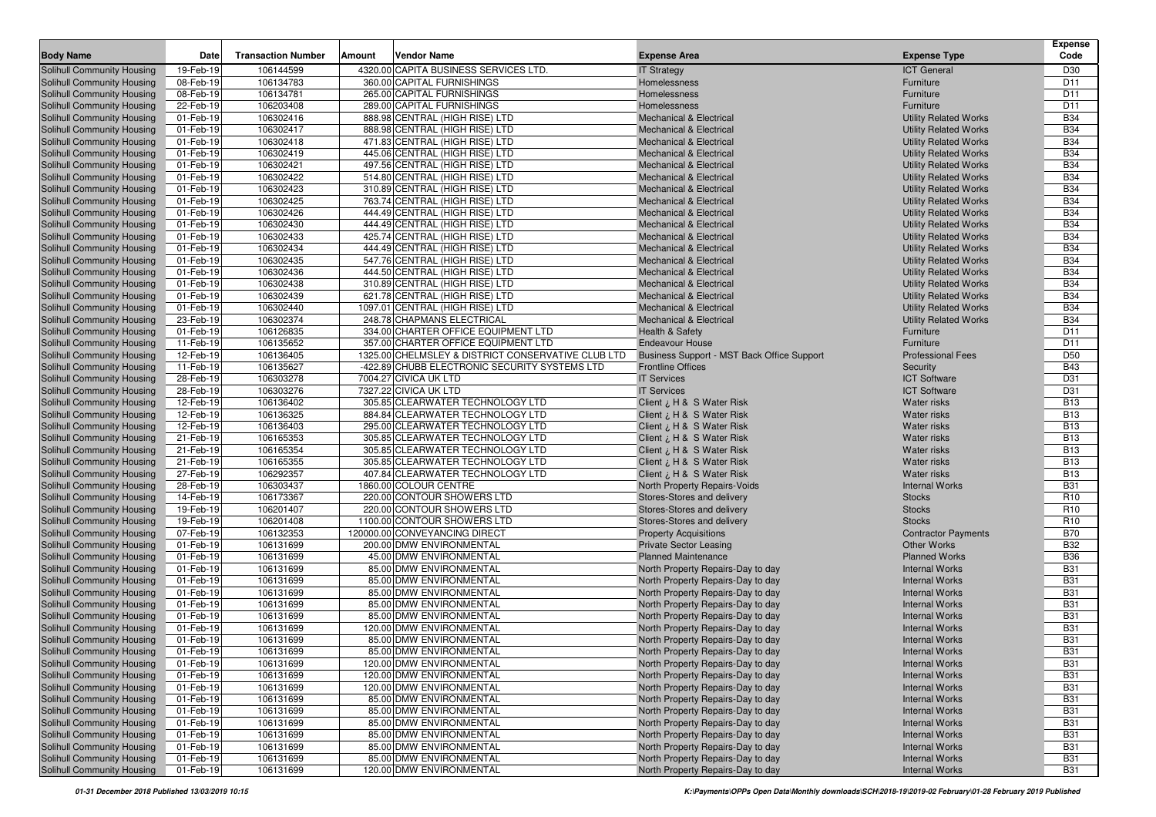|                                                                 |                        |                           |        |                                                                  |                                                                          |                                                              | <b>Expense</b>           |
|-----------------------------------------------------------------|------------------------|---------------------------|--------|------------------------------------------------------------------|--------------------------------------------------------------------------|--------------------------------------------------------------|--------------------------|
| <b>Body Name</b>                                                | Date                   | <b>Transaction Number</b> | Amount | <b>Vendor Name</b>                                               | <b>Expense Area</b>                                                      | <b>Expense Type</b>                                          | Code                     |
| <b>Solihull Community Housing</b>                               | 19-Feb-19              | 106144599                 |        | 4320.00 CAPITA BUSINESS SERVICES LTD.                            | <b>IT Strategy</b>                                                       | <b>ICT General</b>                                           | D30                      |
| Solihull Community Housing                                      | 08-Feb-19              | 106134783                 |        | 360.00 CAPITAL FURNISHINGS                                       | Homelessness                                                             | Furniture                                                    | D11                      |
| Solihull Community Housing                                      | 08-Feb-19              | 106134781                 |        | 265.00 CAPITAL FURNISHINGS                                       | Homelessness                                                             | Furniture                                                    | D <sub>11</sub>          |
| <b>Solihull Community Housing</b>                               | 22-Feb-19              | 106203408                 |        | 289.00 CAPITAL FURNISHINGS                                       | Homelessness                                                             | Furniture                                                    | D <sub>11</sub>          |
| Solihull Community Housing                                      | 01-Feb-19              | 106302416                 |        | 888.98 CENTRAL (HIGH RISE) LTD                                   | <b>Mechanical &amp; Electrical</b>                                       | <b>Utility Related Works</b>                                 | <b>B34</b>               |
| <b>Solihull Community Housing</b>                               | 01-Feb-19              | 106302417                 |        | 888.98 CENTRAL (HIGH RISE) LTD                                   | <b>Mechanical &amp; Electrical</b>                                       | <b>Utility Related Works</b>                                 | <b>B34</b>               |
| <b>Solihull Community Housing</b>                               | 01-Feb-19              | 106302418                 |        | 471.83 CENTRAL (HIGH RISE) LTD                                   | <b>Mechanical &amp; Electrical</b>                                       | <b>Utility Related Works</b>                                 | <b>B34</b>               |
| <b>Solihull Community Housing</b>                               | 01-Feb-19              | 106302419                 |        | 445.06 CENTRAL (HIGH RISE) LTD                                   | <b>Mechanical &amp; Electrical</b>                                       | <b>Utility Related Works</b>                                 | <b>B34</b>               |
| <b>Solihull Community Housing</b>                               | 01-Feb-19              | 106302421                 |        | 497.56 CENTRAL (HIGH RISE) LTD                                   | <b>Mechanical &amp; Electrical</b>                                       | <b>Utility Related Works</b>                                 | <b>B34</b>               |
| <b>Solihull Community Housing</b>                               | 01-Feb-19              | 106302422                 |        | 514.80 CENTRAL (HIGH RISE) LTD                                   | <b>Mechanical &amp; Electrical</b>                                       | <b>Utility Related Works</b>                                 | <b>B34</b>               |
| <b>Solihull Community Housing</b>                               | 01-Feb-19              | 106302423                 |        | 310.89 CENTRAL (HIGH RISE) LTD                                   | <b>Mechanical &amp; Electrical</b>                                       | <b>Utility Related Works</b>                                 | <b>B34</b>               |
| <b>Solihull Community Housing</b>                               | 01-Feb-19              | 106302425                 |        | 763.74 CENTRAL (HIGH RISE) LTD                                   | <b>Mechanical &amp; Electrical</b><br><b>Mechanical &amp; Electrical</b> | <b>Utility Related Works</b>                                 | <b>B34</b><br><b>B34</b> |
| <b>Solihull Community Housing</b>                               | 01-Feb-19              | 106302426<br>106302430    |        | 444.49 CENTRAL (HIGH RISE) LTD                                   |                                                                          | <b>Utility Related Works</b>                                 | <b>B34</b>               |
| <b>Solihull Community Housing</b>                               | 01-Feb-19              |                           |        | 444.49 CENTRAL (HIGH RISE) LTD<br>425.74 CENTRAL (HIGH RISE) LTD | <b>Mechanical &amp; Electrical</b>                                       | <b>Utility Related Works</b><br><b>Utility Related Works</b> |                          |
| <b>Solihull Community Housing</b>                               | 01-Feb-19              | 106302433<br>106302434    |        |                                                                  | <b>Mechanical &amp; Electrical</b>                                       |                                                              | <b>B34</b><br><b>B34</b> |
| <b>Solihull Community Housing</b>                               | 01-Feb-19              | 106302435                 |        | 444.49 CENTRAL (HIGH RISE) LTD                                   | <b>Mechanical &amp; Electrical</b>                                       | <b>Utility Related Works</b>                                 | <b>B34</b>               |
| <b>Solihull Community Housing</b>                               | 01-Feb-19              |                           |        | 547.76 CENTRAL (HIGH RISE) LTD                                   | <b>Mechanical &amp; Electrical</b>                                       | <b>Utility Related Works</b>                                 | <b>B34</b>               |
| <b>Solihull Community Housing</b><br>Solihull Community Housing | 01-Feb-19<br>01-Feb-19 | 106302436<br>106302438    |        | 444.50 CENTRAL (HIGH RISE) LTD<br>310.89 CENTRAL (HIGH RISE) LTD | <b>Mechanical &amp; Electrical</b>                                       | <b>Utility Related Works</b>                                 | <b>B34</b>               |
| Solihull Community Housing                                      | 01-Feb-19              | 106302439                 |        | 621.78 CENTRAL (HIGH RISE) LTD                                   | <b>Mechanical &amp; Electrical</b><br><b>Mechanical &amp; Electrical</b> | <b>Utility Related Works</b><br><b>Utility Related Works</b> | <b>B34</b>               |
| Solihull Community Housing                                      | 01-Feb-19              | 106302440                 |        | 1097.01 CENTRAL (HIGH RISE) LTD                                  | <b>Mechanical &amp; Electrical</b>                                       | <b>Utility Related Works</b>                                 | <b>B34</b>               |
| Solihull Community Housing                                      | 23-Feb-19              | 106302374                 |        | 248.78 CHAPMANS ELECTRICAL                                       | <b>Mechanical &amp; Electrical</b>                                       | <b>Utility Related Works</b>                                 | <b>B34</b>               |
| Solihull Community Housing                                      | 01-Feb-19              | 106126835                 |        | 334.00 CHARTER OFFICE EQUIPMENT LTD                              | Health & Safety                                                          | Furniture                                                    | D <sub>11</sub>          |
| Solihull Community Housing                                      | 11-Feb-19              | 106135652                 |        | 357.00 CHARTER OFFICE EQUIPMENT LTD                              | <b>Endeavour House</b>                                                   | Furniture                                                    | D11                      |
| Solihull Community Housing                                      | 12-Feb-19              | 106136405                 |        | 1325.00 CHELMSLEY & DISTRICT CONSERVATIVE CLUB LTD               | Business Support - MST Back Office Support                               | <b>Professional Fees</b>                                     | D <sub>50</sub>          |
| Solihull Community Housing                                      | 11-Feb-19              | 106135627                 |        | -422.89 CHUBB ELECTRONIC SECURITY SYSTEMS LTD                    | <b>Frontline Offices</b>                                                 | Security                                                     | <b>B43</b>               |
| <b>Solihull Community Housing</b>                               | 28-Feb-19              | 106303278                 |        | 7004.27 CIVICA UK LTD                                            | <b>IT Services</b>                                                       | <b>ICT Software</b>                                          | D31                      |
| <b>Solihull Community Housing</b>                               | 28-Feb-19              | 106303276                 |        | 7327.22 CIVICA UK LTD                                            | <b>IT Services</b>                                                       | <b>ICT Software</b>                                          | D31                      |
| <b>Solihull Community Housing</b>                               | 12-Feb-19              | 106136402                 |        | 305.85 CLEARWATER TECHNOLOGY LTD                                 | Client ¿ H & S Water Risk                                                | <b>Water risks</b>                                           | <b>B13</b>               |
| <b>Solihull Community Housing</b>                               | 12-Feb-19              | 106136325                 |        | 884.84 CLEARWATER TECHNOLOGY LTD                                 | Client ¿ H & S Water Risk                                                | <b>Water risks</b>                                           | <b>B13</b>               |
| Solihull Community Housing                                      | 12-Feb-19              | 106136403                 |        | 295.00 CLEARWATER TECHNOLOGY LTD                                 | Client ¿ H & S Water Risk                                                | <b>Water risks</b>                                           | <b>B13</b>               |
| <b>Solihull Community Housing</b>                               | 21-Feb-19              | 106165353                 |        | 305.85 CLEARWATER TECHNOLOGY LTD                                 | Client $\lambda$ , H & S Water Risk                                      | <b>Water risks</b>                                           | <b>B13</b>               |
| <b>Solihull Community Housing</b>                               | 21-Feb-19              | 106165354                 |        | 305.85 CLEARWATER TECHNOLOGY LTD                                 | H & S Water Risk ن H & S Water                                           | <b>Water risks</b>                                           | <b>B13</b>               |
| <b>Solihull Community Housing</b>                               | 21-Feb-19              | 106165355                 |        | 305.85 CLEARWATER TECHNOLOGY LTD                                 | H & S Water Risk ن H & S Water                                           | <b>Water risks</b>                                           | <b>B13</b>               |
| <b>Solihull Community Housing</b>                               | 27-Feb-19              | 106292357                 |        | 407.84 CLEARWATER TECHNOLOGY LTD                                 | Client ; H & S Water Risk                                                | <b>Water risks</b>                                           | <b>B13</b>               |
| <b>Solihull Community Housing</b>                               | 28-Feb-19              | 106303437                 |        | 1860.00 COLOUR CENTRE                                            | North Property Repairs-Voids                                             | <b>Internal Works</b>                                        | <b>B31</b>               |
| <b>Solihull Community Housing</b>                               | 14-Feb-19              | 106173367                 |        | 220.00 CONTOUR SHOWERS LTD                                       | Stores-Stores and delivery                                               | <b>Stocks</b>                                                | R <sub>10</sub>          |
| <b>Solihull Community Housing</b>                               | 19-Feb-19              | 106201407                 |        | 220.00 CONTOUR SHOWERS LTD                                       | Stores-Stores and delivery                                               | <b>Stocks</b>                                                | R <sub>10</sub>          |
| <b>Solihull Community Housing</b>                               | 19-Feb-19              | 106201408                 |        | 1100.00 CONTOUR SHOWERS LTD                                      | Stores-Stores and delivery                                               | <b>Stocks</b>                                                | R <sub>10</sub>          |
| <b>Solihull Community Housing</b>                               | 07-Feb-19              | 106132353                 |        | 120000.00 CONVEYANCING DIRECT                                    | <b>Property Acquisitions</b>                                             | <b>Contractor Payments</b>                                   | <b>B70</b>               |
| <b>Solihull Community Housing</b>                               | 01-Feb-19              | 106131699                 |        | 200.00 DMW ENVIRONMENTAL                                         | <b>Private Sector Leasing</b>                                            | <b>Other Works</b>                                           | <b>B32</b>               |
| <b>Solihull Community Housing</b>                               | 01-Feb-19              | 106131699                 |        | 45.00 DMW ENVIRONMENTAL                                          | <b>Planned Maintenance</b>                                               | <b>Planned Works</b>                                         | <b>B36</b>               |
| Solihull Community Housing                                      | 01-Feb-19              | 106131699                 |        | 85.00 DMW ENVIRONMENTAL                                          | North Property Repairs-Day to day                                        | <b>Internal Works</b>                                        | <b>B31</b>               |
| <b>Solihull Community Housing</b>                               | 01-Feb-19              | 106131699                 |        | 85.00 DMW ENVIRONMENTAL                                          | North Property Repairs-Day to day                                        | <b>Internal Works</b>                                        | <b>B31</b>               |
| <b>Solihull Community Housing</b>                               | 01-Feb-19              | 106131699                 |        | 85.00 DMW ENVIRONMENTAL                                          | North Property Repairs-Day to day                                        | <b>Internal Works</b>                                        | <b>B31</b>               |
| Solihull Community Housing                                      | 01-Feb-19              | 106131699                 |        | 85.00 DMW ENVIRONMENTAL                                          | North Property Repairs-Day to day                                        | <b>Internal Works</b>                                        | <b>B31</b>               |
| <b>Solihull Community Housing</b>                               | 01-Feb-19              | 106131699                 |        | 85.00 DMW ENVIRONMENTAL                                          | North Property Repairs-Day to day                                        | <b>Internal Works</b>                                        | <b>B31</b>               |
| <b>Solihull Community Housing</b>                               | 01-Feb-19              | 106131699                 |        | 120.00 DMW ENVIRONMENTAL                                         | North Property Repairs-Day to day                                        | <b>Internal Works</b>                                        | <b>B31</b>               |
| <b>Solihull Community Housing</b>                               | 01-Feb-19              | 106131699                 |        | 85.00 DMW ENVIRONMENTAL                                          | North Property Repairs-Day to day                                        | <b>Internal Works</b>                                        | <b>B31</b>               |
| Solihull Community Housing                                      | 01-Feb-19              | 106131699                 |        | 85.00 DMW ENVIRONMENTAL                                          | North Property Repairs-Day to day                                        | <b>Internal Works</b>                                        | <b>B31</b>               |
| Solihull Community Housing                                      | 01-Feb-19              | 106131699                 |        | 120.00 DMW ENVIRONMENTAL                                         | North Property Repairs-Day to day                                        | <b>Internal Works</b>                                        | <b>B31</b>               |
| Solihull Community Housing                                      | 01-Feb-19              | 106131699                 |        | 120.00 DMW ENVIRONMENTAL                                         | North Property Repairs-Day to day                                        | <b>Internal Works</b>                                        | <b>B31</b>               |
| Solihull Community Housing                                      | 01-Feb-19              | 106131699                 |        | 120.00 DMW ENVIRONMENTAL                                         | North Property Repairs-Day to day                                        | <b>Internal Works</b>                                        | <b>B31</b>               |
| Solihull Community Housing                                      | 01-Feb-19              | 106131699                 |        | 85.00 DMW ENVIRONMENTAL                                          | North Property Repairs-Day to day                                        | <b>Internal Works</b>                                        | <b>B31</b>               |
| Solihull Community Housing                                      | 01-Feb-19              | 106131699                 |        | 85.00 DMW ENVIRONMENTAL                                          | North Property Repairs-Day to day                                        | <b>Internal Works</b>                                        | <b>B31</b>               |
| Solihull Community Housing                                      | 01-Feb-19              | 106131699                 |        | 85.00 DMW ENVIRONMENTAL                                          | North Property Repairs-Day to day                                        | <b>Internal Works</b>                                        | <b>B31</b>               |
| Solihull Community Housing                                      | 01-Feb-19              | 106131699                 |        | 85.00 DMW ENVIRONMENTAL                                          | North Property Repairs-Day to day                                        | <b>Internal Works</b>                                        | <b>B31</b>               |
| Solihull Community Housing                                      | 01-Feb-19              | 106131699                 |        | 85.00 DMW ENVIRONMENTAL                                          | North Property Repairs-Day to day                                        | <b>Internal Works</b>                                        | <b>B31</b>               |
| Solihull Community Housing                                      | 01-Feb-19              | 106131699                 |        | 85.00 DMW ENVIRONMENTAL                                          | North Property Repairs-Day to day                                        | <b>Internal Works</b>                                        | <b>B31</b>               |
| Solihull Community Housing                                      | 01-Feb-19              | 106131699                 |        | 120.00 DMW ENVIRONMENTAL                                         | North Property Repairs-Day to day                                        | <b>Internal Works</b>                                        | <b>B31</b>               |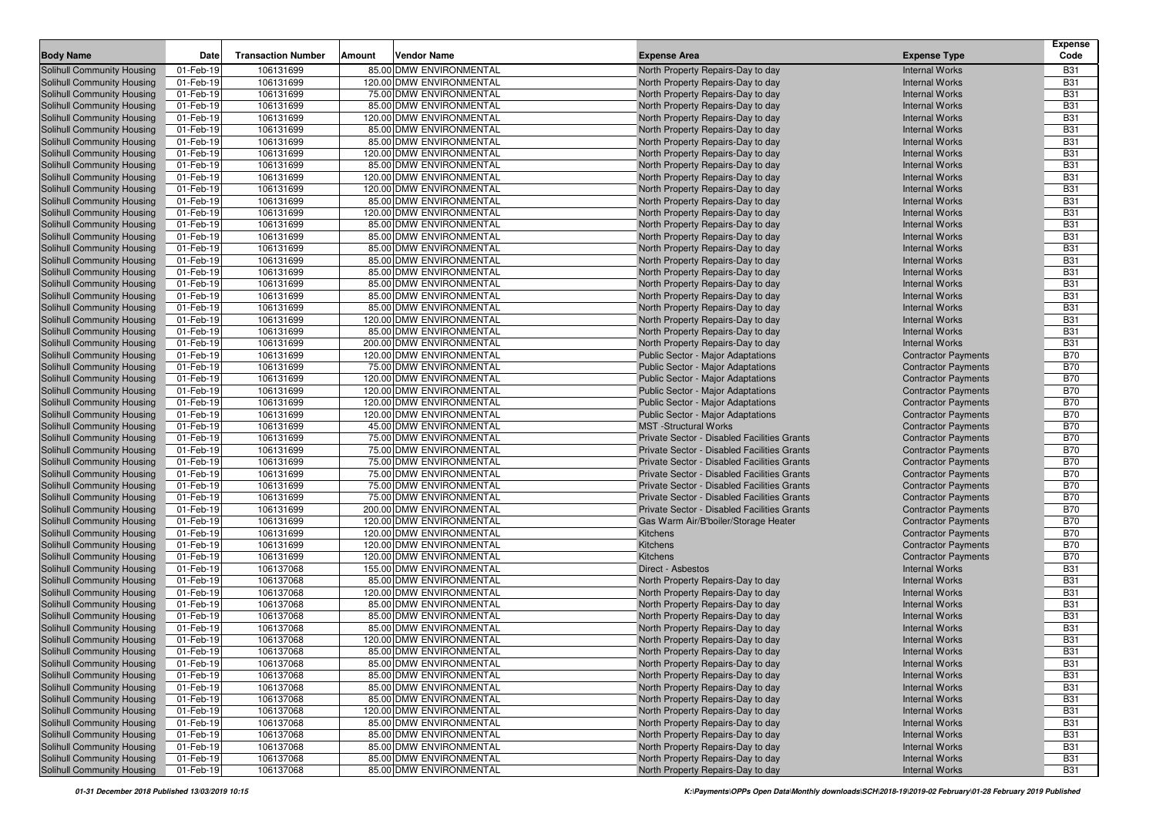| <b>Body Name</b>                                                       | Date                   | <b>Transaction Number</b> | Amount | <b>Vendor Name</b>                                   | <b>Expense Area</b>                         | <b>Expense Type</b>                                 | <b>Expense</b><br>Code   |
|------------------------------------------------------------------------|------------------------|---------------------------|--------|------------------------------------------------------|---------------------------------------------|-----------------------------------------------------|--------------------------|
| Solihull Community Housing                                             | 01-Feb-19              | 106131699                 |        | 85.00 DMW ENVIRONMENTAL                              | North Property Repairs-Day to day           | <b>Internal Works</b>                               | <b>B31</b>               |
| Solihull Community Housing                                             | 01-Feb-19              | 106131699                 |        | 120.00 DMW ENVIRONMENTAL                             | North Property Repairs-Day to day           | <b>Internal Works</b>                               | <b>B31</b>               |
| <b>Solihull Community Housing</b>                                      | 01-Feb-19              | 106131699                 |        | 75.00 DMW ENVIRONMENTAL                              | North Property Repairs-Day to day           | <b>Internal Works</b>                               | <b>B31</b>               |
| <b>Solihull Community Housing</b>                                      | 01-Feb-19              | 106131699                 |        | 85.00 DMW ENVIRONMENTAL                              | North Property Repairs-Day to day           | <b>Internal Works</b>                               | <b>B31</b>               |
| Solihull Community Housing                                             | 01-Feb-19              | 106131699                 |        | 120.00 DMW ENVIRONMENTAL                             | North Property Repairs-Day to day           | <b>Internal Works</b>                               | <b>B31</b>               |
| Solihull Community Housing                                             | 01-Feb-19              | 106131699                 |        | 85.00 DMW ENVIRONMENTAL                              | North Property Repairs-Day to day           | <b>Internal Works</b>                               | <b>B31</b>               |
| Solihull Community Housing                                             | 01-Feb-19              | 106131699                 |        | 85.00 DMW ENVIRONMENTAL                              | North Property Repairs-Day to day           | <b>Internal Works</b>                               | <b>B31</b>               |
| Solihull Community Housing                                             | 01-Feb-19              | 106131699                 |        | 120.00 DMW ENVIRONMENTAL                             | North Property Repairs-Day to day           | <b>Internal Works</b>                               | <b>B31</b>               |
| Solihull Community Housing                                             | 01-Feb-19              | 106131699                 |        | 85.00 DMW ENVIRONMENTAL                              | North Property Repairs-Day to day           | <b>Internal Works</b>                               | <b>B31</b>               |
| <b>Solihull Community Housing</b>                                      | 01-Feb-19              | 106131699                 |        | 120.00 DMW ENVIRONMENTAL                             | North Property Repairs-Day to day           | <b>Internal Works</b>                               | <b>B31</b>               |
| Solihull Community Housing                                             | 01-Feb-19              | 106131699                 |        | 120.00 DMW ENVIRONMENTAL                             | North Property Repairs-Day to day           | <b>Internal Works</b>                               | <b>B31</b>               |
| Solihull Community Housing                                             | 01-Feb-19              | 106131699                 |        | 85.00 DMW ENVIRONMENTAL                              | North Property Repairs-Day to day           | <b>Internal Works</b>                               | <b>B31</b>               |
| Solihull Community Housing                                             | 01-Feb-19              | 106131699                 |        | 120.00 DMW ENVIRONMENTAL                             | North Property Repairs-Day to day           | <b>Internal Works</b>                               | <b>B31</b>               |
| Solihull Community Housing                                             | 01-Feb-19              | 106131699                 |        | 85.00 DMW ENVIRONMENTAL                              | North Property Repairs-Day to day           | <b>Internal Works</b>                               | <b>B31</b>               |
| Solihull Community Housing                                             | 01-Feb-19              | 106131699                 |        | 85.00 DMW ENVIRONMENTAL                              | North Property Repairs-Day to day           | <b>Internal Works</b>                               | <b>B31</b>               |
| Solihull Community Housing                                             | 01-Feb-19              | 106131699                 |        | 85.00 DMW ENVIRONMENTAL                              | North Property Repairs-Day to day           | <b>Internal Works</b>                               | <b>B31</b>               |
| <b>Solihull Community Housing</b>                                      | 01-Feb-19              | 106131699                 |        | 85.00 DMW ENVIRONMENTAL                              | North Property Repairs-Day to day           | <b>Internal Works</b>                               | <b>B31</b>               |
| <b>Solihull Community Housing</b>                                      | 01-Feb-19              | 106131699                 |        | 85.00 DMW ENVIRONMENTAL                              | North Property Repairs-Day to day           | <b>Internal Works</b>                               | <b>B31</b>               |
| <b>Solihull Community Housing</b>                                      | 01-Feb-19              | 106131699                 |        | 85.00 DMW ENVIRONMENTAL                              | North Property Repairs-Day to day           | <b>Internal Works</b>                               | <b>B31</b>               |
| <b>Solihull Community Housing</b>                                      | 01-Feb-19              | 106131699                 |        | 85.00 DMW ENVIRONMENTAL                              | North Property Repairs-Day to day           | <b>Internal Works</b>                               | <b>B31</b>               |
| Solihull Community Housing                                             | 01-Feb-19              | 106131699                 |        | 85.00 DMW ENVIRONMENTAL                              | North Property Repairs-Day to day           | <b>Internal Works</b>                               | <b>B31</b>               |
| <b>Solihull Community Housing</b>                                      | 01-Feb-19              | 106131699                 |        | 120.00 DMW ENVIRONMENTAL                             | North Property Repairs-Day to day           | <b>Internal Works</b>                               | <b>B31</b>               |
| Solihull Community Housing                                             | 01-Feb-19              | 106131699                 |        | 85.00 DMW ENVIRONMENTAL                              | North Property Repairs-Day to day           | <b>Internal Works</b>                               | <b>B31</b>               |
| <b>Solihull Community Housing</b>                                      | 01-Feb-19              | 106131699                 |        | 200.00 DMW ENVIRONMENTAL                             | North Property Repairs-Day to day           | <b>Internal Works</b>                               | <b>B31</b>               |
| <b>Solihull Community Housing</b>                                      | 01-Feb-19              | 106131699                 |        | 120.00 DMW ENVIRONMENTAL                             | <b>Public Sector - Major Adaptations</b>    | <b>Contractor Payments</b>                          | <b>B70</b>               |
| Solihull Community Housing                                             | 01-Feb-19              | 106131699                 |        | 75.00 DMW ENVIRONMENTAL                              | Public Sector - Major Adaptations           | <b>Contractor Payments</b>                          | <b>B70</b>               |
| Solihull Community Housing                                             | 01-Feb-19              | 106131699                 |        | 120.00 DMW ENVIRONMENTAL                             | Public Sector - Major Adaptations           | <b>Contractor Payments</b>                          | <b>B70</b>               |
| Solihull Community Housing                                             | 01-Feb-19              | 106131699                 |        | 120.00 DMW ENVIRONMENTAL                             | Public Sector - Major Adaptations           | <b>Contractor Payments</b>                          | <b>B70</b>               |
| Solihull Community Housing                                             | 01-Feb-19              | 106131699                 |        | 120.00 DMW ENVIRONMENTAL                             | Public Sector - Major Adaptations           | <b>Contractor Payments</b>                          | <b>B70</b>               |
| Solihull Community Housing                                             | 01-Feb-19              | 106131699                 |        | 120.00 DMW ENVIRONMENTAL                             | Public Sector - Major Adaptations           | <b>Contractor Payments</b>                          | <b>B70</b>               |
| Solihull Community Housing                                             | 01-Feb-19              | 106131699                 |        | 45.00 DMW ENVIRONMENTAL                              | <b>MST</b> -Structural Works                | <b>Contractor Payments</b>                          | <b>B70</b>               |
| <b>Solihull Community Housing</b>                                      | 01-Feb-19              | 106131699                 |        | 75.00 DMW ENVIRONMENTAL                              | Private Sector - Disabled Facilities Grants | <b>Contractor Payments</b>                          | <b>B70</b>               |
| Solihull Community Housing                                             | 01-Feb-19              | 106131699                 |        | 75.00 DMW ENVIRONMENTAL                              | Private Sector - Disabled Facilities Grants | <b>Contractor Payments</b>                          | <b>B70</b>               |
| <b>Solihull Community Housing</b>                                      | 01-Feb-19              | 106131699                 |        | 75.00 DMW ENVIRONMENTAL                              | Private Sector - Disabled Facilities Grants | <b>Contractor Payments</b>                          | <b>B70</b>               |
| <b>Solihull Community Housing</b>                                      | 01-Feb-19              | 106131699                 |        | 75.00 DMW ENVIRONMENTAL                              | Private Sector - Disabled Facilities Grants | <b>Contractor Payments</b>                          | <b>B70</b>               |
| <b>Solihull Community Housing</b>                                      | 01-Feb-19              | 106131699                 |        | 75.00 DMW ENVIRONMENTAL                              | Private Sector - Disabled Facilities Grants | <b>Contractor Payments</b>                          | <b>B70</b>               |
| Solihull Community Housing                                             | 01-Feb-19              | 106131699                 |        | 75.00 DMW ENVIRONMENTAL                              | Private Sector - Disabled Facilities Grants | <b>Contractor Payments</b>                          | <b>B70</b>               |
| Solihull Community Housing                                             | 01-Feb-19              | 106131699                 |        | 200.00 DMW ENVIRONMENTAL                             | Private Sector - Disabled Facilities Grants | <b>Contractor Payments</b>                          | <b>B70</b>               |
| <b>Solihull Community Housing</b>                                      | 01-Feb-19              | 106131699                 |        | 120.00 DMW ENVIRONMENTAL                             | Gas Warm Air/B'boiler/Storage Heater        | <b>Contractor Payments</b>                          | <b>B70</b>               |
| Solihull Community Housing                                             | 01-Feb-19              | 106131699                 |        | 120.00 DMW ENVIRONMENTAL                             | Kitchens                                    | <b>Contractor Payments</b>                          | <b>B70</b>               |
| <b>Solihull Community Housing</b>                                      | 01-Feb-19              | 106131699                 |        | 120.00 DMW ENVIRONMENTAL                             | Kitchens                                    | <b>Contractor Payments</b>                          | <b>B70</b>               |
| <b>Solihull Community Housing</b>                                      | 01-Feb-19              | 106131699<br>106137068    |        | 120.00 DMW ENVIRONMENTAL<br>155.00 DMW ENVIRONMENTAL | Kitchens<br>Direct - Asbestos               | <b>Contractor Payments</b><br><b>Internal Works</b> | <b>B70</b><br><b>B31</b> |
| <b>Solihull Community Housing</b><br><b>Solihull Community Housing</b> | 01-Feb-19<br>01-Feb-19 | 106137068                 |        | 85.00 DMW ENVIRONMENTAL                              | North Property Repairs-Day to day           | <b>Internal Works</b>                               | <b>B31</b>               |
| <b>Solihull Community Housing</b>                                      | 01-Feb-19              | 106137068                 |        | 120.00 DMW ENVIRONMENTAL                             | North Property Repairs-Day to day           | <b>Internal Works</b>                               | <b>B31</b>               |
| Solihull Community Housing                                             | 01-Feb-19              | 106137068                 |        | 85.00 DMW ENVIRONMENTAL                              | North Property Repairs-Day to day           | <b>Internal Works</b>                               | <b>B31</b>               |
| Solihull Community Housing                                             | 01-Feb-19              | 106137068                 |        | 85.00 DMW ENVIRONMENTAL                              | North Property Repairs-Day to day           | <b>Internal Works</b>                               | <b>B31</b>               |
| Solihull Community Housing                                             | 01-Feb-19              | 106137068                 |        | 85.00 DMW ENVIRONMENTAL                              | North Property Repairs-Day to day           | <b>Internal Works</b>                               | <b>B31</b>               |
| Solihull Community Housing                                             | 01-Feb-19              | 106137068                 |        | 120.00 DMW ENVIRONMENTAL                             | North Property Repairs-Day to day           | <b>Internal Works</b>                               | <b>B31</b>               |
| Solihull Community Housing                                             | 01-Feb-19              | 106137068                 |        | 85.00 DMW ENVIRONMENTAL                              | North Property Repairs-Day to day           | <b>Internal Works</b>                               | <b>B31</b>               |
| <b>Solihull Community Housing</b>                                      | 01-Feb-19              | 106137068                 |        | 85.00 DMW ENVIRONMENTAL                              | North Property Repairs-Day to day           | <b>Internal Works</b>                               | <b>B31</b>               |
| <b>Solihull Community Housing</b>                                      | 01-Feb-19              | 106137068                 |        | 85.00 DMW ENVIRONMENTAL                              | North Property Repairs-Day to day           | <b>Internal Works</b>                               | <b>B31</b>               |
| Solihull Community Housing                                             | 01-Feb-19              | 106137068                 |        | 85.00 DMW ENVIRONMENTAL                              | North Property Repairs-Day to day           | <b>Internal Works</b>                               | <b>B31</b>               |
| Solihull Community Housing                                             | 01-Feb-19              | 106137068                 |        | 85.00 DMW ENVIRONMENTAL                              | North Property Repairs-Day to day           | <b>Internal Works</b>                               | <b>B31</b>               |
| Solihull Community Housing                                             | 01-Feb-19              | 106137068                 |        | 120.00 DMW ENVIRONMENTAL                             | North Property Repairs-Day to day           | <b>Internal Works</b>                               | <b>B31</b>               |
| Solihull Community Housing                                             | 01-Feb-19              | 106137068                 |        | 85.00 DMW ENVIRONMENTAL                              | North Property Repairs-Day to day           | <b>Internal Works</b>                               | <b>B31</b>               |
| Solihull Community Housing                                             | 01-Feb-19              | 106137068                 |        | 85.00 DMW ENVIRONMENTAL                              | North Property Repairs-Day to day           | <b>Internal Works</b>                               | <b>B31</b>               |
| Solihull Community Housing                                             | 01-Feb-19              | 106137068                 |        | 85.00 DMW ENVIRONMENTAL                              | North Property Repairs-Day to day           | <b>Internal Works</b>                               | <b>B31</b>               |
| Solihull Community Housing                                             | 01-Feb-19              | 106137068                 |        | 85.00 DMW ENVIRONMENTAL                              | North Property Repairs-Day to day           | <b>Internal Works</b>                               | <b>B31</b>               |
| Solihull Community Housing                                             | 01-Feb-19              | 106137068                 |        | 85.00 DMW ENVIRONMENTAL                              | North Property Repairs-Day to day           | <b>Internal Works</b>                               | <b>B31</b>               |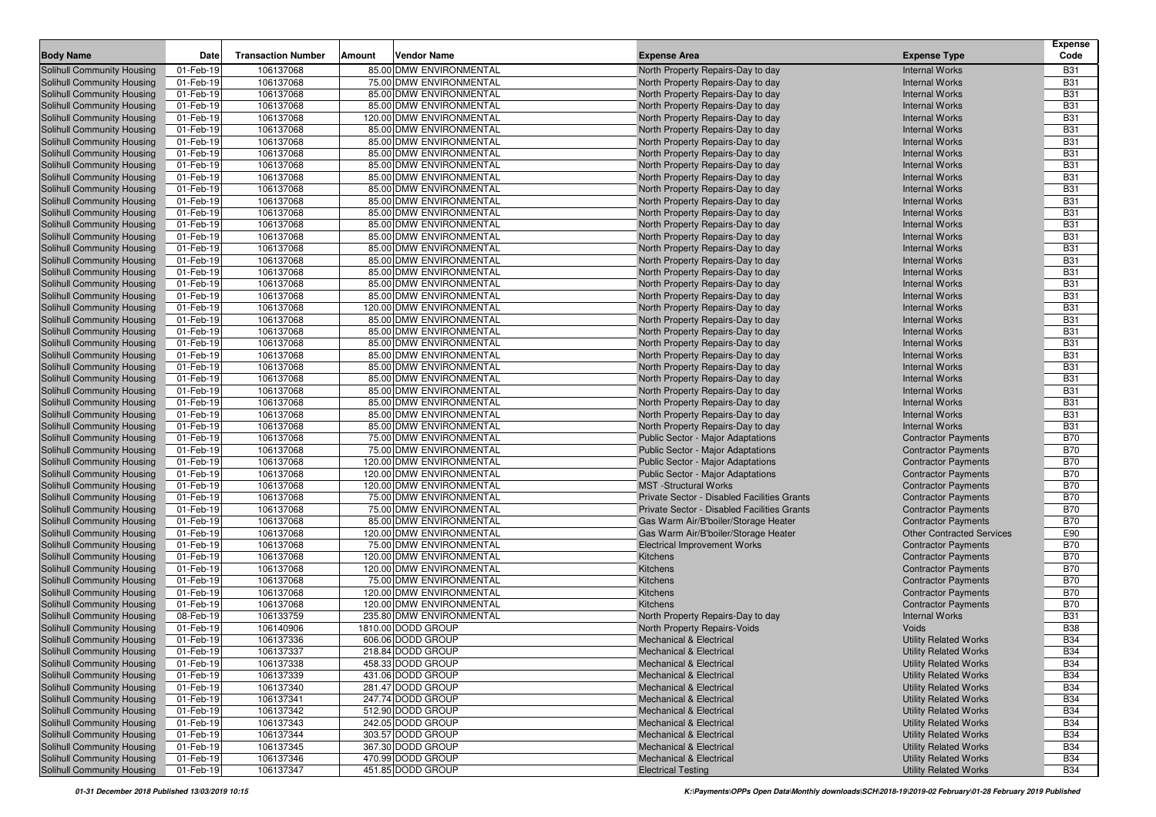| <b>Body Name</b>                                         | Date                   | <b>Transaction Number</b> | Amount | <b>Vendor Name</b>                                  | <b>Expense Area</b>                                                         | <b>Expense Type</b>                                      | <b>Expense</b><br>Code   |
|----------------------------------------------------------|------------------------|---------------------------|--------|-----------------------------------------------------|-----------------------------------------------------------------------------|----------------------------------------------------------|--------------------------|
|                                                          |                        |                           |        |                                                     |                                                                             |                                                          |                          |
| Solihull Community Housing                               | 01-Feb-19              | 106137068                 |        | 85.00 DMW ENVIRONMENTAL                             | North Property Repairs-Day to day                                           | <b>Internal Works</b>                                    | <b>B31</b>               |
| Solihull Community Housing                               | 01-Feb-19              | 106137068                 |        | 75.00 DMW ENVIRONMENTAL                             | North Property Repairs-Day to day                                           | <b>Internal Works</b>                                    | <b>B31</b><br><b>B31</b> |
| Solihull Community Housing                               | 01-Feb-19              | 106137068                 |        | 85.00 DMW ENVIRONMENTAL<br>85.00 DMW ENVIRONMENTAL  | North Property Repairs-Day to day                                           | <b>Internal Works</b>                                    | <b>B31</b>               |
| Solihull Community Housing<br>Solihull Community Housing | 01-Feb-19<br>01-Feb-19 | 106137068<br>106137068    |        | 120.00 DMW ENVIRONMENTAL                            | North Property Repairs-Day to day                                           | <b>Internal Works</b><br><b>Internal Works</b>           | <b>B31</b>               |
| Solihull Community Housing                               | 01-Feb-19              | 106137068                 |        | 85.00 DMW ENVIRONMENTAL                             | North Property Repairs-Day to day<br>North Property Repairs-Day to day      | <b>Internal Works</b>                                    | <b>B31</b>               |
| Solihull Community Housing                               | 01-Feb-19              | 106137068                 |        | 85.00 DMW ENVIRONMENTAL                             | North Property Repairs-Day to day                                           | <b>Internal Works</b>                                    | <b>B31</b>               |
| Solihull Community Housing                               | 01-Feb-19              | 106137068                 |        | 85.00 DMW ENVIRONMENTAL                             | North Property Repairs-Day to day                                           | <b>Internal Works</b>                                    | <b>B31</b>               |
| Solihull Community Housing                               | 01-Feb-19              | 106137068                 |        | 85.00 DMW ENVIRONMENTAL                             | North Property Repairs-Day to day                                           | <b>Internal Works</b>                                    | <b>B31</b>               |
| Solihull Community Housing                               | 01-Feb-19              | 106137068                 |        | 85.00 DMW ENVIRONMENTAL                             | North Property Repairs-Day to day                                           | <b>Internal Works</b>                                    | <b>B31</b>               |
| Solihull Community Housing                               | 01-Feb-19              | 106137068                 |        | 85.00 DMW ENVIRONMENTAL                             | North Property Repairs-Day to day                                           | <b>Internal Works</b>                                    | <b>B31</b>               |
| Solihull Community Housing                               | 01-Feb-19              | 106137068                 |        | 85.00 DMW ENVIRONMENTAL                             | North Property Repairs-Day to day                                           | <b>Internal Works</b>                                    | <b>B31</b>               |
| Solihull Community Housing                               | 01-Feb-19              | 106137068                 |        | 85.00 DMW ENVIRONMENTAL                             | North Property Repairs-Day to day                                           | <b>Internal Works</b>                                    | <b>B31</b>               |
| Solihull Community Housing                               | 01-Feb-19              | 106137068                 |        | 85.00 DMW ENVIRONMENTAL                             | North Property Repairs-Day to day                                           | <b>Internal Works</b>                                    | <b>B31</b>               |
| Solihull Community Housing                               | 01-Feb-19              | 106137068                 |        | 85.00 DMW ENVIRONMENTAL                             | North Property Repairs-Day to day                                           | <b>Internal Works</b>                                    | <b>B31</b>               |
| Solihull Community Housing                               | 01-Feb-19              | 106137068                 |        | 85.00 DMW ENVIRONMENTAL                             | North Property Repairs-Day to day                                           | <b>Internal Works</b>                                    | <b>B31</b>               |
| Solihull Community Housing                               | 01-Feb-19              | 106137068                 |        | 85.00 DMW ENVIRONMENTAL                             | North Property Repairs-Day to day                                           | <b>Internal Works</b>                                    | <b>B31</b>               |
| Solihull Community Housing                               | 01-Feb-19              | 106137068                 |        | 85.00 DMW ENVIRONMENTAL                             | North Property Repairs-Day to day                                           | <b>Internal Works</b>                                    | <b>B31</b>               |
| Solihull Community Housing                               | 01-Feb-19              | 106137068                 |        | 85.00 DMW ENVIRONMENTAL                             | North Property Repairs-Day to day                                           | <b>Internal Works</b>                                    | <b>B31</b>               |
| Solihull Community Housing                               | 01-Feb-19              | 106137068                 |        | 85.00 DMW ENVIRONMENTAL                             | North Property Repairs-Day to day                                           | <b>Internal Works</b>                                    | <b>B31</b>               |
| Solihull Community Housing                               | 01-Feb-19              | 106137068                 |        | 120.00 DMW ENVIRONMENTAL                            | North Property Repairs-Day to day                                           | <b>Internal Works</b>                                    | <b>B31</b>               |
| Solihull Community Housing                               | 01-Feb-19              | 106137068                 |        | 85.00 DMW ENVIRONMENTAL                             | North Property Repairs-Day to day                                           | <b>Internal Works</b>                                    | <b>B31</b>               |
| Solihull Community Housing                               | 01-Feb-19              | 106137068                 |        | 85.00 DMW ENVIRONMENTAL                             | North Property Repairs-Day to day                                           | <b>Internal Works</b>                                    | <b>B31</b>               |
| Solihull Community Housing                               | 01-Feb-19              | 106137068                 |        | 85.00 DMW ENVIRONMENTAL                             | North Property Repairs-Day to day                                           | <b>Internal Works</b>                                    | <b>B31</b>               |
| Solihull Community Housing                               | 01-Feb-19              | 106137068                 |        | 85.00 DMW ENVIRONMENTAL                             | North Property Repairs-Day to day                                           | <b>Internal Works</b>                                    | <b>B31</b>               |
| Solihull Community Housing                               | 01-Feb-19              | 106137068                 |        | 85.00 DMW ENVIRONMENTAL                             | North Property Repairs-Day to day                                           | <b>Internal Works</b>                                    | <b>B31</b>               |
| Solihull Community Housing                               | 01-Feb-19              | 106137068                 |        | 85.00 DMW ENVIRONMENTAL                             | North Property Repairs-Day to day                                           | <b>Internal Works</b>                                    | <b>B31</b>               |
| Solihull Community Housing                               | 01-Feb-19              | 106137068                 |        | 85.00 DMW ENVIRONMENTAL                             | North Property Repairs-Day to day                                           | <b>Internal Works</b>                                    | <b>B31</b>               |
| Solihull Community Housing                               | 01-Feb-19              | 106137068                 |        | 85.00 DMW ENVIRONMENTAL                             | North Property Repairs-Day to day                                           | <b>Internal Works</b>                                    | <b>B31</b>               |
| Solihull Community Housing                               | 01-Feb-19              | 106137068                 |        | 85.00 DMW ENVIRONMENTAL                             | North Property Repairs-Day to day                                           | <b>Internal Works</b>                                    | <b>B31</b>               |
| Solihull Community Housing                               | 01-Feb-19              | 106137068                 |        | 85.00 DMW ENVIRONMENTAL                             | North Property Repairs-Day to day                                           | <b>Internal Works</b>                                    | <b>B31</b>               |
| Solihull Community Housing                               | 01-Feb-19              | 106137068                 |        | 75.00 DMW ENVIRONMENTAL                             | <b>Public Sector - Major Adaptations</b>                                    | <b>Contractor Payments</b>                               | <b>B70</b>               |
| Solihull Community Housing                               | 01-Feb-19              | 106137068                 |        | 75.00 DMW ENVIRONMENTAL                             | Public Sector - Major Adaptations                                           | <b>Contractor Payments</b>                               | <b>B70</b>               |
| Solihull Community Housing                               | 01-Feb-19              | 106137068                 |        | 120.00 DMW ENVIRONMENTAL                            | Public Sector - Major Adaptations                                           | <b>Contractor Payments</b>                               | <b>B70</b>               |
| Solihull Community Housing                               | 01-Feb-19              | 106137068                 |        | 120.00 DMW ENVIRONMENTAL                            | Public Sector - Major Adaptations                                           | <b>Contractor Payments</b>                               | <b>B70</b>               |
| Solihull Community Housing                               | 01-Feb-19              | 106137068<br>106137068    |        | 120.00 DMW ENVIRONMENTAL<br>75.00 DMW ENVIRONMENTAL | <b>MST</b> -Structural Works<br>Private Sector - Disabled Facilities Grants | <b>Contractor Payments</b>                               | <b>B70</b><br><b>B70</b> |
| Solihull Community Housing<br>Solihull Community Housing | 01-Feb-19<br>01-Feb-19 | 106137068                 |        | 75.00 DMW ENVIRONMENTAL                             | Private Sector - Disabled Facilities Grants                                 | <b>Contractor Payments</b><br><b>Contractor Payments</b> | <b>B70</b>               |
| Solihull Community Housing                               | 01-Feb-19              | 106137068                 |        | 85.00 DMW ENVIRONMENTAL                             | Gas Warm Air/B'boiler/Storage Heater                                        | <b>Contractor Payments</b>                               | <b>B70</b>               |
| Solihull Community Housing                               | 01-Feb-19              | 106137068                 |        | 120.00 DMW ENVIRONMENTAL                            | Gas Warm Air/B'boiler/Storage Heater                                        | <b>Other Contracted Services</b>                         | E90                      |
| Solihull Community Housing                               | 01-Feb-19              | 106137068                 |        | 75.00 DMW ENVIRONMENTAL                             | <b>Electrical Improvement Works</b>                                         | <b>Contractor Payments</b>                               | <b>B70</b>               |
| <b>Solihull Community Housing</b>                        | 01-Feb-19              | 106137068                 |        | 120.00 DMW ENVIRONMENTAL                            | <b>Kitchens</b>                                                             | <b>Contractor Payments</b>                               | <b>B70</b>               |
| Solihull Community Housing                               | 01-Feb-19              | 106137068                 |        | 120.00 DMW ENVIRONMENTAL                            | Kitchens                                                                    | <b>Contractor Payments</b>                               | <b>B70</b>               |
| Solihull Community Housing                               | 01-Feb-19              | 106137068                 |        | 75.00 DMW ENVIRONMENTAL                             | <b>Kitchens</b>                                                             | <b>Contractor Payments</b>                               | <b>B70</b>               |
| Solihull Community Housing                               | 01-Feb-19              | 106137068                 |        | 120.00 DMW ENVIRONMENTAL                            | Kitchens                                                                    | <b>Contractor Payments</b>                               | <b>B70</b>               |
| <b>Solihull Community Housing</b>                        | 01-Feb-19              | 106137068                 |        | 120.00 DMW ENVIRONMENTAL                            | Kitchens                                                                    | <b>Contractor Payments</b>                               | <b>B70</b>               |
| <b>Solihull Community Housing</b>                        | 08-Feb-19              | 106133759                 |        | 235.80 DMW ENVIRONMENTAL                            | North Property Repairs-Day to day                                           | <b>Internal Works</b>                                    | <b>B31</b>               |
| <b>Solihull Community Housing</b>                        | 01-Feb-19              | 106140906                 |        | 1810.00 DODD GROUP                                  | North Property Repairs-Voids                                                | <b>Voids</b>                                             | <b>B38</b>               |
| <b>Solihull Community Housing</b>                        | 01-Feb-19              | 106137336                 |        | 606.06 DODD GROUP                                   | <b>Mechanical &amp; Electrical</b>                                          | <b>Utility Related Works</b>                             | <b>B34</b>               |
| Solihull Community Housing                               | 01-Feb-19              | 106137337                 |        | 218.84 DODD GROUP                                   | <b>Mechanical &amp; Electrical</b>                                          | <b>Utility Related Works</b>                             | <b>B34</b>               |
| <b>Solihull Community Housing</b>                        | 01-Feb-19              | 106137338                 |        | 458.33 DODD GROUP                                   | <b>Mechanical &amp; Electrical</b>                                          | <b>Utility Related Works</b>                             | <b>B34</b>               |
| Solihull Community Housing                               | 01-Feb-19              | 106137339                 |        | 431.06 DODD GROUP                                   | <b>Mechanical &amp; Electrical</b>                                          | <b>Utility Related Works</b>                             | <b>B34</b>               |
| <b>Solihull Community Housing</b>                        | 01-Feb-19              | 106137340                 |        | 281.47 DODD GROUP                                   | <b>Mechanical &amp; Electrical</b>                                          | <b>Utility Related Works</b>                             | <b>B34</b>               |
| Solihull Community Housing                               | 01-Feb-19              | 106137341                 |        | 247.74 DODD GROUP                                   | <b>Mechanical &amp; Electrical</b>                                          | <b>Utility Related Works</b>                             | <b>B34</b>               |
| <b>Solihull Community Housing</b>                        | 01-Feb-19              | 106137342                 |        | 512.90 DODD GROUP                                   | <b>Mechanical &amp; Electrical</b>                                          | <b>Utility Related Works</b>                             | <b>B34</b>               |
| Solihull Community Housing                               | 01-Feb-19              | 106137343                 |        | 242.05 DODD GROUP                                   | <b>Mechanical &amp; Electrical</b>                                          | <b>Utility Related Works</b>                             | <b>B34</b>               |
| Solihull Community Housing                               | 01-Feb-19              | 106137344                 |        | 303.57 DODD GROUP                                   | <b>Mechanical &amp; Electrical</b>                                          | <b>Utility Related Works</b>                             | <b>B34</b>               |
| <b>Solihull Community Housing</b>                        | 01-Feb-19              | 106137345                 |        | 367.30 DODD GROUP                                   | <b>Mechanical &amp; Electrical</b>                                          | <b>Utility Related Works</b>                             | <b>B34</b>               |
| Solihull Community Housing                               | 01-Feb-19              | 106137346                 |        | 470.99 DODD GROUP                                   | <b>Mechanical &amp; Electrical</b>                                          | <b>Utility Related Works</b>                             | <b>B34</b>               |
| <b>Solihull Community Housing</b>                        | 01-Feb-19              | 106137347                 |        | 451.85 DODD GROUP                                   | <b>Electrical Testing</b>                                                   | <b>Utility Related Works</b>                             | B34                      |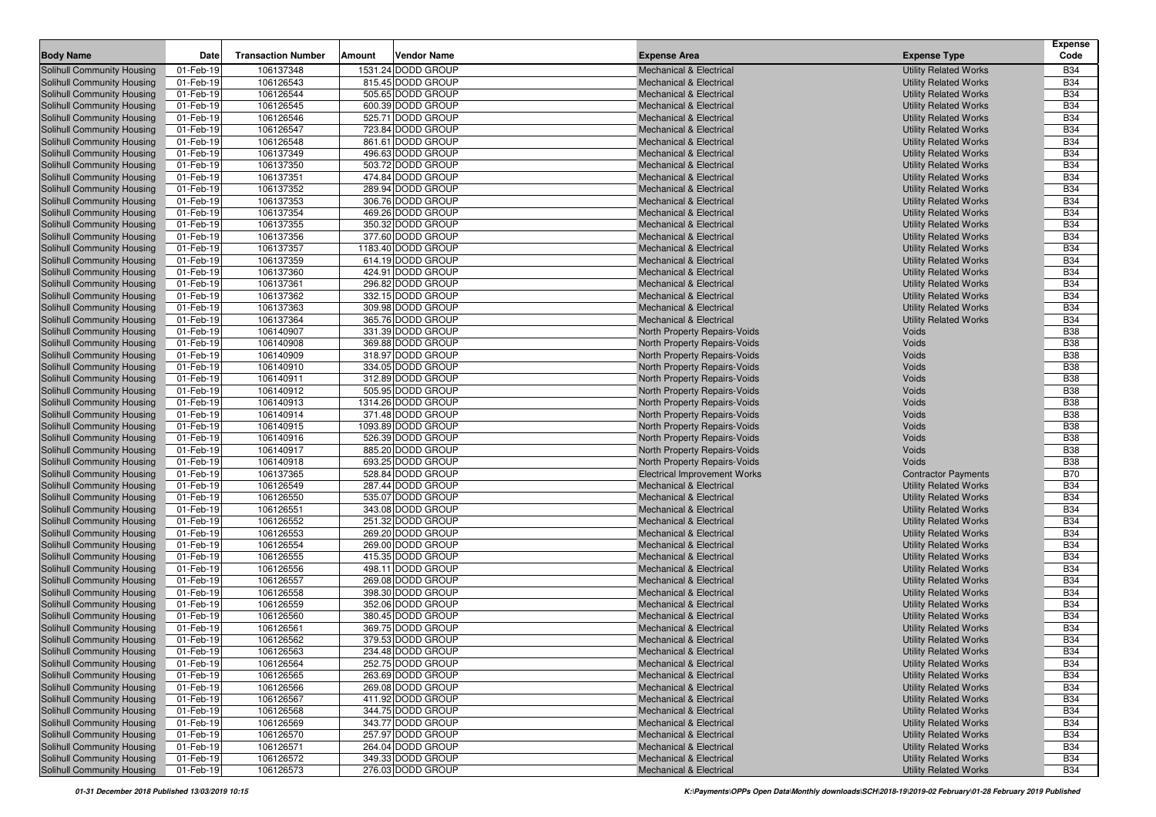| <b>Body Name</b>                                                | Date                   | <b>Transaction Number</b> | Amount | <b>Vendor Name</b>                     | <b>Expense Area</b>                                                      | <b>Expense Type</b>                                          | <b>Expense</b><br>Code   |
|-----------------------------------------------------------------|------------------------|---------------------------|--------|----------------------------------------|--------------------------------------------------------------------------|--------------------------------------------------------------|--------------------------|
|                                                                 |                        |                           |        |                                        |                                                                          |                                                              |                          |
| Solihull Community Housing                                      | 01-Feb-19              | 106137348                 |        | 1531.24 DODD GROUP                     | <b>Mechanical &amp; Electrical</b>                                       | <b>Utility Related Works</b>                                 | <b>B34</b>               |
| Solihull Community Housing                                      | 01-Feb-19              | 106126543<br>106126544    |        | 815.45 DODD GROUP                      | <b>Mechanical &amp; Electrical</b>                                       | <b>Utility Related Works</b>                                 | <b>B34</b><br><b>B34</b> |
| <b>Solihull Community Housing</b>                               | 01-Feb-19              |                           |        | 505.65 DODD GROUP<br>600.39 DODD GROUP | <b>Mechanical &amp; Electrical</b>                                       | <b>Utility Related Works</b>                                 |                          |
| <b>Solihull Community Housing</b>                               | 01-Feb-19              | 106126545                 |        | 525.71 DODD GROUP                      | <b>Mechanical &amp; Electrical</b>                                       | <b>Utility Related Works</b><br><b>Utility Related Works</b> | <b>B34</b><br><b>B34</b> |
| Solihull Community Housing                                      | 01-Feb-19              | 106126546                 |        |                                        | <b>Mechanical &amp; Electrical</b>                                       |                                                              | <b>B34</b>               |
| Solihull Community Housing                                      | 01-Feb-19              | 106126547                 |        | 723.84 DODD GROUP                      | <b>Mechanical &amp; Electrical</b>                                       | <b>Utility Related Works</b>                                 | <b>B34</b>               |
| <b>Solihull Community Housing</b>                               | 01-Feb-19              | 106126548                 |        | 861.61 DODD GROUP                      | <b>Mechanical &amp; Electrical</b>                                       | <b>Utility Related Works</b>                                 | <b>B34</b>               |
| <b>Solihull Community Housing</b>                               | 01-Feb-19              | 106137349<br>106137350    |        | 496.63 DODD GROUP                      | <b>Mechanical &amp; Electrical</b>                                       | <b>Utility Related Works</b>                                 | <b>B34</b>               |
| <b>Solihull Community Housing</b>                               | 01-Feb-19              |                           |        | 503.72 DODD GROUP                      | <b>Mechanical &amp; Electrical</b><br><b>Mechanical &amp; Electrical</b> | <b>Utility Related Works</b>                                 | <b>B34</b>               |
| <b>Solihull Community Housing</b>                               | 01-Feb-19              | 106137351                 |        | 474.84 DODD GROUP                      |                                                                          | <b>Utility Related Works</b>                                 |                          |
| Solihull Community Housing                                      | 01-Feb-19              | 106137352                 |        | 289.94 DODD GROUP                      | <b>Mechanical &amp; Electrical</b>                                       | <b>Utility Related Works</b>                                 | <b>B34</b>               |
| Solihull Community Housing                                      | 01-Feb-19              | 106137353                 |        | 306.76 DODD GROUP<br>469.26 DODD GROUP | <b>Mechanical &amp; Electrical</b>                                       | <b>Utility Related Works</b>                                 | <b>B34</b><br><b>B34</b> |
| Solihull Community Housing                                      | 01-Feb-19              | 106137354                 |        |                                        | <b>Mechanical &amp; Electrical</b>                                       | <b>Utility Related Works</b>                                 |                          |
| <b>Solihull Community Housing</b>                               | 01-Feb-19              | 106137355                 |        | 350.32 DODD GROUP<br>377.60 DODD GROUP | <b>Mechanical &amp; Electrical</b>                                       | <b>Utility Related Works</b>                                 | <b>B34</b>               |
| Solihull Community Housing                                      | 01-Feb-19              | 106137356                 |        |                                        | <b>Mechanical &amp; Electrical</b>                                       | <b>Utility Related Works</b>                                 | <b>B34</b>               |
| Solihull Community Housing                                      | 01-Feb-19              | 106137357                 |        | 1183.40 DODD GROUP                     | <b>Mechanical &amp; Electrical</b>                                       | <b>Utility Related Works</b>                                 | <b>B34</b>               |
| Solihull Community Housing                                      | 01-Feb-19              | 106137359                 |        | 614.19 DODD GROUP                      | <b>Mechanical &amp; Electrical</b>                                       | <b>Utility Related Works</b>                                 | <b>B34</b>               |
| <b>Solihull Community Housing</b>                               | 01-Feb-19              | 106137360                 |        | 424.91 DODD GROUP                      | <b>Mechanical &amp; Electrical</b>                                       | <b>Utility Related Works</b>                                 | <b>B34</b>               |
| Solihull Community Housing                                      | 01-Feb-19              | 106137361                 |        | 296.82 DODD GROUP                      | <b>Mechanical &amp; Electrical</b>                                       | <b>Utility Related Works</b>                                 | <b>B34</b>               |
| Solihull Community Housing                                      | 01-Feb-19              | 106137362                 |        | 332.15 DODD GROUP                      | <b>Mechanical &amp; Electrical</b>                                       | <b>Utility Related Works</b>                                 | <b>B34</b>               |
| Solihull Community Housing                                      | 01-Feb-19              | 106137363                 |        | 309.98 DODD GROUP                      | <b>Mechanical &amp; Electrical</b>                                       | <b>Utility Related Works</b>                                 | <b>B34</b>               |
| Solihull Community Housing                                      | 01-Feb-19              | 106137364                 |        | 365.76 DODD GROUP                      | <b>Mechanical &amp; Electrical</b>                                       | <b>Utility Related Works</b>                                 | <b>B34</b>               |
| Solihull Community Housing                                      | 01-Feb-19              | 106140907                 |        | 331.39 DODD GROUP                      | North Property Repairs-Voids                                             | Voids                                                        | <b>B38</b>               |
| Solihull Community Housing                                      | 01-Feb-19              | 106140908                 |        | 369.88 DODD GROUP                      | North Property Repairs-Voids                                             | <b>Voids</b>                                                 | <b>B38</b>               |
| Solihull Community Housing                                      | 01-Feb-19              | 106140909                 |        | 318.97 DODD GROUP                      | North Property Repairs-Voids                                             | <b>Voids</b>                                                 | <b>B38</b>               |
| Solihull Community Housing                                      | 01-Feb-19              | 106140910                 |        | 334.05 DODD GROUP                      | North Property Repairs-Voids                                             | <b>Voids</b>                                                 | <b>B38</b>               |
| Solihull Community Housing                                      | 01-Feb-19              | 106140911                 |        | 312.89 DODD GROUP                      | North Property Repairs-Voids                                             | <b>Voids</b>                                                 | <b>B38</b>               |
| Solihull Community Housing                                      | 01-Feb-19              | 106140912                 |        | 505.95 DODD GROUP                      | North Property Repairs-Voids                                             | <b>Voids</b>                                                 | <b>B38</b>               |
| Solihull Community Housing                                      | 01-Feb-19              | 106140913                 |        | 1314.26 DODD GROUP                     | North Property Repairs-Voids                                             | <b>Voids</b>                                                 | <b>B38</b>               |
| Solihull Community Housing                                      | 01-Feb-19              | 106140914                 |        | 371.48 DODD GROUP                      | North Property Repairs-Voids                                             | <b>Voids</b>                                                 | <b>B38</b>               |
| Solihull Community Housing                                      | 01-Feb-19              | 106140915                 |        | 1093.89 DODD GROUP                     | North Property Repairs-Voids                                             | <b>Voids</b>                                                 | <b>B38</b>               |
| Solihull Community Housing                                      | 01-Feb-19              | 106140916                 |        | 526.39 DODD GROUP                      | North Property Repairs-Voids                                             | <b>Voids</b>                                                 | <b>B38</b>               |
| Solihull Community Housing                                      | 01-Feb-19              | 106140917                 |        | 885.20 DODD GROUP                      | North Property Repairs-Voids                                             | <b>Voids</b>                                                 | <b>B38</b>               |
| Solihull Community Housing                                      | 01-Feb-19              | 106140918                 |        | 693.25 DODD GROUP                      | North Property Repairs-Voids                                             | Voids                                                        | <b>B38</b>               |
| Solihull Community Housing                                      | 01-Feb-19              | 106137365                 |        | 528.84 DODD GROUP                      | <b>Electrical Improvement Works</b>                                      | <b>Contractor Payments</b>                                   | <b>B70</b>               |
| Solihull Community Housing                                      | 01-Feb-19              | 106126549                 |        | 287.44 DODD GROUP                      | <b>Mechanical &amp; Electrical</b>                                       | <b>Utility Related Works</b>                                 | <b>B34</b>               |
| Solihull Community Housing                                      | 01-Feb-19              | 106126550                 |        | 535.07 DODD GROUP                      | <b>Mechanical &amp; Electrical</b>                                       | <b>Utility Related Works</b>                                 | <b>B34</b>               |
| Solihull Community Housing                                      | 01-Feb-19              | 106126551                 |        | 343.08 DODD GROUP                      | <b>Mechanical &amp; Electrical</b>                                       | <b>Utility Related Works</b>                                 | <b>B34</b>               |
| Solihull Community Housing                                      | 01-Feb-19              | 106126552                 |        | 251.32 DODD GROUP                      | <b>Mechanical &amp; Electrical</b>                                       | <b>Utility Related Works</b>                                 | <b>B34</b>               |
| Solihull Community Housing                                      | 01-Feb-19              | 106126553                 |        | 269.20 DODD GROUP                      | <b>Mechanical &amp; Electrical</b>                                       | <b>Utility Related Works</b>                                 | <b>B34</b>               |
| Solihull Community Housing                                      | 01-Feb-19              | 106126554                 |        | 269.00 DODD GROUP                      | <b>Mechanical &amp; Electrical</b>                                       | <b>Utility Related Works</b>                                 | <b>B34</b><br><b>B34</b> |
| Solihull Community Housing                                      | 01-Feb-19              | 106126555                 |        | 415.35 DODD GROUP<br>498.11 DODD GROUP | <b>Mechanical &amp; Electrical</b>                                       | <b>Utility Related Works</b>                                 | <b>B34</b>               |
| Solihull Community Housing<br>Solihull Community Housing        | 01-Feb-19              | 106126556                 |        |                                        | <b>Mechanical &amp; Electrical</b>                                       | <b>Utility Related Works</b>                                 | <b>B34</b>               |
|                                                                 | 01-Feb-19<br>01-Feb-19 | 106126557<br>106126558    |        | 269.08 DODD GROUP<br>398.30 DODD GROUP | <b>Mechanical &amp; Electrical</b><br><b>Mechanical &amp; Electrical</b> | <b>Utility Related Works</b>                                 | <b>B34</b>               |
| Solihull Community Housing                                      | 01-Feb-19              | 106126559                 |        | 352.06 DODD GROUP                      | <b>Mechanical &amp; Electrical</b>                                       | <b>Utility Related Works</b>                                 | <b>B34</b>               |
| Solihull Community Housing<br>Solihull Community Housing        |                        | 106126560                 |        | 380.45 DODD GROUP                      |                                                                          | <b>Utility Related Works</b>                                 | <b>B34</b>               |
|                                                                 | 01-Feb-19<br>01-Feb-19 | 106126561                 |        | 369.75 DODD GROUP                      | <b>Mechanical &amp; Electrical</b>                                       | <b>Utility Related Works</b><br><b>Utility Related Works</b> | <b>B34</b>               |
| Solihull Community Housing<br>Solihull Community Housing        |                        | 106126562                 |        | 379.53 DODD GROUP                      | <b>Mechanical &amp; Electrical</b>                                       |                                                              | <b>B34</b>               |
|                                                                 | 01-Feb-19              |                           |        |                                        | <b>Mechanical &amp; Electrical</b>                                       | <b>Utility Related Works</b>                                 |                          |
| Solihull Community Housing                                      | 01-Feb-19              | 106126563                 |        | 234.48 DODD GROUP                      | <b>Mechanical &amp; Electrical</b>                                       | <b>Utility Related Works</b>                                 | <b>B34</b>               |
| Solihull Community Housing                                      | 01-Feb-19              | 106126564                 |        | 252.75 DODD GROUP                      | <b>Mechanical &amp; Electrical</b>                                       | <b>Utility Related Works</b>                                 | <b>B34</b>               |
| <b>Solihull Community Housing</b><br>Solihull Community Housing | 01-Feb-19<br>01-Feb-19 | 106126565                 |        | 263.69 DODD GROUP                      | <b>Mechanical &amp; Electrical</b>                                       | <b>Utility Related Works</b>                                 | <b>B34</b>               |
|                                                                 |                        | 106126566                 |        | 269.08 DODD GROUP                      | <b>Mechanical &amp; Electrical</b>                                       | <b>Utility Related Works</b>                                 | <b>B34</b>               |
| <b>Solihull Community Housing</b>                               | 01-Feb-19              | 106126567                 |        | 411.92 DODD GROUP                      | <b>Mechanical &amp; Electrical</b>                                       | <b>Utility Related Works</b>                                 | <b>B34</b>               |
| Solihull Community Housing                                      | 01-Feb-19              | 106126568                 |        | 344.75 DODD GROUP                      | <b>Mechanical &amp; Electrical</b>                                       | <b>Utility Related Works</b>                                 | <b>B34</b>               |
| <b>Solihull Community Housing</b>                               | 01-Feb-19              | 106126569                 |        | 343.77 DODD GROUP                      | <b>Mechanical &amp; Electrical</b>                                       | <b>Utility Related Works</b>                                 | <b>B34</b>               |
| <b>Solihull Community Housing</b>                               | 01-Feb-19              | 106126570                 |        | 257.97 DODD GROUP                      | <b>Mechanical &amp; Electrical</b>                                       | <b>Utility Related Works</b>                                 | <b>B34</b>               |
| <b>Solihull Community Housing</b>                               | 01-Feb-19              | 106126571                 |        | 264.04 DODD GROUP                      | <b>Mechanical &amp; Electrical</b>                                       | <b>Utility Related Works</b>                                 | <b>B34</b>               |
| <b>Solihull Community Housing</b>                               | 01-Feb-19              | 106126572                 |        | 349.33 DODD GROUP                      | <b>Mechanical &amp; Electrical</b>                                       | <b>Utility Related Works</b>                                 | <b>B34</b>               |
| <b>Solihull Community Housing</b>                               | 01-Feb-19              | 106126573                 |        | 276.03 DODD GROUP                      | <b>Mechanical &amp; Electrical</b>                                       | <b>Utility Related Works</b>                                 | <b>B34</b>               |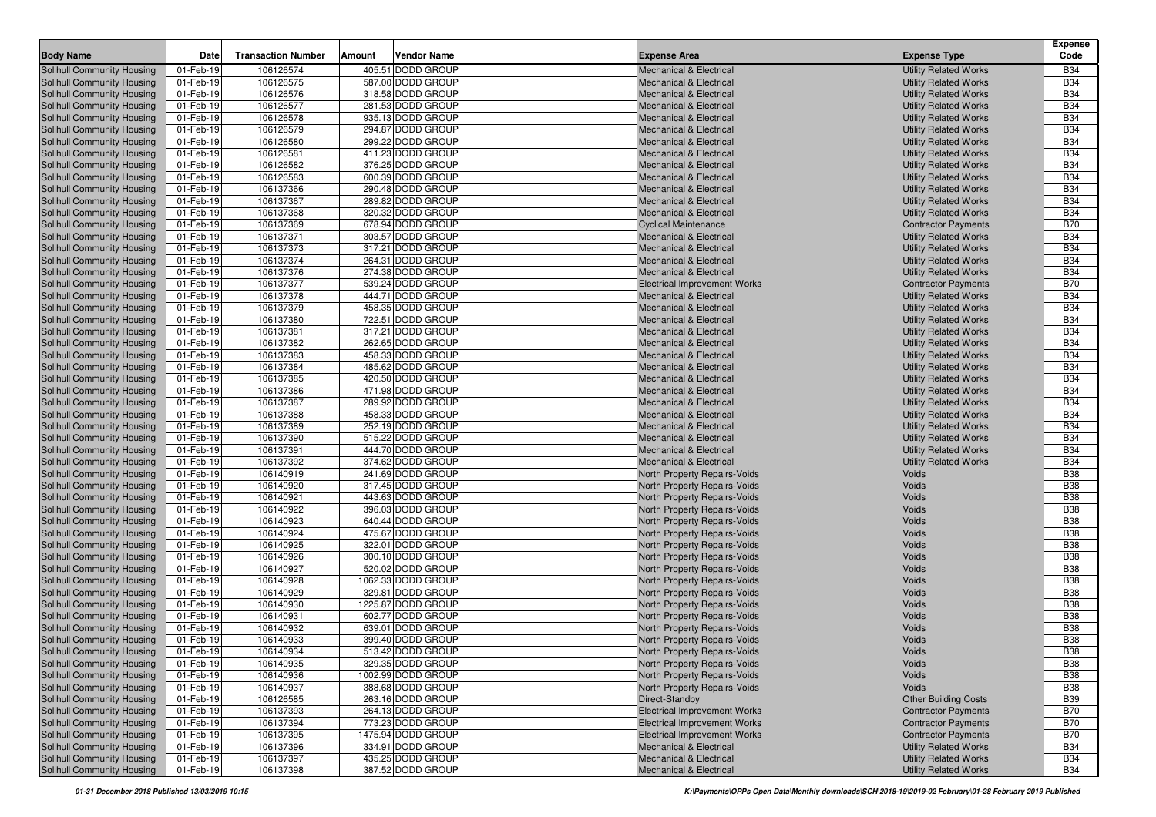|                                                                        |                        |                           |        |                                         |                                                                          |                                                              | <b>Expense</b>           |
|------------------------------------------------------------------------|------------------------|---------------------------|--------|-----------------------------------------|--------------------------------------------------------------------------|--------------------------------------------------------------|--------------------------|
| <b>Body Name</b>                                                       | Date                   | <b>Transaction Number</b> | Amount | <b>Vendor Name</b>                      | <b>Expense Area</b>                                                      | <b>Expense Type</b>                                          | Code                     |
| <b>Solihull Community Housing</b>                                      | 01-Feb-19              | 106126574                 |        | 405.51 DODD GROUP                       | <b>Mechanical &amp; Electrical</b>                                       | <b>Utility Related Works</b>                                 | <b>B34</b>               |
| <b>Solihull Community Housing</b>                                      | 01-Feb-19              | 106126575                 |        | 587.00 DODD GROUP                       | <b>Mechanical &amp; Electrical</b>                                       | <b>Utility Related Works</b>                                 | <b>B34</b>               |
| <b>Solihull Community Housing</b>                                      | 01-Feb-19              | 106126576                 |        | 318.58 DODD GROUP                       | <b>Mechanical &amp; Electrical</b>                                       | <b>Utility Related Works</b>                                 | <b>B34</b>               |
| Solihull Community Housing                                             | 01-Feb-19              | 106126577                 |        | 281.53 DODD GROUP                       | <b>Mechanical &amp; Electrical</b>                                       | <b>Utility Related Works</b>                                 | <b>B34</b>               |
| <b>Solihull Community Housing</b>                                      | 01-Feb-19              | 106126578                 |        | 935.13 DODD GROUP                       | <b>Mechanical &amp; Electrical</b>                                       | <b>Utility Related Works</b>                                 | <b>B34</b>               |
| <b>Solihull Community Housing</b>                                      | 01-Feb-19              | 106126579                 |        | 294.87 DODD GROUP                       | <b>Mechanical &amp; Electrical</b>                                       | <b>Utility Related Works</b>                                 | <b>B34</b>               |
| <b>Solihull Community Housing</b>                                      | 01-Feb-19              | 106126580                 |        | 299.22 DODD GROUP                       | <b>Mechanical &amp; Electrical</b>                                       | <b>Utility Related Works</b>                                 | <b>B34</b>               |
| <b>Solihull Community Housing</b><br><b>Solihull Community Housing</b> | 01-Feb-19<br>01-Feb-19 | 106126581<br>106126582    |        | 411.23 DODD GROUP<br>376.25 DODD GROUP  | <b>Mechanical &amp; Electrical</b><br><b>Mechanical &amp; Electrical</b> | <b>Utility Related Works</b><br><b>Utility Related Works</b> | <b>B34</b><br><b>B34</b> |
| Solihull Community Housing                                             | 01-Feb-19              | 106126583                 |        | 600.39 DODD GROUP                       | <b>Mechanical &amp; Electrical</b>                                       | <b>Utility Related Works</b>                                 | <b>B34</b>               |
| <b>Solihull Community Housing</b>                                      | 01-Feb-19              | 106137366                 |        | 290.48 DODD GROUP                       | <b>Mechanical &amp; Electrical</b>                                       | <b>Utility Related Works</b>                                 | <b>B34</b>               |
| <b>Solihull Community Housing</b>                                      | 01-Feb-19              | 106137367                 |        | 289.82 DODD GROUP                       | <b>Mechanical &amp; Electrical</b>                                       | <b>Utility Related Works</b>                                 | <b>B34</b>               |
| <b>Solihull Community Housing</b>                                      | 01-Feb-19              | 106137368                 |        | 320.32 DODD GROUP                       | <b>Mechanical &amp; Electrical</b>                                       | <b>Utility Related Works</b>                                 | <b>B34</b>               |
| Solihull Community Housing                                             | 01-Feb-19              | 106137369                 |        | 678.94 DODD GROUP                       | <b>Cyclical Maintenance</b>                                              | <b>Contractor Payments</b>                                   | <b>B70</b>               |
| Solihull Community Housing                                             | 01-Feb-19              | 106137371                 |        | 303.57 DODD GROUP                       | <b>Mechanical &amp; Electrical</b>                                       | <b>Utility Related Works</b>                                 | <b>B34</b>               |
| <b>Solihull Community Housing</b>                                      | 01-Feb-19              | 106137373                 |        | 317.21 DODD GROUP                       | <b>Mechanical &amp; Electrical</b>                                       | <b>Utility Related Works</b>                                 | <b>B34</b>               |
| <b>Solihull Community Housing</b>                                      | 01-Feb-19              | 106137374                 |        | 264.31 DODD GROUP                       | <b>Mechanical &amp; Electrical</b>                                       | <b>Utility Related Works</b>                                 | <b>B34</b>               |
| <b>Solihull Community Housing</b>                                      | 01-Feb-19              | 106137376                 |        | 274.38 DODD GROUP                       | <b>Mechanical &amp; Electrical</b>                                       | <b>Utility Related Works</b>                                 | <b>B34</b>               |
| <b>Solihull Community Housing</b>                                      | 01-Feb-19              | 106137377                 |        | 539.24 DODD GROUP                       | <b>Electrical Improvement Works</b>                                      | <b>Contractor Payments</b>                                   | <b>B70</b>               |
| <b>Solihull Community Housing</b>                                      | 01-Feb-19              | 106137378                 |        | 444.71 DODD GROUP                       | <b>Mechanical &amp; Electrical</b>                                       | <b>Utility Related Works</b>                                 | <b>B34</b>               |
| <b>Solihull Community Housing</b>                                      | 01-Feb-19              | 106137379                 |        | 458.35 DODD GROUP                       | <b>Mechanical &amp; Electrical</b>                                       | <b>Utility Related Works</b>                                 | <b>B34</b>               |
| Solihull Community Housing                                             | 01-Feb-19              | 106137380                 |        | 722.51 DODD GROUP                       | <b>Mechanical &amp; Electrical</b>                                       | <b>Utility Related Works</b>                                 | <b>B34</b>               |
| <b>Solihull Community Housing</b>                                      | 01-Feb-19              | 106137381                 |        | 317.21 DODD GROUP                       | <b>Mechanical &amp; Electrical</b>                                       | <b>Utility Related Works</b>                                 | <b>B34</b>               |
| <b>Solihull Community Housing</b>                                      | 01-Feb-19              | 106137382                 |        | 262.65 DODD GROUP                       | <b>Mechanical &amp; Electrical</b>                                       | <b>Utility Related Works</b>                                 | <b>B34</b>               |
| Solihull Community Housing                                             | 01-Feb-19              | 106137383                 |        | 458.33 DODD GROUP                       | <b>Mechanical &amp; Electrical</b>                                       | <b>Utility Related Works</b>                                 | <b>B34</b>               |
| Solihull Community Housing                                             | 01-Feb-19              | 106137384                 |        | 485.62 DODD GROUP                       | <b>Mechanical &amp; Electrical</b>                                       | <b>Utility Related Works</b>                                 | <b>B34</b>               |
| Solihull Community Housing                                             | 01-Feb-19              | 106137385                 |        | 420.50 DODD GROUP                       | <b>Mechanical &amp; Electrical</b>                                       | <b>Utility Related Works</b>                                 | <b>B34</b>               |
| Solihull Community Housing                                             | 01-Feb-19              | 106137386                 |        | 471.98 DODD GROUP                       | <b>Mechanical &amp; Electrical</b>                                       | <b>Utility Related Works</b>                                 | <b>B34</b>               |
| <b>Solihull Community Housing</b>                                      | 01-Feb-19              | 106137387                 |        | 289.92 DODD GROUP                       | <b>Mechanical &amp; Electrical</b>                                       | <b>Utility Related Works</b>                                 | <b>B34</b>               |
| <b>Solihull Community Housing</b>                                      | 01-Feb-19              | 106137388                 |        | 458.33 DODD GROUP                       | <b>Mechanical &amp; Electrical</b>                                       | <b>Utility Related Works</b>                                 | <b>B34</b>               |
| <b>Solihull Community Housing</b>                                      | 01-Feb-19              | 106137389                 |        | 252.19 DODD GROUP                       | <b>Mechanical &amp; Electrical</b>                                       | <b>Utility Related Works</b>                                 | <b>B34</b>               |
| <b>Solihull Community Housing</b>                                      | 01-Feb-19              | 106137390                 |        | 515.22 DODD GROUP                       | <b>Mechanical &amp; Electrical</b>                                       | <b>Utility Related Works</b>                                 | <b>B34</b>               |
| <b>Solihull Community Housing</b>                                      | 01-Feb-19              | 106137391                 |        | 444.70 DODD GROUP                       | <b>Mechanical &amp; Electrical</b>                                       | <b>Utility Related Works</b>                                 | <b>B34</b>               |
| <b>Solihull Community Housing</b>                                      | 01-Feb-19              | 106137392                 |        | 374.62 DODD GROUP                       | <b>Mechanical &amp; Electrical</b>                                       | <b>Utility Related Works</b>                                 | <b>B34</b>               |
| <b>Solihull Community Housing</b>                                      | 01-Feb-19              | 106140919                 |        | 241.69 DODD GROUP                       | North Property Repairs-Voids                                             | <b>Voids</b>                                                 | <b>B38</b>               |
| <b>Solihull Community Housing</b>                                      | 01-Feb-19              | 106140920                 |        | 317.45 DODD GROUP                       | North Property Repairs-Voids                                             | Voids                                                        | <b>B38</b>               |
| Solihull Community Housing                                             | 01-Feb-19              | 106140921                 |        | 443.63 DODD GROUP                       | North Property Repairs-Voids                                             | Voids                                                        | <b>B38</b>               |
| <b>Solihull Community Housing</b>                                      | 01-Feb-19              | 106140922                 |        | 396.03 DODD GROUP                       | North Property Repairs-Voids                                             | Voids                                                        | <b>B38</b>               |
| <b>Solihull Community Housing</b>                                      | 01-Feb-19              | 106140923                 |        | 640.44 DODD GROUP                       | North Property Repairs-Voids                                             | Voids                                                        | <b>B38</b>               |
| <b>Solihull Community Housing</b>                                      | 01-Feb-19              | 106140924                 |        | 475.67 DODD GROUP                       | North Property Repairs-Voids                                             | Voids                                                        | <b>B38</b>               |
| <b>Solihull Community Housing</b>                                      | 01-Feb-19              | 106140925                 |        | 322.01 DODD GROUP                       | North Property Repairs-Voids                                             | Voids                                                        | <b>B38</b>               |
| <b>Solihull Community Housing</b>                                      | 01-Feb-19              | 106140926                 |        | 300.10 DODD GROUP                       | North Property Repairs-Voids                                             | Voids                                                        | <b>B38</b>               |
| <b>Solihull Community Housing</b>                                      | 01-Feb-19              | 106140927                 |        | 520.02 DODD GROUP                       | North Property Repairs-Voids                                             | Voids                                                        | <b>B38</b>               |
| <b>Solihull Community Housing</b>                                      | 01-Feb-19              | 106140928                 |        | 1062.33 DODD GROUP<br>329.81 DODD GROUP | North Property Repairs-Voids                                             | Voids                                                        | <b>B38</b><br><b>B38</b> |
| <b>Solihull Community Housing</b>                                      | 01-Feb-19<br>01-Feb-19 | 106140929<br>106140930    |        | 1225.87 DODD GROUP                      | North Property Repairs-Voids                                             | Voids<br>Voids                                               | <b>B38</b>               |
| Solihull Community Housing<br><b>Solihull Community Housing</b>        | 01-Feb-19              | 106140931                 |        | 602.77 DODD GROUP                       | North Property Repairs-Voids<br>North Property Repairs-Voids             | Voids                                                        | <b>B38</b>               |
| <b>Solihull Community Housing</b>                                      | 01-Feb-19              | 106140932                 |        | 639.01 DODD GROUP                       | North Property Repairs-Voids                                             | Voids                                                        | <b>B38</b>               |
| <b>Solihull Community Housing</b>                                      | 01-Feb-19              | 106140933                 |        | 399.40 DODD GROUP                       | North Property Repairs-Voids                                             | Voids                                                        | <b>B38</b>               |
| Solihull Community Housing                                             | 01-Feb-19              | 106140934                 |        | 513.42 DODD GROUP                       | North Property Repairs-Voids                                             | Voids                                                        | <b>B38</b>               |
| Solihull Community Housing                                             | 01-Feb-19              | 106140935                 |        | 329.35 DODD GROUP                       | North Property Repairs-Voids                                             | Voids                                                        | <b>B38</b>               |
| Solihull Community Housing                                             | 01-Feb-19              | 106140936                 |        | 1002.99 DODD GROUP                      | North Property Repairs-Voids                                             | <b>Voids</b>                                                 | <b>B38</b>               |
| Solihull Community Housing                                             | 01-Feb-19              | 106140937                 |        | 388.68 DODD GROUP                       | North Property Repairs-Voids                                             | Voids                                                        | <b>B38</b>               |
| Solihull Community Housing                                             | 01-Feb-19              | 106126585                 |        | 263.16 DODD GROUP                       | Direct-Standby                                                           | <b>Other Building Costs</b>                                  | <b>B39</b>               |
| <b>Solihull Community Housing</b>                                      | 01-Feb-19              | 106137393                 |        | 264.13 DODD GROUP                       | <b>Electrical Improvement Works</b>                                      | <b>Contractor Payments</b>                                   | <b>B70</b>               |
| Solihull Community Housing                                             | 01-Feb-19              | 106137394                 |        | 773.23 DODD GROUP                       | <b>Electrical Improvement Works</b>                                      | <b>Contractor Payments</b>                                   | <b>B70</b>               |
| <b>Solihull Community Housing</b>                                      | 01-Feb-19              | 106137395                 |        | 1475.94 DODD GROUP                      | <b>Electrical Improvement Works</b>                                      | <b>Contractor Payments</b>                                   | <b>B70</b>               |
| <b>Solihull Community Housing</b>                                      | 01-Feb-19              | 106137396                 |        | 334.91 DODD GROUP                       | <b>Mechanical &amp; Electrical</b>                                       | <b>Utility Related Works</b>                                 | <b>B34</b>               |
| Solihull Community Housing                                             | 01-Feb-19              | 106137397                 |        | 435.25 DODD GROUP                       | <b>Mechanical &amp; Electrical</b>                                       | <b>Utility Related Works</b>                                 | <b>B34</b>               |
| <b>Solihull Community Housing</b>                                      | 01-Feb-19              | 106137398                 |        | 387.52 DODD GROUP                       | <b>Mechanical &amp; Electrical</b>                                       | <b>Utility Related Works</b>                                 | <b>B34</b>               |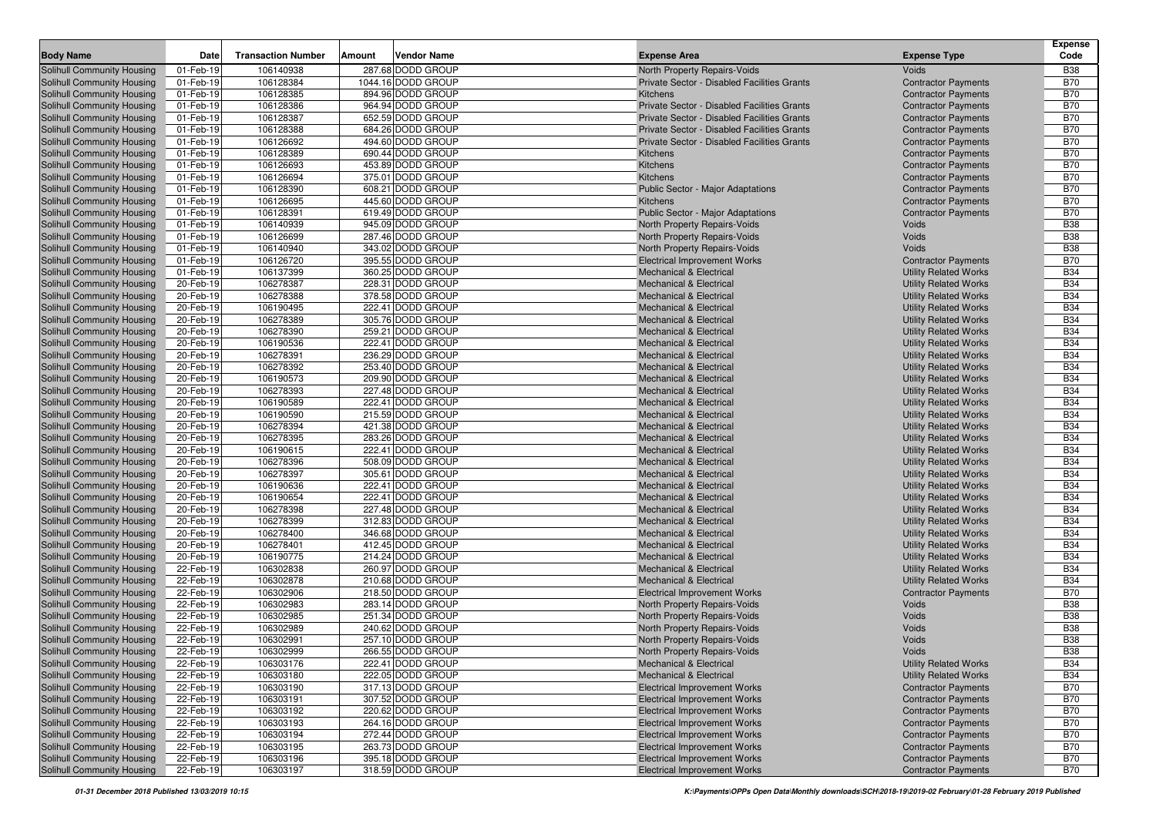|                                                          |                        |                           |        |                                        |                                                              |                              | <b>Expense</b>           |
|----------------------------------------------------------|------------------------|---------------------------|--------|----------------------------------------|--------------------------------------------------------------|------------------------------|--------------------------|
| <b>Body Name</b>                                         | Date                   | <b>Transaction Number</b> | Amount | <b>Vendor Name</b>                     | <b>Expense Area</b>                                          | <b>Expense Type</b>          | Code                     |
| Solihull Community Housing                               | 01-Feb-19              | 106140938                 |        | 287.68 DODD GROUP                      | North Property Repairs-Voids                                 | <b>Voids</b>                 | <b>B38</b>               |
| Solihull Community Housing                               | 01-Feb-19              | 106128384                 |        | 1044.16 DODD GROUP                     | Private Sector - Disabled Facilities Grants                  | <b>Contractor Payments</b>   | <b>B70</b>               |
| Solihull Community Housing                               | 01-Feb-19              | 106128385                 |        | 894.96 DODD GROUP                      | Kitchens                                                     | <b>Contractor Payments</b>   | <b>B70</b>               |
| Solihull Community Housing                               | 01-Feb-19              | 106128386                 |        | 964.94 DODD GROUP                      | Private Sector - Disabled Facilities Grants                  | <b>Contractor Payments</b>   | <b>B70</b>               |
| Solihull Community Housing                               | 01-Feb-19              | 106128387                 |        | 652.59 DODD GROUP                      | Private Sector - Disabled Facilities Grants                  | <b>Contractor Payments</b>   | <b>B70</b>               |
| Solihull Community Housing                               | 01-Feb-19              | 106128388                 |        | 684.26 DODD GROUP                      | Private Sector - Disabled Facilities Grants                  | <b>Contractor Payments</b>   | <b>B70</b>               |
| Solihull Community Housing                               | 01-Feb-19              | 106126692                 |        | 494.60 DODD GROUP                      | Private Sector - Disabled Facilities Grants                  | <b>Contractor Payments</b>   | <b>B70</b>               |
| <b>Solihull Community Housing</b>                        | 01-Feb-19              | 106128389                 |        | 690.44 DODD GROUP                      | Kitchens                                                     | <b>Contractor Payments</b>   | <b>B70</b>               |
| Solihull Community Housing                               | 01-Feb-19              | 106126693                 |        | 453.89 DODD GROUP                      | Kitchens                                                     | <b>Contractor Payments</b>   | <b>B70</b>               |
| Solihull Community Housing                               | 01-Feb-19              | 106126694                 |        | 375.01 DODD GROUP                      | Kitchens                                                     | <b>Contractor Payments</b>   | <b>B70</b>               |
| Solihull Community Housing                               | 01-Feb-19              | 106128390                 |        | 608.21 DODD GROUP                      | Public Sector - Major Adaptations                            | <b>Contractor Payments</b>   | <b>B70</b>               |
| Solihull Community Housing<br>Solihull Community Housing | 01-Feb-19<br>01-Feb-19 | 106126695                 |        | 445.60 DODD GROUP                      | Kitchens                                                     | <b>Contractor Payments</b>   | <b>B70</b><br><b>B70</b> |
|                                                          |                        | 106128391                 |        | 619.49 DODD GROUP<br>945.09 DODD GROUP | <b>Public Sector - Major Adaptations</b>                     | <b>Contractor Payments</b>   | <b>B38</b>               |
| <b>Solihull Community Housing</b>                        | 01-Feb-19              | 106140939<br>106126699    |        | 287.46 DODD GROUP                      | North Property Repairs-Voids                                 | Voids<br>Voids               | <b>B38</b>               |
| <b>Solihull Community Housing</b>                        | 01-Feb-19<br>01-Feb-19 | 106140940                 |        | 343.02 DODD GROUP                      | North Property Repairs-Voids<br>North Property Repairs-Voids | <b>Voids</b>                 | <b>B38</b>               |
| Solihull Community Housing<br>Solihull Community Housing | 01-Feb-19              | 106126720                 |        | 395.55 DODD GROUP                      | <b>Electrical Improvement Works</b>                          | <b>Contractor Payments</b>   | <b>B70</b>               |
| Solihull Community Housing                               | 01-Feb-19              | 106137399                 |        | 360.25 DODD GROUP                      | <b>Mechanical &amp; Electrical</b>                           | <b>Utility Related Works</b> | <b>B34</b>               |
| Solihull Community Housing                               | 20-Feb-19              | 106278387                 |        | 228.31 DODD GROUP                      | <b>Mechanical &amp; Electrical</b>                           | <b>Utility Related Works</b> | <b>B34</b>               |
| Solihull Community Housing                               | 20-Feb-19              | 106278388                 |        | 378.58 DODD GROUP                      | <b>Mechanical &amp; Electrical</b>                           | <b>Utility Related Works</b> | <b>B34</b>               |
| Solihull Community Housing                               | 20-Feb-19              | 106190495                 |        | 222.41 DODD GROUP                      | <b>Mechanical &amp; Electrical</b>                           | <b>Utility Related Works</b> | <b>B34</b>               |
| Solihull Community Housing                               | 20-Feb-19              | 106278389                 |        | 305.76 DODD GROUP                      | <b>Mechanical &amp; Electrical</b>                           | <b>Utility Related Works</b> | <b>B34</b>               |
| Solihull Community Housing                               | 20-Feb-19              | 106278390                 |        | 259.21 DODD GROUP                      | <b>Mechanical &amp; Electrical</b>                           | <b>Utility Related Works</b> | <b>B34</b>               |
| Solihull Community Housing                               | 20-Feb-19              | 106190536                 |        | 222.41 DODD GROUP                      | <b>Mechanical &amp; Electrical</b>                           | <b>Utility Related Works</b> | <b>B34</b>               |
| Solihull Community Housing                               | 20-Feb-19              | 106278391                 |        | 236.29 DODD GROUP                      | <b>Mechanical &amp; Electrical</b>                           | <b>Utility Related Works</b> | <b>B34</b>               |
| Solihull Community Housing                               | 20-Feb-19              | 106278392                 |        | 253.40 DODD GROUP                      | <b>Mechanical &amp; Electrical</b>                           | <b>Utility Related Works</b> | <b>B34</b>               |
| Solihull Community Housing                               | 20-Feb-19              | 106190573                 |        | 209.90 DODD GROUP                      | <b>Mechanical &amp; Electrical</b>                           | <b>Utility Related Works</b> | <b>B34</b>               |
| Solihull Community Housing                               | 20-Feb-19              | 106278393                 |        | 227.48 DODD GROUP                      | <b>Mechanical &amp; Electrical</b>                           | <b>Utility Related Works</b> | <b>B34</b>               |
| Solihull Community Housing                               | 20-Feb-19              | 106190589                 |        | 222.41 DODD GROUP                      | <b>Mechanical &amp; Electrical</b>                           | <b>Utility Related Works</b> | <b>B34</b>               |
| Solihull Community Housing                               | 20-Feb-19              | 106190590                 |        | 215.59 DODD GROUP                      | <b>Mechanical &amp; Electrical</b>                           | <b>Utility Related Works</b> | <b>B34</b>               |
| Solihull Community Housing                               | 20-Feb-19              | 106278394                 |        | 421.38 DODD GROUP                      | <b>Mechanical &amp; Electrical</b>                           | <b>Utility Related Works</b> | <b>B34</b>               |
| Solihull Community Housing                               | 20-Feb-19              | 106278395                 |        | 283.26 DODD GROUP                      | <b>Mechanical &amp; Electrical</b>                           | <b>Utility Related Works</b> | <b>B34</b>               |
| Solihull Community Housing                               | 20-Feb-19              | 106190615                 |        | 222.41 DODD GROUP                      | <b>Mechanical &amp; Electrical</b>                           | <b>Utility Related Works</b> | <b>B34</b>               |
| Solihull Community Housing                               | 20-Feb-19              | 106278396                 |        | 508.09 DODD GROUP                      | <b>Mechanical &amp; Electrical</b>                           | <b>Utility Related Works</b> | <b>B34</b>               |
| Solihull Community Housing                               | 20-Feb-19              | 106278397                 |        | 305.61 DODD GROUP                      | <b>Mechanical &amp; Electrical</b>                           | <b>Utility Related Works</b> | <b>B34</b>               |
| Solihull Community Housing                               | 20-Feb-19              | 106190636                 |        | 222.41 DODD GROUP                      | <b>Mechanical &amp; Electrical</b>                           | <b>Utility Related Works</b> | <b>B34</b>               |
| Solihull Community Housing                               | 20-Feb-19              | 106190654                 |        | 222.41 DODD GROUP                      | <b>Mechanical &amp; Electrical</b>                           | <b>Utility Related Works</b> | <b>B34</b>               |
| Solihull Community Housing                               | 20-Feb-19              | 106278398                 |        | 227.48 DODD GROUP                      | <b>Mechanical &amp; Electrical</b>                           | <b>Utility Related Works</b> | <b>B34</b>               |
| <b>Solihull Community Housing</b>                        | 20-Feb-19              | 106278399                 |        | 312.83 DODD GROUP                      | <b>Mechanical &amp; Electrical</b>                           | <b>Utility Related Works</b> | <b>B34</b>               |
| Solihull Community Housing                               | 20-Feb-19              | 106278400                 |        | 346.68 DODD GROUP                      | <b>Mechanical &amp; Electrical</b>                           | <b>Utility Related Works</b> | <b>B34</b>               |
| Solihull Community Housing                               | 20-Feb-19              | 106278401                 |        | 412.45 DODD GROUP                      | <b>Mechanical &amp; Electrical</b>                           | <b>Utility Related Works</b> | <b>B34</b>               |
| Solihull Community Housing                               | 20-Feb-19              | 106190775                 |        | 214.24 DODD GROUP                      | <b>Mechanical &amp; Electrical</b>                           | <b>Utility Related Works</b> | <b>B34</b>               |
| Solihull Community Housing                               | 22-Feb-19              | 106302838                 |        | 260.97 DODD GROUP                      | <b>Mechanical &amp; Electrical</b>                           | <b>Utility Related Works</b> | <b>B34</b>               |
| Solihull Community Housing                               | 22-Feb-19              | 106302878                 |        | 210.68 DODD GROUP                      | <b>Mechanical &amp; Electrical</b>                           | <b>Utility Related Works</b> | <b>B34</b>               |
| Solihull Community Housing                               | 22-Feb-19              | 106302906                 |        | 218.50 DODD GROUP                      | <b>Electrical Improvement Works</b>                          | <b>Contractor Payments</b>   | <b>B70</b>               |
| Solihull Community Housing                               | 22-Feb-19              | 106302983                 |        | 283.14 DODD GROUP                      | North Property Repairs-Voids                                 | <b>Voids</b>                 | <b>B38</b>               |
| Solihull Community Housing                               | 22-Feb-19              | 106302985                 |        | 251.34 DODD GROUP                      | North Property Repairs-Voids                                 | <b>Voids</b>                 | <b>B38</b>               |
| Solihull Community Housing                               | 22-Feb-19              | 106302989                 |        | 240.62 DODD GROUP                      | North Property Repairs-Voids                                 | Voids                        | <b>B38</b>               |
| Solihull Community Housing                               | 22-Feb-19              | 106302991                 |        | 257.10 DODD GROUP                      | North Property Repairs-Voids                                 | Voids                        | <b>B38</b>               |
| Solihull Community Housing                               | 22-Feb-19              | 106302999                 |        | 266.55 DODD GROUP                      | North Property Repairs-Voids                                 | Voids                        | <b>B38</b>               |
| <b>Solihull Community Housing</b>                        | 22-Feb-19              | 106303176                 |        | 222.41 DODD GROUP                      | <b>Mechanical &amp; Electrical</b>                           | <b>Utility Related Works</b> | <b>B34</b>               |
| Solihull Community Housing                               | 22-Feb-19              | 106303180                 |        | 222.05 DODD GROUP                      | <b>Mechanical &amp; Electrical</b>                           | <b>Utility Related Works</b> | <b>B34</b>               |
| Solihull Community Housing                               | 22-Feb-19              | 106303190                 |        | 317.13 DODD GROUP                      | <b>Electrical Improvement Works</b>                          | <b>Contractor Payments</b>   | <b>B70</b>               |
| <b>Solihull Community Housing</b>                        | 22-Feb-19              | 106303191                 |        | 307.52 DODD GROUP                      | <b>Electrical Improvement Works</b>                          | <b>Contractor Payments</b>   | <b>B70</b>               |
| Solihull Community Housing                               | 22-Feb-19              | 106303192                 |        | 220.62 DODD GROUP                      | <b>Electrical Improvement Works</b>                          | <b>Contractor Payments</b>   | <b>B70</b>               |
| <b>Solihull Community Housing</b>                        | 22-Feb-19              | 106303193                 |        | 264.16 DODD GROUP                      | <b>Electrical Improvement Works</b>                          | <b>Contractor Payments</b>   | <b>B70</b>               |
| Solihull Community Housing                               | 22-Feb-19              | 106303194                 |        | 272.44 DODD GROUP                      | <b>Electrical Improvement Works</b>                          | <b>Contractor Payments</b>   | <b>B70</b>               |
| <b>Solihull Community Housing</b>                        | 22-Feb-19              | 106303195                 |        | 263.73 DODD GROUP                      | <b>Electrical Improvement Works</b>                          | <b>Contractor Payments</b>   | <b>B70</b>               |
| <b>Solihull Community Housing</b>                        | 22-Feb-19              | 106303196                 |        | 395.18 DODD GROUP                      | <b>Electrical Improvement Works</b>                          | <b>Contractor Payments</b>   | B70                      |
| <b>Solihull Community Housing</b>                        | 22-Feb-19              | 106303197                 |        | 318.59 DODD GROUP                      | <b>Electrical Improvement Works</b>                          | <b>Contractor Payments</b>   | <b>B70</b>               |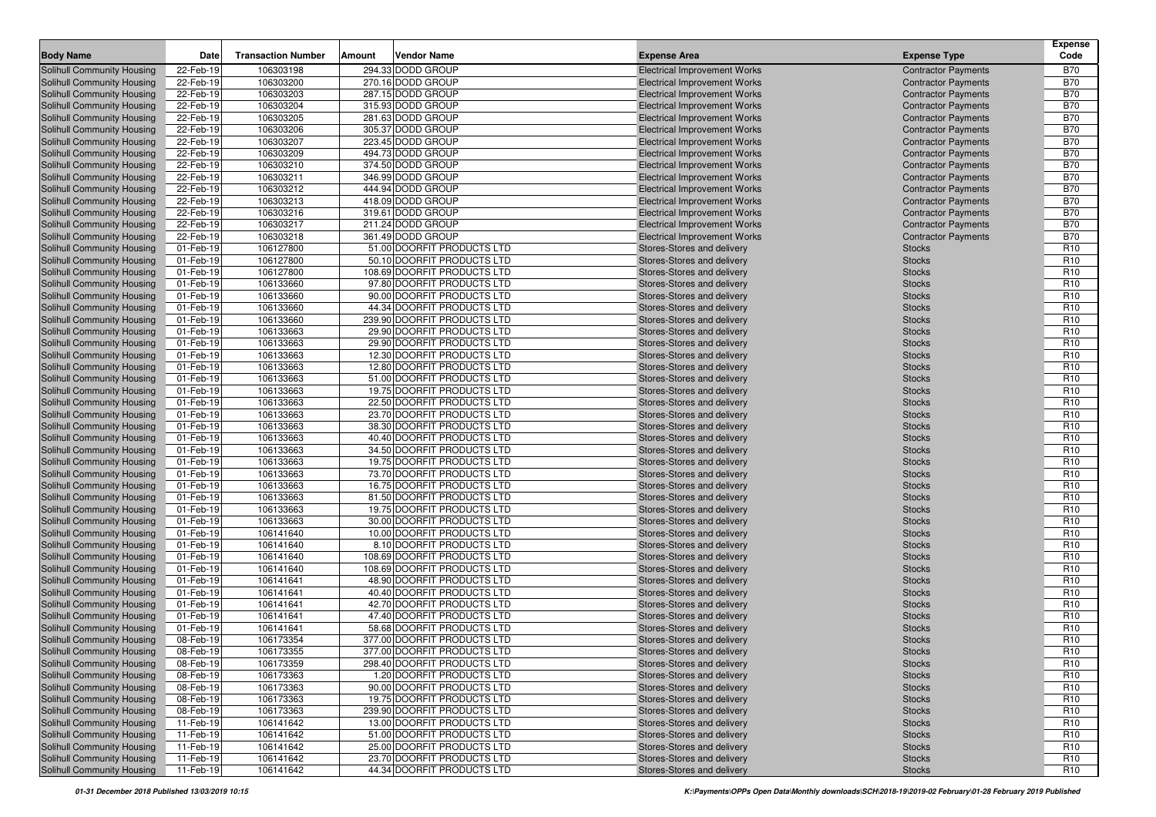|                                                                 |                        |                           |        |                                                          |                                                          |                                | <b>Expense</b>                     |
|-----------------------------------------------------------------|------------------------|---------------------------|--------|----------------------------------------------------------|----------------------------------------------------------|--------------------------------|------------------------------------|
| <b>Body Name</b>                                                | Date                   | <b>Transaction Number</b> | Amount | <b>Vendor Name</b>                                       | <b>Expense Area</b>                                      | <b>Expense Type</b>            | Code                               |
| Solihull Community Housing                                      | 22-Feb-19              | 106303198                 |        | 294.33 DODD GROUP                                        | <b>Electrical Improvement Works</b>                      | <b>Contractor Payments</b>     | <b>B70</b>                         |
| Solihull Community Housing                                      | 22-Feb-19              | 106303200                 |        | 270.16 DODD GROUP                                        | <b>Electrical Improvement Works</b>                      | <b>Contractor Payments</b>     | <b>B70</b>                         |
| <b>Solihull Community Housing</b>                               | 22-Feb-19              | 106303203                 |        | 287.15 DODD GROUP                                        | <b>Electrical Improvement Works</b>                      | <b>Contractor Payments</b>     | <b>B70</b>                         |
| <b>Solihull Community Housing</b>                               | 22-Feb-19              | 106303204                 |        | 315.93 DODD GROUP                                        | <b>Electrical Improvement Works</b>                      | <b>Contractor Payments</b>     | <b>B70</b>                         |
| Solihull Community Housing                                      | 22-Feb-19              | 106303205                 |        | 281.63 DODD GROUP                                        | <b>Electrical Improvement Works</b>                      | <b>Contractor Payments</b>     | <b>B70</b>                         |
| <b>Solihull Community Housing</b>                               | 22-Feb-19              | 106303206                 |        | 305.37 DODD GROUP                                        | <b>Electrical Improvement Works</b>                      | <b>Contractor Payments</b>     | <b>B70</b>                         |
| <b>Solihull Community Housing</b>                               | 22-Feb-19              | 106303207                 |        | 223.45 DODD GROUP                                        | <b>Electrical Improvement Works</b>                      | <b>Contractor Payments</b>     | <b>B70</b>                         |
| <b>Solihull Community Housing</b>                               | 22-Feb-19              | 106303209                 |        | 494.73 DODD GROUP                                        | <b>Electrical Improvement Works</b>                      | <b>Contractor Payments</b>     | <b>B70</b>                         |
| <b>Solihull Community Housing</b>                               | 22-Feb-19              | 106303210                 |        | 374.50 DODD GROUP                                        | <b>Electrical Improvement Works</b>                      | <b>Contractor Payments</b>     | <b>B70</b>                         |
| <b>Solihull Community Housing</b>                               | 22-Feb-19              | 106303211                 |        | 346.99 DODD GROUP                                        | <b>Electrical Improvement Works</b>                      | <b>Contractor Payments</b>     | <b>B70</b>                         |
| Solihull Community Housing                                      | 22-Feb-19              | 106303212                 |        | 444.94 DODD GROUP                                        | <b>Electrical Improvement Works</b>                      | <b>Contractor Payments</b>     | <b>B70</b>                         |
| Solihull Community Housing                                      | 22-Feb-19              | 106303213                 |        | 418.09 DODD GROUP                                        | <b>Electrical Improvement Works</b>                      | <b>Contractor Payments</b>     | <b>B70</b>                         |
| Solihull Community Housing                                      | 22-Feb-19              | 106303216                 |        | 319.61 DODD GROUP                                        | <b>Electrical Improvement Works</b>                      | <b>Contractor Payments</b>     | <b>B70</b>                         |
| <b>Solihull Community Housing</b>                               | 22-Feb-19              | 106303217                 |        | 211.24 DODD GROUP                                        | <b>Electrical Improvement Works</b>                      | <b>Contractor Payments</b>     | <b>B70</b>                         |
| <b>Solihull Community Housing</b>                               | 22-Feb-19              | 106303218                 |        | 361.49 DODD GROUP                                        | <b>Electrical Improvement Works</b>                      | <b>Contractor Payments</b>     | <b>B70</b>                         |
| <b>Solihull Community Housing</b>                               | 01-Feb-19              | 106127800                 |        | 51.00 DOORFIT PRODUCTS LTD                               | Stores-Stores and delivery                               | <b>Stocks</b>                  | R <sub>10</sub>                    |
| <b>Solihull Community Housing</b>                               | 01-Feb-19              | 106127800                 |        | 50.10 DOORFIT PRODUCTS LTD                               | Stores-Stores and delivery                               | <b>Stocks</b>                  | R <sub>10</sub>                    |
| <b>Solihull Community Housing</b>                               | 01-Feb-19              | 106127800                 |        | 108.69 DOORFIT PRODUCTS LTD                              | Stores-Stores and delivery                               | <b>Stocks</b>                  | R <sub>10</sub>                    |
| <b>Solihull Community Housing</b>                               | 01-Feb-19              | 106133660                 |        | 97.80 DOORFIT PRODUCTS LTD                               | Stores-Stores and delivery                               | <b>Stocks</b>                  | R <sub>10</sub>                    |
| Solihull Community Housing                                      | 01-Feb-19              | 106133660                 |        | 90.00 DOORFIT PRODUCTS LTD                               | Stores-Stores and delivery                               | <b>Stocks</b>                  | R <sub>10</sub>                    |
| Solihull Community Housing                                      | 01-Feb-19              | 106133660                 |        | 44.34 DOORFIT PRODUCTS LTD                               | Stores-Stores and delivery                               | <b>Stocks</b>                  | R <sub>10</sub>                    |
| <b>Solihull Community Housing</b>                               | 01-Feb-19              | 106133660                 |        | 239.90 DOORFIT PRODUCTS LTD                              | Stores-Stores and delivery                               | <b>Stocks</b>                  | R <sub>10</sub>                    |
| <b>Solihull Community Housing</b>                               | 01-Feb-19              | 106133663                 |        | 29.90 DOORFIT PRODUCTS LTD                               | Stores-Stores and delivery                               | <b>Stocks</b>                  | R <sub>10</sub>                    |
| <b>Solihull Community Housing</b>                               | 01-Feb-19              | 106133663                 |        | 29.90 DOORFIT PRODUCTS LTD                               | <b>Stores-Stores and delivery</b>                        | <b>Stocks</b>                  | R <sub>10</sub>                    |
| <b>Solihull Community Housing</b>                               | 01-Feb-19              | 106133663                 |        | 12.30 DOORFIT PRODUCTS LTD                               | Stores-Stores and delivery                               | <b>Stocks</b>                  | R <sub>10</sub>                    |
| Solihull Community Housing                                      | 01-Feb-19              | 106133663                 |        | 12.80 DOORFIT PRODUCTS LTD                               | Stores-Stores and delivery                               | <b>Stocks</b>                  | R <sub>10</sub>                    |
| <b>Solihull Community Housing</b><br>Solihull Community Housing | 01-Feb-19              | 106133663                 |        | 51.00 DOORFIT PRODUCTS LTD                               | Stores-Stores and delivery                               | <b>Stocks</b>                  | R <sub>10</sub><br>R <sub>10</sub> |
| Solihull Community Housing                                      | 01-Feb-19<br>01-Feb-19 | 106133663<br>106133663    |        | 19.75 DOORFIT PRODUCTS LTD<br>22.50 DOORFIT PRODUCTS LTD | Stores-Stores and delivery<br>Stores-Stores and delivery | <b>Stocks</b>                  | R <sub>10</sub>                    |
| Solihull Community Housing                                      | 01-Feb-19              | 106133663                 |        | 23.70 DOORFIT PRODUCTS LTD                               | Stores-Stores and delivery                               | <b>Stocks</b><br><b>Stocks</b> | R <sub>10</sub>                    |
| <b>Solihull Community Housing</b>                               | 01-Feb-19              | 106133663                 |        | 38.30 DOORFIT PRODUCTS LTD                               | Stores-Stores and delivery                               | <b>Stocks</b>                  | R <sub>10</sub>                    |
| <b>Solihull Community Housing</b>                               | 01-Feb-19              | 106133663                 |        | 40.40 DOORFIT PRODUCTS LTD                               | Stores-Stores and delivery                               | <b>Stocks</b>                  | R <sub>10</sub>                    |
| <b>Solihull Community Housing</b>                               | 01-Feb-19              | 106133663                 |        | 34.50 DOORFIT PRODUCTS LTD                               | Stores-Stores and delivery                               | <b>Stocks</b>                  | R <sub>10</sub>                    |
| Solihull Community Housing                                      | 01-Feb-19              | 106133663                 |        | 19.75 DOORFIT PRODUCTS LTD                               | Stores-Stores and delivery                               | <b>Stocks</b>                  | R <sub>10</sub>                    |
| <b>Solihull Community Housing</b>                               | 01-Feb-19              | 106133663                 |        | 73.70 DOORFIT PRODUCTS LTD                               | Stores-Stores and delivery                               | <b>Stocks</b>                  | R <sub>10</sub>                    |
| <b>Solihull Community Housing</b>                               | 01-Feb-19              | 106133663                 |        | 16.75 DOORFIT PRODUCTS LTD                               | Stores-Stores and delivery                               | <b>Stocks</b>                  | R <sub>10</sub>                    |
| Solihull Community Housing                                      | 01-Feb-19              | 106133663                 |        | 81.50 DOORFIT PRODUCTS LTD                               | Stores-Stores and delivery                               | <b>Stocks</b>                  | R <sub>10</sub>                    |
| Solihull Community Housing                                      | 01-Feb-19              | 106133663                 |        | 19.75 DOORFIT PRODUCTS LTD                               | Stores-Stores and delivery                               | <b>Stocks</b>                  | R <sub>10</sub>                    |
| <b>Solihull Community Housing</b>                               | 01-Feb-19              | 106133663                 |        | 30.00 DOORFIT PRODUCTS LTD                               | Stores-Stores and delivery                               | <b>Stocks</b>                  | R <sub>10</sub>                    |
| Solihull Community Housing                                      | 01-Feb-19              | 106141640                 |        | 10.00 DOORFIT PRODUCTS LTD                               | Stores-Stores and delivery                               | <b>Stocks</b>                  | R <sub>10</sub>                    |
| <b>Solihull Community Housing</b>                               | 01-Feb-19              | 106141640                 |        | 8.10 DOORFIT PRODUCTS LTD                                | Stores-Stores and delivery                               | <b>Stocks</b>                  | R <sub>10</sub>                    |
| <b>Solihull Community Housing</b>                               | 01-Feb-19              | 106141640                 |        | 108.69 DOORFIT PRODUCTS LTD                              | Stores-Stores and delivery                               | <b>Stocks</b>                  | R <sub>10</sub>                    |
| <b>Solihull Community Housing</b>                               | 01-Feb-19              | 106141640                 |        | 108.69 DOORFIT PRODUCTS LTD                              | Stores-Stores and delivery                               | <b>Stocks</b>                  | R <sub>10</sub>                    |
| <b>Solihull Community Housing</b>                               | 01-Feb-19              | 106141641                 |        | 48.90 DOORFIT PRODUCTS LTD                               | <b>Stores-Stores and delivery</b>                        | <b>Stocks</b>                  | R <sub>10</sub>                    |
| <b>Solihull Community Housing</b>                               | 01-Feb-19              | 106141641                 |        | 40.40 DOORFIT PRODUCTS LTD                               | Stores-Stores and delivery                               | <b>Stocks</b>                  | R <sub>10</sub>                    |
| Solihull Community Housing                                      | 01-Feb-19              | 106141641                 |        | 42.70 DOORFIT PRODUCTS LTD                               | Stores-Stores and delivery                               | <b>Stocks</b>                  | R <sub>10</sub>                    |
| <b>Solihull Community Housing</b>                               | 01-Feb-19              | 106141641                 |        | 47.40 DOORFIT PRODUCTS LTD                               | Stores-Stores and delivery                               | <b>Stocks</b>                  | R <sub>10</sub>                    |
| Solihull Community Housing                                      | 01-Feb-19              | 106141641                 |        | 58.68 DOORFIT PRODUCTS LTD                               | Stores-Stores and delivery                               | <b>Stocks</b>                  | R <sub>10</sub>                    |
| Solihull Community Housing                                      | 08-Feb-19              | 106173354                 |        | 377.00 DOORFIT PRODUCTS LTD                              | Stores-Stores and delivery                               | <b>Stocks</b>                  | R <sub>10</sub>                    |
| Solihull Community Housing                                      | 08-Feb-19              | 106173355                 |        | 377.00 DOORFIT PRODUCTS LTD                              | Stores-Stores and delivery                               | <b>Stocks</b>                  | R <sub>10</sub>                    |
| <b>Solihull Community Housing</b>                               | 08-Feb-19              | 106173359                 |        | 298.40 DOORFIT PRODUCTS LTD                              | Stores-Stores and delivery                               | <b>Stocks</b>                  | R <sub>10</sub>                    |
| <b>Solihull Community Housing</b>                               | 08-Feb-19              | 106173363                 |        | 1.20 DOORFIT PRODUCTS LTD                                | Stores-Stores and delivery                               | <b>Stocks</b>                  | R <sub>10</sub>                    |
| Solihull Community Housing                                      | 08-Feb-19              | 106173363                 |        | 90.00 DOORFIT PRODUCTS LTD                               | Stores-Stores and delivery                               | <b>Stocks</b>                  | R <sub>10</sub>                    |
| Solihull Community Housing                                      | 08-Feb-19              | 106173363                 |        | 19.75 DOORFIT PRODUCTS LTD                               | Stores-Stores and delivery                               | <b>Stocks</b>                  | R <sub>10</sub>                    |
| Solihull Community Housing                                      | 08-Feb-19              | 106173363                 |        | 239.90 DOORFIT PRODUCTS LTD                              | Stores-Stores and delivery                               | <b>Stocks</b>                  | R <sub>10</sub>                    |
| Solihull Community Housing                                      | 11-Feb-19              | 106141642                 |        | 13.00 DOORFIT PRODUCTS LTD                               | Stores-Stores and delivery                               | <b>Stocks</b>                  | R <sub>10</sub>                    |
| Solihull Community Housing                                      | 11-Feb-19              | 106141642                 |        | 51.00 DOORFIT PRODUCTS LTD                               | Stores-Stores and delivery                               | <b>Stocks</b>                  | R <sub>10</sub>                    |
| <b>Solihull Community Housing</b>                               | 11-Feb-19              | 106141642                 |        | 25.00 DOORFIT PRODUCTS LTD                               | Stores-Stores and delivery                               | <b>Stocks</b>                  | R <sub>10</sub>                    |
| <b>Solihull Community Housing</b>                               | 11-Feb-19              | 106141642                 |        | 23.70 DOORFIT PRODUCTS LTD                               | Stores-Stores and delivery                               | <b>Stocks</b>                  | R <sub>10</sub>                    |
| Solihull Community Housing                                      | 11-Feb-19              | 106141642                 |        | 44.34 DOORFIT PRODUCTS LTD                               | Stores-Stores and delivery                               | <b>Stocks</b>                  | R <sub>10</sub>                    |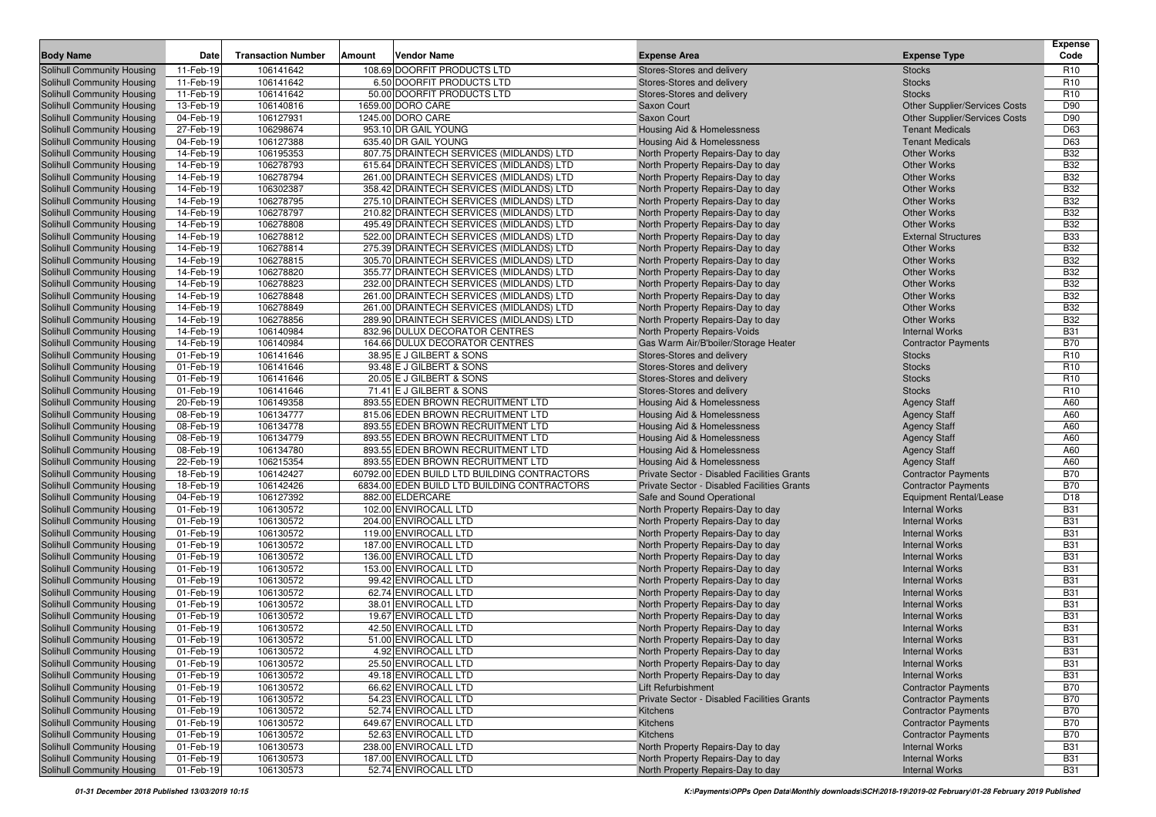|                                                          |                        | <b>Transaction Number</b> | Amount | <b>Vendor Name</b>                                                                   |                                                                        |                                          | <b>Expense</b><br>Code   |
|----------------------------------------------------------|------------------------|---------------------------|--------|--------------------------------------------------------------------------------------|------------------------------------------------------------------------|------------------------------------------|--------------------------|
| <b>Body Name</b>                                         | Date                   |                           |        |                                                                                      | <b>Expense Area</b>                                                    | <b>Expense Type</b>                      |                          |
| Solihull Community Housing                               | 11-Feb-19              | 106141642                 |        | 108.69 DOORFIT PRODUCTS LTD                                                          | Stores-Stores and delivery                                             | <b>Stocks</b>                            | R <sub>10</sub>          |
| Solihull Community Housing                               | 11-Feb-19              | 106141642                 |        | 6.50 DOORFIT PRODUCTS LTD                                                            | Stores-Stores and delivery                                             | <b>Stocks</b>                            | R <sub>10</sub>          |
| Solihull Community Housing                               | 11-Feb-19              | 106141642                 |        | 50.00 DOORFIT PRODUCTS LTD                                                           | Stores-Stores and delivery                                             | <b>Stocks</b>                            | R <sub>10</sub>          |
| Solihull Community Housing                               | 13-Feb-19              | 106140816                 |        | 1659.00 DORO CARE                                                                    | Saxon Court                                                            | <b>Other Supplier/Services Costs</b>     | D90                      |
| Solihull Community Housing                               | 04-Feb-19              | 106127931                 |        | 1245.00 DORO CARE                                                                    | <b>Saxon Court</b>                                                     | <b>Other Supplier/Services Costs</b>     | D90                      |
| Solihull Community Housing                               | 27-Feb-19              | 106298674                 |        | 953.10 DR GAIL YOUNG                                                                 | Housing Aid & Homelessness                                             | <b>Tenant Medicals</b>                   | D63                      |
| Solihull Community Housing                               | 04-Feb-19              | 106127388                 |        | 635.40 DR GAIL YOUNG                                                                 | Housing Aid & Homelessness                                             | <b>Tenant Medicals</b>                   | D63                      |
| Solihull Community Housing                               | 14-Feb-19              | 106195353                 |        | 807.75 DRAINTECH SERVICES (MIDLANDS) LTD                                             | North Property Repairs-Day to day                                      | <b>Other Works</b>                       | <b>B32</b>               |
| Solihull Community Housing                               | 14-Feb-19              | 106278793                 |        | 615.64 DRAINTECH SERVICES (MIDLANDS) LTD                                             | North Property Repairs-Day to day                                      | <b>Other Works</b>                       | <b>B32</b>               |
| Solihull Community Housing                               | 14-Feb-19              | 106278794                 |        | 261.00 DRAINTECH SERVICES (MIDLANDS) LTD                                             | North Property Repairs-Day to day                                      | <b>Other Works</b>                       | <b>B32</b>               |
| Solihull Community Housing                               | 14-Feb-19              | 106302387                 |        | 358.42 DRAINTECH SERVICES (MIDLANDS) LTD                                             | North Property Repairs-Day to day                                      | <b>Other Works</b>                       | <b>B32</b>               |
| Solihull Community Housing                               | 14-Feb-19              | 106278795                 |        | 275.10 DRAINTECH SERVICES (MIDLANDS) LTD                                             | North Property Repairs-Day to day                                      | <b>Other Works</b>                       | <b>B32</b>               |
| Solihull Community Housing                               | 14-Feb-19              | 106278797                 |        | 210.82 DRAINTECH SERVICES (MIDLANDS) LTD                                             | North Property Repairs-Day to day                                      | <b>Other Works</b>                       | <b>B32</b>               |
| Solihull Community Housing                               | 14-Feb-19              | 106278808                 |        | 495.49 DRAINTECH SERVICES (MIDLANDS) LTD                                             | North Property Repairs-Day to day                                      | <b>Other Works</b>                       | <b>B32</b>               |
| <b>Solihull Community Housing</b>                        | 14-Feb-19              | 106278812                 |        | 522.00 DRAINTECH SERVICES (MIDLANDS) LTD                                             | North Property Repairs-Day to day                                      | <b>External Structures</b>               | <b>B33</b>               |
| Solihull Community Housing                               | 14-Feb-19              | 106278814                 |        | 275.39 DRAINTECH SERVICES (MIDLANDS) LTD                                             | North Property Repairs-Day to day                                      | <b>Other Works</b>                       | <b>B32</b><br><b>B32</b> |
| Solihull Community Housing                               | 14-Feb-19              | 106278815                 |        | 305.70 DRAINTECH SERVICES (MIDLANDS) LTD                                             | North Property Repairs-Day to day                                      | <b>Other Works</b>                       |                          |
| Solihull Community Housing                               | 14-Feb-19              | 106278820<br>106278823    |        | 355.77 DRAINTECH SERVICES (MIDLANDS) LTD                                             | North Property Repairs-Day to day                                      | <b>Other Works</b><br><b>Other Works</b> | <b>B32</b><br><b>B32</b> |
| Solihull Community Housing                               | 14-Feb-19<br>14-Feb-19 | 106278848                 |        | 232.00 DRAINTECH SERVICES (MIDLANDS) LTD<br>261.00 DRAINTECH SERVICES (MIDLANDS) LTD | North Property Repairs-Day to day                                      | <b>Other Works</b>                       | <b>B32</b>               |
| Solihull Community Housing<br>Solihull Community Housing | 14-Feb-19              | 106278849                 |        |                                                                                      | North Property Repairs-Day to day<br>North Property Repairs-Day to day | <b>Other Works</b>                       | <b>B32</b>               |
|                                                          |                        |                           |        | 261.00 DRAINTECH SERVICES (MIDLANDS) LTD                                             |                                                                        | <b>Other Works</b>                       | <b>B32</b>               |
| Solihull Community Housing                               | 14-Feb-19<br>14-Feb-19 | 106278856<br>106140984    |        | 289.90 DRAINTECH SERVICES (MIDLANDS) LTD<br>832.96 DULUX DECORATOR CENTRES           | North Property Repairs-Day to day<br>North Property Repairs-Voids      | <b>Internal Works</b>                    | <b>B31</b>               |
| Solihull Community Housing<br>Solihull Community Housing | 14-Feb-19              | 106140984                 |        | 164.66 DULUX DECORATOR CENTRES                                                       | Gas Warm Air/B'boiler/Storage Heater                                   | <b>Contractor Payments</b>               | <b>B70</b>               |
| Solihull Community Housing                               | 01-Feb-19              | 106141646                 |        | 38.95 E J GILBERT & SONS                                                             | Stores-Stores and delivery                                             | <b>Stocks</b>                            | R <sub>10</sub>          |
| Solihull Community Housing                               | 01-Feb-19              | 106141646                 |        | 93.48 E J GILBERT & SONS                                                             | Stores-Stores and delivery                                             | <b>Stocks</b>                            | R <sub>10</sub>          |
| Solihull Community Housing                               | 01-Feb-19              | 106141646                 |        | 20.05 E J GILBERT & SONS                                                             | Stores-Stores and delivery                                             | <b>Stocks</b>                            | R <sub>10</sub>          |
| Solihull Community Housing                               | 01-Feb-19              | 106141646                 |        | 71.41 E J GILBERT & SONS                                                             | Stores-Stores and delivery                                             | <b>Stocks</b>                            | R <sub>10</sub>          |
| Solihull Community Housing                               | 20-Feb-19              | 106149358                 |        | 893.55 EDEN BROWN RECRUITMENT LTD                                                    | Housing Aid & Homelessness                                             | <b>Agency Staff</b>                      | A60                      |
| Solihull Community Housing                               | 08-Feb-19              | 106134777                 |        | 815.06 EDEN BROWN RECRUITMENT LTD                                                    | Housing Aid & Homelessness                                             | <b>Agency Staff</b>                      | A60                      |
| Solihull Community Housing                               | 08-Feb-19              | 106134778                 |        | 893.55 EDEN BROWN RECRUITMENT LTD                                                    | Housing Aid & Homelessness                                             | <b>Agency Staff</b>                      | A60                      |
| Solihull Community Housing                               | 08-Feb-19              | 106134779                 |        | 893.55 EDEN BROWN RECRUITMENT LTD                                                    | Housing Aid & Homelessness                                             | <b>Agency Staff</b>                      | A60                      |
| Solihull Community Housing                               | 08-Feb-19              | 106134780                 |        | 893.55 EDEN BROWN RECRUITMENT LTD                                                    | Housing Aid & Homelessness                                             | <b>Agency Staff</b>                      | A60                      |
| Solihull Community Housing                               | 22-Feb-19              | 106215354                 |        | 893.55 EDEN BROWN RECRUITMENT LTD                                                    | Housing Aid & Homelessness                                             | <b>Agency Staff</b>                      | A60                      |
| Solihull Community Housing                               | 18-Feb-19              | 106142427                 |        | 60792.00 EDEN BUILD LTD BUILDING CONTRACTORS                                         | Private Sector - Disabled Facilities Grants                            | <b>Contractor Payments</b>               | <b>B70</b>               |
| Solihull Community Housing                               | 18-Feb-19              | 106142426                 |        | 6834.00 EDEN BUILD LTD BUILDING CONTRACTORS                                          | Private Sector - Disabled Facilities Grants                            | <b>Contractor Payments</b>               | <b>B70</b>               |
| Solihull Community Housing                               | 04-Feb-19              | 106127392                 |        | 882.00 ELDERCARE                                                                     | Safe and Sound Operational                                             | <b>Equipment Rental/Lease</b>            | D18                      |
| Solihull Community Housing                               | 01-Feb-19              | 106130572                 |        | 102.00 ENVIROCALL LTD                                                                | North Property Repairs-Day to day                                      | <b>Internal Works</b>                    | <b>B31</b>               |
| Solihull Community Housing                               | 01-Feb-19              | 106130572                 |        | 204.00 ENVIROCALL LTD                                                                | North Property Repairs-Day to day                                      | <b>Internal Works</b>                    | <b>B31</b>               |
| Solihull Community Housing                               | 01-Feb-19              | 106130572                 |        | 119.00 ENVIROCALL LTD                                                                | North Property Repairs-Day to day                                      | <b>Internal Works</b>                    | <b>B31</b>               |
| Solihull Community Housing                               | 01-Feb-19              | 106130572                 |        | 187.00 ENVIROCALL LTD                                                                | North Property Repairs-Day to day                                      | <b>Internal Works</b>                    | <b>B31</b>               |
| Solihull Community Housing                               | 01-Feb-19              | 106130572                 |        | 136.00 ENVIROCALL LTD                                                                | North Property Repairs-Day to day                                      | <b>Internal Works</b>                    | <b>B31</b>               |
| Solihull Community Housing                               | 01-Feb-19              | 106130572                 |        | 153.00 ENVIROCALL LTD                                                                | North Property Repairs-Day to day                                      | <b>Internal Works</b>                    | <b>B31</b>               |
| Solihull Community Housing                               | 01-Feb-19              | 106130572                 |        | 99.42 ENVIROCALL LTD                                                                 | North Property Repairs-Day to day                                      | <b>Internal Works</b>                    | <b>B31</b>               |
| Solihull Community Housing                               | 01-Feb-19              | 106130572                 |        | 62.74 ENVIROCALL LTD                                                                 | North Property Repairs-Day to day                                      | <b>Internal Works</b>                    | <b>B31</b>               |
| Solihull Community Housing                               | 01-Feb-19              | 106130572                 |        | 38.01 ENVIROCALL LTD                                                                 | North Property Repairs-Day to day                                      | <b>Internal Works</b>                    | <b>B31</b>               |
| Solihull Community Housing                               | 01-Feb-19              | 106130572                 |        | 19.67 ENVIROCALL LTD                                                                 | North Property Repairs-Day to day                                      | <b>Internal Works</b>                    | <b>B31</b>               |
| <b>Solihull Community Housing</b>                        | 01-Feb-19              | 106130572                 |        | 42.50 ENVIROCALL LTD                                                                 | North Property Repairs-Day to day                                      | <b>Internal Works</b>                    | <b>B31</b>               |
| Solihull Community Housing                               | 01-Feb-19              | 106130572                 |        | 51.00 ENVIROCALL LTD                                                                 | North Property Repairs-Day to day                                      | <b>Internal Works</b>                    | <b>B31</b>               |
| Solihull Community Housing                               | 01-Feb-19              | 106130572                 |        | 4.92 ENVIROCALL LTD                                                                  | North Property Repairs-Day to day                                      | <b>Internal Works</b>                    | <b>B31</b>               |
| Solihull Community Housing                               | 01-Feb-19              | 106130572                 |        | 25.50 ENVIROCALL LTD                                                                 | North Property Repairs-Day to day                                      | <b>Internal Works</b>                    | <b>B31</b>               |
| Solihull Community Housing                               | 01-Feb-19              | 106130572                 |        | 49.18 ENVIROCALL LTD                                                                 | North Property Repairs-Day to day                                      | <b>Internal Works</b>                    | <b>B31</b>               |
| <b>Solihull Community Housing</b>                        | 01-Feb-19              | 106130572                 |        | 66.62 ENVIROCALL LTD                                                                 | Lift Refurbishment                                                     | <b>Contractor Payments</b>               | <b>B70</b>               |
| <b>Solihull Community Housing</b>                        | 01-Feb-19              | 106130572                 |        | 54.23 ENVIROCALL LTD                                                                 | Private Sector - Disabled Facilities Grants                            | <b>Contractor Payments</b>               | <b>B70</b>               |
| <b>Solihull Community Housing</b>                        | 01-Feb-19              | 106130572                 |        | 52.74 ENVIROCALL LTD                                                                 | Kitchens                                                               | <b>Contractor Payments</b>               | <b>B70</b>               |
| Solihull Community Housing                               | 01-Feb-19              | 106130572                 |        | 649.67 ENVIROCALL LTD                                                                | Kitchens                                                               | <b>Contractor Payments</b>               | <b>B70</b>               |
| Solihull Community Housing                               | 01-Feb-19              | 106130572                 |        | 52.63 ENVIROCALL LTD                                                                 | Kitchens                                                               | <b>Contractor Payments</b>               | <b>B70</b>               |
| <b>Solihull Community Housing</b>                        | 01-Feb-19              | 106130573                 |        | 238.00 ENVIROCALL LTD                                                                | North Property Repairs-Day to day                                      | <b>Internal Works</b>                    | <b>B31</b>               |
| Solihull Community Housing                               | 01-Feb-19              | 106130573                 |        | 187.00 ENVIROCALL LTD                                                                | North Property Repairs-Day to day                                      | <b>Internal Works</b>                    | <b>B31</b>               |
| <b>Solihull Community Housing</b>                        | 01-Feb-19              | 106130573                 |        | 52.74 ENVIROCALL LTD                                                                 | North Property Repairs-Day to day                                      | <b>Internal Works</b>                    | <b>B31</b>               |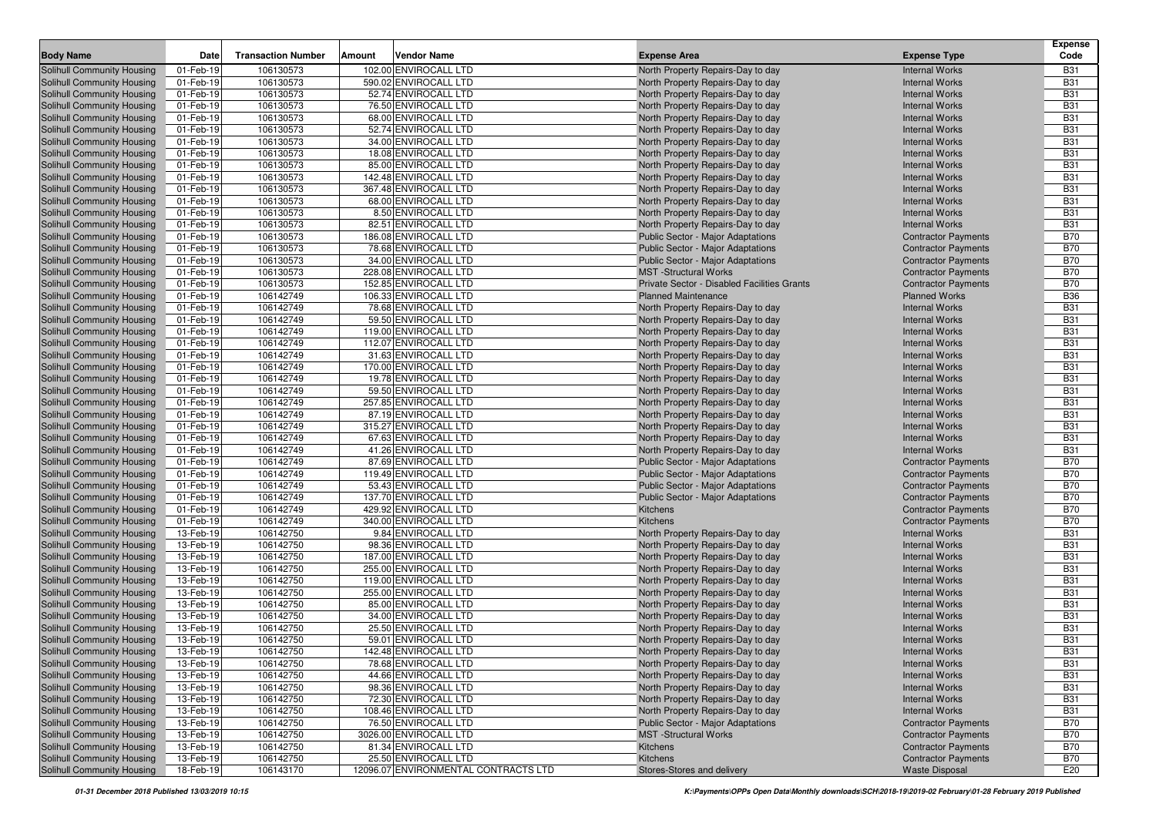| <b>Body Name</b>                  | Date      | <b>Transaction Number</b> | Amount | Vendor Name                          | <b>Expense Area</b>                         | <b>Expense Type</b>        | <b>Expense</b><br>Code |
|-----------------------------------|-----------|---------------------------|--------|--------------------------------------|---------------------------------------------|----------------------------|------------------------|
| Solihull Community Housing        | 01-Feb-19 | 106130573                 |        | 102.00 ENVIROCALL LTD                | North Property Repairs-Day to day           | <b>Internal Works</b>      | <b>B31</b>             |
| <b>Solihull Community Housing</b> | 01-Feb-19 | 106130573                 |        | 590.02 ENVIROCALL LTD                | North Property Repairs-Day to day           | <b>Internal Works</b>      | <b>B31</b>             |
| <b>Solihull Community Housing</b> | 01-Feb-19 | 106130573                 |        | 52.74 ENVIROCALL LTD                 | North Property Repairs-Day to day           | <b>Internal Works</b>      | <b>B31</b>             |
| Solihull Community Housing        | 01-Feb-19 | 106130573                 |        | 76.50 ENVIROCALL LTD                 | North Property Repairs-Day to day           | <b>Internal Works</b>      | <b>B31</b>             |
| Solihull Community Housing        | 01-Feb-19 | 106130573                 |        | 68.00 ENVIROCALL LTD                 | North Property Repairs-Day to day           | <b>Internal Works</b>      | <b>B31</b>             |
| Solihull Community Housing        | 01-Feb-19 | 106130573                 |        | 52.74 ENVIROCALL LTD                 | North Property Repairs-Day to day           | <b>Internal Works</b>      | <b>B31</b>             |
| <b>Solihull Community Housing</b> | 01-Feb-19 | 106130573                 |        | 34.00 ENVIROCALL LTD                 | North Property Repairs-Day to day           | <b>Internal Works</b>      | <b>B31</b>             |
| Solihull Community Housing        | 01-Feb-19 | 106130573                 |        | 18.08 ENVIROCALL LTD                 | North Property Repairs-Day to day           | <b>Internal Works</b>      | <b>B31</b>             |
| <b>Solihull Community Housing</b> | 01-Feb-19 | 106130573                 |        | 85.00 ENVIROCALL LTD                 | North Property Repairs-Day to day           | <b>Internal Works</b>      | <b>B31</b>             |
| <b>Solihull Community Housing</b> | 01-Feb-19 | 106130573                 |        | 142.48 ENVIROCALL LTD                | North Property Repairs-Day to day           | <b>Internal Works</b>      | <b>B31</b>             |
| <b>Solihull Community Housing</b> | 01-Feb-19 | 106130573                 |        | 367.48 ENVIROCALL LTD                | North Property Repairs-Day to day           | <b>Internal Works</b>      | <b>B31</b>             |
| <b>Solihull Community Housing</b> | 01-Feb-19 | 106130573                 |        | 68.00 ENVIROCALL LTD                 | North Property Repairs-Day to day           | <b>Internal Works</b>      | <b>B31</b>             |
| Solihull Community Housing        | 01-Feb-19 | 106130573                 |        | 8.50 ENVIROCALL LTD                  | North Property Repairs-Day to day           | <b>Internal Works</b>      | <b>B31</b>             |
| Solihull Community Housing        | 01-Feb-19 | 106130573                 |        | 82.51 ENVIROCALL LTD                 | North Property Repairs-Day to day           | <b>Internal Works</b>      | <b>B31</b>             |
| Solihull Community Housing        | 01-Feb-19 | 106130573                 |        | 186.08 ENVIROCALL LTD                | <b>Public Sector - Major Adaptations</b>    | <b>Contractor Payments</b> | <b>B70</b>             |
| <b>Solihull Community Housing</b> | 01-Feb-19 | 106130573                 |        | 78.68 ENVIROCALL LTD                 | <b>Public Sector - Major Adaptations</b>    | <b>Contractor Payments</b> | <b>B70</b>             |
| <b>Solihull Community Housing</b> | 01-Feb-19 | 106130573                 |        | 34.00 ENVIROCALL LTD                 | Public Sector - Major Adaptations           | <b>Contractor Payments</b> | <b>B70</b>             |
| <b>Solihull Community Housing</b> | 01-Feb-19 | 106130573                 |        | 228.08 ENVIROCALL LTD                | <b>MST</b> -Structural Works                | <b>Contractor Payments</b> | <b>B70</b>             |
| <b>Solihull Community Housing</b> | 01-Feb-19 | 106130573                 |        | 152.85 ENVIROCALL LTD                | Private Sector - Disabled Facilities Grants | <b>Contractor Payments</b> | <b>B70</b>             |
| <b>Solihull Community Housing</b> | 01-Feb-19 | 106142749                 |        | 106.33 ENVIROCALL LTD                | <b>Planned Maintenance</b>                  | <b>Planned Works</b>       | <b>B36</b>             |
| <b>Solihull Community Housing</b> | 01-Feb-19 | 106142749                 |        | 78.68 ENVIROCALL LTD                 | North Property Repairs-Day to day           | <b>Internal Works</b>      | <b>B31</b>             |
| Solihull Community Housing        | 01-Feb-19 | 106142749                 |        | 59.50 ENVIROCALL LTD                 | North Property Repairs-Day to day           | <b>Internal Works</b>      | <b>B31</b>             |
| <b>Solihull Community Housing</b> | 01-Feb-19 | 106142749                 |        | 119.00 ENVIROCALL LTD                | North Property Repairs-Day to day           | <b>Internal Works</b>      | <b>B31</b>             |
| <b>Solihull Community Housing</b> | 01-Feb-19 | 106142749                 |        | 112.07 ENVIROCALL LTD                | North Property Repairs-Day to day           | <b>Internal Works</b>      | <b>B31</b>             |
| <b>Solihull Community Housing</b> | 01-Feb-19 | 106142749                 |        | 31.63 ENVIROCALL LTD                 | North Property Repairs-Day to day           | <b>Internal Works</b>      | <b>B31</b>             |
| Solihull Community Housing        | 01-Feb-19 | 106142749                 |        | 170.00 ENVIROCALL LTD                | North Property Repairs-Day to day           | <b>Internal Works</b>      | <b>B31</b>             |
| Solihull Community Housing        | 01-Feb-19 | 106142749                 |        | 19.78 ENVIROCALL LTD                 | North Property Repairs-Day to day           | <b>Internal Works</b>      | <b>B31</b>             |
| Solihull Community Housing        | 01-Feb-19 | 106142749                 |        | 59.50 ENVIROCALL LTD                 | North Property Repairs-Day to day           | <b>Internal Works</b>      | <b>B31</b>             |
| Solihull Community Housing        | 01-Feb-19 | 106142749                 |        | 257.85 ENVIROCALL LTD                | North Property Repairs-Day to day           | <b>Internal Works</b>      | <b>B31</b>             |
| Solihull Community Housing        | 01-Feb-19 | 106142749                 |        | 87.19 ENVIROCALL LTD                 | North Property Repairs-Day to day           | <b>Internal Works</b>      | <b>B31</b>             |
| Solihull Community Housing        | 01-Feb-19 | 106142749                 |        | 315.27 ENVIROCALL LTD                | North Property Repairs-Day to day           | <b>Internal Works</b>      | <b>B31</b>             |
| Solihull Community Housing        | 01-Feb-19 | 106142749                 |        | 67.63 ENVIROCALL LTD                 | North Property Repairs-Day to day           | <b>Internal Works</b>      | <b>B31</b>             |
| Solihull Community Housing        | 01-Feb-19 | 106142749                 |        | 41.26 ENVIROCALL LTD                 | North Property Repairs-Day to day           | <b>Internal Works</b>      | <b>B31</b>             |
| Solihull Community Housing        | 01-Feb-19 | 106142749                 |        | 87.69 ENVIROCALL LTD                 | <b>Public Sector - Major Adaptations</b>    | <b>Contractor Payments</b> | <b>B70</b>             |
| Solihull Community Housing        | 01-Feb-19 | 106142749                 |        | 119.49 ENVIROCALL LTD                | Public Sector - Major Adaptations           | <b>Contractor Payments</b> | <b>B70</b>             |
| Solihull Community Housing        | 01-Feb-19 | 106142749                 |        | 53.43 ENVIROCALL LTD                 | <b>Public Sector - Major Adaptations</b>    | <b>Contractor Payments</b> | <b>B70</b>             |
| Solihull Community Housing        | 01-Feb-19 | 106142749                 |        | 137.70 ENVIROCALL LTD                | Public Sector - Major Adaptations           | <b>Contractor Payments</b> | <b>B70</b>             |
| Solihull Community Housing        | 01-Feb-19 | 106142749                 |        | 429.92 ENVIROCALL LTD                | Kitchens                                    | <b>Contractor Payments</b> | <b>B70</b>             |
| Solihull Community Housing        | 01-Feb-19 | 106142749                 |        | 340.00 ENVIROCALL LTD                | Kitchens                                    | <b>Contractor Payments</b> | <b>B70</b>             |
| Solihull Community Housing        | 13-Feb-19 | 106142750                 |        | 9.84 ENVIROCALL LTD                  | North Property Repairs-Day to day           | <b>Internal Works</b>      | <b>B31</b>             |
| Solihull Community Housing        | 13-Feb-19 | 106142750                 |        | 98.36 ENVIROCALL LTD                 | North Property Repairs-Day to day           | <b>Internal Works</b>      | <b>B31</b>             |
| Solihull Community Housing        | 13-Feb-19 | 106142750                 |        | 187.00 ENVIROCALL LTD                | North Property Repairs-Day to day           | <b>Internal Works</b>      | <b>B31</b>             |
| Solihull Community Housing        | 13-Feb-19 | 106142750                 |        | 255.00 ENVIROCALL LTD                | North Property Repairs-Day to day           | <b>Internal Works</b>      | <b>B31</b>             |
| Solihull Community Housing        | 13-Feb-19 | 106142750                 |        | 119.00 ENVIROCALL LTD                | North Property Repairs-Day to day           | <b>Internal Works</b>      | <b>B31</b>             |
| Solihull Community Housing        | 13-Feb-19 | 106142750                 |        | 255.00 ENVIROCALL LTD                | North Property Repairs-Day to day           | <b>Internal Works</b>      | <b>B31</b>             |
| Solihull Community Housing        | 13-Feb-19 | 106142750                 |        | 85.00 ENVIROCALL LTD                 | North Property Repairs-Day to day           | <b>Internal Works</b>      | <b>B31</b>             |
| Solihull Community Housing        | 13-Feb-19 | 106142750                 |        | 34.00 ENVIROCALL LTD                 | North Property Repairs-Day to day           | <b>Internal Works</b>      | <b>B31</b>             |
| Solihull Community Housing        | 13-Feb-19 | 106142750                 |        | 25.50 ENVIROCALL LTD                 | North Property Repairs-Day to day           | <b>Internal Works</b>      | <b>B31</b>             |
| Solihull Community Housing        | 13-Feb-19 | 106142750                 |        | 59.01 ENVIROCALL LTD                 | North Property Repairs-Day to day           | <b>Internal Works</b>      | <b>B31</b>             |
| Solihull Community Housing        | 13-Feb-19 | 106142750                 |        | 142.48 ENVIROCALL LTD                | North Property Repairs-Day to day           | <b>Internal Works</b>      | <b>B31</b>             |
| Solihull Community Housing        | 13-Feb-19 | 106142750                 |        | 78.68 ENVIROCALL LTD                 | North Property Repairs-Day to day           | <b>Internal Works</b>      | <b>B31</b>             |
| Solihull Community Housing        | 13-Feb-19 | 106142750                 |        | 44.66 ENVIROCALL LTD                 | North Property Repairs-Day to day           | <b>Internal Works</b>      | <b>B31</b>             |
| Solihull Community Housing        | 13-Feb-19 | 106142750                 |        | 98.36 ENVIROCALL LTD                 | North Property Repairs-Day to day           | <b>Internal Works</b>      | <b>B31</b>             |
| <b>Solihull Community Housing</b> | 13-Feb-19 | 106142750                 |        | 72.30 ENVIROCALL LTD                 | North Property Repairs-Day to day           | <b>Internal Works</b>      | <b>B31</b>             |
| <b>Solihull Community Housing</b> | 13-Feb-19 | 106142750                 |        | 108.46 ENVIROCALL LTD                | North Property Repairs-Day to day           | <b>Internal Works</b>      | <b>B31</b>             |
| Solihull Community Housing        | 13-Feb-19 | 106142750                 |        | 76.50 ENVIROCALL LTD                 | Public Sector - Major Adaptations           | <b>Contractor Payments</b> | <b>B70</b>             |
| <b>Solihull Community Housing</b> | 13-Feb-19 | 106142750                 |        | 3026.00 ENVIROCALL LTD               | <b>MST</b> -Structural Works                | <b>Contractor Payments</b> | <b>B70</b>             |
| <b>Solihull Community Housing</b> | 13-Feb-19 | 106142750                 |        | 81.34 ENVIROCALL LTD                 | Kitchens                                    | <b>Contractor Payments</b> | <b>B70</b>             |
| Solihull Community Housing        | 13-Feb-19 | 106142750                 |        | 25.50 ENVIROCALL LTD                 | Kitchens                                    | <b>Contractor Payments</b> | <b>B70</b>             |
| <b>Solihull Community Housing</b> | 18-Feb-19 | 106143170                 |        | 12096.07 ENVIRONMENTAL CONTRACTS LTD | Stores-Stores and delivery                  | <b>Waste Disposal</b>      | E20                    |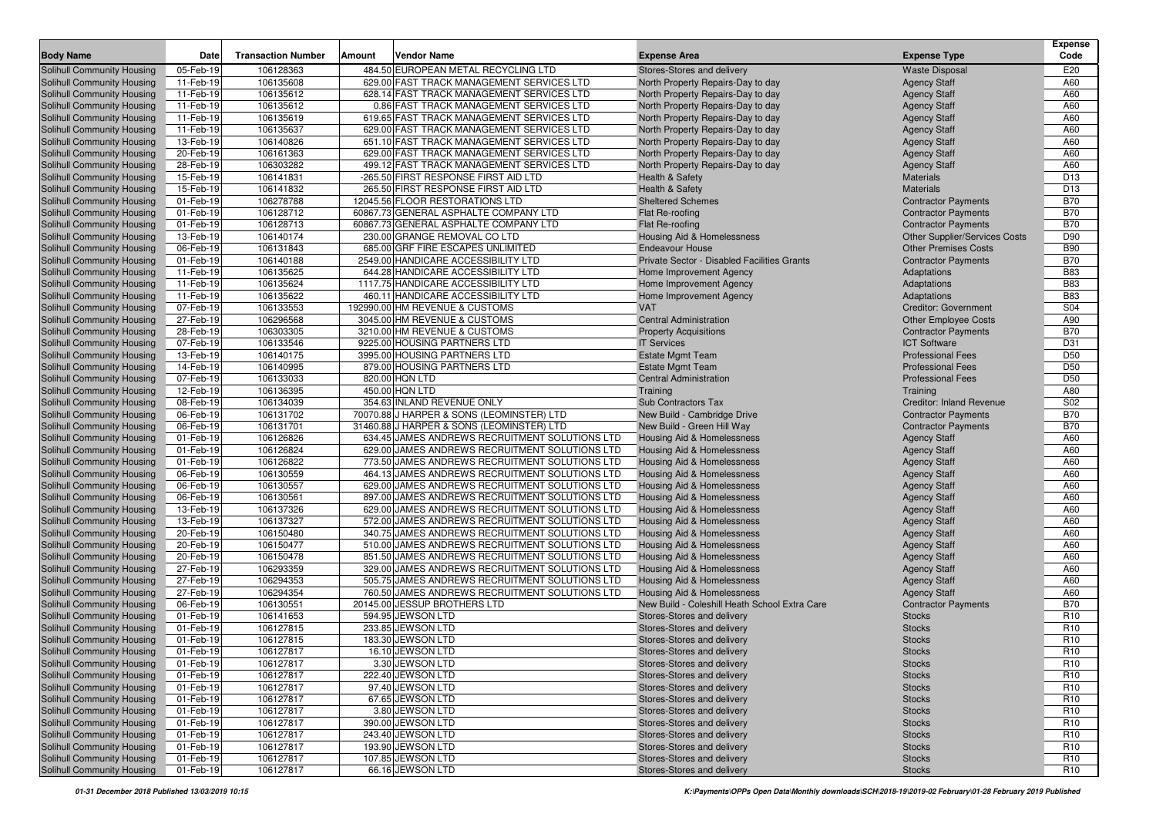| 106128363<br>484.50 EUROPEAN METAL RECYCLING LTD<br>E20<br>Solihull Community Housing<br>05-Feb-19<br>Stores-Stores and delivery<br><b>Waste Disposal</b><br>Solihull Community Housing<br>11-Feb-19<br>106135608<br>629.00 FAST TRACK MANAGEMENT SERVICES LTD<br>North Property Repairs-Day to day<br><b>Agency Staff</b><br>A60<br>11-Feb-19<br>106135612<br>628.14 FAST TRACK MANAGEMENT SERVICES LTD<br>North Property Repairs-Day to day<br>A60<br>Solihull Community Housing<br><b>Agency Staff</b><br>Solihull Community Housing<br>11-Feb-19<br>106135612<br>0.86 FAST TRACK MANAGEMENT SERVICES LTD<br>North Property Repairs-Day to day<br><b>Agency Staff</b><br>A60<br>11-Feb-19<br>106135619<br>619.65 FAST TRACK MANAGEMENT SERVICES LTD<br>North Property Repairs-Day to day<br>A60<br><b>Agency Staff</b><br>11-Feb-19<br>106135637<br>629.00 FAST TRACK MANAGEMENT SERVICES LTD<br>A60<br>Solihull Community Housing<br>North Property Repairs-Day to day<br><b>Agency Staff</b><br>13-Feb-19<br>Solihull Community Housing<br>106140826<br>651.10 FAST TRACK MANAGEMENT SERVICES LTD<br>North Property Repairs-Day to day<br>A60<br><b>Agency Staff</b><br>Solihull Community Housing<br>20-Feb-19<br>106161363<br>629.00 FAST TRACK MANAGEMENT SERVICES LTD<br>North Property Repairs-Day to day<br>A60<br><b>Agency Staff</b><br>28-Feb-19<br>106303282<br>499.12 FAST TRACK MANAGEMENT SERVICES LTD<br>North Property Repairs-Day to day<br>A60<br><b>Agency Staff</b><br>15-Feb-19<br>106141831<br>-265.50 FIRST RESPONSE FIRST AID LTD<br><b>Materials</b><br>D <sub>13</sub><br>Health & Safety<br>15-Feb-19<br>106141832<br>265.50 FIRST RESPONSE FIRST AID LTD<br><b>Health &amp; Safety</b><br><b>Materials</b><br>D <sub>13</sub><br>106278788<br><b>B70</b><br>01-Feb-19<br>12045.56 FLOOR RESTORATIONS LTD<br><b>Sheltered Schemes</b><br><b>Contractor Payments</b><br><b>B70</b><br>Solihull Community Housing<br>01-Feb-19<br>106128712<br>60867.73 GENERAL ASPHALTE COMPANY LTD<br>Flat Re-roofing<br><b>Contractor Payments</b><br>106128713<br><b>B70</b><br>01-Feb-19<br>60867.73 GENERAL ASPHALTE COMPANY LTD<br><b>Contractor Payments</b><br>Solihull Community Housing<br>Flat Re-roofing<br>D90<br>Solihull Community Housing<br>13-Feb-19<br>106140174<br>230.00 GRANGE REMOVAL CO LTD<br>Housing Aid & Homelessness<br><b>Other Supplier/Services Costs</b><br><b>B90</b><br>06-Feb-19<br>106131843<br>685.00 GRF FIRE ESCAPES UNLIMITED<br><b>Endeavour House</b><br><b>Other Premises Costs</b><br><b>B70</b><br>01-Feb-19<br>106140188<br>2549.00 HANDICARE ACCESSIBILITY LTD<br>Private Sector - Disabled Facilities Grants<br><b>Contractor Payments</b><br>106135625<br><b>B83</b><br>11-Feb-19<br>644.28 HANDICARE ACCESSIBILITY LTD<br>Home Improvement Agency<br>Adaptations<br>106135624<br><b>B83</b><br>11-Feb-19<br>1117.75 HANDICARE ACCESSIBILITY LTD<br>Home Improvement Agency<br>Adaptations<br><b>B83</b><br>11-Feb-19<br>106135622<br>460.11 HANDICARE ACCESSIBILITY LTD<br>Home Improvement Agency<br>Adaptations<br>106133553<br>S04<br>07-Feb-19<br>192990.00 HM REVENUE & CUSTOMS<br><b>VAT</b><br><b>Creditor: Government</b><br>106296568<br>3045.00 HM REVENUE & CUSTOMS<br>A90<br>Solihull Community Housing<br>27-Feb-19<br><b>Central Administration</b><br><b>Other Employee Costs</b><br>106303305<br><b>B70</b><br>28-Feb-19<br>3210.00 HM REVENUE & CUSTOMS<br><b>Property Acquisitions</b><br><b>Contractor Payments</b><br>D31<br>07-Feb-19<br>106133546<br>9225.00 HOUSING PARTNERS LTD<br><b>ICT Software</b><br><b>IT Services</b><br>D <sub>50</sub><br>13-Feb-19<br>106140175<br>3995.00 HOUSING PARTNERS LTD<br><b>Estate Mgmt Team</b><br><b>Professional Fees</b><br>D <sub>50</sub><br>14-Feb-19<br>106140995<br>879.00 HOUSING PARTNERS LTD<br><b>Estate Mgmt Team</b><br><b>Professional Fees</b><br>D <sub>50</sub><br>07-Feb-19<br>106133033<br>820.00 HQN LTD<br><b>Central Administration</b><br><b>Professional Fees</b><br>106136395<br>12-Feb-19<br>450.00 HQN LTD<br>A80<br>Training<br>Training<br>354.63 INLAND REVENUE ONLY<br>S02<br>Solihull Community Housing<br>08-Feb-19<br>106134039<br>Creditor: Inland Revenue<br>Sub Contractors Tax<br><b>B70</b><br>Solihull Community Housing<br>06-Feb-19<br>106131702<br>70070.88 J HARPER & SONS (LEOMINSTER) LTD<br>New Build - Cambridge Drive<br><b>Contractor Payments</b><br>06-Feb-19<br>31460.88 J HARPER & SONS (LEOMINSTER) LTD<br><b>B70</b><br>Solihull Community Housing<br>106131701<br><b>Contractor Payments</b><br>New Build - Green Hill Way<br>106126826<br><b>Solihull Community Housing</b><br>01-Feb-19<br>634.45 JAMES ANDREWS RECRUITMENT SOLUTIONS LTD<br>Housing Aid & Homelessness<br><b>Agency Staff</b><br>A60<br><b>Solihull Community Housing</b><br>01-Feb-19<br>106126824<br>629.00 JAMES ANDREWS RECRUITMENT SOLUTIONS LTD<br>Housing Aid & Homelessness<br>A60<br><b>Agency Staff</b><br><b>Solihull Community Housing</b><br>01-Feb-19<br>106126822<br>773.50 JAMES ANDREWS RECRUITMENT SOLUTIONS LTD<br>A60<br>Housing Aid & Homelessness<br><b>Agency Staff</b><br><b>Solihull Community Housing</b><br>06-Feb-19<br>106130559<br>464.13 JAMES ANDREWS RECRUITMENT SOLUTIONS LTD<br>Housing Aid & Homelessness<br>A60<br><b>Agency Staff</b><br>106130557<br>A60<br><b>Solihull Community Housing</b><br>06-Feb-19<br>629.00 JAMES ANDREWS RECRUITMENT SOLUTIONS LTD<br>Housing Aid & Homelessness<br><b>Agency Staff</b><br><b>Solihull Community Housing</b><br>06-Feb-19<br>106130561<br>897.00 JAMES ANDREWS RECRUITMENT SOLUTIONS LTD<br>Housing Aid & Homelessness<br>A60<br><b>Agency Staff</b><br>Solihull Community Housing<br>13-Feb-19<br>106137326<br>629.00 JAMES ANDREWS RECRUITMENT SOLUTIONS LTD<br><b>Housing Aid &amp; Homelessness</b><br>A60<br><b>Agency Staff</b><br>106137327<br>13-Feb-19<br>572.00 JAMES ANDREWS RECRUITMENT SOLUTIONS LTD<br>Housing Aid & Homelessness<br>A60<br>Solihull Community Housing<br><b>Agency Staff</b><br><b>Solihull Community Housing</b><br>20-Feb-19<br>106150480<br>340.75 JAMES ANDREWS RECRUITMENT SOLUTIONS LTD<br>A60<br>Housing Aid & Homelessness<br><b>Agency Staff</b><br><b>Solihull Community Housing</b><br>20-Feb-19<br>106150477<br>510.00 JAMES ANDREWS RECRUITMENT SOLUTIONS LTD<br>A60<br>Housing Aid & Homelessness<br><b>Agency Staff</b><br><b>Solihull Community Housing</b><br>20-Feb-19<br>106150478<br>851.50 JAMES ANDREWS RECRUITMENT SOLUTIONS LTD<br>A60<br>Housing Aid & Homelessness<br><b>Agency Staff</b><br>106293359<br><b>Solihull Community Housing</b><br>27-Feb-19<br>329.00 JAMES ANDREWS RECRUITMENT SOLUTIONS LTD<br>A60<br>Housing Aid & Homelessness<br><b>Agency Staff</b><br>106294353<br>505.75 JAMES ANDREWS RECRUITMENT SOLUTIONS LTD<br><b>Solihull Community Housing</b><br>27-Feb-19<br><b>Housing Aid &amp; Homelessness</b><br>A60<br><b>Agency Staff</b><br><b>Solihull Community Housing</b><br>27-Feb-19<br>106294354<br>760.50 JAMES ANDREWS RECRUITMENT SOLUTIONS LTD<br><b>Agency Staff</b><br>A60<br>Housing Aid & Homelessness<br>106130551<br>20145.00 JESSUP BROTHERS LTD<br><b>B70</b><br>06-Feb-19<br>New Build - Coleshill Heath School Extra Care<br><b>Solihull Community Housing</b><br><b>Contractor Payments</b><br>594.95 JEWSON LTD<br>R <sub>10</sub><br>Solihull Community Housing<br>01-Feb-19<br>106141653<br>Stores-Stores and delivery<br><b>Stocks</b><br>233.85 JEWSON LTD<br>Solihull Community Housing<br>01-Feb-19<br>106127815<br>Stores-Stores and delivery<br><b>Stocks</b><br>R <sub>10</sub><br>Solihull Community Housing<br>183.30 JEWSON LTD<br>R <sub>10</sub><br>01-Feb-19<br>106127815<br>Stores-Stores and delivery<br><b>Stocks</b><br>R <sub>10</sub><br>Solihull Community Housing<br>01-Feb-19<br>106127817<br>16.10 JEWSON LTD<br>Stores-Stores and delivery<br><b>Stocks</b><br>3.30 JEWSON LTD<br><b>Solihull Community Housing</b><br>106127817<br>R <sub>10</sub><br>01-Feb-19<br><b>Stores-Stores and delivery</b><br><b>Stocks</b><br>Solihull Community Housing<br>222.40 JEWSON LTD<br>01-Feb-19<br>106127817<br>Stores-Stores and delivery<br>R <sub>10</sub><br><b>Stocks</b><br>Solihull Community Housing<br>97.40 JEWSON LTD<br>01-Feb-19<br>106127817<br>Stores-Stores and delivery<br>R <sub>10</sub><br><b>Stocks</b><br>Solihull Community Housing<br>67.65 JEWSON LTD<br>01-Feb-19<br>106127817<br>Stores-Stores and delivery<br>R <sub>10</sub><br><b>Stocks</b><br>106127817<br><b>Solihull Community Housing</b><br>01-Feb-19<br>3.80 JEWSON LTD<br>Stores-Stores and delivery<br>R <sub>10</sub><br><b>Stocks</b><br>106127817<br>390.00 JEWSON LTD<br>Solihull Community Housing<br>01-Feb-19<br>Stores-Stores and delivery<br>R <sub>10</sub><br><b>Stocks</b><br>106127817<br>243.40 JEWSON LTD<br><b>Solihull Community Housing</b><br>01-Feb-19<br>Stores-Stores and delivery<br><b>Stocks</b><br>R <sub>10</sub><br><b>Solihull Community Housing</b><br>01-Feb-19<br>106127817<br>193.90 JEWSON LTD<br>Stores-Stores and delivery<br>R <sub>10</sub><br><b>Stocks</b><br>Solihull Community Housing<br>01-Feb-19<br>106127817<br>107.85 JEWSON LTD<br>Stores-Stores and delivery<br>R <sub>10</sub><br><b>Stocks</b><br><b>Solihull Community Housing</b><br>106127817<br>66.16 JEWSON LTD<br>Stores-Stores and delivery<br>R <sub>10</sub><br>01-Feb-19<br><b>Stocks</b> | <b>Body Name</b>           | Date | <b>Transaction Number</b> | Amount | <b>Vendor Name</b> | <b>Expense Area</b> | <b>Expense Type</b> | <b>Expense</b><br>Code |
|------------------------------------------------------------------------------------------------------------------------------------------------------------------------------------------------------------------------------------------------------------------------------------------------------------------------------------------------------------------------------------------------------------------------------------------------------------------------------------------------------------------------------------------------------------------------------------------------------------------------------------------------------------------------------------------------------------------------------------------------------------------------------------------------------------------------------------------------------------------------------------------------------------------------------------------------------------------------------------------------------------------------------------------------------------------------------------------------------------------------------------------------------------------------------------------------------------------------------------------------------------------------------------------------------------------------------------------------------------------------------------------------------------------------------------------------------------------------------------------------------------------------------------------------------------------------------------------------------------------------------------------------------------------------------------------------------------------------------------------------------------------------------------------------------------------------------------------------------------------------------------------------------------------------------------------------------------------------------------------------------------------------------------------------------------------------------------------------------------------------------------------------------------------------------------------------------------------------------------------------------------------------------------------------------------------------------------------------------------------------------------------------------------------------------------------------------------------------------------------------------------------------------------------------------------------------------------------------------------------------------------------------------------------------------------------------------------------------------------------------------------------------------------------------------------------------------------------------------------------------------------------------------------------------------------------------------------------------------------------------------------------------------------------------------------------------------------------------------------------------------------------------------------------------------------------------------------------------------------------------------------------------------------------------------------------------------------------------------------------------------------------------------------------------------------------------------------------------------------------------------------------------------------------------------------------------------------------------------------------------------------------------------------------------------------------------------------------------------------------------------------------------------------------------------------------------------------------------------------------------------------------------------------------------------------------------------------------------------------------------------------------------------------------------------------------------------------------------------------------------------------------------------------------------------------------------------------------------------------------------------------------------------------------------------------------------------------------------------------------------------------------------------------------------------------------------------------------------------------------------------------------------------------------------------------------------------------------------------------------------------------------------------------------------------------------------------------------------------------------------------------------------------------------------------------------------------------------------------------------------------------------------------------------------------------------------------------------------------------------------------------------------------------------------------------------------------------------------------------------------------------------------------------------------------------------------------------------------------------------------------------------------------------------------------------------------------------------------------------------------------------------------------------------------------------------------------------------------------------------------------------------------------------------------------------------------------------------------------------------------------------------------------------------------------------------------------------------------------------------------------------------------------------------------------------------------------------------------------------------------------------------------------------------------------------------------------------------------------------------------------------------------------------------------------------------------------------------------------------------------------------------------------------------------------------------------------------------------------------------------------------------------------------------------------------------------------------------------------------------------------------------------------------------------------------------------------------------------------------------------------------------------------------------------------------------------------------------------------------------------------------------------------------------------------------------------------------------------------------------------------------------------------------------------------------------------------------------------------------------------------------------------------------------------------------------------------------------------------------------------------------------------------------------------------------------------------------------------------------------------------------------------------------------------------------------------------------------------------------------------------------------------------------------------------------------------------------------------------------------------------------------------------------------------------------------------------------------------------------------------------------------------------------------------------------------------------------------------------------------------------------------------------------------------------------------------------------------------------------------------------------------------------------------------------------------------------------------------------------------------------------------------------------------------------------------------------------------------------------------------------------------------------------------------------------------------------------------------------------------------------------------------------------------------------------------------------------------------------------------------------------------------------------------------------------------------------------------------------------------------------------------------------------------------------------------------------------------------------------------------------------------------------------------------------------------------------------------------------------------------------------------------------------------------------------------------------------------------------------------------------------------------------------------------------------------------------------------------------------------------------------------------------------------------------------------------------------------------------------------------------------------------------------------------------------------------------------------------------------------------------------------------------------------------------------------------------------------------------------------------------------------------------------------------------------------------------------------------------------------------------------------------------------------------------------------------------------------|----------------------------|------|---------------------------|--------|--------------------|---------------------|---------------------|------------------------|
|                                                                                                                                                                                                                                                                                                                                                                                                                                                                                                                                                                                                                                                                                                                                                                                                                                                                                                                                                                                                                                                                                                                                                                                                                                                                                                                                                                                                                                                                                                                                                                                                                                                                                                                                                                                                                                                                                                                                                                                                                                                                                                                                                                                                                                                                                                                                                                                                                                                                                                                                                                                                                                                                                                                                                                                                                                                                                                                                                                                                                                                                                                                                                                                                                                                                                                                                                                                                                                                                                                                                                                                                                                                                                                                                                                                                                                                                                                                                                                                                                                                                                                                                                                                                                                                                                                                                                                                                                                                                                                                                                                                                                                                                                                                                                                                                                                                                                                                                                                                                                                                                                                                                                                                                                                                                                                                                                                                                                                                                                                                                                                                                                                                                                                                                                                                                                                                                                                                                                                                                                                                                                                                                                                                                                                                                                                                                                                                                                                                                                                                                                                                                                                                                                                                                                                                                                                                                                                                                                                                                                                                                                                                                                                                                                                                                                                                                                                                                                                                                                                                                                                                                                                                                                                                                                                                                                                                                                                                                                                                                                                                                                                                                                                                                                                                                                                                                                                                                                                                                                                                                                                                                                                                                                                                                                                                                                                                                                                                                                                                                                                                                                                                                                                                                                                                                                                                                                                                                                                                                  |                            |      |                           |        |                    |                     |                     |                        |
|                                                                                                                                                                                                                                                                                                                                                                                                                                                                                                                                                                                                                                                                                                                                                                                                                                                                                                                                                                                                                                                                                                                                                                                                                                                                                                                                                                                                                                                                                                                                                                                                                                                                                                                                                                                                                                                                                                                                                                                                                                                                                                                                                                                                                                                                                                                                                                                                                                                                                                                                                                                                                                                                                                                                                                                                                                                                                                                                                                                                                                                                                                                                                                                                                                                                                                                                                                                                                                                                                                                                                                                                                                                                                                                                                                                                                                                                                                                                                                                                                                                                                                                                                                                                                                                                                                                                                                                                                                                                                                                                                                                                                                                                                                                                                                                                                                                                                                                                                                                                                                                                                                                                                                                                                                                                                                                                                                                                                                                                                                                                                                                                                                                                                                                                                                                                                                                                                                                                                                                                                                                                                                                                                                                                                                                                                                                                                                                                                                                                                                                                                                                                                                                                                                                                                                                                                                                                                                                                                                                                                                                                                                                                                                                                                                                                                                                                                                                                                                                                                                                                                                                                                                                                                                                                                                                                                                                                                                                                                                                                                                                                                                                                                                                                                                                                                                                                                                                                                                                                                                                                                                                                                                                                                                                                                                                                                                                                                                                                                                                                                                                                                                                                                                                                                                                                                                                                                                                                                                                                  |                            |      |                           |        |                    |                     |                     |                        |
|                                                                                                                                                                                                                                                                                                                                                                                                                                                                                                                                                                                                                                                                                                                                                                                                                                                                                                                                                                                                                                                                                                                                                                                                                                                                                                                                                                                                                                                                                                                                                                                                                                                                                                                                                                                                                                                                                                                                                                                                                                                                                                                                                                                                                                                                                                                                                                                                                                                                                                                                                                                                                                                                                                                                                                                                                                                                                                                                                                                                                                                                                                                                                                                                                                                                                                                                                                                                                                                                                                                                                                                                                                                                                                                                                                                                                                                                                                                                                                                                                                                                                                                                                                                                                                                                                                                                                                                                                                                                                                                                                                                                                                                                                                                                                                                                                                                                                                                                                                                                                                                                                                                                                                                                                                                                                                                                                                                                                                                                                                                                                                                                                                                                                                                                                                                                                                                                                                                                                                                                                                                                                                                                                                                                                                                                                                                                                                                                                                                                                                                                                                                                                                                                                                                                                                                                                                                                                                                                                                                                                                                                                                                                                                                                                                                                                                                                                                                                                                                                                                                                                                                                                                                                                                                                                                                                                                                                                                                                                                                                                                                                                                                                                                                                                                                                                                                                                                                                                                                                                                                                                                                                                                                                                                                                                                                                                                                                                                                                                                                                                                                                                                                                                                                                                                                                                                                                                                                                                                                                  |                            |      |                           |        |                    |                     |                     |                        |
|                                                                                                                                                                                                                                                                                                                                                                                                                                                                                                                                                                                                                                                                                                                                                                                                                                                                                                                                                                                                                                                                                                                                                                                                                                                                                                                                                                                                                                                                                                                                                                                                                                                                                                                                                                                                                                                                                                                                                                                                                                                                                                                                                                                                                                                                                                                                                                                                                                                                                                                                                                                                                                                                                                                                                                                                                                                                                                                                                                                                                                                                                                                                                                                                                                                                                                                                                                                                                                                                                                                                                                                                                                                                                                                                                                                                                                                                                                                                                                                                                                                                                                                                                                                                                                                                                                                                                                                                                                                                                                                                                                                                                                                                                                                                                                                                                                                                                                                                                                                                                                                                                                                                                                                                                                                                                                                                                                                                                                                                                                                                                                                                                                                                                                                                                                                                                                                                                                                                                                                                                                                                                                                                                                                                                                                                                                                                                                                                                                                                                                                                                                                                                                                                                                                                                                                                                                                                                                                                                                                                                                                                                                                                                                                                                                                                                                                                                                                                                                                                                                                                                                                                                                                                                                                                                                                                                                                                                                                                                                                                                                                                                                                                                                                                                                                                                                                                                                                                                                                                                                                                                                                                                                                                                                                                                                                                                                                                                                                                                                                                                                                                                                                                                                                                                                                                                                                                                                                                                                                                  |                            |      |                           |        |                    |                     |                     |                        |
|                                                                                                                                                                                                                                                                                                                                                                                                                                                                                                                                                                                                                                                                                                                                                                                                                                                                                                                                                                                                                                                                                                                                                                                                                                                                                                                                                                                                                                                                                                                                                                                                                                                                                                                                                                                                                                                                                                                                                                                                                                                                                                                                                                                                                                                                                                                                                                                                                                                                                                                                                                                                                                                                                                                                                                                                                                                                                                                                                                                                                                                                                                                                                                                                                                                                                                                                                                                                                                                                                                                                                                                                                                                                                                                                                                                                                                                                                                                                                                                                                                                                                                                                                                                                                                                                                                                                                                                                                                                                                                                                                                                                                                                                                                                                                                                                                                                                                                                                                                                                                                                                                                                                                                                                                                                                                                                                                                                                                                                                                                                                                                                                                                                                                                                                                                                                                                                                                                                                                                                                                                                                                                                                                                                                                                                                                                                                                                                                                                                                                                                                                                                                                                                                                                                                                                                                                                                                                                                                                                                                                                                                                                                                                                                                                                                                                                                                                                                                                                                                                                                                                                                                                                                                                                                                                                                                                                                                                                                                                                                                                                                                                                                                                                                                                                                                                                                                                                                                                                                                                                                                                                                                                                                                                                                                                                                                                                                                                                                                                                                                                                                                                                                                                                                                                                                                                                                                                                                                                                                                  | Solihull Community Housing |      |                           |        |                    |                     |                     |                        |
|                                                                                                                                                                                                                                                                                                                                                                                                                                                                                                                                                                                                                                                                                                                                                                                                                                                                                                                                                                                                                                                                                                                                                                                                                                                                                                                                                                                                                                                                                                                                                                                                                                                                                                                                                                                                                                                                                                                                                                                                                                                                                                                                                                                                                                                                                                                                                                                                                                                                                                                                                                                                                                                                                                                                                                                                                                                                                                                                                                                                                                                                                                                                                                                                                                                                                                                                                                                                                                                                                                                                                                                                                                                                                                                                                                                                                                                                                                                                                                                                                                                                                                                                                                                                                                                                                                                                                                                                                                                                                                                                                                                                                                                                                                                                                                                                                                                                                                                                                                                                                                                                                                                                                                                                                                                                                                                                                                                                                                                                                                                                                                                                                                                                                                                                                                                                                                                                                                                                                                                                                                                                                                                                                                                                                                                                                                                                                                                                                                                                                                                                                                                                                                                                                                                                                                                                                                                                                                                                                                                                                                                                                                                                                                                                                                                                                                                                                                                                                                                                                                                                                                                                                                                                                                                                                                                                                                                                                                                                                                                                                                                                                                                                                                                                                                                                                                                                                                                                                                                                                                                                                                                                                                                                                                                                                                                                                                                                                                                                                                                                                                                                                                                                                                                                                                                                                                                                                                                                                                                                  |                            |      |                           |        |                    |                     |                     |                        |
|                                                                                                                                                                                                                                                                                                                                                                                                                                                                                                                                                                                                                                                                                                                                                                                                                                                                                                                                                                                                                                                                                                                                                                                                                                                                                                                                                                                                                                                                                                                                                                                                                                                                                                                                                                                                                                                                                                                                                                                                                                                                                                                                                                                                                                                                                                                                                                                                                                                                                                                                                                                                                                                                                                                                                                                                                                                                                                                                                                                                                                                                                                                                                                                                                                                                                                                                                                                                                                                                                                                                                                                                                                                                                                                                                                                                                                                                                                                                                                                                                                                                                                                                                                                                                                                                                                                                                                                                                                                                                                                                                                                                                                                                                                                                                                                                                                                                                                                                                                                                                                                                                                                                                                                                                                                                                                                                                                                                                                                                                                                                                                                                                                                                                                                                                                                                                                                                                                                                                                                                                                                                                                                                                                                                                                                                                                                                                                                                                                                                                                                                                                                                                                                                                                                                                                                                                                                                                                                                                                                                                                                                                                                                                                                                                                                                                                                                                                                                                                                                                                                                                                                                                                                                                                                                                                                                                                                                                                                                                                                                                                                                                                                                                                                                                                                                                                                                                                                                                                                                                                                                                                                                                                                                                                                                                                                                                                                                                                                                                                                                                                                                                                                                                                                                                                                                                                                                                                                                                                                                  |                            |      |                           |        |                    |                     |                     |                        |
|                                                                                                                                                                                                                                                                                                                                                                                                                                                                                                                                                                                                                                                                                                                                                                                                                                                                                                                                                                                                                                                                                                                                                                                                                                                                                                                                                                                                                                                                                                                                                                                                                                                                                                                                                                                                                                                                                                                                                                                                                                                                                                                                                                                                                                                                                                                                                                                                                                                                                                                                                                                                                                                                                                                                                                                                                                                                                                                                                                                                                                                                                                                                                                                                                                                                                                                                                                                                                                                                                                                                                                                                                                                                                                                                                                                                                                                                                                                                                                                                                                                                                                                                                                                                                                                                                                                                                                                                                                                                                                                                                                                                                                                                                                                                                                                                                                                                                                                                                                                                                                                                                                                                                                                                                                                                                                                                                                                                                                                                                                                                                                                                                                                                                                                                                                                                                                                                                                                                                                                                                                                                                                                                                                                                                                                                                                                                                                                                                                                                                                                                                                                                                                                                                                                                                                                                                                                                                                                                                                                                                                                                                                                                                                                                                                                                                                                                                                                                                                                                                                                                                                                                                                                                                                                                                                                                                                                                                                                                                                                                                                                                                                                                                                                                                                                                                                                                                                                                                                                                                                                                                                                                                                                                                                                                                                                                                                                                                                                                                                                                                                                                                                                                                                                                                                                                                                                                                                                                                                                                  |                            |      |                           |        |                    |                     |                     |                        |
|                                                                                                                                                                                                                                                                                                                                                                                                                                                                                                                                                                                                                                                                                                                                                                                                                                                                                                                                                                                                                                                                                                                                                                                                                                                                                                                                                                                                                                                                                                                                                                                                                                                                                                                                                                                                                                                                                                                                                                                                                                                                                                                                                                                                                                                                                                                                                                                                                                                                                                                                                                                                                                                                                                                                                                                                                                                                                                                                                                                                                                                                                                                                                                                                                                                                                                                                                                                                                                                                                                                                                                                                                                                                                                                                                                                                                                                                                                                                                                                                                                                                                                                                                                                                                                                                                                                                                                                                                                                                                                                                                                                                                                                                                                                                                                                                                                                                                                                                                                                                                                                                                                                                                                                                                                                                                                                                                                                                                                                                                                                                                                                                                                                                                                                                                                                                                                                                                                                                                                                                                                                                                                                                                                                                                                                                                                                                                                                                                                                                                                                                                                                                                                                                                                                                                                                                                                                                                                                                                                                                                                                                                                                                                                                                                                                                                                                                                                                                                                                                                                                                                                                                                                                                                                                                                                                                                                                                                                                                                                                                                                                                                                                                                                                                                                                                                                                                                                                                                                                                                                                                                                                                                                                                                                                                                                                                                                                                                                                                                                                                                                                                                                                                                                                                                                                                                                                                                                                                                                                                  | Solihull Community Housing |      |                           |        |                    |                     |                     |                        |
|                                                                                                                                                                                                                                                                                                                                                                                                                                                                                                                                                                                                                                                                                                                                                                                                                                                                                                                                                                                                                                                                                                                                                                                                                                                                                                                                                                                                                                                                                                                                                                                                                                                                                                                                                                                                                                                                                                                                                                                                                                                                                                                                                                                                                                                                                                                                                                                                                                                                                                                                                                                                                                                                                                                                                                                                                                                                                                                                                                                                                                                                                                                                                                                                                                                                                                                                                                                                                                                                                                                                                                                                                                                                                                                                                                                                                                                                                                                                                                                                                                                                                                                                                                                                                                                                                                                                                                                                                                                                                                                                                                                                                                                                                                                                                                                                                                                                                                                                                                                                                                                                                                                                                                                                                                                                                                                                                                                                                                                                                                                                                                                                                                                                                                                                                                                                                                                                                                                                                                                                                                                                                                                                                                                                                                                                                                                                                                                                                                                                                                                                                                                                                                                                                                                                                                                                                                                                                                                                                                                                                                                                                                                                                                                                                                                                                                                                                                                                                                                                                                                                                                                                                                                                                                                                                                                                                                                                                                                                                                                                                                                                                                                                                                                                                                                                                                                                                                                                                                                                                                                                                                                                                                                                                                                                                                                                                                                                                                                                                                                                                                                                                                                                                                                                                                                                                                                                                                                                                                                                  | Solihull Community Housing |      |                           |        |                    |                     |                     |                        |
|                                                                                                                                                                                                                                                                                                                                                                                                                                                                                                                                                                                                                                                                                                                                                                                                                                                                                                                                                                                                                                                                                                                                                                                                                                                                                                                                                                                                                                                                                                                                                                                                                                                                                                                                                                                                                                                                                                                                                                                                                                                                                                                                                                                                                                                                                                                                                                                                                                                                                                                                                                                                                                                                                                                                                                                                                                                                                                                                                                                                                                                                                                                                                                                                                                                                                                                                                                                                                                                                                                                                                                                                                                                                                                                                                                                                                                                                                                                                                                                                                                                                                                                                                                                                                                                                                                                                                                                                                                                                                                                                                                                                                                                                                                                                                                                                                                                                                                                                                                                                                                                                                                                                                                                                                                                                                                                                                                                                                                                                                                                                                                                                                                                                                                                                                                                                                                                                                                                                                                                                                                                                                                                                                                                                                                                                                                                                                                                                                                                                                                                                                                                                                                                                                                                                                                                                                                                                                                                                                                                                                                                                                                                                                                                                                                                                                                                                                                                                                                                                                                                                                                                                                                                                                                                                                                                                                                                                                                                                                                                                                                                                                                                                                                                                                                                                                                                                                                                                                                                                                                                                                                                                                                                                                                                                                                                                                                                                                                                                                                                                                                                                                                                                                                                                                                                                                                                                                                                                                                                                  | Solihull Community Housing |      |                           |        |                    |                     |                     |                        |
|                                                                                                                                                                                                                                                                                                                                                                                                                                                                                                                                                                                                                                                                                                                                                                                                                                                                                                                                                                                                                                                                                                                                                                                                                                                                                                                                                                                                                                                                                                                                                                                                                                                                                                                                                                                                                                                                                                                                                                                                                                                                                                                                                                                                                                                                                                                                                                                                                                                                                                                                                                                                                                                                                                                                                                                                                                                                                                                                                                                                                                                                                                                                                                                                                                                                                                                                                                                                                                                                                                                                                                                                                                                                                                                                                                                                                                                                                                                                                                                                                                                                                                                                                                                                                                                                                                                                                                                                                                                                                                                                                                                                                                                                                                                                                                                                                                                                                                                                                                                                                                                                                                                                                                                                                                                                                                                                                                                                                                                                                                                                                                                                                                                                                                                                                                                                                                                                                                                                                                                                                                                                                                                                                                                                                                                                                                                                                                                                                                                                                                                                                                                                                                                                                                                                                                                                                                                                                                                                                                                                                                                                                                                                                                                                                                                                                                                                                                                                                                                                                                                                                                                                                                                                                                                                                                                                                                                                                                                                                                                                                                                                                                                                                                                                                                                                                                                                                                                                                                                                                                                                                                                                                                                                                                                                                                                                                                                                                                                                                                                                                                                                                                                                                                                                                                                                                                                                                                                                                                                                  | Solihull Community Housing |      |                           |        |                    |                     |                     |                        |
|                                                                                                                                                                                                                                                                                                                                                                                                                                                                                                                                                                                                                                                                                                                                                                                                                                                                                                                                                                                                                                                                                                                                                                                                                                                                                                                                                                                                                                                                                                                                                                                                                                                                                                                                                                                                                                                                                                                                                                                                                                                                                                                                                                                                                                                                                                                                                                                                                                                                                                                                                                                                                                                                                                                                                                                                                                                                                                                                                                                                                                                                                                                                                                                                                                                                                                                                                                                                                                                                                                                                                                                                                                                                                                                                                                                                                                                                                                                                                                                                                                                                                                                                                                                                                                                                                                                                                                                                                                                                                                                                                                                                                                                                                                                                                                                                                                                                                                                                                                                                                                                                                                                                                                                                                                                                                                                                                                                                                                                                                                                                                                                                                                                                                                                                                                                                                                                                                                                                                                                                                                                                                                                                                                                                                                                                                                                                                                                                                                                                                                                                                                                                                                                                                                                                                                                                                                                                                                                                                                                                                                                                                                                                                                                                                                                                                                                                                                                                                                                                                                                                                                                                                                                                                                                                                                                                                                                                                                                                                                                                                                                                                                                                                                                                                                                                                                                                                                                                                                                                                                                                                                                                                                                                                                                                                                                                                                                                                                                                                                                                                                                                                                                                                                                                                                                                                                                                                                                                                                                                  |                            |      |                           |        |                    |                     |                     |                        |
|                                                                                                                                                                                                                                                                                                                                                                                                                                                                                                                                                                                                                                                                                                                                                                                                                                                                                                                                                                                                                                                                                                                                                                                                                                                                                                                                                                                                                                                                                                                                                                                                                                                                                                                                                                                                                                                                                                                                                                                                                                                                                                                                                                                                                                                                                                                                                                                                                                                                                                                                                                                                                                                                                                                                                                                                                                                                                                                                                                                                                                                                                                                                                                                                                                                                                                                                                                                                                                                                                                                                                                                                                                                                                                                                                                                                                                                                                                                                                                                                                                                                                                                                                                                                                                                                                                                                                                                                                                                                                                                                                                                                                                                                                                                                                                                                                                                                                                                                                                                                                                                                                                                                                                                                                                                                                                                                                                                                                                                                                                                                                                                                                                                                                                                                                                                                                                                                                                                                                                                                                                                                                                                                                                                                                                                                                                                                                                                                                                                                                                                                                                                                                                                                                                                                                                                                                                                                                                                                                                                                                                                                                                                                                                                                                                                                                                                                                                                                                                                                                                                                                                                                                                                                                                                                                                                                                                                                                                                                                                                                                                                                                                                                                                                                                                                                                                                                                                                                                                                                                                                                                                                                                                                                                                                                                                                                                                                                                                                                                                                                                                                                                                                                                                                                                                                                                                                                                                                                                                                                  |                            |      |                           |        |                    |                     |                     |                        |
|                                                                                                                                                                                                                                                                                                                                                                                                                                                                                                                                                                                                                                                                                                                                                                                                                                                                                                                                                                                                                                                                                                                                                                                                                                                                                                                                                                                                                                                                                                                                                                                                                                                                                                                                                                                                                                                                                                                                                                                                                                                                                                                                                                                                                                                                                                                                                                                                                                                                                                                                                                                                                                                                                                                                                                                                                                                                                                                                                                                                                                                                                                                                                                                                                                                                                                                                                                                                                                                                                                                                                                                                                                                                                                                                                                                                                                                                                                                                                                                                                                                                                                                                                                                                                                                                                                                                                                                                                                                                                                                                                                                                                                                                                                                                                                                                                                                                                                                                                                                                                                                                                                                                                                                                                                                                                                                                                                                                                                                                                                                                                                                                                                                                                                                                                                                                                                                                                                                                                                                                                                                                                                                                                                                                                                                                                                                                                                                                                                                                                                                                                                                                                                                                                                                                                                                                                                                                                                                                                                                                                                                                                                                                                                                                                                                                                                                                                                                                                                                                                                                                                                                                                                                                                                                                                                                                                                                                                                                                                                                                                                                                                                                                                                                                                                                                                                                                                                                                                                                                                                                                                                                                                                                                                                                                                                                                                                                                                                                                                                                                                                                                                                                                                                                                                                                                                                                                                                                                                                                                  |                            |      |                           |        |                    |                     |                     |                        |
|                                                                                                                                                                                                                                                                                                                                                                                                                                                                                                                                                                                                                                                                                                                                                                                                                                                                                                                                                                                                                                                                                                                                                                                                                                                                                                                                                                                                                                                                                                                                                                                                                                                                                                                                                                                                                                                                                                                                                                                                                                                                                                                                                                                                                                                                                                                                                                                                                                                                                                                                                                                                                                                                                                                                                                                                                                                                                                                                                                                                                                                                                                                                                                                                                                                                                                                                                                                                                                                                                                                                                                                                                                                                                                                                                                                                                                                                                                                                                                                                                                                                                                                                                                                                                                                                                                                                                                                                                                                                                                                                                                                                                                                                                                                                                                                                                                                                                                                                                                                                                                                                                                                                                                                                                                                                                                                                                                                                                                                                                                                                                                                                                                                                                                                                                                                                                                                                                                                                                                                                                                                                                                                                                                                                                                                                                                                                                                                                                                                                                                                                                                                                                                                                                                                                                                                                                                                                                                                                                                                                                                                                                                                                                                                                                                                                                                                                                                                                                                                                                                                                                                                                                                                                                                                                                                                                                                                                                                                                                                                                                                                                                                                                                                                                                                                                                                                                                                                                                                                                                                                                                                                                                                                                                                                                                                                                                                                                                                                                                                                                                                                                                                                                                                                                                                                                                                                                                                                                                                                                  | Solihull Community Housing |      |                           |        |                    |                     |                     |                        |
|                                                                                                                                                                                                                                                                                                                                                                                                                                                                                                                                                                                                                                                                                                                                                                                                                                                                                                                                                                                                                                                                                                                                                                                                                                                                                                                                                                                                                                                                                                                                                                                                                                                                                                                                                                                                                                                                                                                                                                                                                                                                                                                                                                                                                                                                                                                                                                                                                                                                                                                                                                                                                                                                                                                                                                                                                                                                                                                                                                                                                                                                                                                                                                                                                                                                                                                                                                                                                                                                                                                                                                                                                                                                                                                                                                                                                                                                                                                                                                                                                                                                                                                                                                                                                                                                                                                                                                                                                                                                                                                                                                                                                                                                                                                                                                                                                                                                                                                                                                                                                                                                                                                                                                                                                                                                                                                                                                                                                                                                                                                                                                                                                                                                                                                                                                                                                                                                                                                                                                                                                                                                                                                                                                                                                                                                                                                                                                                                                                                                                                                                                                                                                                                                                                                                                                                                                                                                                                                                                                                                                                                                                                                                                                                                                                                                                                                                                                                                                                                                                                                                                                                                                                                                                                                                                                                                                                                                                                                                                                                                                                                                                                                                                                                                                                                                                                                                                                                                                                                                                                                                                                                                                                                                                                                                                                                                                                                                                                                                                                                                                                                                                                                                                                                                                                                                                                                                                                                                                                                                  | Solihull Community Housing |      |                           |        |                    |                     |                     |                        |
|                                                                                                                                                                                                                                                                                                                                                                                                                                                                                                                                                                                                                                                                                                                                                                                                                                                                                                                                                                                                                                                                                                                                                                                                                                                                                                                                                                                                                                                                                                                                                                                                                                                                                                                                                                                                                                                                                                                                                                                                                                                                                                                                                                                                                                                                                                                                                                                                                                                                                                                                                                                                                                                                                                                                                                                                                                                                                                                                                                                                                                                                                                                                                                                                                                                                                                                                                                                                                                                                                                                                                                                                                                                                                                                                                                                                                                                                                                                                                                                                                                                                                                                                                                                                                                                                                                                                                                                                                                                                                                                                                                                                                                                                                                                                                                                                                                                                                                                                                                                                                                                                                                                                                                                                                                                                                                                                                                                                                                                                                                                                                                                                                                                                                                                                                                                                                                                                                                                                                                                                                                                                                                                                                                                                                                                                                                                                                                                                                                                                                                                                                                                                                                                                                                                                                                                                                                                                                                                                                                                                                                                                                                                                                                                                                                                                                                                                                                                                                                                                                                                                                                                                                                                                                                                                                                                                                                                                                                                                                                                                                                                                                                                                                                                                                                                                                                                                                                                                                                                                                                                                                                                                                                                                                                                                                                                                                                                                                                                                                                                                                                                                                                                                                                                                                                                                                                                                                                                                                                                                  | Solihull Community Housing |      |                           |        |                    |                     |                     |                        |
|                                                                                                                                                                                                                                                                                                                                                                                                                                                                                                                                                                                                                                                                                                                                                                                                                                                                                                                                                                                                                                                                                                                                                                                                                                                                                                                                                                                                                                                                                                                                                                                                                                                                                                                                                                                                                                                                                                                                                                                                                                                                                                                                                                                                                                                                                                                                                                                                                                                                                                                                                                                                                                                                                                                                                                                                                                                                                                                                                                                                                                                                                                                                                                                                                                                                                                                                                                                                                                                                                                                                                                                                                                                                                                                                                                                                                                                                                                                                                                                                                                                                                                                                                                                                                                                                                                                                                                                                                                                                                                                                                                                                                                                                                                                                                                                                                                                                                                                                                                                                                                                                                                                                                                                                                                                                                                                                                                                                                                                                                                                                                                                                                                                                                                                                                                                                                                                                                                                                                                                                                                                                                                                                                                                                                                                                                                                                                                                                                                                                                                                                                                                                                                                                                                                                                                                                                                                                                                                                                                                                                                                                                                                                                                                                                                                                                                                                                                                                                                                                                                                                                                                                                                                                                                                                                                                                                                                                                                                                                                                                                                                                                                                                                                                                                                                                                                                                                                                                                                                                                                                                                                                                                                                                                                                                                                                                                                                                                                                                                                                                                                                                                                                                                                                                                                                                                                                                                                                                                                                                  | Solihull Community Housing |      |                           |        |                    |                     |                     |                        |
|                                                                                                                                                                                                                                                                                                                                                                                                                                                                                                                                                                                                                                                                                                                                                                                                                                                                                                                                                                                                                                                                                                                                                                                                                                                                                                                                                                                                                                                                                                                                                                                                                                                                                                                                                                                                                                                                                                                                                                                                                                                                                                                                                                                                                                                                                                                                                                                                                                                                                                                                                                                                                                                                                                                                                                                                                                                                                                                                                                                                                                                                                                                                                                                                                                                                                                                                                                                                                                                                                                                                                                                                                                                                                                                                                                                                                                                                                                                                                                                                                                                                                                                                                                                                                                                                                                                                                                                                                                                                                                                                                                                                                                                                                                                                                                                                                                                                                                                                                                                                                                                                                                                                                                                                                                                                                                                                                                                                                                                                                                                                                                                                                                                                                                                                                                                                                                                                                                                                                                                                                                                                                                                                                                                                                                                                                                                                                                                                                                                                                                                                                                                                                                                                                                                                                                                                                                                                                                                                                                                                                                                                                                                                                                                                                                                                                                                                                                                                                                                                                                                                                                                                                                                                                                                                                                                                                                                                                                                                                                                                                                                                                                                                                                                                                                                                                                                                                                                                                                                                                                                                                                                                                                                                                                                                                                                                                                                                                                                                                                                                                                                                                                                                                                                                                                                                                                                                                                                                                                                                  | Solihull Community Housing |      |                           |        |                    |                     |                     |                        |
|                                                                                                                                                                                                                                                                                                                                                                                                                                                                                                                                                                                                                                                                                                                                                                                                                                                                                                                                                                                                                                                                                                                                                                                                                                                                                                                                                                                                                                                                                                                                                                                                                                                                                                                                                                                                                                                                                                                                                                                                                                                                                                                                                                                                                                                                                                                                                                                                                                                                                                                                                                                                                                                                                                                                                                                                                                                                                                                                                                                                                                                                                                                                                                                                                                                                                                                                                                                                                                                                                                                                                                                                                                                                                                                                                                                                                                                                                                                                                                                                                                                                                                                                                                                                                                                                                                                                                                                                                                                                                                                                                                                                                                                                                                                                                                                                                                                                                                                                                                                                                                                                                                                                                                                                                                                                                                                                                                                                                                                                                                                                                                                                                                                                                                                                                                                                                                                                                                                                                                                                                                                                                                                                                                                                                                                                                                                                                                                                                                                                                                                                                                                                                                                                                                                                                                                                                                                                                                                                                                                                                                                                                                                                                                                                                                                                                                                                                                                                                                                                                                                                                                                                                                                                                                                                                                                                                                                                                                                                                                                                                                                                                                                                                                                                                                                                                                                                                                                                                                                                                                                                                                                                                                                                                                                                                                                                                                                                                                                                                                                                                                                                                                                                                                                                                                                                                                                                                                                                                                                                  | Solihull Community Housing |      |                           |        |                    |                     |                     |                        |
|                                                                                                                                                                                                                                                                                                                                                                                                                                                                                                                                                                                                                                                                                                                                                                                                                                                                                                                                                                                                                                                                                                                                                                                                                                                                                                                                                                                                                                                                                                                                                                                                                                                                                                                                                                                                                                                                                                                                                                                                                                                                                                                                                                                                                                                                                                                                                                                                                                                                                                                                                                                                                                                                                                                                                                                                                                                                                                                                                                                                                                                                                                                                                                                                                                                                                                                                                                                                                                                                                                                                                                                                                                                                                                                                                                                                                                                                                                                                                                                                                                                                                                                                                                                                                                                                                                                                                                                                                                                                                                                                                                                                                                                                                                                                                                                                                                                                                                                                                                                                                                                                                                                                                                                                                                                                                                                                                                                                                                                                                                                                                                                                                                                                                                                                                                                                                                                                                                                                                                                                                                                                                                                                                                                                                                                                                                                                                                                                                                                                                                                                                                                                                                                                                                                                                                                                                                                                                                                                                                                                                                                                                                                                                                                                                                                                                                                                                                                                                                                                                                                                                                                                                                                                                                                                                                                                                                                                                                                                                                                                                                                                                                                                                                                                                                                                                                                                                                                                                                                                                                                                                                                                                                                                                                                                                                                                                                                                                                                                                                                                                                                                                                                                                                                                                                                                                                                                                                                                                                                                  |                            |      |                           |        |                    |                     |                     |                        |
|                                                                                                                                                                                                                                                                                                                                                                                                                                                                                                                                                                                                                                                                                                                                                                                                                                                                                                                                                                                                                                                                                                                                                                                                                                                                                                                                                                                                                                                                                                                                                                                                                                                                                                                                                                                                                                                                                                                                                                                                                                                                                                                                                                                                                                                                                                                                                                                                                                                                                                                                                                                                                                                                                                                                                                                                                                                                                                                                                                                                                                                                                                                                                                                                                                                                                                                                                                                                                                                                                                                                                                                                                                                                                                                                                                                                                                                                                                                                                                                                                                                                                                                                                                                                                                                                                                                                                                                                                                                                                                                                                                                                                                                                                                                                                                                                                                                                                                                                                                                                                                                                                                                                                                                                                                                                                                                                                                                                                                                                                                                                                                                                                                                                                                                                                                                                                                                                                                                                                                                                                                                                                                                                                                                                                                                                                                                                                                                                                                                                                                                                                                                                                                                                                                                                                                                                                                                                                                                                                                                                                                                                                                                                                                                                                                                                                                                                                                                                                                                                                                                                                                                                                                                                                                                                                                                                                                                                                                                                                                                                                                                                                                                                                                                                                                                                                                                                                                                                                                                                                                                                                                                                                                                                                                                                                                                                                                                                                                                                                                                                                                                                                                                                                                                                                                                                                                                                                                                                                                                                  | Solihull Community Housing |      |                           |        |                    |                     |                     |                        |
|                                                                                                                                                                                                                                                                                                                                                                                                                                                                                                                                                                                                                                                                                                                                                                                                                                                                                                                                                                                                                                                                                                                                                                                                                                                                                                                                                                                                                                                                                                                                                                                                                                                                                                                                                                                                                                                                                                                                                                                                                                                                                                                                                                                                                                                                                                                                                                                                                                                                                                                                                                                                                                                                                                                                                                                                                                                                                                                                                                                                                                                                                                                                                                                                                                                                                                                                                                                                                                                                                                                                                                                                                                                                                                                                                                                                                                                                                                                                                                                                                                                                                                                                                                                                                                                                                                                                                                                                                                                                                                                                                                                                                                                                                                                                                                                                                                                                                                                                                                                                                                                                                                                                                                                                                                                                                                                                                                                                                                                                                                                                                                                                                                                                                                                                                                                                                                                                                                                                                                                                                                                                                                                                                                                                                                                                                                                                                                                                                                                                                                                                                                                                                                                                                                                                                                                                                                                                                                                                                                                                                                                                                                                                                                                                                                                                                                                                                                                                                                                                                                                                                                                                                                                                                                                                                                                                                                                                                                                                                                                                                                                                                                                                                                                                                                                                                                                                                                                                                                                                                                                                                                                                                                                                                                                                                                                                                                                                                                                                                                                                                                                                                                                                                                                                                                                                                                                                                                                                                                                                  | Solihull Community Housing |      |                           |        |                    |                     |                     |                        |
|                                                                                                                                                                                                                                                                                                                                                                                                                                                                                                                                                                                                                                                                                                                                                                                                                                                                                                                                                                                                                                                                                                                                                                                                                                                                                                                                                                                                                                                                                                                                                                                                                                                                                                                                                                                                                                                                                                                                                                                                                                                                                                                                                                                                                                                                                                                                                                                                                                                                                                                                                                                                                                                                                                                                                                                                                                                                                                                                                                                                                                                                                                                                                                                                                                                                                                                                                                                                                                                                                                                                                                                                                                                                                                                                                                                                                                                                                                                                                                                                                                                                                                                                                                                                                                                                                                                                                                                                                                                                                                                                                                                                                                                                                                                                                                                                                                                                                                                                                                                                                                                                                                                                                                                                                                                                                                                                                                                                                                                                                                                                                                                                                                                                                                                                                                                                                                                                                                                                                                                                                                                                                                                                                                                                                                                                                                                                                                                                                                                                                                                                                                                                                                                                                                                                                                                                                                                                                                                                                                                                                                                                                                                                                                                                                                                                                                                                                                                                                                                                                                                                                                                                                                                                                                                                                                                                                                                                                                                                                                                                                                                                                                                                                                                                                                                                                                                                                                                                                                                                                                                                                                                                                                                                                                                                                                                                                                                                                                                                                                                                                                                                                                                                                                                                                                                                                                                                                                                                                                                                  | Solihull Community Housing |      |                           |        |                    |                     |                     |                        |
|                                                                                                                                                                                                                                                                                                                                                                                                                                                                                                                                                                                                                                                                                                                                                                                                                                                                                                                                                                                                                                                                                                                                                                                                                                                                                                                                                                                                                                                                                                                                                                                                                                                                                                                                                                                                                                                                                                                                                                                                                                                                                                                                                                                                                                                                                                                                                                                                                                                                                                                                                                                                                                                                                                                                                                                                                                                                                                                                                                                                                                                                                                                                                                                                                                                                                                                                                                                                                                                                                                                                                                                                                                                                                                                                                                                                                                                                                                                                                                                                                                                                                                                                                                                                                                                                                                                                                                                                                                                                                                                                                                                                                                                                                                                                                                                                                                                                                                                                                                                                                                                                                                                                                                                                                                                                                                                                                                                                                                                                                                                                                                                                                                                                                                                                                                                                                                                                                                                                                                                                                                                                                                                                                                                                                                                                                                                                                                                                                                                                                                                                                                                                                                                                                                                                                                                                                                                                                                                                                                                                                                                                                                                                                                                                                                                                                                                                                                                                                                                                                                                                                                                                                                                                                                                                                                                                                                                                                                                                                                                                                                                                                                                                                                                                                                                                                                                                                                                                                                                                                                                                                                                                                                                                                                                                                                                                                                                                                                                                                                                                                                                                                                                                                                                                                                                                                                                                                                                                                                                                  | Solihull Community Housing |      |                           |        |                    |                     |                     |                        |
|                                                                                                                                                                                                                                                                                                                                                                                                                                                                                                                                                                                                                                                                                                                                                                                                                                                                                                                                                                                                                                                                                                                                                                                                                                                                                                                                                                                                                                                                                                                                                                                                                                                                                                                                                                                                                                                                                                                                                                                                                                                                                                                                                                                                                                                                                                                                                                                                                                                                                                                                                                                                                                                                                                                                                                                                                                                                                                                                                                                                                                                                                                                                                                                                                                                                                                                                                                                                                                                                                                                                                                                                                                                                                                                                                                                                                                                                                                                                                                                                                                                                                                                                                                                                                                                                                                                                                                                                                                                                                                                                                                                                                                                                                                                                                                                                                                                                                                                                                                                                                                                                                                                                                                                                                                                                                                                                                                                                                                                                                                                                                                                                                                                                                                                                                                                                                                                                                                                                                                                                                                                                                                                                                                                                                                                                                                                                                                                                                                                                                                                                                                                                                                                                                                                                                                                                                                                                                                                                                                                                                                                                                                                                                                                                                                                                                                                                                                                                                                                                                                                                                                                                                                                                                                                                                                                                                                                                                                                                                                                                                                                                                                                                                                                                                                                                                                                                                                                                                                                                                                                                                                                                                                                                                                                                                                                                                                                                                                                                                                                                                                                                                                                                                                                                                                                                                                                                                                                                                                                                  | Solihull Community Housing |      |                           |        |                    |                     |                     |                        |
|                                                                                                                                                                                                                                                                                                                                                                                                                                                                                                                                                                                                                                                                                                                                                                                                                                                                                                                                                                                                                                                                                                                                                                                                                                                                                                                                                                                                                                                                                                                                                                                                                                                                                                                                                                                                                                                                                                                                                                                                                                                                                                                                                                                                                                                                                                                                                                                                                                                                                                                                                                                                                                                                                                                                                                                                                                                                                                                                                                                                                                                                                                                                                                                                                                                                                                                                                                                                                                                                                                                                                                                                                                                                                                                                                                                                                                                                                                                                                                                                                                                                                                                                                                                                                                                                                                                                                                                                                                                                                                                                                                                                                                                                                                                                                                                                                                                                                                                                                                                                                                                                                                                                                                                                                                                                                                                                                                                                                                                                                                                                                                                                                                                                                                                                                                                                                                                                                                                                                                                                                                                                                                                                                                                                                                                                                                                                                                                                                                                                                                                                                                                                                                                                                                                                                                                                                                                                                                                                                                                                                                                                                                                                                                                                                                                                                                                                                                                                                                                                                                                                                                                                                                                                                                                                                                                                                                                                                                                                                                                                                                                                                                                                                                                                                                                                                                                                                                                                                                                                                                                                                                                                                                                                                                                                                                                                                                                                                                                                                                                                                                                                                                                                                                                                                                                                                                                                                                                                                                                                  | Solihull Community Housing |      |                           |        |                    |                     |                     |                        |
|                                                                                                                                                                                                                                                                                                                                                                                                                                                                                                                                                                                                                                                                                                                                                                                                                                                                                                                                                                                                                                                                                                                                                                                                                                                                                                                                                                                                                                                                                                                                                                                                                                                                                                                                                                                                                                                                                                                                                                                                                                                                                                                                                                                                                                                                                                                                                                                                                                                                                                                                                                                                                                                                                                                                                                                                                                                                                                                                                                                                                                                                                                                                                                                                                                                                                                                                                                                                                                                                                                                                                                                                                                                                                                                                                                                                                                                                                                                                                                                                                                                                                                                                                                                                                                                                                                                                                                                                                                                                                                                                                                                                                                                                                                                                                                                                                                                                                                                                                                                                                                                                                                                                                                                                                                                                                                                                                                                                                                                                                                                                                                                                                                                                                                                                                                                                                                                                                                                                                                                                                                                                                                                                                                                                                                                                                                                                                                                                                                                                                                                                                                                                                                                                                                                                                                                                                                                                                                                                                                                                                                                                                                                                                                                                                                                                                                                                                                                                                                                                                                                                                                                                                                                                                                                                                                                                                                                                                                                                                                                                                                                                                                                                                                                                                                                                                                                                                                                                                                                                                                                                                                                                                                                                                                                                                                                                                                                                                                                                                                                                                                                                                                                                                                                                                                                                                                                                                                                                                                                                  |                            |      |                           |        |                    |                     |                     |                        |
|                                                                                                                                                                                                                                                                                                                                                                                                                                                                                                                                                                                                                                                                                                                                                                                                                                                                                                                                                                                                                                                                                                                                                                                                                                                                                                                                                                                                                                                                                                                                                                                                                                                                                                                                                                                                                                                                                                                                                                                                                                                                                                                                                                                                                                                                                                                                                                                                                                                                                                                                                                                                                                                                                                                                                                                                                                                                                                                                                                                                                                                                                                                                                                                                                                                                                                                                                                                                                                                                                                                                                                                                                                                                                                                                                                                                                                                                                                                                                                                                                                                                                                                                                                                                                                                                                                                                                                                                                                                                                                                                                                                                                                                                                                                                                                                                                                                                                                                                                                                                                                                                                                                                                                                                                                                                                                                                                                                                                                                                                                                                                                                                                                                                                                                                                                                                                                                                                                                                                                                                                                                                                                                                                                                                                                                                                                                                                                                                                                                                                                                                                                                                                                                                                                                                                                                                                                                                                                                                                                                                                                                                                                                                                                                                                                                                                                                                                                                                                                                                                                                                                                                                                                                                                                                                                                                                                                                                                                                                                                                                                                                                                                                                                                                                                                                                                                                                                                                                                                                                                                                                                                                                                                                                                                                                                                                                                                                                                                                                                                                                                                                                                                                                                                                                                                                                                                                                                                                                                                                                  |                            |      |                           |        |                    |                     |                     |                        |
|                                                                                                                                                                                                                                                                                                                                                                                                                                                                                                                                                                                                                                                                                                                                                                                                                                                                                                                                                                                                                                                                                                                                                                                                                                                                                                                                                                                                                                                                                                                                                                                                                                                                                                                                                                                                                                                                                                                                                                                                                                                                                                                                                                                                                                                                                                                                                                                                                                                                                                                                                                                                                                                                                                                                                                                                                                                                                                                                                                                                                                                                                                                                                                                                                                                                                                                                                                                                                                                                                                                                                                                                                                                                                                                                                                                                                                                                                                                                                                                                                                                                                                                                                                                                                                                                                                                                                                                                                                                                                                                                                                                                                                                                                                                                                                                                                                                                                                                                                                                                                                                                                                                                                                                                                                                                                                                                                                                                                                                                                                                                                                                                                                                                                                                                                                                                                                                                                                                                                                                                                                                                                                                                                                                                                                                                                                                                                                                                                                                                                                                                                                                                                                                                                                                                                                                                                                                                                                                                                                                                                                                                                                                                                                                                                                                                                                                                                                                                                                                                                                                                                                                                                                                                                                                                                                                                                                                                                                                                                                                                                                                                                                                                                                                                                                                                                                                                                                                                                                                                                                                                                                                                                                                                                                                                                                                                                                                                                                                                                                                                                                                                                                                                                                                                                                                                                                                                                                                                                                                                  |                            |      |                           |        |                    |                     |                     |                        |
|                                                                                                                                                                                                                                                                                                                                                                                                                                                                                                                                                                                                                                                                                                                                                                                                                                                                                                                                                                                                                                                                                                                                                                                                                                                                                                                                                                                                                                                                                                                                                                                                                                                                                                                                                                                                                                                                                                                                                                                                                                                                                                                                                                                                                                                                                                                                                                                                                                                                                                                                                                                                                                                                                                                                                                                                                                                                                                                                                                                                                                                                                                                                                                                                                                                                                                                                                                                                                                                                                                                                                                                                                                                                                                                                                                                                                                                                                                                                                                                                                                                                                                                                                                                                                                                                                                                                                                                                                                                                                                                                                                                                                                                                                                                                                                                                                                                                                                                                                                                                                                                                                                                                                                                                                                                                                                                                                                                                                                                                                                                                                                                                                                                                                                                                                                                                                                                                                                                                                                                                                                                                                                                                                                                                                                                                                                                                                                                                                                                                                                                                                                                                                                                                                                                                                                                                                                                                                                                                                                                                                                                                                                                                                                                                                                                                                                                                                                                                                                                                                                                                                                                                                                                                                                                                                                                                                                                                                                                                                                                                                                                                                                                                                                                                                                                                                                                                                                                                                                                                                                                                                                                                                                                                                                                                                                                                                                                                                                                                                                                                                                                                                                                                                                                                                                                                                                                                                                                                                                                                  |                            |      |                           |        |                    |                     |                     |                        |
|                                                                                                                                                                                                                                                                                                                                                                                                                                                                                                                                                                                                                                                                                                                                                                                                                                                                                                                                                                                                                                                                                                                                                                                                                                                                                                                                                                                                                                                                                                                                                                                                                                                                                                                                                                                                                                                                                                                                                                                                                                                                                                                                                                                                                                                                                                                                                                                                                                                                                                                                                                                                                                                                                                                                                                                                                                                                                                                                                                                                                                                                                                                                                                                                                                                                                                                                                                                                                                                                                                                                                                                                                                                                                                                                                                                                                                                                                                                                                                                                                                                                                                                                                                                                                                                                                                                                                                                                                                                                                                                                                                                                                                                                                                                                                                                                                                                                                                                                                                                                                                                                                                                                                                                                                                                                                                                                                                                                                                                                                                                                                                                                                                                                                                                                                                                                                                                                                                                                                                                                                                                                                                                                                                                                                                                                                                                                                                                                                                                                                                                                                                                                                                                                                                                                                                                                                                                                                                                                                                                                                                                                                                                                                                                                                                                                                                                                                                                                                                                                                                                                                                                                                                                                                                                                                                                                                                                                                                                                                                                                                                                                                                                                                                                                                                                                                                                                                                                                                                                                                                                                                                                                                                                                                                                                                                                                                                                                                                                                                                                                                                                                                                                                                                                                                                                                                                                                                                                                                                                                  |                            |      |                           |        |                    |                     |                     |                        |
|                                                                                                                                                                                                                                                                                                                                                                                                                                                                                                                                                                                                                                                                                                                                                                                                                                                                                                                                                                                                                                                                                                                                                                                                                                                                                                                                                                                                                                                                                                                                                                                                                                                                                                                                                                                                                                                                                                                                                                                                                                                                                                                                                                                                                                                                                                                                                                                                                                                                                                                                                                                                                                                                                                                                                                                                                                                                                                                                                                                                                                                                                                                                                                                                                                                                                                                                                                                                                                                                                                                                                                                                                                                                                                                                                                                                                                                                                                                                                                                                                                                                                                                                                                                                                                                                                                                                                                                                                                                                                                                                                                                                                                                                                                                                                                                                                                                                                                                                                                                                                                                                                                                                                                                                                                                                                                                                                                                                                                                                                                                                                                                                                                                                                                                                                                                                                                                                                                                                                                                                                                                                                                                                                                                                                                                                                                                                                                                                                                                                                                                                                                                                                                                                                                                                                                                                                                                                                                                                                                                                                                                                                                                                                                                                                                                                                                                                                                                                                                                                                                                                                                                                                                                                                                                                                                                                                                                                                                                                                                                                                                                                                                                                                                                                                                                                                                                                                                                                                                                                                                                                                                                                                                                                                                                                                                                                                                                                                                                                                                                                                                                                                                                                                                                                                                                                                                                                                                                                                                                                  |                            |      |                           |        |                    |                     |                     |                        |
|                                                                                                                                                                                                                                                                                                                                                                                                                                                                                                                                                                                                                                                                                                                                                                                                                                                                                                                                                                                                                                                                                                                                                                                                                                                                                                                                                                                                                                                                                                                                                                                                                                                                                                                                                                                                                                                                                                                                                                                                                                                                                                                                                                                                                                                                                                                                                                                                                                                                                                                                                                                                                                                                                                                                                                                                                                                                                                                                                                                                                                                                                                                                                                                                                                                                                                                                                                                                                                                                                                                                                                                                                                                                                                                                                                                                                                                                                                                                                                                                                                                                                                                                                                                                                                                                                                                                                                                                                                                                                                                                                                                                                                                                                                                                                                                                                                                                                                                                                                                                                                                                                                                                                                                                                                                                                                                                                                                                                                                                                                                                                                                                                                                                                                                                                                                                                                                                                                                                                                                                                                                                                                                                                                                                                                                                                                                                                                                                                                                                                                                                                                                                                                                                                                                                                                                                                                                                                                                                                                                                                                                                                                                                                                                                                                                                                                                                                                                                                                                                                                                                                                                                                                                                                                                                                                                                                                                                                                                                                                                                                                                                                                                                                                                                                                                                                                                                                                                                                                                                                                                                                                                                                                                                                                                                                                                                                                                                                                                                                                                                                                                                                                                                                                                                                                                                                                                                                                                                                                                                  |                            |      |                           |        |                    |                     |                     |                        |
|                                                                                                                                                                                                                                                                                                                                                                                                                                                                                                                                                                                                                                                                                                                                                                                                                                                                                                                                                                                                                                                                                                                                                                                                                                                                                                                                                                                                                                                                                                                                                                                                                                                                                                                                                                                                                                                                                                                                                                                                                                                                                                                                                                                                                                                                                                                                                                                                                                                                                                                                                                                                                                                                                                                                                                                                                                                                                                                                                                                                                                                                                                                                                                                                                                                                                                                                                                                                                                                                                                                                                                                                                                                                                                                                                                                                                                                                                                                                                                                                                                                                                                                                                                                                                                                                                                                                                                                                                                                                                                                                                                                                                                                                                                                                                                                                                                                                                                                                                                                                                                                                                                                                                                                                                                                                                                                                                                                                                                                                                                                                                                                                                                                                                                                                                                                                                                                                                                                                                                                                                                                                                                                                                                                                                                                                                                                                                                                                                                                                                                                                                                                                                                                                                                                                                                                                                                                                                                                                                                                                                                                                                                                                                                                                                                                                                                                                                                                                                                                                                                                                                                                                                                                                                                                                                                                                                                                                                                                                                                                                                                                                                                                                                                                                                                                                                                                                                                                                                                                                                                                                                                                                                                                                                                                                                                                                                                                                                                                                                                                                                                                                                                                                                                                                                                                                                                                                                                                                                                                                  |                            |      |                           |        |                    |                     |                     |                        |
|                                                                                                                                                                                                                                                                                                                                                                                                                                                                                                                                                                                                                                                                                                                                                                                                                                                                                                                                                                                                                                                                                                                                                                                                                                                                                                                                                                                                                                                                                                                                                                                                                                                                                                                                                                                                                                                                                                                                                                                                                                                                                                                                                                                                                                                                                                                                                                                                                                                                                                                                                                                                                                                                                                                                                                                                                                                                                                                                                                                                                                                                                                                                                                                                                                                                                                                                                                                                                                                                                                                                                                                                                                                                                                                                                                                                                                                                                                                                                                                                                                                                                                                                                                                                                                                                                                                                                                                                                                                                                                                                                                                                                                                                                                                                                                                                                                                                                                                                                                                                                                                                                                                                                                                                                                                                                                                                                                                                                                                                                                                                                                                                                                                                                                                                                                                                                                                                                                                                                                                                                                                                                                                                                                                                                                                                                                                                                                                                                                                                                                                                                                                                                                                                                                                                                                                                                                                                                                                                                                                                                                                                                                                                                                                                                                                                                                                                                                                                                                                                                                                                                                                                                                                                                                                                                                                                                                                                                                                                                                                                                                                                                                                                                                                                                                                                                                                                                                                                                                                                                                                                                                                                                                                                                                                                                                                                                                                                                                                                                                                                                                                                                                                                                                                                                                                                                                                                                                                                                                                                  |                            |      |                           |        |                    |                     |                     |                        |
|                                                                                                                                                                                                                                                                                                                                                                                                                                                                                                                                                                                                                                                                                                                                                                                                                                                                                                                                                                                                                                                                                                                                                                                                                                                                                                                                                                                                                                                                                                                                                                                                                                                                                                                                                                                                                                                                                                                                                                                                                                                                                                                                                                                                                                                                                                                                                                                                                                                                                                                                                                                                                                                                                                                                                                                                                                                                                                                                                                                                                                                                                                                                                                                                                                                                                                                                                                                                                                                                                                                                                                                                                                                                                                                                                                                                                                                                                                                                                                                                                                                                                                                                                                                                                                                                                                                                                                                                                                                                                                                                                                                                                                                                                                                                                                                                                                                                                                                                                                                                                                                                                                                                                                                                                                                                                                                                                                                                                                                                                                                                                                                                                                                                                                                                                                                                                                                                                                                                                                                                                                                                                                                                                                                                                                                                                                                                                                                                                                                                                                                                                                                                                                                                                                                                                                                                                                                                                                                                                                                                                                                                                                                                                                                                                                                                                                                                                                                                                                                                                                                                                                                                                                                                                                                                                                                                                                                                                                                                                                                                                                                                                                                                                                                                                                                                                                                                                                                                                                                                                                                                                                                                                                                                                                                                                                                                                                                                                                                                                                                                                                                                                                                                                                                                                                                                                                                                                                                                                                                                  |                            |      |                           |        |                    |                     |                     |                        |
|                                                                                                                                                                                                                                                                                                                                                                                                                                                                                                                                                                                                                                                                                                                                                                                                                                                                                                                                                                                                                                                                                                                                                                                                                                                                                                                                                                                                                                                                                                                                                                                                                                                                                                                                                                                                                                                                                                                                                                                                                                                                                                                                                                                                                                                                                                                                                                                                                                                                                                                                                                                                                                                                                                                                                                                                                                                                                                                                                                                                                                                                                                                                                                                                                                                                                                                                                                                                                                                                                                                                                                                                                                                                                                                                                                                                                                                                                                                                                                                                                                                                                                                                                                                                                                                                                                                                                                                                                                                                                                                                                                                                                                                                                                                                                                                                                                                                                                                                                                                                                                                                                                                                                                                                                                                                                                                                                                                                                                                                                                                                                                                                                                                                                                                                                                                                                                                                                                                                                                                                                                                                                                                                                                                                                                                                                                                                                                                                                                                                                                                                                                                                                                                                                                                                                                                                                                                                                                                                                                                                                                                                                                                                                                                                                                                                                                                                                                                                                                                                                                                                                                                                                                                                                                                                                                                                                                                                                                                                                                                                                                                                                                                                                                                                                                                                                                                                                                                                                                                                                                                                                                                                                                                                                                                                                                                                                                                                                                                                                                                                                                                                                                                                                                                                                                                                                                                                                                                                                                                                  |                            |      |                           |        |                    |                     |                     |                        |
|                                                                                                                                                                                                                                                                                                                                                                                                                                                                                                                                                                                                                                                                                                                                                                                                                                                                                                                                                                                                                                                                                                                                                                                                                                                                                                                                                                                                                                                                                                                                                                                                                                                                                                                                                                                                                                                                                                                                                                                                                                                                                                                                                                                                                                                                                                                                                                                                                                                                                                                                                                                                                                                                                                                                                                                                                                                                                                                                                                                                                                                                                                                                                                                                                                                                                                                                                                                                                                                                                                                                                                                                                                                                                                                                                                                                                                                                                                                                                                                                                                                                                                                                                                                                                                                                                                                                                                                                                                                                                                                                                                                                                                                                                                                                                                                                                                                                                                                                                                                                                                                                                                                                                                                                                                                                                                                                                                                                                                                                                                                                                                                                                                                                                                                                                                                                                                                                                                                                                                                                                                                                                                                                                                                                                                                                                                                                                                                                                                                                                                                                                                                                                                                                                                                                                                                                                                                                                                                                                                                                                                                                                                                                                                                                                                                                                                                                                                                                                                                                                                                                                                                                                                                                                                                                                                                                                                                                                                                                                                                                                                                                                                                                                                                                                                                                                                                                                                                                                                                                                                                                                                                                                                                                                                                                                                                                                                                                                                                                                                                                                                                                                                                                                                                                                                                                                                                                                                                                                                                                  |                            |      |                           |        |                    |                     |                     |                        |
|                                                                                                                                                                                                                                                                                                                                                                                                                                                                                                                                                                                                                                                                                                                                                                                                                                                                                                                                                                                                                                                                                                                                                                                                                                                                                                                                                                                                                                                                                                                                                                                                                                                                                                                                                                                                                                                                                                                                                                                                                                                                                                                                                                                                                                                                                                                                                                                                                                                                                                                                                                                                                                                                                                                                                                                                                                                                                                                                                                                                                                                                                                                                                                                                                                                                                                                                                                                                                                                                                                                                                                                                                                                                                                                                                                                                                                                                                                                                                                                                                                                                                                                                                                                                                                                                                                                                                                                                                                                                                                                                                                                                                                                                                                                                                                                                                                                                                                                                                                                                                                                                                                                                                                                                                                                                                                                                                                                                                                                                                                                                                                                                                                                                                                                                                                                                                                                                                                                                                                                                                                                                                                                                                                                                                                                                                                                                                                                                                                                                                                                                                                                                                                                                                                                                                                                                                                                                                                                                                                                                                                                                                                                                                                                                                                                                                                                                                                                                                                                                                                                                                                                                                                                                                                                                                                                                                                                                                                                                                                                                                                                                                                                                                                                                                                                                                                                                                                                                                                                                                                                                                                                                                                                                                                                                                                                                                                                                                                                                                                                                                                                                                                                                                                                                                                                                                                                                                                                                                                                                  |                            |      |                           |        |                    |                     |                     |                        |
|                                                                                                                                                                                                                                                                                                                                                                                                                                                                                                                                                                                                                                                                                                                                                                                                                                                                                                                                                                                                                                                                                                                                                                                                                                                                                                                                                                                                                                                                                                                                                                                                                                                                                                                                                                                                                                                                                                                                                                                                                                                                                                                                                                                                                                                                                                                                                                                                                                                                                                                                                                                                                                                                                                                                                                                                                                                                                                                                                                                                                                                                                                                                                                                                                                                                                                                                                                                                                                                                                                                                                                                                                                                                                                                                                                                                                                                                                                                                                                                                                                                                                                                                                                                                                                                                                                                                                                                                                                                                                                                                                                                                                                                                                                                                                                                                                                                                                                                                                                                                                                                                                                                                                                                                                                                                                                                                                                                                                                                                                                                                                                                                                                                                                                                                                                                                                                                                                                                                                                                                                                                                                                                                                                                                                                                                                                                                                                                                                                                                                                                                                                                                                                                                                                                                                                                                                                                                                                                                                                                                                                                                                                                                                                                                                                                                                                                                                                                                                                                                                                                                                                                                                                                                                                                                                                                                                                                                                                                                                                                                                                                                                                                                                                                                                                                                                                                                                                                                                                                                                                                                                                                                                                                                                                                                                                                                                                                                                                                                                                                                                                                                                                                                                                                                                                                                                                                                                                                                                                                                  |                            |      |                           |        |                    |                     |                     |                        |
|                                                                                                                                                                                                                                                                                                                                                                                                                                                                                                                                                                                                                                                                                                                                                                                                                                                                                                                                                                                                                                                                                                                                                                                                                                                                                                                                                                                                                                                                                                                                                                                                                                                                                                                                                                                                                                                                                                                                                                                                                                                                                                                                                                                                                                                                                                                                                                                                                                                                                                                                                                                                                                                                                                                                                                                                                                                                                                                                                                                                                                                                                                                                                                                                                                                                                                                                                                                                                                                                                                                                                                                                                                                                                                                                                                                                                                                                                                                                                                                                                                                                                                                                                                                                                                                                                                                                                                                                                                                                                                                                                                                                                                                                                                                                                                                                                                                                                                                                                                                                                                                                                                                                                                                                                                                                                                                                                                                                                                                                                                                                                                                                                                                                                                                                                                                                                                                                                                                                                                                                                                                                                                                                                                                                                                                                                                                                                                                                                                                                                                                                                                                                                                                                                                                                                                                                                                                                                                                                                                                                                                                                                                                                                                                                                                                                                                                                                                                                                                                                                                                                                                                                                                                                                                                                                                                                                                                                                                                                                                                                                                                                                                                                                                                                                                                                                                                                                                                                                                                                                                                                                                                                                                                                                                                                                                                                                                                                                                                                                                                                                                                                                                                                                                                                                                                                                                                                                                                                                                                                  |                            |      |                           |        |                    |                     |                     |                        |
|                                                                                                                                                                                                                                                                                                                                                                                                                                                                                                                                                                                                                                                                                                                                                                                                                                                                                                                                                                                                                                                                                                                                                                                                                                                                                                                                                                                                                                                                                                                                                                                                                                                                                                                                                                                                                                                                                                                                                                                                                                                                                                                                                                                                                                                                                                                                                                                                                                                                                                                                                                                                                                                                                                                                                                                                                                                                                                                                                                                                                                                                                                                                                                                                                                                                                                                                                                                                                                                                                                                                                                                                                                                                                                                                                                                                                                                                                                                                                                                                                                                                                                                                                                                                                                                                                                                                                                                                                                                                                                                                                                                                                                                                                                                                                                                                                                                                                                                                                                                                                                                                                                                                                                                                                                                                                                                                                                                                                                                                                                                                                                                                                                                                                                                                                                                                                                                                                                                                                                                                                                                                                                                                                                                                                                                                                                                                                                                                                                                                                                                                                                                                                                                                                                                                                                                                                                                                                                                                                                                                                                                                                                                                                                                                                                                                                                                                                                                                                                                                                                                                                                                                                                                                                                                                                                                                                                                                                                                                                                                                                                                                                                                                                                                                                                                                                                                                                                                                                                                                                                                                                                                                                                                                                                                                                                                                                                                                                                                                                                                                                                                                                                                                                                                                                                                                                                                                                                                                                                                                  |                            |      |                           |        |                    |                     |                     |                        |
|                                                                                                                                                                                                                                                                                                                                                                                                                                                                                                                                                                                                                                                                                                                                                                                                                                                                                                                                                                                                                                                                                                                                                                                                                                                                                                                                                                                                                                                                                                                                                                                                                                                                                                                                                                                                                                                                                                                                                                                                                                                                                                                                                                                                                                                                                                                                                                                                                                                                                                                                                                                                                                                                                                                                                                                                                                                                                                                                                                                                                                                                                                                                                                                                                                                                                                                                                                                                                                                                                                                                                                                                                                                                                                                                                                                                                                                                                                                                                                                                                                                                                                                                                                                                                                                                                                                                                                                                                                                                                                                                                                                                                                                                                                                                                                                                                                                                                                                                                                                                                                                                                                                                                                                                                                                                                                                                                                                                                                                                                                                                                                                                                                                                                                                                                                                                                                                                                                                                                                                                                                                                                                                                                                                                                                                                                                                                                                                                                                                                                                                                                                                                                                                                                                                                                                                                                                                                                                                                                                                                                                                                                                                                                                                                                                                                                                                                                                                                                                                                                                                                                                                                                                                                                                                                                                                                                                                                                                                                                                                                                                                                                                                                                                                                                                                                                                                                                                                                                                                                                                                                                                                                                                                                                                                                                                                                                                                                                                                                                                                                                                                                                                                                                                                                                                                                                                                                                                                                                                                                  |                            |      |                           |        |                    |                     |                     |                        |
|                                                                                                                                                                                                                                                                                                                                                                                                                                                                                                                                                                                                                                                                                                                                                                                                                                                                                                                                                                                                                                                                                                                                                                                                                                                                                                                                                                                                                                                                                                                                                                                                                                                                                                                                                                                                                                                                                                                                                                                                                                                                                                                                                                                                                                                                                                                                                                                                                                                                                                                                                                                                                                                                                                                                                                                                                                                                                                                                                                                                                                                                                                                                                                                                                                                                                                                                                                                                                                                                                                                                                                                                                                                                                                                                                                                                                                                                                                                                                                                                                                                                                                                                                                                                                                                                                                                                                                                                                                                                                                                                                                                                                                                                                                                                                                                                                                                                                                                                                                                                                                                                                                                                                                                                                                                                                                                                                                                                                                                                                                                                                                                                                                                                                                                                                                                                                                                                                                                                                                                                                                                                                                                                                                                                                                                                                                                                                                                                                                                                                                                                                                                                                                                                                                                                                                                                                                                                                                                                                                                                                                                                                                                                                                                                                                                                                                                                                                                                                                                                                                                                                                                                                                                                                                                                                                                                                                                                                                                                                                                                                                                                                                                                                                                                                                                                                                                                                                                                                                                                                                                                                                                                                                                                                                                                                                                                                                                                                                                                                                                                                                                                                                                                                                                                                                                                                                                                                                                                                                                                  |                            |      |                           |        |                    |                     |                     |                        |
|                                                                                                                                                                                                                                                                                                                                                                                                                                                                                                                                                                                                                                                                                                                                                                                                                                                                                                                                                                                                                                                                                                                                                                                                                                                                                                                                                                                                                                                                                                                                                                                                                                                                                                                                                                                                                                                                                                                                                                                                                                                                                                                                                                                                                                                                                                                                                                                                                                                                                                                                                                                                                                                                                                                                                                                                                                                                                                                                                                                                                                                                                                                                                                                                                                                                                                                                                                                                                                                                                                                                                                                                                                                                                                                                                                                                                                                                                                                                                                                                                                                                                                                                                                                                                                                                                                                                                                                                                                                                                                                                                                                                                                                                                                                                                                                                                                                                                                                                                                                                                                                                                                                                                                                                                                                                                                                                                                                                                                                                                                                                                                                                                                                                                                                                                                                                                                                                                                                                                                                                                                                                                                                                                                                                                                                                                                                                                                                                                                                                                                                                                                                                                                                                                                                                                                                                                                                                                                                                                                                                                                                                                                                                                                                                                                                                                                                                                                                                                                                                                                                                                                                                                                                                                                                                                                                                                                                                                                                                                                                                                                                                                                                                                                                                                                                                                                                                                                                                                                                                                                                                                                                                                                                                                                                                                                                                                                                                                                                                                                                                                                                                                                                                                                                                                                                                                                                                                                                                                                                                  |                            |      |                           |        |                    |                     |                     |                        |
|                                                                                                                                                                                                                                                                                                                                                                                                                                                                                                                                                                                                                                                                                                                                                                                                                                                                                                                                                                                                                                                                                                                                                                                                                                                                                                                                                                                                                                                                                                                                                                                                                                                                                                                                                                                                                                                                                                                                                                                                                                                                                                                                                                                                                                                                                                                                                                                                                                                                                                                                                                                                                                                                                                                                                                                                                                                                                                                                                                                                                                                                                                                                                                                                                                                                                                                                                                                                                                                                                                                                                                                                                                                                                                                                                                                                                                                                                                                                                                                                                                                                                                                                                                                                                                                                                                                                                                                                                                                                                                                                                                                                                                                                                                                                                                                                                                                                                                                                                                                                                                                                                                                                                                                                                                                                                                                                                                                                                                                                                                                                                                                                                                                                                                                                                                                                                                                                                                                                                                                                                                                                                                                                                                                                                                                                                                                                                                                                                                                                                                                                                                                                                                                                                                                                                                                                                                                                                                                                                                                                                                                                                                                                                                                                                                                                                                                                                                                                                                                                                                                                                                                                                                                                                                                                                                                                                                                                                                                                                                                                                                                                                                                                                                                                                                                                                                                                                                                                                                                                                                                                                                                                                                                                                                                                                                                                                                                                                                                                                                                                                                                                                                                                                                                                                                                                                                                                                                                                                                                                  |                            |      |                           |        |                    |                     |                     |                        |
|                                                                                                                                                                                                                                                                                                                                                                                                                                                                                                                                                                                                                                                                                                                                                                                                                                                                                                                                                                                                                                                                                                                                                                                                                                                                                                                                                                                                                                                                                                                                                                                                                                                                                                                                                                                                                                                                                                                                                                                                                                                                                                                                                                                                                                                                                                                                                                                                                                                                                                                                                                                                                                                                                                                                                                                                                                                                                                                                                                                                                                                                                                                                                                                                                                                                                                                                                                                                                                                                                                                                                                                                                                                                                                                                                                                                                                                                                                                                                                                                                                                                                                                                                                                                                                                                                                                                                                                                                                                                                                                                                                                                                                                                                                                                                                                                                                                                                                                                                                                                                                                                                                                                                                                                                                                                                                                                                                                                                                                                                                                                                                                                                                                                                                                                                                                                                                                                                                                                                                                                                                                                                                                                                                                                                                                                                                                                                                                                                                                                                                                                                                                                                                                                                                                                                                                                                                                                                                                                                                                                                                                                                                                                                                                                                                                                                                                                                                                                                                                                                                                                                                                                                                                                                                                                                                                                                                                                                                                                                                                                                                                                                                                                                                                                                                                                                                                                                                                                                                                                                                                                                                                                                                                                                                                                                                                                                                                                                                                                                                                                                                                                                                                                                                                                                                                                                                                                                                                                                                                                  |                            |      |                           |        |                    |                     |                     |                        |
|                                                                                                                                                                                                                                                                                                                                                                                                                                                                                                                                                                                                                                                                                                                                                                                                                                                                                                                                                                                                                                                                                                                                                                                                                                                                                                                                                                                                                                                                                                                                                                                                                                                                                                                                                                                                                                                                                                                                                                                                                                                                                                                                                                                                                                                                                                                                                                                                                                                                                                                                                                                                                                                                                                                                                                                                                                                                                                                                                                                                                                                                                                                                                                                                                                                                                                                                                                                                                                                                                                                                                                                                                                                                                                                                                                                                                                                                                                                                                                                                                                                                                                                                                                                                                                                                                                                                                                                                                                                                                                                                                                                                                                                                                                                                                                                                                                                                                                                                                                                                                                                                                                                                                                                                                                                                                                                                                                                                                                                                                                                                                                                                                                                                                                                                                                                                                                                                                                                                                                                                                                                                                                                                                                                                                                                                                                                                                                                                                                                                                                                                                                                                                                                                                                                                                                                                                                                                                                                                                                                                                                                                                                                                                                                                                                                                                                                                                                                                                                                                                                                                                                                                                                                                                                                                                                                                                                                                                                                                                                                                                                                                                                                                                                                                                                                                                                                                                                                                                                                                                                                                                                                                                                                                                                                                                                                                                                                                                                                                                                                                                                                                                                                                                                                                                                                                                                                                                                                                                                                                  |                            |      |                           |        |                    |                     |                     |                        |
|                                                                                                                                                                                                                                                                                                                                                                                                                                                                                                                                                                                                                                                                                                                                                                                                                                                                                                                                                                                                                                                                                                                                                                                                                                                                                                                                                                                                                                                                                                                                                                                                                                                                                                                                                                                                                                                                                                                                                                                                                                                                                                                                                                                                                                                                                                                                                                                                                                                                                                                                                                                                                                                                                                                                                                                                                                                                                                                                                                                                                                                                                                                                                                                                                                                                                                                                                                                                                                                                                                                                                                                                                                                                                                                                                                                                                                                                                                                                                                                                                                                                                                                                                                                                                                                                                                                                                                                                                                                                                                                                                                                                                                                                                                                                                                                                                                                                                                                                                                                                                                                                                                                                                                                                                                                                                                                                                                                                                                                                                                                                                                                                                                                                                                                                                                                                                                                                                                                                                                                                                                                                                                                                                                                                                                                                                                                                                                                                                                                                                                                                                                                                                                                                                                                                                                                                                                                                                                                                                                                                                                                                                                                                                                                                                                                                                                                                                                                                                                                                                                                                                                                                                                                                                                                                                                                                                                                                                                                                                                                                                                                                                                                                                                                                                                                                                                                                                                                                                                                                                                                                                                                                                                                                                                                                                                                                                                                                                                                                                                                                                                                                                                                                                                                                                                                                                                                                                                                                                                                                  |                            |      |                           |        |                    |                     |                     |                        |
|                                                                                                                                                                                                                                                                                                                                                                                                                                                                                                                                                                                                                                                                                                                                                                                                                                                                                                                                                                                                                                                                                                                                                                                                                                                                                                                                                                                                                                                                                                                                                                                                                                                                                                                                                                                                                                                                                                                                                                                                                                                                                                                                                                                                                                                                                                                                                                                                                                                                                                                                                                                                                                                                                                                                                                                                                                                                                                                                                                                                                                                                                                                                                                                                                                                                                                                                                                                                                                                                                                                                                                                                                                                                                                                                                                                                                                                                                                                                                                                                                                                                                                                                                                                                                                                                                                                                                                                                                                                                                                                                                                                                                                                                                                                                                                                                                                                                                                                                                                                                                                                                                                                                                                                                                                                                                                                                                                                                                                                                                                                                                                                                                                                                                                                                                                                                                                                                                                                                                                                                                                                                                                                                                                                                                                                                                                                                                                                                                                                                                                                                                                                                                                                                                                                                                                                                                                                                                                                                                                                                                                                                                                                                                                                                                                                                                                                                                                                                                                                                                                                                                                                                                                                                                                                                                                                                                                                                                                                                                                                                                                                                                                                                                                                                                                                                                                                                                                                                                                                                                                                                                                                                                                                                                                                                                                                                                                                                                                                                                                                                                                                                                                                                                                                                                                                                                                                                                                                                                                                                  |                            |      |                           |        |                    |                     |                     |                        |
|                                                                                                                                                                                                                                                                                                                                                                                                                                                                                                                                                                                                                                                                                                                                                                                                                                                                                                                                                                                                                                                                                                                                                                                                                                                                                                                                                                                                                                                                                                                                                                                                                                                                                                                                                                                                                                                                                                                                                                                                                                                                                                                                                                                                                                                                                                                                                                                                                                                                                                                                                                                                                                                                                                                                                                                                                                                                                                                                                                                                                                                                                                                                                                                                                                                                                                                                                                                                                                                                                                                                                                                                                                                                                                                                                                                                                                                                                                                                                                                                                                                                                                                                                                                                                                                                                                                                                                                                                                                                                                                                                                                                                                                                                                                                                                                                                                                                                                                                                                                                                                                                                                                                                                                                                                                                                                                                                                                                                                                                                                                                                                                                                                                                                                                                                                                                                                                                                                                                                                                                                                                                                                                                                                                                                                                                                                                                                                                                                                                                                                                                                                                                                                                                                                                                                                                                                                                                                                                                                                                                                                                                                                                                                                                                                                                                                                                                                                                                                                                                                                                                                                                                                                                                                                                                                                                                                                                                                                                                                                                                                                                                                                                                                                                                                                                                                                                                                                                                                                                                                                                                                                                                                                                                                                                                                                                                                                                                                                                                                                                                                                                                                                                                                                                                                                                                                                                                                                                                                                                                  |                            |      |                           |        |                    |                     |                     |                        |
|                                                                                                                                                                                                                                                                                                                                                                                                                                                                                                                                                                                                                                                                                                                                                                                                                                                                                                                                                                                                                                                                                                                                                                                                                                                                                                                                                                                                                                                                                                                                                                                                                                                                                                                                                                                                                                                                                                                                                                                                                                                                                                                                                                                                                                                                                                                                                                                                                                                                                                                                                                                                                                                                                                                                                                                                                                                                                                                                                                                                                                                                                                                                                                                                                                                                                                                                                                                                                                                                                                                                                                                                                                                                                                                                                                                                                                                                                                                                                                                                                                                                                                                                                                                                                                                                                                                                                                                                                                                                                                                                                                                                                                                                                                                                                                                                                                                                                                                                                                                                                                                                                                                                                                                                                                                                                                                                                                                                                                                                                                                                                                                                                                                                                                                                                                                                                                                                                                                                                                                                                                                                                                                                                                                                                                                                                                                                                                                                                                                                                                                                                                                                                                                                                                                                                                                                                                                                                                                                                                                                                                                                                                                                                                                                                                                                                                                                                                                                                                                                                                                                                                                                                                                                                                                                                                                                                                                                                                                                                                                                                                                                                                                                                                                                                                                                                                                                                                                                                                                                                                                                                                                                                                                                                                                                                                                                                                                                                                                                                                                                                                                                                                                                                                                                                                                                                                                                                                                                                                                                  |                            |      |                           |        |                    |                     |                     |                        |
|                                                                                                                                                                                                                                                                                                                                                                                                                                                                                                                                                                                                                                                                                                                                                                                                                                                                                                                                                                                                                                                                                                                                                                                                                                                                                                                                                                                                                                                                                                                                                                                                                                                                                                                                                                                                                                                                                                                                                                                                                                                                                                                                                                                                                                                                                                                                                                                                                                                                                                                                                                                                                                                                                                                                                                                                                                                                                                                                                                                                                                                                                                                                                                                                                                                                                                                                                                                                                                                                                                                                                                                                                                                                                                                                                                                                                                                                                                                                                                                                                                                                                                                                                                                                                                                                                                                                                                                                                                                                                                                                                                                                                                                                                                                                                                                                                                                                                                                                                                                                                                                                                                                                                                                                                                                                                                                                                                                                                                                                                                                                                                                                                                                                                                                                                                                                                                                                                                                                                                                                                                                                                                                                                                                                                                                                                                                                                                                                                                                                                                                                                                                                                                                                                                                                                                                                                                                                                                                                                                                                                                                                                                                                                                                                                                                                                                                                                                                                                                                                                                                                                                                                                                                                                                                                                                                                                                                                                                                                                                                                                                                                                                                                                                                                                                                                                                                                                                                                                                                                                                                                                                                                                                                                                                                                                                                                                                                                                                                                                                                                                                                                                                                                                                                                                                                                                                                                                                                                                                                                  |                            |      |                           |        |                    |                     |                     |                        |
|                                                                                                                                                                                                                                                                                                                                                                                                                                                                                                                                                                                                                                                                                                                                                                                                                                                                                                                                                                                                                                                                                                                                                                                                                                                                                                                                                                                                                                                                                                                                                                                                                                                                                                                                                                                                                                                                                                                                                                                                                                                                                                                                                                                                                                                                                                                                                                                                                                                                                                                                                                                                                                                                                                                                                                                                                                                                                                                                                                                                                                                                                                                                                                                                                                                                                                                                                                                                                                                                                                                                                                                                                                                                                                                                                                                                                                                                                                                                                                                                                                                                                                                                                                                                                                                                                                                                                                                                                                                                                                                                                                                                                                                                                                                                                                                                                                                                                                                                                                                                                                                                                                                                                                                                                                                                                                                                                                                                                                                                                                                                                                                                                                                                                                                                                                                                                                                                                                                                                                                                                                                                                                                                                                                                                                                                                                                                                                                                                                                                                                                                                                                                                                                                                                                                                                                                                                                                                                                                                                                                                                                                                                                                                                                                                                                                                                                                                                                                                                                                                                                                                                                                                                                                                                                                                                                                                                                                                                                                                                                                                                                                                                                                                                                                                                                                                                                                                                                                                                                                                                                                                                                                                                                                                                                                                                                                                                                                                                                                                                                                                                                                                                                                                                                                                                                                                                                                                                                                                                                                  |                            |      |                           |        |                    |                     |                     |                        |
|                                                                                                                                                                                                                                                                                                                                                                                                                                                                                                                                                                                                                                                                                                                                                                                                                                                                                                                                                                                                                                                                                                                                                                                                                                                                                                                                                                                                                                                                                                                                                                                                                                                                                                                                                                                                                                                                                                                                                                                                                                                                                                                                                                                                                                                                                                                                                                                                                                                                                                                                                                                                                                                                                                                                                                                                                                                                                                                                                                                                                                                                                                                                                                                                                                                                                                                                                                                                                                                                                                                                                                                                                                                                                                                                                                                                                                                                                                                                                                                                                                                                                                                                                                                                                                                                                                                                                                                                                                                                                                                                                                                                                                                                                                                                                                                                                                                                                                                                                                                                                                                                                                                                                                                                                                                                                                                                                                                                                                                                                                                                                                                                                                                                                                                                                                                                                                                                                                                                                                                                                                                                                                                                                                                                                                                                                                                                                                                                                                                                                                                                                                                                                                                                                                                                                                                                                                                                                                                                                                                                                                                                                                                                                                                                                                                                                                                                                                                                                                                                                                                                                                                                                                                                                                                                                                                                                                                                                                                                                                                                                                                                                                                                                                                                                                                                                                                                                                                                                                                                                                                                                                                                                                                                                                                                                                                                                                                                                                                                                                                                                                                                                                                                                                                                                                                                                                                                                                                                                                                                  |                            |      |                           |        |                    |                     |                     |                        |
|                                                                                                                                                                                                                                                                                                                                                                                                                                                                                                                                                                                                                                                                                                                                                                                                                                                                                                                                                                                                                                                                                                                                                                                                                                                                                                                                                                                                                                                                                                                                                                                                                                                                                                                                                                                                                                                                                                                                                                                                                                                                                                                                                                                                                                                                                                                                                                                                                                                                                                                                                                                                                                                                                                                                                                                                                                                                                                                                                                                                                                                                                                                                                                                                                                                                                                                                                                                                                                                                                                                                                                                                                                                                                                                                                                                                                                                                                                                                                                                                                                                                                                                                                                                                                                                                                                                                                                                                                                                                                                                                                                                                                                                                                                                                                                                                                                                                                                                                                                                                                                                                                                                                                                                                                                                                                                                                                                                                                                                                                                                                                                                                                                                                                                                                                                                                                                                                                                                                                                                                                                                                                                                                                                                                                                                                                                                                                                                                                                                                                                                                                                                                                                                                                                                                                                                                                                                                                                                                                                                                                                                                                                                                                                                                                                                                                                                                                                                                                                                                                                                                                                                                                                                                                                                                                                                                                                                                                                                                                                                                                                                                                                                                                                                                                                                                                                                                                                                                                                                                                                                                                                                                                                                                                                                                                                                                                                                                                                                                                                                                                                                                                                                                                                                                                                                                                                                                                                                                                                                                  |                            |      |                           |        |                    |                     |                     |                        |
|                                                                                                                                                                                                                                                                                                                                                                                                                                                                                                                                                                                                                                                                                                                                                                                                                                                                                                                                                                                                                                                                                                                                                                                                                                                                                                                                                                                                                                                                                                                                                                                                                                                                                                                                                                                                                                                                                                                                                                                                                                                                                                                                                                                                                                                                                                                                                                                                                                                                                                                                                                                                                                                                                                                                                                                                                                                                                                                                                                                                                                                                                                                                                                                                                                                                                                                                                                                                                                                                                                                                                                                                                                                                                                                                                                                                                                                                                                                                                                                                                                                                                                                                                                                                                                                                                                                                                                                                                                                                                                                                                                                                                                                                                                                                                                                                                                                                                                                                                                                                                                                                                                                                                                                                                                                                                                                                                                                                                                                                                                                                                                                                                                                                                                                                                                                                                                                                                                                                                                                                                                                                                                                                                                                                                                                                                                                                                                                                                                                                                                                                                                                                                                                                                                                                                                                                                                                                                                                                                                                                                                                                                                                                                                                                                                                                                                                                                                                                                                                                                                                                                                                                                                                                                                                                                                                                                                                                                                                                                                                                                                                                                                                                                                                                                                                                                                                                                                                                                                                                                                                                                                                                                                                                                                                                                                                                                                                                                                                                                                                                                                                                                                                                                                                                                                                                                                                                                                                                                                                                  |                            |      |                           |        |                    |                     |                     |                        |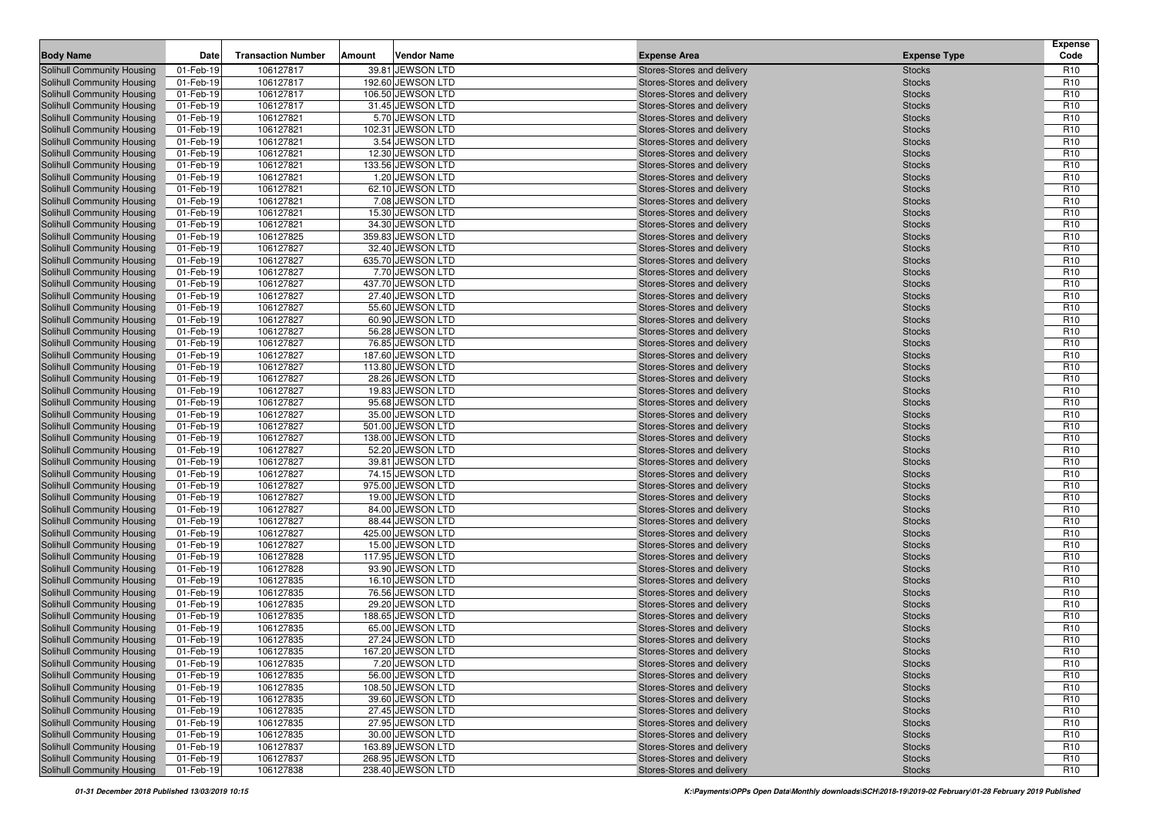| <b>Body Name</b>                                                | Date                   | <b>Transaction Number</b> | Amount | <b>Vendor Name</b>                   | <b>Expense Area</b>                                      | <b>Expense Type</b>            | <b>Expense</b><br>Code             |
|-----------------------------------------------------------------|------------------------|---------------------------|--------|--------------------------------------|----------------------------------------------------------|--------------------------------|------------------------------------|
| Solihull Community Housing                                      | 01-Feb-19              | 106127817                 |        | 39.81 JEWSON LTD                     | Stores-Stores and delivery                               | <b>Stocks</b>                  | R <sub>10</sub>                    |
| Solihull Community Housing                                      | 01-Feb-19              | 106127817                 |        | 192.60 JEWSON LTD                    | Stores-Stores and delivery                               | <b>Stocks</b>                  | R <sub>10</sub>                    |
| <b>Solihull Community Housing</b>                               | 01-Feb-19              | 106127817                 |        | 106.50 JEWSON LTD                    | Stores-Stores and delivery                               | <b>Stocks</b>                  | R <sub>10</sub>                    |
| <b>Solihull Community Housing</b>                               | 01-Feb-19              | 106127817                 |        | 31.45 JEWSON LTD                     | Stores-Stores and delivery                               | <b>Stocks</b>                  | R <sub>10</sub>                    |
| Solihull Community Housing                                      | 01-Feb-19              | 106127821                 |        | 5.70 JEWSON LTD                      | Stores-Stores and delivery                               | <b>Stocks</b>                  | R <sub>10</sub>                    |
| Solihull Community Housing                                      | 01-Feb-19              | 106127821                 |        | 102.31 JEWSON LTD                    | Stores-Stores and delivery                               | <b>Stocks</b>                  | R <sub>10</sub>                    |
| Solihull Community Housing                                      | 01-Feb-19              | 106127821                 |        | 3.54 JEWSON LTD                      | Stores-Stores and delivery                               | <b>Stocks</b>                  | R <sub>10</sub>                    |
| Solihull Community Housing                                      | 01-Feb-19              | 106127821                 |        | 12.30 JEWSON LTD                     | Stores-Stores and delivery                               | <b>Stocks</b>                  | R <sub>10</sub>                    |
| Solihull Community Housing                                      | 01-Feb-19              | 106127821                 |        | 133.56 JEWSON LTD                    | Stores-Stores and delivery                               | <b>Stocks</b>                  | R <sub>10</sub>                    |
| <b>Solihull Community Housing</b>                               | 01-Feb-19              | 106127821                 |        | 1.20 JEWSON LTD                      | Stores-Stores and delivery                               | <b>Stocks</b>                  | R <sub>10</sub>                    |
| Solihull Community Housing                                      | 01-Feb-19              | 106127821                 |        | 62.10 JEWSON LTD                     | Stores-Stores and delivery                               | <b>Stocks</b>                  | R <sub>10</sub>                    |
| Solihull Community Housing                                      | 01-Feb-19              | 106127821                 |        | 7.08 JEWSON LTD                      | Stores-Stores and delivery                               | <b>Stocks</b>                  | R <sub>10</sub>                    |
| Solihull Community Housing                                      | 01-Feb-19              | 106127821                 |        | 15.30 JEWSON LTD                     | Stores-Stores and delivery                               | <b>Stocks</b>                  | R <sub>10</sub>                    |
| <b>Solihull Community Housing</b>                               | 01-Feb-19              | 106127821                 |        | 34.30 JEWSON LTD                     | Stores-Stores and delivery                               | <b>Stocks</b>                  | R <sub>10</sub>                    |
| Solihull Community Housing                                      | 01-Feb-19              | 106127825                 |        | 359.83 JEWSON LTD                    | Stores-Stores and delivery                               | <b>Stocks</b>                  | R <sub>10</sub>                    |
| <b>Solihull Community Housing</b>                               | 01-Feb-19              | 106127827                 |        | 32.40 JEWSON LTD                     | Stores-Stores and delivery                               | <b>Stocks</b>                  | R <sub>10</sub>                    |
| <b>Solihull Community Housing</b>                               | 01-Feb-19              | 106127827                 |        | 635.70 JEWSON LTD                    | Stores-Stores and delivery                               | <b>Stocks</b>                  | R <sub>10</sub>                    |
| Solihull Community Housing                                      | 01-Feb-19              | 106127827                 |        | 7.70 JEWSON LTD                      | Stores-Stores and delivery                               | <b>Stocks</b>                  | R <sub>10</sub>                    |
| <b>Solihull Community Housing</b>                               | 01-Feb-19              | 106127827                 |        | 437.70 JEWSON LTD                    | Stores-Stores and delivery                               | <b>Stocks</b>                  | R <sub>10</sub>                    |
| Solihull Community Housing                                      | 01-Feb-19              | 106127827                 |        | 27.40 JEWSON LTD                     | Stores-Stores and delivery                               | <b>Stocks</b>                  | R <sub>10</sub>                    |
| Solihull Community Housing                                      | 01-Feb-19              | 106127827                 |        | 55.60 JEWSON LTD                     | Stores-Stores and delivery                               | <b>Stocks</b>                  | R <sub>10</sub>                    |
| <b>Solihull Community Housing</b>                               | 01-Feb-19              | 106127827                 |        | 60.90 JEWSON LTD                     | Stores-Stores and delivery                               | <b>Stocks</b>                  | R <sub>10</sub>                    |
| <b>Solihull Community Housing</b>                               | 01-Feb-19              | 106127827                 |        | 56.28 JEWSON LTD                     | Stores-Stores and delivery                               | <b>Stocks</b>                  | R <sub>10</sub>                    |
| Solihull Community Housing                                      | 01-Feb-19              | 106127827                 |        | 76.85 JEWSON LTD                     | Stores-Stores and delivery                               | <b>Stocks</b>                  | R <sub>10</sub>                    |
| <b>Solihull Community Housing</b>                               | 01-Feb-19              | 106127827                 |        | 187.60 JEWSON LTD                    | Stores-Stores and delivery                               | <b>Stocks</b>                  | R <sub>10</sub>                    |
| Solihull Community Housing                                      | 01-Feb-19              | 106127827                 |        | 113.80 JEWSON LTD                    | Stores-Stores and delivery                               | <b>Stocks</b>                  | R <sub>10</sub>                    |
| Solihull Community Housing                                      | 01-Feb-19              | 106127827                 |        | 28.26 JEWSON LTD                     | Stores-Stores and delivery                               | <b>Stocks</b>                  | R <sub>10</sub>                    |
| Solihull Community Housing                                      | 01-Feb-19              | 106127827                 |        | 19.83 JEWSON LTD                     | Stores-Stores and delivery                               | <b>Stocks</b>                  | R <sub>10</sub>                    |
| Solihull Community Housing                                      | 01-Feb-19              | 106127827                 |        | 95.68 JEWSON LTD                     | Stores-Stores and delivery                               | <b>Stocks</b>                  | R <sub>10</sub>                    |
| Solihull Community Housing                                      | 01-Feb-19              | 106127827                 |        | 35.00 JEWSON LTD                     | Stores-Stores and delivery                               | <b>Stocks</b>                  | R <sub>10</sub>                    |
| <b>Solihull Community Housing</b>                               | 01-Feb-19              | 106127827                 |        | 501.00 JEWSON LTD                    | Stores-Stores and delivery                               | <b>Stocks</b>                  | R <sub>10</sub>                    |
| Solihull Community Housing                                      | 01-Feb-19              | 106127827                 |        | 138.00 JEWSON LTD                    | Stores-Stores and delivery                               | <b>Stocks</b>                  | R <sub>10</sub>                    |
| Solihull Community Housing                                      | 01-Feb-19              | 106127827                 |        | 52.20 JEWSON LTD                     | Stores-Stores and delivery                               | <b>Stocks</b>                  | R <sub>10</sub>                    |
| <b>Solihull Community Housing</b>                               | 01-Feb-19              | 106127827                 |        | 39.81 JEWSON LTD                     | Stores-Stores and delivery                               | <b>Stocks</b>                  | R <sub>10</sub>                    |
| <b>Solihull Community Housing</b>                               | 01-Feb-19              | 106127827                 |        | 74.15 JEWSON LTD                     | Stores-Stores and delivery                               | <b>Stocks</b>                  | R <sub>10</sub>                    |
| Solihull Community Housing                                      | 01-Feb-19              | 106127827                 |        | 975.00 JEWSON LTD                    | Stores-Stores and delivery                               | <b>Stocks</b>                  | R <sub>10</sub>                    |
| Solihull Community Housing                                      | 01-Feb-19              | 106127827                 |        | 19.00 JEWSON LTD                     | Stores-Stores and delivery                               | <b>Stocks</b>                  | R <sub>10</sub>                    |
| Solihull Community Housing                                      | 01-Feb-19              | 106127827                 |        | 84.00 JEWSON LTD                     | Stores-Stores and delivery                               | <b>Stocks</b>                  | R <sub>10</sub>                    |
| <b>Solihull Community Housing</b>                               | 01-Feb-19              | 106127827                 |        | 88.44 JEWSON LTD                     | Stores-Stores and delivery                               | <b>Stocks</b>                  | R <sub>10</sub>                    |
| <b>Solihull Community Housing</b>                               | 01-Feb-19              | 106127827                 |        | 425.00 JEWSON LTD                    | Stores-Stores and delivery                               | <b>Stocks</b>                  | R <sub>10</sub>                    |
| <b>Solihull Community Housing</b>                               | 01-Feb-19              | 106127827                 |        | 15.00 JEWSON LTD                     | Stores-Stores and delivery                               | <b>Stocks</b>                  | R <sub>10</sub>                    |
| <b>Solihull Community Housing</b>                               | 01-Feb-19              | 106127828                 |        | 117.95 JEWSON LTD                    | Stores-Stores and delivery                               | <b>Stocks</b>                  | R <sub>10</sub>                    |
| Solihull Community Housing                                      | 01-Feb-19              | 106127828                 |        | 93.90 JEWSON LTD                     | Stores-Stores and delivery                               | <b>Stocks</b>                  | R <sub>10</sub>                    |
| Solihull Community Housing                                      | 01-Feb-19              | 106127835                 |        | 16.10 JEWSON LTD<br>76.56 JEWSON LTD | Stores-Stores and delivery                               | <b>Stocks</b>                  | R <sub>10</sub>                    |
| Solihull Community Housing                                      | 01-Feb-19              | 106127835<br>106127835    |        | 29.20 JEWSON LTD                     | Stores-Stores and delivery                               | <b>Stocks</b>                  | R <sub>10</sub><br>R <sub>10</sub> |
| Solihull Community Housing<br><b>Solihull Community Housing</b> | 01-Feb-19<br>01-Feb-19 | 106127835                 |        | 188.65 JEWSON LTD                    | Stores-Stores and delivery                               | <b>Stocks</b><br><b>Stocks</b> | R <sub>10</sub>                    |
| Solihull Community Housing                                      | 01-Feb-19              | 106127835                 |        | 65.00 JEWSON LTD                     | Stores-Stores and delivery<br>Stores-Stores and delivery | <b>Stocks</b>                  | R <sub>10</sub>                    |
| Solihull Community Housing                                      | 01-Feb-19              | 106127835                 |        | 27.24 JEWSON LTD                     | Stores-Stores and delivery                               | <b>Stocks</b>                  | R <sub>10</sub>                    |
| Solihull Community Housing                                      | 01-Feb-19              | 106127835                 |        | 167.20 JEWSON LTD                    | Stores-Stores and delivery                               | <b>Stocks</b>                  | R <sub>10</sub>                    |
| <b>Solihull Community Housing</b>                               |                        |                           |        | 7.20 JEWSON LTD                      | Stores-Stores and delivery                               |                                | R <sub>10</sub>                    |
| Solihull Community Housing                                      | 01-Feb-19<br>01-Feb-19 | 106127835<br>106127835    |        | 56.00 JEWSON LTD                     | Stores-Stores and delivery                               | <b>Stocks</b><br><b>Stocks</b> | R <sub>10</sub>                    |
| Solihull Community Housing                                      | 01-Feb-19              | 106127835                 |        | 108.50 JEWSON LTD                    | Stores-Stores and delivery                               | <b>Stocks</b>                  | R <sub>10</sub>                    |
| <b>Solihull Community Housing</b>                               | 01-Feb-19              | 106127835                 |        | 39.60 JEWSON LTD                     | Stores-Stores and delivery                               | <b>Stocks</b>                  | R <sub>10</sub>                    |
| Solihull Community Housing                                      | 01-Feb-19              | 106127835                 |        | 27.45 JEWSON LTD                     | Stores-Stores and delivery                               | <b>Stocks</b>                  | R <sub>10</sub>                    |
| Solihull Community Housing                                      | 01-Feb-19              | 106127835                 |        | 27.95 JEWSON LTD                     | Stores-Stores and delivery                               | <b>Stocks</b>                  | R <sub>10</sub>                    |
| Solihull Community Housing                                      | 01-Feb-19              | 106127835                 |        | 30.00 JEWSON LTD                     | Stores-Stores and delivery                               | <b>Stocks</b>                  | R <sub>10</sub>                    |
| <b>Solihull Community Housing</b>                               | 01-Feb-19              | 106127837                 |        | 163.89 JEWSON LTD                    | Stores-Stores and delivery                               | <b>Stocks</b>                  | R <sub>10</sub>                    |
| Solihull Community Housing                                      | 01-Feb-19              | 106127837                 |        | 268.95 JEWSON LTD                    | Stores-Stores and delivery                               | <b>Stocks</b>                  | R <sub>10</sub>                    |
| Solihull Community Housing                                      | 01-Feb-19              | 106127838                 |        | 238.40 JEWSON LTD                    | Stores-Stores and delivery                               | <b>Stocks</b>                  | R <sub>10</sub>                    |
|                                                                 |                        |                           |        |                                      |                                                          |                                |                                    |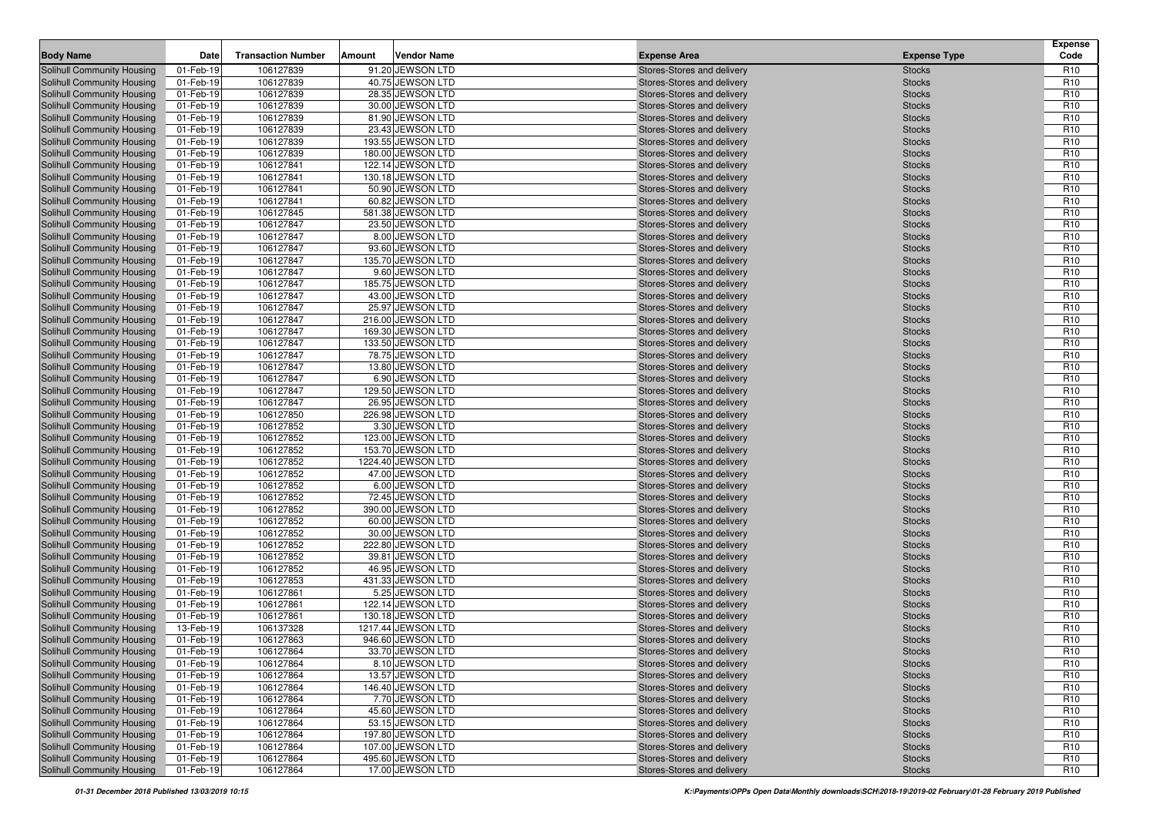| <b>Body Name</b>                                                       | Date                   | <b>Transaction Number</b> | Amount | Vendor Name                           | <b>Expense Area</b>                                      | <b>Expense Type</b>            | <b>Expense</b><br>Code             |
|------------------------------------------------------------------------|------------------------|---------------------------|--------|---------------------------------------|----------------------------------------------------------|--------------------------------|------------------------------------|
| Solihull Community Housing                                             | 01-Feb-19              | 106127839                 |        | 91.20 JEWSON LTD                      | Stores-Stores and delivery                               | <b>Stocks</b>                  | R <sub>10</sub>                    |
| <b>Solihull Community Housing</b>                                      | 01-Feb-19              | 106127839                 |        | 40.75 JEWSON LTD                      | Stores-Stores and delivery                               | <b>Stocks</b>                  | R <sub>10</sub>                    |
| Solihull Community Housing                                             | 01-Feb-19              | 106127839                 |        | 28.35 JEWSON LTD                      | Stores-Stores and delivery                               | <b>Stocks</b>                  | R <sub>10</sub>                    |
| <b>Solihull Community Housing</b>                                      | 01-Feb-19              | 106127839                 |        | 30.00 JEWSON LTD                      | Stores-Stores and delivery                               | <b>Stocks</b>                  | R <sub>10</sub>                    |
| <b>Solihull Community Housing</b>                                      | 01-Feb-19              | 106127839                 |        | 81.90 JEWSON LTD                      | Stores-Stores and delivery                               | <b>Stocks</b>                  | R <sub>10</sub>                    |
| <b>Solihull Community Housing</b>                                      | 01-Feb-19              | 106127839                 |        | 23.43 JEWSON LTD                      | Stores-Stores and delivery                               | <b>Stocks</b>                  | R <sub>10</sub>                    |
| <b>Solihull Community Housing</b>                                      | 01-Feb-19              | 106127839                 |        | 193.55 JEWSON LTD                     | Stores-Stores and delivery                               | <b>Stocks</b>                  | R <sub>10</sub>                    |
| <b>Solihull Community Housing</b>                                      | 01-Feb-19              | 106127839                 |        | 180.00 JEWSON LTD                     | Stores-Stores and delivery                               | <b>Stocks</b>                  | R <sub>10</sub>                    |
| <b>Solihull Community Housing</b>                                      | 01-Feb-19              | 106127841                 |        | 122.14 JEWSON LTD                     | Stores-Stores and delivery                               | <b>Stocks</b>                  | R <sub>10</sub>                    |
| <b>Solihull Community Housing</b>                                      | 01-Feb-19              | 106127841                 |        | 130.18 JEWSON LTD                     | Stores-Stores and delivery                               | <b>Stocks</b>                  | R <sub>10</sub>                    |
| <b>Solihull Community Housing</b>                                      | 01-Feb-19              | 106127841                 |        | 50.90 JEWSON LTD                      | Stores-Stores and delivery                               | <b>Stocks</b>                  | R <sub>10</sub>                    |
| Solihull Community Housing                                             | 01-Feb-19              | 106127841                 |        | 60.82 JEWSON LTD                      | Stores-Stores and delivery                               | <b>Stocks</b>                  | R <sub>10</sub>                    |
| <b>Solihull Community Housing</b>                                      | 01-Feb-19              | 106127845                 |        | 581.38 JEWSON LTD                     | Stores-Stores and delivery                               | <b>Stocks</b>                  | R <sub>10</sub>                    |
| Solihull Community Housing                                             | 01-Feb-19              | 106127847                 |        | 23.50 JEWSON LTD                      | Stores-Stores and delivery                               | <b>Stocks</b>                  | R <sub>10</sub>                    |
| <b>Solihull Community Housing</b>                                      | 01-Feb-19              | 106127847                 |        | 8.00 JEWSON LTD                       | Stores-Stores and delivery                               | <b>Stocks</b>                  | R <sub>10</sub>                    |
| Solihull Community Housing                                             | 01-Feb-19              | 106127847                 |        | 93.60 JEWSON LTD                      | Stores-Stores and delivery                               | <b>Stocks</b>                  | R <sub>10</sub>                    |
| Solihull Community Housing                                             | 01-Feb-19              | 106127847                 |        | 135.70 JEWSON LTD                     | Stores-Stores and delivery                               | <b>Stocks</b>                  | R <sub>10</sub>                    |
| Solihull Community Housing                                             | 01-Feb-19              | 106127847                 |        | 9.60 JEWSON LTD                       | Stores-Stores and delivery                               | <b>Stocks</b>                  | R <sub>10</sub>                    |
| Solihull Community Housing                                             | 01-Feb-19              | 106127847                 |        | 185.75 JEWSON LTD                     | Stores-Stores and delivery                               | <b>Stocks</b>                  | R <sub>10</sub>                    |
| Solihull Community Housing                                             | 01-Feb-19              | 106127847                 |        | 43.00 JEWSON LTD                      | Stores-Stores and delivery                               | <b>Stocks</b>                  | R <sub>10</sub>                    |
| Solihull Community Housing                                             | 01-Feb-19              | 106127847                 |        | 25.97 JEWSON LTD                      | Stores-Stores and delivery                               | <b>Stocks</b>                  | R <sub>10</sub>                    |
| Solihull Community Housing                                             | 01-Feb-19              | 106127847                 |        | 216.00 JEWSON LTD                     | Stores-Stores and delivery                               | <b>Stocks</b>                  | R <sub>10</sub>                    |
| Solihull Community Housing                                             | 01-Feb-19              | 106127847                 |        | 169.30 JEWSON LTD                     | Stores-Stores and delivery                               | <b>Stocks</b>                  | R <sub>10</sub>                    |
| Solihull Community Housing                                             | 01-Feb-19              | 106127847                 |        | 133.50 JEWSON LTD                     | Stores-Stores and delivery                               | <b>Stocks</b>                  | R <sub>10</sub>                    |
| Solihull Community Housing                                             | 01-Feb-19              | 106127847                 |        | 78.75 JEWSON LTD                      | Stores-Stores and delivery                               | <b>Stocks</b>                  | R <sub>10</sub>                    |
| <b>Solihull Community Housing</b>                                      | 01-Feb-19              | 106127847                 |        | 13.80 JEWSON LTD                      | Stores-Stores and delivery                               | <b>Stocks</b>                  | R <sub>10</sub>                    |
| Solihull Community Housing                                             | 01-Feb-19              | 106127847                 |        | 6.90 JEWSON LTD                       | Stores-Stores and delivery                               | <b>Stocks</b>                  | R <sub>10</sub>                    |
| <b>Solihull Community Housing</b>                                      | 01-Feb-19              | 106127847                 |        | 129.50 JEWSON LTD                     | Stores-Stores and delivery                               | <b>Stocks</b>                  | R <sub>10</sub>                    |
| <b>Solihull Community Housing</b>                                      | 01-Feb-19              | 106127847                 |        | 26.95 JEWSON LTD                      | Stores-Stores and delivery                               | <b>Stocks</b>                  | R <sub>10</sub>                    |
| <b>Solihull Community Housing</b>                                      | 01-Feb-19              | 106127850                 |        | 226.98 JEWSON LTD                     | Stores-Stores and delivery                               | <b>Stocks</b>                  | R <sub>10</sub>                    |
| <b>Solihull Community Housing</b>                                      | 01-Feb-19              | 106127852                 |        | 3.30 JEWSON LTD                       | Stores-Stores and delivery                               | <b>Stocks</b>                  | R <sub>10</sub>                    |
| <b>Solihull Community Housing</b>                                      | 01-Feb-19              | 106127852                 |        | 123.00 JEWSON LTD                     | Stores-Stores and delivery                               | <b>Stocks</b>                  | R <sub>10</sub>                    |
| <b>Solihull Community Housing</b>                                      | 01-Feb-19              | 106127852                 |        | 153.70 JEWSON LTD                     | Stores-Stores and delivery                               | <b>Stocks</b>                  | R <sub>10</sub>                    |
| <b>Solihull Community Housing</b>                                      | 01-Feb-19              | 106127852                 |        | 1224.40 JEWSON LTD                    | Stores-Stores and delivery                               | <b>Stocks</b>                  | R <sub>10</sub>                    |
| <b>Solihull Community Housing</b>                                      | 01-Feb-19              | 106127852                 |        | 47.00 JEWSON LTD                      | Stores-Stores and delivery                               | <b>Stocks</b>                  | R <sub>10</sub>                    |
| <b>Solihull Community Housing</b>                                      | 01-Feb-19              | 106127852                 |        | 6.00 JEWSON LTD                       | Stores-Stores and delivery                               | <b>Stocks</b>                  | R <sub>10</sub>                    |
| <b>Solihull Community Housing</b>                                      | 01-Feb-19              | 106127852                 |        | 72.45 JEWSON LTD                      | Stores-Stores and delivery                               | <b>Stocks</b>                  | R <sub>10</sub>                    |
| <b>Solihull Community Housing</b>                                      | 01-Feb-19              | 106127852                 |        | 390.00 JEWSON LTD                     | Stores-Stores and delivery                               | <b>Stocks</b>                  | R <sub>10</sub>                    |
| <b>Solihull Community Housing</b>                                      | 01-Feb-19              | 106127852                 |        | 60.00 JEWSON LTD                      | Stores-Stores and delivery                               | <b>Stocks</b>                  | R <sub>10</sub>                    |
| <b>Solihull Community Housing</b>                                      | 01-Feb-19              | 106127852                 |        | 30.00 JEWSON LTD                      | Stores-Stores and delivery                               | <b>Stocks</b>                  | R <sub>10</sub>                    |
| <b>Solihull Community Housing</b>                                      | 01-Feb-19              | 106127852                 |        | 222.80 JEWSON LTD                     | Stores-Stores and delivery                               | <b>Stocks</b>                  | R <sub>10</sub>                    |
| Solihull Community Housing                                             | 01-Feb-19              | 106127852                 |        | 39.81 JEWSON LTD                      | Stores-Stores and delivery                               | <b>Stocks</b>                  | R <sub>10</sub>                    |
| <b>Solihull Community Housing</b><br>Solihull Community Housing        | 01-Feb-19              | 106127852                 |        | 46.95 JEWSON LTD                      | Stores-Stores and delivery                               | <b>Stocks</b>                  | R <sub>10</sub>                    |
|                                                                        | 01-Feb-19              | 106127853                 |        | 431.33 JEWSON LTD                     | Stores-Stores and delivery                               | <b>Stocks</b>                  | R <sub>10</sub>                    |
| <b>Solihull Community Housing</b>                                      | 01-Feb-19              | 106127861<br>106127861    |        | 5.25 JEWSON LTD<br>122.14 JEWSON LTD  | Stores-Stores and delivery                               | <b>Stocks</b>                  | R <sub>10</sub>                    |
| <b>Solihull Community Housing</b><br><b>Solihull Community Housing</b> | 01-Feb-19<br>01-Feb-19 | 106127861                 |        | 130.18 JEWSON LTD                     | Stores-Stores and delivery<br>Stores-Stores and delivery | <b>Stocks</b><br><b>Stocks</b> | R <sub>10</sub><br>R <sub>10</sub> |
| Solihull Community Housing                                             | 13-Feb-19              | 106137328                 |        | 1217.44 JEWSON LTD                    | Stores-Stores and delivery                               | <b>Stocks</b>                  | R <sub>10</sub>                    |
| <b>Solihull Community Housing</b>                                      | 01-Feb-19              | 106127863                 |        | 946.60 JEWSON LTD                     | Stores-Stores and delivery                               |                                | R <sub>10</sub>                    |
| Solihull Community Housing                                             | 01-Feb-19              | 106127864                 |        | 33.70 JEWSON LTD                      |                                                          | <b>Stocks</b>                  | R <sub>10</sub>                    |
| Solihull Community Housing                                             | 01-Feb-19              | 106127864                 |        | 8.10 JEWSON LTD                       | Stores-Stores and delivery<br>Stores-Stores and delivery | <b>Stocks</b>                  | R <sub>10</sub>                    |
|                                                                        |                        |                           |        |                                       | Stores-Stores and delivery                               | <b>Stocks</b>                  |                                    |
| Solihull Community Housing<br>Solihull Community Housing               | 01-Feb-19<br>01-Feb-19 | 106127864<br>106127864    |        | 13.57 JEWSON LTD<br>146.40 JEWSON LTD | Stores-Stores and delivery                               | <b>Stocks</b><br><b>Stocks</b> | R <sub>10</sub><br>R <sub>10</sub> |
| Solihull Community Housing                                             | 01-Feb-19              | 106127864                 |        | 7.70 JEWSON LTD                       | Stores-Stores and delivery                               | <b>Stocks</b>                  | R <sub>10</sub>                    |
| <b>Solihull Community Housing</b>                                      | 01-Feb-19              | 106127864                 |        | 45.60 JEWSON LTD                      | Stores-Stores and delivery                               | <b>Stocks</b>                  | R <sub>10</sub>                    |
| Solihull Community Housing                                             | 01-Feb-19              | 106127864                 |        | 53.15 JEWSON LTD                      | Stores-Stores and delivery                               | <b>Stocks</b>                  | R <sub>10</sub>                    |
| Solihull Community Housing                                             | 01-Feb-19              | 106127864                 |        | 197.80 JEWSON LTD                     | Stores-Stores and delivery                               | <b>Stocks</b>                  | R <sub>10</sub>                    |
| <b>Solihull Community Housing</b>                                      | 01-Feb-19              | 106127864                 |        | 107.00 JEWSON LTD                     | Stores-Stores and delivery                               | <b>Stocks</b>                  | R <sub>10</sub>                    |
| Solihull Community Housing                                             | 01-Feb-19              | 106127864                 |        | 495.60 JEWSON LTD                     | Stores-Stores and delivery                               | <b>Stocks</b>                  | R <sub>10</sub>                    |
| <b>Solihull Community Housing</b>                                      | 01-Feb-19              | 106127864                 |        | 17.00 JEWSON LTD                      | Stores-Stores and delivery                               | <b>Stocks</b>                  | R <sub>10</sub>                    |
|                                                                        |                        |                           |        |                                       |                                                          |                                |                                    |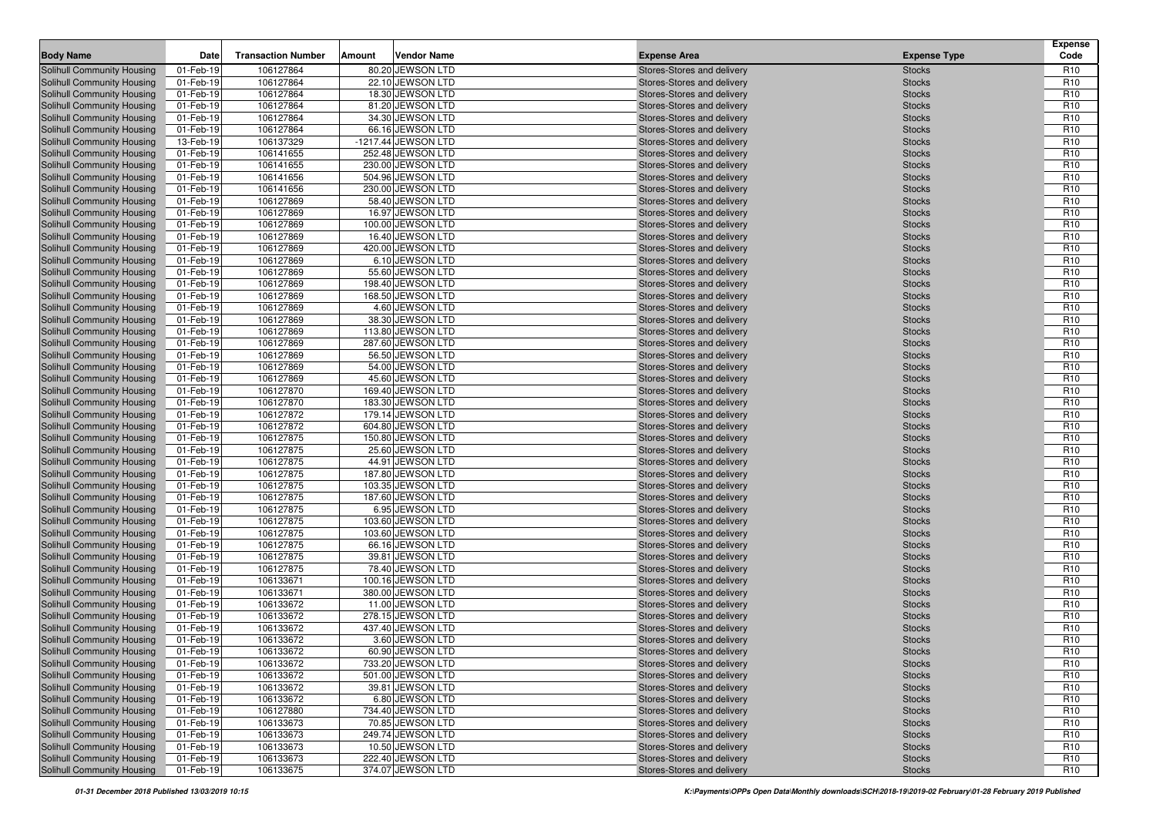| Solihull Community Housing<br>01-Feb-19<br>106127864<br>80.20 JEWSON LTD<br>R <sub>10</sub><br>Stores-Stores and delivery<br><b>Stocks</b><br>R <sub>10</sub><br>Solihull Community Housing<br>01-Feb-19<br>106127864<br>22.10 JEWSON LTD<br>Stores-Stores and delivery<br><b>Stocks</b><br>106127864<br>18.30 JEWSON LTD<br>R <sub>10</sub><br>01-Feb-19<br>Stores-Stores and delivery<br><b>Stocks</b><br>Solihull Community Housing<br>81.20 JEWSON LTD<br>Solihull Community Housing<br>01-Feb-19<br>106127864<br>Stores-Stores and delivery<br><b>Stocks</b><br>R <sub>10</sub><br>01-Feb-19<br>106127864<br>34.30 JEWSON LTD<br>R <sub>10</sub><br><b>Solihull Community Housing</b><br>Stores-Stores and delivery<br><b>Stocks</b><br>66.16 JEWSON LTD<br>R <sub>10</sub><br>Solihull Community Housing<br>01-Feb-19<br>106127864<br>Stores-Stores and delivery<br><b>Stocks</b><br>R <sub>10</sub><br><b>Solihull Community Housing</b><br>13-Feb-19<br>106137329<br>-1217.44 JEWSON LTD<br>Stores-Stores and delivery<br><b>Stocks</b><br>R <sub>10</sub><br><b>Solihull Community Housing</b><br>01-Feb-19<br>106141655<br>252.48 JEWSON LTD<br><b>Stocks</b><br>Stores-Stores and delivery<br>01-Feb-19<br>230.00 JEWSON LTD<br>R <sub>10</sub><br><b>Solihull Community Housing</b><br>106141655<br><b>Stocks</b><br>Stores-Stores and delivery<br><b>Solihull Community Housing</b><br>01-Feb-19<br>106141656<br>504.96 JEWSON LTD<br>Stores-Stores and delivery<br><b>Stocks</b><br>R <sub>10</sub><br>R <sub>10</sub><br><b>Solihull Community Housing</b><br>01-Feb-19<br>106141656<br>230.00 JEWSON LTD<br>Stores-Stores and delivery<br><b>Stocks</b><br>106127869<br>R <sub>10</sub><br><b>Solihull Community Housing</b><br>01-Feb-19<br>58.40 JEWSON LTD<br><b>Stocks</b><br>Stores-Stores and delivery<br>106127869<br>16.97 JEWSON LTD<br>R <sub>10</sub><br><b>Solihull Community Housing</b><br>01-Feb-19<br>Stores-Stores and delivery<br><b>Stocks</b><br>106127869<br>100.00 JEWSON LTD<br>R <sub>10</sub><br><b>Solihull Community Housing</b><br>01-Feb-19<br>Stores-Stores and delivery<br><b>Stocks</b><br>R <sub>10</sub><br>Solihull Community Housing<br>01-Feb-19<br>106127869<br>16.40 JEWSON LTD<br>Stores-Stores and delivery<br><b>Stocks</b><br>R <sub>10</sub><br><b>Solihull Community Housing</b><br>01-Feb-19<br>106127869<br>420.00 JEWSON LTD<br><b>Stocks</b><br>Stores-Stores and delivery<br>106127869<br>6.10 JEWSON LTD<br>R <sub>10</sub><br><b>Solihull Community Housing</b><br>01-Feb-19<br><b>Stocks</b><br>Stores-Stores and delivery<br>106127869<br>55.60 JEWSON LTD<br><b>Solihull Community Housing</b><br>01-Feb-19<br>Stores-Stores and delivery<br><b>Stocks</b><br>R <sub>10</sub><br><b>Solihull Community Housing</b><br>01-Feb-19<br>106127869<br>198.40 JEWSON LTD<br>Stores-Stores and delivery<br><b>Stocks</b><br>R <sub>10</sub><br>168.50 JEWSON LTD<br>R <sub>10</sub><br><b>Solihull Community Housing</b><br>01-Feb-19<br>106127869<br><b>Stocks</b><br>Stores-Stores and delivery<br>106127869<br>4.60 JEWSON LTD<br>R <sub>10</sub><br><b>Solihull Community Housing</b><br>01-Feb-19<br>Stores-Stores and delivery<br><b>Stocks</b><br>R <sub>10</sub><br><b>Solihull Community Housing</b><br>01-Feb-19<br>106127869<br>38.30 JEWSON LTD<br>Stores-Stores and delivery<br><b>Stocks</b><br>R <sub>10</sub><br><b>Solihull Community Housing</b><br>01-Feb-19<br>106127869<br>113.80 JEWSON LTD<br>Stores-Stores and delivery<br><b>Stocks</b><br>R <sub>10</sub><br><b>Solihull Community Housing</b><br>01-Feb-19<br>106127869<br>287.60 JEWSON LTD<br><b>Stocks</b><br>Stores-Stores and delivery<br>56.50 JEWSON LTD<br><b>Solihull Community Housing</b><br>01-Feb-19<br>106127869<br><b>Stocks</b><br>R <sub>10</sub><br>Stores-Stores and delivery<br>01-Feb-19<br>106127869<br>54.00 JEWSON LTD<br>R <sub>10</sub><br><b>Solihull Community Housing</b><br>Stores-Stores and delivery<br><b>Stocks</b><br>45.60 JEWSON LTD<br>R <sub>10</sub><br><b>Solihull Community Housing</b><br>01-Feb-19<br>106127869<br>Stores-Stores and delivery<br><b>Stocks</b><br><b>Solihull Community Housing</b><br>01-Feb-19<br>106127870<br>169.40 JEWSON LTD<br>Stores-Stores and delivery<br><b>Stocks</b><br>R <sub>10</sub><br>183.30 JEWSON LTD<br>R <sub>10</sub><br><b>Solihull Community Housing</b><br>01-Feb-19<br>106127870<br>Stores-Stores and delivery<br><b>Stocks</b><br>106127872<br>179.14 JEWSON LTD<br>R <sub>10</sub><br><b>Solihull Community Housing</b><br>01-Feb-19<br>Stores-Stores and delivery<br><b>Stocks</b><br>604.80 JEWSON LTD<br>R <sub>10</sub><br>Solihull Community Housing<br>01-Feb-19<br>106127872<br>Stores-Stores and delivery<br><b>Stocks</b><br>R <sub>10</sub><br><b>Solihull Community Housing</b><br>01-Feb-19<br>106127875<br>150.80 JEWSON LTD<br>Stores-Stores and delivery<br><b>Stocks</b><br>106127875<br>R <sub>10</sub><br><b>Solihull Community Housing</b><br>01-Feb-19<br>25.60 JEWSON LTD<br><b>Stocks</b><br>Stores-Stores and delivery<br>106127875<br>44.91 JEWSON LTD<br><b>Solihull Community Housing</b><br>01-Feb-19<br><b>Stocks</b><br>R <sub>10</sub><br>Stores-Stores and delivery<br>106127875<br>187.80 JEWSON LTD<br>R <sub>10</sub><br><b>Solihull Community Housing</b><br>01-Feb-19<br><b>Stocks</b><br>Stores-Stores and delivery<br>106127875<br>103.35 JEWSON LTD<br>R <sub>10</sub><br><b>Solihull Community Housing</b><br>01-Feb-19<br>Stores-Stores and delivery<br><b>Stocks</b><br>106127875<br>R <sub>10</sub><br><b>Solihull Community Housing</b><br>01-Feb-19<br>187.60 JEWSON LTD<br><b>Stocks</b><br>Stores-Stores and delivery<br>106127875<br>6.95 JEWSON LTD<br>R <sub>10</sub><br><b>Solihull Community Housing</b><br>01-Feb-19<br>Stores-Stores and delivery<br><b>Stocks</b><br>106127875<br>103.60 JEWSON LTD<br>R <sub>10</sub><br><b>Solihull Community Housing</b><br>01-Feb-19<br>Stores-Stores and delivery<br><b>Stocks</b><br><b>Solihull Community Housing</b><br>01-Feb-19<br>106127875<br>103.60 JEWSON LTD<br>Stores-Stores and delivery<br><b>Stocks</b><br>R <sub>10</sub><br>106127875<br>R <sub>10</sub><br><b>Solihull Community Housing</b><br>01-Feb-19<br>66.16 JEWSON LTD<br><b>Stocks</b><br>Stores-Stores and delivery<br>106127875<br>39.81 JEWSON LTD<br>R <sub>10</sub><br><b>Solihull Community Housing</b><br>01-Feb-19<br><b>Stocks</b><br>Stores-Stores and delivery<br>106127875<br>78.40 JEWSON LTD<br><b>Solihull Community Housing</b><br>01-Feb-19<br>Stores-Stores and delivery<br><b>Stocks</b><br>R <sub>10</sub><br>R <sub>10</sub><br>Solihull Community Housing<br>01-Feb-19<br>106133671<br>100.16 JEWSON LTD<br><b>Stocks</b><br>Stores-Stores and delivery<br>380.00 JEWSON LTD<br>R <sub>10</sub><br><b>Solihull Community Housing</b><br>01-Feb-19<br>106133671<br>Stores-Stores and delivery<br><b>Stocks</b><br>106133672<br>11.00 JEWSON LTD<br>R <sub>10</sub><br><b>Solihull Community Housing</b><br>01-Feb-19<br>Stores-Stores and delivery<br><b>Stocks</b><br>278.15 JEWSON LTD<br><b>Solihull Community Housing</b><br>01-Feb-19<br>106133672<br><b>Stocks</b><br>R <sub>10</sub><br>Stores-Stores and delivery<br>R <sub>10</sub><br><b>Solihull Community Housing</b><br>01-Feb-19<br>106133672<br>437.40 JEWSON LTD<br>Stores-Stores and delivery<br><b>Stocks</b><br>R <sub>10</sub><br><b>Solihull Community Housing</b><br>01-Feb-19<br>106133672<br>3.60 JEWSON LTD<br>Stores-Stores and delivery<br><b>Stocks</b><br>Solihull Community Housing<br>60.90 JEWSON LTD<br>R <sub>10</sub><br>01-Feb-19<br>106133672<br>Stores-Stores and delivery<br><b>Stocks</b><br>R <sub>10</sub><br>Solihull Community Housing<br>01-Feb-19<br>106133672<br>733.20 JEWSON LTD<br>Stores-Stores and delivery<br><b>Stocks</b><br>Solihull Community Housing<br>01-Feb-19<br>106133672<br>501.00 JEWSON LTD<br>Stores-Stores and delivery<br>R <sub>10</sub><br><b>Stocks</b><br>Solihull Community Housing<br>01-Feb-19<br>106133672<br>39.81 JEWSON LTD<br>Stores-Stores and delivery<br>R <sub>10</sub><br><b>Stocks</b><br>Solihull Community Housing<br>6.80 JEWSON LTD<br>01-Feb-19<br>106133672<br>Stores-Stores and delivery<br>R <sub>10</sub><br><b>Stocks</b><br>106127880<br>734.40 JEWSON LTD<br><b>Solihull Community Housing</b><br>01-Feb-19<br>Stores-Stores and delivery<br>R <sub>10</sub><br><b>Stocks</b><br>Solihull Community Housing<br>70.85 JEWSON LTD<br>01-Feb-19<br>106133673<br>Stores-Stores and delivery<br>R <sub>10</sub><br><b>Stocks</b><br><b>Solihull Community Housing</b><br>01-Feb-19<br>106133673<br>249.74 JEWSON LTD<br>Stores-Stores and delivery<br>R <sub>10</sub><br><b>Stocks</b><br><b>Solihull Community Housing</b><br>01-Feb-19<br>106133673<br>10.50 JEWSON LTD<br>Stores-Stores and delivery<br>R <sub>10</sub><br><b>Stocks</b><br>Solihull Community Housing<br>222.40 JEWSON LTD<br>01-Feb-19<br>106133673<br>Stores-Stores and delivery<br>R <sub>10</sub><br><b>Stocks</b><br>374.07 JEWSON LTD<br>01-Feb-19 | <b>Body Name</b>                  | Date | <b>Transaction Number</b> | Amount | <b>Vendor Name</b> | <b>Expense Area</b>        | <b>Expense Type</b> | <b>Expense</b><br>Code |
|---------------------------------------------------------------------------------------------------------------------------------------------------------------------------------------------------------------------------------------------------------------------------------------------------------------------------------------------------------------------------------------------------------------------------------------------------------------------------------------------------------------------------------------------------------------------------------------------------------------------------------------------------------------------------------------------------------------------------------------------------------------------------------------------------------------------------------------------------------------------------------------------------------------------------------------------------------------------------------------------------------------------------------------------------------------------------------------------------------------------------------------------------------------------------------------------------------------------------------------------------------------------------------------------------------------------------------------------------------------------------------------------------------------------------------------------------------------------------------------------------------------------------------------------------------------------------------------------------------------------------------------------------------------------------------------------------------------------------------------------------------------------------------------------------------------------------------------------------------------------------------------------------------------------------------------------------------------------------------------------------------------------------------------------------------------------------------------------------------------------------------------------------------------------------------------------------------------------------------------------------------------------------------------------------------------------------------------------------------------------------------------------------------------------------------------------------------------------------------------------------------------------------------------------------------------------------------------------------------------------------------------------------------------------------------------------------------------------------------------------------------------------------------------------------------------------------------------------------------------------------------------------------------------------------------------------------------------------------------------------------------------------------------------------------------------------------------------------------------------------------------------------------------------------------------------------------------------------------------------------------------------------------------------------------------------------------------------------------------------------------------------------------------------------------------------------------------------------------------------------------------------------------------------------------------------------------------------------------------------------------------------------------------------------------------------------------------------------------------------------------------------------------------------------------------------------------------------------------------------------------------------------------------------------------------------------------------------------------------------------------------------------------------------------------------------------------------------------------------------------------------------------------------------------------------------------------------------------------------------------------------------------------------------------------------------------------------------------------------------------------------------------------------------------------------------------------------------------------------------------------------------------------------------------------------------------------------------------------------------------------------------------------------------------------------------------------------------------------------------------------------------------------------------------------------------------------------------------------------------------------------------------------------------------------------------------------------------------------------------------------------------------------------------------------------------------------------------------------------------------------------------------------------------------------------------------------------------------------------------------------------------------------------------------------------------------------------------------------------------------------------------------------------------------------------------------------------------------------------------------------------------------------------------------------------------------------------------------------------------------------------------------------------------------------------------------------------------------------------------------------------------------------------------------------------------------------------------------------------------------------------------------------------------------------------------------------------------------------------------------------------------------------------------------------------------------------------------------------------------------------------------------------------------------------------------------------------------------------------------------------------------------------------------------------------------------------------------------------------------------------------------------------------------------------------------------------------------------------------------------------------------------------------------------------------------------------------------------------------------------------------------------------------------------------------------------------------------------------------------------------------------------------------------------------------------------------------------------------------------------------------------------------------------------------------------------------------------------------------------------------------------------------------------------------------------------------------------------------------------------------------------------------------------------------------------------------------------------------------------------------------------------------------------------------------------------------------------------------------------------------------------------------------------------------------------------------------------------------------------------------------------------------------------------------------------------------------------------------------------------------------------------------------------------------------------------------------------------------------------------------------------------------------------------------------------------------------------------------------------------------------------------------------------------------------------------------------------------------------------------------------------------------------------------------------------------------------------------------------------------------------------------------------------------------------------------------------------------------------------------------------------------------------------------------------------------------------------------------------------------------------------------------------------------------------------------------------------------------------------------------------------------------------------------------------------------------------------------------------------------------------------------------------------------------------------------------------------------------------------------------------------------------------------------------------------------------------------------------------------------------------------------------------------------------------------------------------------------------------------------------------------------------------------------------------------------------------------------------------|-----------------------------------|------|---------------------------|--------|--------------------|----------------------------|---------------------|------------------------|
|                                                                                                                                                                                                                                                                                                                                                                                                                                                                                                                                                                                                                                                                                                                                                                                                                                                                                                                                                                                                                                                                                                                                                                                                                                                                                                                                                                                                                                                                                                                                                                                                                                                                                                                                                                                                                                                                                                                                                                                                                                                                                                                                                                                                                                                                                                                                                                                                                                                                                                                                                                                                                                                                                                                                                                                                                                                                                                                                                                                                                                                                                                                                                                                                                                                                                                                                                                                                                                                                                                                                                                                                                                                                                                                                                                                                                                                                                                                                                                                                                                                                                                                                                                                                                                                                                                                                                                                                                                                                                                                                                                                                                                                                                                                                                                                                                                                                                                                                                                                                                                                                                                                                                                                                                                                                                                                                                                                                                                                                                                                                                                                                                                                                                                                                                                                                                                                                                                                                                                                                                                                                                                                                                                                                                                                                                                                                                                                                                                                                                                                                                                                                                                                                                                                                                                                                                                                                                                                                                                                                                                                                                                                                                                                                                                                                                                                                                                                                                                                                                                                                                                                                                                                                                                                                                                                                                                                                                                                                                                                                                                                                                                                                                                                                                                                                                                                                                                                                                                                                                                                                                                                                                                                                                                                                                                                                                                                                                                                                                                                                                                                                                                         |                                   |      |                           |        |                    |                            |                     |                        |
|                                                                                                                                                                                                                                                                                                                                                                                                                                                                                                                                                                                                                                                                                                                                                                                                                                                                                                                                                                                                                                                                                                                                                                                                                                                                                                                                                                                                                                                                                                                                                                                                                                                                                                                                                                                                                                                                                                                                                                                                                                                                                                                                                                                                                                                                                                                                                                                                                                                                                                                                                                                                                                                                                                                                                                                                                                                                                                                                                                                                                                                                                                                                                                                                                                                                                                                                                                                                                                                                                                                                                                                                                                                                                                                                                                                                                                                                                                                                                                                                                                                                                                                                                                                                                                                                                                                                                                                                                                                                                                                                                                                                                                                                                                                                                                                                                                                                                                                                                                                                                                                                                                                                                                                                                                                                                                                                                                                                                                                                                                                                                                                                                                                                                                                                                                                                                                                                                                                                                                                                                                                                                                                                                                                                                                                                                                                                                                                                                                                                                                                                                                                                                                                                                                                                                                                                                                                                                                                                                                                                                                                                                                                                                                                                                                                                                                                                                                                                                                                                                                                                                                                                                                                                                                                                                                                                                                                                                                                                                                                                                                                                                                                                                                                                                                                                                                                                                                                                                                                                                                                                                                                                                                                                                                                                                                                                                                                                                                                                                                                                                                                                                                         |                                   |      |                           |        |                    |                            |                     |                        |
|                                                                                                                                                                                                                                                                                                                                                                                                                                                                                                                                                                                                                                                                                                                                                                                                                                                                                                                                                                                                                                                                                                                                                                                                                                                                                                                                                                                                                                                                                                                                                                                                                                                                                                                                                                                                                                                                                                                                                                                                                                                                                                                                                                                                                                                                                                                                                                                                                                                                                                                                                                                                                                                                                                                                                                                                                                                                                                                                                                                                                                                                                                                                                                                                                                                                                                                                                                                                                                                                                                                                                                                                                                                                                                                                                                                                                                                                                                                                                                                                                                                                                                                                                                                                                                                                                                                                                                                                                                                                                                                                                                                                                                                                                                                                                                                                                                                                                                                                                                                                                                                                                                                                                                                                                                                                                                                                                                                                                                                                                                                                                                                                                                                                                                                                                                                                                                                                                                                                                                                                                                                                                                                                                                                                                                                                                                                                                                                                                                                                                                                                                                                                                                                                                                                                                                                                                                                                                                                                                                                                                                                                                                                                                                                                                                                                                                                                                                                                                                                                                                                                                                                                                                                                                                                                                                                                                                                                                                                                                                                                                                                                                                                                                                                                                                                                                                                                                                                                                                                                                                                                                                                                                                                                                                                                                                                                                                                                                                                                                                                                                                                                                                         |                                   |      |                           |        |                    |                            |                     |                        |
|                                                                                                                                                                                                                                                                                                                                                                                                                                                                                                                                                                                                                                                                                                                                                                                                                                                                                                                                                                                                                                                                                                                                                                                                                                                                                                                                                                                                                                                                                                                                                                                                                                                                                                                                                                                                                                                                                                                                                                                                                                                                                                                                                                                                                                                                                                                                                                                                                                                                                                                                                                                                                                                                                                                                                                                                                                                                                                                                                                                                                                                                                                                                                                                                                                                                                                                                                                                                                                                                                                                                                                                                                                                                                                                                                                                                                                                                                                                                                                                                                                                                                                                                                                                                                                                                                                                                                                                                                                                                                                                                                                                                                                                                                                                                                                                                                                                                                                                                                                                                                                                                                                                                                                                                                                                                                                                                                                                                                                                                                                                                                                                                                                                                                                                                                                                                                                                                                                                                                                                                                                                                                                                                                                                                                                                                                                                                                                                                                                                                                                                                                                                                                                                                                                                                                                                                                                                                                                                                                                                                                                                                                                                                                                                                                                                                                                                                                                                                                                                                                                                                                                                                                                                                                                                                                                                                                                                                                                                                                                                                                                                                                                                                                                                                                                                                                                                                                                                                                                                                                                                                                                                                                                                                                                                                                                                                                                                                                                                                                                                                                                                                                                         |                                   |      |                           |        |                    |                            |                     |                        |
|                                                                                                                                                                                                                                                                                                                                                                                                                                                                                                                                                                                                                                                                                                                                                                                                                                                                                                                                                                                                                                                                                                                                                                                                                                                                                                                                                                                                                                                                                                                                                                                                                                                                                                                                                                                                                                                                                                                                                                                                                                                                                                                                                                                                                                                                                                                                                                                                                                                                                                                                                                                                                                                                                                                                                                                                                                                                                                                                                                                                                                                                                                                                                                                                                                                                                                                                                                                                                                                                                                                                                                                                                                                                                                                                                                                                                                                                                                                                                                                                                                                                                                                                                                                                                                                                                                                                                                                                                                                                                                                                                                                                                                                                                                                                                                                                                                                                                                                                                                                                                                                                                                                                                                                                                                                                                                                                                                                                                                                                                                                                                                                                                                                                                                                                                                                                                                                                                                                                                                                                                                                                                                                                                                                                                                                                                                                                                                                                                                                                                                                                                                                                                                                                                                                                                                                                                                                                                                                                                                                                                                                                                                                                                                                                                                                                                                                                                                                                                                                                                                                                                                                                                                                                                                                                                                                                                                                                                                                                                                                                                                                                                                                                                                                                                                                                                                                                                                                                                                                                                                                                                                                                                                                                                                                                                                                                                                                                                                                                                                                                                                                                                                         |                                   |      |                           |        |                    |                            |                     |                        |
|                                                                                                                                                                                                                                                                                                                                                                                                                                                                                                                                                                                                                                                                                                                                                                                                                                                                                                                                                                                                                                                                                                                                                                                                                                                                                                                                                                                                                                                                                                                                                                                                                                                                                                                                                                                                                                                                                                                                                                                                                                                                                                                                                                                                                                                                                                                                                                                                                                                                                                                                                                                                                                                                                                                                                                                                                                                                                                                                                                                                                                                                                                                                                                                                                                                                                                                                                                                                                                                                                                                                                                                                                                                                                                                                                                                                                                                                                                                                                                                                                                                                                                                                                                                                                                                                                                                                                                                                                                                                                                                                                                                                                                                                                                                                                                                                                                                                                                                                                                                                                                                                                                                                                                                                                                                                                                                                                                                                                                                                                                                                                                                                                                                                                                                                                                                                                                                                                                                                                                                                                                                                                                                                                                                                                                                                                                                                                                                                                                                                                                                                                                                                                                                                                                                                                                                                                                                                                                                                                                                                                                                                                                                                                                                                                                                                                                                                                                                                                                                                                                                                                                                                                                                                                                                                                                                                                                                                                                                                                                                                                                                                                                                                                                                                                                                                                                                                                                                                                                                                                                                                                                                                                                                                                                                                                                                                                                                                                                                                                                                                                                                                                                         |                                   |      |                           |        |                    |                            |                     |                        |
|                                                                                                                                                                                                                                                                                                                                                                                                                                                                                                                                                                                                                                                                                                                                                                                                                                                                                                                                                                                                                                                                                                                                                                                                                                                                                                                                                                                                                                                                                                                                                                                                                                                                                                                                                                                                                                                                                                                                                                                                                                                                                                                                                                                                                                                                                                                                                                                                                                                                                                                                                                                                                                                                                                                                                                                                                                                                                                                                                                                                                                                                                                                                                                                                                                                                                                                                                                                                                                                                                                                                                                                                                                                                                                                                                                                                                                                                                                                                                                                                                                                                                                                                                                                                                                                                                                                                                                                                                                                                                                                                                                                                                                                                                                                                                                                                                                                                                                                                                                                                                                                                                                                                                                                                                                                                                                                                                                                                                                                                                                                                                                                                                                                                                                                                                                                                                                                                                                                                                                                                                                                                                                                                                                                                                                                                                                                                                                                                                                                                                                                                                                                                                                                                                                                                                                                                                                                                                                                                                                                                                                                                                                                                                                                                                                                                                                                                                                                                                                                                                                                                                                                                                                                                                                                                                                                                                                                                                                                                                                                                                                                                                                                                                                                                                                                                                                                                                                                                                                                                                                                                                                                                                                                                                                                                                                                                                                                                                                                                                                                                                                                                                                         |                                   |      |                           |        |                    |                            |                     |                        |
|                                                                                                                                                                                                                                                                                                                                                                                                                                                                                                                                                                                                                                                                                                                                                                                                                                                                                                                                                                                                                                                                                                                                                                                                                                                                                                                                                                                                                                                                                                                                                                                                                                                                                                                                                                                                                                                                                                                                                                                                                                                                                                                                                                                                                                                                                                                                                                                                                                                                                                                                                                                                                                                                                                                                                                                                                                                                                                                                                                                                                                                                                                                                                                                                                                                                                                                                                                                                                                                                                                                                                                                                                                                                                                                                                                                                                                                                                                                                                                                                                                                                                                                                                                                                                                                                                                                                                                                                                                                                                                                                                                                                                                                                                                                                                                                                                                                                                                                                                                                                                                                                                                                                                                                                                                                                                                                                                                                                                                                                                                                                                                                                                                                                                                                                                                                                                                                                                                                                                                                                                                                                                                                                                                                                                                                                                                                                                                                                                                                                                                                                                                                                                                                                                                                                                                                                                                                                                                                                                                                                                                                                                                                                                                                                                                                                                                                                                                                                                                                                                                                                                                                                                                                                                                                                                                                                                                                                                                                                                                                                                                                                                                                                                                                                                                                                                                                                                                                                                                                                                                                                                                                                                                                                                                                                                                                                                                                                                                                                                                                                                                                                                                         |                                   |      |                           |        |                    |                            |                     |                        |
|                                                                                                                                                                                                                                                                                                                                                                                                                                                                                                                                                                                                                                                                                                                                                                                                                                                                                                                                                                                                                                                                                                                                                                                                                                                                                                                                                                                                                                                                                                                                                                                                                                                                                                                                                                                                                                                                                                                                                                                                                                                                                                                                                                                                                                                                                                                                                                                                                                                                                                                                                                                                                                                                                                                                                                                                                                                                                                                                                                                                                                                                                                                                                                                                                                                                                                                                                                                                                                                                                                                                                                                                                                                                                                                                                                                                                                                                                                                                                                                                                                                                                                                                                                                                                                                                                                                                                                                                                                                                                                                                                                                                                                                                                                                                                                                                                                                                                                                                                                                                                                                                                                                                                                                                                                                                                                                                                                                                                                                                                                                                                                                                                                                                                                                                                                                                                                                                                                                                                                                                                                                                                                                                                                                                                                                                                                                                                                                                                                                                                                                                                                                                                                                                                                                                                                                                                                                                                                                                                                                                                                                                                                                                                                                                                                                                                                                                                                                                                                                                                                                                                                                                                                                                                                                                                                                                                                                                                                                                                                                                                                                                                                                                                                                                                                                                                                                                                                                                                                                                                                                                                                                                                                                                                                                                                                                                                                                                                                                                                                                                                                                                                                         |                                   |      |                           |        |                    |                            |                     |                        |
|                                                                                                                                                                                                                                                                                                                                                                                                                                                                                                                                                                                                                                                                                                                                                                                                                                                                                                                                                                                                                                                                                                                                                                                                                                                                                                                                                                                                                                                                                                                                                                                                                                                                                                                                                                                                                                                                                                                                                                                                                                                                                                                                                                                                                                                                                                                                                                                                                                                                                                                                                                                                                                                                                                                                                                                                                                                                                                                                                                                                                                                                                                                                                                                                                                                                                                                                                                                                                                                                                                                                                                                                                                                                                                                                                                                                                                                                                                                                                                                                                                                                                                                                                                                                                                                                                                                                                                                                                                                                                                                                                                                                                                                                                                                                                                                                                                                                                                                                                                                                                                                                                                                                                                                                                                                                                                                                                                                                                                                                                                                                                                                                                                                                                                                                                                                                                                                                                                                                                                                                                                                                                                                                                                                                                                                                                                                                                                                                                                                                                                                                                                                                                                                                                                                                                                                                                                                                                                                                                                                                                                                                                                                                                                                                                                                                                                                                                                                                                                                                                                                                                                                                                                                                                                                                                                                                                                                                                                                                                                                                                                                                                                                                                                                                                                                                                                                                                                                                                                                                                                                                                                                                                                                                                                                                                                                                                                                                                                                                                                                                                                                                                                         |                                   |      |                           |        |                    |                            |                     |                        |
|                                                                                                                                                                                                                                                                                                                                                                                                                                                                                                                                                                                                                                                                                                                                                                                                                                                                                                                                                                                                                                                                                                                                                                                                                                                                                                                                                                                                                                                                                                                                                                                                                                                                                                                                                                                                                                                                                                                                                                                                                                                                                                                                                                                                                                                                                                                                                                                                                                                                                                                                                                                                                                                                                                                                                                                                                                                                                                                                                                                                                                                                                                                                                                                                                                                                                                                                                                                                                                                                                                                                                                                                                                                                                                                                                                                                                                                                                                                                                                                                                                                                                                                                                                                                                                                                                                                                                                                                                                                                                                                                                                                                                                                                                                                                                                                                                                                                                                                                                                                                                                                                                                                                                                                                                                                                                                                                                                                                                                                                                                                                                                                                                                                                                                                                                                                                                                                                                                                                                                                                                                                                                                                                                                                                                                                                                                                                                                                                                                                                                                                                                                                                                                                                                                                                                                                                                                                                                                                                                                                                                                                                                                                                                                                                                                                                                                                                                                                                                                                                                                                                                                                                                                                                                                                                                                                                                                                                                                                                                                                                                                                                                                                                                                                                                                                                                                                                                                                                                                                                                                                                                                                                                                                                                                                                                                                                                                                                                                                                                                                                                                                                                                         |                                   |      |                           |        |                    |                            |                     |                        |
|                                                                                                                                                                                                                                                                                                                                                                                                                                                                                                                                                                                                                                                                                                                                                                                                                                                                                                                                                                                                                                                                                                                                                                                                                                                                                                                                                                                                                                                                                                                                                                                                                                                                                                                                                                                                                                                                                                                                                                                                                                                                                                                                                                                                                                                                                                                                                                                                                                                                                                                                                                                                                                                                                                                                                                                                                                                                                                                                                                                                                                                                                                                                                                                                                                                                                                                                                                                                                                                                                                                                                                                                                                                                                                                                                                                                                                                                                                                                                                                                                                                                                                                                                                                                                                                                                                                                                                                                                                                                                                                                                                                                                                                                                                                                                                                                                                                                                                                                                                                                                                                                                                                                                                                                                                                                                                                                                                                                                                                                                                                                                                                                                                                                                                                                                                                                                                                                                                                                                                                                                                                                                                                                                                                                                                                                                                                                                                                                                                                                                                                                                                                                                                                                                                                                                                                                                                                                                                                                                                                                                                                                                                                                                                                                                                                                                                                                                                                                                                                                                                                                                                                                                                                                                                                                                                                                                                                                                                                                                                                                                                                                                                                                                                                                                                                                                                                                                                                                                                                                                                                                                                                                                                                                                                                                                                                                                                                                                                                                                                                                                                                                                                         |                                   |      |                           |        |                    |                            |                     |                        |
|                                                                                                                                                                                                                                                                                                                                                                                                                                                                                                                                                                                                                                                                                                                                                                                                                                                                                                                                                                                                                                                                                                                                                                                                                                                                                                                                                                                                                                                                                                                                                                                                                                                                                                                                                                                                                                                                                                                                                                                                                                                                                                                                                                                                                                                                                                                                                                                                                                                                                                                                                                                                                                                                                                                                                                                                                                                                                                                                                                                                                                                                                                                                                                                                                                                                                                                                                                                                                                                                                                                                                                                                                                                                                                                                                                                                                                                                                                                                                                                                                                                                                                                                                                                                                                                                                                                                                                                                                                                                                                                                                                                                                                                                                                                                                                                                                                                                                                                                                                                                                                                                                                                                                                                                                                                                                                                                                                                                                                                                                                                                                                                                                                                                                                                                                                                                                                                                                                                                                                                                                                                                                                                                                                                                                                                                                                                                                                                                                                                                                                                                                                                                                                                                                                                                                                                                                                                                                                                                                                                                                                                                                                                                                                                                                                                                                                                                                                                                                                                                                                                                                                                                                                                                                                                                                                                                                                                                                                                                                                                                                                                                                                                                                                                                                                                                                                                                                                                                                                                                                                                                                                                                                                                                                                                                                                                                                                                                                                                                                                                                                                                                                                         |                                   |      |                           |        |                    |                            |                     |                        |
|                                                                                                                                                                                                                                                                                                                                                                                                                                                                                                                                                                                                                                                                                                                                                                                                                                                                                                                                                                                                                                                                                                                                                                                                                                                                                                                                                                                                                                                                                                                                                                                                                                                                                                                                                                                                                                                                                                                                                                                                                                                                                                                                                                                                                                                                                                                                                                                                                                                                                                                                                                                                                                                                                                                                                                                                                                                                                                                                                                                                                                                                                                                                                                                                                                                                                                                                                                                                                                                                                                                                                                                                                                                                                                                                                                                                                                                                                                                                                                                                                                                                                                                                                                                                                                                                                                                                                                                                                                                                                                                                                                                                                                                                                                                                                                                                                                                                                                                                                                                                                                                                                                                                                                                                                                                                                                                                                                                                                                                                                                                                                                                                                                                                                                                                                                                                                                                                                                                                                                                                                                                                                                                                                                                                                                                                                                                                                                                                                                                                                                                                                                                                                                                                                                                                                                                                                                                                                                                                                                                                                                                                                                                                                                                                                                                                                                                                                                                                                                                                                                                                                                                                                                                                                                                                                                                                                                                                                                                                                                                                                                                                                                                                                                                                                                                                                                                                                                                                                                                                                                                                                                                                                                                                                                                                                                                                                                                                                                                                                                                                                                                                                                         |                                   |      |                           |        |                    |                            |                     |                        |
|                                                                                                                                                                                                                                                                                                                                                                                                                                                                                                                                                                                                                                                                                                                                                                                                                                                                                                                                                                                                                                                                                                                                                                                                                                                                                                                                                                                                                                                                                                                                                                                                                                                                                                                                                                                                                                                                                                                                                                                                                                                                                                                                                                                                                                                                                                                                                                                                                                                                                                                                                                                                                                                                                                                                                                                                                                                                                                                                                                                                                                                                                                                                                                                                                                                                                                                                                                                                                                                                                                                                                                                                                                                                                                                                                                                                                                                                                                                                                                                                                                                                                                                                                                                                                                                                                                                                                                                                                                                                                                                                                                                                                                                                                                                                                                                                                                                                                                                                                                                                                                                                                                                                                                                                                                                                                                                                                                                                                                                                                                                                                                                                                                                                                                                                                                                                                                                                                                                                                                                                                                                                                                                                                                                                                                                                                                                                                                                                                                                                                                                                                                                                                                                                                                                                                                                                                                                                                                                                                                                                                                                                                                                                                                                                                                                                                                                                                                                                                                                                                                                                                                                                                                                                                                                                                                                                                                                                                                                                                                                                                                                                                                                                                                                                                                                                                                                                                                                                                                                                                                                                                                                                                                                                                                                                                                                                                                                                                                                                                                                                                                                                                                         |                                   |      |                           |        |                    |                            |                     |                        |
|                                                                                                                                                                                                                                                                                                                                                                                                                                                                                                                                                                                                                                                                                                                                                                                                                                                                                                                                                                                                                                                                                                                                                                                                                                                                                                                                                                                                                                                                                                                                                                                                                                                                                                                                                                                                                                                                                                                                                                                                                                                                                                                                                                                                                                                                                                                                                                                                                                                                                                                                                                                                                                                                                                                                                                                                                                                                                                                                                                                                                                                                                                                                                                                                                                                                                                                                                                                                                                                                                                                                                                                                                                                                                                                                                                                                                                                                                                                                                                                                                                                                                                                                                                                                                                                                                                                                                                                                                                                                                                                                                                                                                                                                                                                                                                                                                                                                                                                                                                                                                                                                                                                                                                                                                                                                                                                                                                                                                                                                                                                                                                                                                                                                                                                                                                                                                                                                                                                                                                                                                                                                                                                                                                                                                                                                                                                                                                                                                                                                                                                                                                                                                                                                                                                                                                                                                                                                                                                                                                                                                                                                                                                                                                                                                                                                                                                                                                                                                                                                                                                                                                                                                                                                                                                                                                                                                                                                                                                                                                                                                                                                                                                                                                                                                                                                                                                                                                                                                                                                                                                                                                                                                                                                                                                                                                                                                                                                                                                                                                                                                                                                                                         |                                   |      |                           |        |                    |                            |                     |                        |
|                                                                                                                                                                                                                                                                                                                                                                                                                                                                                                                                                                                                                                                                                                                                                                                                                                                                                                                                                                                                                                                                                                                                                                                                                                                                                                                                                                                                                                                                                                                                                                                                                                                                                                                                                                                                                                                                                                                                                                                                                                                                                                                                                                                                                                                                                                                                                                                                                                                                                                                                                                                                                                                                                                                                                                                                                                                                                                                                                                                                                                                                                                                                                                                                                                                                                                                                                                                                                                                                                                                                                                                                                                                                                                                                                                                                                                                                                                                                                                                                                                                                                                                                                                                                                                                                                                                                                                                                                                                                                                                                                                                                                                                                                                                                                                                                                                                                                                                                                                                                                                                                                                                                                                                                                                                                                                                                                                                                                                                                                                                                                                                                                                                                                                                                                                                                                                                                                                                                                                                                                                                                                                                                                                                                                                                                                                                                                                                                                                                                                                                                                                                                                                                                                                                                                                                                                                                                                                                                                                                                                                                                                                                                                                                                                                                                                                                                                                                                                                                                                                                                                                                                                                                                                                                                                                                                                                                                                                                                                                                                                                                                                                                                                                                                                                                                                                                                                                                                                                                                                                                                                                                                                                                                                                                                                                                                                                                                                                                                                                                                                                                                                                         |                                   |      |                           |        |                    |                            |                     |                        |
|                                                                                                                                                                                                                                                                                                                                                                                                                                                                                                                                                                                                                                                                                                                                                                                                                                                                                                                                                                                                                                                                                                                                                                                                                                                                                                                                                                                                                                                                                                                                                                                                                                                                                                                                                                                                                                                                                                                                                                                                                                                                                                                                                                                                                                                                                                                                                                                                                                                                                                                                                                                                                                                                                                                                                                                                                                                                                                                                                                                                                                                                                                                                                                                                                                                                                                                                                                                                                                                                                                                                                                                                                                                                                                                                                                                                                                                                                                                                                                                                                                                                                                                                                                                                                                                                                                                                                                                                                                                                                                                                                                                                                                                                                                                                                                                                                                                                                                                                                                                                                                                                                                                                                                                                                                                                                                                                                                                                                                                                                                                                                                                                                                                                                                                                                                                                                                                                                                                                                                                                                                                                                                                                                                                                                                                                                                                                                                                                                                                                                                                                                                                                                                                                                                                                                                                                                                                                                                                                                                                                                                                                                                                                                                                                                                                                                                                                                                                                                                                                                                                                                                                                                                                                                                                                                                                                                                                                                                                                                                                                                                                                                                                                                                                                                                                                                                                                                                                                                                                                                                                                                                                                                                                                                                                                                                                                                                                                                                                                                                                                                                                                                                         |                                   |      |                           |        |                    |                            |                     |                        |
|                                                                                                                                                                                                                                                                                                                                                                                                                                                                                                                                                                                                                                                                                                                                                                                                                                                                                                                                                                                                                                                                                                                                                                                                                                                                                                                                                                                                                                                                                                                                                                                                                                                                                                                                                                                                                                                                                                                                                                                                                                                                                                                                                                                                                                                                                                                                                                                                                                                                                                                                                                                                                                                                                                                                                                                                                                                                                                                                                                                                                                                                                                                                                                                                                                                                                                                                                                                                                                                                                                                                                                                                                                                                                                                                                                                                                                                                                                                                                                                                                                                                                                                                                                                                                                                                                                                                                                                                                                                                                                                                                                                                                                                                                                                                                                                                                                                                                                                                                                                                                                                                                                                                                                                                                                                                                                                                                                                                                                                                                                                                                                                                                                                                                                                                                                                                                                                                                                                                                                                                                                                                                                                                                                                                                                                                                                                                                                                                                                                                                                                                                                                                                                                                                                                                                                                                                                                                                                                                                                                                                                                                                                                                                                                                                                                                                                                                                                                                                                                                                                                                                                                                                                                                                                                                                                                                                                                                                                                                                                                                                                                                                                                                                                                                                                                                                                                                                                                                                                                                                                                                                                                                                                                                                                                                                                                                                                                                                                                                                                                                                                                                                                         |                                   |      |                           |        |                    |                            |                     |                        |
|                                                                                                                                                                                                                                                                                                                                                                                                                                                                                                                                                                                                                                                                                                                                                                                                                                                                                                                                                                                                                                                                                                                                                                                                                                                                                                                                                                                                                                                                                                                                                                                                                                                                                                                                                                                                                                                                                                                                                                                                                                                                                                                                                                                                                                                                                                                                                                                                                                                                                                                                                                                                                                                                                                                                                                                                                                                                                                                                                                                                                                                                                                                                                                                                                                                                                                                                                                                                                                                                                                                                                                                                                                                                                                                                                                                                                                                                                                                                                                                                                                                                                                                                                                                                                                                                                                                                                                                                                                                                                                                                                                                                                                                                                                                                                                                                                                                                                                                                                                                                                                                                                                                                                                                                                                                                                                                                                                                                                                                                                                                                                                                                                                                                                                                                                                                                                                                                                                                                                                                                                                                                                                                                                                                                                                                                                                                                                                                                                                                                                                                                                                                                                                                                                                                                                                                                                                                                                                                                                                                                                                                                                                                                                                                                                                                                                                                                                                                                                                                                                                                                                                                                                                                                                                                                                                                                                                                                                                                                                                                                                                                                                                                                                                                                                                                                                                                                                                                                                                                                                                                                                                                                                                                                                                                                                                                                                                                                                                                                                                                                                                                                                                         |                                   |      |                           |        |                    |                            |                     |                        |
|                                                                                                                                                                                                                                                                                                                                                                                                                                                                                                                                                                                                                                                                                                                                                                                                                                                                                                                                                                                                                                                                                                                                                                                                                                                                                                                                                                                                                                                                                                                                                                                                                                                                                                                                                                                                                                                                                                                                                                                                                                                                                                                                                                                                                                                                                                                                                                                                                                                                                                                                                                                                                                                                                                                                                                                                                                                                                                                                                                                                                                                                                                                                                                                                                                                                                                                                                                                                                                                                                                                                                                                                                                                                                                                                                                                                                                                                                                                                                                                                                                                                                                                                                                                                                                                                                                                                                                                                                                                                                                                                                                                                                                                                                                                                                                                                                                                                                                                                                                                                                                                                                                                                                                                                                                                                                                                                                                                                                                                                                                                                                                                                                                                                                                                                                                                                                                                                                                                                                                                                                                                                                                                                                                                                                                                                                                                                                                                                                                                                                                                                                                                                                                                                                                                                                                                                                                                                                                                                                                                                                                                                                                                                                                                                                                                                                                                                                                                                                                                                                                                                                                                                                                                                                                                                                                                                                                                                                                                                                                                                                                                                                                                                                                                                                                                                                                                                                                                                                                                                                                                                                                                                                                                                                                                                                                                                                                                                                                                                                                                                                                                                                                         |                                   |      |                           |        |                    |                            |                     |                        |
|                                                                                                                                                                                                                                                                                                                                                                                                                                                                                                                                                                                                                                                                                                                                                                                                                                                                                                                                                                                                                                                                                                                                                                                                                                                                                                                                                                                                                                                                                                                                                                                                                                                                                                                                                                                                                                                                                                                                                                                                                                                                                                                                                                                                                                                                                                                                                                                                                                                                                                                                                                                                                                                                                                                                                                                                                                                                                                                                                                                                                                                                                                                                                                                                                                                                                                                                                                                                                                                                                                                                                                                                                                                                                                                                                                                                                                                                                                                                                                                                                                                                                                                                                                                                                                                                                                                                                                                                                                                                                                                                                                                                                                                                                                                                                                                                                                                                                                                                                                                                                                                                                                                                                                                                                                                                                                                                                                                                                                                                                                                                                                                                                                                                                                                                                                                                                                                                                                                                                                                                                                                                                                                                                                                                                                                                                                                                                                                                                                                                                                                                                                                                                                                                                                                                                                                                                                                                                                                                                                                                                                                                                                                                                                                                                                                                                                                                                                                                                                                                                                                                                                                                                                                                                                                                                                                                                                                                                                                                                                                                                                                                                                                                                                                                                                                                                                                                                                                                                                                                                                                                                                                                                                                                                                                                                                                                                                                                                                                                                                                                                                                                                                         |                                   |      |                           |        |                    |                            |                     |                        |
|                                                                                                                                                                                                                                                                                                                                                                                                                                                                                                                                                                                                                                                                                                                                                                                                                                                                                                                                                                                                                                                                                                                                                                                                                                                                                                                                                                                                                                                                                                                                                                                                                                                                                                                                                                                                                                                                                                                                                                                                                                                                                                                                                                                                                                                                                                                                                                                                                                                                                                                                                                                                                                                                                                                                                                                                                                                                                                                                                                                                                                                                                                                                                                                                                                                                                                                                                                                                                                                                                                                                                                                                                                                                                                                                                                                                                                                                                                                                                                                                                                                                                                                                                                                                                                                                                                                                                                                                                                                                                                                                                                                                                                                                                                                                                                                                                                                                                                                                                                                                                                                                                                                                                                                                                                                                                                                                                                                                                                                                                                                                                                                                                                                                                                                                                                                                                                                                                                                                                                                                                                                                                                                                                                                                                                                                                                                                                                                                                                                                                                                                                                                                                                                                                                                                                                                                                                                                                                                                                                                                                                                                                                                                                                                                                                                                                                                                                                                                                                                                                                                                                                                                                                                                                                                                                                                                                                                                                                                                                                                                                                                                                                                                                                                                                                                                                                                                                                                                                                                                                                                                                                                                                                                                                                                                                                                                                                                                                                                                                                                                                                                                                                         |                                   |      |                           |        |                    |                            |                     |                        |
|                                                                                                                                                                                                                                                                                                                                                                                                                                                                                                                                                                                                                                                                                                                                                                                                                                                                                                                                                                                                                                                                                                                                                                                                                                                                                                                                                                                                                                                                                                                                                                                                                                                                                                                                                                                                                                                                                                                                                                                                                                                                                                                                                                                                                                                                                                                                                                                                                                                                                                                                                                                                                                                                                                                                                                                                                                                                                                                                                                                                                                                                                                                                                                                                                                                                                                                                                                                                                                                                                                                                                                                                                                                                                                                                                                                                                                                                                                                                                                                                                                                                                                                                                                                                                                                                                                                                                                                                                                                                                                                                                                                                                                                                                                                                                                                                                                                                                                                                                                                                                                                                                                                                                                                                                                                                                                                                                                                                                                                                                                                                                                                                                                                                                                                                                                                                                                                                                                                                                                                                                                                                                                                                                                                                                                                                                                                                                                                                                                                                                                                                                                                                                                                                                                                                                                                                                                                                                                                                                                                                                                                                                                                                                                                                                                                                                                                                                                                                                                                                                                                                                                                                                                                                                                                                                                                                                                                                                                                                                                                                                                                                                                                                                                                                                                                                                                                                                                                                                                                                                                                                                                                                                                                                                                                                                                                                                                                                                                                                                                                                                                                                                                         |                                   |      |                           |        |                    |                            |                     |                        |
|                                                                                                                                                                                                                                                                                                                                                                                                                                                                                                                                                                                                                                                                                                                                                                                                                                                                                                                                                                                                                                                                                                                                                                                                                                                                                                                                                                                                                                                                                                                                                                                                                                                                                                                                                                                                                                                                                                                                                                                                                                                                                                                                                                                                                                                                                                                                                                                                                                                                                                                                                                                                                                                                                                                                                                                                                                                                                                                                                                                                                                                                                                                                                                                                                                                                                                                                                                                                                                                                                                                                                                                                                                                                                                                                                                                                                                                                                                                                                                                                                                                                                                                                                                                                                                                                                                                                                                                                                                                                                                                                                                                                                                                                                                                                                                                                                                                                                                                                                                                                                                                                                                                                                                                                                                                                                                                                                                                                                                                                                                                                                                                                                                                                                                                                                                                                                                                                                                                                                                                                                                                                                                                                                                                                                                                                                                                                                                                                                                                                                                                                                                                                                                                                                                                                                                                                                                                                                                                                                                                                                                                                                                                                                                                                                                                                                                                                                                                                                                                                                                                                                                                                                                                                                                                                                                                                                                                                                                                                                                                                                                                                                                                                                                                                                                                                                                                                                                                                                                                                                                                                                                                                                                                                                                                                                                                                                                                                                                                                                                                                                                                                                                         |                                   |      |                           |        |                    |                            |                     |                        |
|                                                                                                                                                                                                                                                                                                                                                                                                                                                                                                                                                                                                                                                                                                                                                                                                                                                                                                                                                                                                                                                                                                                                                                                                                                                                                                                                                                                                                                                                                                                                                                                                                                                                                                                                                                                                                                                                                                                                                                                                                                                                                                                                                                                                                                                                                                                                                                                                                                                                                                                                                                                                                                                                                                                                                                                                                                                                                                                                                                                                                                                                                                                                                                                                                                                                                                                                                                                                                                                                                                                                                                                                                                                                                                                                                                                                                                                                                                                                                                                                                                                                                                                                                                                                                                                                                                                                                                                                                                                                                                                                                                                                                                                                                                                                                                                                                                                                                                                                                                                                                                                                                                                                                                                                                                                                                                                                                                                                                                                                                                                                                                                                                                                                                                                                                                                                                                                                                                                                                                                                                                                                                                                                                                                                                                                                                                                                                                                                                                                                                                                                                                                                                                                                                                                                                                                                                                                                                                                                                                                                                                                                                                                                                                                                                                                                                                                                                                                                                                                                                                                                                                                                                                                                                                                                                                                                                                                                                                                                                                                                                                                                                                                                                                                                                                                                                                                                                                                                                                                                                                                                                                                                                                                                                                                                                                                                                                                                                                                                                                                                                                                                                                         |                                   |      |                           |        |                    |                            |                     |                        |
|                                                                                                                                                                                                                                                                                                                                                                                                                                                                                                                                                                                                                                                                                                                                                                                                                                                                                                                                                                                                                                                                                                                                                                                                                                                                                                                                                                                                                                                                                                                                                                                                                                                                                                                                                                                                                                                                                                                                                                                                                                                                                                                                                                                                                                                                                                                                                                                                                                                                                                                                                                                                                                                                                                                                                                                                                                                                                                                                                                                                                                                                                                                                                                                                                                                                                                                                                                                                                                                                                                                                                                                                                                                                                                                                                                                                                                                                                                                                                                                                                                                                                                                                                                                                                                                                                                                                                                                                                                                                                                                                                                                                                                                                                                                                                                                                                                                                                                                                                                                                                                                                                                                                                                                                                                                                                                                                                                                                                                                                                                                                                                                                                                                                                                                                                                                                                                                                                                                                                                                                                                                                                                                                                                                                                                                                                                                                                                                                                                                                                                                                                                                                                                                                                                                                                                                                                                                                                                                                                                                                                                                                                                                                                                                                                                                                                                                                                                                                                                                                                                                                                                                                                                                                                                                                                                                                                                                                                                                                                                                                                                                                                                                                                                                                                                                                                                                                                                                                                                                                                                                                                                                                                                                                                                                                                                                                                                                                                                                                                                                                                                                                                                         |                                   |      |                           |        |                    |                            |                     |                        |
|                                                                                                                                                                                                                                                                                                                                                                                                                                                                                                                                                                                                                                                                                                                                                                                                                                                                                                                                                                                                                                                                                                                                                                                                                                                                                                                                                                                                                                                                                                                                                                                                                                                                                                                                                                                                                                                                                                                                                                                                                                                                                                                                                                                                                                                                                                                                                                                                                                                                                                                                                                                                                                                                                                                                                                                                                                                                                                                                                                                                                                                                                                                                                                                                                                                                                                                                                                                                                                                                                                                                                                                                                                                                                                                                                                                                                                                                                                                                                                                                                                                                                                                                                                                                                                                                                                                                                                                                                                                                                                                                                                                                                                                                                                                                                                                                                                                                                                                                                                                                                                                                                                                                                                                                                                                                                                                                                                                                                                                                                                                                                                                                                                                                                                                                                                                                                                                                                                                                                                                                                                                                                                                                                                                                                                                                                                                                                                                                                                                                                                                                                                                                                                                                                                                                                                                                                                                                                                                                                                                                                                                                                                                                                                                                                                                                                                                                                                                                                                                                                                                                                                                                                                                                                                                                                                                                                                                                                                                                                                                                                                                                                                                                                                                                                                                                                                                                                                                                                                                                                                                                                                                                                                                                                                                                                                                                                                                                                                                                                                                                                                                                                                         |                                   |      |                           |        |                    |                            |                     |                        |
|                                                                                                                                                                                                                                                                                                                                                                                                                                                                                                                                                                                                                                                                                                                                                                                                                                                                                                                                                                                                                                                                                                                                                                                                                                                                                                                                                                                                                                                                                                                                                                                                                                                                                                                                                                                                                                                                                                                                                                                                                                                                                                                                                                                                                                                                                                                                                                                                                                                                                                                                                                                                                                                                                                                                                                                                                                                                                                                                                                                                                                                                                                                                                                                                                                                                                                                                                                                                                                                                                                                                                                                                                                                                                                                                                                                                                                                                                                                                                                                                                                                                                                                                                                                                                                                                                                                                                                                                                                                                                                                                                                                                                                                                                                                                                                                                                                                                                                                                                                                                                                                                                                                                                                                                                                                                                                                                                                                                                                                                                                                                                                                                                                                                                                                                                                                                                                                                                                                                                                                                                                                                                                                                                                                                                                                                                                                                                                                                                                                                                                                                                                                                                                                                                                                                                                                                                                                                                                                                                                                                                                                                                                                                                                                                                                                                                                                                                                                                                                                                                                                                                                                                                                                                                                                                                                                                                                                                                                                                                                                                                                                                                                                                                                                                                                                                                                                                                                                                                                                                                                                                                                                                                                                                                                                                                                                                                                                                                                                                                                                                                                                                                                         |                                   |      |                           |        |                    |                            |                     |                        |
|                                                                                                                                                                                                                                                                                                                                                                                                                                                                                                                                                                                                                                                                                                                                                                                                                                                                                                                                                                                                                                                                                                                                                                                                                                                                                                                                                                                                                                                                                                                                                                                                                                                                                                                                                                                                                                                                                                                                                                                                                                                                                                                                                                                                                                                                                                                                                                                                                                                                                                                                                                                                                                                                                                                                                                                                                                                                                                                                                                                                                                                                                                                                                                                                                                                                                                                                                                                                                                                                                                                                                                                                                                                                                                                                                                                                                                                                                                                                                                                                                                                                                                                                                                                                                                                                                                                                                                                                                                                                                                                                                                                                                                                                                                                                                                                                                                                                                                                                                                                                                                                                                                                                                                                                                                                                                                                                                                                                                                                                                                                                                                                                                                                                                                                                                                                                                                                                                                                                                                                                                                                                                                                                                                                                                                                                                                                                                                                                                                                                                                                                                                                                                                                                                                                                                                                                                                                                                                                                                                                                                                                                                                                                                                                                                                                                                                                                                                                                                                                                                                                                                                                                                                                                                                                                                                                                                                                                                                                                                                                                                                                                                                                                                                                                                                                                                                                                                                                                                                                                                                                                                                                                                                                                                                                                                                                                                                                                                                                                                                                                                                                                                                         |                                   |      |                           |        |                    |                            |                     |                        |
|                                                                                                                                                                                                                                                                                                                                                                                                                                                                                                                                                                                                                                                                                                                                                                                                                                                                                                                                                                                                                                                                                                                                                                                                                                                                                                                                                                                                                                                                                                                                                                                                                                                                                                                                                                                                                                                                                                                                                                                                                                                                                                                                                                                                                                                                                                                                                                                                                                                                                                                                                                                                                                                                                                                                                                                                                                                                                                                                                                                                                                                                                                                                                                                                                                                                                                                                                                                                                                                                                                                                                                                                                                                                                                                                                                                                                                                                                                                                                                                                                                                                                                                                                                                                                                                                                                                                                                                                                                                                                                                                                                                                                                                                                                                                                                                                                                                                                                                                                                                                                                                                                                                                                                                                                                                                                                                                                                                                                                                                                                                                                                                                                                                                                                                                                                                                                                                                                                                                                                                                                                                                                                                                                                                                                                                                                                                                                                                                                                                                                                                                                                                                                                                                                                                                                                                                                                                                                                                                                                                                                                                                                                                                                                                                                                                                                                                                                                                                                                                                                                                                                                                                                                                                                                                                                                                                                                                                                                                                                                                                                                                                                                                                                                                                                                                                                                                                                                                                                                                                                                                                                                                                                                                                                                                                                                                                                                                                                                                                                                                                                                                                                                         |                                   |      |                           |        |                    |                            |                     |                        |
|                                                                                                                                                                                                                                                                                                                                                                                                                                                                                                                                                                                                                                                                                                                                                                                                                                                                                                                                                                                                                                                                                                                                                                                                                                                                                                                                                                                                                                                                                                                                                                                                                                                                                                                                                                                                                                                                                                                                                                                                                                                                                                                                                                                                                                                                                                                                                                                                                                                                                                                                                                                                                                                                                                                                                                                                                                                                                                                                                                                                                                                                                                                                                                                                                                                                                                                                                                                                                                                                                                                                                                                                                                                                                                                                                                                                                                                                                                                                                                                                                                                                                                                                                                                                                                                                                                                                                                                                                                                                                                                                                                                                                                                                                                                                                                                                                                                                                                                                                                                                                                                                                                                                                                                                                                                                                                                                                                                                                                                                                                                                                                                                                                                                                                                                                                                                                                                                                                                                                                                                                                                                                                                                                                                                                                                                                                                                                                                                                                                                                                                                                                                                                                                                                                                                                                                                                                                                                                                                                                                                                                                                                                                                                                                                                                                                                                                                                                                                                                                                                                                                                                                                                                                                                                                                                                                                                                                                                                                                                                                                                                                                                                                                                                                                                                                                                                                                                                                                                                                                                                                                                                                                                                                                                                                                                                                                                                                                                                                                                                                                                                                                                                         |                                   |      |                           |        |                    |                            |                     |                        |
|                                                                                                                                                                                                                                                                                                                                                                                                                                                                                                                                                                                                                                                                                                                                                                                                                                                                                                                                                                                                                                                                                                                                                                                                                                                                                                                                                                                                                                                                                                                                                                                                                                                                                                                                                                                                                                                                                                                                                                                                                                                                                                                                                                                                                                                                                                                                                                                                                                                                                                                                                                                                                                                                                                                                                                                                                                                                                                                                                                                                                                                                                                                                                                                                                                                                                                                                                                                                                                                                                                                                                                                                                                                                                                                                                                                                                                                                                                                                                                                                                                                                                                                                                                                                                                                                                                                                                                                                                                                                                                                                                                                                                                                                                                                                                                                                                                                                                                                                                                                                                                                                                                                                                                                                                                                                                                                                                                                                                                                                                                                                                                                                                                                                                                                                                                                                                                                                                                                                                                                                                                                                                                                                                                                                                                                                                                                                                                                                                                                                                                                                                                                                                                                                                                                                                                                                                                                                                                                                                                                                                                                                                                                                                                                                                                                                                                                                                                                                                                                                                                                                                                                                                                                                                                                                                                                                                                                                                                                                                                                                                                                                                                                                                                                                                                                                                                                                                                                                                                                                                                                                                                                                                                                                                                                                                                                                                                                                                                                                                                                                                                                                                                         |                                   |      |                           |        |                    |                            |                     |                        |
|                                                                                                                                                                                                                                                                                                                                                                                                                                                                                                                                                                                                                                                                                                                                                                                                                                                                                                                                                                                                                                                                                                                                                                                                                                                                                                                                                                                                                                                                                                                                                                                                                                                                                                                                                                                                                                                                                                                                                                                                                                                                                                                                                                                                                                                                                                                                                                                                                                                                                                                                                                                                                                                                                                                                                                                                                                                                                                                                                                                                                                                                                                                                                                                                                                                                                                                                                                                                                                                                                                                                                                                                                                                                                                                                                                                                                                                                                                                                                                                                                                                                                                                                                                                                                                                                                                                                                                                                                                                                                                                                                                                                                                                                                                                                                                                                                                                                                                                                                                                                                                                                                                                                                                                                                                                                                                                                                                                                                                                                                                                                                                                                                                                                                                                                                                                                                                                                                                                                                                                                                                                                                                                                                                                                                                                                                                                                                                                                                                                                                                                                                                                                                                                                                                                                                                                                                                                                                                                                                                                                                                                                                                                                                                                                                                                                                                                                                                                                                                                                                                                                                                                                                                                                                                                                                                                                                                                                                                                                                                                                                                                                                                                                                                                                                                                                                                                                                                                                                                                                                                                                                                                                                                                                                                                                                                                                                                                                                                                                                                                                                                                                                                         |                                   |      |                           |        |                    |                            |                     |                        |
|                                                                                                                                                                                                                                                                                                                                                                                                                                                                                                                                                                                                                                                                                                                                                                                                                                                                                                                                                                                                                                                                                                                                                                                                                                                                                                                                                                                                                                                                                                                                                                                                                                                                                                                                                                                                                                                                                                                                                                                                                                                                                                                                                                                                                                                                                                                                                                                                                                                                                                                                                                                                                                                                                                                                                                                                                                                                                                                                                                                                                                                                                                                                                                                                                                                                                                                                                                                                                                                                                                                                                                                                                                                                                                                                                                                                                                                                                                                                                                                                                                                                                                                                                                                                                                                                                                                                                                                                                                                                                                                                                                                                                                                                                                                                                                                                                                                                                                                                                                                                                                                                                                                                                                                                                                                                                                                                                                                                                                                                                                                                                                                                                                                                                                                                                                                                                                                                                                                                                                                                                                                                                                                                                                                                                                                                                                                                                                                                                                                                                                                                                                                                                                                                                                                                                                                                                                                                                                                                                                                                                                                                                                                                                                                                                                                                                                                                                                                                                                                                                                                                                                                                                                                                                                                                                                                                                                                                                                                                                                                                                                                                                                                                                                                                                                                                                                                                                                                                                                                                                                                                                                                                                                                                                                                                                                                                                                                                                                                                                                                                                                                                                                         |                                   |      |                           |        |                    |                            |                     |                        |
|                                                                                                                                                                                                                                                                                                                                                                                                                                                                                                                                                                                                                                                                                                                                                                                                                                                                                                                                                                                                                                                                                                                                                                                                                                                                                                                                                                                                                                                                                                                                                                                                                                                                                                                                                                                                                                                                                                                                                                                                                                                                                                                                                                                                                                                                                                                                                                                                                                                                                                                                                                                                                                                                                                                                                                                                                                                                                                                                                                                                                                                                                                                                                                                                                                                                                                                                                                                                                                                                                                                                                                                                                                                                                                                                                                                                                                                                                                                                                                                                                                                                                                                                                                                                                                                                                                                                                                                                                                                                                                                                                                                                                                                                                                                                                                                                                                                                                                                                                                                                                                                                                                                                                                                                                                                                                                                                                                                                                                                                                                                                                                                                                                                                                                                                                                                                                                                                                                                                                                                                                                                                                                                                                                                                                                                                                                                                                                                                                                                                                                                                                                                                                                                                                                                                                                                                                                                                                                                                                                                                                                                                                                                                                                                                                                                                                                                                                                                                                                                                                                                                                                                                                                                                                                                                                                                                                                                                                                                                                                                                                                                                                                                                                                                                                                                                                                                                                                                                                                                                                                                                                                                                                                                                                                                                                                                                                                                                                                                                                                                                                                                                                                         |                                   |      |                           |        |                    |                            |                     |                        |
|                                                                                                                                                                                                                                                                                                                                                                                                                                                                                                                                                                                                                                                                                                                                                                                                                                                                                                                                                                                                                                                                                                                                                                                                                                                                                                                                                                                                                                                                                                                                                                                                                                                                                                                                                                                                                                                                                                                                                                                                                                                                                                                                                                                                                                                                                                                                                                                                                                                                                                                                                                                                                                                                                                                                                                                                                                                                                                                                                                                                                                                                                                                                                                                                                                                                                                                                                                                                                                                                                                                                                                                                                                                                                                                                                                                                                                                                                                                                                                                                                                                                                                                                                                                                                                                                                                                                                                                                                                                                                                                                                                                                                                                                                                                                                                                                                                                                                                                                                                                                                                                                                                                                                                                                                                                                                                                                                                                                                                                                                                                                                                                                                                                                                                                                                                                                                                                                                                                                                                                                                                                                                                                                                                                                                                                                                                                                                                                                                                                                                                                                                                                                                                                                                                                                                                                                                                                                                                                                                                                                                                                                                                                                                                                                                                                                                                                                                                                                                                                                                                                                                                                                                                                                                                                                                                                                                                                                                                                                                                                                                                                                                                                                                                                                                                                                                                                                                                                                                                                                                                                                                                                                                                                                                                                                                                                                                                                                                                                                                                                                                                                                                                         |                                   |      |                           |        |                    |                            |                     |                        |
|                                                                                                                                                                                                                                                                                                                                                                                                                                                                                                                                                                                                                                                                                                                                                                                                                                                                                                                                                                                                                                                                                                                                                                                                                                                                                                                                                                                                                                                                                                                                                                                                                                                                                                                                                                                                                                                                                                                                                                                                                                                                                                                                                                                                                                                                                                                                                                                                                                                                                                                                                                                                                                                                                                                                                                                                                                                                                                                                                                                                                                                                                                                                                                                                                                                                                                                                                                                                                                                                                                                                                                                                                                                                                                                                                                                                                                                                                                                                                                                                                                                                                                                                                                                                                                                                                                                                                                                                                                                                                                                                                                                                                                                                                                                                                                                                                                                                                                                                                                                                                                                                                                                                                                                                                                                                                                                                                                                                                                                                                                                                                                                                                                                                                                                                                                                                                                                                                                                                                                                                                                                                                                                                                                                                                                                                                                                                                                                                                                                                                                                                                                                                                                                                                                                                                                                                                                                                                                                                                                                                                                                                                                                                                                                                                                                                                                                                                                                                                                                                                                                                                                                                                                                                                                                                                                                                                                                                                                                                                                                                                                                                                                                                                                                                                                                                                                                                                                                                                                                                                                                                                                                                                                                                                                                                                                                                                                                                                                                                                                                                                                                                                                         |                                   |      |                           |        |                    |                            |                     |                        |
|                                                                                                                                                                                                                                                                                                                                                                                                                                                                                                                                                                                                                                                                                                                                                                                                                                                                                                                                                                                                                                                                                                                                                                                                                                                                                                                                                                                                                                                                                                                                                                                                                                                                                                                                                                                                                                                                                                                                                                                                                                                                                                                                                                                                                                                                                                                                                                                                                                                                                                                                                                                                                                                                                                                                                                                                                                                                                                                                                                                                                                                                                                                                                                                                                                                                                                                                                                                                                                                                                                                                                                                                                                                                                                                                                                                                                                                                                                                                                                                                                                                                                                                                                                                                                                                                                                                                                                                                                                                                                                                                                                                                                                                                                                                                                                                                                                                                                                                                                                                                                                                                                                                                                                                                                                                                                                                                                                                                                                                                                                                                                                                                                                                                                                                                                                                                                                                                                                                                                                                                                                                                                                                                                                                                                                                                                                                                                                                                                                                                                                                                                                                                                                                                                                                                                                                                                                                                                                                                                                                                                                                                                                                                                                                                                                                                                                                                                                                                                                                                                                                                                                                                                                                                                                                                                                                                                                                                                                                                                                                                                                                                                                                                                                                                                                                                                                                                                                                                                                                                                                                                                                                                                                                                                                                                                                                                                                                                                                                                                                                                                                                                                                         |                                   |      |                           |        |                    |                            |                     |                        |
|                                                                                                                                                                                                                                                                                                                                                                                                                                                                                                                                                                                                                                                                                                                                                                                                                                                                                                                                                                                                                                                                                                                                                                                                                                                                                                                                                                                                                                                                                                                                                                                                                                                                                                                                                                                                                                                                                                                                                                                                                                                                                                                                                                                                                                                                                                                                                                                                                                                                                                                                                                                                                                                                                                                                                                                                                                                                                                                                                                                                                                                                                                                                                                                                                                                                                                                                                                                                                                                                                                                                                                                                                                                                                                                                                                                                                                                                                                                                                                                                                                                                                                                                                                                                                                                                                                                                                                                                                                                                                                                                                                                                                                                                                                                                                                                                                                                                                                                                                                                                                                                                                                                                                                                                                                                                                                                                                                                                                                                                                                                                                                                                                                                                                                                                                                                                                                                                                                                                                                                                                                                                                                                                                                                                                                                                                                                                                                                                                                                                                                                                                                                                                                                                                                                                                                                                                                                                                                                                                                                                                                                                                                                                                                                                                                                                                                                                                                                                                                                                                                                                                                                                                                                                                                                                                                                                                                                                                                                                                                                                                                                                                                                                                                                                                                                                                                                                                                                                                                                                                                                                                                                                                                                                                                                                                                                                                                                                                                                                                                                                                                                                                                         |                                   |      |                           |        |                    |                            |                     |                        |
|                                                                                                                                                                                                                                                                                                                                                                                                                                                                                                                                                                                                                                                                                                                                                                                                                                                                                                                                                                                                                                                                                                                                                                                                                                                                                                                                                                                                                                                                                                                                                                                                                                                                                                                                                                                                                                                                                                                                                                                                                                                                                                                                                                                                                                                                                                                                                                                                                                                                                                                                                                                                                                                                                                                                                                                                                                                                                                                                                                                                                                                                                                                                                                                                                                                                                                                                                                                                                                                                                                                                                                                                                                                                                                                                                                                                                                                                                                                                                                                                                                                                                                                                                                                                                                                                                                                                                                                                                                                                                                                                                                                                                                                                                                                                                                                                                                                                                                                                                                                                                                                                                                                                                                                                                                                                                                                                                                                                                                                                                                                                                                                                                                                                                                                                                                                                                                                                                                                                                                                                                                                                                                                                                                                                                                                                                                                                                                                                                                                                                                                                                                                                                                                                                                                                                                                                                                                                                                                                                                                                                                                                                                                                                                                                                                                                                                                                                                                                                                                                                                                                                                                                                                                                                                                                                                                                                                                                                                                                                                                                                                                                                                                                                                                                                                                                                                                                                                                                                                                                                                                                                                                                                                                                                                                                                                                                                                                                                                                                                                                                                                                                                                         |                                   |      |                           |        |                    |                            |                     |                        |
|                                                                                                                                                                                                                                                                                                                                                                                                                                                                                                                                                                                                                                                                                                                                                                                                                                                                                                                                                                                                                                                                                                                                                                                                                                                                                                                                                                                                                                                                                                                                                                                                                                                                                                                                                                                                                                                                                                                                                                                                                                                                                                                                                                                                                                                                                                                                                                                                                                                                                                                                                                                                                                                                                                                                                                                                                                                                                                                                                                                                                                                                                                                                                                                                                                                                                                                                                                                                                                                                                                                                                                                                                                                                                                                                                                                                                                                                                                                                                                                                                                                                                                                                                                                                                                                                                                                                                                                                                                                                                                                                                                                                                                                                                                                                                                                                                                                                                                                                                                                                                                                                                                                                                                                                                                                                                                                                                                                                                                                                                                                                                                                                                                                                                                                                                                                                                                                                                                                                                                                                                                                                                                                                                                                                                                                                                                                                                                                                                                                                                                                                                                                                                                                                                                                                                                                                                                                                                                                                                                                                                                                                                                                                                                                                                                                                                                                                                                                                                                                                                                                                                                                                                                                                                                                                                                                                                                                                                                                                                                                                                                                                                                                                                                                                                                                                                                                                                                                                                                                                                                                                                                                                                                                                                                                                                                                                                                                                                                                                                                                                                                                                                                         |                                   |      |                           |        |                    |                            |                     |                        |
|                                                                                                                                                                                                                                                                                                                                                                                                                                                                                                                                                                                                                                                                                                                                                                                                                                                                                                                                                                                                                                                                                                                                                                                                                                                                                                                                                                                                                                                                                                                                                                                                                                                                                                                                                                                                                                                                                                                                                                                                                                                                                                                                                                                                                                                                                                                                                                                                                                                                                                                                                                                                                                                                                                                                                                                                                                                                                                                                                                                                                                                                                                                                                                                                                                                                                                                                                                                                                                                                                                                                                                                                                                                                                                                                                                                                                                                                                                                                                                                                                                                                                                                                                                                                                                                                                                                                                                                                                                                                                                                                                                                                                                                                                                                                                                                                                                                                                                                                                                                                                                                                                                                                                                                                                                                                                                                                                                                                                                                                                                                                                                                                                                                                                                                                                                                                                                                                                                                                                                                                                                                                                                                                                                                                                                                                                                                                                                                                                                                                                                                                                                                                                                                                                                                                                                                                                                                                                                                                                                                                                                                                                                                                                                                                                                                                                                                                                                                                                                                                                                                                                                                                                                                                                                                                                                                                                                                                                                                                                                                                                                                                                                                                                                                                                                                                                                                                                                                                                                                                                                                                                                                                                                                                                                                                                                                                                                                                                                                                                                                                                                                                                                         |                                   |      |                           |        |                    |                            |                     |                        |
|                                                                                                                                                                                                                                                                                                                                                                                                                                                                                                                                                                                                                                                                                                                                                                                                                                                                                                                                                                                                                                                                                                                                                                                                                                                                                                                                                                                                                                                                                                                                                                                                                                                                                                                                                                                                                                                                                                                                                                                                                                                                                                                                                                                                                                                                                                                                                                                                                                                                                                                                                                                                                                                                                                                                                                                                                                                                                                                                                                                                                                                                                                                                                                                                                                                                                                                                                                                                                                                                                                                                                                                                                                                                                                                                                                                                                                                                                                                                                                                                                                                                                                                                                                                                                                                                                                                                                                                                                                                                                                                                                                                                                                                                                                                                                                                                                                                                                                                                                                                                                                                                                                                                                                                                                                                                                                                                                                                                                                                                                                                                                                                                                                                                                                                                                                                                                                                                                                                                                                                                                                                                                                                                                                                                                                                                                                                                                                                                                                                                                                                                                                                                                                                                                                                                                                                                                                                                                                                                                                                                                                                                                                                                                                                                                                                                                                                                                                                                                                                                                                                                                                                                                                                                                                                                                                                                                                                                                                                                                                                                                                                                                                                                                                                                                                                                                                                                                                                                                                                                                                                                                                                                                                                                                                                                                                                                                                                                                                                                                                                                                                                                                                         |                                   |      |                           |        |                    |                            |                     |                        |
|                                                                                                                                                                                                                                                                                                                                                                                                                                                                                                                                                                                                                                                                                                                                                                                                                                                                                                                                                                                                                                                                                                                                                                                                                                                                                                                                                                                                                                                                                                                                                                                                                                                                                                                                                                                                                                                                                                                                                                                                                                                                                                                                                                                                                                                                                                                                                                                                                                                                                                                                                                                                                                                                                                                                                                                                                                                                                                                                                                                                                                                                                                                                                                                                                                                                                                                                                                                                                                                                                                                                                                                                                                                                                                                                                                                                                                                                                                                                                                                                                                                                                                                                                                                                                                                                                                                                                                                                                                                                                                                                                                                                                                                                                                                                                                                                                                                                                                                                                                                                                                                                                                                                                                                                                                                                                                                                                                                                                                                                                                                                                                                                                                                                                                                                                                                                                                                                                                                                                                                                                                                                                                                                                                                                                                                                                                                                                                                                                                                                                                                                                                                                                                                                                                                                                                                                                                                                                                                                                                                                                                                                                                                                                                                                                                                                                                                                                                                                                                                                                                                                                                                                                                                                                                                                                                                                                                                                                                                                                                                                                                                                                                                                                                                                                                                                                                                                                                                                                                                                                                                                                                                                                                                                                                                                                                                                                                                                                                                                                                                                                                                                                                         |                                   |      |                           |        |                    |                            |                     |                        |
|                                                                                                                                                                                                                                                                                                                                                                                                                                                                                                                                                                                                                                                                                                                                                                                                                                                                                                                                                                                                                                                                                                                                                                                                                                                                                                                                                                                                                                                                                                                                                                                                                                                                                                                                                                                                                                                                                                                                                                                                                                                                                                                                                                                                                                                                                                                                                                                                                                                                                                                                                                                                                                                                                                                                                                                                                                                                                                                                                                                                                                                                                                                                                                                                                                                                                                                                                                                                                                                                                                                                                                                                                                                                                                                                                                                                                                                                                                                                                                                                                                                                                                                                                                                                                                                                                                                                                                                                                                                                                                                                                                                                                                                                                                                                                                                                                                                                                                                                                                                                                                                                                                                                                                                                                                                                                                                                                                                                                                                                                                                                                                                                                                                                                                                                                                                                                                                                                                                                                                                                                                                                                                                                                                                                                                                                                                                                                                                                                                                                                                                                                                                                                                                                                                                                                                                                                                                                                                                                                                                                                                                                                                                                                                                                                                                                                                                                                                                                                                                                                                                                                                                                                                                                                                                                                                                                                                                                                                                                                                                                                                                                                                                                                                                                                                                                                                                                                                                                                                                                                                                                                                                                                                                                                                                                                                                                                                                                                                                                                                                                                                                                                                         |                                   |      |                           |        |                    |                            |                     |                        |
|                                                                                                                                                                                                                                                                                                                                                                                                                                                                                                                                                                                                                                                                                                                                                                                                                                                                                                                                                                                                                                                                                                                                                                                                                                                                                                                                                                                                                                                                                                                                                                                                                                                                                                                                                                                                                                                                                                                                                                                                                                                                                                                                                                                                                                                                                                                                                                                                                                                                                                                                                                                                                                                                                                                                                                                                                                                                                                                                                                                                                                                                                                                                                                                                                                                                                                                                                                                                                                                                                                                                                                                                                                                                                                                                                                                                                                                                                                                                                                                                                                                                                                                                                                                                                                                                                                                                                                                                                                                                                                                                                                                                                                                                                                                                                                                                                                                                                                                                                                                                                                                                                                                                                                                                                                                                                                                                                                                                                                                                                                                                                                                                                                                                                                                                                                                                                                                                                                                                                                                                                                                                                                                                                                                                                                                                                                                                                                                                                                                                                                                                                                                                                                                                                                                                                                                                                                                                                                                                                                                                                                                                                                                                                                                                                                                                                                                                                                                                                                                                                                                                                                                                                                                                                                                                                                                                                                                                                                                                                                                                                                                                                                                                                                                                                                                                                                                                                                                                                                                                                                                                                                                                                                                                                                                                                                                                                                                                                                                                                                                                                                                                                                         |                                   |      |                           |        |                    |                            |                     |                        |
|                                                                                                                                                                                                                                                                                                                                                                                                                                                                                                                                                                                                                                                                                                                                                                                                                                                                                                                                                                                                                                                                                                                                                                                                                                                                                                                                                                                                                                                                                                                                                                                                                                                                                                                                                                                                                                                                                                                                                                                                                                                                                                                                                                                                                                                                                                                                                                                                                                                                                                                                                                                                                                                                                                                                                                                                                                                                                                                                                                                                                                                                                                                                                                                                                                                                                                                                                                                                                                                                                                                                                                                                                                                                                                                                                                                                                                                                                                                                                                                                                                                                                                                                                                                                                                                                                                                                                                                                                                                                                                                                                                                                                                                                                                                                                                                                                                                                                                                                                                                                                                                                                                                                                                                                                                                                                                                                                                                                                                                                                                                                                                                                                                                                                                                                                                                                                                                                                                                                                                                                                                                                                                                                                                                                                                                                                                                                                                                                                                                                                                                                                                                                                                                                                                                                                                                                                                                                                                                                                                                                                                                                                                                                                                                                                                                                                                                                                                                                                                                                                                                                                                                                                                                                                                                                                                                                                                                                                                                                                                                                                                                                                                                                                                                                                                                                                                                                                                                                                                                                                                                                                                                                                                                                                                                                                                                                                                                                                                                                                                                                                                                                                                         |                                   |      |                           |        |                    |                            |                     |                        |
|                                                                                                                                                                                                                                                                                                                                                                                                                                                                                                                                                                                                                                                                                                                                                                                                                                                                                                                                                                                                                                                                                                                                                                                                                                                                                                                                                                                                                                                                                                                                                                                                                                                                                                                                                                                                                                                                                                                                                                                                                                                                                                                                                                                                                                                                                                                                                                                                                                                                                                                                                                                                                                                                                                                                                                                                                                                                                                                                                                                                                                                                                                                                                                                                                                                                                                                                                                                                                                                                                                                                                                                                                                                                                                                                                                                                                                                                                                                                                                                                                                                                                                                                                                                                                                                                                                                                                                                                                                                                                                                                                                                                                                                                                                                                                                                                                                                                                                                                                                                                                                                                                                                                                                                                                                                                                                                                                                                                                                                                                                                                                                                                                                                                                                                                                                                                                                                                                                                                                                                                                                                                                                                                                                                                                                                                                                                                                                                                                                                                                                                                                                                                                                                                                                                                                                                                                                                                                                                                                                                                                                                                                                                                                                                                                                                                                                                                                                                                                                                                                                                                                                                                                                                                                                                                                                                                                                                                                                                                                                                                                                                                                                                                                                                                                                                                                                                                                                                                                                                                                                                                                                                                                                                                                                                                                                                                                                                                                                                                                                                                                                                                                                         |                                   |      |                           |        |                    |                            |                     |                        |
|                                                                                                                                                                                                                                                                                                                                                                                                                                                                                                                                                                                                                                                                                                                                                                                                                                                                                                                                                                                                                                                                                                                                                                                                                                                                                                                                                                                                                                                                                                                                                                                                                                                                                                                                                                                                                                                                                                                                                                                                                                                                                                                                                                                                                                                                                                                                                                                                                                                                                                                                                                                                                                                                                                                                                                                                                                                                                                                                                                                                                                                                                                                                                                                                                                                                                                                                                                                                                                                                                                                                                                                                                                                                                                                                                                                                                                                                                                                                                                                                                                                                                                                                                                                                                                                                                                                                                                                                                                                                                                                                                                                                                                                                                                                                                                                                                                                                                                                                                                                                                                                                                                                                                                                                                                                                                                                                                                                                                                                                                                                                                                                                                                                                                                                                                                                                                                                                                                                                                                                                                                                                                                                                                                                                                                                                                                                                                                                                                                                                                                                                                                                                                                                                                                                                                                                                                                                                                                                                                                                                                                                                                                                                                                                                                                                                                                                                                                                                                                                                                                                                                                                                                                                                                                                                                                                                                                                                                                                                                                                                                                                                                                                                                                                                                                                                                                                                                                                                                                                                                                                                                                                                                                                                                                                                                                                                                                                                                                                                                                                                                                                                                                         |                                   |      |                           |        |                    |                            |                     |                        |
|                                                                                                                                                                                                                                                                                                                                                                                                                                                                                                                                                                                                                                                                                                                                                                                                                                                                                                                                                                                                                                                                                                                                                                                                                                                                                                                                                                                                                                                                                                                                                                                                                                                                                                                                                                                                                                                                                                                                                                                                                                                                                                                                                                                                                                                                                                                                                                                                                                                                                                                                                                                                                                                                                                                                                                                                                                                                                                                                                                                                                                                                                                                                                                                                                                                                                                                                                                                                                                                                                                                                                                                                                                                                                                                                                                                                                                                                                                                                                                                                                                                                                                                                                                                                                                                                                                                                                                                                                                                                                                                                                                                                                                                                                                                                                                                                                                                                                                                                                                                                                                                                                                                                                                                                                                                                                                                                                                                                                                                                                                                                                                                                                                                                                                                                                                                                                                                                                                                                                                                                                                                                                                                                                                                                                                                                                                                                                                                                                                                                                                                                                                                                                                                                                                                                                                                                                                                                                                                                                                                                                                                                                                                                                                                                                                                                                                                                                                                                                                                                                                                                                                                                                                                                                                                                                                                                                                                                                                                                                                                                                                                                                                                                                                                                                                                                                                                                                                                                                                                                                                                                                                                                                                                                                                                                                                                                                                                                                                                                                                                                                                                                                                         |                                   |      |                           |        |                    |                            |                     |                        |
|                                                                                                                                                                                                                                                                                                                                                                                                                                                                                                                                                                                                                                                                                                                                                                                                                                                                                                                                                                                                                                                                                                                                                                                                                                                                                                                                                                                                                                                                                                                                                                                                                                                                                                                                                                                                                                                                                                                                                                                                                                                                                                                                                                                                                                                                                                                                                                                                                                                                                                                                                                                                                                                                                                                                                                                                                                                                                                                                                                                                                                                                                                                                                                                                                                                                                                                                                                                                                                                                                                                                                                                                                                                                                                                                                                                                                                                                                                                                                                                                                                                                                                                                                                                                                                                                                                                                                                                                                                                                                                                                                                                                                                                                                                                                                                                                                                                                                                                                                                                                                                                                                                                                                                                                                                                                                                                                                                                                                                                                                                                                                                                                                                                                                                                                                                                                                                                                                                                                                                                                                                                                                                                                                                                                                                                                                                                                                                                                                                                                                                                                                                                                                                                                                                                                                                                                                                                                                                                                                                                                                                                                                                                                                                                                                                                                                                                                                                                                                                                                                                                                                                                                                                                                                                                                                                                                                                                                                                                                                                                                                                                                                                                                                                                                                                                                                                                                                                                                                                                                                                                                                                                                                                                                                                                                                                                                                                                                                                                                                                                                                                                                                                         |                                   |      |                           |        |                    |                            |                     |                        |
|                                                                                                                                                                                                                                                                                                                                                                                                                                                                                                                                                                                                                                                                                                                                                                                                                                                                                                                                                                                                                                                                                                                                                                                                                                                                                                                                                                                                                                                                                                                                                                                                                                                                                                                                                                                                                                                                                                                                                                                                                                                                                                                                                                                                                                                                                                                                                                                                                                                                                                                                                                                                                                                                                                                                                                                                                                                                                                                                                                                                                                                                                                                                                                                                                                                                                                                                                                                                                                                                                                                                                                                                                                                                                                                                                                                                                                                                                                                                                                                                                                                                                                                                                                                                                                                                                                                                                                                                                                                                                                                                                                                                                                                                                                                                                                                                                                                                                                                                                                                                                                                                                                                                                                                                                                                                                                                                                                                                                                                                                                                                                                                                                                                                                                                                                                                                                                                                                                                                                                                                                                                                                                                                                                                                                                                                                                                                                                                                                                                                                                                                                                                                                                                                                                                                                                                                                                                                                                                                                                                                                                                                                                                                                                                                                                                                                                                                                                                                                                                                                                                                                                                                                                                                                                                                                                                                                                                                                                                                                                                                                                                                                                                                                                                                                                                                                                                                                                                                                                                                                                                                                                                                                                                                                                                                                                                                                                                                                                                                                                                                                                                                                                         |                                   |      |                           |        |                    |                            |                     |                        |
|                                                                                                                                                                                                                                                                                                                                                                                                                                                                                                                                                                                                                                                                                                                                                                                                                                                                                                                                                                                                                                                                                                                                                                                                                                                                                                                                                                                                                                                                                                                                                                                                                                                                                                                                                                                                                                                                                                                                                                                                                                                                                                                                                                                                                                                                                                                                                                                                                                                                                                                                                                                                                                                                                                                                                                                                                                                                                                                                                                                                                                                                                                                                                                                                                                                                                                                                                                                                                                                                                                                                                                                                                                                                                                                                                                                                                                                                                                                                                                                                                                                                                                                                                                                                                                                                                                                                                                                                                                                                                                                                                                                                                                                                                                                                                                                                                                                                                                                                                                                                                                                                                                                                                                                                                                                                                                                                                                                                                                                                                                                                                                                                                                                                                                                                                                                                                                                                                                                                                                                                                                                                                                                                                                                                                                                                                                                                                                                                                                                                                                                                                                                                                                                                                                                                                                                                                                                                                                                                                                                                                                                                                                                                                                                                                                                                                                                                                                                                                                                                                                                                                                                                                                                                                                                                                                                                                                                                                                                                                                                                                                                                                                                                                                                                                                                                                                                                                                                                                                                                                                                                                                                                                                                                                                                                                                                                                                                                                                                                                                                                                                                                                                         |                                   |      |                           |        |                    |                            |                     |                        |
|                                                                                                                                                                                                                                                                                                                                                                                                                                                                                                                                                                                                                                                                                                                                                                                                                                                                                                                                                                                                                                                                                                                                                                                                                                                                                                                                                                                                                                                                                                                                                                                                                                                                                                                                                                                                                                                                                                                                                                                                                                                                                                                                                                                                                                                                                                                                                                                                                                                                                                                                                                                                                                                                                                                                                                                                                                                                                                                                                                                                                                                                                                                                                                                                                                                                                                                                                                                                                                                                                                                                                                                                                                                                                                                                                                                                                                                                                                                                                                                                                                                                                                                                                                                                                                                                                                                                                                                                                                                                                                                                                                                                                                                                                                                                                                                                                                                                                                                                                                                                                                                                                                                                                                                                                                                                                                                                                                                                                                                                                                                                                                                                                                                                                                                                                                                                                                                                                                                                                                                                                                                                                                                                                                                                                                                                                                                                                                                                                                                                                                                                                                                                                                                                                                                                                                                                                                                                                                                                                                                                                                                                                                                                                                                                                                                                                                                                                                                                                                                                                                                                                                                                                                                                                                                                                                                                                                                                                                                                                                                                                                                                                                                                                                                                                                                                                                                                                                                                                                                                                                                                                                                                                                                                                                                                                                                                                                                                                                                                                                                                                                                                                                         |                                   |      |                           |        |                    |                            |                     |                        |
|                                                                                                                                                                                                                                                                                                                                                                                                                                                                                                                                                                                                                                                                                                                                                                                                                                                                                                                                                                                                                                                                                                                                                                                                                                                                                                                                                                                                                                                                                                                                                                                                                                                                                                                                                                                                                                                                                                                                                                                                                                                                                                                                                                                                                                                                                                                                                                                                                                                                                                                                                                                                                                                                                                                                                                                                                                                                                                                                                                                                                                                                                                                                                                                                                                                                                                                                                                                                                                                                                                                                                                                                                                                                                                                                                                                                                                                                                                                                                                                                                                                                                                                                                                                                                                                                                                                                                                                                                                                                                                                                                                                                                                                                                                                                                                                                                                                                                                                                                                                                                                                                                                                                                                                                                                                                                                                                                                                                                                                                                                                                                                                                                                                                                                                                                                                                                                                                                                                                                                                                                                                                                                                                                                                                                                                                                                                                                                                                                                                                                                                                                                                                                                                                                                                                                                                                                                                                                                                                                                                                                                                                                                                                                                                                                                                                                                                                                                                                                                                                                                                                                                                                                                                                                                                                                                                                                                                                                                                                                                                                                                                                                                                                                                                                                                                                                                                                                                                                                                                                                                                                                                                                                                                                                                                                                                                                                                                                                                                                                                                                                                                                                                         |                                   |      |                           |        |                    |                            |                     |                        |
|                                                                                                                                                                                                                                                                                                                                                                                                                                                                                                                                                                                                                                                                                                                                                                                                                                                                                                                                                                                                                                                                                                                                                                                                                                                                                                                                                                                                                                                                                                                                                                                                                                                                                                                                                                                                                                                                                                                                                                                                                                                                                                                                                                                                                                                                                                                                                                                                                                                                                                                                                                                                                                                                                                                                                                                                                                                                                                                                                                                                                                                                                                                                                                                                                                                                                                                                                                                                                                                                                                                                                                                                                                                                                                                                                                                                                                                                                                                                                                                                                                                                                                                                                                                                                                                                                                                                                                                                                                                                                                                                                                                                                                                                                                                                                                                                                                                                                                                                                                                                                                                                                                                                                                                                                                                                                                                                                                                                                                                                                                                                                                                                                                                                                                                                                                                                                                                                                                                                                                                                                                                                                                                                                                                                                                                                                                                                                                                                                                                                                                                                                                                                                                                                                                                                                                                                                                                                                                                                                                                                                                                                                                                                                                                                                                                                                                                                                                                                                                                                                                                                                                                                                                                                                                                                                                                                                                                                                                                                                                                                                                                                                                                                                                                                                                                                                                                                                                                                                                                                                                                                                                                                                                                                                                                                                                                                                                                                                                                                                                                                                                                                                                         |                                   |      |                           |        |                    |                            |                     |                        |
|                                                                                                                                                                                                                                                                                                                                                                                                                                                                                                                                                                                                                                                                                                                                                                                                                                                                                                                                                                                                                                                                                                                                                                                                                                                                                                                                                                                                                                                                                                                                                                                                                                                                                                                                                                                                                                                                                                                                                                                                                                                                                                                                                                                                                                                                                                                                                                                                                                                                                                                                                                                                                                                                                                                                                                                                                                                                                                                                                                                                                                                                                                                                                                                                                                                                                                                                                                                                                                                                                                                                                                                                                                                                                                                                                                                                                                                                                                                                                                                                                                                                                                                                                                                                                                                                                                                                                                                                                                                                                                                                                                                                                                                                                                                                                                                                                                                                                                                                                                                                                                                                                                                                                                                                                                                                                                                                                                                                                                                                                                                                                                                                                                                                                                                                                                                                                                                                                                                                                                                                                                                                                                                                                                                                                                                                                                                                                                                                                                                                                                                                                                                                                                                                                                                                                                                                                                                                                                                                                                                                                                                                                                                                                                                                                                                                                                                                                                                                                                                                                                                                                                                                                                                                                                                                                                                                                                                                                                                                                                                                                                                                                                                                                                                                                                                                                                                                                                                                                                                                                                                                                                                                                                                                                                                                                                                                                                                                                                                                                                                                                                                                                                         |                                   |      |                           |        |                    |                            |                     |                        |
|                                                                                                                                                                                                                                                                                                                                                                                                                                                                                                                                                                                                                                                                                                                                                                                                                                                                                                                                                                                                                                                                                                                                                                                                                                                                                                                                                                                                                                                                                                                                                                                                                                                                                                                                                                                                                                                                                                                                                                                                                                                                                                                                                                                                                                                                                                                                                                                                                                                                                                                                                                                                                                                                                                                                                                                                                                                                                                                                                                                                                                                                                                                                                                                                                                                                                                                                                                                                                                                                                                                                                                                                                                                                                                                                                                                                                                                                                                                                                                                                                                                                                                                                                                                                                                                                                                                                                                                                                                                                                                                                                                                                                                                                                                                                                                                                                                                                                                                                                                                                                                                                                                                                                                                                                                                                                                                                                                                                                                                                                                                                                                                                                                                                                                                                                                                                                                                                                                                                                                                                                                                                                                                                                                                                                                                                                                                                                                                                                                                                                                                                                                                                                                                                                                                                                                                                                                                                                                                                                                                                                                                                                                                                                                                                                                                                                                                                                                                                                                                                                                                                                                                                                                                                                                                                                                                                                                                                                                                                                                                                                                                                                                                                                                                                                                                                                                                                                                                                                                                                                                                                                                                                                                                                                                                                                                                                                                                                                                                                                                                                                                                                                                         |                                   |      |                           |        |                    |                            |                     |                        |
|                                                                                                                                                                                                                                                                                                                                                                                                                                                                                                                                                                                                                                                                                                                                                                                                                                                                                                                                                                                                                                                                                                                                                                                                                                                                                                                                                                                                                                                                                                                                                                                                                                                                                                                                                                                                                                                                                                                                                                                                                                                                                                                                                                                                                                                                                                                                                                                                                                                                                                                                                                                                                                                                                                                                                                                                                                                                                                                                                                                                                                                                                                                                                                                                                                                                                                                                                                                                                                                                                                                                                                                                                                                                                                                                                                                                                                                                                                                                                                                                                                                                                                                                                                                                                                                                                                                                                                                                                                                                                                                                                                                                                                                                                                                                                                                                                                                                                                                                                                                                                                                                                                                                                                                                                                                                                                                                                                                                                                                                                                                                                                                                                                                                                                                                                                                                                                                                                                                                                                                                                                                                                                                                                                                                                                                                                                                                                                                                                                                                                                                                                                                                                                                                                                                                                                                                                                                                                                                                                                                                                                                                                                                                                                                                                                                                                                                                                                                                                                                                                                                                                                                                                                                                                                                                                                                                                                                                                                                                                                                                                                                                                                                                                                                                                                                                                                                                                                                                                                                                                                                                                                                                                                                                                                                                                                                                                                                                                                                                                                                                                                                                                                         | <b>Solihull Community Housing</b> |      | 106133675                 |        |                    | Stores-Stores and delivery | <b>Stocks</b>       | R <sub>10</sub>        |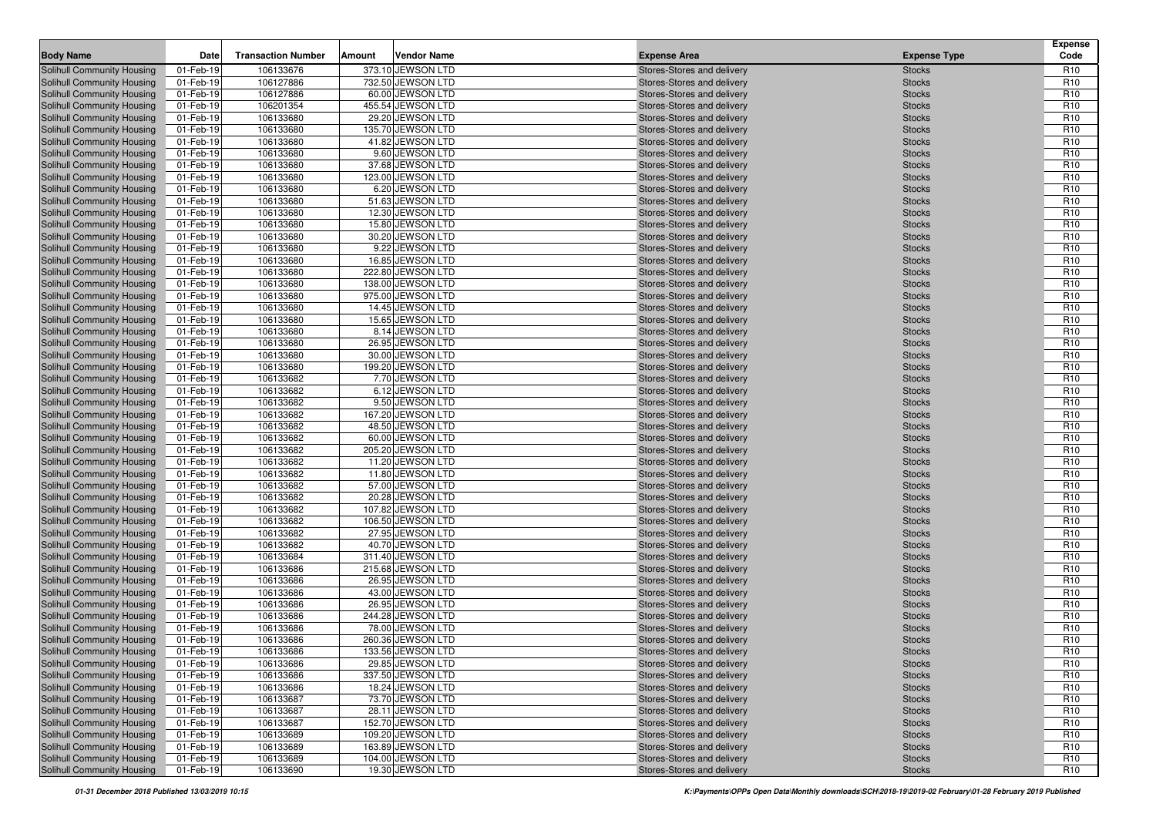| 106133676<br>373.10 JEWSON LTD<br>Solihull Community Housing<br>01-Feb-19<br>Stores-Stores and delivery<br><b>Stocks</b><br>R <sub>10</sub><br>R <sub>10</sub><br>Solihull Community Housing<br>01-Feb-19<br>106127886<br>732.50 JEWSON LTD<br>Stores-Stores and delivery<br><b>Stocks</b><br>106127886<br>R <sub>10</sub><br>01-Feb-19<br>60.00 JEWSON LTD<br><b>Stocks</b><br><b>Solihull Community Housing</b><br>Stores-Stores and delivery<br>455.54 JEWSON LTD<br>R <sub>10</sub><br>01-Feb-19<br>106201354<br>Stores-Stores and delivery<br><b>Stocks</b><br>01-Feb-19<br>106133680<br>29.20 JEWSON LTD<br>R <sub>10</sub><br>Solihull Community Housing<br>Stores-Stores and delivery<br><b>Stocks</b><br>135.70 JEWSON LTD<br>Solihull Community Housing<br>01-Feb-19<br>106133680<br>Stores-Stores and delivery<br><b>Stocks</b><br>R <sub>10</sub><br>01-Feb-19<br>106133680<br>41.82 JEWSON LTD<br>Stores-Stores and delivery<br><b>Stocks</b><br>R <sub>10</sub><br>01-Feb-19<br>106133680<br>9.60 JEWSON LTD<br>R <sub>10</sub><br>Stores-Stores and delivery<br><b>Stocks</b><br>37.68 JEWSON LTD<br>01-Feb-19<br>106133680<br>R <sub>10</sub><br>Stores-Stores and delivery<br><b>Stocks</b><br>106133680<br>R <sub>10</sub><br>01-Feb-19<br>123.00 JEWSON LTD<br><b>Stocks</b><br>Stores-Stores and delivery<br>Solihull Community Housing<br>01-Feb-19<br>106133680<br>6.20 JEWSON LTD<br>R <sub>10</sub><br>Stores-Stores and delivery<br><b>Stocks</b><br>106133680<br>51.63 JEWSON LTD<br>R <sub>10</sub><br>01-Feb-19<br><b>Stocks</b><br>Solihull Community Housing<br>Stores-Stores and delivery<br>106133680<br>12.30 JEWSON LTD<br>R <sub>10</sub><br>Solihull Community Housing<br>01-Feb-19<br>Stores-Stores and delivery<br><b>Stocks</b><br>01-Feb-19<br>106133680<br>15.80 JEWSON LTD<br>Stores-Stores and delivery<br><b>Stocks</b><br>R <sub>10</sub><br>Solihull Community Housing<br>01-Feb-19<br>106133680<br>30.20 JEWSON LTD<br>Stores-Stores and delivery<br>R <sub>10</sub><br><b>Stocks</b><br>R <sub>10</sub><br>01-Feb-19<br>106133680<br>9.22 JEWSON LTD<br>Stores-Stores and delivery<br><b>Stocks</b><br>01-Feb-19<br>106133680<br>16.85 JEWSON LTD<br><b>Stocks</b><br>R <sub>10</sub><br>Stores-Stores and delivery<br>106133680<br>01-Feb-19<br>222.80 JEWSON LTD<br>R <sub>10</sub><br>Stores-Stores and delivery<br><b>Stocks</b><br>106133680<br>R <sub>10</sub><br>01-Feb-19<br>138.00 JEWSON LTD<br>Stores-Stores and delivery<br><b>Stocks</b><br>R <sub>10</sub><br>Solihull Community Housing<br>01-Feb-19<br>106133680<br>975.00 JEWSON LTD<br>Stores-Stores and delivery<br><b>Stocks</b><br>106133680<br>R <sub>10</sub><br><b>Solihull Community Housing</b><br>01-Feb-19<br>14.45 JEWSON LTD<br><b>Stocks</b><br>Stores-Stores and delivery<br>R <sub>10</sub><br>01-Feb-19<br>106133680<br>15.65 JEWSON LTD<br>Stores-Stores and delivery<br><b>Stocks</b><br>R <sub>10</sub><br>01-Feb-19<br>106133680<br>8.14 JEWSON LTD<br><b>Stocks</b><br>Stores-Stores and delivery<br>R <sub>10</sub><br>Solihull Community Housing<br>01-Feb-19<br>106133680<br>26.95 JEWSON LTD<br><b>Stocks</b><br>Stores-Stores and delivery<br>30.00 JEWSON LTD<br>R <sub>10</sub><br>01-Feb-19<br>106133680<br>Stores-Stores and delivery<br><b>Stocks</b><br>106133680<br>199.20 JEWSON LTD<br>R <sub>10</sub><br>Solihull Community Housing<br>01-Feb-19<br>Stores-Stores and delivery<br><b>Stocks</b><br>106133682<br>7.70 JEWSON LTD<br>01-Feb-19<br>R <sub>10</sub><br>Stores-Stores and delivery<br><b>Stocks</b><br>R <sub>10</sub><br>Solihull Community Housing<br>01-Feb-19<br>106133682<br>6.12 JEWSON LTD<br>Stores-Stores and delivery<br><b>Stocks</b><br>9.50 JEWSON LTD<br>R <sub>10</sub><br>Solihull Community Housing<br>01-Feb-19<br>106133682<br>Stores-Stores and delivery<br><b>Stocks</b><br>106133682<br>167.20 JEWSON LTD<br>R <sub>10</sub><br>Solihull Community Housing<br>01-Feb-19<br>Stores-Stores and delivery<br><b>Stocks</b><br>R <sub>10</sub><br><b>Solihull Community Housing</b><br>01-Feb-19<br>106133682<br>48.50 JEWSON LTD<br>Stores-Stores and delivery<br><b>Stocks</b><br>Solihull Community Housing<br>01-Feb-19<br>106133682<br>60.00 JEWSON LTD<br>Stores-Stores and delivery<br><b>Stocks</b><br>R <sub>10</sub><br>106133682<br>R <sub>10</sub><br>Solihull Community Housing<br>01-Feb-19<br>205.20 JEWSON LTD<br>Stores-Stores and delivery<br><b>Stocks</b><br>11.20 JEWSON LTD<br><b>Solihull Community Housing</b><br>01-Feb-19<br>106133682<br>R <sub>10</sub><br>Stores-Stores and delivery<br><b>Stocks</b><br>106133682<br>R <sub>10</sub><br><b>Solihull Community Housing</b><br>01-Feb-19<br>11.80 JEWSON LTD<br><b>Stocks</b><br>Stores-Stores and delivery<br>106133682<br>R <sub>10</sub><br>Solihull Community Housing<br>01-Feb-19<br>57.00 JEWSON LTD<br>Stores-Stores and delivery<br><b>Stocks</b><br>106133682<br>R <sub>10</sub><br>Solihull Community Housing<br>01-Feb-19<br>20.28 JEWSON LTD<br>Stores-Stores and delivery<br><b>Stocks</b><br>107.82 JEWSON LTD<br>R <sub>10</sub><br>Solihull Community Housing<br>01-Feb-19<br>106133682<br><b>Stocks</b><br>Stores-Stores and delivery<br>106133682<br><b>Solihull Community Housing</b><br>01-Feb-19<br>106.50 JEWSON LTD<br>Stores-Stores and delivery<br><b>Stocks</b><br>R <sub>10</sub><br><b>Solihull Community Housing</b><br>01-Feb-19<br>106133682<br>27.95 JEWSON LTD<br><b>Stocks</b><br>R <sub>10</sub><br>Stores-Stores and delivery<br>R <sub>10</sub><br><b>Solihull Community Housing</b><br>01-Feb-19<br>106133682<br>40.70 JEWSON LTD<br><b>Stocks</b><br>Stores-Stores and delivery<br>106133684<br>R <sub>10</sub><br><b>Solihull Community Housing</b><br>01-Feb-19<br>311.40 JEWSON LTD<br><b>Stocks</b><br>Stores-Stores and delivery<br>106133686<br>215.68 JEWSON LTD<br><b>Solihull Community Housing</b><br>01-Feb-19<br>R <sub>10</sub><br>Stores-Stores and delivery<br><b>Stocks</b><br>Solihull Community Housing<br>01-Feb-19<br>106133686<br>26.95 JEWSON LTD<br>R <sub>10</sub><br>Stores-Stores and delivery<br><b>Stocks</b><br>106133686<br>R <sub>10</sub><br>Solihull Community Housing<br>01-Feb-19<br>43.00 JEWSON LTD<br>Stores-Stores and delivery<br><b>Stocks</b><br>106133686<br>26.95 JEWSON LTD<br>R <sub>10</sub><br>01-Feb-19<br>Solihull Community Housing<br>Stores-Stores and delivery<br><b>Stocks</b><br><b>Solihull Community Housing</b><br>01-Feb-19<br>106133686<br>244.28 JEWSON LTD<br>R <sub>10</sub><br>Stores-Stores and delivery<br><b>Stocks</b><br>R <sub>10</sub><br>Solihull Community Housing<br>01-Feb-19<br>106133686<br>78.00 JEWSON LTD<br>Stores-Stores and delivery<br><b>Stocks</b><br>260.36 JEWSON LTD<br>R <sub>10</sub><br>Solihull Community Housing<br>01-Feb-19<br>106133686<br>Stores-Stores and delivery<br><b>Stocks</b><br>Solihull Community Housing<br>106133686<br>133.56 JEWSON LTD<br>R <sub>10</sub><br>01-Feb-19<br>Stores-Stores and delivery<br><b>Stocks</b><br>29.85 JEWSON LTD<br>R <sub>10</sub><br><b>Solihull Community Housing</b><br>01-Feb-19<br>106133686<br>Stores-Stores and delivery<br><b>Stocks</b><br>Solihull Community Housing<br>01-Feb-19<br>106133686<br>337.50 JEWSON LTD<br>Stores-Stores and delivery<br>R <sub>10</sub><br><b>Stocks</b><br>Solihull Community Housing<br>01-Feb-19<br>106133686<br>18.24 JEWSON LTD<br>Stores-Stores and delivery<br>R <sub>10</sub><br><b>Stocks</b><br><b>Solihull Community Housing</b><br>73.70 JEWSON LTD<br>R <sub>10</sub><br>01-Feb-19<br>106133687<br>Stores-Stores and delivery<br><b>Stocks</b><br>106133687<br>28.11 JEWSON LTD<br>Solihull Community Housing<br>01-Feb-19<br>Stores-Stores and delivery<br>R <sub>10</sub><br><b>Stocks</b><br>152.70 JEWSON LTD<br>Solihull Community Housing<br>01-Feb-19<br>106133687<br>Stores-Stores and delivery<br>R <sub>10</sub><br><b>Stocks</b><br>Solihull Community Housing<br>01-Feb-19<br>106133689<br>109.20 JEWSON LTD<br>Stores-Stores and delivery<br>R <sub>10</sub><br><b>Stocks</b><br><b>Solihull Community Housing</b><br>01-Feb-19<br>106133689<br>163.89 JEWSON LTD<br>Stores-Stores and delivery<br>R <sub>10</sub><br><b>Stocks</b><br>104.00 JEWSON LTD<br>Solihull Community Housing<br>01-Feb-19<br>106133689<br>Stores-Stores and delivery<br>R <sub>10</sub><br><b>Stocks</b><br>106133690<br>19.30 JEWSON LTD<br>Stores-Stores and delivery<br><b>Stocks</b><br>R <sub>10</sub><br>01-Feb-19 | <b>Body Name</b>                  | Date | <b>Transaction Number</b> | Amount | <b>Vendor Name</b> | <b>Expense Area</b> | <b>Expense Type</b> | <b>Expense</b><br>Code |
|----------------------------------------------------------------------------------------------------------------------------------------------------------------------------------------------------------------------------------------------------------------------------------------------------------------------------------------------------------------------------------------------------------------------------------------------------------------------------------------------------------------------------------------------------------------------------------------------------------------------------------------------------------------------------------------------------------------------------------------------------------------------------------------------------------------------------------------------------------------------------------------------------------------------------------------------------------------------------------------------------------------------------------------------------------------------------------------------------------------------------------------------------------------------------------------------------------------------------------------------------------------------------------------------------------------------------------------------------------------------------------------------------------------------------------------------------------------------------------------------------------------------------------------------------------------------------------------------------------------------------------------------------------------------------------------------------------------------------------------------------------------------------------------------------------------------------------------------------------------------------------------------------------------------------------------------------------------------------------------------------------------------------------------------------------------------------------------------------------------------------------------------------------------------------------------------------------------------------------------------------------------------------------------------------------------------------------------------------------------------------------------------------------------------------------------------------------------------------------------------------------------------------------------------------------------------------------------------------------------------------------------------------------------------------------------------------------------------------------------------------------------------------------------------------------------------------------------------------------------------------------------------------------------------------------------------------------------------------------------------------------------------------------------------------------------------------------------------------------------------------------------------------------------------------------------------------------------------------------------------------------------------------------------------------------------------------------------------------------------------------------------------------------------------------------------------------------------------------------------------------------------------------------------------------------------------------------------------------------------------------------------------------------------------------------------------------------------------------------------------------------------------------------------------------------------------------------------------------------------------------------------------------------------------------------------------------------------------------------------------------------------------------------------------------------------------------------------------------------------------------------------------------------------------------------------------------------------------------------------------------------------------------------------------------------------------------------------------------------------------------------------------------------------------------------------------------------------------------------------------------------------------------------------------------------------------------------------------------------------------------------------------------------------------------------------------------------------------------------------------------------------------------------------------------------------------------------------------------------------------------------------------------------------------------------------------------------------------------------------------------------------------------------------------------------------------------------------------------------------------------------------------------------------------------------------------------------------------------------------------------------------------------------------------------------------------------------------------------------------------------------------------------------------------------------------------------------------------------------------------------------------------------------------------------------------------------------------------------------------------------------------------------------------------------------------------------------------------------------------------------------------------------------------------------------------------------------------------------------------------------------------------------------------------------------------------------------------------------------------------------------------------------------------------------------------------------------------------------------------------------------------------------------------------------------------------------------------------------------------------------------------------------------------------------------------------------------------------------------------------------------------------------------------------------------------------------------------------------------------------------------------------------------------------------------------------------------------------------------------------------------------------------------------------------------------------------------------------------------------------------------------------------------------------------------------------------------------------------------------------------------------------------------------------------------------------------------------------------------------------------------------------------------------------------------------------------------------------------------------------------------------------------------------------------------------------------------------------------------------------------------------------------------------------------------------------------------------------------------------------------------------------------------------------------------------------------------------------------------------------------------------------------------------------------------------------------------------------------------------------------------------------------------------------------------------------------------------------------------------------------------------------------------------------------------------------------------------------------------------------------------------------------------------------------------------------------------------------------------------------------------------------------------------------------------------------------------------------------------------------------------------------------------------------------------------------------------------------------------------------------------------------------------------------------------------------------------------------------------------------------------------------------------------------------------------------------------------------------------------------------------------------|-----------------------------------|------|---------------------------|--------|--------------------|---------------------|---------------------|------------------------|
|                                                                                                                                                                                                                                                                                                                                                                                                                                                                                                                                                                                                                                                                                                                                                                                                                                                                                                                                                                                                                                                                                                                                                                                                                                                                                                                                                                                                                                                                                                                                                                                                                                                                                                                                                                                                                                                                                                                                                                                                                                                                                                                                                                                                                                                                                                                                                                                                                                                                                                                                                                                                                                                                                                                                                                                                                                                                                                                                                                                                                                                                                                                                                                                                                                                                                                                                                                                                                                                                                                                                                                                                                                                                                                                                                                                                                                                                                                                                                                                                                                                                                                                                                                                                                                                                                                                                                                                                                                                                                                                                                                                                                                                                                                                                                                                                                                                                                                                                                                                                                                                                                                                                                                                                                                                                                                                                                                                                                                                                                                                                                                                                                                                                                                                                                                                                                                                                                                                                                                                                                                                                                                                                                                                                                                                                                                                                                                                                                                                                                                                                                                                                                                                                                                                                                                                                                                                                                                                                                                                                                                                                                                                                                                                                                                                                                                                                                                                                                                                                                                                                                                                                                                                                                                                                                                                                                                                                                                                                                                                                                                                                                                                                                                                                                                                                                                                                                                                                                                                                                                                      |                                   |      |                           |        |                    |                     |                     |                        |
|                                                                                                                                                                                                                                                                                                                                                                                                                                                                                                                                                                                                                                                                                                                                                                                                                                                                                                                                                                                                                                                                                                                                                                                                                                                                                                                                                                                                                                                                                                                                                                                                                                                                                                                                                                                                                                                                                                                                                                                                                                                                                                                                                                                                                                                                                                                                                                                                                                                                                                                                                                                                                                                                                                                                                                                                                                                                                                                                                                                                                                                                                                                                                                                                                                                                                                                                                                                                                                                                                                                                                                                                                                                                                                                                                                                                                                                                                                                                                                                                                                                                                                                                                                                                                                                                                                                                                                                                                                                                                                                                                                                                                                                                                                                                                                                                                                                                                                                                                                                                                                                                                                                                                                                                                                                                                                                                                                                                                                                                                                                                                                                                                                                                                                                                                                                                                                                                                                                                                                                                                                                                                                                                                                                                                                                                                                                                                                                                                                                                                                                                                                                                                                                                                                                                                                                                                                                                                                                                                                                                                                                                                                                                                                                                                                                                                                                                                                                                                                                                                                                                                                                                                                                                                                                                                                                                                                                                                                                                                                                                                                                                                                                                                                                                                                                                                                                                                                                                                                                                                                                      |                                   |      |                           |        |                    |                     |                     |                        |
|                                                                                                                                                                                                                                                                                                                                                                                                                                                                                                                                                                                                                                                                                                                                                                                                                                                                                                                                                                                                                                                                                                                                                                                                                                                                                                                                                                                                                                                                                                                                                                                                                                                                                                                                                                                                                                                                                                                                                                                                                                                                                                                                                                                                                                                                                                                                                                                                                                                                                                                                                                                                                                                                                                                                                                                                                                                                                                                                                                                                                                                                                                                                                                                                                                                                                                                                                                                                                                                                                                                                                                                                                                                                                                                                                                                                                                                                                                                                                                                                                                                                                                                                                                                                                                                                                                                                                                                                                                                                                                                                                                                                                                                                                                                                                                                                                                                                                                                                                                                                                                                                                                                                                                                                                                                                                                                                                                                                                                                                                                                                                                                                                                                                                                                                                                                                                                                                                                                                                                                                                                                                                                                                                                                                                                                                                                                                                                                                                                                                                                                                                                                                                                                                                                                                                                                                                                                                                                                                                                                                                                                                                                                                                                                                                                                                                                                                                                                                                                                                                                                                                                                                                                                                                                                                                                                                                                                                                                                                                                                                                                                                                                                                                                                                                                                                                                                                                                                                                                                                                                                      |                                   |      |                           |        |                    |                     |                     |                        |
|                                                                                                                                                                                                                                                                                                                                                                                                                                                                                                                                                                                                                                                                                                                                                                                                                                                                                                                                                                                                                                                                                                                                                                                                                                                                                                                                                                                                                                                                                                                                                                                                                                                                                                                                                                                                                                                                                                                                                                                                                                                                                                                                                                                                                                                                                                                                                                                                                                                                                                                                                                                                                                                                                                                                                                                                                                                                                                                                                                                                                                                                                                                                                                                                                                                                                                                                                                                                                                                                                                                                                                                                                                                                                                                                                                                                                                                                                                                                                                                                                                                                                                                                                                                                                                                                                                                                                                                                                                                                                                                                                                                                                                                                                                                                                                                                                                                                                                                                                                                                                                                                                                                                                                                                                                                                                                                                                                                                                                                                                                                                                                                                                                                                                                                                                                                                                                                                                                                                                                                                                                                                                                                                                                                                                                                                                                                                                                                                                                                                                                                                                                                                                                                                                                                                                                                                                                                                                                                                                                                                                                                                                                                                                                                                                                                                                                                                                                                                                                                                                                                                                                                                                                                                                                                                                                                                                                                                                                                                                                                                                                                                                                                                                                                                                                                                                                                                                                                                                                                                                                                      | Solihull Community Housing        |      |                           |        |                    |                     |                     |                        |
|                                                                                                                                                                                                                                                                                                                                                                                                                                                                                                                                                                                                                                                                                                                                                                                                                                                                                                                                                                                                                                                                                                                                                                                                                                                                                                                                                                                                                                                                                                                                                                                                                                                                                                                                                                                                                                                                                                                                                                                                                                                                                                                                                                                                                                                                                                                                                                                                                                                                                                                                                                                                                                                                                                                                                                                                                                                                                                                                                                                                                                                                                                                                                                                                                                                                                                                                                                                                                                                                                                                                                                                                                                                                                                                                                                                                                                                                                                                                                                                                                                                                                                                                                                                                                                                                                                                                                                                                                                                                                                                                                                                                                                                                                                                                                                                                                                                                                                                                                                                                                                                                                                                                                                                                                                                                                                                                                                                                                                                                                                                                                                                                                                                                                                                                                                                                                                                                                                                                                                                                                                                                                                                                                                                                                                                                                                                                                                                                                                                                                                                                                                                                                                                                                                                                                                                                                                                                                                                                                                                                                                                                                                                                                                                                                                                                                                                                                                                                                                                                                                                                                                                                                                                                                                                                                                                                                                                                                                                                                                                                                                                                                                                                                                                                                                                                                                                                                                                                                                                                                                                      |                                   |      |                           |        |                    |                     |                     |                        |
|                                                                                                                                                                                                                                                                                                                                                                                                                                                                                                                                                                                                                                                                                                                                                                                                                                                                                                                                                                                                                                                                                                                                                                                                                                                                                                                                                                                                                                                                                                                                                                                                                                                                                                                                                                                                                                                                                                                                                                                                                                                                                                                                                                                                                                                                                                                                                                                                                                                                                                                                                                                                                                                                                                                                                                                                                                                                                                                                                                                                                                                                                                                                                                                                                                                                                                                                                                                                                                                                                                                                                                                                                                                                                                                                                                                                                                                                                                                                                                                                                                                                                                                                                                                                                                                                                                                                                                                                                                                                                                                                                                                                                                                                                                                                                                                                                                                                                                                                                                                                                                                                                                                                                                                                                                                                                                                                                                                                                                                                                                                                                                                                                                                                                                                                                                                                                                                                                                                                                                                                                                                                                                                                                                                                                                                                                                                                                                                                                                                                                                                                                                                                                                                                                                                                                                                                                                                                                                                                                                                                                                                                                                                                                                                                                                                                                                                                                                                                                                                                                                                                                                                                                                                                                                                                                                                                                                                                                                                                                                                                                                                                                                                                                                                                                                                                                                                                                                                                                                                                                                                      |                                   |      |                           |        |                    |                     |                     |                        |
|                                                                                                                                                                                                                                                                                                                                                                                                                                                                                                                                                                                                                                                                                                                                                                                                                                                                                                                                                                                                                                                                                                                                                                                                                                                                                                                                                                                                                                                                                                                                                                                                                                                                                                                                                                                                                                                                                                                                                                                                                                                                                                                                                                                                                                                                                                                                                                                                                                                                                                                                                                                                                                                                                                                                                                                                                                                                                                                                                                                                                                                                                                                                                                                                                                                                                                                                                                                                                                                                                                                                                                                                                                                                                                                                                                                                                                                                                                                                                                                                                                                                                                                                                                                                                                                                                                                                                                                                                                                                                                                                                                                                                                                                                                                                                                                                                                                                                                                                                                                                                                                                                                                                                                                                                                                                                                                                                                                                                                                                                                                                                                                                                                                                                                                                                                                                                                                                                                                                                                                                                                                                                                                                                                                                                                                                                                                                                                                                                                                                                                                                                                                                                                                                                                                                                                                                                                                                                                                                                                                                                                                                                                                                                                                                                                                                                                                                                                                                                                                                                                                                                                                                                                                                                                                                                                                                                                                                                                                                                                                                                                                                                                                                                                                                                                                                                                                                                                                                                                                                                                                      | Solihull Community Housing        |      |                           |        |                    |                     |                     |                        |
|                                                                                                                                                                                                                                                                                                                                                                                                                                                                                                                                                                                                                                                                                                                                                                                                                                                                                                                                                                                                                                                                                                                                                                                                                                                                                                                                                                                                                                                                                                                                                                                                                                                                                                                                                                                                                                                                                                                                                                                                                                                                                                                                                                                                                                                                                                                                                                                                                                                                                                                                                                                                                                                                                                                                                                                                                                                                                                                                                                                                                                                                                                                                                                                                                                                                                                                                                                                                                                                                                                                                                                                                                                                                                                                                                                                                                                                                                                                                                                                                                                                                                                                                                                                                                                                                                                                                                                                                                                                                                                                                                                                                                                                                                                                                                                                                                                                                                                                                                                                                                                                                                                                                                                                                                                                                                                                                                                                                                                                                                                                                                                                                                                                                                                                                                                                                                                                                                                                                                                                                                                                                                                                                                                                                                                                                                                                                                                                                                                                                                                                                                                                                                                                                                                                                                                                                                                                                                                                                                                                                                                                                                                                                                                                                                                                                                                                                                                                                                                                                                                                                                                                                                                                                                                                                                                                                                                                                                                                                                                                                                                                                                                                                                                                                                                                                                                                                                                                                                                                                                                                      | Solihull Community Housing        |      |                           |        |                    |                     |                     |                        |
|                                                                                                                                                                                                                                                                                                                                                                                                                                                                                                                                                                                                                                                                                                                                                                                                                                                                                                                                                                                                                                                                                                                                                                                                                                                                                                                                                                                                                                                                                                                                                                                                                                                                                                                                                                                                                                                                                                                                                                                                                                                                                                                                                                                                                                                                                                                                                                                                                                                                                                                                                                                                                                                                                                                                                                                                                                                                                                                                                                                                                                                                                                                                                                                                                                                                                                                                                                                                                                                                                                                                                                                                                                                                                                                                                                                                                                                                                                                                                                                                                                                                                                                                                                                                                                                                                                                                                                                                                                                                                                                                                                                                                                                                                                                                                                                                                                                                                                                                                                                                                                                                                                                                                                                                                                                                                                                                                                                                                                                                                                                                                                                                                                                                                                                                                                                                                                                                                                                                                                                                                                                                                                                                                                                                                                                                                                                                                                                                                                                                                                                                                                                                                                                                                                                                                                                                                                                                                                                                                                                                                                                                                                                                                                                                                                                                                                                                                                                                                                                                                                                                                                                                                                                                                                                                                                                                                                                                                                                                                                                                                                                                                                                                                                                                                                                                                                                                                                                                                                                                                                                      | Solihull Community Housing        |      |                           |        |                    |                     |                     |                        |
|                                                                                                                                                                                                                                                                                                                                                                                                                                                                                                                                                                                                                                                                                                                                                                                                                                                                                                                                                                                                                                                                                                                                                                                                                                                                                                                                                                                                                                                                                                                                                                                                                                                                                                                                                                                                                                                                                                                                                                                                                                                                                                                                                                                                                                                                                                                                                                                                                                                                                                                                                                                                                                                                                                                                                                                                                                                                                                                                                                                                                                                                                                                                                                                                                                                                                                                                                                                                                                                                                                                                                                                                                                                                                                                                                                                                                                                                                                                                                                                                                                                                                                                                                                                                                                                                                                                                                                                                                                                                                                                                                                                                                                                                                                                                                                                                                                                                                                                                                                                                                                                                                                                                                                                                                                                                                                                                                                                                                                                                                                                                                                                                                                                                                                                                                                                                                                                                                                                                                                                                                                                                                                                                                                                                                                                                                                                                                                                                                                                                                                                                                                                                                                                                                                                                                                                                                                                                                                                                                                                                                                                                                                                                                                                                                                                                                                                                                                                                                                                                                                                                                                                                                                                                                                                                                                                                                                                                                                                                                                                                                                                                                                                                                                                                                                                                                                                                                                                                                                                                                                                      | <b>Solihull Community Housing</b> |      |                           |        |                    |                     |                     |                        |
|                                                                                                                                                                                                                                                                                                                                                                                                                                                                                                                                                                                                                                                                                                                                                                                                                                                                                                                                                                                                                                                                                                                                                                                                                                                                                                                                                                                                                                                                                                                                                                                                                                                                                                                                                                                                                                                                                                                                                                                                                                                                                                                                                                                                                                                                                                                                                                                                                                                                                                                                                                                                                                                                                                                                                                                                                                                                                                                                                                                                                                                                                                                                                                                                                                                                                                                                                                                                                                                                                                                                                                                                                                                                                                                                                                                                                                                                                                                                                                                                                                                                                                                                                                                                                                                                                                                                                                                                                                                                                                                                                                                                                                                                                                                                                                                                                                                                                                                                                                                                                                                                                                                                                                                                                                                                                                                                                                                                                                                                                                                                                                                                                                                                                                                                                                                                                                                                                                                                                                                                                                                                                                                                                                                                                                                                                                                                                                                                                                                                                                                                                                                                                                                                                                                                                                                                                                                                                                                                                                                                                                                                                                                                                                                                                                                                                                                                                                                                                                                                                                                                                                                                                                                                                                                                                                                                                                                                                                                                                                                                                                                                                                                                                                                                                                                                                                                                                                                                                                                                                                                      |                                   |      |                           |        |                    |                     |                     |                        |
|                                                                                                                                                                                                                                                                                                                                                                                                                                                                                                                                                                                                                                                                                                                                                                                                                                                                                                                                                                                                                                                                                                                                                                                                                                                                                                                                                                                                                                                                                                                                                                                                                                                                                                                                                                                                                                                                                                                                                                                                                                                                                                                                                                                                                                                                                                                                                                                                                                                                                                                                                                                                                                                                                                                                                                                                                                                                                                                                                                                                                                                                                                                                                                                                                                                                                                                                                                                                                                                                                                                                                                                                                                                                                                                                                                                                                                                                                                                                                                                                                                                                                                                                                                                                                                                                                                                                                                                                                                                                                                                                                                                                                                                                                                                                                                                                                                                                                                                                                                                                                                                                                                                                                                                                                                                                                                                                                                                                                                                                                                                                                                                                                                                                                                                                                                                                                                                                                                                                                                                                                                                                                                                                                                                                                                                                                                                                                                                                                                                                                                                                                                                                                                                                                                                                                                                                                                                                                                                                                                                                                                                                                                                                                                                                                                                                                                                                                                                                                                                                                                                                                                                                                                                                                                                                                                                                                                                                                                                                                                                                                                                                                                                                                                                                                                                                                                                                                                                                                                                                                                                      |                                   |      |                           |        |                    |                     |                     |                        |
|                                                                                                                                                                                                                                                                                                                                                                                                                                                                                                                                                                                                                                                                                                                                                                                                                                                                                                                                                                                                                                                                                                                                                                                                                                                                                                                                                                                                                                                                                                                                                                                                                                                                                                                                                                                                                                                                                                                                                                                                                                                                                                                                                                                                                                                                                                                                                                                                                                                                                                                                                                                                                                                                                                                                                                                                                                                                                                                                                                                                                                                                                                                                                                                                                                                                                                                                                                                                                                                                                                                                                                                                                                                                                                                                                                                                                                                                                                                                                                                                                                                                                                                                                                                                                                                                                                                                                                                                                                                                                                                                                                                                                                                                                                                                                                                                                                                                                                                                                                                                                                                                                                                                                                                                                                                                                                                                                                                                                                                                                                                                                                                                                                                                                                                                                                                                                                                                                                                                                                                                                                                                                                                                                                                                                                                                                                                                                                                                                                                                                                                                                                                                                                                                                                                                                                                                                                                                                                                                                                                                                                                                                                                                                                                                                                                                                                                                                                                                                                                                                                                                                                                                                                                                                                                                                                                                                                                                                                                                                                                                                                                                                                                                                                                                                                                                                                                                                                                                                                                                                                                      |                                   |      |                           |        |                    |                     |                     |                        |
|                                                                                                                                                                                                                                                                                                                                                                                                                                                                                                                                                                                                                                                                                                                                                                                                                                                                                                                                                                                                                                                                                                                                                                                                                                                                                                                                                                                                                                                                                                                                                                                                                                                                                                                                                                                                                                                                                                                                                                                                                                                                                                                                                                                                                                                                                                                                                                                                                                                                                                                                                                                                                                                                                                                                                                                                                                                                                                                                                                                                                                                                                                                                                                                                                                                                                                                                                                                                                                                                                                                                                                                                                                                                                                                                                                                                                                                                                                                                                                                                                                                                                                                                                                                                                                                                                                                                                                                                                                                                                                                                                                                                                                                                                                                                                                                                                                                                                                                                                                                                                                                                                                                                                                                                                                                                                                                                                                                                                                                                                                                                                                                                                                                                                                                                                                                                                                                                                                                                                                                                                                                                                                                                                                                                                                                                                                                                                                                                                                                                                                                                                                                                                                                                                                                                                                                                                                                                                                                                                                                                                                                                                                                                                                                                                                                                                                                                                                                                                                                                                                                                                                                                                                                                                                                                                                                                                                                                                                                                                                                                                                                                                                                                                                                                                                                                                                                                                                                                                                                                                                                      | <b>Solihull Community Housing</b> |      |                           |        |                    |                     |                     |                        |
|                                                                                                                                                                                                                                                                                                                                                                                                                                                                                                                                                                                                                                                                                                                                                                                                                                                                                                                                                                                                                                                                                                                                                                                                                                                                                                                                                                                                                                                                                                                                                                                                                                                                                                                                                                                                                                                                                                                                                                                                                                                                                                                                                                                                                                                                                                                                                                                                                                                                                                                                                                                                                                                                                                                                                                                                                                                                                                                                                                                                                                                                                                                                                                                                                                                                                                                                                                                                                                                                                                                                                                                                                                                                                                                                                                                                                                                                                                                                                                                                                                                                                                                                                                                                                                                                                                                                                                                                                                                                                                                                                                                                                                                                                                                                                                                                                                                                                                                                                                                                                                                                                                                                                                                                                                                                                                                                                                                                                                                                                                                                                                                                                                                                                                                                                                                                                                                                                                                                                                                                                                                                                                                                                                                                                                                                                                                                                                                                                                                                                                                                                                                                                                                                                                                                                                                                                                                                                                                                                                                                                                                                                                                                                                                                                                                                                                                                                                                                                                                                                                                                                                                                                                                                                                                                                                                                                                                                                                                                                                                                                                                                                                                                                                                                                                                                                                                                                                                                                                                                                                                      |                                   |      |                           |        |                    |                     |                     |                        |
|                                                                                                                                                                                                                                                                                                                                                                                                                                                                                                                                                                                                                                                                                                                                                                                                                                                                                                                                                                                                                                                                                                                                                                                                                                                                                                                                                                                                                                                                                                                                                                                                                                                                                                                                                                                                                                                                                                                                                                                                                                                                                                                                                                                                                                                                                                                                                                                                                                                                                                                                                                                                                                                                                                                                                                                                                                                                                                                                                                                                                                                                                                                                                                                                                                                                                                                                                                                                                                                                                                                                                                                                                                                                                                                                                                                                                                                                                                                                                                                                                                                                                                                                                                                                                                                                                                                                                                                                                                                                                                                                                                                                                                                                                                                                                                                                                                                                                                                                                                                                                                                                                                                                                                                                                                                                                                                                                                                                                                                                                                                                                                                                                                                                                                                                                                                                                                                                                                                                                                                                                                                                                                                                                                                                                                                                                                                                                                                                                                                                                                                                                                                                                                                                                                                                                                                                                                                                                                                                                                                                                                                                                                                                                                                                                                                                                                                                                                                                                                                                                                                                                                                                                                                                                                                                                                                                                                                                                                                                                                                                                                                                                                                                                                                                                                                                                                                                                                                                                                                                                                                      | <b>Solihull Community Housing</b> |      |                           |        |                    |                     |                     |                        |
|                                                                                                                                                                                                                                                                                                                                                                                                                                                                                                                                                                                                                                                                                                                                                                                                                                                                                                                                                                                                                                                                                                                                                                                                                                                                                                                                                                                                                                                                                                                                                                                                                                                                                                                                                                                                                                                                                                                                                                                                                                                                                                                                                                                                                                                                                                                                                                                                                                                                                                                                                                                                                                                                                                                                                                                                                                                                                                                                                                                                                                                                                                                                                                                                                                                                                                                                                                                                                                                                                                                                                                                                                                                                                                                                                                                                                                                                                                                                                                                                                                                                                                                                                                                                                                                                                                                                                                                                                                                                                                                                                                                                                                                                                                                                                                                                                                                                                                                                                                                                                                                                                                                                                                                                                                                                                                                                                                                                                                                                                                                                                                                                                                                                                                                                                                                                                                                                                                                                                                                                                                                                                                                                                                                                                                                                                                                                                                                                                                                                                                                                                                                                                                                                                                                                                                                                                                                                                                                                                                                                                                                                                                                                                                                                                                                                                                                                                                                                                                                                                                                                                                                                                                                                                                                                                                                                                                                                                                                                                                                                                                                                                                                                                                                                                                                                                                                                                                                                                                                                                                                      | <b>Solihull Community Housing</b> |      |                           |        |                    |                     |                     |                        |
|                                                                                                                                                                                                                                                                                                                                                                                                                                                                                                                                                                                                                                                                                                                                                                                                                                                                                                                                                                                                                                                                                                                                                                                                                                                                                                                                                                                                                                                                                                                                                                                                                                                                                                                                                                                                                                                                                                                                                                                                                                                                                                                                                                                                                                                                                                                                                                                                                                                                                                                                                                                                                                                                                                                                                                                                                                                                                                                                                                                                                                                                                                                                                                                                                                                                                                                                                                                                                                                                                                                                                                                                                                                                                                                                                                                                                                                                                                                                                                                                                                                                                                                                                                                                                                                                                                                                                                                                                                                                                                                                                                                                                                                                                                                                                                                                                                                                                                                                                                                                                                                                                                                                                                                                                                                                                                                                                                                                                                                                                                                                                                                                                                                                                                                                                                                                                                                                                                                                                                                                                                                                                                                                                                                                                                                                                                                                                                                                                                                                                                                                                                                                                                                                                                                                                                                                                                                                                                                                                                                                                                                                                                                                                                                                                                                                                                                                                                                                                                                                                                                                                                                                                                                                                                                                                                                                                                                                                                                                                                                                                                                                                                                                                                                                                                                                                                                                                                                                                                                                                                                      | Solihull Community Housing        |      |                           |        |                    |                     |                     |                        |
|                                                                                                                                                                                                                                                                                                                                                                                                                                                                                                                                                                                                                                                                                                                                                                                                                                                                                                                                                                                                                                                                                                                                                                                                                                                                                                                                                                                                                                                                                                                                                                                                                                                                                                                                                                                                                                                                                                                                                                                                                                                                                                                                                                                                                                                                                                                                                                                                                                                                                                                                                                                                                                                                                                                                                                                                                                                                                                                                                                                                                                                                                                                                                                                                                                                                                                                                                                                                                                                                                                                                                                                                                                                                                                                                                                                                                                                                                                                                                                                                                                                                                                                                                                                                                                                                                                                                                                                                                                                                                                                                                                                                                                                                                                                                                                                                                                                                                                                                                                                                                                                                                                                                                                                                                                                                                                                                                                                                                                                                                                                                                                                                                                                                                                                                                                                                                                                                                                                                                                                                                                                                                                                                                                                                                                                                                                                                                                                                                                                                                                                                                                                                                                                                                                                                                                                                                                                                                                                                                                                                                                                                                                                                                                                                                                                                                                                                                                                                                                                                                                                                                                                                                                                                                                                                                                                                                                                                                                                                                                                                                                                                                                                                                                                                                                                                                                                                                                                                                                                                                                                      | <b>Solihull Community Housing</b> |      |                           |        |                    |                     |                     |                        |
|                                                                                                                                                                                                                                                                                                                                                                                                                                                                                                                                                                                                                                                                                                                                                                                                                                                                                                                                                                                                                                                                                                                                                                                                                                                                                                                                                                                                                                                                                                                                                                                                                                                                                                                                                                                                                                                                                                                                                                                                                                                                                                                                                                                                                                                                                                                                                                                                                                                                                                                                                                                                                                                                                                                                                                                                                                                                                                                                                                                                                                                                                                                                                                                                                                                                                                                                                                                                                                                                                                                                                                                                                                                                                                                                                                                                                                                                                                                                                                                                                                                                                                                                                                                                                                                                                                                                                                                                                                                                                                                                                                                                                                                                                                                                                                                                                                                                                                                                                                                                                                                                                                                                                                                                                                                                                                                                                                                                                                                                                                                                                                                                                                                                                                                                                                                                                                                                                                                                                                                                                                                                                                                                                                                                                                                                                                                                                                                                                                                                                                                                                                                                                                                                                                                                                                                                                                                                                                                                                                                                                                                                                                                                                                                                                                                                                                                                                                                                                                                                                                                                                                                                                                                                                                                                                                                                                                                                                                                                                                                                                                                                                                                                                                                                                                                                                                                                                                                                                                                                                                                      |                                   |      |                           |        |                    |                     |                     |                        |
|                                                                                                                                                                                                                                                                                                                                                                                                                                                                                                                                                                                                                                                                                                                                                                                                                                                                                                                                                                                                                                                                                                                                                                                                                                                                                                                                                                                                                                                                                                                                                                                                                                                                                                                                                                                                                                                                                                                                                                                                                                                                                                                                                                                                                                                                                                                                                                                                                                                                                                                                                                                                                                                                                                                                                                                                                                                                                                                                                                                                                                                                                                                                                                                                                                                                                                                                                                                                                                                                                                                                                                                                                                                                                                                                                                                                                                                                                                                                                                                                                                                                                                                                                                                                                                                                                                                                                                                                                                                                                                                                                                                                                                                                                                                                                                                                                                                                                                                                                                                                                                                                                                                                                                                                                                                                                                                                                                                                                                                                                                                                                                                                                                                                                                                                                                                                                                                                                                                                                                                                                                                                                                                                                                                                                                                                                                                                                                                                                                                                                                                                                                                                                                                                                                                                                                                                                                                                                                                                                                                                                                                                                                                                                                                                                                                                                                                                                                                                                                                                                                                                                                                                                                                                                                                                                                                                                                                                                                                                                                                                                                                                                                                                                                                                                                                                                                                                                                                                                                                                                                                      |                                   |      |                           |        |                    |                     |                     |                        |
|                                                                                                                                                                                                                                                                                                                                                                                                                                                                                                                                                                                                                                                                                                                                                                                                                                                                                                                                                                                                                                                                                                                                                                                                                                                                                                                                                                                                                                                                                                                                                                                                                                                                                                                                                                                                                                                                                                                                                                                                                                                                                                                                                                                                                                                                                                                                                                                                                                                                                                                                                                                                                                                                                                                                                                                                                                                                                                                                                                                                                                                                                                                                                                                                                                                                                                                                                                                                                                                                                                                                                                                                                                                                                                                                                                                                                                                                                                                                                                                                                                                                                                                                                                                                                                                                                                                                                                                                                                                                                                                                                                                                                                                                                                                                                                                                                                                                                                                                                                                                                                                                                                                                                                                                                                                                                                                                                                                                                                                                                                                                                                                                                                                                                                                                                                                                                                                                                                                                                                                                                                                                                                                                                                                                                                                                                                                                                                                                                                                                                                                                                                                                                                                                                                                                                                                                                                                                                                                                                                                                                                                                                                                                                                                                                                                                                                                                                                                                                                                                                                                                                                                                                                                                                                                                                                                                                                                                                                                                                                                                                                                                                                                                                                                                                                                                                                                                                                                                                                                                                                                      | <b>Solihull Community Housing</b> |      |                           |        |                    |                     |                     |                        |
|                                                                                                                                                                                                                                                                                                                                                                                                                                                                                                                                                                                                                                                                                                                                                                                                                                                                                                                                                                                                                                                                                                                                                                                                                                                                                                                                                                                                                                                                                                                                                                                                                                                                                                                                                                                                                                                                                                                                                                                                                                                                                                                                                                                                                                                                                                                                                                                                                                                                                                                                                                                                                                                                                                                                                                                                                                                                                                                                                                                                                                                                                                                                                                                                                                                                                                                                                                                                                                                                                                                                                                                                                                                                                                                                                                                                                                                                                                                                                                                                                                                                                                                                                                                                                                                                                                                                                                                                                                                                                                                                                                                                                                                                                                                                                                                                                                                                                                                                                                                                                                                                                                                                                                                                                                                                                                                                                                                                                                                                                                                                                                                                                                                                                                                                                                                                                                                                                                                                                                                                                                                                                                                                                                                                                                                                                                                                                                                                                                                                                                                                                                                                                                                                                                                                                                                                                                                                                                                                                                                                                                                                                                                                                                                                                                                                                                                                                                                                                                                                                                                                                                                                                                                                                                                                                                                                                                                                                                                                                                                                                                                                                                                                                                                                                                                                                                                                                                                                                                                                                                                      | <b>Solihull Community Housing</b> |      |                           |        |                    |                     |                     |                        |
|                                                                                                                                                                                                                                                                                                                                                                                                                                                                                                                                                                                                                                                                                                                                                                                                                                                                                                                                                                                                                                                                                                                                                                                                                                                                                                                                                                                                                                                                                                                                                                                                                                                                                                                                                                                                                                                                                                                                                                                                                                                                                                                                                                                                                                                                                                                                                                                                                                                                                                                                                                                                                                                                                                                                                                                                                                                                                                                                                                                                                                                                                                                                                                                                                                                                                                                                                                                                                                                                                                                                                                                                                                                                                                                                                                                                                                                                                                                                                                                                                                                                                                                                                                                                                                                                                                                                                                                                                                                                                                                                                                                                                                                                                                                                                                                                                                                                                                                                                                                                                                                                                                                                                                                                                                                                                                                                                                                                                                                                                                                                                                                                                                                                                                                                                                                                                                                                                                                                                                                                                                                                                                                                                                                                                                                                                                                                                                                                                                                                                                                                                                                                                                                                                                                                                                                                                                                                                                                                                                                                                                                                                                                                                                                                                                                                                                                                                                                                                                                                                                                                                                                                                                                                                                                                                                                                                                                                                                                                                                                                                                                                                                                                                                                                                                                                                                                                                                                                                                                                                                                      |                                   |      |                           |        |                    |                     |                     |                        |
|                                                                                                                                                                                                                                                                                                                                                                                                                                                                                                                                                                                                                                                                                                                                                                                                                                                                                                                                                                                                                                                                                                                                                                                                                                                                                                                                                                                                                                                                                                                                                                                                                                                                                                                                                                                                                                                                                                                                                                                                                                                                                                                                                                                                                                                                                                                                                                                                                                                                                                                                                                                                                                                                                                                                                                                                                                                                                                                                                                                                                                                                                                                                                                                                                                                                                                                                                                                                                                                                                                                                                                                                                                                                                                                                                                                                                                                                                                                                                                                                                                                                                                                                                                                                                                                                                                                                                                                                                                                                                                                                                                                                                                                                                                                                                                                                                                                                                                                                                                                                                                                                                                                                                                                                                                                                                                                                                                                                                                                                                                                                                                                                                                                                                                                                                                                                                                                                                                                                                                                                                                                                                                                                                                                                                                                                                                                                                                                                                                                                                                                                                                                                                                                                                                                                                                                                                                                                                                                                                                                                                                                                                                                                                                                                                                                                                                                                                                                                                                                                                                                                                                                                                                                                                                                                                                                                                                                                                                                                                                                                                                                                                                                                                                                                                                                                                                                                                                                                                                                                                                                      | <b>Solihull Community Housing</b> |      |                           |        |                    |                     |                     |                        |
|                                                                                                                                                                                                                                                                                                                                                                                                                                                                                                                                                                                                                                                                                                                                                                                                                                                                                                                                                                                                                                                                                                                                                                                                                                                                                                                                                                                                                                                                                                                                                                                                                                                                                                                                                                                                                                                                                                                                                                                                                                                                                                                                                                                                                                                                                                                                                                                                                                                                                                                                                                                                                                                                                                                                                                                                                                                                                                                                                                                                                                                                                                                                                                                                                                                                                                                                                                                                                                                                                                                                                                                                                                                                                                                                                                                                                                                                                                                                                                                                                                                                                                                                                                                                                                                                                                                                                                                                                                                                                                                                                                                                                                                                                                                                                                                                                                                                                                                                                                                                                                                                                                                                                                                                                                                                                                                                                                                                                                                                                                                                                                                                                                                                                                                                                                                                                                                                                                                                                                                                                                                                                                                                                                                                                                                                                                                                                                                                                                                                                                                                                                                                                                                                                                                                                                                                                                                                                                                                                                                                                                                                                                                                                                                                                                                                                                                                                                                                                                                                                                                                                                                                                                                                                                                                                                                                                                                                                                                                                                                                                                                                                                                                                                                                                                                                                                                                                                                                                                                                                                                      |                                   |      |                           |        |                    |                     |                     |                        |
|                                                                                                                                                                                                                                                                                                                                                                                                                                                                                                                                                                                                                                                                                                                                                                                                                                                                                                                                                                                                                                                                                                                                                                                                                                                                                                                                                                                                                                                                                                                                                                                                                                                                                                                                                                                                                                                                                                                                                                                                                                                                                                                                                                                                                                                                                                                                                                                                                                                                                                                                                                                                                                                                                                                                                                                                                                                                                                                                                                                                                                                                                                                                                                                                                                                                                                                                                                                                                                                                                                                                                                                                                                                                                                                                                                                                                                                                                                                                                                                                                                                                                                                                                                                                                                                                                                                                                                                                                                                                                                                                                                                                                                                                                                                                                                                                                                                                                                                                                                                                                                                                                                                                                                                                                                                                                                                                                                                                                                                                                                                                                                                                                                                                                                                                                                                                                                                                                                                                                                                                                                                                                                                                                                                                                                                                                                                                                                                                                                                                                                                                                                                                                                                                                                                                                                                                                                                                                                                                                                                                                                                                                                                                                                                                                                                                                                                                                                                                                                                                                                                                                                                                                                                                                                                                                                                                                                                                                                                                                                                                                                                                                                                                                                                                                                                                                                                                                                                                                                                                                                                      | Solihull Community Housing        |      |                           |        |                    |                     |                     |                        |
|                                                                                                                                                                                                                                                                                                                                                                                                                                                                                                                                                                                                                                                                                                                                                                                                                                                                                                                                                                                                                                                                                                                                                                                                                                                                                                                                                                                                                                                                                                                                                                                                                                                                                                                                                                                                                                                                                                                                                                                                                                                                                                                                                                                                                                                                                                                                                                                                                                                                                                                                                                                                                                                                                                                                                                                                                                                                                                                                                                                                                                                                                                                                                                                                                                                                                                                                                                                                                                                                                                                                                                                                                                                                                                                                                                                                                                                                                                                                                                                                                                                                                                                                                                                                                                                                                                                                                                                                                                                                                                                                                                                                                                                                                                                                                                                                                                                                                                                                                                                                                                                                                                                                                                                                                                                                                                                                                                                                                                                                                                                                                                                                                                                                                                                                                                                                                                                                                                                                                                                                                                                                                                                                                                                                                                                                                                                                                                                                                                                                                                                                                                                                                                                                                                                                                                                                                                                                                                                                                                                                                                                                                                                                                                                                                                                                                                                                                                                                                                                                                                                                                                                                                                                                                                                                                                                                                                                                                                                                                                                                                                                                                                                                                                                                                                                                                                                                                                                                                                                                                                                      |                                   |      |                           |        |                    |                     |                     |                        |
|                                                                                                                                                                                                                                                                                                                                                                                                                                                                                                                                                                                                                                                                                                                                                                                                                                                                                                                                                                                                                                                                                                                                                                                                                                                                                                                                                                                                                                                                                                                                                                                                                                                                                                                                                                                                                                                                                                                                                                                                                                                                                                                                                                                                                                                                                                                                                                                                                                                                                                                                                                                                                                                                                                                                                                                                                                                                                                                                                                                                                                                                                                                                                                                                                                                                                                                                                                                                                                                                                                                                                                                                                                                                                                                                                                                                                                                                                                                                                                                                                                                                                                                                                                                                                                                                                                                                                                                                                                                                                                                                                                                                                                                                                                                                                                                                                                                                                                                                                                                                                                                                                                                                                                                                                                                                                                                                                                                                                                                                                                                                                                                                                                                                                                                                                                                                                                                                                                                                                                                                                                                                                                                                                                                                                                                                                                                                                                                                                                                                                                                                                                                                                                                                                                                                                                                                                                                                                                                                                                                                                                                                                                                                                                                                                                                                                                                                                                                                                                                                                                                                                                                                                                                                                                                                                                                                                                                                                                                                                                                                                                                                                                                                                                                                                                                                                                                                                                                                                                                                                                                      |                                   |      |                           |        |                    |                     |                     |                        |
|                                                                                                                                                                                                                                                                                                                                                                                                                                                                                                                                                                                                                                                                                                                                                                                                                                                                                                                                                                                                                                                                                                                                                                                                                                                                                                                                                                                                                                                                                                                                                                                                                                                                                                                                                                                                                                                                                                                                                                                                                                                                                                                                                                                                                                                                                                                                                                                                                                                                                                                                                                                                                                                                                                                                                                                                                                                                                                                                                                                                                                                                                                                                                                                                                                                                                                                                                                                                                                                                                                                                                                                                                                                                                                                                                                                                                                                                                                                                                                                                                                                                                                                                                                                                                                                                                                                                                                                                                                                                                                                                                                                                                                                                                                                                                                                                                                                                                                                                                                                                                                                                                                                                                                                                                                                                                                                                                                                                                                                                                                                                                                                                                                                                                                                                                                                                                                                                                                                                                                                                                                                                                                                                                                                                                                                                                                                                                                                                                                                                                                                                                                                                                                                                                                                                                                                                                                                                                                                                                                                                                                                                                                                                                                                                                                                                                                                                                                                                                                                                                                                                                                                                                                                                                                                                                                                                                                                                                                                                                                                                                                                                                                                                                                                                                                                                                                                                                                                                                                                                                                                      |                                   |      |                           |        |                    |                     |                     |                        |
|                                                                                                                                                                                                                                                                                                                                                                                                                                                                                                                                                                                                                                                                                                                                                                                                                                                                                                                                                                                                                                                                                                                                                                                                                                                                                                                                                                                                                                                                                                                                                                                                                                                                                                                                                                                                                                                                                                                                                                                                                                                                                                                                                                                                                                                                                                                                                                                                                                                                                                                                                                                                                                                                                                                                                                                                                                                                                                                                                                                                                                                                                                                                                                                                                                                                                                                                                                                                                                                                                                                                                                                                                                                                                                                                                                                                                                                                                                                                                                                                                                                                                                                                                                                                                                                                                                                                                                                                                                                                                                                                                                                                                                                                                                                                                                                                                                                                                                                                                                                                                                                                                                                                                                                                                                                                                                                                                                                                                                                                                                                                                                                                                                                                                                                                                                                                                                                                                                                                                                                                                                                                                                                                                                                                                                                                                                                                                                                                                                                                                                                                                                                                                                                                                                                                                                                                                                                                                                                                                                                                                                                                                                                                                                                                                                                                                                                                                                                                                                                                                                                                                                                                                                                                                                                                                                                                                                                                                                                                                                                                                                                                                                                                                                                                                                                                                                                                                                                                                                                                                                                      |                                   |      |                           |        |                    |                     |                     |                        |
|                                                                                                                                                                                                                                                                                                                                                                                                                                                                                                                                                                                                                                                                                                                                                                                                                                                                                                                                                                                                                                                                                                                                                                                                                                                                                                                                                                                                                                                                                                                                                                                                                                                                                                                                                                                                                                                                                                                                                                                                                                                                                                                                                                                                                                                                                                                                                                                                                                                                                                                                                                                                                                                                                                                                                                                                                                                                                                                                                                                                                                                                                                                                                                                                                                                                                                                                                                                                                                                                                                                                                                                                                                                                                                                                                                                                                                                                                                                                                                                                                                                                                                                                                                                                                                                                                                                                                                                                                                                                                                                                                                                                                                                                                                                                                                                                                                                                                                                                                                                                                                                                                                                                                                                                                                                                                                                                                                                                                                                                                                                                                                                                                                                                                                                                                                                                                                                                                                                                                                                                                                                                                                                                                                                                                                                                                                                                                                                                                                                                                                                                                                                                                                                                                                                                                                                                                                                                                                                                                                                                                                                                                                                                                                                                                                                                                                                                                                                                                                                                                                                                                                                                                                                                                                                                                                                                                                                                                                                                                                                                                                                                                                                                                                                                                                                                                                                                                                                                                                                                                                                      |                                   |      |                           |        |                    |                     |                     |                        |
|                                                                                                                                                                                                                                                                                                                                                                                                                                                                                                                                                                                                                                                                                                                                                                                                                                                                                                                                                                                                                                                                                                                                                                                                                                                                                                                                                                                                                                                                                                                                                                                                                                                                                                                                                                                                                                                                                                                                                                                                                                                                                                                                                                                                                                                                                                                                                                                                                                                                                                                                                                                                                                                                                                                                                                                                                                                                                                                                                                                                                                                                                                                                                                                                                                                                                                                                                                                                                                                                                                                                                                                                                                                                                                                                                                                                                                                                                                                                                                                                                                                                                                                                                                                                                                                                                                                                                                                                                                                                                                                                                                                                                                                                                                                                                                                                                                                                                                                                                                                                                                                                                                                                                                                                                                                                                                                                                                                                                                                                                                                                                                                                                                                                                                                                                                                                                                                                                                                                                                                                                                                                                                                                                                                                                                                                                                                                                                                                                                                                                                                                                                                                                                                                                                                                                                                                                                                                                                                                                                                                                                                                                                                                                                                                                                                                                                                                                                                                                                                                                                                                                                                                                                                                                                                                                                                                                                                                                                                                                                                                                                                                                                                                                                                                                                                                                                                                                                                                                                                                                                                      |                                   |      |                           |        |                    |                     |                     |                        |
|                                                                                                                                                                                                                                                                                                                                                                                                                                                                                                                                                                                                                                                                                                                                                                                                                                                                                                                                                                                                                                                                                                                                                                                                                                                                                                                                                                                                                                                                                                                                                                                                                                                                                                                                                                                                                                                                                                                                                                                                                                                                                                                                                                                                                                                                                                                                                                                                                                                                                                                                                                                                                                                                                                                                                                                                                                                                                                                                                                                                                                                                                                                                                                                                                                                                                                                                                                                                                                                                                                                                                                                                                                                                                                                                                                                                                                                                                                                                                                                                                                                                                                                                                                                                                                                                                                                                                                                                                                                                                                                                                                                                                                                                                                                                                                                                                                                                                                                                                                                                                                                                                                                                                                                                                                                                                                                                                                                                                                                                                                                                                                                                                                                                                                                                                                                                                                                                                                                                                                                                                                                                                                                                                                                                                                                                                                                                                                                                                                                                                                                                                                                                                                                                                                                                                                                                                                                                                                                                                                                                                                                                                                                                                                                                                                                                                                                                                                                                                                                                                                                                                                                                                                                                                                                                                                                                                                                                                                                                                                                                                                                                                                                                                                                                                                                                                                                                                                                                                                                                                                                      |                                   |      |                           |        |                    |                     |                     |                        |
|                                                                                                                                                                                                                                                                                                                                                                                                                                                                                                                                                                                                                                                                                                                                                                                                                                                                                                                                                                                                                                                                                                                                                                                                                                                                                                                                                                                                                                                                                                                                                                                                                                                                                                                                                                                                                                                                                                                                                                                                                                                                                                                                                                                                                                                                                                                                                                                                                                                                                                                                                                                                                                                                                                                                                                                                                                                                                                                                                                                                                                                                                                                                                                                                                                                                                                                                                                                                                                                                                                                                                                                                                                                                                                                                                                                                                                                                                                                                                                                                                                                                                                                                                                                                                                                                                                                                                                                                                                                                                                                                                                                                                                                                                                                                                                                                                                                                                                                                                                                                                                                                                                                                                                                                                                                                                                                                                                                                                                                                                                                                                                                                                                                                                                                                                                                                                                                                                                                                                                                                                                                                                                                                                                                                                                                                                                                                                                                                                                                                                                                                                                                                                                                                                                                                                                                                                                                                                                                                                                                                                                                                                                                                                                                                                                                                                                                                                                                                                                                                                                                                                                                                                                                                                                                                                                                                                                                                                                                                                                                                                                                                                                                                                                                                                                                                                                                                                                                                                                                                                                                      |                                   |      |                           |        |                    |                     |                     |                        |
|                                                                                                                                                                                                                                                                                                                                                                                                                                                                                                                                                                                                                                                                                                                                                                                                                                                                                                                                                                                                                                                                                                                                                                                                                                                                                                                                                                                                                                                                                                                                                                                                                                                                                                                                                                                                                                                                                                                                                                                                                                                                                                                                                                                                                                                                                                                                                                                                                                                                                                                                                                                                                                                                                                                                                                                                                                                                                                                                                                                                                                                                                                                                                                                                                                                                                                                                                                                                                                                                                                                                                                                                                                                                                                                                                                                                                                                                                                                                                                                                                                                                                                                                                                                                                                                                                                                                                                                                                                                                                                                                                                                                                                                                                                                                                                                                                                                                                                                                                                                                                                                                                                                                                                                                                                                                                                                                                                                                                                                                                                                                                                                                                                                                                                                                                                                                                                                                                                                                                                                                                                                                                                                                                                                                                                                                                                                                                                                                                                                                                                                                                                                                                                                                                                                                                                                                                                                                                                                                                                                                                                                                                                                                                                                                                                                                                                                                                                                                                                                                                                                                                                                                                                                                                                                                                                                                                                                                                                                                                                                                                                                                                                                                                                                                                                                                                                                                                                                                                                                                                                                      |                                   |      |                           |        |                    |                     |                     |                        |
|                                                                                                                                                                                                                                                                                                                                                                                                                                                                                                                                                                                                                                                                                                                                                                                                                                                                                                                                                                                                                                                                                                                                                                                                                                                                                                                                                                                                                                                                                                                                                                                                                                                                                                                                                                                                                                                                                                                                                                                                                                                                                                                                                                                                                                                                                                                                                                                                                                                                                                                                                                                                                                                                                                                                                                                                                                                                                                                                                                                                                                                                                                                                                                                                                                                                                                                                                                                                                                                                                                                                                                                                                                                                                                                                                                                                                                                                                                                                                                                                                                                                                                                                                                                                                                                                                                                                                                                                                                                                                                                                                                                                                                                                                                                                                                                                                                                                                                                                                                                                                                                                                                                                                                                                                                                                                                                                                                                                                                                                                                                                                                                                                                                                                                                                                                                                                                                                                                                                                                                                                                                                                                                                                                                                                                                                                                                                                                                                                                                                                                                                                                                                                                                                                                                                                                                                                                                                                                                                                                                                                                                                                                                                                                                                                                                                                                                                                                                                                                                                                                                                                                                                                                                                                                                                                                                                                                                                                                                                                                                                                                                                                                                                                                                                                                                                                                                                                                                                                                                                                                                      |                                   |      |                           |        |                    |                     |                     |                        |
|                                                                                                                                                                                                                                                                                                                                                                                                                                                                                                                                                                                                                                                                                                                                                                                                                                                                                                                                                                                                                                                                                                                                                                                                                                                                                                                                                                                                                                                                                                                                                                                                                                                                                                                                                                                                                                                                                                                                                                                                                                                                                                                                                                                                                                                                                                                                                                                                                                                                                                                                                                                                                                                                                                                                                                                                                                                                                                                                                                                                                                                                                                                                                                                                                                                                                                                                                                                                                                                                                                                                                                                                                                                                                                                                                                                                                                                                                                                                                                                                                                                                                                                                                                                                                                                                                                                                                                                                                                                                                                                                                                                                                                                                                                                                                                                                                                                                                                                                                                                                                                                                                                                                                                                                                                                                                                                                                                                                                                                                                                                                                                                                                                                                                                                                                                                                                                                                                                                                                                                                                                                                                                                                                                                                                                                                                                                                                                                                                                                                                                                                                                                                                                                                                                                                                                                                                                                                                                                                                                                                                                                                                                                                                                                                                                                                                                                                                                                                                                                                                                                                                                                                                                                                                                                                                                                                                                                                                                                                                                                                                                                                                                                                                                                                                                                                                                                                                                                                                                                                                                                      |                                   |      |                           |        |                    |                     |                     |                        |
|                                                                                                                                                                                                                                                                                                                                                                                                                                                                                                                                                                                                                                                                                                                                                                                                                                                                                                                                                                                                                                                                                                                                                                                                                                                                                                                                                                                                                                                                                                                                                                                                                                                                                                                                                                                                                                                                                                                                                                                                                                                                                                                                                                                                                                                                                                                                                                                                                                                                                                                                                                                                                                                                                                                                                                                                                                                                                                                                                                                                                                                                                                                                                                                                                                                                                                                                                                                                                                                                                                                                                                                                                                                                                                                                                                                                                                                                                                                                                                                                                                                                                                                                                                                                                                                                                                                                                                                                                                                                                                                                                                                                                                                                                                                                                                                                                                                                                                                                                                                                                                                                                                                                                                                                                                                                                                                                                                                                                                                                                                                                                                                                                                                                                                                                                                                                                                                                                                                                                                                                                                                                                                                                                                                                                                                                                                                                                                                                                                                                                                                                                                                                                                                                                                                                                                                                                                                                                                                                                                                                                                                                                                                                                                                                                                                                                                                                                                                                                                                                                                                                                                                                                                                                                                                                                                                                                                                                                                                                                                                                                                                                                                                                                                                                                                                                                                                                                                                                                                                                                                                      |                                   |      |                           |        |                    |                     |                     |                        |
|                                                                                                                                                                                                                                                                                                                                                                                                                                                                                                                                                                                                                                                                                                                                                                                                                                                                                                                                                                                                                                                                                                                                                                                                                                                                                                                                                                                                                                                                                                                                                                                                                                                                                                                                                                                                                                                                                                                                                                                                                                                                                                                                                                                                                                                                                                                                                                                                                                                                                                                                                                                                                                                                                                                                                                                                                                                                                                                                                                                                                                                                                                                                                                                                                                                                                                                                                                                                                                                                                                                                                                                                                                                                                                                                                                                                                                                                                                                                                                                                                                                                                                                                                                                                                                                                                                                                                                                                                                                                                                                                                                                                                                                                                                                                                                                                                                                                                                                                                                                                                                                                                                                                                                                                                                                                                                                                                                                                                                                                                                                                                                                                                                                                                                                                                                                                                                                                                                                                                                                                                                                                                                                                                                                                                                                                                                                                                                                                                                                                                                                                                                                                                                                                                                                                                                                                                                                                                                                                                                                                                                                                                                                                                                                                                                                                                                                                                                                                                                                                                                                                                                                                                                                                                                                                                                                                                                                                                                                                                                                                                                                                                                                                                                                                                                                                                                                                                                                                                                                                                                                      |                                   |      |                           |        |                    |                     |                     |                        |
|                                                                                                                                                                                                                                                                                                                                                                                                                                                                                                                                                                                                                                                                                                                                                                                                                                                                                                                                                                                                                                                                                                                                                                                                                                                                                                                                                                                                                                                                                                                                                                                                                                                                                                                                                                                                                                                                                                                                                                                                                                                                                                                                                                                                                                                                                                                                                                                                                                                                                                                                                                                                                                                                                                                                                                                                                                                                                                                                                                                                                                                                                                                                                                                                                                                                                                                                                                                                                                                                                                                                                                                                                                                                                                                                                                                                                                                                                                                                                                                                                                                                                                                                                                                                                                                                                                                                                                                                                                                                                                                                                                                                                                                                                                                                                                                                                                                                                                                                                                                                                                                                                                                                                                                                                                                                                                                                                                                                                                                                                                                                                                                                                                                                                                                                                                                                                                                                                                                                                                                                                                                                                                                                                                                                                                                                                                                                                                                                                                                                                                                                                                                                                                                                                                                                                                                                                                                                                                                                                                                                                                                                                                                                                                                                                                                                                                                                                                                                                                                                                                                                                                                                                                                                                                                                                                                                                                                                                                                                                                                                                                                                                                                                                                                                                                                                                                                                                                                                                                                                                                                      |                                   |      |                           |        |                    |                     |                     |                        |
|                                                                                                                                                                                                                                                                                                                                                                                                                                                                                                                                                                                                                                                                                                                                                                                                                                                                                                                                                                                                                                                                                                                                                                                                                                                                                                                                                                                                                                                                                                                                                                                                                                                                                                                                                                                                                                                                                                                                                                                                                                                                                                                                                                                                                                                                                                                                                                                                                                                                                                                                                                                                                                                                                                                                                                                                                                                                                                                                                                                                                                                                                                                                                                                                                                                                                                                                                                                                                                                                                                                                                                                                                                                                                                                                                                                                                                                                                                                                                                                                                                                                                                                                                                                                                                                                                                                                                                                                                                                                                                                                                                                                                                                                                                                                                                                                                                                                                                                                                                                                                                                                                                                                                                                                                                                                                                                                                                                                                                                                                                                                                                                                                                                                                                                                                                                                                                                                                                                                                                                                                                                                                                                                                                                                                                                                                                                                                                                                                                                                                                                                                                                                                                                                                                                                                                                                                                                                                                                                                                                                                                                                                                                                                                                                                                                                                                                                                                                                                                                                                                                                                                                                                                                                                                                                                                                                                                                                                                                                                                                                                                                                                                                                                                                                                                                                                                                                                                                                                                                                                                                      |                                   |      |                           |        |                    |                     |                     |                        |
|                                                                                                                                                                                                                                                                                                                                                                                                                                                                                                                                                                                                                                                                                                                                                                                                                                                                                                                                                                                                                                                                                                                                                                                                                                                                                                                                                                                                                                                                                                                                                                                                                                                                                                                                                                                                                                                                                                                                                                                                                                                                                                                                                                                                                                                                                                                                                                                                                                                                                                                                                                                                                                                                                                                                                                                                                                                                                                                                                                                                                                                                                                                                                                                                                                                                                                                                                                                                                                                                                                                                                                                                                                                                                                                                                                                                                                                                                                                                                                                                                                                                                                                                                                                                                                                                                                                                                                                                                                                                                                                                                                                                                                                                                                                                                                                                                                                                                                                                                                                                                                                                                                                                                                                                                                                                                                                                                                                                                                                                                                                                                                                                                                                                                                                                                                                                                                                                                                                                                                                                                                                                                                                                                                                                                                                                                                                                                                                                                                                                                                                                                                                                                                                                                                                                                                                                                                                                                                                                                                                                                                                                                                                                                                                                                                                                                                                                                                                                                                                                                                                                                                                                                                                                                                                                                                                                                                                                                                                                                                                                                                                                                                                                                                                                                                                                                                                                                                                                                                                                                                                      |                                   |      |                           |        |                    |                     |                     |                        |
|                                                                                                                                                                                                                                                                                                                                                                                                                                                                                                                                                                                                                                                                                                                                                                                                                                                                                                                                                                                                                                                                                                                                                                                                                                                                                                                                                                                                                                                                                                                                                                                                                                                                                                                                                                                                                                                                                                                                                                                                                                                                                                                                                                                                                                                                                                                                                                                                                                                                                                                                                                                                                                                                                                                                                                                                                                                                                                                                                                                                                                                                                                                                                                                                                                                                                                                                                                                                                                                                                                                                                                                                                                                                                                                                                                                                                                                                                                                                                                                                                                                                                                                                                                                                                                                                                                                                                                                                                                                                                                                                                                                                                                                                                                                                                                                                                                                                                                                                                                                                                                                                                                                                                                                                                                                                                                                                                                                                                                                                                                                                                                                                                                                                                                                                                                                                                                                                                                                                                                                                                                                                                                                                                                                                                                                                                                                                                                                                                                                                                                                                                                                                                                                                                                                                                                                                                                                                                                                                                                                                                                                                                                                                                                                                                                                                                                                                                                                                                                                                                                                                                                                                                                                                                                                                                                                                                                                                                                                                                                                                                                                                                                                                                                                                                                                                                                                                                                                                                                                                                                                      |                                   |      |                           |        |                    |                     |                     |                        |
|                                                                                                                                                                                                                                                                                                                                                                                                                                                                                                                                                                                                                                                                                                                                                                                                                                                                                                                                                                                                                                                                                                                                                                                                                                                                                                                                                                                                                                                                                                                                                                                                                                                                                                                                                                                                                                                                                                                                                                                                                                                                                                                                                                                                                                                                                                                                                                                                                                                                                                                                                                                                                                                                                                                                                                                                                                                                                                                                                                                                                                                                                                                                                                                                                                                                                                                                                                                                                                                                                                                                                                                                                                                                                                                                                                                                                                                                                                                                                                                                                                                                                                                                                                                                                                                                                                                                                                                                                                                                                                                                                                                                                                                                                                                                                                                                                                                                                                                                                                                                                                                                                                                                                                                                                                                                                                                                                                                                                                                                                                                                                                                                                                                                                                                                                                                                                                                                                                                                                                                                                                                                                                                                                                                                                                                                                                                                                                                                                                                                                                                                                                                                                                                                                                                                                                                                                                                                                                                                                                                                                                                                                                                                                                                                                                                                                                                                                                                                                                                                                                                                                                                                                                                                                                                                                                                                                                                                                                                                                                                                                                                                                                                                                                                                                                                                                                                                                                                                                                                                                                                      |                                   |      |                           |        |                    |                     |                     |                        |
|                                                                                                                                                                                                                                                                                                                                                                                                                                                                                                                                                                                                                                                                                                                                                                                                                                                                                                                                                                                                                                                                                                                                                                                                                                                                                                                                                                                                                                                                                                                                                                                                                                                                                                                                                                                                                                                                                                                                                                                                                                                                                                                                                                                                                                                                                                                                                                                                                                                                                                                                                                                                                                                                                                                                                                                                                                                                                                                                                                                                                                                                                                                                                                                                                                                                                                                                                                                                                                                                                                                                                                                                                                                                                                                                                                                                                                                                                                                                                                                                                                                                                                                                                                                                                                                                                                                                                                                                                                                                                                                                                                                                                                                                                                                                                                                                                                                                                                                                                                                                                                                                                                                                                                                                                                                                                                                                                                                                                                                                                                                                                                                                                                                                                                                                                                                                                                                                                                                                                                                                                                                                                                                                                                                                                                                                                                                                                                                                                                                                                                                                                                                                                                                                                                                                                                                                                                                                                                                                                                                                                                                                                                                                                                                                                                                                                                                                                                                                                                                                                                                                                                                                                                                                                                                                                                                                                                                                                                                                                                                                                                                                                                                                                                                                                                                                                                                                                                                                                                                                                                                      |                                   |      |                           |        |                    |                     |                     |                        |
|                                                                                                                                                                                                                                                                                                                                                                                                                                                                                                                                                                                                                                                                                                                                                                                                                                                                                                                                                                                                                                                                                                                                                                                                                                                                                                                                                                                                                                                                                                                                                                                                                                                                                                                                                                                                                                                                                                                                                                                                                                                                                                                                                                                                                                                                                                                                                                                                                                                                                                                                                                                                                                                                                                                                                                                                                                                                                                                                                                                                                                                                                                                                                                                                                                                                                                                                                                                                                                                                                                                                                                                                                                                                                                                                                                                                                                                                                                                                                                                                                                                                                                                                                                                                                                                                                                                                                                                                                                                                                                                                                                                                                                                                                                                                                                                                                                                                                                                                                                                                                                                                                                                                                                                                                                                                                                                                                                                                                                                                                                                                                                                                                                                                                                                                                                                                                                                                                                                                                                                                                                                                                                                                                                                                                                                                                                                                                                                                                                                                                                                                                                                                                                                                                                                                                                                                                                                                                                                                                                                                                                                                                                                                                                                                                                                                                                                                                                                                                                                                                                                                                                                                                                                                                                                                                                                                                                                                                                                                                                                                                                                                                                                                                                                                                                                                                                                                                                                                                                                                                                                      |                                   |      |                           |        |                    |                     |                     |                        |
|                                                                                                                                                                                                                                                                                                                                                                                                                                                                                                                                                                                                                                                                                                                                                                                                                                                                                                                                                                                                                                                                                                                                                                                                                                                                                                                                                                                                                                                                                                                                                                                                                                                                                                                                                                                                                                                                                                                                                                                                                                                                                                                                                                                                                                                                                                                                                                                                                                                                                                                                                                                                                                                                                                                                                                                                                                                                                                                                                                                                                                                                                                                                                                                                                                                                                                                                                                                                                                                                                                                                                                                                                                                                                                                                                                                                                                                                                                                                                                                                                                                                                                                                                                                                                                                                                                                                                                                                                                                                                                                                                                                                                                                                                                                                                                                                                                                                                                                                                                                                                                                                                                                                                                                                                                                                                                                                                                                                                                                                                                                                                                                                                                                                                                                                                                                                                                                                                                                                                                                                                                                                                                                                                                                                                                                                                                                                                                                                                                                                                                                                                                                                                                                                                                                                                                                                                                                                                                                                                                                                                                                                                                                                                                                                                                                                                                                                                                                                                                                                                                                                                                                                                                                                                                                                                                                                                                                                                                                                                                                                                                                                                                                                                                                                                                                                                                                                                                                                                                                                                                                      |                                   |      |                           |        |                    |                     |                     |                        |
|                                                                                                                                                                                                                                                                                                                                                                                                                                                                                                                                                                                                                                                                                                                                                                                                                                                                                                                                                                                                                                                                                                                                                                                                                                                                                                                                                                                                                                                                                                                                                                                                                                                                                                                                                                                                                                                                                                                                                                                                                                                                                                                                                                                                                                                                                                                                                                                                                                                                                                                                                                                                                                                                                                                                                                                                                                                                                                                                                                                                                                                                                                                                                                                                                                                                                                                                                                                                                                                                                                                                                                                                                                                                                                                                                                                                                                                                                                                                                                                                                                                                                                                                                                                                                                                                                                                                                                                                                                                                                                                                                                                                                                                                                                                                                                                                                                                                                                                                                                                                                                                                                                                                                                                                                                                                                                                                                                                                                                                                                                                                                                                                                                                                                                                                                                                                                                                                                                                                                                                                                                                                                                                                                                                                                                                                                                                                                                                                                                                                                                                                                                                                                                                                                                                                                                                                                                                                                                                                                                                                                                                                                                                                                                                                                                                                                                                                                                                                                                                                                                                                                                                                                                                                                                                                                                                                                                                                                                                                                                                                                                                                                                                                                                                                                                                                                                                                                                                                                                                                                                                      |                                   |      |                           |        |                    |                     |                     |                        |
|                                                                                                                                                                                                                                                                                                                                                                                                                                                                                                                                                                                                                                                                                                                                                                                                                                                                                                                                                                                                                                                                                                                                                                                                                                                                                                                                                                                                                                                                                                                                                                                                                                                                                                                                                                                                                                                                                                                                                                                                                                                                                                                                                                                                                                                                                                                                                                                                                                                                                                                                                                                                                                                                                                                                                                                                                                                                                                                                                                                                                                                                                                                                                                                                                                                                                                                                                                                                                                                                                                                                                                                                                                                                                                                                                                                                                                                                                                                                                                                                                                                                                                                                                                                                                                                                                                                                                                                                                                                                                                                                                                                                                                                                                                                                                                                                                                                                                                                                                                                                                                                                                                                                                                                                                                                                                                                                                                                                                                                                                                                                                                                                                                                                                                                                                                                                                                                                                                                                                                                                                                                                                                                                                                                                                                                                                                                                                                                                                                                                                                                                                                                                                                                                                                                                                                                                                                                                                                                                                                                                                                                                                                                                                                                                                                                                                                                                                                                                                                                                                                                                                                                                                                                                                                                                                                                                                                                                                                                                                                                                                                                                                                                                                                                                                                                                                                                                                                                                                                                                                                                      |                                   |      |                           |        |                    |                     |                     |                        |
|                                                                                                                                                                                                                                                                                                                                                                                                                                                                                                                                                                                                                                                                                                                                                                                                                                                                                                                                                                                                                                                                                                                                                                                                                                                                                                                                                                                                                                                                                                                                                                                                                                                                                                                                                                                                                                                                                                                                                                                                                                                                                                                                                                                                                                                                                                                                                                                                                                                                                                                                                                                                                                                                                                                                                                                                                                                                                                                                                                                                                                                                                                                                                                                                                                                                                                                                                                                                                                                                                                                                                                                                                                                                                                                                                                                                                                                                                                                                                                                                                                                                                                                                                                                                                                                                                                                                                                                                                                                                                                                                                                                                                                                                                                                                                                                                                                                                                                                                                                                                                                                                                                                                                                                                                                                                                                                                                                                                                                                                                                                                                                                                                                                                                                                                                                                                                                                                                                                                                                                                                                                                                                                                                                                                                                                                                                                                                                                                                                                                                                                                                                                                                                                                                                                                                                                                                                                                                                                                                                                                                                                                                                                                                                                                                                                                                                                                                                                                                                                                                                                                                                                                                                                                                                                                                                                                                                                                                                                                                                                                                                                                                                                                                                                                                                                                                                                                                                                                                                                                                                                      |                                   |      |                           |        |                    |                     |                     |                        |
|                                                                                                                                                                                                                                                                                                                                                                                                                                                                                                                                                                                                                                                                                                                                                                                                                                                                                                                                                                                                                                                                                                                                                                                                                                                                                                                                                                                                                                                                                                                                                                                                                                                                                                                                                                                                                                                                                                                                                                                                                                                                                                                                                                                                                                                                                                                                                                                                                                                                                                                                                                                                                                                                                                                                                                                                                                                                                                                                                                                                                                                                                                                                                                                                                                                                                                                                                                                                                                                                                                                                                                                                                                                                                                                                                                                                                                                                                                                                                                                                                                                                                                                                                                                                                                                                                                                                                                                                                                                                                                                                                                                                                                                                                                                                                                                                                                                                                                                                                                                                                                                                                                                                                                                                                                                                                                                                                                                                                                                                                                                                                                                                                                                                                                                                                                                                                                                                                                                                                                                                                                                                                                                                                                                                                                                                                                                                                                                                                                                                                                                                                                                                                                                                                                                                                                                                                                                                                                                                                                                                                                                                                                                                                                                                                                                                                                                                                                                                                                                                                                                                                                                                                                                                                                                                                                                                                                                                                                                                                                                                                                                                                                                                                                                                                                                                                                                                                                                                                                                                                                                      |                                   |      |                           |        |                    |                     |                     |                        |
|                                                                                                                                                                                                                                                                                                                                                                                                                                                                                                                                                                                                                                                                                                                                                                                                                                                                                                                                                                                                                                                                                                                                                                                                                                                                                                                                                                                                                                                                                                                                                                                                                                                                                                                                                                                                                                                                                                                                                                                                                                                                                                                                                                                                                                                                                                                                                                                                                                                                                                                                                                                                                                                                                                                                                                                                                                                                                                                                                                                                                                                                                                                                                                                                                                                                                                                                                                                                                                                                                                                                                                                                                                                                                                                                                                                                                                                                                                                                                                                                                                                                                                                                                                                                                                                                                                                                                                                                                                                                                                                                                                                                                                                                                                                                                                                                                                                                                                                                                                                                                                                                                                                                                                                                                                                                                                                                                                                                                                                                                                                                                                                                                                                                                                                                                                                                                                                                                                                                                                                                                                                                                                                                                                                                                                                                                                                                                                                                                                                                                                                                                                                                                                                                                                                                                                                                                                                                                                                                                                                                                                                                                                                                                                                                                                                                                                                                                                                                                                                                                                                                                                                                                                                                                                                                                                                                                                                                                                                                                                                                                                                                                                                                                                                                                                                                                                                                                                                                                                                                                                                      |                                   |      |                           |        |                    |                     |                     |                        |
|                                                                                                                                                                                                                                                                                                                                                                                                                                                                                                                                                                                                                                                                                                                                                                                                                                                                                                                                                                                                                                                                                                                                                                                                                                                                                                                                                                                                                                                                                                                                                                                                                                                                                                                                                                                                                                                                                                                                                                                                                                                                                                                                                                                                                                                                                                                                                                                                                                                                                                                                                                                                                                                                                                                                                                                                                                                                                                                                                                                                                                                                                                                                                                                                                                                                                                                                                                                                                                                                                                                                                                                                                                                                                                                                                                                                                                                                                                                                                                                                                                                                                                                                                                                                                                                                                                                                                                                                                                                                                                                                                                                                                                                                                                                                                                                                                                                                                                                                                                                                                                                                                                                                                                                                                                                                                                                                                                                                                                                                                                                                                                                                                                                                                                                                                                                                                                                                                                                                                                                                                                                                                                                                                                                                                                                                                                                                                                                                                                                                                                                                                                                                                                                                                                                                                                                                                                                                                                                                                                                                                                                                                                                                                                                                                                                                                                                                                                                                                                                                                                                                                                                                                                                                                                                                                                                                                                                                                                                                                                                                                                                                                                                                                                                                                                                                                                                                                                                                                                                                                                                      |                                   |      |                           |        |                    |                     |                     |                        |
|                                                                                                                                                                                                                                                                                                                                                                                                                                                                                                                                                                                                                                                                                                                                                                                                                                                                                                                                                                                                                                                                                                                                                                                                                                                                                                                                                                                                                                                                                                                                                                                                                                                                                                                                                                                                                                                                                                                                                                                                                                                                                                                                                                                                                                                                                                                                                                                                                                                                                                                                                                                                                                                                                                                                                                                                                                                                                                                                                                                                                                                                                                                                                                                                                                                                                                                                                                                                                                                                                                                                                                                                                                                                                                                                                                                                                                                                                                                                                                                                                                                                                                                                                                                                                                                                                                                                                                                                                                                                                                                                                                                                                                                                                                                                                                                                                                                                                                                                                                                                                                                                                                                                                                                                                                                                                                                                                                                                                                                                                                                                                                                                                                                                                                                                                                                                                                                                                                                                                                                                                                                                                                                                                                                                                                                                                                                                                                                                                                                                                                                                                                                                                                                                                                                                                                                                                                                                                                                                                                                                                                                                                                                                                                                                                                                                                                                                                                                                                                                                                                                                                                                                                                                                                                                                                                                                                                                                                                                                                                                                                                                                                                                                                                                                                                                                                                                                                                                                                                                                                                                      |                                   |      |                           |        |                    |                     |                     |                        |
|                                                                                                                                                                                                                                                                                                                                                                                                                                                                                                                                                                                                                                                                                                                                                                                                                                                                                                                                                                                                                                                                                                                                                                                                                                                                                                                                                                                                                                                                                                                                                                                                                                                                                                                                                                                                                                                                                                                                                                                                                                                                                                                                                                                                                                                                                                                                                                                                                                                                                                                                                                                                                                                                                                                                                                                                                                                                                                                                                                                                                                                                                                                                                                                                                                                                                                                                                                                                                                                                                                                                                                                                                                                                                                                                                                                                                                                                                                                                                                                                                                                                                                                                                                                                                                                                                                                                                                                                                                                                                                                                                                                                                                                                                                                                                                                                                                                                                                                                                                                                                                                                                                                                                                                                                                                                                                                                                                                                                                                                                                                                                                                                                                                                                                                                                                                                                                                                                                                                                                                                                                                                                                                                                                                                                                                                                                                                                                                                                                                                                                                                                                                                                                                                                                                                                                                                                                                                                                                                                                                                                                                                                                                                                                                                                                                                                                                                                                                                                                                                                                                                                                                                                                                                                                                                                                                                                                                                                                                                                                                                                                                                                                                                                                                                                                                                                                                                                                                                                                                                                                                      |                                   |      |                           |        |                    |                     |                     |                        |
|                                                                                                                                                                                                                                                                                                                                                                                                                                                                                                                                                                                                                                                                                                                                                                                                                                                                                                                                                                                                                                                                                                                                                                                                                                                                                                                                                                                                                                                                                                                                                                                                                                                                                                                                                                                                                                                                                                                                                                                                                                                                                                                                                                                                                                                                                                                                                                                                                                                                                                                                                                                                                                                                                                                                                                                                                                                                                                                                                                                                                                                                                                                                                                                                                                                                                                                                                                                                                                                                                                                                                                                                                                                                                                                                                                                                                                                                                                                                                                                                                                                                                                                                                                                                                                                                                                                                                                                                                                                                                                                                                                                                                                                                                                                                                                                                                                                                                                                                                                                                                                                                                                                                                                                                                                                                                                                                                                                                                                                                                                                                                                                                                                                                                                                                                                                                                                                                                                                                                                                                                                                                                                                                                                                                                                                                                                                                                                                                                                                                                                                                                                                                                                                                                                                                                                                                                                                                                                                                                                                                                                                                                                                                                                                                                                                                                                                                                                                                                                                                                                                                                                                                                                                                                                                                                                                                                                                                                                                                                                                                                                                                                                                                                                                                                                                                                                                                                                                                                                                                                                                      |                                   |      |                           |        |                    |                     |                     |                        |
|                                                                                                                                                                                                                                                                                                                                                                                                                                                                                                                                                                                                                                                                                                                                                                                                                                                                                                                                                                                                                                                                                                                                                                                                                                                                                                                                                                                                                                                                                                                                                                                                                                                                                                                                                                                                                                                                                                                                                                                                                                                                                                                                                                                                                                                                                                                                                                                                                                                                                                                                                                                                                                                                                                                                                                                                                                                                                                                                                                                                                                                                                                                                                                                                                                                                                                                                                                                                                                                                                                                                                                                                                                                                                                                                                                                                                                                                                                                                                                                                                                                                                                                                                                                                                                                                                                                                                                                                                                                                                                                                                                                                                                                                                                                                                                                                                                                                                                                                                                                                                                                                                                                                                                                                                                                                                                                                                                                                                                                                                                                                                                                                                                                                                                                                                                                                                                                                                                                                                                                                                                                                                                                                                                                                                                                                                                                                                                                                                                                                                                                                                                                                                                                                                                                                                                                                                                                                                                                                                                                                                                                                                                                                                                                                                                                                                                                                                                                                                                                                                                                                                                                                                                                                                                                                                                                                                                                                                                                                                                                                                                                                                                                                                                                                                                                                                                                                                                                                                                                                                                                      |                                   |      |                           |        |                    |                     |                     |                        |
|                                                                                                                                                                                                                                                                                                                                                                                                                                                                                                                                                                                                                                                                                                                                                                                                                                                                                                                                                                                                                                                                                                                                                                                                                                                                                                                                                                                                                                                                                                                                                                                                                                                                                                                                                                                                                                                                                                                                                                                                                                                                                                                                                                                                                                                                                                                                                                                                                                                                                                                                                                                                                                                                                                                                                                                                                                                                                                                                                                                                                                                                                                                                                                                                                                                                                                                                                                                                                                                                                                                                                                                                                                                                                                                                                                                                                                                                                                                                                                                                                                                                                                                                                                                                                                                                                                                                                                                                                                                                                                                                                                                                                                                                                                                                                                                                                                                                                                                                                                                                                                                                                                                                                                                                                                                                                                                                                                                                                                                                                                                                                                                                                                                                                                                                                                                                                                                                                                                                                                                                                                                                                                                                                                                                                                                                                                                                                                                                                                                                                                                                                                                                                                                                                                                                                                                                                                                                                                                                                                                                                                                                                                                                                                                                                                                                                                                                                                                                                                                                                                                                                                                                                                                                                                                                                                                                                                                                                                                                                                                                                                                                                                                                                                                                                                                                                                                                                                                                                                                                                                                      | Solihull Community Housing        |      |                           |        |                    |                     |                     |                        |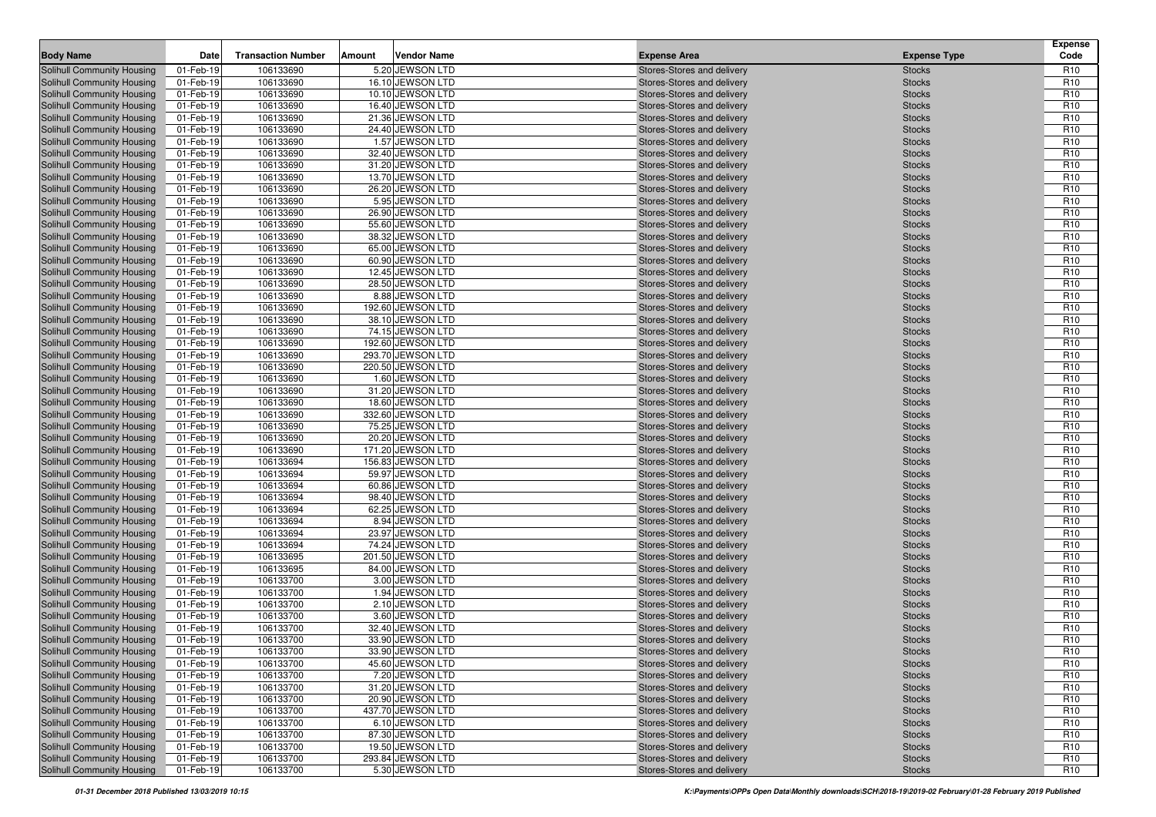| <b>Body Name</b>                                                       | Date                   | <b>Transaction Number</b> | Amount | Vendor Name                           | <b>Expense Area</b>                                      | <b>Expense Type</b>            | <b>Expense</b><br>Code             |
|------------------------------------------------------------------------|------------------------|---------------------------|--------|---------------------------------------|----------------------------------------------------------|--------------------------------|------------------------------------|
| Solihull Community Housing                                             | 01-Feb-19              | 106133690                 |        | 5.20 JEWSON LTD                       | Stores-Stores and delivery                               | <b>Stocks</b>                  | R <sub>10</sub>                    |
| <b>Solihull Community Housing</b>                                      | 01-Feb-19              | 106133690                 |        | 16.10 JEWSON LTD                      | Stores-Stores and delivery                               | <b>Stocks</b>                  | R <sub>10</sub>                    |
| Solihull Community Housing                                             | 01-Feb-19              | 106133690                 |        | 10.10 JEWSON LTD                      | Stores-Stores and delivery                               | <b>Stocks</b>                  | R <sub>10</sub>                    |
| <b>Solihull Community Housing</b>                                      | 01-Feb-19              | 106133690                 |        | 16.40 JEWSON LTD                      | Stores-Stores and delivery                               | <b>Stocks</b>                  | R <sub>10</sub>                    |
| <b>Solihull Community Housing</b>                                      | 01-Feb-19              | 106133690                 |        | 21.36 JEWSON LTD                      | Stores-Stores and delivery                               | <b>Stocks</b>                  | R <sub>10</sub>                    |
| <b>Solihull Community Housing</b>                                      | 01-Feb-19              | 106133690                 |        | 24.40 JEWSON LTD                      | Stores-Stores and delivery                               | <b>Stocks</b>                  | R <sub>10</sub>                    |
| <b>Solihull Community Housing</b>                                      | 01-Feb-19              | 106133690                 |        | 1.57 JEWSON LTD                       | Stores-Stores and delivery                               | <b>Stocks</b>                  | R <sub>10</sub>                    |
| <b>Solihull Community Housing</b>                                      | 01-Feb-19              | 106133690                 |        | 32.40 JEWSON LTD                      | Stores-Stores and delivery                               | <b>Stocks</b>                  | R <sub>10</sub>                    |
| <b>Solihull Community Housing</b>                                      | 01-Feb-19              | 106133690                 |        | 31.20 JEWSON LTD                      | Stores-Stores and delivery                               | <b>Stocks</b>                  | R <sub>10</sub>                    |
| <b>Solihull Community Housing</b>                                      | 01-Feb-19              | 106133690                 |        | 13.70 JEWSON LTD                      | Stores-Stores and delivery                               | <b>Stocks</b>                  | R <sub>10</sub>                    |
| <b>Solihull Community Housing</b>                                      | 01-Feb-19              | 106133690                 |        | 26.20 JEWSON LTD                      | Stores-Stores and delivery                               | <b>Stocks</b>                  | R <sub>10</sub>                    |
| Solihull Community Housing                                             | 01-Feb-19              | 106133690                 |        | 5.95 JEWSON LTD                       | Stores-Stores and delivery                               | <b>Stocks</b>                  | R <sub>10</sub>                    |
| <b>Solihull Community Housing</b>                                      | 01-Feb-19              | 106133690                 |        | 26.90 JEWSON LTD                      | Stores-Stores and delivery                               | <b>Stocks</b>                  | R <sub>10</sub>                    |
| <b>Solihull Community Housing</b>                                      | 01-Feb-19              | 106133690                 |        | 55.60 JEWSON LTD                      | Stores-Stores and delivery                               | <b>Stocks</b>                  | R <sub>10</sub>                    |
| <b>Solihull Community Housing</b>                                      | 01-Feb-19              | 106133690                 |        | 38.32 JEWSON LTD                      | Stores-Stores and delivery                               | <b>Stocks</b>                  | R <sub>10</sub>                    |
| <b>Solihull Community Housing</b>                                      | 01-Feb-19              | 106133690                 |        | 65.00 JEWSON LTD                      | Stores-Stores and delivery                               | <b>Stocks</b>                  | R <sub>10</sub>                    |
| <b>Solihull Community Housing</b>                                      | 01-Feb-19              | 106133690                 |        | 60.90 JEWSON LTD                      | Stores-Stores and delivery                               | <b>Stocks</b>                  | R <sub>10</sub>                    |
| <b>Solihull Community Housing</b>                                      | 01-Feb-19              | 106133690                 |        | 12.45 JEWSON LTD                      | Stores-Stores and delivery                               | <b>Stocks</b>                  | R <sub>10</sub>                    |
| <b>Solihull Community Housing</b>                                      | 01-Feb-19              | 106133690                 |        | 28.50 JEWSON LTD                      | Stores-Stores and delivery                               | <b>Stocks</b>                  | R <sub>10</sub>                    |
| <b>Solihull Community Housing</b>                                      | 01-Feb-19              | 106133690                 |        | 8.88 JEWSON LTD                       | Stores-Stores and delivery                               | <b>Stocks</b>                  | R <sub>10</sub>                    |
| <b>Solihull Community Housing</b>                                      | 01-Feb-19              | 106133690                 |        | 192.60 JEWSON LTD                     | Stores-Stores and delivery                               | <b>Stocks</b>                  | R <sub>10</sub>                    |
| <b>Solihull Community Housing</b>                                      | 01-Feb-19              | 106133690                 |        | 38.10 JEWSON LTD                      | Stores-Stores and delivery                               | <b>Stocks</b>                  | R <sub>10</sub>                    |
| <b>Solihull Community Housing</b>                                      | 01-Feb-19              | 106133690                 |        | 74.15 JEWSON LTD                      | Stores-Stores and delivery                               | <b>Stocks</b>                  | R <sub>10</sub>                    |
| <b>Solihull Community Housing</b>                                      | 01-Feb-19              | 106133690                 |        | 192.60 JEWSON LTD                     | Stores-Stores and delivery                               | <b>Stocks</b>                  | R <sub>10</sub>                    |
| Solihull Community Housing                                             | 01-Feb-19              | 106133690                 |        | 293.70 JEWSON LTD                     | Stores-Stores and delivery                               | <b>Stocks</b>                  | R <sub>10</sub>                    |
| <b>Solihull Community Housing</b>                                      | 01-Feb-19              | 106133690                 |        | 220.50 JEWSON LTD                     | Stores-Stores and delivery                               | <b>Stocks</b>                  | R <sub>10</sub>                    |
| <b>Solihull Community Housing</b>                                      | 01-Feb-19              | 106133690                 |        | 1.60 JEWSON LTD                       | Stores-Stores and delivery                               | <b>Stocks</b>                  | R <sub>10</sub>                    |
| <b>Solihull Community Housing</b>                                      | 01-Feb-19              | 106133690                 |        | 31.20 JEWSON LTD                      | Stores-Stores and delivery                               | <b>Stocks</b>                  | R <sub>10</sub>                    |
| Solihull Community Housing                                             | 01-Feb-19              | 106133690                 |        | 18.60 JEWSON LTD                      | Stores-Stores and delivery                               | <b>Stocks</b>                  | R <sub>10</sub>                    |
| <b>Solihull Community Housing</b>                                      | 01-Feb-19              | 106133690<br>106133690    |        | 332.60 JEWSON LTD<br>75.25 JEWSON LTD | Stores-Stores and delivery                               | <b>Stocks</b>                  | R <sub>10</sub><br>R <sub>10</sub> |
| <b>Solihull Community Housing</b><br><b>Solihull Community Housing</b> | 01-Feb-19<br>01-Feb-19 | 106133690                 |        | 20.20 JEWSON LTD                      | Stores-Stores and delivery<br>Stores-Stores and delivery | <b>Stocks</b><br><b>Stocks</b> | R <sub>10</sub>                    |
| <b>Solihull Community Housing</b>                                      | 01-Feb-19              | 106133690                 |        | 171.20 JEWSON LTD                     | Stores-Stores and delivery                               | <b>Stocks</b>                  | R <sub>10</sub>                    |
| <b>Solihull Community Housing</b>                                      | 01-Feb-19              | 106133694                 |        | 156.83 JEWSON LTD                     | Stores-Stores and delivery                               | <b>Stocks</b>                  | R <sub>10</sub>                    |
| <b>Solihull Community Housing</b>                                      | 01-Feb-19              | 106133694                 |        | 59.97 JEWSON LTD                      | Stores-Stores and delivery                               | <b>Stocks</b>                  | R <sub>10</sub>                    |
| <b>Solihull Community Housing</b>                                      | 01-Feb-19              | 106133694                 |        | 60.86 JEWSON LTD                      | Stores-Stores and delivery                               | <b>Stocks</b>                  | R <sub>10</sub>                    |
| <b>Solihull Community Housing</b>                                      | 01-Feb-19              | 106133694                 |        | 98.40 JEWSON LTD                      | Stores-Stores and delivery                               | <b>Stocks</b>                  | R <sub>10</sub>                    |
| <b>Solihull Community Housing</b>                                      | 01-Feb-19              | 106133694                 |        | 62.25 JEWSON LTD                      | Stores-Stores and delivery                               | <b>Stocks</b>                  | R <sub>10</sub>                    |
| <b>Solihull Community Housing</b>                                      | 01-Feb-19              | 106133694                 |        | 8.94 JEWSON LTD                       | Stores-Stores and delivery                               | <b>Stocks</b>                  | R <sub>10</sub>                    |
| <b>Solihull Community Housing</b>                                      | 01-Feb-19              | 106133694                 |        | 23.97 JEWSON LTD                      | Stores-Stores and delivery                               | <b>Stocks</b>                  | R <sub>10</sub>                    |
| <b>Solihull Community Housing</b>                                      | 01-Feb-19              | 106133694                 |        | 74.24 JEWSON LTD                      | Stores-Stores and delivery                               | <b>Stocks</b>                  | R <sub>10</sub>                    |
| Solihull Community Housing                                             | 01-Feb-19              | 106133695                 |        | 201.50 JEWSON LTD                     | Stores-Stores and delivery                               | <b>Stocks</b>                  | R <sub>10</sub>                    |
| <b>Solihull Community Housing</b>                                      | 01-Feb-19              | 106133695                 |        | 84.00 JEWSON LTD                      | Stores-Stores and delivery                               | <b>Stocks</b>                  | R <sub>10</sub>                    |
| Solihull Community Housing                                             | 01-Feb-19              | 106133700                 |        | 3.00 JEWSON LTD                       | Stores-Stores and delivery                               | <b>Stocks</b>                  | R <sub>10</sub>                    |
| Solihull Community Housing                                             | 01-Feb-19              | 106133700                 |        | 1.94 JEWSON LTD                       | Stores-Stores and delivery                               | <b>Stocks</b>                  | R <sub>10</sub>                    |
| <b>Solihull Community Housing</b>                                      | 01-Feb-19              | 106133700                 |        | 2.10 JEWSON LTD                       | Stores-Stores and delivery                               | <b>Stocks</b>                  | R <sub>10</sub>                    |
| <b>Solihull Community Housing</b>                                      | 01-Feb-19              | 106133700                 |        | 3.60 JEWSON LTD                       | Stores-Stores and delivery                               | <b>Stocks</b>                  | R <sub>10</sub>                    |
| <b>Solihull Community Housing</b>                                      | 01-Feb-19              | 106133700                 |        | 32.40 JEWSON LTD                      | Stores-Stores and delivery                               | <b>Stocks</b>                  | R <sub>10</sub>                    |
| <b>Solihull Community Housing</b>                                      | 01-Feb-19              | 106133700                 |        | 33.90 JEWSON LTD                      | Stores-Stores and delivery                               | <b>Stocks</b>                  | R <sub>10</sub>                    |
| Solihull Community Housing                                             | 01-Feb-19              | 106133700                 |        | 33.90 JEWSON LTD                      | Stores-Stores and delivery                               | <b>Stocks</b>                  | R <sub>10</sub>                    |
| Solihull Community Housing                                             | 01-Feb-19              | 106133700                 |        | 45.60 JEWSON LTD                      | Stores-Stores and delivery                               | <b>Stocks</b>                  | R <sub>10</sub>                    |
| Solihull Community Housing                                             | 01-Feb-19              | 106133700                 |        | 7.20 JEWSON LTD                       | Stores-Stores and delivery                               | <b>Stocks</b>                  | R <sub>10</sub>                    |
| Solihull Community Housing                                             | 01-Feb-19              | 106133700                 |        | 31.20 JEWSON LTD                      | Stores-Stores and delivery                               | <b>Stocks</b>                  | R <sub>10</sub>                    |
| Solihull Community Housing                                             | 01-Feb-19              | 106133700                 |        | 20.90 JEWSON LTD                      | Stores-Stores and delivery                               | <b>Stocks</b>                  | R <sub>10</sub>                    |
| <b>Solihull Community Housing</b>                                      | 01-Feb-19              | 106133700                 |        | 437.70 JEWSON LTD                     | Stores-Stores and delivery                               | <b>Stocks</b>                  | R <sub>10</sub>                    |
| Solihull Community Housing                                             | 01-Feb-19              | 106133700                 |        | 6.10 JEWSON LTD                       | Stores-Stores and delivery                               | <b>Stocks</b>                  | R <sub>10</sub>                    |
| <b>Solihull Community Housing</b>                                      | 01-Feb-19              | 106133700                 |        | 87.30 JEWSON LTD                      | Stores-Stores and delivery                               | <b>Stocks</b>                  | R <sub>10</sub>                    |
| <b>Solihull Community Housing</b>                                      | 01-Feb-19              | 106133700                 |        | 19.50 JEWSON LTD                      | Stores-Stores and delivery                               | <b>Stocks</b>                  | R <sub>10</sub>                    |
| Solihull Community Housing                                             | 01-Feb-19              | 106133700                 |        | 293.84 JEWSON LTD                     | Stores-Stores and delivery                               | <b>Stocks</b>                  | R <sub>10</sub>                    |
| <b>Solihull Community Housing</b>                                      | 01-Feb-19              | 106133700                 |        | 5.30 JEWSON LTD                       | Stores-Stores and delivery                               | <b>Stocks</b>                  | R <sub>10</sub>                    |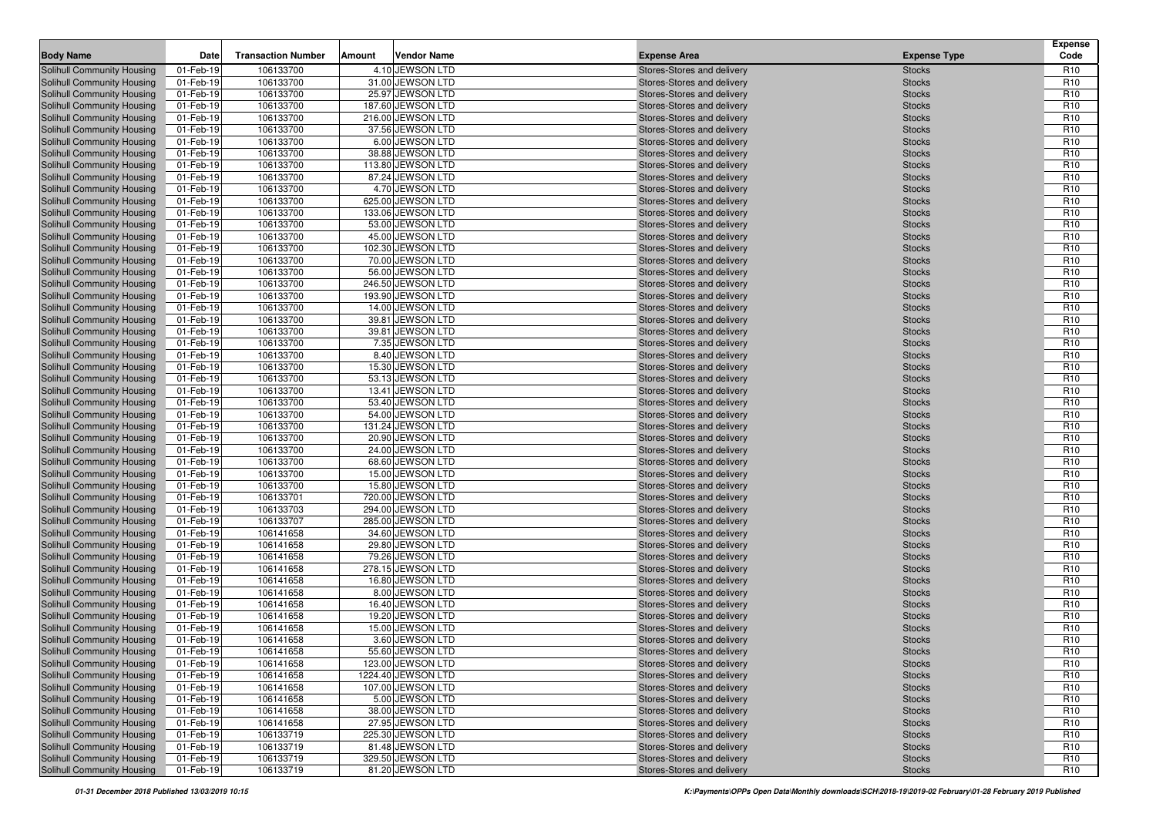| <b>Body Name</b>                  | Date      | <b>Transaction Number</b> | Amount | <b>Vendor Name</b> | <b>Expense Area</b>        | <b>Expense Type</b> | <b>Expense</b><br>Code |
|-----------------------------------|-----------|---------------------------|--------|--------------------|----------------------------|---------------------|------------------------|
| Solihull Community Housing        | 01-Feb-19 | 106133700                 |        | 4.10 JEWSON LTD    | Stores-Stores and delivery | <b>Stocks</b>       | R <sub>10</sub>        |
| Solihull Community Housing        | 01-Feb-19 | 106133700                 |        | 31.00 JEWSON LTD   | Stores-Stores and delivery | <b>Stocks</b>       | R <sub>10</sub>        |
| Solihull Community Housing        | 01-Feb-19 | 106133700                 |        | 25.97 JEWSON LTD   | Stores-Stores and delivery | <b>Stocks</b>       | R <sub>10</sub>        |
| Solihull Community Housing        | 01-Feb-19 | 106133700                 |        | 187.60 JEWSON LTD  | Stores-Stores and delivery | <b>Stocks</b>       | R <sub>10</sub>        |
| <b>Solihull Community Housing</b> | 01-Feb-19 | 106133700                 |        | 216.00 JEWSON LTD  | Stores-Stores and delivery | <b>Stocks</b>       | R <sub>10</sub>        |
| Solihull Community Housing        | 01-Feb-19 | 106133700                 |        | 37.56 JEWSON LTD   | Stores-Stores and delivery | <b>Stocks</b>       | R <sub>10</sub>        |
| <b>Solihull Community Housing</b> | 01-Feb-19 | 106133700                 |        | 6.00 JEWSON LTD    | Stores-Stores and delivery | <b>Stocks</b>       | R <sub>10</sub>        |
| <b>Solihull Community Housing</b> | 01-Feb-19 | 106133700                 |        | 38.88 JEWSON LTD   | Stores-Stores and delivery | <b>Stocks</b>       | R <sub>10</sub>        |
| <b>Solihull Community Housing</b> | 01-Feb-19 | 106133700                 |        | 113.80 JEWSON LTD  | Stores-Stores and delivery | <b>Stocks</b>       | R <sub>10</sub>        |
| <b>Solihull Community Housing</b> | 01-Feb-19 | 106133700                 |        | 87.24 JEWSON LTD   | Stores-Stores and delivery | <b>Stocks</b>       | R <sub>10</sub>        |
| <b>Solihull Community Housing</b> | 01-Feb-19 | 106133700                 |        | 4.70 JEWSON LTD    | Stores-Stores and delivery | <b>Stocks</b>       | R <sub>10</sub>        |
| Solihull Community Housing        | 01-Feb-19 | 106133700                 |        | 625.00 JEWSON LTD  | Stores-Stores and delivery | <b>Stocks</b>       | R <sub>10</sub>        |
| <b>Solihull Community Housing</b> | 01-Feb-19 | 106133700                 |        | 133.06 JEWSON LTD  | Stores-Stores and delivery | <b>Stocks</b>       | R <sub>10</sub>        |
| Solihull Community Housing        | 01-Feb-19 | 106133700                 |        | 53.00 JEWSON LTD   | Stores-Stores and delivery | <b>Stocks</b>       | R <sub>10</sub>        |
| Solihull Community Housing        | 01-Feb-19 | 106133700                 |        | 45.00 JEWSON LTD   | Stores-Stores and delivery | <b>Stocks</b>       | R <sub>10</sub>        |
| <b>Solihull Community Housing</b> | 01-Feb-19 | 106133700                 |        | 102.30 JEWSON LTD  | Stores-Stores and delivery | <b>Stocks</b>       | R <sub>10</sub>        |
| <b>Solihull Community Housing</b> | 01-Feb-19 | 106133700                 |        | 70.00 JEWSON LTD   |                            | <b>Stocks</b>       | R <sub>10</sub>        |
|                                   |           | 106133700                 |        | 56.00 JEWSON LTD   | Stores-Stores and delivery |                     |                        |
| <b>Solihull Community Housing</b> | 01-Feb-19 |                           |        |                    | Stores-Stores and delivery | <b>Stocks</b>       | R <sub>10</sub>        |
| <b>Solihull Community Housing</b> | 01-Feb-19 | 106133700                 |        | 246.50 JEWSON LTD  | Stores-Stores and delivery | <b>Stocks</b>       | R <sub>10</sub>        |
| <b>Solihull Community Housing</b> | 01-Feb-19 | 106133700                 |        | 193.90 JEWSON LTD  | Stores-Stores and delivery | <b>Stocks</b>       | R <sub>10</sub>        |
| <b>Solihull Community Housing</b> | 01-Feb-19 | 106133700                 |        | 14.00 JEWSON LTD   | Stores-Stores and delivery | <b>Stocks</b>       | R <sub>10</sub>        |
| Solihull Community Housing        | 01-Feb-19 | 106133700                 |        | 39.81 JEWSON LTD   | Stores-Stores and delivery | <b>Stocks</b>       | R <sub>10</sub>        |
| <b>Solihull Community Housing</b> | 01-Feb-19 | 106133700                 |        | 39.81 JEWSON LTD   | Stores-Stores and delivery | <b>Stocks</b>       | R <sub>10</sub>        |
| <b>Solihull Community Housing</b> | 01-Feb-19 | 106133700                 |        | 7.35 JEWSON LTD    | Stores-Stores and delivery | <b>Stocks</b>       | R <sub>10</sub>        |
| Solihull Community Housing        | 01-Feb-19 | 106133700                 |        | 8.40 JEWSON LTD    | Stores-Stores and delivery | <b>Stocks</b>       | R <sub>10</sub>        |
| <b>Solihull Community Housing</b> | 01-Feb-19 | 106133700                 |        | 15.30 JEWSON LTD   | Stores-Stores and delivery | <b>Stocks</b>       | R <sub>10</sub>        |
| <b>Solihull Community Housing</b> | 01-Feb-19 | 106133700                 |        | 53.13 JEWSON LTD   | Stores-Stores and delivery | <b>Stocks</b>       | R <sub>10</sub>        |
| <b>Solihull Community Housing</b> | 01-Feb-19 | 106133700                 |        | 13.41 JEWSON LTD   | Stores-Stores and delivery | <b>Stocks</b>       | R <sub>10</sub>        |
| <b>Solihull Community Housing</b> | 01-Feb-19 | 106133700                 |        | 53.40 JEWSON LTD   | Stores-Stores and delivery | <b>Stocks</b>       | R <sub>10</sub>        |
| <b>Solihull Community Housing</b> | 01-Feb-19 | 106133700                 |        | 54.00 JEWSON LTD   | Stores-Stores and delivery | <b>Stocks</b>       | R <sub>10</sub>        |
| Solihull Community Housing        | 01-Feb-19 | 106133700                 |        | 131.24 JEWSON LTD  | Stores-Stores and delivery | <b>Stocks</b>       | R <sub>10</sub>        |
| <b>Solihull Community Housing</b> | 01-Feb-19 | 106133700                 |        | 20.90 JEWSON LTD   | Stores-Stores and delivery | <b>Stocks</b>       | R <sub>10</sub>        |
| <b>Solihull Community Housing</b> | 01-Feb-19 | 106133700                 |        | 24.00 JEWSON LTD   | Stores-Stores and delivery | <b>Stocks</b>       | R <sub>10</sub>        |
| <b>Solihull Community Housing</b> | 01-Feb-19 | 106133700                 |        | 68.60 JEWSON LTD   | Stores-Stores and delivery | <b>Stocks</b>       | R <sub>10</sub>        |
| <b>Solihull Community Housing</b> | 01-Feb-19 | 106133700                 |        | 15.00 JEWSON LTD   | Stores-Stores and delivery | <b>Stocks</b>       | R <sub>10</sub>        |
| <b>Solihull Community Housing</b> | 01-Feb-19 | 106133700                 |        | 15.80 JEWSON LTD   | Stores-Stores and delivery | <b>Stocks</b>       | R <sub>10</sub>        |
| <b>Solihull Community Housing</b> | 01-Feb-19 | 106133701                 |        | 720.00 JEWSON LTD  | Stores-Stores and delivery | <b>Stocks</b>       | R <sub>10</sub>        |
| <b>Solihull Community Housing</b> | 01-Feb-19 | 106133703                 |        | 294.00 JEWSON LTD  | Stores-Stores and delivery | <b>Stocks</b>       | R <sub>10</sub>        |
| <b>Solihull Community Housing</b> | 01-Feb-19 | 106133707                 |        | 285.00 JEWSON LTD  | Stores-Stores and delivery | <b>Stocks</b>       | R <sub>10</sub>        |
| <b>Solihull Community Housing</b> | 01-Feb-19 | 106141658                 |        | 34.60 JEWSON LTD   | Stores-Stores and delivery | <b>Stocks</b>       | R <sub>10</sub>        |
| <b>Solihull Community Housing</b> | 01-Feb-19 | 106141658                 |        | 29.80 JEWSON LTD   | Stores-Stores and delivery | <b>Stocks</b>       | R <sub>10</sub>        |
| <b>Solihull Community Housing</b> | 01-Feb-19 | 106141658                 |        | 79.26 JEWSON LTD   | Stores-Stores and delivery | <b>Stocks</b>       | R <sub>10</sub>        |
| Solihull Community Housing        | 01-Feb-19 | 106141658                 |        | 278.15 JEWSON LTD  | Stores-Stores and delivery | <b>Stocks</b>       | R <sub>10</sub>        |
| <b>Solihull Community Housing</b> | 01-Feb-19 | 106141658                 |        | 16.80 JEWSON LTD   | Stores-Stores and delivery | <b>Stocks</b>       | R <sub>10</sub>        |
| <b>Solihull Community Housing</b> | 01-Feb-19 | 106141658                 |        | 8.00 JEWSON LTD    | Stores-Stores and delivery | <b>Stocks</b>       | R <sub>10</sub>        |
| <b>Solihull Community Housing</b> | 01-Feb-19 | 106141658                 |        | 16.40 JEWSON LTD   | Stores-Stores and delivery | <b>Stocks</b>       | R <sub>10</sub>        |
| <b>Solihull Community Housing</b> | 01-Feb-19 | 106141658                 |        | 19.20 JEWSON LTD   | Stores-Stores and delivery | <b>Stocks</b>       | R <sub>10</sub>        |
| <b>Solihull Community Housing</b> | 01-Feb-19 | 106141658                 |        | 15.00 JEWSON LTD   | Stores-Stores and delivery | <b>Stocks</b>       | R <sub>10</sub>        |
| <b>Solihull Community Housing</b> | 01-Feb-19 | 106141658                 |        | 3.60 JEWSON LTD    | Stores-Stores and delivery | <b>Stocks</b>       | R <sub>10</sub>        |
| Solihull Community Housing        | 01-Feb-19 | 106141658                 |        | 55.60 JEWSON LTD   | Stores-Stores and delivery | <b>Stocks</b>       | R <sub>10</sub>        |
| Solihull Community Housing        | 01-Feb-19 | 106141658                 |        | 123.00 JEWSON LTD  | Stores-Stores and delivery | <b>Stocks</b>       | R <sub>10</sub>        |
| Solihull Community Housing        | 01-Feb-19 | 106141658                 |        | 1224.40 JEWSON LTD | Stores-Stores and delivery | <b>Stocks</b>       | R <sub>10</sub>        |
| Solihull Community Housing        | 01-Feb-19 | 106141658                 |        | 107.00 JEWSON LTD  | Stores-Stores and delivery | <b>Stocks</b>       | R <sub>10</sub>        |
| Solihull Community Housing        | 01-Feb-19 | 106141658                 |        | 5.00 JEWSON LTD    | Stores-Stores and delivery | <b>Stocks</b>       | R <sub>10</sub>        |
| <b>Solihull Community Housing</b> | 01-Feb-19 | 106141658                 |        | 38.00 JEWSON LTD   | Stores-Stores and delivery | <b>Stocks</b>       | R <sub>10</sub>        |
| Solihull Community Housing        | 01-Feb-19 | 106141658                 |        | 27.95 JEWSON LTD   | Stores-Stores and delivery | <b>Stocks</b>       | R <sub>10</sub>        |
| <b>Solihull Community Housing</b> | 01-Feb-19 | 106133719                 |        | 225.30 JEWSON LTD  | Stores-Stores and delivery | <b>Stocks</b>       | R <sub>10</sub>        |
| <b>Solihull Community Housing</b> | 01-Feb-19 | 106133719                 |        | 81.48 JEWSON LTD   | Stores-Stores and delivery | <b>Stocks</b>       | R <sub>10</sub>        |
| Solihull Community Housing        | 01-Feb-19 | 106133719                 |        | 329.50 JEWSON LTD  | Stores-Stores and delivery | <b>Stocks</b>       | R <sub>10</sub>        |
| <b>Solihull Community Housing</b> | 01-Feb-19 | 106133719                 |        | 81.20 JEWSON LTD   | Stores-Stores and delivery | <b>Stocks</b>       | R <sub>10</sub>        |
|                                   |           |                           |        |                    |                            |                     |                        |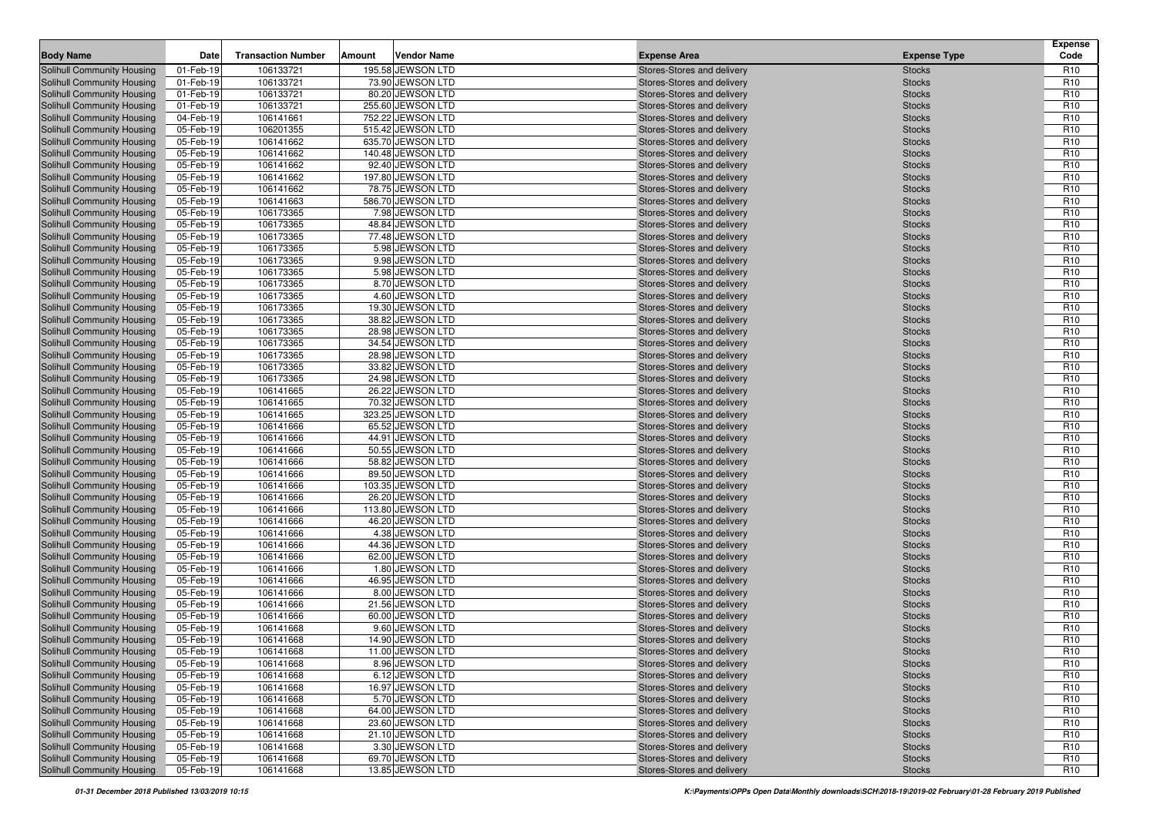| <b>Body Name</b><br><b>Expense Area</b><br><b>Expense Type</b><br>106133721<br>195.58 JEWSON LTD<br>Solihull Community Housing<br>01-Feb-19<br>Stores-Stores and delivery<br><b>Stocks</b><br>Solihull Community Housing<br>01-Feb-19<br>106133721<br>73.90 JEWSON LTD<br>Stores-Stores and delivery<br><b>Stocks</b><br>106133721<br>01-Feb-19<br>80.20 JEWSON LTD<br><b>Stocks</b><br><b>Solihull Community Housing</b><br>Stores-Stores and delivery<br>106133721<br>255.60 JEWSON LTD<br><b>Solihull Community Housing</b><br>01-Feb-19<br>Stores-Stores and delivery<br><b>Stocks</b><br>04-Feb-19<br>752.22 JEWSON LTD<br>Solihull Community Housing<br>106141661<br>Stores-Stores and delivery<br><b>Stocks</b><br>515.42 JEWSON LTD<br>Solihull Community Housing<br>05-Feb-19<br>106201355<br>Stores-Stores and delivery<br><b>Stocks</b><br>Solihull Community Housing<br>05-Feb-19<br>106141662<br>635.70 JEWSON LTD<br>Stores-Stores and delivery<br><b>Stocks</b><br>Solihull Community Housing<br>05-Feb-19<br>106141662<br>140.48 JEWSON LTD<br><b>Stocks</b><br>Stores-Stores and delivery<br>92.40 JEWSON LTD<br>Solihull Community Housing<br>05-Feb-19<br>106141662<br>Stores-Stores and delivery<br><b>Stocks</b><br>197.80 JEWSON LTD<br><b>Solihull Community Housing</b><br>05-Feb-19<br>106141662<br><b>Stocks</b><br>Stores-Stores and delivery<br>Solihull Community Housing<br>05-Feb-19<br>106141662<br>78.75 JEWSON LTD<br>Stores-Stores and delivery<br><b>Stocks</b><br>586.70 JEWSON LTD<br>Solihull Community Housing<br>05-Feb-19<br>106141663<br><b>Stocks</b><br>Stores-Stores and delivery<br>05-Feb-19<br>106173365<br>7.98 JEWSON LTD<br>Solihull Community Housing<br>Stores-Stores and delivery<br><b>Stocks</b><br>106173365<br><b>Solihull Community Housing</b><br>05-Feb-19<br>48.84 JEWSON LTD<br>Stores-Stores and delivery<br><b>Stocks</b><br>Solihull Community Housing<br>05-Feb-19<br>106173365<br>77.48 JEWSON LTD<br>Stores-Stores and delivery<br><b>Stocks</b><br>106173365<br><b>Solihull Community Housing</b><br>05-Feb-19<br>5.98 JEWSON LTD<br><b>Stocks</b><br>Stores-Stores and delivery<br>106173365<br><b>Solihull Community Housing</b><br>05-Feb-19<br>9.98 JEWSON LTD<br><b>Stocks</b><br>Stores-Stores and delivery<br>106173365<br>5.98 JEWSON LTD<br>Solihull Community Housing<br>05-Feb-19<br>Stores-Stores and delivery<br><b>Stocks</b><br>106173365<br><b>Solihull Community Housing</b><br>05-Feb-19<br>8.70 JEWSON LTD<br>Stores-Stores and delivery<br><b>Stocks</b><br>106173365<br>Solihull Community Housing<br>05-Feb-19<br>4.60 JEWSON LTD<br>Stores-Stores and delivery<br><b>Stocks</b><br>106173365<br><b>Solihull Community Housing</b><br>05-Feb-19<br>19.30 JEWSON LTD<br><b>Stocks</b><br>Stores-Stores and delivery<br>106173365<br><b>Solihull Community Housing</b><br>05-Feb-19<br>38.82 JEWSON LTD<br>Stores-Stores and delivery<br><b>Stocks</b> | <b>Expense</b><br>Code |
|---------------------------------------------------------------------------------------------------------------------------------------------------------------------------------------------------------------------------------------------------------------------------------------------------------------------------------------------------------------------------------------------------------------------------------------------------------------------------------------------------------------------------------------------------------------------------------------------------------------------------------------------------------------------------------------------------------------------------------------------------------------------------------------------------------------------------------------------------------------------------------------------------------------------------------------------------------------------------------------------------------------------------------------------------------------------------------------------------------------------------------------------------------------------------------------------------------------------------------------------------------------------------------------------------------------------------------------------------------------------------------------------------------------------------------------------------------------------------------------------------------------------------------------------------------------------------------------------------------------------------------------------------------------------------------------------------------------------------------------------------------------------------------------------------------------------------------------------------------------------------------------------------------------------------------------------------------------------------------------------------------------------------------------------------------------------------------------------------------------------------------------------------------------------------------------------------------------------------------------------------------------------------------------------------------------------------------------------------------------------------------------------------------------------------------------------------------------------------------------------------------------------------------------------------------------------------------------------------------------------------------------------------------------------------------------------------------------------------------------------------------------------------------------------------------------------------------------------------------------------------------------------------------------------------------------------------|------------------------|
|                                                                                                                                                                                                                                                                                                                                                                                                                                                                                                                                                                                                                                                                                                                                                                                                                                                                                                                                                                                                                                                                                                                                                                                                                                                                                                                                                                                                                                                                                                                                                                                                                                                                                                                                                                                                                                                                                                                                                                                                                                                                                                                                                                                                                                                                                                                                                                                                                                                                                                                                                                                                                                                                                                                                                                                                                                                                                                                                                   | R <sub>10</sub>        |
|                                                                                                                                                                                                                                                                                                                                                                                                                                                                                                                                                                                                                                                                                                                                                                                                                                                                                                                                                                                                                                                                                                                                                                                                                                                                                                                                                                                                                                                                                                                                                                                                                                                                                                                                                                                                                                                                                                                                                                                                                                                                                                                                                                                                                                                                                                                                                                                                                                                                                                                                                                                                                                                                                                                                                                                                                                                                                                                                                   | R <sub>10</sub>        |
|                                                                                                                                                                                                                                                                                                                                                                                                                                                                                                                                                                                                                                                                                                                                                                                                                                                                                                                                                                                                                                                                                                                                                                                                                                                                                                                                                                                                                                                                                                                                                                                                                                                                                                                                                                                                                                                                                                                                                                                                                                                                                                                                                                                                                                                                                                                                                                                                                                                                                                                                                                                                                                                                                                                                                                                                                                                                                                                                                   | R <sub>10</sub>        |
|                                                                                                                                                                                                                                                                                                                                                                                                                                                                                                                                                                                                                                                                                                                                                                                                                                                                                                                                                                                                                                                                                                                                                                                                                                                                                                                                                                                                                                                                                                                                                                                                                                                                                                                                                                                                                                                                                                                                                                                                                                                                                                                                                                                                                                                                                                                                                                                                                                                                                                                                                                                                                                                                                                                                                                                                                                                                                                                                                   | R <sub>10</sub>        |
|                                                                                                                                                                                                                                                                                                                                                                                                                                                                                                                                                                                                                                                                                                                                                                                                                                                                                                                                                                                                                                                                                                                                                                                                                                                                                                                                                                                                                                                                                                                                                                                                                                                                                                                                                                                                                                                                                                                                                                                                                                                                                                                                                                                                                                                                                                                                                                                                                                                                                                                                                                                                                                                                                                                                                                                                                                                                                                                                                   | R <sub>10</sub>        |
|                                                                                                                                                                                                                                                                                                                                                                                                                                                                                                                                                                                                                                                                                                                                                                                                                                                                                                                                                                                                                                                                                                                                                                                                                                                                                                                                                                                                                                                                                                                                                                                                                                                                                                                                                                                                                                                                                                                                                                                                                                                                                                                                                                                                                                                                                                                                                                                                                                                                                                                                                                                                                                                                                                                                                                                                                                                                                                                                                   | R <sub>10</sub>        |
|                                                                                                                                                                                                                                                                                                                                                                                                                                                                                                                                                                                                                                                                                                                                                                                                                                                                                                                                                                                                                                                                                                                                                                                                                                                                                                                                                                                                                                                                                                                                                                                                                                                                                                                                                                                                                                                                                                                                                                                                                                                                                                                                                                                                                                                                                                                                                                                                                                                                                                                                                                                                                                                                                                                                                                                                                                                                                                                                                   | R <sub>10</sub>        |
|                                                                                                                                                                                                                                                                                                                                                                                                                                                                                                                                                                                                                                                                                                                                                                                                                                                                                                                                                                                                                                                                                                                                                                                                                                                                                                                                                                                                                                                                                                                                                                                                                                                                                                                                                                                                                                                                                                                                                                                                                                                                                                                                                                                                                                                                                                                                                                                                                                                                                                                                                                                                                                                                                                                                                                                                                                                                                                                                                   | R <sub>10</sub>        |
|                                                                                                                                                                                                                                                                                                                                                                                                                                                                                                                                                                                                                                                                                                                                                                                                                                                                                                                                                                                                                                                                                                                                                                                                                                                                                                                                                                                                                                                                                                                                                                                                                                                                                                                                                                                                                                                                                                                                                                                                                                                                                                                                                                                                                                                                                                                                                                                                                                                                                                                                                                                                                                                                                                                                                                                                                                                                                                                                                   | R <sub>10</sub>        |
|                                                                                                                                                                                                                                                                                                                                                                                                                                                                                                                                                                                                                                                                                                                                                                                                                                                                                                                                                                                                                                                                                                                                                                                                                                                                                                                                                                                                                                                                                                                                                                                                                                                                                                                                                                                                                                                                                                                                                                                                                                                                                                                                                                                                                                                                                                                                                                                                                                                                                                                                                                                                                                                                                                                                                                                                                                                                                                                                                   | R <sub>10</sub>        |
|                                                                                                                                                                                                                                                                                                                                                                                                                                                                                                                                                                                                                                                                                                                                                                                                                                                                                                                                                                                                                                                                                                                                                                                                                                                                                                                                                                                                                                                                                                                                                                                                                                                                                                                                                                                                                                                                                                                                                                                                                                                                                                                                                                                                                                                                                                                                                                                                                                                                                                                                                                                                                                                                                                                                                                                                                                                                                                                                                   | R <sub>10</sub>        |
|                                                                                                                                                                                                                                                                                                                                                                                                                                                                                                                                                                                                                                                                                                                                                                                                                                                                                                                                                                                                                                                                                                                                                                                                                                                                                                                                                                                                                                                                                                                                                                                                                                                                                                                                                                                                                                                                                                                                                                                                                                                                                                                                                                                                                                                                                                                                                                                                                                                                                                                                                                                                                                                                                                                                                                                                                                                                                                                                                   | R <sub>10</sub>        |
|                                                                                                                                                                                                                                                                                                                                                                                                                                                                                                                                                                                                                                                                                                                                                                                                                                                                                                                                                                                                                                                                                                                                                                                                                                                                                                                                                                                                                                                                                                                                                                                                                                                                                                                                                                                                                                                                                                                                                                                                                                                                                                                                                                                                                                                                                                                                                                                                                                                                                                                                                                                                                                                                                                                                                                                                                                                                                                                                                   | R <sub>10</sub>        |
|                                                                                                                                                                                                                                                                                                                                                                                                                                                                                                                                                                                                                                                                                                                                                                                                                                                                                                                                                                                                                                                                                                                                                                                                                                                                                                                                                                                                                                                                                                                                                                                                                                                                                                                                                                                                                                                                                                                                                                                                                                                                                                                                                                                                                                                                                                                                                                                                                                                                                                                                                                                                                                                                                                                                                                                                                                                                                                                                                   | R <sub>10</sub>        |
|                                                                                                                                                                                                                                                                                                                                                                                                                                                                                                                                                                                                                                                                                                                                                                                                                                                                                                                                                                                                                                                                                                                                                                                                                                                                                                                                                                                                                                                                                                                                                                                                                                                                                                                                                                                                                                                                                                                                                                                                                                                                                                                                                                                                                                                                                                                                                                                                                                                                                                                                                                                                                                                                                                                                                                                                                                                                                                                                                   | R <sub>10</sub>        |
|                                                                                                                                                                                                                                                                                                                                                                                                                                                                                                                                                                                                                                                                                                                                                                                                                                                                                                                                                                                                                                                                                                                                                                                                                                                                                                                                                                                                                                                                                                                                                                                                                                                                                                                                                                                                                                                                                                                                                                                                                                                                                                                                                                                                                                                                                                                                                                                                                                                                                                                                                                                                                                                                                                                                                                                                                                                                                                                                                   | R <sub>10</sub>        |
|                                                                                                                                                                                                                                                                                                                                                                                                                                                                                                                                                                                                                                                                                                                                                                                                                                                                                                                                                                                                                                                                                                                                                                                                                                                                                                                                                                                                                                                                                                                                                                                                                                                                                                                                                                                                                                                                                                                                                                                                                                                                                                                                                                                                                                                                                                                                                                                                                                                                                                                                                                                                                                                                                                                                                                                                                                                                                                                                                   | R <sub>10</sub>        |
|                                                                                                                                                                                                                                                                                                                                                                                                                                                                                                                                                                                                                                                                                                                                                                                                                                                                                                                                                                                                                                                                                                                                                                                                                                                                                                                                                                                                                                                                                                                                                                                                                                                                                                                                                                                                                                                                                                                                                                                                                                                                                                                                                                                                                                                                                                                                                                                                                                                                                                                                                                                                                                                                                                                                                                                                                                                                                                                                                   | R <sub>10</sub>        |
|                                                                                                                                                                                                                                                                                                                                                                                                                                                                                                                                                                                                                                                                                                                                                                                                                                                                                                                                                                                                                                                                                                                                                                                                                                                                                                                                                                                                                                                                                                                                                                                                                                                                                                                                                                                                                                                                                                                                                                                                                                                                                                                                                                                                                                                                                                                                                                                                                                                                                                                                                                                                                                                                                                                                                                                                                                                                                                                                                   | R <sub>10</sub>        |
|                                                                                                                                                                                                                                                                                                                                                                                                                                                                                                                                                                                                                                                                                                                                                                                                                                                                                                                                                                                                                                                                                                                                                                                                                                                                                                                                                                                                                                                                                                                                                                                                                                                                                                                                                                                                                                                                                                                                                                                                                                                                                                                                                                                                                                                                                                                                                                                                                                                                                                                                                                                                                                                                                                                                                                                                                                                                                                                                                   | R <sub>10</sub>        |
|                                                                                                                                                                                                                                                                                                                                                                                                                                                                                                                                                                                                                                                                                                                                                                                                                                                                                                                                                                                                                                                                                                                                                                                                                                                                                                                                                                                                                                                                                                                                                                                                                                                                                                                                                                                                                                                                                                                                                                                                                                                                                                                                                                                                                                                                                                                                                                                                                                                                                                                                                                                                                                                                                                                                                                                                                                                                                                                                                   | R <sub>10</sub>        |
|                                                                                                                                                                                                                                                                                                                                                                                                                                                                                                                                                                                                                                                                                                                                                                                                                                                                                                                                                                                                                                                                                                                                                                                                                                                                                                                                                                                                                                                                                                                                                                                                                                                                                                                                                                                                                                                                                                                                                                                                                                                                                                                                                                                                                                                                                                                                                                                                                                                                                                                                                                                                                                                                                                                                                                                                                                                                                                                                                   | R <sub>10</sub>        |
| Solihull Community Housing<br>05-Feb-19<br>106173365<br>28.98 JEWSON LTD<br><b>Stocks</b><br>Stores-Stores and delivery                                                                                                                                                                                                                                                                                                                                                                                                                                                                                                                                                                                                                                                                                                                                                                                                                                                                                                                                                                                                                                                                                                                                                                                                                                                                                                                                                                                                                                                                                                                                                                                                                                                                                                                                                                                                                                                                                                                                                                                                                                                                                                                                                                                                                                                                                                                                                                                                                                                                                                                                                                                                                                                                                                                                                                                                                           | R <sub>10</sub>        |
| Solihull Community Housing<br>106173365<br>34.54 JEWSON LTD<br><b>Stocks</b><br>05-Feb-19<br>Stores-Stores and delivery                                                                                                                                                                                                                                                                                                                                                                                                                                                                                                                                                                                                                                                                                                                                                                                                                                                                                                                                                                                                                                                                                                                                                                                                                                                                                                                                                                                                                                                                                                                                                                                                                                                                                                                                                                                                                                                                                                                                                                                                                                                                                                                                                                                                                                                                                                                                                                                                                                                                                                                                                                                                                                                                                                                                                                                                                           | R <sub>10</sub>        |
| 106173365<br>28.98 JEWSON LTD<br>05-Feb-19<br><b>Solihull Community Housing</b><br>Stores-Stores and delivery<br><b>Stocks</b>                                                                                                                                                                                                                                                                                                                                                                                                                                                                                                                                                                                                                                                                                                                                                                                                                                                                                                                                                                                                                                                                                                                                                                                                                                                                                                                                                                                                                                                                                                                                                                                                                                                                                                                                                                                                                                                                                                                                                                                                                                                                                                                                                                                                                                                                                                                                                                                                                                                                                                                                                                                                                                                                                                                                                                                                                    | R <sub>10</sub>        |
| 106173365<br>33.82 JEWSON LTD<br>Solihull Community Housing<br>05-Feb-19<br>Stores-Stores and delivery<br><b>Stocks</b>                                                                                                                                                                                                                                                                                                                                                                                                                                                                                                                                                                                                                                                                                                                                                                                                                                                                                                                                                                                                                                                                                                                                                                                                                                                                                                                                                                                                                                                                                                                                                                                                                                                                                                                                                                                                                                                                                                                                                                                                                                                                                                                                                                                                                                                                                                                                                                                                                                                                                                                                                                                                                                                                                                                                                                                                                           | R <sub>10</sub>        |
| 106173365<br>Solihull Community Housing<br>05-Feb-19<br>24.98 JEWSON LTD<br>Stores-Stores and delivery<br><b>Stocks</b>                                                                                                                                                                                                                                                                                                                                                                                                                                                                                                                                                                                                                                                                                                                                                                                                                                                                                                                                                                                                                                                                                                                                                                                                                                                                                                                                                                                                                                                                                                                                                                                                                                                                                                                                                                                                                                                                                                                                                                                                                                                                                                                                                                                                                                                                                                                                                                                                                                                                                                                                                                                                                                                                                                                                                                                                                           | R <sub>10</sub>        |
| 26.22 JEWSON LTD<br>Solihull Community Housing<br>05-Feb-19<br>106141665<br>Stores-Stores and delivery<br><b>Stocks</b>                                                                                                                                                                                                                                                                                                                                                                                                                                                                                                                                                                                                                                                                                                                                                                                                                                                                                                                                                                                                                                                                                                                                                                                                                                                                                                                                                                                                                                                                                                                                                                                                                                                                                                                                                                                                                                                                                                                                                                                                                                                                                                                                                                                                                                                                                                                                                                                                                                                                                                                                                                                                                                                                                                                                                                                                                           | R <sub>10</sub>        |
| 70.32 JEWSON LTD<br>Solihull Community Housing<br>05-Feb-19<br>106141665<br>Stores-Stores and delivery<br><b>Stocks</b>                                                                                                                                                                                                                                                                                                                                                                                                                                                                                                                                                                                                                                                                                                                                                                                                                                                                                                                                                                                                                                                                                                                                                                                                                                                                                                                                                                                                                                                                                                                                                                                                                                                                                                                                                                                                                                                                                                                                                                                                                                                                                                                                                                                                                                                                                                                                                                                                                                                                                                                                                                                                                                                                                                                                                                                                                           | R <sub>10</sub>        |
| 05-Feb-19<br>323.25 JEWSON LTD<br><b>Solihull Community Housing</b><br>106141665<br>Stores-Stores and delivery<br><b>Stocks</b>                                                                                                                                                                                                                                                                                                                                                                                                                                                                                                                                                                                                                                                                                                                                                                                                                                                                                                                                                                                                                                                                                                                                                                                                                                                                                                                                                                                                                                                                                                                                                                                                                                                                                                                                                                                                                                                                                                                                                                                                                                                                                                                                                                                                                                                                                                                                                                                                                                                                                                                                                                                                                                                                                                                                                                                                                   | R <sub>10</sub>        |
| <b>Solihull Community Housing</b><br>05-Feb-19<br>106141666<br>65.52 JEWSON LTD<br>Stores-Stores and delivery<br><b>Stocks</b>                                                                                                                                                                                                                                                                                                                                                                                                                                                                                                                                                                                                                                                                                                                                                                                                                                                                                                                                                                                                                                                                                                                                                                                                                                                                                                                                                                                                                                                                                                                                                                                                                                                                                                                                                                                                                                                                                                                                                                                                                                                                                                                                                                                                                                                                                                                                                                                                                                                                                                                                                                                                                                                                                                                                                                                                                    | R <sub>10</sub>        |
| Solihull Community Housing<br>05-Feb-19<br>106141666<br>44.91 JEWSON LTD<br>Stores-Stores and delivery<br><b>Stocks</b>                                                                                                                                                                                                                                                                                                                                                                                                                                                                                                                                                                                                                                                                                                                                                                                                                                                                                                                                                                                                                                                                                                                                                                                                                                                                                                                                                                                                                                                                                                                                                                                                                                                                                                                                                                                                                                                                                                                                                                                                                                                                                                                                                                                                                                                                                                                                                                                                                                                                                                                                                                                                                                                                                                                                                                                                                           | R <sub>10</sub>        |
| Solihull Community Housing<br>05-Feb-19<br>106141666<br>50.55 JEWSON LTD<br>Stores-Stores and delivery<br><b>Stocks</b>                                                                                                                                                                                                                                                                                                                                                                                                                                                                                                                                                                                                                                                                                                                                                                                                                                                                                                                                                                                                                                                                                                                                                                                                                                                                                                                                                                                                                                                                                                                                                                                                                                                                                                                                                                                                                                                                                                                                                                                                                                                                                                                                                                                                                                                                                                                                                                                                                                                                                                                                                                                                                                                                                                                                                                                                                           | R <sub>10</sub>        |
| <b>Solihull Community Housing</b><br>05-Feb-19<br>106141666<br>58.82 JEWSON LTD<br>Stores-Stores and delivery<br><b>Stocks</b>                                                                                                                                                                                                                                                                                                                                                                                                                                                                                                                                                                                                                                                                                                                                                                                                                                                                                                                                                                                                                                                                                                                                                                                                                                                                                                                                                                                                                                                                                                                                                                                                                                                                                                                                                                                                                                                                                                                                                                                                                                                                                                                                                                                                                                                                                                                                                                                                                                                                                                                                                                                                                                                                                                                                                                                                                    | R <sub>10</sub>        |
| <b>Solihull Community Housing</b><br>05-Feb-19<br>106141666<br>89.50 JEWSON LTD<br><b>Stocks</b><br>Stores-Stores and delivery                                                                                                                                                                                                                                                                                                                                                                                                                                                                                                                                                                                                                                                                                                                                                                                                                                                                                                                                                                                                                                                                                                                                                                                                                                                                                                                                                                                                                                                                                                                                                                                                                                                                                                                                                                                                                                                                                                                                                                                                                                                                                                                                                                                                                                                                                                                                                                                                                                                                                                                                                                                                                                                                                                                                                                                                                    | R <sub>10</sub>        |
| Solihull Community Housing<br>05-Feb-19<br>106141666<br>103.35 JEWSON LTD<br>Stores-Stores and delivery<br><b>Stocks</b>                                                                                                                                                                                                                                                                                                                                                                                                                                                                                                                                                                                                                                                                                                                                                                                                                                                                                                                                                                                                                                                                                                                                                                                                                                                                                                                                                                                                                                                                                                                                                                                                                                                                                                                                                                                                                                                                                                                                                                                                                                                                                                                                                                                                                                                                                                                                                                                                                                                                                                                                                                                                                                                                                                                                                                                                                          | R <sub>10</sub>        |
| Solihull Community Housing<br>05-Feb-19<br>106141666<br>26.20 JEWSON LTD<br><b>Stocks</b><br>Stores-Stores and delivery                                                                                                                                                                                                                                                                                                                                                                                                                                                                                                                                                                                                                                                                                                                                                                                                                                                                                                                                                                                                                                                                                                                                                                                                                                                                                                                                                                                                                                                                                                                                                                                                                                                                                                                                                                                                                                                                                                                                                                                                                                                                                                                                                                                                                                                                                                                                                                                                                                                                                                                                                                                                                                                                                                                                                                                                                           | R <sub>10</sub>        |
| 113.80 JEWSON LTD<br>Solihull Community Housing<br>05-Feb-19<br>106141666<br><b>Stocks</b><br>Stores-Stores and delivery                                                                                                                                                                                                                                                                                                                                                                                                                                                                                                                                                                                                                                                                                                                                                                                                                                                                                                                                                                                                                                                                                                                                                                                                                                                                                                                                                                                                                                                                                                                                                                                                                                                                                                                                                                                                                                                                                                                                                                                                                                                                                                                                                                                                                                                                                                                                                                                                                                                                                                                                                                                                                                                                                                                                                                                                                          | R <sub>10</sub>        |
| 46.20 JEWSON LTD<br><b>Solihull Community Housing</b><br>05-Feb-19<br>106141666<br>Stores-Stores and delivery<br><b>Stocks</b>                                                                                                                                                                                                                                                                                                                                                                                                                                                                                                                                                                                                                                                                                                                                                                                                                                                                                                                                                                                                                                                                                                                                                                                                                                                                                                                                                                                                                                                                                                                                                                                                                                                                                                                                                                                                                                                                                                                                                                                                                                                                                                                                                                                                                                                                                                                                                                                                                                                                                                                                                                                                                                                                                                                                                                                                                    | R <sub>10</sub>        |
| Solihull Community Housing<br>05-Feb-19<br>106141666<br>4.38 JEWSON LTD<br>Stores-Stores and delivery<br><b>Stocks</b>                                                                                                                                                                                                                                                                                                                                                                                                                                                                                                                                                                                                                                                                                                                                                                                                                                                                                                                                                                                                                                                                                                                                                                                                                                                                                                                                                                                                                                                                                                                                                                                                                                                                                                                                                                                                                                                                                                                                                                                                                                                                                                                                                                                                                                                                                                                                                                                                                                                                                                                                                                                                                                                                                                                                                                                                                            | R <sub>10</sub>        |
| <b>Solihull Community Housing</b><br>05-Feb-19<br>106141666<br>44.36 JEWSON LTD<br><b>Stocks</b><br>Stores-Stores and delivery                                                                                                                                                                                                                                                                                                                                                                                                                                                                                                                                                                                                                                                                                                                                                                                                                                                                                                                                                                                                                                                                                                                                                                                                                                                                                                                                                                                                                                                                                                                                                                                                                                                                                                                                                                                                                                                                                                                                                                                                                                                                                                                                                                                                                                                                                                                                                                                                                                                                                                                                                                                                                                                                                                                                                                                                                    | R <sub>10</sub>        |
| 62.00 JEWSON LTD<br><b>Solihull Community Housing</b><br>05-Feb-19<br>106141666<br><b>Stocks</b><br>Stores-Stores and delivery                                                                                                                                                                                                                                                                                                                                                                                                                                                                                                                                                                                                                                                                                                                                                                                                                                                                                                                                                                                                                                                                                                                                                                                                                                                                                                                                                                                                                                                                                                                                                                                                                                                                                                                                                                                                                                                                                                                                                                                                                                                                                                                                                                                                                                                                                                                                                                                                                                                                                                                                                                                                                                                                                                                                                                                                                    | R <sub>10</sub>        |
| 1.80 JEWSON LTD<br>Solihull Community Housing<br>05-Feb-19<br>106141666<br>Stores-Stores and delivery<br><b>Stocks</b>                                                                                                                                                                                                                                                                                                                                                                                                                                                                                                                                                                                                                                                                                                                                                                                                                                                                                                                                                                                                                                                                                                                                                                                                                                                                                                                                                                                                                                                                                                                                                                                                                                                                                                                                                                                                                                                                                                                                                                                                                                                                                                                                                                                                                                                                                                                                                                                                                                                                                                                                                                                                                                                                                                                                                                                                                            | R <sub>10</sub>        |
| <b>Solihull Community Housing</b><br>05-Feb-19<br>106141666<br>46.95 JEWSON LTD<br>Stores-Stores and delivery<br><b>Stocks</b>                                                                                                                                                                                                                                                                                                                                                                                                                                                                                                                                                                                                                                                                                                                                                                                                                                                                                                                                                                                                                                                                                                                                                                                                                                                                                                                                                                                                                                                                                                                                                                                                                                                                                                                                                                                                                                                                                                                                                                                                                                                                                                                                                                                                                                                                                                                                                                                                                                                                                                                                                                                                                                                                                                                                                                                                                    | R <sub>10</sub>        |
| <b>Solihull Community Housing</b><br>05-Feb-19<br>106141666<br>8.00 JEWSON LTD<br>Stores-Stores and delivery<br><b>Stocks</b>                                                                                                                                                                                                                                                                                                                                                                                                                                                                                                                                                                                                                                                                                                                                                                                                                                                                                                                                                                                                                                                                                                                                                                                                                                                                                                                                                                                                                                                                                                                                                                                                                                                                                                                                                                                                                                                                                                                                                                                                                                                                                                                                                                                                                                                                                                                                                                                                                                                                                                                                                                                                                                                                                                                                                                                                                     | R <sub>10</sub>        |
| 05-Feb-19<br>21.56 JEWSON LTD<br>106141666<br>Solihull Community Housing<br>Stores-Stores and delivery<br><b>Stocks</b>                                                                                                                                                                                                                                                                                                                                                                                                                                                                                                                                                                                                                                                                                                                                                                                                                                                                                                                                                                                                                                                                                                                                                                                                                                                                                                                                                                                                                                                                                                                                                                                                                                                                                                                                                                                                                                                                                                                                                                                                                                                                                                                                                                                                                                                                                                                                                                                                                                                                                                                                                                                                                                                                                                                                                                                                                           | R <sub>10</sub>        |
| Solihull Community Housing<br>05-Feb-19<br>106141666<br>60.00 JEWSON LTD<br><b>Stocks</b><br>Stores-Stores and delivery                                                                                                                                                                                                                                                                                                                                                                                                                                                                                                                                                                                                                                                                                                                                                                                                                                                                                                                                                                                                                                                                                                                                                                                                                                                                                                                                                                                                                                                                                                                                                                                                                                                                                                                                                                                                                                                                                                                                                                                                                                                                                                                                                                                                                                                                                                                                                                                                                                                                                                                                                                                                                                                                                                                                                                                                                           | R <sub>10</sub>        |
| <b>Solihull Community Housing</b><br>05-Feb-19<br>106141668<br>9.60 JEWSON LTD<br>Stores-Stores and delivery<br><b>Stocks</b>                                                                                                                                                                                                                                                                                                                                                                                                                                                                                                                                                                                                                                                                                                                                                                                                                                                                                                                                                                                                                                                                                                                                                                                                                                                                                                                                                                                                                                                                                                                                                                                                                                                                                                                                                                                                                                                                                                                                                                                                                                                                                                                                                                                                                                                                                                                                                                                                                                                                                                                                                                                                                                                                                                                                                                                                                     | R <sub>10</sub>        |
| 14.90 JEWSON LTD<br>Solihull Community Housing<br>05-Feb-19<br>106141668<br>Stores-Stores and delivery<br><b>Stocks</b>                                                                                                                                                                                                                                                                                                                                                                                                                                                                                                                                                                                                                                                                                                                                                                                                                                                                                                                                                                                                                                                                                                                                                                                                                                                                                                                                                                                                                                                                                                                                                                                                                                                                                                                                                                                                                                                                                                                                                                                                                                                                                                                                                                                                                                                                                                                                                                                                                                                                                                                                                                                                                                                                                                                                                                                                                           | R <sub>10</sub>        |
| Solihull Community Housing<br>05-Feb-19<br>11.00 JEWSON LTD<br>106141668<br>Stores-Stores and delivery<br><b>Stocks</b>                                                                                                                                                                                                                                                                                                                                                                                                                                                                                                                                                                                                                                                                                                                                                                                                                                                                                                                                                                                                                                                                                                                                                                                                                                                                                                                                                                                                                                                                                                                                                                                                                                                                                                                                                                                                                                                                                                                                                                                                                                                                                                                                                                                                                                                                                                                                                                                                                                                                                                                                                                                                                                                                                                                                                                                                                           | R <sub>10</sub>        |
| 8.96 JEWSON LTD<br><b>Solihull Community Housing</b><br>05-Feb-19<br>106141668<br>Stores-Stores and delivery<br><b>Stocks</b>                                                                                                                                                                                                                                                                                                                                                                                                                                                                                                                                                                                                                                                                                                                                                                                                                                                                                                                                                                                                                                                                                                                                                                                                                                                                                                                                                                                                                                                                                                                                                                                                                                                                                                                                                                                                                                                                                                                                                                                                                                                                                                                                                                                                                                                                                                                                                                                                                                                                                                                                                                                                                                                                                                                                                                                                                     | R <sub>10</sub>        |
| Solihull Community Housing<br>6.12 JEWSON LTD<br>05-Feb-19<br>106141668<br>Stores-Stores and delivery<br><b>Stocks</b>                                                                                                                                                                                                                                                                                                                                                                                                                                                                                                                                                                                                                                                                                                                                                                                                                                                                                                                                                                                                                                                                                                                                                                                                                                                                                                                                                                                                                                                                                                                                                                                                                                                                                                                                                                                                                                                                                                                                                                                                                                                                                                                                                                                                                                                                                                                                                                                                                                                                                                                                                                                                                                                                                                                                                                                                                            | R <sub>10</sub>        |
| <b>Solihull Community Housing</b><br>16.97 JEWSON LTD<br>05-Feb-19<br>106141668<br>Stores-Stores and delivery<br><b>Stocks</b>                                                                                                                                                                                                                                                                                                                                                                                                                                                                                                                                                                                                                                                                                                                                                                                                                                                                                                                                                                                                                                                                                                                                                                                                                                                                                                                                                                                                                                                                                                                                                                                                                                                                                                                                                                                                                                                                                                                                                                                                                                                                                                                                                                                                                                                                                                                                                                                                                                                                                                                                                                                                                                                                                                                                                                                                                    | R <sub>10</sub>        |
| <b>Solihull Community Housing</b><br>5.70 JEWSON LTD<br>05-Feb-19<br>106141668<br>Stores-Stores and delivery<br><b>Stocks</b>                                                                                                                                                                                                                                                                                                                                                                                                                                                                                                                                                                                                                                                                                                                                                                                                                                                                                                                                                                                                                                                                                                                                                                                                                                                                                                                                                                                                                                                                                                                                                                                                                                                                                                                                                                                                                                                                                                                                                                                                                                                                                                                                                                                                                                                                                                                                                                                                                                                                                                                                                                                                                                                                                                                                                                                                                     | R <sub>10</sub>        |
| 64.00 JEWSON LTD<br>Solihull Community Housing<br>05-Feb-19<br>106141668<br>Stores-Stores and delivery<br><b>Stocks</b>                                                                                                                                                                                                                                                                                                                                                                                                                                                                                                                                                                                                                                                                                                                                                                                                                                                                                                                                                                                                                                                                                                                                                                                                                                                                                                                                                                                                                                                                                                                                                                                                                                                                                                                                                                                                                                                                                                                                                                                                                                                                                                                                                                                                                                                                                                                                                                                                                                                                                                                                                                                                                                                                                                                                                                                                                           | R <sub>10</sub>        |
| 23.60 JEWSON LTD<br>Solihull Community Housing<br>05-Feb-19<br>106141668<br>Stores-Stores and delivery<br><b>Stocks</b>                                                                                                                                                                                                                                                                                                                                                                                                                                                                                                                                                                                                                                                                                                                                                                                                                                                                                                                                                                                                                                                                                                                                                                                                                                                                                                                                                                                                                                                                                                                                                                                                                                                                                                                                                                                                                                                                                                                                                                                                                                                                                                                                                                                                                                                                                                                                                                                                                                                                                                                                                                                                                                                                                                                                                                                                                           | R <sub>10</sub>        |
| Solihull Community Housing<br>05-Feb-19<br>106141668<br>21.10 JEWSON LTD<br>Stores-Stores and delivery<br><b>Stocks</b>                                                                                                                                                                                                                                                                                                                                                                                                                                                                                                                                                                                                                                                                                                                                                                                                                                                                                                                                                                                                                                                                                                                                                                                                                                                                                                                                                                                                                                                                                                                                                                                                                                                                                                                                                                                                                                                                                                                                                                                                                                                                                                                                                                                                                                                                                                                                                                                                                                                                                                                                                                                                                                                                                                                                                                                                                           | R <sub>10</sub>        |
| <b>Solihull Community Housing</b><br>106141668<br>3.30 JEWSON LTD<br>Stores-Stores and delivery<br>05-Feb-19<br><b>Stocks</b>                                                                                                                                                                                                                                                                                                                                                                                                                                                                                                                                                                                                                                                                                                                                                                                                                                                                                                                                                                                                                                                                                                                                                                                                                                                                                                                                                                                                                                                                                                                                                                                                                                                                                                                                                                                                                                                                                                                                                                                                                                                                                                                                                                                                                                                                                                                                                                                                                                                                                                                                                                                                                                                                                                                                                                                                                     | R <sub>10</sub>        |
| 69.70 JEWSON LTD<br>Solihull Community Housing<br>05-Feb-19<br>106141668<br>Stores-Stores and delivery<br><b>Stocks</b>                                                                                                                                                                                                                                                                                                                                                                                                                                                                                                                                                                                                                                                                                                                                                                                                                                                                                                                                                                                                                                                                                                                                                                                                                                                                                                                                                                                                                                                                                                                                                                                                                                                                                                                                                                                                                                                                                                                                                                                                                                                                                                                                                                                                                                                                                                                                                                                                                                                                                                                                                                                                                                                                                                                                                                                                                           | R <sub>10</sub>        |
| <b>Solihull Community Housing</b><br>05-Feb-19<br>106141668<br>13.85 JEWSON LTD<br>Stores-Stores and delivery<br><b>Stocks</b>                                                                                                                                                                                                                                                                                                                                                                                                                                                                                                                                                                                                                                                                                                                                                                                                                                                                                                                                                                                                                                                                                                                                                                                                                                                                                                                                                                                                                                                                                                                                                                                                                                                                                                                                                                                                                                                                                                                                                                                                                                                                                                                                                                                                                                                                                                                                                                                                                                                                                                                                                                                                                                                                                                                                                                                                                    | R <sub>10</sub>        |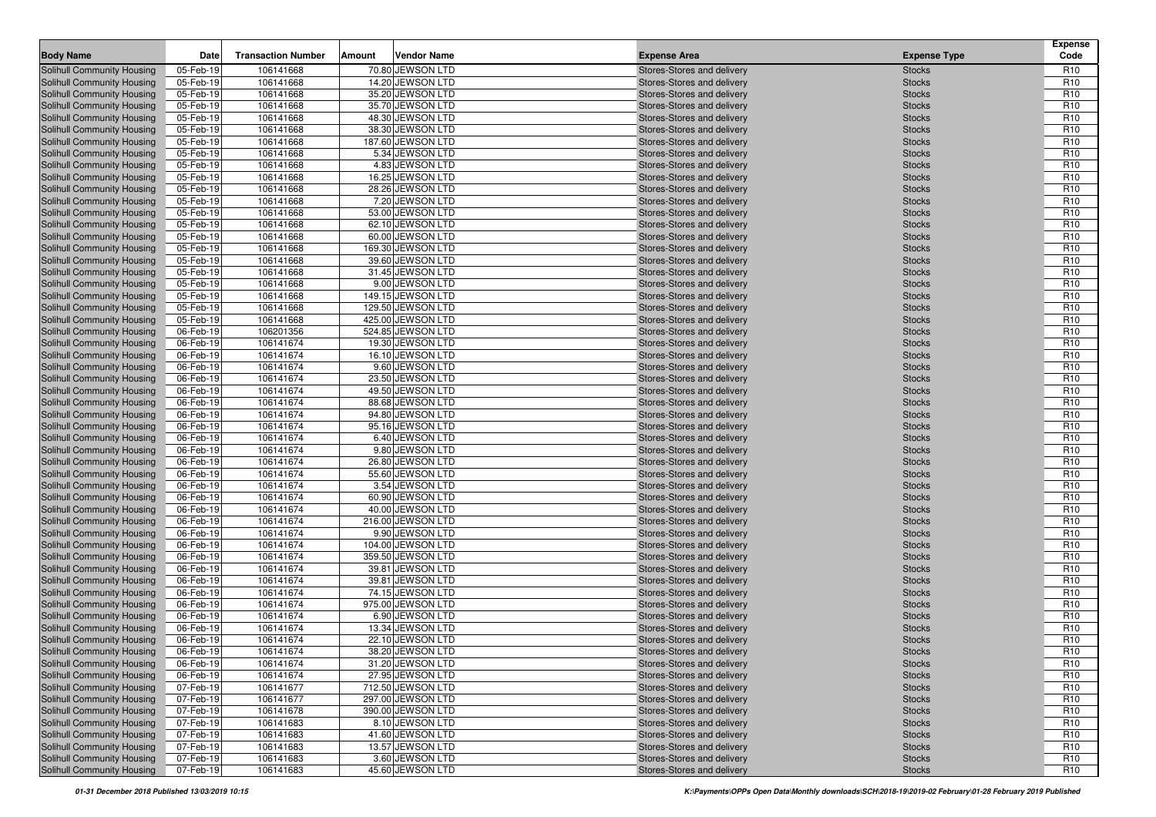| <b>Body Name</b>                                         | Date                   | <b>Transaction Number</b> | Amount | <b>Vendor Name</b>                   | <b>Expense Area</b>                                      | <b>Expense Type</b>            | <b>Expense</b><br>Code             |
|----------------------------------------------------------|------------------------|---------------------------|--------|--------------------------------------|----------------------------------------------------------|--------------------------------|------------------------------------|
| Solihull Community Housing                               | 05-Feb-19              | 106141668                 |        | 70.80 JEWSON LTD                     | Stores-Stores and delivery                               | <b>Stocks</b>                  | R <sub>10</sub>                    |
| Solihull Community Housing                               | 05-Feb-19              | 106141668                 |        | 14.20 JEWSON LTD                     | Stores-Stores and delivery                               | <b>Stocks</b>                  | R <sub>10</sub>                    |
| <b>Solihull Community Housing</b>                        | 05-Feb-19              | 106141668                 |        | 35.20 JEWSON LTD                     | Stores-Stores and delivery                               | <b>Stocks</b>                  | R <sub>10</sub>                    |
| Solihull Community Housing                               | 05-Feb-19              | 106141668                 |        | 35.70 JEWSON LTD                     | Stores-Stores and delivery                               | <b>Stocks</b>                  | R <sub>10</sub>                    |
| Solihull Community Housing                               | 05-Feb-19              | 106141668                 |        | 48.30 JEWSON LTD                     | Stores-Stores and delivery                               | <b>Stocks</b>                  | R <sub>10</sub>                    |
| Solihull Community Housing                               | 05-Feb-19              | 106141668                 |        | 38.30 JEWSON LTD                     | Stores-Stores and delivery                               | <b>Stocks</b>                  | R <sub>10</sub>                    |
| <b>Solihull Community Housing</b>                        | 05-Feb-19              | 106141668                 |        | 187.60 JEWSON LTD                    | Stores-Stores and delivery                               | <b>Stocks</b>                  | R <sub>10</sub>                    |
| <b>Solihull Community Housing</b>                        | 05-Feb-19              | 106141668                 |        | 5.34 JEWSON LTD                      | Stores-Stores and delivery                               | <b>Stocks</b>                  | R <sub>10</sub>                    |
| <b>Solihull Community Housing</b>                        | 05-Feb-19              | 106141668                 |        | 4.83 JEWSON LTD                      | Stores-Stores and delivery                               | <b>Stocks</b>                  | R <sub>10</sub>                    |
| <b>Solihull Community Housing</b>                        | 05-Feb-19              | 106141668                 |        | 16.25 JEWSON LTD                     | Stores-Stores and delivery                               | <b>Stocks</b>                  | R <sub>10</sub>                    |
| Solihull Community Housing                               | 05-Feb-19              | 106141668                 |        | 28.26 JEWSON LTD                     | Stores-Stores and delivery                               | <b>Stocks</b>                  | R <sub>10</sub>                    |
| Solihull Community Housing                               | 05-Feb-19              | 106141668                 |        | 7.20 JEWSON LTD                      | Stores-Stores and delivery                               | <b>Stocks</b>                  | R <sub>10</sub>                    |
| Solihull Community Housing                               | 05-Feb-19              | 106141668                 |        | 53.00 JEWSON LTD                     | Stores-Stores and delivery                               | <b>Stocks</b>                  | R <sub>10</sub>                    |
| <b>Solihull Community Housing</b>                        | 05-Feb-19              | 106141668                 |        | 62.10 JEWSON LTD                     | Stores-Stores and delivery                               | <b>Stocks</b>                  | R <sub>10</sub>                    |
| Solihull Community Housing                               | 05-Feb-19              | 106141668                 |        | 60.00 JEWSON LTD                     | Stores-Stores and delivery                               | <b>Stocks</b>                  | R <sub>10</sub>                    |
| <b>Solihull Community Housing</b>                        | 05-Feb-19              | 106141668                 |        | 169.30 JEWSON LTD                    | Stores-Stores and delivery                               | <b>Stocks</b>                  | R <sub>10</sub>                    |
| <b>Solihull Community Housing</b>                        | 05-Feb-19              | 106141668                 |        | 39.60 JEWSON LTD                     | Stores-Stores and delivery                               | <b>Stocks</b>                  | R <sub>10</sub>                    |
| <b>Solihull Community Housing</b>                        | 05-Feb-19              | 106141668                 |        | 31.45 JEWSON LTD                     | Stores-Stores and delivery                               | <b>Stocks</b>                  | R <sub>10</sub>                    |
| <b>Solihull Community Housing</b>                        | 05-Feb-19              | 106141668                 |        | 9.00 JEWSON LTD                      | Stores-Stores and delivery                               | <b>Stocks</b>                  | R <sub>10</sub>                    |
| Solihull Community Housing                               | 05-Feb-19              | 106141668                 |        | 149.15 JEWSON LTD                    | Stores-Stores and delivery                               | <b>Stocks</b>                  | R <sub>10</sub>                    |
| <b>Solihull Community Housing</b>                        | 05-Feb-19              | 106141668                 |        | 129.50 JEWSON LTD                    | Stores-Stores and delivery                               | <b>Stocks</b>                  | R <sub>10</sub>                    |
| <b>Solihull Community Housing</b>                        | 05-Feb-19              | 106141668                 |        | 425.00 JEWSON LTD                    | Stores-Stores and delivery                               | <b>Stocks</b>                  | R <sub>10</sub>                    |
| Solihull Community Housing                               | 06-Feb-19              | 106201356                 |        | 524.85 JEWSON LTD                    | Stores-Stores and delivery                               | <b>Stocks</b>                  | R <sub>10</sub>                    |
| Solihull Community Housing                               | 06-Feb-19              | 106141674                 |        | 19.30 JEWSON LTD                     | Stores-Stores and delivery                               | <b>Stocks</b>                  | R <sub>10</sub>                    |
| <b>Solihull Community Housing</b>                        | 06-Feb-19              | 106141674                 |        | 16.10 JEWSON LTD                     | Stores-Stores and delivery                               | <b>Stocks</b>                  | R <sub>10</sub>                    |
| Solihull Community Housing                               | 06-Feb-19              | 106141674                 |        | 9.60 JEWSON LTD                      | Stores-Stores and delivery                               | <b>Stocks</b>                  | R <sub>10</sub>                    |
| Solihull Community Housing                               | 06-Feb-19              | 106141674                 |        | 23.50 JEWSON LTD                     | Stores-Stores and delivery                               | <b>Stocks</b>                  | R <sub>10</sub>                    |
| Solihull Community Housing                               | 06-Feb-19              | 106141674                 |        | 49.50 JEWSON LTD                     | Stores-Stores and delivery                               | <b>Stocks</b>                  | R <sub>10</sub>                    |
| <b>Solihull Community Housing</b>                        | 06-Feb-19              | 106141674                 |        | 88.68 JEWSON LTD                     | Stores-Stores and delivery                               | <b>Stocks</b>                  | R <sub>10</sub>                    |
| <b>Solihull Community Housing</b>                        | 06-Feb-19              | 106141674                 |        | 94.80 JEWSON LTD                     | Stores-Stores and delivery                               | <b>Stocks</b>                  | R <sub>10</sub>                    |
| <b>Solihull Community Housing</b>                        | 06-Feb-19              | 106141674                 |        | 95.16 JEWSON LTD                     | Stores-Stores and delivery                               | <b>Stocks</b>                  | R <sub>10</sub>                    |
| Solihull Community Housing                               | 06-Feb-19              | 106141674                 |        | 6.40 JEWSON LTD                      | Stores-Stores and delivery                               | <b>Stocks</b>                  | R <sub>10</sub>                    |
| Solihull Community Housing                               | 06-Feb-19              | 106141674                 |        | 9.80 JEWSON LTD                      | Stores-Stores and delivery                               | <b>Stocks</b>                  | R <sub>10</sub>                    |
| <b>Solihull Community Housing</b>                        | 06-Feb-19              | 106141674                 |        | 26.80 JEWSON LTD                     | Stores-Stores and delivery                               | <b>Stocks</b>                  | R <sub>10</sub>                    |
| <b>Solihull Community Housing</b>                        | 06-Feb-19              | 106141674                 |        | 55.60 JEWSON LTD                     | Stores-Stores and delivery                               | <b>Stocks</b>                  | R <sub>10</sub>                    |
| Solihull Community Housing                               | 06-Feb-19              | 106141674                 |        | 3.54 JEWSON LTD                      | Stores-Stores and delivery                               | <b>Stocks</b>                  | R <sub>10</sub>                    |
| Solihull Community Housing<br>Solihull Community Housing | 06-Feb-19<br>06-Feb-19 | 106141674<br>106141674    |        | 60.90 JEWSON LTD<br>40.00 JEWSON LTD | Stores-Stores and delivery                               | <b>Stocks</b><br><b>Stocks</b> | R <sub>10</sub><br>R <sub>10</sub> |
| <b>Solihull Community Housing</b>                        | 06-Feb-19              | 106141674                 |        | 216.00 JEWSON LTD                    | Stores-Stores and delivery<br>Stores-Stores and delivery | <b>Stocks</b>                  | R <sub>10</sub>                    |
| <b>Solihull Community Housing</b>                        | 06-Feb-19              | 106141674                 |        | 9.90 JEWSON LTD                      | Stores-Stores and delivery                               | <b>Stocks</b>                  | R <sub>10</sub>                    |
| <b>Solihull Community Housing</b>                        | 06-Feb-19              | 106141674                 |        | 104.00 JEWSON LTD                    | Stores-Stores and delivery                               | <b>Stocks</b>                  | R <sub>10</sub>                    |
| <b>Solihull Community Housing</b>                        | 06-Feb-19              | 106141674                 |        | 359.50 JEWSON LTD                    | Stores-Stores and delivery                               | <b>Stocks</b>                  | R <sub>10</sub>                    |
| <b>Solihull Community Housing</b>                        | 06-Feb-19              | 106141674                 |        | 39.81 JEWSON LTD                     | Stores-Stores and delivery                               | <b>Stocks</b>                  | R <sub>10</sub>                    |
| Solihull Community Housing                               | 06-Feb-19              | 106141674                 |        | 39.81 JEWSON LTD                     | Stores-Stores and delivery                               | <b>Stocks</b>                  | R <sub>10</sub>                    |
| Solihull Community Housing                               | 06-Feb-19              | 106141674                 |        | 74.15 JEWSON LTD                     | Stores-Stores and delivery                               | <b>Stocks</b>                  | R <sub>10</sub>                    |
| Solihull Community Housing                               | 06-Feb-19              | 106141674                 |        | 975.00 JEWSON LTD                    | Stores-Stores and delivery                               | <b>Stocks</b>                  | R <sub>10</sub>                    |
| Solihull Community Housing                               | 06-Feb-19              | 106141674                 |        | 6.90 JEWSON LTD                      | Stores-Stores and delivery                               | <b>Stocks</b>                  | R <sub>10</sub>                    |
| <b>Solihull Community Housing</b>                        | 06-Feb-19              | 106141674                 |        | 13.34 JEWSON LTD                     | Stores-Stores and delivery                               | <b>Stocks</b>                  | R <sub>10</sub>                    |
| Solihull Community Housing                               | 06-Feb-19              | 106141674                 |        | 22.10 JEWSON LTD                     | Stores-Stores and delivery                               | <b>Stocks</b>                  | R <sub>10</sub>                    |
| Solihull Community Housing                               | 06-Feb-19              | 106141674                 |        | 38.20 JEWSON LTD                     | Stores-Stores and delivery                               | <b>Stocks</b>                  | R <sub>10</sub>                    |
| <b>Solihull Community Housing</b>                        | 06-Feb-19              | 106141674                 |        | 31.20 JEWSON LTD                     | Stores-Stores and delivery                               | <b>Stocks</b>                  | R <sub>10</sub>                    |
| Solihull Community Housing                               | 06-Feb-19              | 106141674                 |        | 27.95 JEWSON LTD                     | Stores-Stores and delivery                               | <b>Stocks</b>                  | R <sub>10</sub>                    |
| <b>Solihull Community Housing</b>                        | 07-Feb-19              | 106141677                 |        | 712.50 JEWSON LTD                    | Stores-Stores and delivery                               | <b>Stocks</b>                  | R <sub>10</sub>                    |
| <b>Solihull Community Housing</b>                        | 07-Feb-19              | 106141677                 |        | 297.00 JEWSON LTD                    | Stores-Stores and delivery                               | <b>Stocks</b>                  | R <sub>10</sub>                    |
| Solihull Community Housing                               | 07-Feb-19              | 106141678                 |        | 390.00 JEWSON LTD                    | Stores-Stores and delivery                               | <b>Stocks</b>                  | R <sub>10</sub>                    |
| Solihull Community Housing                               | 07-Feb-19              | 106141683                 |        | 8.10 JEWSON LTD                      | Stores-Stores and delivery                               | <b>Stocks</b>                  | R <sub>10</sub>                    |
| Solihull Community Housing                               | 07-Feb-19              | 106141683                 |        | 41.60 JEWSON LTD                     | Stores-Stores and delivery                               | <b>Stocks</b>                  | R <sub>10</sub>                    |
| <b>Solihull Community Housing</b>                        | 07-Feb-19              | 106141683                 |        | 13.57 JEWSON LTD                     | Stores-Stores and delivery                               | <b>Stocks</b>                  | R <sub>10</sub>                    |
| Solihull Community Housing                               | 07-Feb-19              | 106141683                 |        | 3.60 JEWSON LTD                      | Stores-Stores and delivery                               | <b>Stocks</b>                  | R <sub>10</sub>                    |
| <b>Solihull Community Housing</b>                        | 07-Feb-19              | 106141683                 |        | 45.60 JEWSON LTD                     | Stores-Stores and delivery                               | <b>Stocks</b>                  | R <sub>10</sub>                    |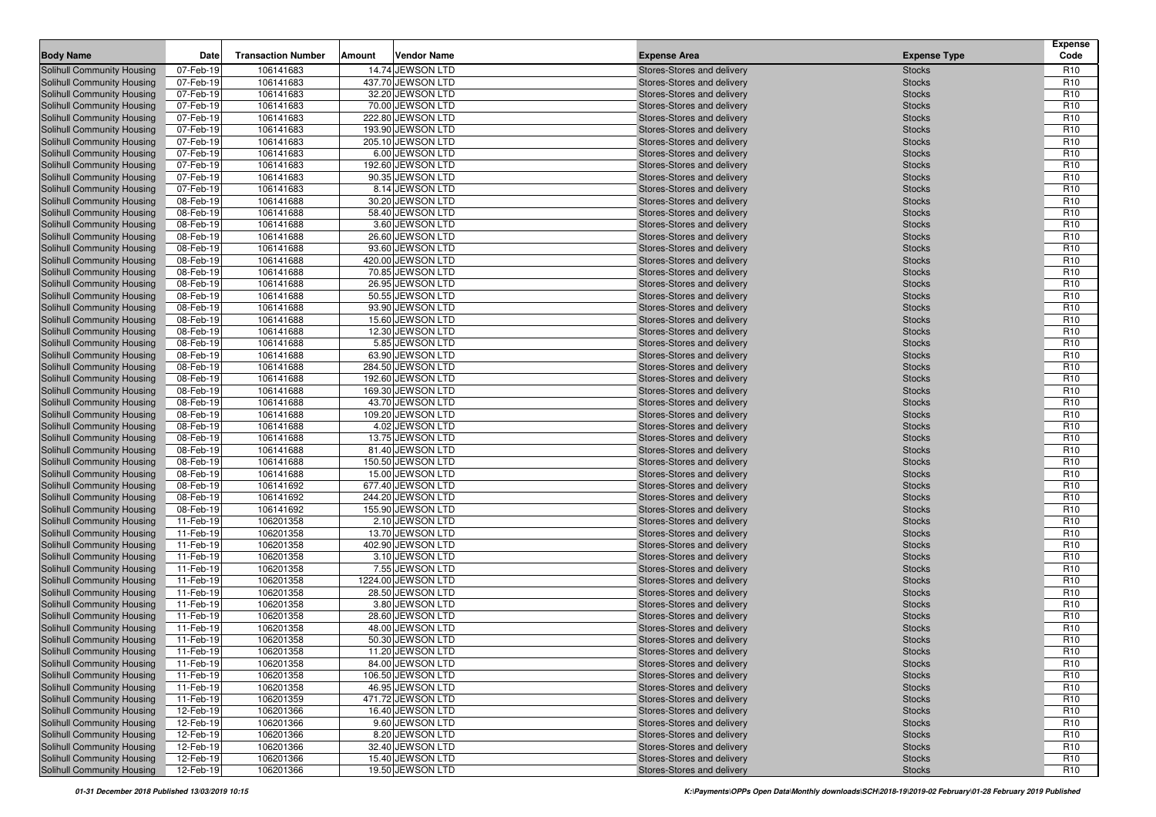| <b>Body Name</b>                  | Date      | <b>Transaction Number</b> | Amount | <b>Vendor Name</b> | <b>Expense Area</b>        | <b>Expense Type</b> | <b>Expense</b><br>Code |
|-----------------------------------|-----------|---------------------------|--------|--------------------|----------------------------|---------------------|------------------------|
| Solihull Community Housing        | 07-Feb-19 | 106141683                 |        | 14.74 JEWSON LTD   | Stores-Stores and delivery | <b>Stocks</b>       | R <sub>10</sub>        |
| Solihull Community Housing        | 07-Feb-19 | 106141683                 |        | 437.70 JEWSON LTD  | Stores-Stores and delivery | <b>Stocks</b>       | R <sub>10</sub>        |
| <b>Solihull Community Housing</b> | 07-Feb-19 | 106141683                 |        | 32.20 JEWSON LTD   | Stores-Stores and delivery | <b>Stocks</b>       | R <sub>10</sub>        |
| <b>Solihull Community Housing</b> | 07-Feb-19 | 106141683                 |        | 70.00 JEWSON LTD   | Stores-Stores and delivery | <b>Stocks</b>       | R <sub>10</sub>        |
| Solihull Community Housing        | 07-Feb-19 | 106141683                 |        | 222.80 JEWSON LTD  | Stores-Stores and delivery | <b>Stocks</b>       | R <sub>10</sub>        |
| Solihull Community Housing        | 07-Feb-19 | 106141683                 |        | 193.90 JEWSON LTD  | Stores-Stores and delivery | <b>Stocks</b>       | R <sub>10</sub>        |
| <b>Solihull Community Housing</b> | 07-Feb-19 | 106141683                 |        | 205.10 JEWSON LTD  | Stores-Stores and delivery | <b>Stocks</b>       | R <sub>10</sub>        |
| Solihull Community Housing        | 07-Feb-19 | 106141683                 |        | 6.00 JEWSON LTD    | Stores-Stores and delivery | <b>Stocks</b>       | R <sub>10</sub>        |
| Solihull Community Housing        | 07-Feb-19 | 106141683                 |        | 192.60 JEWSON LTD  | Stores-Stores and delivery | <b>Stocks</b>       | R <sub>10</sub>        |
| <b>Solihull Community Housing</b> | 07-Feb-19 | 106141683                 |        | 90.35 JEWSON LTD   | Stores-Stores and delivery | <b>Stocks</b>       | R <sub>10</sub>        |
| Solihull Community Housing        | 07-Feb-19 | 106141683                 |        | 8.14 JEWSON LTD    | Stores-Stores and delivery | <b>Stocks</b>       | R <sub>10</sub>        |
| Solihull Community Housing        | 08-Feb-19 | 106141688                 |        | 30.20 JEWSON LTD   | Stores-Stores and delivery | <b>Stocks</b>       | R <sub>10</sub>        |
| Solihull Community Housing        | 08-Feb-19 | 106141688                 |        | 58.40 JEWSON LTD   | Stores-Stores and delivery | <b>Stocks</b>       | R <sub>10</sub>        |
| <b>Solihull Community Housing</b> | 08-Feb-19 | 106141688                 |        | 3.60 JEWSON LTD    | Stores-Stores and delivery | <b>Stocks</b>       | R <sub>10</sub>        |
| Solihull Community Housing        | 08-Feb-19 | 106141688                 |        | 26.60 JEWSON LTD   | Stores-Stores and delivery | <b>Stocks</b>       | R <sub>10</sub>        |
| <b>Solihull Community Housing</b> | 08-Feb-19 | 106141688                 |        | 93.60 JEWSON LTD   | Stores-Stores and delivery | <b>Stocks</b>       | R <sub>10</sub>        |
| <b>Solihull Community Housing</b> | 08-Feb-19 | 106141688                 |        | 420.00 JEWSON LTD  | Stores-Stores and delivery | <b>Stocks</b>       | R <sub>10</sub>        |
| Solihull Community Housing        | 08-Feb-19 | 106141688                 |        | 70.85 JEWSON LTD   | Stores-Stores and delivery | <b>Stocks</b>       | R <sub>10</sub>        |
| <b>Solihull Community Housing</b> | 08-Feb-19 | 106141688                 |        | 26.95 JEWSON LTD   | Stores-Stores and delivery | <b>Stocks</b>       | R <sub>10</sub>        |
| Solihull Community Housing        | 08-Feb-19 | 106141688                 |        | 50.55 JEWSON LTD   | Stores-Stores and delivery | <b>Stocks</b>       | R <sub>10</sub>        |
| <b>Solihull Community Housing</b> | 08-Feb-19 | 106141688                 |        | 93.90 JEWSON LTD   | Stores-Stores and delivery | <b>Stocks</b>       | R <sub>10</sub>        |
| <b>Solihull Community Housing</b> | 08-Feb-19 | 106141688                 |        | 15.60 JEWSON LTD   | Stores-Stores and delivery | <b>Stocks</b>       | R <sub>10</sub>        |
| Solihull Community Housing        | 08-Feb-19 | 106141688                 |        | 12.30 JEWSON LTD   | Stores-Stores and delivery | <b>Stocks</b>       | R <sub>10</sub>        |
| Solihull Community Housing        | 08-Feb-19 | 106141688                 |        | 5.85 JEWSON LTD    | Stores-Stores and delivery | <b>Stocks</b>       | R <sub>10</sub>        |
| <b>Solihull Community Housing</b> | 08-Feb-19 | 106141688                 |        | 63.90 JEWSON LTD   | Stores-Stores and delivery | <b>Stocks</b>       | R <sub>10</sub>        |
| Solihull Community Housing        | 08-Feb-19 | 106141688                 |        | 284.50 JEWSON LTD  | Stores-Stores and delivery | <b>Stocks</b>       | R <sub>10</sub>        |
| Solihull Community Housing        | 08-Feb-19 | 106141688                 |        | 192.60 JEWSON LTD  | Stores-Stores and delivery | <b>Stocks</b>       | R <sub>10</sub>        |
| Solihull Community Housing        | 08-Feb-19 | 106141688                 |        | 169.30 JEWSON LTD  | Stores-Stores and delivery | <b>Stocks</b>       | R <sub>10</sub>        |
| Solihull Community Housing        | 08-Feb-19 | 106141688                 |        | 43.70 JEWSON LTD   | Stores-Stores and delivery | <b>Stocks</b>       | R <sub>10</sub>        |
| <b>Solihull Community Housing</b> | 08-Feb-19 | 106141688                 |        | 109.20 JEWSON LTD  | Stores-Stores and delivery | <b>Stocks</b>       | R <sub>10</sub>        |
| <b>Solihull Community Housing</b> | 08-Feb-19 | 106141688                 |        | 4.02 JEWSON LTD    | Stores-Stores and delivery | <b>Stocks</b>       | R <sub>10</sub>        |
| Solihull Community Housing        | 08-Feb-19 | 106141688                 |        | 13.75 JEWSON LTD   | Stores-Stores and delivery | <b>Stocks</b>       | R <sub>10</sub>        |
| Solihull Community Housing        | 08-Feb-19 | 106141688                 |        | 81.40 JEWSON LTD   | Stores-Stores and delivery | <b>Stocks</b>       | R <sub>10</sub>        |
| <b>Solihull Community Housing</b> | 08-Feb-19 | 106141688                 |        | 150.50 JEWSON LTD  | Stores-Stores and delivery | <b>Stocks</b>       | R <sub>10</sub>        |
| <b>Solihull Community Housing</b> | 08-Feb-19 | 106141688                 |        | 15.00 JEWSON LTD   | Stores-Stores and delivery | <b>Stocks</b>       | R <sub>10</sub>        |
| Solihull Community Housing        | 08-Feb-19 | 106141692                 |        | 677.40 JEWSON LTD  | Stores-Stores and delivery | <b>Stocks</b>       | R <sub>10</sub>        |
| Solihull Community Housing        | 08-Feb-19 | 106141692                 |        | 244.20 JEWSON LTD  | Stores-Stores and delivery | <b>Stocks</b>       | R <sub>10</sub>        |
| Solihull Community Housing        | 08-Feb-19 | 106141692                 |        | 155.90 JEWSON LTD  | Stores-Stores and delivery | <b>Stocks</b>       | R <sub>10</sub>        |
| <b>Solihull Community Housing</b> | 11-Feb-19 | 106201358                 |        | 2.10 JEWSON LTD    | Stores-Stores and delivery | <b>Stocks</b>       | R <sub>10</sub>        |
| Solihull Community Housing        | 11-Feb-19 | 106201358                 |        | 13.70 JEWSON LTD   | Stores-Stores and delivery | <b>Stocks</b>       | R <sub>10</sub>        |
| <b>Solihull Community Housing</b> | 11-Feb-19 | 106201358                 |        | 402.90 JEWSON LTD  | Stores-Stores and delivery | <b>Stocks</b>       | R <sub>10</sub>        |
| <b>Solihull Community Housing</b> | 11-Feb-19 | 106201358                 |        | 3.10 JEWSON LTD    | Stores-Stores and delivery | <b>Stocks</b>       | R <sub>10</sub>        |
| Solihull Community Housing        | 11-Feb-19 | 106201358                 |        | 7.55 JEWSON LTD    | Stores-Stores and delivery | <b>Stocks</b>       | R <sub>10</sub>        |
| Solihull Community Housing        | 11-Feb-19 | 106201358                 |        | 1224.00 JEWSON LTD | Stores-Stores and delivery | <b>Stocks</b>       | R <sub>10</sub>        |
| Solihull Community Housing        | 11-Feb-19 | 106201358                 |        | 28.50 JEWSON LTD   | Stores-Stores and delivery | <b>Stocks</b>       | R <sub>10</sub>        |
| Solihull Community Housing        | 11-Feb-19 | 106201358                 |        | 3.80 JEWSON LTD    | Stores-Stores and delivery | <b>Stocks</b>       | R <sub>10</sub>        |
| <b>Solihull Community Housing</b> | 11-Feb-19 | 106201358                 |        | 28.60 JEWSON LTD   | Stores-Stores and delivery | <b>Stocks</b>       | R <sub>10</sub>        |
| Solihull Community Housing        | 11-Feb-19 | 106201358                 |        | 48.00 JEWSON LTD   | Stores-Stores and delivery | <b>Stocks</b>       | R <sub>10</sub>        |
| Solihull Community Housing        | 11-Feb-19 | 106201358                 |        | 50.30 JEWSON LTD   | Stores-Stores and delivery | <b>Stocks</b>       | R <sub>10</sub>        |
| Solihull Community Housing        | 11-Feb-19 | 106201358                 |        | 11.20 JEWSON LTD   | Stores-Stores and delivery | <b>Stocks</b>       | R <sub>10</sub>        |
| <b>Solihull Community Housing</b> | 11-Feb-19 | 106201358                 |        | 84.00 JEWSON LTD   | Stores-Stores and delivery | <b>Stocks</b>       | R <sub>10</sub>        |
| Solihull Community Housing        | 11-Feb-19 | 106201358                 |        | 106.50 JEWSON LTD  | Stores-Stores and delivery | <b>Stocks</b>       | R <sub>10</sub>        |
| <b>Solihull Community Housing</b> | 11-Feb-19 | 106201358                 |        | 46.95 JEWSON LTD   | Stores-Stores and delivery | <b>Stocks</b>       | R <sub>10</sub>        |
| <b>Solihull Community Housing</b> | 11-Feb-19 | 106201359                 |        | 471.72 JEWSON LTD  | Stores-Stores and delivery | <b>Stocks</b>       | R <sub>10</sub>        |
| Solihull Community Housing        | 12-Feb-19 | 106201366                 |        | 16.40 JEWSON LTD   | Stores-Stores and delivery | <b>Stocks</b>       | R <sub>10</sub>        |
| Solihull Community Housing        | 12-Feb-19 | 106201366                 |        | 9.60 JEWSON LTD    | Stores-Stores and delivery | <b>Stocks</b>       | R <sub>10</sub>        |
| Solihull Community Housing        | 12-Feb-19 | 106201366                 |        | 8.20 JEWSON LTD    | Stores-Stores and delivery | <b>Stocks</b>       | R <sub>10</sub>        |
| <b>Solihull Community Housing</b> | 12-Feb-19 | 106201366                 |        | 32.40 JEWSON LTD   | Stores-Stores and delivery | <b>Stocks</b>       | R <sub>10</sub>        |
| Solihull Community Housing        | 12-Feb-19 | 106201366                 |        | 15.40 JEWSON LTD   | Stores-Stores and delivery | <b>Stocks</b>       | R <sub>10</sub>        |
| Solihull Community Housing        | 12-Feb-19 | 106201366                 |        | 19.50 JEWSON LTD   | Stores-Stores and delivery | <b>Stocks</b>       | R <sub>10</sub>        |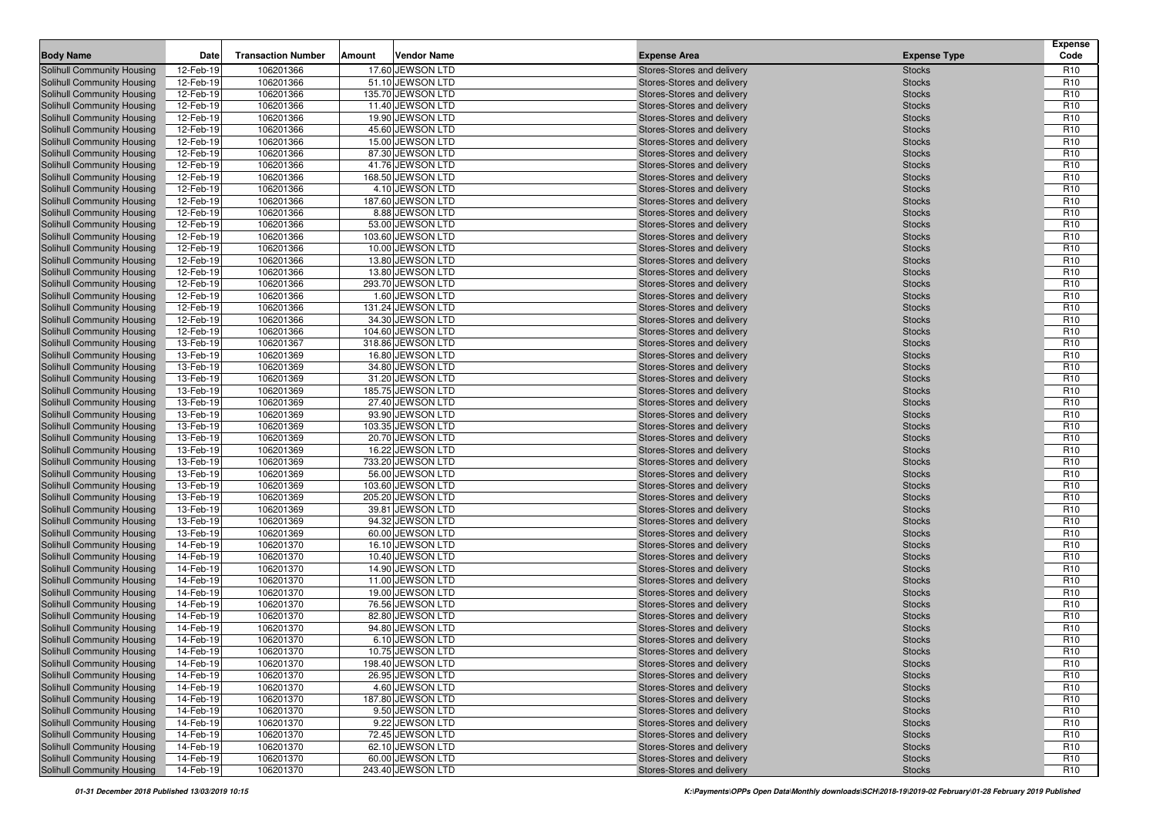| <b>Body Name</b>                                                       | Date                   | <b>Transaction Number</b> | Amount | Vendor Name                           | <b>Expense Area</b>                                      | <b>Expense Type</b>            | <b>Expense</b><br>Code             |
|------------------------------------------------------------------------|------------------------|---------------------------|--------|---------------------------------------|----------------------------------------------------------|--------------------------------|------------------------------------|
| <b>Solihull Community Housing</b>                                      | 12-Feb-19              | 106201366                 |        | 17.60 JEWSON LTD                      | Stores-Stores and delivery                               | <b>Stocks</b>                  | R <sub>10</sub>                    |
| <b>Solihull Community Housing</b>                                      | 12-Feb-19              | 106201366                 |        | 51.10 JEWSON LTD                      | Stores-Stores and delivery                               | <b>Stocks</b>                  | R <sub>10</sub>                    |
| Solihull Community Housing                                             | 12-Feb-19              | 106201366                 |        | 135.70 JEWSON LTD                     | Stores-Stores and delivery                               | <b>Stocks</b>                  | R <sub>10</sub>                    |
| <b>Solihull Community Housing</b>                                      | 12-Feb-19              | 106201366                 |        | 11.40 JEWSON LTD                      | Stores-Stores and delivery                               | <b>Stocks</b>                  | R <sub>10</sub>                    |
| Solihull Community Housing                                             | 12-Feb-19              | 106201366                 |        | 19.90 JEWSON LTD                      | Stores-Stores and delivery                               | <b>Stocks</b>                  | R <sub>10</sub>                    |
| Solihull Community Housing                                             | 12-Feb-19              | 106201366                 |        | 45.60 JEWSON LTD                      | Stores-Stores and delivery                               | <b>Stocks</b>                  | R <sub>10</sub>                    |
| <b>Solihull Community Housing</b>                                      | 12-Feb-19              | 106201366                 |        | 15.00 JEWSON LTD                      | Stores-Stores and delivery                               | <b>Stocks</b>                  | R <sub>10</sub>                    |
| Solihull Community Housing                                             | 12-Feb-19              | 106201366                 |        | 87.30 JEWSON LTD                      | Stores-Stores and delivery                               | <b>Stocks</b>                  | R <sub>10</sub>                    |
| <b>Solihull Community Housing</b>                                      | 12-Feb-19              | 106201366                 |        | 41.76 JEWSON LTD                      | Stores-Stores and delivery                               | <b>Stocks</b>                  | R <sub>10</sub>                    |
| Solihull Community Housing                                             | 12-Feb-19              | 106201366                 |        | 168.50 JEWSON LTD                     | Stores-Stores and delivery                               | <b>Stocks</b>                  | R <sub>10</sub>                    |
| Solihull Community Housing                                             | 12-Feb-19              | 106201366                 |        | 4.10 JEWSON LTD                       | Stores-Stores and delivery                               | <b>Stocks</b>                  | R <sub>10</sub>                    |
| <b>Solihull Community Housing</b>                                      | 12-Feb-19              | 106201366                 |        | 187.60 JEWSON LTD                     | Stores-Stores and delivery                               | <b>Stocks</b>                  | R <sub>10</sub>                    |
| <b>Solihull Community Housing</b>                                      | 12-Feb-19              | 106201366                 |        | 8.88 JEWSON LTD                       | Stores-Stores and delivery                               | <b>Stocks</b>                  | R <sub>10</sub>                    |
| Solihull Community Housing                                             | 12-Feb-19              | 106201366                 |        | 53.00 JEWSON LTD                      | Stores-Stores and delivery                               | <b>Stocks</b>                  | R <sub>10</sub>                    |
| <b>Solihull Community Housing</b>                                      | 12-Feb-19              | 106201366                 |        | 103.60 JEWSON LTD                     | Stores-Stores and delivery                               | <b>Stocks</b>                  | R <sub>10</sub>                    |
| <b>Solihull Community Housing</b>                                      | 12-Feb-19              | 106201366                 |        | 10.00 JEWSON LTD                      | Stores-Stores and delivery                               | <b>Stocks</b>                  | R <sub>10</sub>                    |
| <b>Solihull Community Housing</b>                                      | 12-Feb-19              | 106201366                 |        | 13.80 JEWSON LTD                      | Stores-Stores and delivery                               | <b>Stocks</b>                  | R <sub>10</sub>                    |
| <b>Solihull Community Housing</b>                                      | 12-Feb-19              | 106201366                 |        | 13.80 JEWSON LTD                      | Stores-Stores and delivery                               | <b>Stocks</b>                  | R <sub>10</sub>                    |
| <b>Solihull Community Housing</b>                                      | 12-Feb-19              | 106201366                 |        | 293.70 JEWSON LTD                     | Stores-Stores and delivery                               | <b>Stocks</b>                  | R <sub>10</sub>                    |
| <b>Solihull Community Housing</b>                                      | 12-Feb-19              | 106201366                 |        | 1.60 JEWSON LTD                       | Stores-Stores and delivery                               | <b>Stocks</b>                  | R <sub>10</sub>                    |
| Solihull Community Housing                                             | 12-Feb-19              | 106201366                 |        | 131.24 JEWSON LTD                     | Stores-Stores and delivery                               | <b>Stocks</b>                  | R <sub>10</sub>                    |
| Solihull Community Housing                                             | 12-Feb-19              | 106201366                 |        | 34.30 JEWSON LTD                      | Stores-Stores and delivery                               | <b>Stocks</b>                  | R <sub>10</sub>                    |
| Solihull Community Housing                                             | 12-Feb-19              | 106201366                 |        | 104.60 JEWSON LTD                     | Stores-Stores and delivery                               | <b>Stocks</b>                  | R <sub>10</sub>                    |
| Solihull Community Housing                                             | 13-Feb-19              | 106201367                 |        | 318.86 JEWSON LTD                     | Stores-Stores and delivery                               | <b>Stocks</b>                  | R <sub>10</sub>                    |
| <b>Solihull Community Housing</b>                                      | 13-Feb-19              | 106201369                 |        | 16.80 JEWSON LTD                      | Stores-Stores and delivery                               | <b>Stocks</b>                  | R <sub>10</sub>                    |
| <b>Solihull Community Housing</b>                                      | 13-Feb-19              | 106201369                 |        | 34.80 JEWSON LTD                      | Stores-Stores and delivery                               | <b>Stocks</b>                  | R <sub>10</sub>                    |
| <b>Solihull Community Housing</b>                                      | 13-Feb-19              | 106201369                 |        | 31.20 JEWSON LTD                      | Stores-Stores and delivery                               | <b>Stocks</b>                  | R <sub>10</sub>                    |
| Solihull Community Housing                                             | 13-Feb-19              | 106201369                 |        | 185.75 JEWSON LTD                     | Stores-Stores and delivery                               | <b>Stocks</b>                  | R <sub>10</sub>                    |
| Solihull Community Housing                                             | 13-Feb-19              | 106201369                 |        | 27.40 JEWSON LTD                      | Stores-Stores and delivery                               | <b>Stocks</b>                  | R <sub>10</sub>                    |
| <b>Solihull Community Housing</b>                                      | 13-Feb-19              | 106201369                 |        | 93.90 JEWSON LTD                      | Stores-Stores and delivery                               | <b>Stocks</b>                  | R <sub>10</sub>                    |
| <b>Solihull Community Housing</b>                                      | 13-Feb-19              | 106201369                 |        | 103.35 JEWSON LTD<br>20.70 JEWSON LTD | Stores-Stores and delivery                               | <b>Stocks</b>                  | R <sub>10</sub>                    |
| <b>Solihull Community Housing</b>                                      | 13-Feb-19              | 106201369                 |        | 16.22 JEWSON LTD                      | Stores-Stores and delivery                               | <b>Stocks</b>                  | R <sub>10</sub><br>R <sub>10</sub> |
| <b>Solihull Community Housing</b><br><b>Solihull Community Housing</b> | 13-Feb-19<br>13-Feb-19 | 106201369<br>106201369    |        | 733.20 JEWSON LTD                     | Stores-Stores and delivery<br>Stores-Stores and delivery | <b>Stocks</b><br><b>Stocks</b> | R <sub>10</sub>                    |
| <b>Solihull Community Housing</b>                                      | 13-Feb-19              | 106201369                 |        | 56.00 JEWSON LTD                      | Stores-Stores and delivery                               | <b>Stocks</b>                  | R <sub>10</sub>                    |
| <b>Solihull Community Housing</b>                                      | 13-Feb-19              | 106201369                 |        | 103.60 JEWSON LTD                     | Stores-Stores and delivery                               | <b>Stocks</b>                  | R <sub>10</sub>                    |
| <b>Solihull Community Housing</b>                                      | 13-Feb-19              | 106201369                 |        | 205.20 JEWSON LTD                     | Stores-Stores and delivery                               | <b>Stocks</b>                  | R <sub>10</sub>                    |
| <b>Solihull Community Housing</b>                                      | 13-Feb-19              | 106201369                 |        | 39.81 JEWSON LTD                      | Stores-Stores and delivery                               | <b>Stocks</b>                  | R <sub>10</sub>                    |
| <b>Solihull Community Housing</b>                                      | 13-Feb-19              | 106201369                 |        | 94.32 JEWSON LTD                      | Stores-Stores and delivery                               | <b>Stocks</b>                  | R <sub>10</sub>                    |
| <b>Solihull Community Housing</b>                                      | 13-Feb-19              | 106201369                 |        | 60.00 JEWSON LTD                      | Stores-Stores and delivery                               | <b>Stocks</b>                  | R <sub>10</sub>                    |
| <b>Solihull Community Housing</b>                                      | 14-Feb-19              | 106201370                 |        | 16.10 JEWSON LTD                      | Stores-Stores and delivery                               | <b>Stocks</b>                  | R <sub>10</sub>                    |
| <b>Solihull Community Housing</b>                                      | 14-Feb-19              | 106201370                 |        | 10.40 JEWSON LTD                      | Stores-Stores and delivery                               | <b>Stocks</b>                  | R <sub>10</sub>                    |
| Solihull Community Housing                                             | 14-Feb-19              | 106201370                 |        | 14.90 JEWSON LTD                      | Stores-Stores and delivery                               | <b>Stocks</b>                  | R <sub>10</sub>                    |
| Solihull Community Housing                                             | 14-Feb-19              | 106201370                 |        | 11.00 JEWSON LTD                      | Stores-Stores and delivery                               | <b>Stocks</b>                  | R <sub>10</sub>                    |
| <b>Solihull Community Housing</b>                                      | 14-Feb-19              | 106201370                 |        | 19.00 JEWSON LTD                      | Stores-Stores and delivery                               | <b>Stocks</b>                  | R <sub>10</sub>                    |
| <b>Solihull Community Housing</b>                                      | 14-Feb-19              | 106201370                 |        | 76.56 JEWSON LTD                      | Stores-Stores and delivery                               | <b>Stocks</b>                  | R <sub>10</sub>                    |
| <b>Solihull Community Housing</b>                                      | 14-Feb-19              | 106201370                 |        | 82.80 JEWSON LTD                      | Stores-Stores and delivery                               | <b>Stocks</b>                  | R <sub>10</sub>                    |
| Solihull Community Housing                                             | 14-Feb-19              | 106201370                 |        | 94.80 JEWSON LTD                      | Stores-Stores and delivery                               | <b>Stocks</b>                  | R <sub>10</sub>                    |
| <b>Solihull Community Housing</b>                                      | 14-Feb-19              | 106201370                 |        | 6.10 JEWSON LTD                       | Stores-Stores and delivery                               | <b>Stocks</b>                  | R <sub>10</sub>                    |
| <b>Solihull Community Housing</b>                                      | 14-Feb-19              | 106201370                 |        | 10.75 JEWSON LTD                      | Stores-Stores and delivery                               | <b>Stocks</b>                  | R <sub>10</sub>                    |
| Solihull Community Housing                                             | 14-Feb-19              | 106201370                 |        | 198.40 JEWSON LTD                     | Stores-Stores and delivery                               | <b>Stocks</b>                  | R <sub>10</sub>                    |
| Solihull Community Housing                                             | 14-Feb-19              | 106201370                 |        | 26.95 JEWSON LTD                      | Stores-Stores and delivery                               | <b>Stocks</b>                  | R <sub>10</sub>                    |
| <b>Solihull Community Housing</b>                                      | 14-Feb-19              | 106201370                 |        | 4.60 JEWSON LTD                       | Stores-Stores and delivery                               | <b>Stocks</b>                  | R <sub>10</sub>                    |
| Solihull Community Housing                                             | 14-Feb-19              | 106201370                 |        | 187.80 JEWSON LTD                     | Stores-Stores and delivery                               | <b>Stocks</b>                  | R <sub>10</sub>                    |
| Solihull Community Housing                                             | 14-Feb-19              | 106201370                 |        | 9.50 JEWSON LTD                       | Stores-Stores and delivery                               | <b>Stocks</b>                  | R <sub>10</sub>                    |
| <b>Solihull Community Housing</b>                                      | 14-Feb-19              | 106201370                 |        | 9.22 JEWSON LTD                       | Stores-Stores and delivery                               | <b>Stocks</b>                  | R <sub>10</sub>                    |
| <b>Solihull Community Housing</b>                                      | 14-Feb-19              | 106201370                 |        | 72.45 JEWSON LTD                      | Stores-Stores and delivery                               | <b>Stocks</b>                  | R <sub>10</sub>                    |
| Solihull Community Housing                                             | 14-Feb-19              | 106201370                 |        | 62.10 JEWSON LTD                      | Stores-Stores and delivery                               | <b>Stocks</b>                  | R <sub>10</sub>                    |
| Solihull Community Housing                                             | 14-Feb-19              | 106201370                 |        | 60.00 JEWSON LTD                      | Stores-Stores and delivery                               | <b>Stocks</b>                  | R <sub>10</sub>                    |
| <b>Solihull Community Housing</b>                                      | 14-Feb-19              | 106201370                 |        | 243.40 JEWSON LTD                     | Stores-Stores and delivery                               | <b>Stocks</b>                  | R <sub>10</sub>                    |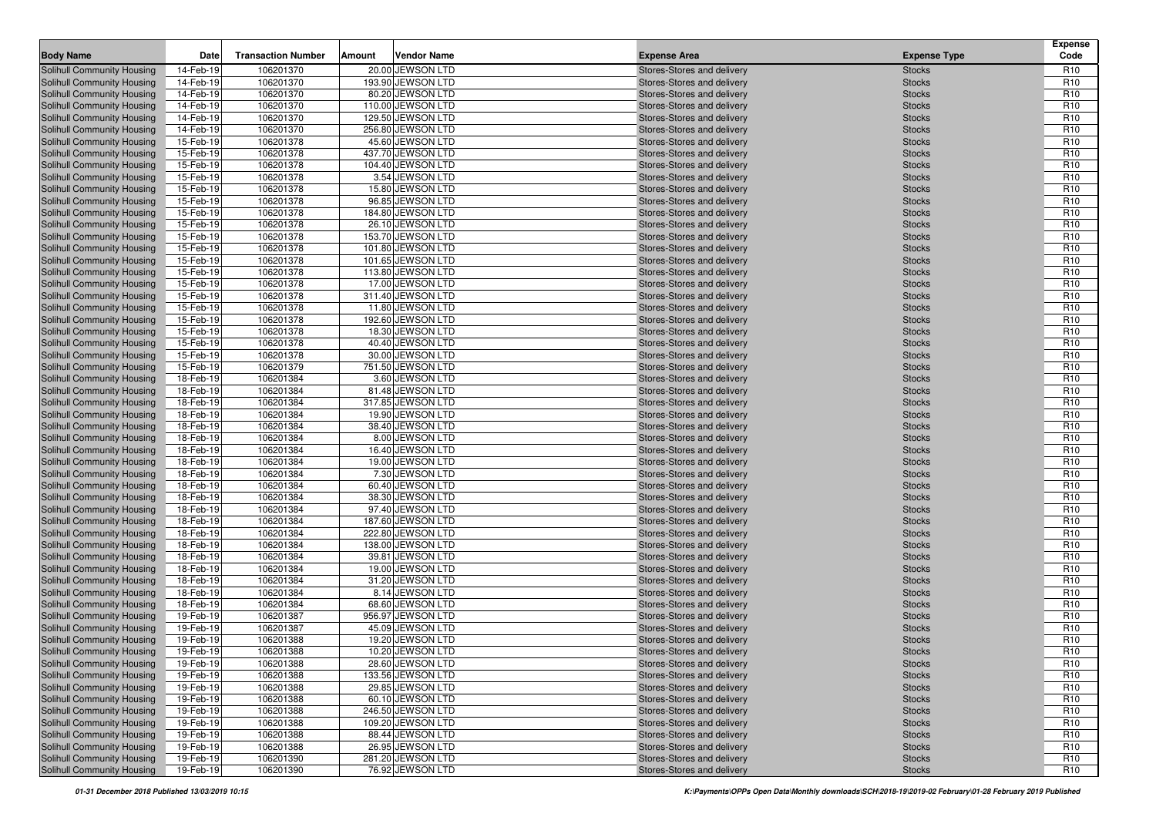| <b>Body Name</b>                                                | Date                   | <b>Transaction Number</b> | Amount | Vendor Name                          | <b>Expense Area</b>                                      | <b>Expense Type</b>            | <b>Expense</b><br>Code             |
|-----------------------------------------------------------------|------------------------|---------------------------|--------|--------------------------------------|----------------------------------------------------------|--------------------------------|------------------------------------|
| Solihull Community Housing                                      | 14-Feb-19              | 106201370                 |        | 20.00 JEWSON LTD                     | Stores-Stores and delivery                               | <b>Stocks</b>                  | R <sub>10</sub>                    |
| Solihull Community Housing                                      | 14-Feb-19              | 106201370                 |        | 193.90 JEWSON LTD                    | Stores-Stores and delivery                               | <b>Stocks</b>                  | R <sub>10</sub>                    |
| Solihull Community Housing                                      | 14-Feb-19              | 106201370                 |        | 80.20 JEWSON LTD                     | Stores-Stores and delivery                               | <b>Stocks</b>                  | R <sub>10</sub>                    |
| <b>Solihull Community Housing</b>                               | 14-Feb-19              | 106201370                 |        | 110.00 JEWSON LTD                    | Stores-Stores and delivery                               | <b>Stocks</b>                  | R <sub>10</sub>                    |
| <b>Solihull Community Housing</b>                               | 14-Feb-19              | 106201370                 |        | 129.50 JEWSON LTD                    | Stores-Stores and delivery                               | <b>Stocks</b>                  | R <sub>10</sub>                    |
| <b>Solihull Community Housing</b>                               | 14-Feb-19              | 106201370                 |        | 256.80 JEWSON LTD                    | Stores-Stores and delivery                               | <b>Stocks</b>                  | R <sub>10</sub>                    |
| <b>Solihull Community Housing</b>                               | 15-Feb-19              | 106201378                 |        | 45.60 JEWSON LTD                     | Stores-Stores and delivery                               | <b>Stocks</b>                  | R <sub>10</sub>                    |
| <b>Solihull Community Housing</b>                               | 15-Feb-19              | 106201378                 |        | 437.70 JEWSON LTD                    | Stores-Stores and delivery                               | <b>Stocks</b>                  | R <sub>10</sub>                    |
| <b>Solihull Community Housing</b>                               | 15-Feb-19              | 106201378                 |        | 104.40 JEWSON LTD                    | Stores-Stores and delivery                               | <b>Stocks</b>                  | R <sub>10</sub>                    |
| <b>Solihull Community Housing</b>                               | 15-Feb-19              | 106201378                 |        | 3.54 JEWSON LTD                      | Stores-Stores and delivery                               | <b>Stocks</b>                  | R <sub>10</sub>                    |
| <b>Solihull Community Housing</b>                               | 15-Feb-19              | 106201378                 |        | 15.80 JEWSON LTD                     | Stores-Stores and delivery                               | <b>Stocks</b>                  | R <sub>10</sub>                    |
| Solihull Community Housing                                      | 15-Feb-19              | 106201378                 |        | 96.85 JEWSON LTD                     | Stores-Stores and delivery                               | <b>Stocks</b>                  | R <sub>10</sub>                    |
| <b>Solihull Community Housing</b>                               | 15-Feb-19              | 106201378                 |        | 184.80 JEWSON LTD                    | Stores-Stores and delivery                               | <b>Stocks</b>                  | R <sub>10</sub>                    |
| <b>Solihull Community Housing</b>                               | 15-Feb-19              | 106201378                 |        | 26.10 JEWSON LTD                     | Stores-Stores and delivery                               | <b>Stocks</b>                  | R <sub>10</sub>                    |
| Solihull Community Housing                                      | 15-Feb-19              | 106201378                 |        | 153.70 JEWSON LTD                    | Stores-Stores and delivery                               | <b>Stocks</b>                  | R <sub>10</sub>                    |
| <b>Solihull Community Housing</b>                               | 15-Feb-19              | 106201378                 |        | 101.80 JEWSON LTD                    | Stores-Stores and delivery                               | <b>Stocks</b>                  | R <sub>10</sub>                    |
| <b>Solihull Community Housing</b>                               | 15-Feb-19              | 106201378                 |        | 101.65 JEWSON LTD                    | Stores-Stores and delivery                               | <b>Stocks</b>                  | R <sub>10</sub>                    |
| <b>Solihull Community Housing</b>                               | 15-Feb-19              | 106201378                 |        | 113.80 JEWSON LTD                    | Stores-Stores and delivery                               | <b>Stocks</b>                  | R <sub>10</sub>                    |
| <b>Solihull Community Housing</b>                               | 15-Feb-19              | 106201378                 |        | 17.00 JEWSON LTD                     | Stores-Stores and delivery                               | <b>Stocks</b>                  | R <sub>10</sub>                    |
| <b>Solihull Community Housing</b>                               | 15-Feb-19              | 106201378                 |        | 311.40 JEWSON LTD                    | Stores-Stores and delivery                               | <b>Stocks</b>                  | R <sub>10</sub>                    |
| <b>Solihull Community Housing</b>                               | 15-Feb-19              | 106201378                 |        | 11.80 JEWSON LTD                     | Stores-Stores and delivery                               | <b>Stocks</b>                  | R <sub>10</sub>                    |
| <b>Solihull Community Housing</b>                               | 15-Feb-19              | 106201378                 |        | 192.60 JEWSON LTD                    | Stores-Stores and delivery                               | <b>Stocks</b>                  | R <sub>10</sub>                    |
| <b>Solihull Community Housing</b>                               | 15-Feb-19              | 106201378                 |        | 18.30 JEWSON LTD                     | Stores-Stores and delivery                               | <b>Stocks</b>                  | R <sub>10</sub>                    |
| <b>Solihull Community Housing</b>                               | 15-Feb-19              | 106201378                 |        | 40.40 JEWSON LTD                     | Stores-Stores and delivery                               | <b>Stocks</b>                  | R <sub>10</sub>                    |
| <b>Solihull Community Housing</b>                               | 15-Feb-19              | 106201378                 |        | 30.00 JEWSON LTD                     | Stores-Stores and delivery                               | <b>Stocks</b>                  | R <sub>10</sub>                    |
| <b>Solihull Community Housing</b>                               | 15-Feb-19              | 106201379                 |        | 751.50 JEWSON LTD                    | Stores-Stores and delivery                               | <b>Stocks</b>                  | R <sub>10</sub>                    |
| <b>Solihull Community Housing</b>                               | 18-Feb-19              | 106201384                 |        | 3.60 JEWSON LTD                      | Stores-Stores and delivery                               | <b>Stocks</b>                  | R <sub>10</sub>                    |
| <b>Solihull Community Housing</b>                               | 18-Feb-19              | 106201384                 |        | 81.48 JEWSON LTD                     | Stores-Stores and delivery                               | <b>Stocks</b>                  | R <sub>10</sub>                    |
| <b>Solihull Community Housing</b>                               | 18-Feb-19              | 106201384                 |        | 317.85 JEWSON LTD                    | Stores-Stores and delivery                               | <b>Stocks</b>                  | R <sub>10</sub>                    |
| <b>Solihull Community Housing</b>                               | 18-Feb-19              | 106201384                 |        | 19.90 JEWSON LTD                     | Stores-Stores and delivery                               | <b>Stocks</b>                  | R <sub>10</sub>                    |
| <b>Solihull Community Housing</b>                               | 18-Feb-19              | 106201384                 |        | 38.40 JEWSON LTD                     | Stores-Stores and delivery                               | <b>Stocks</b>                  | R <sub>10</sub>                    |
| <b>Solihull Community Housing</b>                               | 18-Feb-19              | 106201384                 |        | 8.00 JEWSON LTD                      | Stores-Stores and delivery                               | <b>Stocks</b>                  | R <sub>10</sub>                    |
| <b>Solihull Community Housing</b>                               | 18-Feb-19              | 106201384                 |        | 16.40 JEWSON LTD                     | Stores-Stores and delivery                               | <b>Stocks</b>                  | R <sub>10</sub>                    |
| <b>Solihull Community Housing</b>                               | 18-Feb-19              | 106201384                 |        | 19.00 JEWSON LTD                     | Stores-Stores and delivery                               | <b>Stocks</b>                  | R <sub>10</sub>                    |
| <b>Solihull Community Housing</b>                               | 18-Feb-19              | 106201384                 |        | 7.30 JEWSON LTD                      | Stores-Stores and delivery                               | <b>Stocks</b>                  | R <sub>10</sub>                    |
| <b>Solihull Community Housing</b>                               | 18-Feb-19              | 106201384                 |        | 60.40 JEWSON LTD                     | Stores-Stores and delivery                               | <b>Stocks</b>                  | R <sub>10</sub>                    |
| <b>Solihull Community Housing</b>                               | 18-Feb-19              | 106201384                 |        | 38.30 JEWSON LTD                     | Stores-Stores and delivery                               | <b>Stocks</b>                  | R <sub>10</sub>                    |
| <b>Solihull Community Housing</b>                               | 18-Feb-19              | 106201384                 |        | 97.40 JEWSON LTD                     | Stores-Stores and delivery                               | <b>Stocks</b>                  | R <sub>10</sub>                    |
| <b>Solihull Community Housing</b>                               | 18-Feb-19              | 106201384                 |        | 187.60 JEWSON LTD                    | Stores-Stores and delivery                               | <b>Stocks</b>                  | R <sub>10</sub>                    |
| <b>Solihull Community Housing</b>                               | 18-Feb-19              | 106201384                 |        | 222.80 JEWSON LTD                    | Stores-Stores and delivery                               | <b>Stocks</b>                  | R <sub>10</sub>                    |
| Solihull Community Housing                                      | 18-Feb-19              | 106201384                 |        | 138.00 JEWSON LTD                    | Stores-Stores and delivery                               | <b>Stocks</b>                  | R <sub>10</sub>                    |
| <b>Solihull Community Housing</b>                               | 18-Feb-19              | 106201384                 |        | 39.81 JEWSON LTD<br>19.00 JEWSON LTD | Stores-Stores and delivery                               | <b>Stocks</b>                  | R <sub>10</sub><br>R <sub>10</sub> |
| <b>Solihull Community Housing</b>                               | 18-Feb-19              | 106201384                 |        |                                      | Stores-Stores and delivery                               | <b>Stocks</b>                  | R <sub>10</sub>                    |
| <b>Solihull Community Housing</b><br>Solihull Community Housing | 18-Feb-19<br>18-Feb-19 | 106201384<br>106201384    |        | 31.20 JEWSON LTD<br>8.14 JEWSON LTD  | Stores-Stores and delivery                               | <b>Stocks</b>                  | R <sub>10</sub>                    |
| <b>Solihull Community Housing</b>                               | 18-Feb-19              | 106201384                 |        | 68.60 JEWSON LTD                     | Stores-Stores and delivery<br>Stores-Stores and delivery | <b>Stocks</b><br><b>Stocks</b> | R <sub>10</sub>                    |
| <b>Solihull Community Housing</b>                               | 19-Feb-19              | 106201387                 |        | 956.97 JEWSON LTD                    | Stores-Stores and delivery                               | <b>Stocks</b>                  | R <sub>10</sub>                    |
| <b>Solihull Community Housing</b>                               | 19-Feb-19              | 106201387                 |        | 45.09 JEWSON LTD                     | Stores-Stores and delivery                               | <b>Stocks</b>                  | R <sub>10</sub>                    |
| <b>Solihull Community Housing</b>                               | 19-Feb-19              | 106201388                 |        | 19.20 JEWSON LTD                     | Stores-Stores and delivery                               | <b>Stocks</b>                  | R <sub>10</sub>                    |
| Solihull Community Housing                                      | 19-Feb-19              | 106201388                 |        | 10.20 JEWSON LTD                     | Stores-Stores and delivery                               | <b>Stocks</b>                  | R <sub>10</sub>                    |
| Solihull Community Housing                                      | 19-Feb-19              | 106201388                 |        | 28.60 JEWSON LTD                     | Stores-Stores and delivery                               | <b>Stocks</b>                  | R <sub>10</sub>                    |
| Solihull Community Housing                                      | 19-Feb-19              | 106201388                 |        | 133.56 JEWSON LTD                    | Stores-Stores and delivery                               | <b>Stocks</b>                  | R <sub>10</sub>                    |
| Solihull Community Housing                                      | 19-Feb-19              | 106201388                 |        | 29.85 JEWSON LTD                     | Stores-Stores and delivery                               | <b>Stocks</b>                  | R <sub>10</sub>                    |
| Solihull Community Housing                                      | 19-Feb-19              | 106201388                 |        | 60.10 JEWSON LTD                     | Stores-Stores and delivery                               | <b>Stocks</b>                  | R <sub>10</sub>                    |
| <b>Solihull Community Housing</b>                               | 19-Feb-19              | 106201388                 |        | 246.50 JEWSON LTD                    | Stores-Stores and delivery                               | <b>Stocks</b>                  | R <sub>10</sub>                    |
| Solihull Community Housing                                      | 19-Feb-19              | 106201388                 |        | 109.20 JEWSON LTD                    | Stores-Stores and delivery                               | <b>Stocks</b>                  | R <sub>10</sub>                    |
| Solihull Community Housing                                      | 19-Feb-19              | 106201388                 |        | 88.44 JEWSON LTD                     | Stores-Stores and delivery                               | <b>Stocks</b>                  | R <sub>10</sub>                    |
| <b>Solihull Community Housing</b>                               | 19-Feb-19              | 106201388                 |        | 26.95 JEWSON LTD                     | Stores-Stores and delivery                               | <b>Stocks</b>                  | R <sub>10</sub>                    |
| Solihull Community Housing                                      | 19-Feb-19              | 106201390                 |        | 281.20 JEWSON LTD                    | Stores-Stores and delivery                               | <b>Stocks</b>                  | R <sub>10</sub>                    |
| <b>Solihull Community Housing</b>                               | 19-Feb-19              | 106201390                 |        | 76.92 JEWSON LTD                     | Stores-Stores and delivery                               | <b>Stocks</b>                  | R <sub>10</sub>                    |
|                                                                 |                        |                           |        |                                      |                                                          |                                |                                    |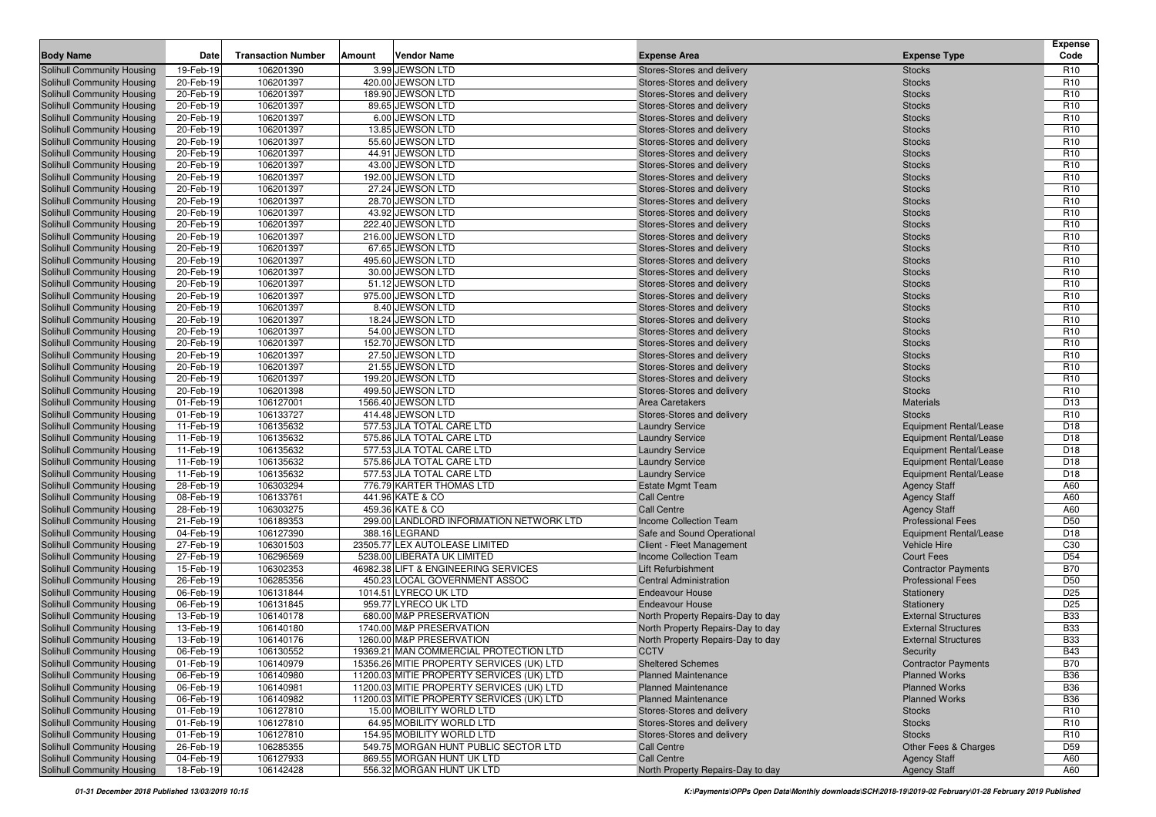| <b>Body Name</b>                                                       | Date                   | <b>Transaction Number</b> | Amount | Vendor Name                                               | <b>Expense Area</b>                                      | <b>Expense Type</b>                                  | <b>Expense</b><br>Code             |
|------------------------------------------------------------------------|------------------------|---------------------------|--------|-----------------------------------------------------------|----------------------------------------------------------|------------------------------------------------------|------------------------------------|
|                                                                        |                        | 106201390                 |        | 3.99 JEWSON LTD                                           |                                                          |                                                      |                                    |
| <b>Solihull Community Housing</b><br>Solihull Community Housing        | 19-Feb-19<br>20-Feb-19 | 106201397                 |        | 420.00 JEWSON LTD                                         | Stores-Stores and delivery<br>Stores-Stores and delivery | <b>Stocks</b><br><b>Stocks</b>                       | R <sub>10</sub><br>R <sub>10</sub> |
| <b>Solihull Community Housing</b>                                      | 20-Feb-19              | 106201397                 |        | 189.90 JEWSON LTD                                         | Stores-Stores and delivery                               | <b>Stocks</b>                                        | R <sub>10</sub>                    |
| <b>Solihull Community Housing</b>                                      | 20-Feb-19              | 106201397                 |        | 89.65 JEWSON LTD                                          | Stores-Stores and delivery                               | <b>Stocks</b>                                        | R <sub>10</sub>                    |
| <b>Solihull Community Housing</b>                                      | 20-Feb-19              | 106201397                 |        | 6.00 JEWSON LTD                                           | Stores-Stores and delivery                               | <b>Stocks</b>                                        | R <sub>10</sub>                    |
| Solihull Community Housing                                             | 20-Feb-19              | 106201397                 |        | 13.85 JEWSON LTD                                          | Stores-Stores and delivery                               | <b>Stocks</b>                                        | R <sub>10</sub>                    |
| <b>Solihull Community Housing</b>                                      | 20-Feb-19              | 106201397                 |        | 55.60 JEWSON LTD                                          | Stores-Stores and delivery                               | <b>Stocks</b>                                        | R <sub>10</sub>                    |
| Solihull Community Housing                                             | 20-Feb-19              | 106201397                 |        | 44.91 JEWSON LTD                                          | Stores-Stores and delivery                               | <b>Stocks</b>                                        | R <sub>10</sub>                    |
| <b>Solihull Community Housing</b>                                      | 20-Feb-19              | 106201397                 |        | 43.00 JEWSON LTD                                          | Stores-Stores and delivery                               | <b>Stocks</b>                                        | R <sub>10</sub>                    |
| <b>Solihull Community Housing</b>                                      | 20-Feb-19              | 106201397                 |        | 192.00 JEWSON LTD                                         | Stores-Stores and delivery                               | <b>Stocks</b>                                        | R <sub>10</sub>                    |
| Solihull Community Housing                                             | 20-Feb-19              | 106201397                 |        | 27.24 JEWSON LTD                                          | Stores-Stores and delivery                               | <b>Stocks</b>                                        | R <sub>10</sub>                    |
| <b>Solihull Community Housing</b>                                      | 20-Feb-19              | 106201397                 |        | 28.70 JEWSON LTD                                          | Stores-Stores and delivery                               | <b>Stocks</b>                                        | R <sub>10</sub>                    |
| Solihull Community Housing                                             | 20-Feb-19              | 106201397                 |        | 43.92 JEWSON LTD                                          | Stores-Stores and delivery                               | <b>Stocks</b>                                        | R <sub>10</sub>                    |
| <b>Solihull Community Housing</b>                                      | 20-Feb-19              | 106201397                 |        | 222.40 JEWSON LTD                                         | Stores-Stores and delivery                               | <b>Stocks</b>                                        | R <sub>10</sub>                    |
| <b>Solihull Community Housing</b>                                      | 20-Feb-19              | 106201397                 |        | 216.00 JEWSON LTD                                         | Stores-Stores and delivery                               | <b>Stocks</b>                                        | R <sub>10</sub>                    |
| <b>Solihull Community Housing</b>                                      | 20-Feb-19              | 106201397                 |        | 67.65 JEWSON LTD                                          | Stores-Stores and delivery                               | <b>Stocks</b>                                        | R <sub>10</sub>                    |
| <b>Solihull Community Housing</b>                                      | 20-Feb-19              | 106201397                 |        | 495.60 JEWSON LTD                                         | Stores-Stores and delivery                               | <b>Stocks</b>                                        | R <sub>10</sub>                    |
| <b>Solihull Community Housing</b>                                      | 20-Feb-19              | 106201397                 |        | 30.00 JEWSON LTD                                          | Stores-Stores and delivery                               | <b>Stocks</b>                                        | R <sub>10</sub>                    |
| <b>Solihull Community Housing</b>                                      | 20-Feb-19              | 106201397                 |        | 51.12 JEWSON LTD                                          | Stores-Stores and delivery                               | <b>Stocks</b>                                        | R <sub>10</sub>                    |
| <b>Solihull Community Housing</b>                                      | 20-Feb-19              | 106201397                 |        | 975.00 JEWSON LTD                                         | Stores-Stores and delivery                               | <b>Stocks</b>                                        | R <sub>10</sub>                    |
| Solihull Community Housing                                             | 20-Feb-19              | 106201397                 |        | 8.40 JEWSON LTD                                           | Stores-Stores and delivery                               | <b>Stocks</b>                                        | R <sub>10</sub>                    |
| <b>Solihull Community Housing</b>                                      | 20-Feb-19              | 106201397                 |        | 18.24 JEWSON LTD                                          | Stores-Stores and delivery                               | <b>Stocks</b>                                        | R <sub>10</sub>                    |
| <b>Solihull Community Housing</b>                                      | 20-Feb-19              | 106201397                 |        | 54.00 JEWSON LTD                                          | Stores-Stores and delivery                               | <b>Stocks</b>                                        | R <sub>10</sub>                    |
| Solihull Community Housing                                             | 20-Feb-19              | 106201397                 |        | 152.70 JEWSON LTD                                         | Stores-Stores and delivery                               | <b>Stocks</b>                                        | R <sub>10</sub>                    |
| <b>Solihull Community Housing</b>                                      | 20-Feb-19              | 106201397                 |        | 27.50 JEWSON LTD                                          | Stores-Stores and delivery                               | <b>Stocks</b>                                        | R <sub>10</sub>                    |
| <b>Solihull Community Housing</b>                                      | 20-Feb-19              | 106201397                 |        | 21.55 JEWSON LTD                                          | Stores-Stores and delivery                               | <b>Stocks</b>                                        | R <sub>10</sub>                    |
| <b>Solihull Community Housing</b>                                      | 20-Feb-19              | 106201397                 |        | 199.20 JEWSON LTD                                         | Stores-Stores and delivery                               | <b>Stocks</b>                                        | R <sub>10</sub>                    |
| <b>Solihull Community Housing</b>                                      | 20-Feb-19              | 106201398                 |        | 499.50 JEWSON LTD                                         | Stores-Stores and delivery                               | <b>Stocks</b>                                        | R <sub>10</sub>                    |
| <b>Solihull Community Housing</b>                                      | 01-Feb-19              | 106127001                 |        | 1566.40 JEWSON LTD                                        | <b>Area Caretakers</b>                                   | <b>Materials</b>                                     | D <sub>13</sub>                    |
| <b>Solihull Community Housing</b>                                      | 01-Feb-19              | 106133727                 |        | 414.48 JEWSON LTD                                         | Stores-Stores and delivery                               | <b>Stocks</b>                                        | R <sub>10</sub>                    |
| <b>Solihull Community Housing</b>                                      | 11-Feb-19              | 106135632                 |        | 577.53 JLA TOTAL CARE LTD                                 | <b>Laundry Service</b>                                   | <b>Equipment Rental/Lease</b>                        | D <sub>18</sub>                    |
| <b>Solihull Community Housing</b>                                      | 11-Feb-19              | 106135632                 |        | 575.86 JLA TOTAL CARE LTD                                 | <b>Laundry Service</b>                                   | <b>Equipment Rental/Lease</b>                        | D <sub>18</sub>                    |
| <b>Solihull Community Housing</b>                                      | 11-Feb-19              | 106135632                 |        | 577.53 JLA TOTAL CARE LTD                                 | <b>Laundry Service</b>                                   | <b>Equipment Rental/Lease</b>                        | D <sub>18</sub>                    |
| <b>Solihull Community Housing</b>                                      | 11-Feb-19              | 106135632                 |        | 575.86 JLA TOTAL CARE LTD                                 | <b>Laundry Service</b>                                   | <b>Equipment Rental/Lease</b>                        | D <sub>18</sub>                    |
| <b>Solihull Community Housing</b>                                      | 11-Feb-19              | 106135632                 |        | 577.53 JLA TOTAL CARE LTD                                 | <b>Laundry Service</b>                                   | <b>Equipment Rental/Lease</b>                        | D <sub>18</sub>                    |
| <b>Solihull Community Housing</b>                                      | 28-Feb-19              | 106303294                 |        | 776.79 KARTER THOMAS LTD                                  | <b>Estate Mgmt Team</b>                                  | <b>Agency Staff</b>                                  | A60                                |
| <b>Solihull Community Housing</b>                                      | 08-Feb-19              | 106133761                 |        | 441.96 KATE & CO                                          | <b>Call Centre</b>                                       | <b>Agency Staff</b>                                  | A60                                |
| <b>Solihull Community Housing</b>                                      | 28-Feb-19              | 106303275                 |        | 459.36 KATE & CO                                          | <b>Call Centre</b>                                       | <b>Agency Staff</b>                                  | A60                                |
| <b>Solihull Community Housing</b>                                      | 21-Feb-19              | 106189353<br>106127390    |        | 299.00 LANDLORD INFORMATION NETWORK LTD<br>388.16 LEGRAND | Income Collection Team                                   | <b>Professional Fees</b>                             | D <sub>50</sub><br>D <sub>18</sub> |
| <b>Solihull Community Housing</b><br><b>Solihull Community Housing</b> | 04-Feb-19<br>27-Feb-19 | 106301503                 |        | 23505.77 LEX AUTOLEASE LIMITED                            | Safe and Sound Operational<br>Client - Fleet Management  | <b>Equipment Rental/Lease</b><br><b>Vehicle Hire</b> | C <sub>30</sub>                    |
| <b>Solihull Community Housing</b>                                      | 27-Feb-19              | 106296569                 |        | 5238.00 LIBERATA UK LIMITED                               | <b>Income Collection Team</b>                            | <b>Court Fees</b>                                    | D <sub>54</sub>                    |
| <b>Solihull Community Housing</b>                                      | 15-Feb-19              | 106302353                 |        | 46982.38 LIFT & ENGINEERING SERVICES                      | <b>Lift Refurbishment</b>                                | <b>Contractor Payments</b>                           | <b>B70</b>                         |
| <b>Solihull Community Housing</b>                                      | 26-Feb-19              | 106285356                 |        | 450.23 LOCAL GOVERNMENT ASSOC                             | <b>Central Administration</b>                            | <b>Professional Fees</b>                             | D <sub>50</sub>                    |
| <b>Solihull Community Housing</b>                                      | 06-Feb-19              | 106131844                 |        | 1014.51 LYRECO UK LTD                                     | <b>Endeavour House</b>                                   | Stationery                                           | D <sub>25</sub>                    |
| <b>Solihull Community Housing</b>                                      | 06-Feb-19              | 106131845                 |        | 959.77 LYRECO UK LTD                                      | <b>Endeavour House</b>                                   | Stationery                                           | D <sub>25</sub>                    |
| <b>Solihull Community Housing</b>                                      | 13-Feb-19              | 106140178                 |        | 680.00 M&P PRESERVATION                                   | North Property Repairs-Day to day                        | <b>External Structures</b>                           | <b>B33</b>                         |
| <b>Solihull Community Housing</b>                                      | 13-Feb-19              | 106140180                 |        | 1740.00 M&P PRESERVATION                                  | North Property Repairs-Day to day                        | <b>External Structures</b>                           | <b>B33</b>                         |
| <b>Solihull Community Housing</b>                                      | 13-Feb-19              | 106140176                 |        | 1260.00 M&P PRESERVATION                                  | North Property Repairs-Day to day                        | <b>External Structures</b>                           | <b>B33</b>                         |
| <b>Solihull Community Housing</b>                                      | 06-Feb-19              | 106130552                 |        | 19369.21 MAN COMMERCIAL PROTECTION LTD                    | <b>CCTV</b>                                              | Security                                             | <b>B43</b>                         |
| Solihull Community Housing                                             | 01-Feb-19              | 106140979                 |        | 15356.26 MITIE PROPERTY SERVICES (UK) LTD                 | <b>Sheltered Schemes</b>                                 | <b>Contractor Payments</b>                           | <b>B70</b>                         |
| Solihull Community Housing                                             | 06-Feb-19              | 106140980                 |        | 11200.03 MITIE PROPERTY SERVICES (UK) LTD                 | <b>Planned Maintenance</b>                               | <b>Planned Works</b>                                 | <b>B36</b>                         |
| Solihull Community Housing                                             | 06-Feb-19              | 106140981                 |        | 11200.03 MITIE PROPERTY SERVICES (UK) LTD                 | <b>Planned Maintenance</b>                               | <b>Planned Works</b>                                 | <b>B36</b>                         |
| Solihull Community Housing                                             | 06-Feb-19              | 106140982                 |        | 11200.03 MITIE PROPERTY SERVICES (UK) LTD                 | <b>Planned Maintenance</b>                               | <b>Planned Works</b>                                 | <b>B36</b>                         |
| Solihull Community Housing                                             | 01-Feb-19              | 106127810                 |        | 15.00 MOBILITY WORLD LTD                                  | Stores-Stores and delivery                               | <b>Stocks</b>                                        | R <sub>10</sub>                    |
| Solihull Community Housing                                             | 01-Feb-19              | 106127810                 |        | 64.95 MOBILITY WORLD LTD                                  | Stores-Stores and delivery                               | <b>Stocks</b>                                        | R <sub>10</sub>                    |
| Solihull Community Housing                                             | 01-Feb-19              | 106127810                 |        | 154.95 MOBILITY WORLD LTD                                 | Stores-Stores and delivery                               | <b>Stocks</b>                                        | R <sub>10</sub>                    |
| Solihull Community Housing                                             | 26-Feb-19              | 106285355                 |        | 549.75 MORGAN HUNT PUBLIC SECTOR LTD                      | <b>Call Centre</b>                                       | Other Fees & Charges                                 | D <sub>59</sub>                    |
| Solihull Community Housing                                             | 04-Feb-19              | 106127933                 |        | 869.55 MORGAN HUNT UK LTD                                 | <b>Call Centre</b>                                       | <b>Agency Staff</b>                                  | A60                                |
| Solihull Community Housing                                             | 18-Feb-19              | 106142428                 |        | 556.32 MORGAN HUNT UK LTD                                 | North Property Repairs-Day to day                        | <b>Agency Staff</b>                                  | A60                                |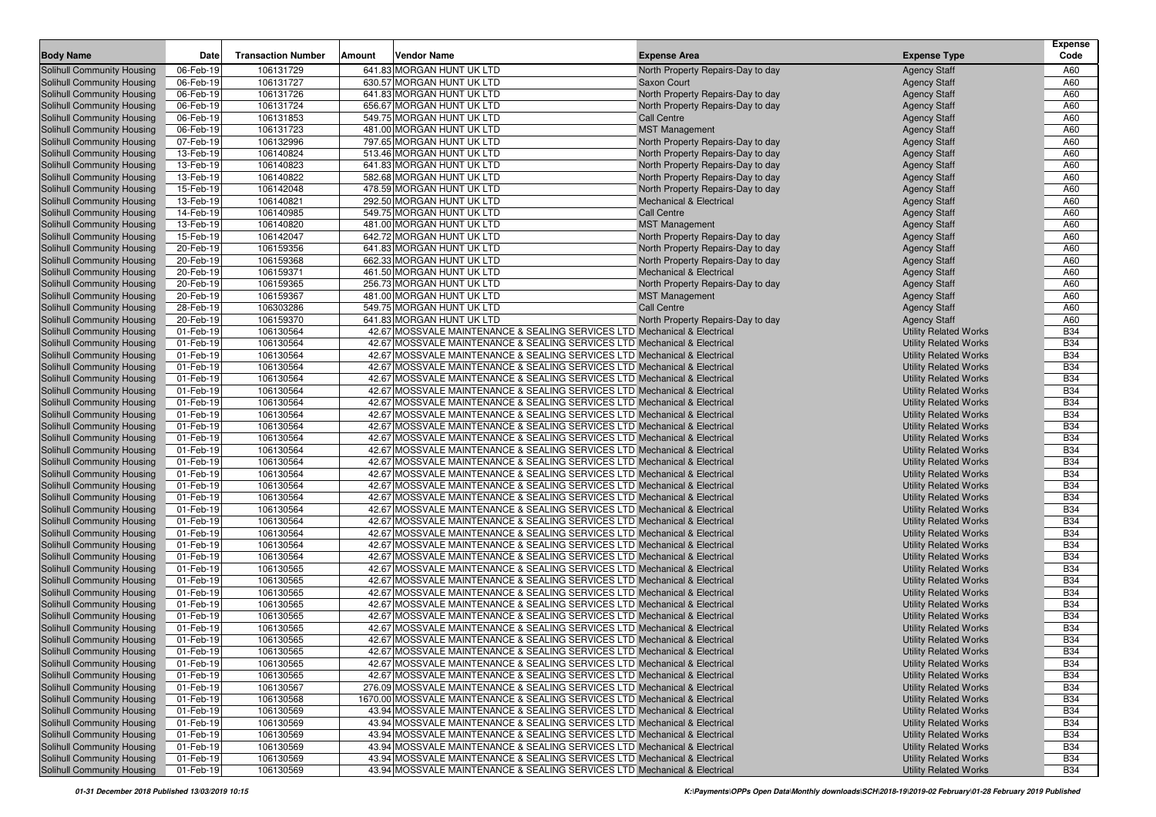|                                   |           |                           |        |                                                                             |                                    |                              | <b>Expense</b> |
|-----------------------------------|-----------|---------------------------|--------|-----------------------------------------------------------------------------|------------------------------------|------------------------------|----------------|
| <b>Body Name</b>                  | Date      | <b>Transaction Number</b> | Amount | <b>Vendor Name</b>                                                          | <b>Expense Area</b>                | <b>Expense Type</b>          | Code           |
| <b>Solihull Community Housing</b> | 06-Feb-19 | 106131729                 |        | 641.83 MORGAN HUNT UK LTD                                                   | North Property Repairs-Day to day  | <b>Agency Staff</b>          | A60            |
| Solihull Community Housing        | 06-Feb-19 | 106131727                 |        | 630.57 MORGAN HUNT UK LTD                                                   | Saxon Court                        | <b>Agency Staff</b>          | A60            |
| <b>Solihull Community Housing</b> | 06-Feb-19 | 106131726                 |        | 641.83 MORGAN HUNT UK LTD                                                   | North Property Repairs-Day to day  | <b>Agency Staff</b>          | A60            |
| <b>Solihull Community Housing</b> | 06-Feb-19 | 106131724                 |        | 656.67 MORGAN HUNT UK LTD                                                   | North Property Repairs-Day to day  | <b>Agency Staff</b>          | A60            |
| <b>Solihull Community Housing</b> | 06-Feb-19 | 106131853                 |        | 549.75 MORGAN HUNT UK LTD                                                   | Call Centre                        | <b>Agency Staff</b>          | A60            |
| <b>Solihull Community Housing</b> | 06-Feb-19 | 106131723                 |        | 481.00 MORGAN HUNT UK LTD                                                   | <b>MST Management</b>              | <b>Agency Staff</b>          | A60            |
| <b>Solihull Community Housing</b> | 07-Feb-19 | 106132996                 |        | 797.65 MORGAN HUNT UK LTD                                                   | North Property Repairs-Day to day  | <b>Agency Staff</b>          | A60            |
| <b>Solihull Community Housing</b> | 13-Feb-19 | 106140824                 |        | 513.46 MORGAN HUNT UK LTD                                                   | North Property Repairs-Day to day  | <b>Agency Staff</b>          | A60            |
| <b>Solihull Community Housing</b> | 13-Feb-19 | 106140823                 |        | 641.83 MORGAN HUNT UK LTD                                                   | North Property Repairs-Day to day  | <b>Agency Staff</b>          | A60            |
| <b>Solihull Community Housing</b> | 13-Feb-19 | 106140822                 |        | 582.68 MORGAN HUNT UK LTD                                                   | North Property Repairs-Day to day  | <b>Agency Staff</b>          | A60            |
| <b>Solihull Community Housing</b> | 15-Feb-19 | 106142048                 |        | 478.59 MORGAN HUNT UK LTD                                                   | North Property Repairs-Day to day  | <b>Agency Staff</b>          | A60            |
| <b>Solihull Community Housing</b> | 13-Feb-19 | 106140821                 |        | 292.50 MORGAN HUNT UK LTD                                                   | <b>Mechanical &amp; Electrical</b> | <b>Agency Staff</b>          | A60            |
| Solihull Community Housing        | 14-Feb-19 | 106140985                 |        | 549.75 MORGAN HUNT UK LTD                                                   | Call Centre                        | <b>Agency Staff</b>          | A60            |
| Solihull Community Housing        | 13-Feb-19 | 106140820                 |        | 481.00 MORGAN HUNT UK LTD                                                   | <b>MST Management</b>              | <b>Agency Staff</b>          | A60            |
| <b>Solihull Community Housing</b> | 15-Feb-19 | 106142047                 |        | 642.72 MORGAN HUNT UK LTD                                                   | North Property Repairs-Day to day  | <b>Agency Staff</b>          | A60            |
| <b>Solihull Community Housing</b> | 20-Feb-19 | 106159356                 |        | 641.83 MORGAN HUNT UK LTD                                                   | North Property Repairs-Day to day  | <b>Agency Staff</b>          | A60            |
| <b>Solihull Community Housing</b> | 20-Feb-19 | 106159368                 |        | 662.33 MORGAN HUNT UK LTD                                                   | North Property Repairs-Day to day  | <b>Agency Staff</b>          | A60            |
| <b>Solihull Community Housing</b> | 20-Feb-19 | 106159371                 |        | 461.50 MORGAN HUNT UK LTD                                                   | <b>Mechanical &amp; Electrical</b> | <b>Agency Staff</b>          | A60            |
| <b>Solihull Community Housing</b> | 20-Feb-19 | 106159365                 |        | 256.73 MORGAN HUNT UK LTD                                                   | North Property Repairs-Day to day  | <b>Agency Staff</b>          | A60            |
| <b>Solihull Community Housing</b> | 20-Feb-19 | 106159367                 |        | 481.00 MORGAN HUNT UK LTD                                                   | <b>MST Management</b>              | <b>Agency Staff</b>          | A60            |
| <b>Solihull Community Housing</b> | 28-Feb-19 | 106303286                 |        | 549.75 MORGAN HUNT UK LTD                                                   | <b>Call Centre</b>                 | <b>Agency Staff</b>          | A60            |
| <b>Solihull Community Housing</b> | 20-Feb-19 | 106159370                 |        | 641.83 MORGAN HUNT UK LTD                                                   | North Property Repairs-Day to day  | <b>Agency Staff</b>          | A60            |
| <b>Solihull Community Housing</b> | 01-Feb-19 | 106130564                 |        | 42.67 MOSSVALE MAINTENANCE & SEALING SERVICES LTD Mechanical & Electrical   |                                    | <b>Utility Related Works</b> | <b>B34</b>     |
| <b>Solihull Community Housing</b> | 01-Feb-19 | 106130564                 |        | 42.67 MOSSVALE MAINTENANCE & SEALING SERVICES LTD Mechanical & Electrical   |                                    | <b>Utility Related Works</b> | <b>B34</b>     |
| <b>Solihull Community Housing</b> | 01-Feb-19 | 106130564                 |        | 42.67 MOSSVALE MAINTENANCE & SEALING SERVICES LTD Mechanical & Electrical   |                                    | <b>Utility Related Works</b> | <b>B34</b>     |
| <b>Solihull Community Housing</b> | 01-Feb-19 | 106130564                 |        | 42.67 MOSSVALE MAINTENANCE & SEALING SERVICES LTD Mechanical & Electrical   |                                    | <b>Utility Related Works</b> | <b>B34</b>     |
| Solihull Community Housing        | 01-Feb-19 | 106130564                 |        | 42.67 MOSSVALE MAINTENANCE & SEALING SERVICES LTD Mechanical & Electrical   |                                    | <b>Utility Related Works</b> | <b>B34</b>     |
| <b>Solihull Community Housing</b> | 01-Feb-19 | 106130564                 |        | 42.67 MOSSVALE MAINTENANCE & SEALING SERVICES LTD Mechanical & Electrical   |                                    | <b>Utility Related Works</b> | <b>B34</b>     |
| <b>Solihull Community Housing</b> | 01-Feb-19 | 106130564                 |        | 42.67 MOSSVALE MAINTENANCE & SEALING SERVICES LTD Mechanical & Electrical   |                                    | <b>Utility Related Works</b> | <b>B34</b>     |
| <b>Solihull Community Housing</b> | 01-Feb-19 | 106130564                 |        | 42.67 MOSSVALE MAINTENANCE & SEALING SERVICES LTD Mechanical & Electrical   |                                    | <b>Utility Related Works</b> | <b>B34</b>     |
| <b>Solihull Community Housing</b> | 01-Feb-19 | 106130564                 |        | 42.67 MOSSVALE MAINTENANCE & SEALING SERVICES LTD Mechanical & Electrical   |                                    | <b>Utility Related Works</b> | <b>B34</b>     |
| <b>Solihull Community Housing</b> | 01-Feb-19 | 106130564                 |        | 42.67 MOSSVALE MAINTENANCE & SEALING SERVICES LTD Mechanical & Electrical   |                                    | <b>Utility Related Works</b> | <b>B34</b>     |
| <b>Solihull Community Housing</b> | 01-Feb-19 | 106130564                 |        | 42.67 MOSSVALE MAINTENANCE & SEALING SERVICES LTD Mechanical & Electrical   |                                    | <b>Utility Related Works</b> | <b>B34</b>     |
| <b>Solihull Community Housing</b> | 01-Feb-19 | 106130564                 |        | 42.67 MOSSVALE MAINTENANCE & SEALING SERVICES LTD Mechanical & Electrical   |                                    | <b>Utility Related Works</b> | <b>B34</b>     |
| <b>Solihull Community Housing</b> | 01-Feb-19 | 106130564                 |        | 42.67 MOSSVALE MAINTENANCE & SEALING SERVICES LTD Mechanical & Electrical   |                                    | <b>Utility Related Works</b> | <b>B34</b>     |
| <b>Solihull Community Housing</b> | 01-Feb-19 | 106130564                 |        | 42.67 MOSSVALE MAINTENANCE & SEALING SERVICES LTD Mechanical & Electrical   |                                    | <b>Utility Related Works</b> | <b>B34</b>     |
| <b>Solihull Community Housing</b> | 01-Feb-19 | 106130564                 |        | 42.67 MOSSVALE MAINTENANCE & SEALING SERVICES LTD Mechanical & Electrical   |                                    | <b>Utility Related Works</b> | <b>B34</b>     |
| <b>Solihull Community Housing</b> | 01-Feb-19 | 106130564                 |        | 42.67 MOSSVALE MAINTENANCE & SEALING SERVICES LTD Mechanical & Electrical   |                                    | <b>Utility Related Works</b> | <b>B34</b>     |
| <b>Solihull Community Housing</b> | 01-Feb-19 | 106130564                 |        | 42.67 MOSSVALE MAINTENANCE & SEALING SERVICES LTD Mechanical & Electrical   |                                    | <b>Utility Related Works</b> | <b>B34</b>     |
| <b>Solihull Community Housing</b> | 01-Feb-19 | 106130564                 |        | 42.67 MOSSVALE MAINTENANCE & SEALING SERVICES LTD Mechanical & Electrical   |                                    | <b>Utility Related Works</b> | <b>B34</b>     |
| <b>Solihull Community Housing</b> | 01-Feb-19 | 106130564                 |        | 42.67 MOSSVALE MAINTENANCE & SEALING SERVICES LTD Mechanical & Electrical   |                                    | <b>Utility Related Works</b> | <b>B34</b>     |
| <b>Solihull Community Housing</b> | 01-Feb-19 | 106130564                 |        | 42.67 MOSSVALE MAINTENANCE & SEALING SERVICES LTD Mechanical & Electrical   |                                    | <b>Utility Related Works</b> | <b>B34</b>     |
| <b>Solihull Community Housing</b> | 01-Feb-19 | 106130565                 |        | 42.67 MOSSVALE MAINTENANCE & SEALING SERVICES LTD Mechanical & Electrical   |                                    | <b>Utility Related Works</b> | <b>B34</b>     |
| Solihull Community Housing        | 01-Feb-19 | 106130565                 |        | 42.67 MOSSVALE MAINTENANCE & SEALING SERVICES LTD Mechanical & Electrical   |                                    | <b>Utility Related Works</b> | <b>B34</b>     |
| <b>Solihull Community Housing</b> | 01-Feb-19 | 106130565                 |        | 42.67 MOSSVALE MAINTENANCE & SEALING SERVICES LTD Mechanical & Electrical   |                                    | <b>Utility Related Works</b> | <b>B34</b>     |
| <b>Solihull Community Housing</b> | 01-Feb-19 | 106130565                 |        | 42.67 MOSSVALE MAINTENANCE & SEALING SERVICES LTD Mechanical & Electrical   |                                    | <b>Utility Related Works</b> | <b>B34</b>     |
| Solihull Community Housing        | 01-Feb-19 | 106130565                 |        | 42.67 MOSSVALE MAINTENANCE & SEALING SERVICES LTD Mechanical & Electrical   |                                    | <b>Utility Related Works</b> | <b>B34</b>     |
| Solihull Community Housing        | 01-Feb-19 | 106130565                 |        | 42.67 MOSSVALE MAINTENANCE & SEALING SERVICES LTD Mechanical & Electrical   |                                    | <b>Utility Related Works</b> | <b>B34</b>     |
| <b>Solihull Community Housing</b> | 01-Feb-19 | 106130565                 |        | 42.67 MOSSVALE MAINTENANCE & SEALING SERVICES LTD Mechanical & Electrical   |                                    | <b>Utility Related Works</b> | <b>B34</b>     |
| Solihull Community Housing        | 01-Feb-19 | 106130565                 |        | 42.67 MOSSVALE MAINTENANCE & SEALING SERVICES LTD Mechanical & Electrical   |                                    | <b>Utility Related Works</b> | <b>B34</b>     |
| Solihull Community Housing        | 01-Feb-19 | 106130565                 |        | 42.67 MOSSVALE MAINTENANCE & SEALING SERVICES LTD Mechanical & Electrical   |                                    | <b>Utility Related Works</b> | <b>B34</b>     |
| Solihull Community Housing        | 01-Feb-19 | 106130565                 |        | 42.67 MOSSVALE MAINTENANCE & SEALING SERVICES LTD Mechanical & Electrical   |                                    | <b>Utility Related Works</b> | <b>B34</b>     |
| Solihull Community Housing        | 01-Feb-19 | 106130567                 |        | 276.09 MOSSVALE MAINTENANCE & SEALING SERVICES LTD Mechanical & Electrical  |                                    | <b>Utility Related Works</b> | <b>B34</b>     |
| Solihull Community Housing        | 01-Feb-19 | 106130568                 |        | 1670.00 MOSSVALE MAINTENANCE & SEALING SERVICES LTD Mechanical & Electrical |                                    | <b>Utility Related Works</b> | <b>B34</b>     |
| Solihull Community Housing        | 01-Feb-19 | 106130569                 |        | 43.94 MOSSVALE MAINTENANCE & SEALING SERVICES LTD Mechanical & Electrical   |                                    | <b>Utility Related Works</b> | <b>B34</b>     |
| Solihull Community Housing        | 01-Feb-19 | 106130569                 |        | 43.94 MOSSVALE MAINTENANCE & SEALING SERVICES LTD Mechanical & Electrical   |                                    | <b>Utility Related Works</b> | <b>B34</b>     |
| Solihull Community Housing        | 01-Feb-19 | 106130569                 |        | 43.94 MOSSVALE MAINTENANCE & SEALING SERVICES LTD Mechanical & Electrical   |                                    | <b>Utility Related Works</b> | <b>B34</b>     |
| Solihull Community Housing        | 01-Feb-19 | 106130569                 |        | 43.94 MOSSVALE MAINTENANCE & SEALING SERVICES LTD Mechanical & Electrical   |                                    | <b>Utility Related Works</b> | <b>B34</b>     |
| Solihull Community Housing        | 01-Feb-19 | 106130569                 |        | 43.94 MOSSVALE MAINTENANCE & SEALING SERVICES LTD Mechanical & Electrical   |                                    | <b>Utility Related Works</b> | <b>B34</b>     |
| Solihull Community Housing        | 01-Feb-19 | 106130569                 |        | 43.94 MOSSVALE MAINTENANCE & SEALING SERVICES LTD Mechanical & Electrical   |                                    | <b>Utility Related Works</b> | <b>B34</b>     |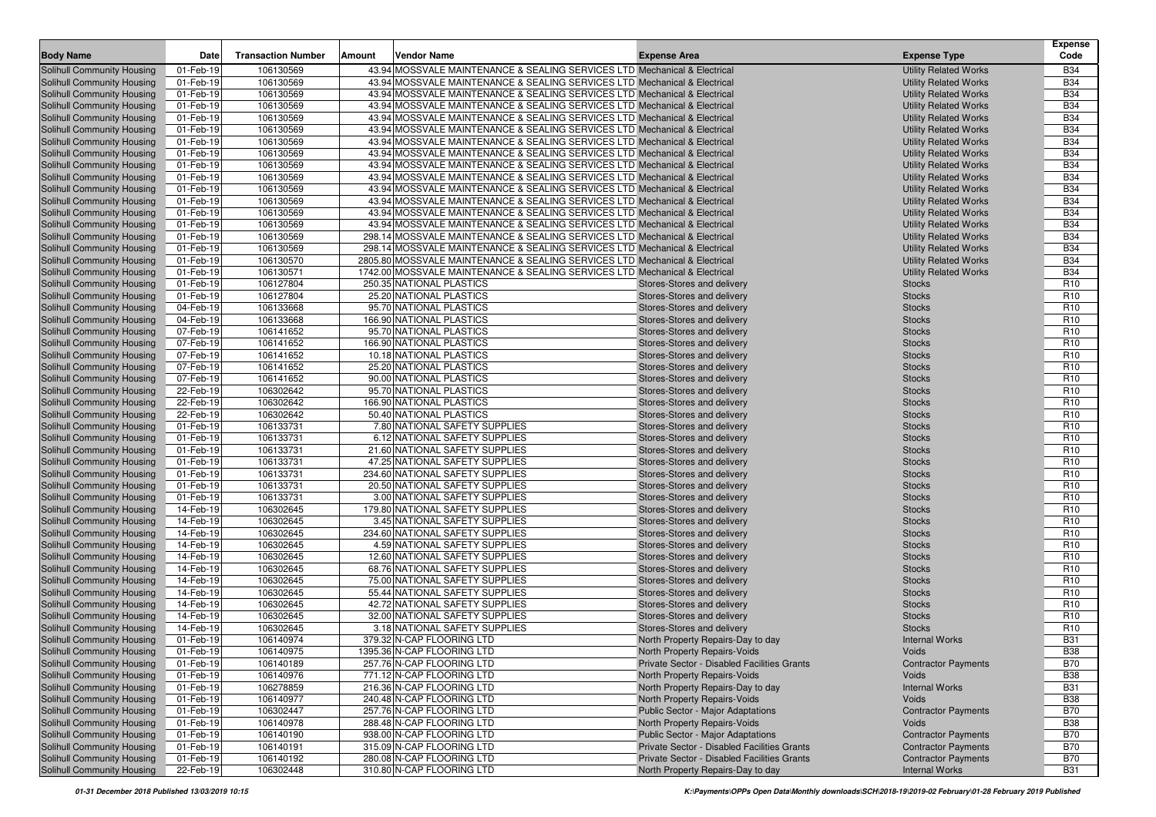| 01-Feb-19<br>43.94 MOSSVALE MAINTENANCE & SEALING SERVICES LTD Mechanical & Electrical<br><b>Utility Related Works</b><br><b>Solihull Community Housing</b><br>106130569<br><b>B34</b><br>43.94 MOSSVALE MAINTENANCE & SEALING SERVICES LTD Mechanical & Electrical<br><b>B34</b><br>01-Feb-19<br>106130569<br><b>Utility Related Works</b><br>Solihull Community Housing<br>106130569<br><b>B34</b><br><b>Solihull Community Housing</b><br>01-Feb-19<br>43.94 MOSSVALE MAINTENANCE & SEALING SERVICES LTD Mechanical & Electrical<br><b>Utility Related Works</b><br><b>B34</b><br><b>Solihull Community Housing</b><br>01-Feb-19<br>106130569<br>43.94 MOSSVALE MAINTENANCE & SEALING SERVICES LTD Mechanical & Electrical<br><b>Utility Related Works</b><br><b>B34</b><br>Solihull Community Housing<br>01-Feb-19<br>106130569<br>43.94 MOSSVALE MAINTENANCE & SEALING SERVICES LTD Mechanical & Electrical<br><b>Utility Related Works</b><br><b>B34</b><br><b>Solihull Community Housing</b><br>01-Feb-19<br>106130569<br>43.94 MOSSVALE MAINTENANCE & SEALING SERVICES LTD Mechanical & Electrical<br><b>Utility Related Works</b><br><b>B34</b><br><b>Solihull Community Housing</b><br>01-Feb-19<br>106130569<br>43.94 MOSSVALE MAINTENANCE & SEALING SERVICES LTD Mechanical & Electrical<br><b>Utility Related Works</b><br><b>B34</b><br><b>Solihull Community Housing</b><br>01-Feb-19<br>106130569<br>43.94 MOSSVALE MAINTENANCE & SEALING SERVICES LTD Mechanical & Electrical<br><b>Utility Related Works</b><br><b>B34</b><br><b>Solihull Community Housing</b><br>01-Feb-19<br>106130569<br>43.94 MOSSVALE MAINTENANCE & SEALING SERVICES LTD Mechanical & Electrical<br><b>Utility Related Works</b><br>106130569<br><b>B34</b><br><b>Solihull Community Housing</b><br>01-Feb-19<br>43.94 MOSSVALE MAINTENANCE & SEALING SERVICES LTD Mechanical & Electrical<br><b>Utility Related Works</b><br>106130569<br>43.94 MOSSVALE MAINTENANCE & SEALING SERVICES LTD Mechanical & Electrical<br><b>B34</b><br><b>Solihull Community Housing</b><br>01-Feb-19<br><b>Utility Related Works</b><br><b>B34</b><br><b>Solihull Community Housing</b><br>01-Feb-19<br>106130569<br>43.94 MOSSVALE MAINTENANCE & SEALING SERVICES LTD Mechanical & Electrical<br><b>Utility Related Works</b><br><b>B34</b><br><b>Solihull Community Housing</b><br>01-Feb-19<br>106130569<br>43.94 MOSSVALE MAINTENANCE & SEALING SERVICES LTD Mechanical & Electrical<br><b>Utility Related Works</b><br><b>B34</b><br><b>Solihull Community Housing</b><br>01-Feb-19<br>106130569<br>43.94 MOSSVALE MAINTENANCE & SEALING SERVICES LTD Mechanical & Electrical<br><b>Utility Related Works</b><br><b>B34</b><br><b>Solihull Community Housing</b><br>01-Feb-19<br>106130569<br>298.14 MOSSVALE MAINTENANCE & SEALING SERVICES LTD Mechanical & Electrical<br><b>Utility Related Works</b><br><b>B34</b><br><b>Solihull Community Housing</b><br>01-Feb-19<br>106130569<br>298.14 MOSSVALE MAINTENANCE & SEALING SERVICES LTD Mechanical & Electrical<br><b>Utility Related Works</b><br><b>B34</b><br><b>Solihull Community Housing</b><br>01-Feb-19<br>106130570<br>2805.80 MOSSVALE MAINTENANCE & SEALING SERVICES LTD Mechanical & Electrical<br><b>Utility Related Works</b><br><b>B34</b><br><b>Solihull Community Housing</b><br>01-Feb-19<br>106130571<br>1742.00 MOSSVALE MAINTENANCE & SEALING SERVICES LTD Mechanical & Electrical<br><b>Utility Related Works</b><br>106127804<br><b>Solihull Community Housing</b><br>01-Feb-19<br>250.35 NATIONAL PLASTICS<br>R <sub>10</sub><br>Stores-Stores and delivery<br><b>Stocks</b><br>R <sub>10</sub><br><b>Solihull Community Housing</b><br>01-Feb-19<br>106127804<br>25.20 NATIONAL PLASTICS<br><b>Stocks</b><br>Stores-Stores and delivery<br>R <sub>10</sub><br><b>Solihull Community Housing</b><br>04-Feb-19<br>106133668<br>95.70 NATIONAL PLASTICS<br>Stores-Stores and delivery<br><b>Stocks</b><br>R <sub>10</sub><br><b>Solihull Community Housing</b><br>04-Feb-19<br>106133668<br>166.90 NATIONAL PLASTICS<br>Stores-Stores and delivery<br><b>Stocks</b><br><b>Solihull Community Housing</b><br>07-Feb-19<br>106141652<br>95.70 NATIONAL PLASTICS<br><b>Stocks</b><br>R <sub>10</sub><br>Stores-Stores and delivery<br>R <sub>10</sub><br><b>Solihull Community Housing</b><br>07-Feb-19<br>106141652<br>166.90 NATIONAL PLASTICS<br><b>Stocks</b><br>Stores-Stores and delivery<br><b>Solihull Community Housing</b><br>07-Feb-19<br>106141652<br>10.18 NATIONAL PLASTICS<br>Stores-Stores and delivery<br><b>Stocks</b><br>R <sub>10</sub><br>R <sub>10</sub><br><b>Solihull Community Housing</b><br>07-Feb-19<br>106141652<br>25.20 NATIONAL PLASTICS<br>Stores-Stores and delivery<br><b>Stocks</b><br>R <sub>10</sub><br>Solihull Community Housing<br>07-Feb-19<br>106141652<br>90.00 NATIONAL PLASTICS<br>Stores-Stores and delivery<br><b>Stocks</b><br>106302642<br>95.70 NATIONAL PLASTICS<br>Solihull Community Housing<br>22-Feb-19<br>Stores-Stores and delivery<br><b>Stocks</b><br>R <sub>10</sub><br>Solihull Community Housing<br>22-Feb-19<br>106302642<br>166.90 NATIONAL PLASTICS<br>Stores-Stores and delivery<br><b>Stocks</b><br>R <sub>10</sub><br>R <sub>10</sub><br><b>Solihull Community Housing</b><br>22-Feb-19<br>106302642<br>50.40 NATIONAL PLASTICS<br>Stores-Stores and delivery<br><b>Stocks</b><br><b>Solihull Community Housing</b><br>01-Feb-19<br>106133731<br>7.80 NATIONAL SAFETY SUPPLIES<br>Stores-Stores and delivery<br><b>Stocks</b><br>R <sub>10</sub><br>Solihull Community Housing<br>01-Feb-19<br>106133731<br>6.12 NATIONAL SAFETY SUPPLIES<br>Stores-Stores and delivery<br><b>Stocks</b><br>R <sub>10</sub><br>106133731<br>R <sub>10</sub><br>Solihull Community Housing<br>01-Feb-19<br>21.60 NATIONAL SAFETY SUPPLIES<br>Stores-Stores and delivery<br><b>Stocks</b><br>Solihull Community Housing<br>01-Feb-19<br>106133731<br>47.25 NATIONAL SAFETY SUPPLIES<br>Stores-Stores and delivery<br><b>Stocks</b><br>R <sub>10</sub><br>106133731<br>R <sub>10</sub><br>01-Feb-19<br>234.60 NATIONAL SAFETY SUPPLIES<br>Stores-Stores and delivery<br><b>Stocks</b><br><b>Solihull Community Housing</b><br>106133731<br>20.50 NATIONAL SAFETY SUPPLIES<br>R <sub>10</sub><br>Solihull Community Housing<br>01-Feb-19<br>Stores-Stores and delivery<br><b>Stocks</b><br>106133731<br>R <sub>10</sub><br>Solihull Community Housing<br>01-Feb-19<br>3.00 NATIONAL SAFETY SUPPLIES<br>Stores-Stores and delivery<br><b>Stocks</b><br>R <sub>10</sub><br><b>Solihull Community Housing</b><br>14-Feb-19<br>106302645<br>179.80 NATIONAL SAFETY SUPPLIES<br>Stores-Stores and delivery<br><b>Stocks</b><br>106302645<br>R <sub>10</sub><br><b>Solihull Community Housing</b><br>14-Feb-19<br>3.45 NATIONAL SAFETY SUPPLIES<br>Stores-Stores and delivery<br><b>Stocks</b><br><b>Solihull Community Housing</b><br>14-Feb-19<br>106302645<br>234.60 NATIONAL SAFETY SUPPLIES<br><b>Stocks</b><br>R <sub>10</sub><br>Stores-Stores and delivery<br>106302645<br><b>Solihull Community Housing</b><br>14-Feb-19<br>4.59 NATIONAL SAFETY SUPPLIES<br><b>Stocks</b><br>R <sub>10</sub><br>Stores-Stores and delivery<br>106302645<br><b>Solihull Community Housing</b><br>14-Feb-19<br>12.60 NATIONAL SAFETY SUPPLIES<br>Stores-Stores and delivery<br><b>Stocks</b><br>R <sub>10</sub><br>R <sub>10</sub><br>Solihull Community Housing<br>14-Feb-19<br>106302645<br>68.76 NATIONAL SAFETY SUPPLIES<br>Stores-Stores and delivery<br><b>Stocks</b><br><b>Solihull Community Housing</b><br>14-Feb-19<br>106302645<br>75.00 NATIONAL SAFETY SUPPLIES<br>R <sub>10</sub><br>Stores-Stores and delivery<br><b>Stocks</b><br>R <sub>10</sub><br><b>Solihull Community Housing</b><br>14-Feb-19<br>106302645<br>55.44 NATIONAL SAFETY SUPPLIES<br>Stores-Stores and delivery<br><b>Stocks</b><br>R <sub>10</sub><br><b>Solihull Community Housing</b><br>14-Feb-19<br>106302645<br>42.72 NATIONAL SAFETY SUPPLIES<br>Stores-Stores and delivery<br><b>Stocks</b><br>R <sub>10</sub><br><b>Solihull Community Housing</b><br>14-Feb-19<br>106302645<br>32.00 NATIONAL SAFETY SUPPLIES<br>Stores-Stores and delivery<br><b>Stocks</b><br>106302645<br><b>Solihull Community Housing</b><br>14-Feb-19<br>3.18 NATIONAL SAFETY SUPPLIES<br><b>Stocks</b><br>R <sub>10</sub><br>Stores-Stores and delivery<br><b>B31</b><br><b>Solihull Community Housing</b><br>01-Feb-19<br>106140974<br>379.32 N-CAP FLOORING LTD<br>North Property Repairs-Day to day<br><b>Internal Works</b><br><b>B38</b><br>Solihull Community Housing<br>01-Feb-19<br>106140975<br>1395.36 N-CAP FLOORING LTD<br>North Property Repairs-Voids<br><b>Voids</b><br><b>B70</b><br>Solihull Community Housing<br>01-Feb-19<br>106140189<br>257.76 N-CAP FLOORING LTD<br>Private Sector - Disabled Facilities Grants<br><b>Contractor Payments</b><br>Solihull Community Housing<br><b>B38</b><br>01-Feb-19<br>106140976<br>771.12 N-CAP FLOORING LTD<br>North Property Repairs-Voids<br>Voids<br>Solihull Community Housing<br>01-Feb-19<br>106278859<br>216.36 N-CAP FLOORING LTD<br>North Property Repairs-Day to day<br><b>Internal Works</b><br><b>B31</b><br>Solihull Community Housing<br><b>B38</b><br>01-Feb-19<br>106140977<br>240.48 N-CAP FLOORING LTD<br>North Property Repairs-Voids<br><b>Voids</b><br>106302447<br>Solihull Community Housing<br>01-Feb-19<br>257.76 N-CAP FLOORING LTD<br><b>Public Sector - Major Adaptations</b><br><b>Contractor Payments</b><br><b>B70</b><br><b>Solihull Community Housing</b><br>North Property Repairs-Voids<br><b>B38</b><br>01-Feb-19<br>106140978<br>288.48 N-CAP FLOORING LTD<br>Voids<br>Solihull Community Housing<br>938.00 N-CAP FLOORING LTD<br><b>B70</b><br>01-Feb-19<br>106140190<br><b>Public Sector - Major Adaptations</b><br><b>Contractor Payments</b><br>Private Sector - Disabled Facilities Grants<br><b>Solihull Community Housing</b><br>01-Feb-19<br>106140191<br>315.09 N-CAP FLOORING LTD<br><b>Contractor Payments</b><br><b>B70</b><br>Solihull Community Housing<br><b>Contractor Payments</b><br>01-Feb-19<br>106140192<br>280.08 N-CAP FLOORING LTD<br>Private Sector - Disabled Facilities Grants<br>B70<br>310.80 N-CAP FLOORING LTD<br>Solihull Community Housing<br>106302448<br>North Property Repairs-Day to day<br><b>Internal Works</b><br><b>B31</b> | <b>Body Name</b> | Date      | <b>Transaction Number</b> | Amount | <b>Vendor Name</b> | <b>Expense Area</b> | <b>Expense Type</b> | <b>Expense</b><br>Code |
|-------------------------------------------------------------------------------------------------------------------------------------------------------------------------------------------------------------------------------------------------------------------------------------------------------------------------------------------------------------------------------------------------------------------------------------------------------------------------------------------------------------------------------------------------------------------------------------------------------------------------------------------------------------------------------------------------------------------------------------------------------------------------------------------------------------------------------------------------------------------------------------------------------------------------------------------------------------------------------------------------------------------------------------------------------------------------------------------------------------------------------------------------------------------------------------------------------------------------------------------------------------------------------------------------------------------------------------------------------------------------------------------------------------------------------------------------------------------------------------------------------------------------------------------------------------------------------------------------------------------------------------------------------------------------------------------------------------------------------------------------------------------------------------------------------------------------------------------------------------------------------------------------------------------------------------------------------------------------------------------------------------------------------------------------------------------------------------------------------------------------------------------------------------------------------------------------------------------------------------------------------------------------------------------------------------------------------------------------------------------------------------------------------------------------------------------------------------------------------------------------------------------------------------------------------------------------------------------------------------------------------------------------------------------------------------------------------------------------------------------------------------------------------------------------------------------------------------------------------------------------------------------------------------------------------------------------------------------------------------------------------------------------------------------------------------------------------------------------------------------------------------------------------------------------------------------------------------------------------------------------------------------------------------------------------------------------------------------------------------------------------------------------------------------------------------------------------------------------------------------------------------------------------------------------------------------------------------------------------------------------------------------------------------------------------------------------------------------------------------------------------------------------------------------------------------------------------------------------------------------------------------------------------------------------------------------------------------------------------------------------------------------------------------------------------------------------------------------------------------------------------------------------------------------------------------------------------------------------------------------------------------------------------------------------------------------------------------------------------------------------------------------------------------------------------------------------------------------------------------------------------------------------------------------------------------------------------------------------------------------------------------------------------------------------------------------------------------------------------------------------------------------------------------------------------------------------------------------------------------------------------------------------------------------------------------------------------------------------------------------------------------------------------------------------------------------------------------------------------------------------------------------------------------------------------------------------------------------------------------------------------------------------------------------------------------------------------------------------------------------------------------------------------------------------------------------------------------------------------------------------------------------------------------------------------------------------------------------------------------------------------------------------------------------------------------------------------------------------------------------------------------------------------------------------------------------------------------------------------------------------------------------------------------------------------------------------------------------------------------------------------------------------------------------------------------------------------------------------------------------------------------------------------------------------------------------------------------------------------------------------------------------------------------------------------------------------------------------------------------------------------------------------------------------------------------------------------------------------------------------------------------------------------------------------------------------------------------------------------------------------------------------------------------------------------------------------------------------------------------------------------------------------------------------------------------------------------------------------------------------------------------------------------------------------------------------------------------------------------------------------------------------------------------------------------------------------------------------------------------------------------------------------------------------------------------------------------------------------------------------------------------------------------------------------------------------------------------------------------------------------------------------------------------------------------------------------------------------------------------------------------------------------------------------------------------------------------------------------------------------------------------------------------------------------------------------------------------------------------------------------------------------------------------------------------------------------------------------------------------------------------------------------------------------------------------------------------------------------------------------------------------------------------------------------------------------------------------------------------------------------------------------------------------------------------------------------------------------------------------------------------------------------------------------------------------------------------------------------------------------------------------------------------------------------------------------------------------------------------------------------------------------------------------------------------------------------------------------------------------------------------------------------------------------------------------------------------------------------------------------------------------------------------------------------------------------------------------------------------------------------------------------------------------------------------------------------------------------------------------------------------------------------------------------------------------------------------------------------------------------------------------------------------------------------------------------------------------------------------------------------------------------------------------------------------------------------------------------------------------------------------------------------------------------------------------------------------------------------------------------------------------------------------------------------------------------------------------------------------------------------------------------------------------------------------------------------------------------------------------------------------------------------------------------------------------------------------------------------------------------------------------------------------------------------------------------------------------------------------------------------------------------------------------------------------------------------------------------------------------------------------------------------------------------------------------------------------------------------------------------------------------------------------------------------------------------------------------------------------------------------------------------------------------------------------|------------------|-----------|---------------------------|--------|--------------------|---------------------|---------------------|------------------------|
|                                                                                                                                                                                                                                                                                                                                                                                                                                                                                                                                                                                                                                                                                                                                                                                                                                                                                                                                                                                                                                                                                                                                                                                                                                                                                                                                                                                                                                                                                                                                                                                                                                                                                                                                                                                                                                                                                                                                                                                                                                                                                                                                                                                                                                                                                                                                                                                                                                                                                                                                                                                                                                                                                                                                                                                                                                                                                                                                                                                                                                                                                                                                                                                                                                                                                                                                                                                                                                                                                                                                                                                                                                                                                                                                                                                                                                                                                                                                                                                                                                                                                                                                                                                                                                                                                                                                                                                                                                                                                                                                                                                                                                                                                                                                                                                                                                                                                                                                                                                                                                                                                                                                                                                                                                                                                                                                                                                                                                                                                                                                                                                                                                                                                                                                                                                                                                                                                                                                                                                                                                                                                                                                                                                                                                                                                                                                                                                                                                                                                                                                                                                                                                                                                                                                                                                                                                                                                                                                                                                                                                                                                                                                                                                                                                                                                                                                                                                                                                                                                                                                                                                                                                                                                                                                                                                                                                                                                                                                                                                                                                                                                                                                                                                                                                                                                                                                                                                                                                                                                                                                                                                                                                                                                                                                                                                                                                                                                                                                                                                                                                                                                                                                                                                                                                                                                                                                                                                                                                                                                                                                                                                                                                                                                                                                                                                                                                                                                                                                                                                                                                                                                                                                                                                                                                                                                                                                                                                                                               |                  |           |                           |        |                    |                     |                     |                        |
|                                                                                                                                                                                                                                                                                                                                                                                                                                                                                                                                                                                                                                                                                                                                                                                                                                                                                                                                                                                                                                                                                                                                                                                                                                                                                                                                                                                                                                                                                                                                                                                                                                                                                                                                                                                                                                                                                                                                                                                                                                                                                                                                                                                                                                                                                                                                                                                                                                                                                                                                                                                                                                                                                                                                                                                                                                                                                                                                                                                                                                                                                                                                                                                                                                                                                                                                                                                                                                                                                                                                                                                                                                                                                                                                                                                                                                                                                                                                                                                                                                                                                                                                                                                                                                                                                                                                                                                                                                                                                                                                                                                                                                                                                                                                                                                                                                                                                                                                                                                                                                                                                                                                                                                                                                                                                                                                                                                                                                                                                                                                                                                                                                                                                                                                                                                                                                                                                                                                                                                                                                                                                                                                                                                                                                                                                                                                                                                                                                                                                                                                                                                                                                                                                                                                                                                                                                                                                                                                                                                                                                                                                                                                                                                                                                                                                                                                                                                                                                                                                                                                                                                                                                                                                                                                                                                                                                                                                                                                                                                                                                                                                                                                                                                                                                                                                                                                                                                                                                                                                                                                                                                                                                                                                                                                                                                                                                                                                                                                                                                                                                                                                                                                                                                                                                                                                                                                                                                                                                                                                                                                                                                                                                                                                                                                                                                                                                                                                                                                                                                                                                                                                                                                                                                                                                                                                                                                                                                                                               |                  |           |                           |        |                    |                     |                     |                        |
|                                                                                                                                                                                                                                                                                                                                                                                                                                                                                                                                                                                                                                                                                                                                                                                                                                                                                                                                                                                                                                                                                                                                                                                                                                                                                                                                                                                                                                                                                                                                                                                                                                                                                                                                                                                                                                                                                                                                                                                                                                                                                                                                                                                                                                                                                                                                                                                                                                                                                                                                                                                                                                                                                                                                                                                                                                                                                                                                                                                                                                                                                                                                                                                                                                                                                                                                                                                                                                                                                                                                                                                                                                                                                                                                                                                                                                                                                                                                                                                                                                                                                                                                                                                                                                                                                                                                                                                                                                                                                                                                                                                                                                                                                                                                                                                                                                                                                                                                                                                                                                                                                                                                                                                                                                                                                                                                                                                                                                                                                                                                                                                                                                                                                                                                                                                                                                                                                                                                                                                                                                                                                                                                                                                                                                                                                                                                                                                                                                                                                                                                                                                                                                                                                                                                                                                                                                                                                                                                                                                                                                                                                                                                                                                                                                                                                                                                                                                                                                                                                                                                                                                                                                                                                                                                                                                                                                                                                                                                                                                                                                                                                                                                                                                                                                                                                                                                                                                                                                                                                                                                                                                                                                                                                                                                                                                                                                                                                                                                                                                                                                                                                                                                                                                                                                                                                                                                                                                                                                                                                                                                                                                                                                                                                                                                                                                                                                                                                                                                                                                                                                                                                                                                                                                                                                                                                                                                                                                                                               |                  |           |                           |        |                    |                     |                     |                        |
|                                                                                                                                                                                                                                                                                                                                                                                                                                                                                                                                                                                                                                                                                                                                                                                                                                                                                                                                                                                                                                                                                                                                                                                                                                                                                                                                                                                                                                                                                                                                                                                                                                                                                                                                                                                                                                                                                                                                                                                                                                                                                                                                                                                                                                                                                                                                                                                                                                                                                                                                                                                                                                                                                                                                                                                                                                                                                                                                                                                                                                                                                                                                                                                                                                                                                                                                                                                                                                                                                                                                                                                                                                                                                                                                                                                                                                                                                                                                                                                                                                                                                                                                                                                                                                                                                                                                                                                                                                                                                                                                                                                                                                                                                                                                                                                                                                                                                                                                                                                                                                                                                                                                                                                                                                                                                                                                                                                                                                                                                                                                                                                                                                                                                                                                                                                                                                                                                                                                                                                                                                                                                                                                                                                                                                                                                                                                                                                                                                                                                                                                                                                                                                                                                                                                                                                                                                                                                                                                                                                                                                                                                                                                                                                                                                                                                                                                                                                                                                                                                                                                                                                                                                                                                                                                                                                                                                                                                                                                                                                                                                                                                                                                                                                                                                                                                                                                                                                                                                                                                                                                                                                                                                                                                                                                                                                                                                                                                                                                                                                                                                                                                                                                                                                                                                                                                                                                                                                                                                                                                                                                                                                                                                                                                                                                                                                                                                                                                                                                                                                                                                                                                                                                                                                                                                                                                                                                                                                                                               |                  |           |                           |        |                    |                     |                     |                        |
|                                                                                                                                                                                                                                                                                                                                                                                                                                                                                                                                                                                                                                                                                                                                                                                                                                                                                                                                                                                                                                                                                                                                                                                                                                                                                                                                                                                                                                                                                                                                                                                                                                                                                                                                                                                                                                                                                                                                                                                                                                                                                                                                                                                                                                                                                                                                                                                                                                                                                                                                                                                                                                                                                                                                                                                                                                                                                                                                                                                                                                                                                                                                                                                                                                                                                                                                                                                                                                                                                                                                                                                                                                                                                                                                                                                                                                                                                                                                                                                                                                                                                                                                                                                                                                                                                                                                                                                                                                                                                                                                                                                                                                                                                                                                                                                                                                                                                                                                                                                                                                                                                                                                                                                                                                                                                                                                                                                                                                                                                                                                                                                                                                                                                                                                                                                                                                                                                                                                                                                                                                                                                                                                                                                                                                                                                                                                                                                                                                                                                                                                                                                                                                                                                                                                                                                                                                                                                                                                                                                                                                                                                                                                                                                                                                                                                                                                                                                                                                                                                                                                                                                                                                                                                                                                                                                                                                                                                                                                                                                                                                                                                                                                                                                                                                                                                                                                                                                                                                                                                                                                                                                                                                                                                                                                                                                                                                                                                                                                                                                                                                                                                                                                                                                                                                                                                                                                                                                                                                                                                                                                                                                                                                                                                                                                                                                                                                                                                                                                                                                                                                                                                                                                                                                                                                                                                                                                                                                                                               |                  |           |                           |        |                    |                     |                     |                        |
|                                                                                                                                                                                                                                                                                                                                                                                                                                                                                                                                                                                                                                                                                                                                                                                                                                                                                                                                                                                                                                                                                                                                                                                                                                                                                                                                                                                                                                                                                                                                                                                                                                                                                                                                                                                                                                                                                                                                                                                                                                                                                                                                                                                                                                                                                                                                                                                                                                                                                                                                                                                                                                                                                                                                                                                                                                                                                                                                                                                                                                                                                                                                                                                                                                                                                                                                                                                                                                                                                                                                                                                                                                                                                                                                                                                                                                                                                                                                                                                                                                                                                                                                                                                                                                                                                                                                                                                                                                                                                                                                                                                                                                                                                                                                                                                                                                                                                                                                                                                                                                                                                                                                                                                                                                                                                                                                                                                                                                                                                                                                                                                                                                                                                                                                                                                                                                                                                                                                                                                                                                                                                                                                                                                                                                                                                                                                                                                                                                                                                                                                                                                                                                                                                                                                                                                                                                                                                                                                                                                                                                                                                                                                                                                                                                                                                                                                                                                                                                                                                                                                                                                                                                                                                                                                                                                                                                                                                                                                                                                                                                                                                                                                                                                                                                                                                                                                                                                                                                                                                                                                                                                                                                                                                                                                                                                                                                                                                                                                                                                                                                                                                                                                                                                                                                                                                                                                                                                                                                                                                                                                                                                                                                                                                                                                                                                                                                                                                                                                                                                                                                                                                                                                                                                                                                                                                                                                                                                                                               |                  |           |                           |        |                    |                     |                     |                        |
|                                                                                                                                                                                                                                                                                                                                                                                                                                                                                                                                                                                                                                                                                                                                                                                                                                                                                                                                                                                                                                                                                                                                                                                                                                                                                                                                                                                                                                                                                                                                                                                                                                                                                                                                                                                                                                                                                                                                                                                                                                                                                                                                                                                                                                                                                                                                                                                                                                                                                                                                                                                                                                                                                                                                                                                                                                                                                                                                                                                                                                                                                                                                                                                                                                                                                                                                                                                                                                                                                                                                                                                                                                                                                                                                                                                                                                                                                                                                                                                                                                                                                                                                                                                                                                                                                                                                                                                                                                                                                                                                                                                                                                                                                                                                                                                                                                                                                                                                                                                                                                                                                                                                                                                                                                                                                                                                                                                                                                                                                                                                                                                                                                                                                                                                                                                                                                                                                                                                                                                                                                                                                                                                                                                                                                                                                                                                                                                                                                                                                                                                                                                                                                                                                                                                                                                                                                                                                                                                                                                                                                                                                                                                                                                                                                                                                                                                                                                                                                                                                                                                                                                                                                                                                                                                                                                                                                                                                                                                                                                                                                                                                                                                                                                                                                                                                                                                                                                                                                                                                                                                                                                                                                                                                                                                                                                                                                                                                                                                                                                                                                                                                                                                                                                                                                                                                                                                                                                                                                                                                                                                                                                                                                                                                                                                                                                                                                                                                                                                                                                                                                                                                                                                                                                                                                                                                                                                                                                                                               |                  |           |                           |        |                    |                     |                     |                        |
|                                                                                                                                                                                                                                                                                                                                                                                                                                                                                                                                                                                                                                                                                                                                                                                                                                                                                                                                                                                                                                                                                                                                                                                                                                                                                                                                                                                                                                                                                                                                                                                                                                                                                                                                                                                                                                                                                                                                                                                                                                                                                                                                                                                                                                                                                                                                                                                                                                                                                                                                                                                                                                                                                                                                                                                                                                                                                                                                                                                                                                                                                                                                                                                                                                                                                                                                                                                                                                                                                                                                                                                                                                                                                                                                                                                                                                                                                                                                                                                                                                                                                                                                                                                                                                                                                                                                                                                                                                                                                                                                                                                                                                                                                                                                                                                                                                                                                                                                                                                                                                                                                                                                                                                                                                                                                                                                                                                                                                                                                                                                                                                                                                                                                                                                                                                                                                                                                                                                                                                                                                                                                                                                                                                                                                                                                                                                                                                                                                                                                                                                                                                                                                                                                                                                                                                                                                                                                                                                                                                                                                                                                                                                                                                                                                                                                                                                                                                                                                                                                                                                                                                                                                                                                                                                                                                                                                                                                                                                                                                                                                                                                                                                                                                                                                                                                                                                                                                                                                                                                                                                                                                                                                                                                                                                                                                                                                                                                                                                                                                                                                                                                                                                                                                                                                                                                                                                                                                                                                                                                                                                                                                                                                                                                                                                                                                                                                                                                                                                                                                                                                                                                                                                                                                                                                                                                                                                                                                                                               |                  |           |                           |        |                    |                     |                     |                        |
|                                                                                                                                                                                                                                                                                                                                                                                                                                                                                                                                                                                                                                                                                                                                                                                                                                                                                                                                                                                                                                                                                                                                                                                                                                                                                                                                                                                                                                                                                                                                                                                                                                                                                                                                                                                                                                                                                                                                                                                                                                                                                                                                                                                                                                                                                                                                                                                                                                                                                                                                                                                                                                                                                                                                                                                                                                                                                                                                                                                                                                                                                                                                                                                                                                                                                                                                                                                                                                                                                                                                                                                                                                                                                                                                                                                                                                                                                                                                                                                                                                                                                                                                                                                                                                                                                                                                                                                                                                                                                                                                                                                                                                                                                                                                                                                                                                                                                                                                                                                                                                                                                                                                                                                                                                                                                                                                                                                                                                                                                                                                                                                                                                                                                                                                                                                                                                                                                                                                                                                                                                                                                                                                                                                                                                                                                                                                                                                                                                                                                                                                                                                                                                                                                                                                                                                                                                                                                                                                                                                                                                                                                                                                                                                                                                                                                                                                                                                                                                                                                                                                                                                                                                                                                                                                                                                                                                                                                                                                                                                                                                                                                                                                                                                                                                                                                                                                                                                                                                                                                                                                                                                                                                                                                                                                                                                                                                                                                                                                                                                                                                                                                                                                                                                                                                                                                                                                                                                                                                                                                                                                                                                                                                                                                                                                                                                                                                                                                                                                                                                                                                                                                                                                                                                                                                                                                                                                                                                                                               |                  |           |                           |        |                    |                     |                     |                        |
|                                                                                                                                                                                                                                                                                                                                                                                                                                                                                                                                                                                                                                                                                                                                                                                                                                                                                                                                                                                                                                                                                                                                                                                                                                                                                                                                                                                                                                                                                                                                                                                                                                                                                                                                                                                                                                                                                                                                                                                                                                                                                                                                                                                                                                                                                                                                                                                                                                                                                                                                                                                                                                                                                                                                                                                                                                                                                                                                                                                                                                                                                                                                                                                                                                                                                                                                                                                                                                                                                                                                                                                                                                                                                                                                                                                                                                                                                                                                                                                                                                                                                                                                                                                                                                                                                                                                                                                                                                                                                                                                                                                                                                                                                                                                                                                                                                                                                                                                                                                                                                                                                                                                                                                                                                                                                                                                                                                                                                                                                                                                                                                                                                                                                                                                                                                                                                                                                                                                                                                                                                                                                                                                                                                                                                                                                                                                                                                                                                                                                                                                                                                                                                                                                                                                                                                                                                                                                                                                                                                                                                                                                                                                                                                                                                                                                                                                                                                                                                                                                                                                                                                                                                                                                                                                                                                                                                                                                                                                                                                                                                                                                                                                                                                                                                                                                                                                                                                                                                                                                                                                                                                                                                                                                                                                                                                                                                                                                                                                                                                                                                                                                                                                                                                                                                                                                                                                                                                                                                                                                                                                                                                                                                                                                                                                                                                                                                                                                                                                                                                                                                                                                                                                                                                                                                                                                                                                                                                                                               |                  |           |                           |        |                    |                     |                     |                        |
|                                                                                                                                                                                                                                                                                                                                                                                                                                                                                                                                                                                                                                                                                                                                                                                                                                                                                                                                                                                                                                                                                                                                                                                                                                                                                                                                                                                                                                                                                                                                                                                                                                                                                                                                                                                                                                                                                                                                                                                                                                                                                                                                                                                                                                                                                                                                                                                                                                                                                                                                                                                                                                                                                                                                                                                                                                                                                                                                                                                                                                                                                                                                                                                                                                                                                                                                                                                                                                                                                                                                                                                                                                                                                                                                                                                                                                                                                                                                                                                                                                                                                                                                                                                                                                                                                                                                                                                                                                                                                                                                                                                                                                                                                                                                                                                                                                                                                                                                                                                                                                                                                                                                                                                                                                                                                                                                                                                                                                                                                                                                                                                                                                                                                                                                                                                                                                                                                                                                                                                                                                                                                                                                                                                                                                                                                                                                                                                                                                                                                                                                                                                                                                                                                                                                                                                                                                                                                                                                                                                                                                                                                                                                                                                                                                                                                                                                                                                                                                                                                                                                                                                                                                                                                                                                                                                                                                                                                                                                                                                                                                                                                                                                                                                                                                                                                                                                                                                                                                                                                                                                                                                                                                                                                                                                                                                                                                                                                                                                                                                                                                                                                                                                                                                                                                                                                                                                                                                                                                                                                                                                                                                                                                                                                                                                                                                                                                                                                                                                                                                                                                                                                                                                                                                                                                                                                                                                                                                                                               |                  |           |                           |        |                    |                     |                     |                        |
|                                                                                                                                                                                                                                                                                                                                                                                                                                                                                                                                                                                                                                                                                                                                                                                                                                                                                                                                                                                                                                                                                                                                                                                                                                                                                                                                                                                                                                                                                                                                                                                                                                                                                                                                                                                                                                                                                                                                                                                                                                                                                                                                                                                                                                                                                                                                                                                                                                                                                                                                                                                                                                                                                                                                                                                                                                                                                                                                                                                                                                                                                                                                                                                                                                                                                                                                                                                                                                                                                                                                                                                                                                                                                                                                                                                                                                                                                                                                                                                                                                                                                                                                                                                                                                                                                                                                                                                                                                                                                                                                                                                                                                                                                                                                                                                                                                                                                                                                                                                                                                                                                                                                                                                                                                                                                                                                                                                                                                                                                                                                                                                                                                                                                                                                                                                                                                                                                                                                                                                                                                                                                                                                                                                                                                                                                                                                                                                                                                                                                                                                                                                                                                                                                                                                                                                                                                                                                                                                                                                                                                                                                                                                                                                                                                                                                                                                                                                                                                                                                                                                                                                                                                                                                                                                                                                                                                                                                                                                                                                                                                                                                                                                                                                                                                                                                                                                                                                                                                                                                                                                                                                                                                                                                                                                                                                                                                                                                                                                                                                                                                                                                                                                                                                                                                                                                                                                                                                                                                                                                                                                                                                                                                                                                                                                                                                                                                                                                                                                                                                                                                                                                                                                                                                                                                                                                                                                                                                                                               |                  |           |                           |        |                    |                     |                     |                        |
|                                                                                                                                                                                                                                                                                                                                                                                                                                                                                                                                                                                                                                                                                                                                                                                                                                                                                                                                                                                                                                                                                                                                                                                                                                                                                                                                                                                                                                                                                                                                                                                                                                                                                                                                                                                                                                                                                                                                                                                                                                                                                                                                                                                                                                                                                                                                                                                                                                                                                                                                                                                                                                                                                                                                                                                                                                                                                                                                                                                                                                                                                                                                                                                                                                                                                                                                                                                                                                                                                                                                                                                                                                                                                                                                                                                                                                                                                                                                                                                                                                                                                                                                                                                                                                                                                                                                                                                                                                                                                                                                                                                                                                                                                                                                                                                                                                                                                                                                                                                                                                                                                                                                                                                                                                                                                                                                                                                                                                                                                                                                                                                                                                                                                                                                                                                                                                                                                                                                                                                                                                                                                                                                                                                                                                                                                                                                                                                                                                                                                                                                                                                                                                                                                                                                                                                                                                                                                                                                                                                                                                                                                                                                                                                                                                                                                                                                                                                                                                                                                                                                                                                                                                                                                                                                                                                                                                                                                                                                                                                                                                                                                                                                                                                                                                                                                                                                                                                                                                                                                                                                                                                                                                                                                                                                                                                                                                                                                                                                                                                                                                                                                                                                                                                                                                                                                                                                                                                                                                                                                                                                                                                                                                                                                                                                                                                                                                                                                                                                                                                                                                                                                                                                                                                                                                                                                                                                                                                                                               |                  |           |                           |        |                    |                     |                     |                        |
|                                                                                                                                                                                                                                                                                                                                                                                                                                                                                                                                                                                                                                                                                                                                                                                                                                                                                                                                                                                                                                                                                                                                                                                                                                                                                                                                                                                                                                                                                                                                                                                                                                                                                                                                                                                                                                                                                                                                                                                                                                                                                                                                                                                                                                                                                                                                                                                                                                                                                                                                                                                                                                                                                                                                                                                                                                                                                                                                                                                                                                                                                                                                                                                                                                                                                                                                                                                                                                                                                                                                                                                                                                                                                                                                                                                                                                                                                                                                                                                                                                                                                                                                                                                                                                                                                                                                                                                                                                                                                                                                                                                                                                                                                                                                                                                                                                                                                                                                                                                                                                                                                                                                                                                                                                                                                                                                                                                                                                                                                                                                                                                                                                                                                                                                                                                                                                                                                                                                                                                                                                                                                                                                                                                                                                                                                                                                                                                                                                                                                                                                                                                                                                                                                                                                                                                                                                                                                                                                                                                                                                                                                                                                                                                                                                                                                                                                                                                                                                                                                                                                                                                                                                                                                                                                                                                                                                                                                                                                                                                                                                                                                                                                                                                                                                                                                                                                                                                                                                                                                                                                                                                                                                                                                                                                                                                                                                                                                                                                                                                                                                                                                                                                                                                                                                                                                                                                                                                                                                                                                                                                                                                                                                                                                                                                                                                                                                                                                                                                                                                                                                                                                                                                                                                                                                                                                                                                                                                                                               |                  |           |                           |        |                    |                     |                     |                        |
|                                                                                                                                                                                                                                                                                                                                                                                                                                                                                                                                                                                                                                                                                                                                                                                                                                                                                                                                                                                                                                                                                                                                                                                                                                                                                                                                                                                                                                                                                                                                                                                                                                                                                                                                                                                                                                                                                                                                                                                                                                                                                                                                                                                                                                                                                                                                                                                                                                                                                                                                                                                                                                                                                                                                                                                                                                                                                                                                                                                                                                                                                                                                                                                                                                                                                                                                                                                                                                                                                                                                                                                                                                                                                                                                                                                                                                                                                                                                                                                                                                                                                                                                                                                                                                                                                                                                                                                                                                                                                                                                                                                                                                                                                                                                                                                                                                                                                                                                                                                                                                                                                                                                                                                                                                                                                                                                                                                                                                                                                                                                                                                                                                                                                                                                                                                                                                                                                                                                                                                                                                                                                                                                                                                                                                                                                                                                                                                                                                                                                                                                                                                                                                                                                                                                                                                                                                                                                                                                                                                                                                                                                                                                                                                                                                                                                                                                                                                                                                                                                                                                                                                                                                                                                                                                                                                                                                                                                                                                                                                                                                                                                                                                                                                                                                                                                                                                                                                                                                                                                                                                                                                                                                                                                                                                                                                                                                                                                                                                                                                                                                                                                                                                                                                                                                                                                                                                                                                                                                                                                                                                                                                                                                                                                                                                                                                                                                                                                                                                                                                                                                                                                                                                                                                                                                                                                                                                                                                                                               |                  |           |                           |        |                    |                     |                     |                        |
|                                                                                                                                                                                                                                                                                                                                                                                                                                                                                                                                                                                                                                                                                                                                                                                                                                                                                                                                                                                                                                                                                                                                                                                                                                                                                                                                                                                                                                                                                                                                                                                                                                                                                                                                                                                                                                                                                                                                                                                                                                                                                                                                                                                                                                                                                                                                                                                                                                                                                                                                                                                                                                                                                                                                                                                                                                                                                                                                                                                                                                                                                                                                                                                                                                                                                                                                                                                                                                                                                                                                                                                                                                                                                                                                                                                                                                                                                                                                                                                                                                                                                                                                                                                                                                                                                                                                                                                                                                                                                                                                                                                                                                                                                                                                                                                                                                                                                                                                                                                                                                                                                                                                                                                                                                                                                                                                                                                                                                                                                                                                                                                                                                                                                                                                                                                                                                                                                                                                                                                                                                                                                                                                                                                                                                                                                                                                                                                                                                                                                                                                                                                                                                                                                                                                                                                                                                                                                                                                                                                                                                                                                                                                                                                                                                                                                                                                                                                                                                                                                                                                                                                                                                                                                                                                                                                                                                                                                                                                                                                                                                                                                                                                                                                                                                                                                                                                                                                                                                                                                                                                                                                                                                                                                                                                                                                                                                                                                                                                                                                                                                                                                                                                                                                                                                                                                                                                                                                                                                                                                                                                                                                                                                                                                                                                                                                                                                                                                                                                                                                                                                                                                                                                                                                                                                                                                                                                                                                                                               |                  |           |                           |        |                    |                     |                     |                        |
|                                                                                                                                                                                                                                                                                                                                                                                                                                                                                                                                                                                                                                                                                                                                                                                                                                                                                                                                                                                                                                                                                                                                                                                                                                                                                                                                                                                                                                                                                                                                                                                                                                                                                                                                                                                                                                                                                                                                                                                                                                                                                                                                                                                                                                                                                                                                                                                                                                                                                                                                                                                                                                                                                                                                                                                                                                                                                                                                                                                                                                                                                                                                                                                                                                                                                                                                                                                                                                                                                                                                                                                                                                                                                                                                                                                                                                                                                                                                                                                                                                                                                                                                                                                                                                                                                                                                                                                                                                                                                                                                                                                                                                                                                                                                                                                                                                                                                                                                                                                                                                                                                                                                                                                                                                                                                                                                                                                                                                                                                                                                                                                                                                                                                                                                                                                                                                                                                                                                                                                                                                                                                                                                                                                                                                                                                                                                                                                                                                                                                                                                                                                                                                                                                                                                                                                                                                                                                                                                                                                                                                                                                                                                                                                                                                                                                                                                                                                                                                                                                                                                                                                                                                                                                                                                                                                                                                                                                                                                                                                                                                                                                                                                                                                                                                                                                                                                                                                                                                                                                                                                                                                                                                                                                                                                                                                                                                                                                                                                                                                                                                                                                                                                                                                                                                                                                                                                                                                                                                                                                                                                                                                                                                                                                                                                                                                                                                                                                                                                                                                                                                                                                                                                                                                                                                                                                                                                                                                                                               |                  |           |                           |        |                    |                     |                     |                        |
|                                                                                                                                                                                                                                                                                                                                                                                                                                                                                                                                                                                                                                                                                                                                                                                                                                                                                                                                                                                                                                                                                                                                                                                                                                                                                                                                                                                                                                                                                                                                                                                                                                                                                                                                                                                                                                                                                                                                                                                                                                                                                                                                                                                                                                                                                                                                                                                                                                                                                                                                                                                                                                                                                                                                                                                                                                                                                                                                                                                                                                                                                                                                                                                                                                                                                                                                                                                                                                                                                                                                                                                                                                                                                                                                                                                                                                                                                                                                                                                                                                                                                                                                                                                                                                                                                                                                                                                                                                                                                                                                                                                                                                                                                                                                                                                                                                                                                                                                                                                                                                                                                                                                                                                                                                                                                                                                                                                                                                                                                                                                                                                                                                                                                                                                                                                                                                                                                                                                                                                                                                                                                                                                                                                                                                                                                                                                                                                                                                                                                                                                                                                                                                                                                                                                                                                                                                                                                                                                                                                                                                                                                                                                                                                                                                                                                                                                                                                                                                                                                                                                                                                                                                                                                                                                                                                                                                                                                                                                                                                                                                                                                                                                                                                                                                                                                                                                                                                                                                                                                                                                                                                                                                                                                                                                                                                                                                                                                                                                                                                                                                                                                                                                                                                                                                                                                                                                                                                                                                                                                                                                                                                                                                                                                                                                                                                                                                                                                                                                                                                                                                                                                                                                                                                                                                                                                                                                                                                                                               |                  |           |                           |        |                    |                     |                     |                        |
|                                                                                                                                                                                                                                                                                                                                                                                                                                                                                                                                                                                                                                                                                                                                                                                                                                                                                                                                                                                                                                                                                                                                                                                                                                                                                                                                                                                                                                                                                                                                                                                                                                                                                                                                                                                                                                                                                                                                                                                                                                                                                                                                                                                                                                                                                                                                                                                                                                                                                                                                                                                                                                                                                                                                                                                                                                                                                                                                                                                                                                                                                                                                                                                                                                                                                                                                                                                                                                                                                                                                                                                                                                                                                                                                                                                                                                                                                                                                                                                                                                                                                                                                                                                                                                                                                                                                                                                                                                                                                                                                                                                                                                                                                                                                                                                                                                                                                                                                                                                                                                                                                                                                                                                                                                                                                                                                                                                                                                                                                                                                                                                                                                                                                                                                                                                                                                                                                                                                                                                                                                                                                                                                                                                                                                                                                                                                                                                                                                                                                                                                                                                                                                                                                                                                                                                                                                                                                                                                                                                                                                                                                                                                                                                                                                                                                                                                                                                                                                                                                                                                                                                                                                                                                                                                                                                                                                                                                                                                                                                                                                                                                                                                                                                                                                                                                                                                                                                                                                                                                                                                                                                                                                                                                                                                                                                                                                                                                                                                                                                                                                                                                                                                                                                                                                                                                                                                                                                                                                                                                                                                                                                                                                                                                                                                                                                                                                                                                                                                                                                                                                                                                                                                                                                                                                                                                                                                                                                                                               |                  |           |                           |        |                    |                     |                     |                        |
|                                                                                                                                                                                                                                                                                                                                                                                                                                                                                                                                                                                                                                                                                                                                                                                                                                                                                                                                                                                                                                                                                                                                                                                                                                                                                                                                                                                                                                                                                                                                                                                                                                                                                                                                                                                                                                                                                                                                                                                                                                                                                                                                                                                                                                                                                                                                                                                                                                                                                                                                                                                                                                                                                                                                                                                                                                                                                                                                                                                                                                                                                                                                                                                                                                                                                                                                                                                                                                                                                                                                                                                                                                                                                                                                                                                                                                                                                                                                                                                                                                                                                                                                                                                                                                                                                                                                                                                                                                                                                                                                                                                                                                                                                                                                                                                                                                                                                                                                                                                                                                                                                                                                                                                                                                                                                                                                                                                                                                                                                                                                                                                                                                                                                                                                                                                                                                                                                                                                                                                                                                                                                                                                                                                                                                                                                                                                                                                                                                                                                                                                                                                                                                                                                                                                                                                                                                                                                                                                                                                                                                                                                                                                                                                                                                                                                                                                                                                                                                                                                                                                                                                                                                                                                                                                                                                                                                                                                                                                                                                                                                                                                                                                                                                                                                                                                                                                                                                                                                                                                                                                                                                                                                                                                                                                                                                                                                                                                                                                                                                                                                                                                                                                                                                                                                                                                                                                                                                                                                                                                                                                                                                                                                                                                                                                                                                                                                                                                                                                                                                                                                                                                                                                                                                                                                                                                                                                                                                                                               |                  |           |                           |        |                    |                     |                     |                        |
|                                                                                                                                                                                                                                                                                                                                                                                                                                                                                                                                                                                                                                                                                                                                                                                                                                                                                                                                                                                                                                                                                                                                                                                                                                                                                                                                                                                                                                                                                                                                                                                                                                                                                                                                                                                                                                                                                                                                                                                                                                                                                                                                                                                                                                                                                                                                                                                                                                                                                                                                                                                                                                                                                                                                                                                                                                                                                                                                                                                                                                                                                                                                                                                                                                                                                                                                                                                                                                                                                                                                                                                                                                                                                                                                                                                                                                                                                                                                                                                                                                                                                                                                                                                                                                                                                                                                                                                                                                                                                                                                                                                                                                                                                                                                                                                                                                                                                                                                                                                                                                                                                                                                                                                                                                                                                                                                                                                                                                                                                                                                                                                                                                                                                                                                                                                                                                                                                                                                                                                                                                                                                                                                                                                                                                                                                                                                                                                                                                                                                                                                                                                                                                                                                                                                                                                                                                                                                                                                                                                                                                                                                                                                                                                                                                                                                                                                                                                                                                                                                                                                                                                                                                                                                                                                                                                                                                                                                                                                                                                                                                                                                                                                                                                                                                                                                                                                                                                                                                                                                                                                                                                                                                                                                                                                                                                                                                                                                                                                                                                                                                                                                                                                                                                                                                                                                                                                                                                                                                                                                                                                                                                                                                                                                                                                                                                                                                                                                                                                                                                                                                                                                                                                                                                                                                                                                                                                                                                                                               |                  |           |                           |        |                    |                     |                     |                        |
|                                                                                                                                                                                                                                                                                                                                                                                                                                                                                                                                                                                                                                                                                                                                                                                                                                                                                                                                                                                                                                                                                                                                                                                                                                                                                                                                                                                                                                                                                                                                                                                                                                                                                                                                                                                                                                                                                                                                                                                                                                                                                                                                                                                                                                                                                                                                                                                                                                                                                                                                                                                                                                                                                                                                                                                                                                                                                                                                                                                                                                                                                                                                                                                                                                                                                                                                                                                                                                                                                                                                                                                                                                                                                                                                                                                                                                                                                                                                                                                                                                                                                                                                                                                                                                                                                                                                                                                                                                                                                                                                                                                                                                                                                                                                                                                                                                                                                                                                                                                                                                                                                                                                                                                                                                                                                                                                                                                                                                                                                                                                                                                                                                                                                                                                                                                                                                                                                                                                                                                                                                                                                                                                                                                                                                                                                                                                                                                                                                                                                                                                                                                                                                                                                                                                                                                                                                                                                                                                                                                                                                                                                                                                                                                                                                                                                                                                                                                                                                                                                                                                                                                                                                                                                                                                                                                                                                                                                                                                                                                                                                                                                                                                                                                                                                                                                                                                                                                                                                                                                                                                                                                                                                                                                                                                                                                                                                                                                                                                                                                                                                                                                                                                                                                                                                                                                                                                                                                                                                                                                                                                                                                                                                                                                                                                                                                                                                                                                                                                                                                                                                                                                                                                                                                                                                                                                                                                                                                                                               |                  |           |                           |        |                    |                     |                     |                        |
|                                                                                                                                                                                                                                                                                                                                                                                                                                                                                                                                                                                                                                                                                                                                                                                                                                                                                                                                                                                                                                                                                                                                                                                                                                                                                                                                                                                                                                                                                                                                                                                                                                                                                                                                                                                                                                                                                                                                                                                                                                                                                                                                                                                                                                                                                                                                                                                                                                                                                                                                                                                                                                                                                                                                                                                                                                                                                                                                                                                                                                                                                                                                                                                                                                                                                                                                                                                                                                                                                                                                                                                                                                                                                                                                                                                                                                                                                                                                                                                                                                                                                                                                                                                                                                                                                                                                                                                                                                                                                                                                                                                                                                                                                                                                                                                                                                                                                                                                                                                                                                                                                                                                                                                                                                                                                                                                                                                                                                                                                                                                                                                                                                                                                                                                                                                                                                                                                                                                                                                                                                                                                                                                                                                                                                                                                                                                                                                                                                                                                                                                                                                                                                                                                                                                                                                                                                                                                                                                                                                                                                                                                                                                                                                                                                                                                                                                                                                                                                                                                                                                                                                                                                                                                                                                                                                                                                                                                                                                                                                                                                                                                                                                                                                                                                                                                                                                                                                                                                                                                                                                                                                                                                                                                                                                                                                                                                                                                                                                                                                                                                                                                                                                                                                                                                                                                                                                                                                                                                                                                                                                                                                                                                                                                                                                                                                                                                                                                                                                                                                                                                                                                                                                                                                                                                                                                                                                                                                                                               |                  |           |                           |        |                    |                     |                     |                        |
|                                                                                                                                                                                                                                                                                                                                                                                                                                                                                                                                                                                                                                                                                                                                                                                                                                                                                                                                                                                                                                                                                                                                                                                                                                                                                                                                                                                                                                                                                                                                                                                                                                                                                                                                                                                                                                                                                                                                                                                                                                                                                                                                                                                                                                                                                                                                                                                                                                                                                                                                                                                                                                                                                                                                                                                                                                                                                                                                                                                                                                                                                                                                                                                                                                                                                                                                                                                                                                                                                                                                                                                                                                                                                                                                                                                                                                                                                                                                                                                                                                                                                                                                                                                                                                                                                                                                                                                                                                                                                                                                                                                                                                                                                                                                                                                                                                                                                                                                                                                                                                                                                                                                                                                                                                                                                                                                                                                                                                                                                                                                                                                                                                                                                                                                                                                                                                                                                                                                                                                                                                                                                                                                                                                                                                                                                                                                                                                                                                                                                                                                                                                                                                                                                                                                                                                                                                                                                                                                                                                                                                                                                                                                                                                                                                                                                                                                                                                                                                                                                                                                                                                                                                                                                                                                                                                                                                                                                                                                                                                                                                                                                                                                                                                                                                                                                                                                                                                                                                                                                                                                                                                                                                                                                                                                                                                                                                                                                                                                                                                                                                                                                                                                                                                                                                                                                                                                                                                                                                                                                                                                                                                                                                                                                                                                                                                                                                                                                                                                                                                                                                                                                                                                                                                                                                                                                                                                                                                                                               |                  |           |                           |        |                    |                     |                     |                        |
|                                                                                                                                                                                                                                                                                                                                                                                                                                                                                                                                                                                                                                                                                                                                                                                                                                                                                                                                                                                                                                                                                                                                                                                                                                                                                                                                                                                                                                                                                                                                                                                                                                                                                                                                                                                                                                                                                                                                                                                                                                                                                                                                                                                                                                                                                                                                                                                                                                                                                                                                                                                                                                                                                                                                                                                                                                                                                                                                                                                                                                                                                                                                                                                                                                                                                                                                                                                                                                                                                                                                                                                                                                                                                                                                                                                                                                                                                                                                                                                                                                                                                                                                                                                                                                                                                                                                                                                                                                                                                                                                                                                                                                                                                                                                                                                                                                                                                                                                                                                                                                                                                                                                                                                                                                                                                                                                                                                                                                                                                                                                                                                                                                                                                                                                                                                                                                                                                                                                                                                                                                                                                                                                                                                                                                                                                                                                                                                                                                                                                                                                                                                                                                                                                                                                                                                                                                                                                                                                                                                                                                                                                                                                                                                                                                                                                                                                                                                                                                                                                                                                                                                                                                                                                                                                                                                                                                                                                                                                                                                                                                                                                                                                                                                                                                                                                                                                                                                                                                                                                                                                                                                                                                                                                                                                                                                                                                                                                                                                                                                                                                                                                                                                                                                                                                                                                                                                                                                                                                                                                                                                                                                                                                                                                                                                                                                                                                                                                                                                                                                                                                                                                                                                                                                                                                                                                                                                                                                                                               |                  |           |                           |        |                    |                     |                     |                        |
|                                                                                                                                                                                                                                                                                                                                                                                                                                                                                                                                                                                                                                                                                                                                                                                                                                                                                                                                                                                                                                                                                                                                                                                                                                                                                                                                                                                                                                                                                                                                                                                                                                                                                                                                                                                                                                                                                                                                                                                                                                                                                                                                                                                                                                                                                                                                                                                                                                                                                                                                                                                                                                                                                                                                                                                                                                                                                                                                                                                                                                                                                                                                                                                                                                                                                                                                                                                                                                                                                                                                                                                                                                                                                                                                                                                                                                                                                                                                                                                                                                                                                                                                                                                                                                                                                                                                                                                                                                                                                                                                                                                                                                                                                                                                                                                                                                                                                                                                                                                                                                                                                                                                                                                                                                                                                                                                                                                                                                                                                                                                                                                                                                                                                                                                                                                                                                                                                                                                                                                                                                                                                                                                                                                                                                                                                                                                                                                                                                                                                                                                                                                                                                                                                                                                                                                                                                                                                                                                                                                                                                                                                                                                                                                                                                                                                                                                                                                                                                                                                                                                                                                                                                                                                                                                                                                                                                                                                                                                                                                                                                                                                                                                                                                                                                                                                                                                                                                                                                                                                                                                                                                                                                                                                                                                                                                                                                                                                                                                                                                                                                                                                                                                                                                                                                                                                                                                                                                                                                                                                                                                                                                                                                                                                                                                                                                                                                                                                                                                                                                                                                                                                                                                                                                                                                                                                                                                                                                                                               |                  |           |                           |        |                    |                     |                     |                        |
|                                                                                                                                                                                                                                                                                                                                                                                                                                                                                                                                                                                                                                                                                                                                                                                                                                                                                                                                                                                                                                                                                                                                                                                                                                                                                                                                                                                                                                                                                                                                                                                                                                                                                                                                                                                                                                                                                                                                                                                                                                                                                                                                                                                                                                                                                                                                                                                                                                                                                                                                                                                                                                                                                                                                                                                                                                                                                                                                                                                                                                                                                                                                                                                                                                                                                                                                                                                                                                                                                                                                                                                                                                                                                                                                                                                                                                                                                                                                                                                                                                                                                                                                                                                                                                                                                                                                                                                                                                                                                                                                                                                                                                                                                                                                                                                                                                                                                                                                                                                                                                                                                                                                                                                                                                                                                                                                                                                                                                                                                                                                                                                                                                                                                                                                                                                                                                                                                                                                                                                                                                                                                                                                                                                                                                                                                                                                                                                                                                                                                                                                                                                                                                                                                                                                                                                                                                                                                                                                                                                                                                                                                                                                                                                                                                                                                                                                                                                                                                                                                                                                                                                                                                                                                                                                                                                                                                                                                                                                                                                                                                                                                                                                                                                                                                                                                                                                                                                                                                                                                                                                                                                                                                                                                                                                                                                                                                                                                                                                                                                                                                                                                                                                                                                                                                                                                                                                                                                                                                                                                                                                                                                                                                                                                                                                                                                                                                                                                                                                                                                                                                                                                                                                                                                                                                                                                                                                                                                                                               |                  |           |                           |        |                    |                     |                     |                        |
|                                                                                                                                                                                                                                                                                                                                                                                                                                                                                                                                                                                                                                                                                                                                                                                                                                                                                                                                                                                                                                                                                                                                                                                                                                                                                                                                                                                                                                                                                                                                                                                                                                                                                                                                                                                                                                                                                                                                                                                                                                                                                                                                                                                                                                                                                                                                                                                                                                                                                                                                                                                                                                                                                                                                                                                                                                                                                                                                                                                                                                                                                                                                                                                                                                                                                                                                                                                                                                                                                                                                                                                                                                                                                                                                                                                                                                                                                                                                                                                                                                                                                                                                                                                                                                                                                                                                                                                                                                                                                                                                                                                                                                                                                                                                                                                                                                                                                                                                                                                                                                                                                                                                                                                                                                                                                                                                                                                                                                                                                                                                                                                                                                                                                                                                                                                                                                                                                                                                                                                                                                                                                                                                                                                                                                                                                                                                                                                                                                                                                                                                                                                                                                                                                                                                                                                                                                                                                                                                                                                                                                                                                                                                                                                                                                                                                                                                                                                                                                                                                                                                                                                                                                                                                                                                                                                                                                                                                                                                                                                                                                                                                                                                                                                                                                                                                                                                                                                                                                                                                                                                                                                                                                                                                                                                                                                                                                                                                                                                                                                                                                                                                                                                                                                                                                                                                                                                                                                                                                                                                                                                                                                                                                                                                                                                                                                                                                                                                                                                                                                                                                                                                                                                                                                                                                                                                                                                                                                                                               |                  |           |                           |        |                    |                     |                     |                        |
|                                                                                                                                                                                                                                                                                                                                                                                                                                                                                                                                                                                                                                                                                                                                                                                                                                                                                                                                                                                                                                                                                                                                                                                                                                                                                                                                                                                                                                                                                                                                                                                                                                                                                                                                                                                                                                                                                                                                                                                                                                                                                                                                                                                                                                                                                                                                                                                                                                                                                                                                                                                                                                                                                                                                                                                                                                                                                                                                                                                                                                                                                                                                                                                                                                                                                                                                                                                                                                                                                                                                                                                                                                                                                                                                                                                                                                                                                                                                                                                                                                                                                                                                                                                                                                                                                                                                                                                                                                                                                                                                                                                                                                                                                                                                                                                                                                                                                                                                                                                                                                                                                                                                                                                                                                                                                                                                                                                                                                                                                                                                                                                                                                                                                                                                                                                                                                                                                                                                                                                                                                                                                                                                                                                                                                                                                                                                                                                                                                                                                                                                                                                                                                                                                                                                                                                                                                                                                                                                                                                                                                                                                                                                                                                                                                                                                                                                                                                                                                                                                                                                                                                                                                                                                                                                                                                                                                                                                                                                                                                                                                                                                                                                                                                                                                                                                                                                                                                                                                                                                                                                                                                                                                                                                                                                                                                                                                                                                                                                                                                                                                                                                                                                                                                                                                                                                                                                                                                                                                                                                                                                                                                                                                                                                                                                                                                                                                                                                                                                                                                                                                                                                                                                                                                                                                                                                                                                                                                                                               |                  |           |                           |        |                    |                     |                     |                        |
|                                                                                                                                                                                                                                                                                                                                                                                                                                                                                                                                                                                                                                                                                                                                                                                                                                                                                                                                                                                                                                                                                                                                                                                                                                                                                                                                                                                                                                                                                                                                                                                                                                                                                                                                                                                                                                                                                                                                                                                                                                                                                                                                                                                                                                                                                                                                                                                                                                                                                                                                                                                                                                                                                                                                                                                                                                                                                                                                                                                                                                                                                                                                                                                                                                                                                                                                                                                                                                                                                                                                                                                                                                                                                                                                                                                                                                                                                                                                                                                                                                                                                                                                                                                                                                                                                                                                                                                                                                                                                                                                                                                                                                                                                                                                                                                                                                                                                                                                                                                                                                                                                                                                                                                                                                                                                                                                                                                                                                                                                                                                                                                                                                                                                                                                                                                                                                                                                                                                                                                                                                                                                                                                                                                                                                                                                                                                                                                                                                                                                                                                                                                                                                                                                                                                                                                                                                                                                                                                                                                                                                                                                                                                                                                                                                                                                                                                                                                                                                                                                                                                                                                                                                                                                                                                                                                                                                                                                                                                                                                                                                                                                                                                                                                                                                                                                                                                                                                                                                                                                                                                                                                                                                                                                                                                                                                                                                                                                                                                                                                                                                                                                                                                                                                                                                                                                                                                                                                                                                                                                                                                                                                                                                                                                                                                                                                                                                                                                                                                                                                                                                                                                                                                                                                                                                                                                                                                                                                                                               |                  |           |                           |        |                    |                     |                     |                        |
|                                                                                                                                                                                                                                                                                                                                                                                                                                                                                                                                                                                                                                                                                                                                                                                                                                                                                                                                                                                                                                                                                                                                                                                                                                                                                                                                                                                                                                                                                                                                                                                                                                                                                                                                                                                                                                                                                                                                                                                                                                                                                                                                                                                                                                                                                                                                                                                                                                                                                                                                                                                                                                                                                                                                                                                                                                                                                                                                                                                                                                                                                                                                                                                                                                                                                                                                                                                                                                                                                                                                                                                                                                                                                                                                                                                                                                                                                                                                                                                                                                                                                                                                                                                                                                                                                                                                                                                                                                                                                                                                                                                                                                                                                                                                                                                                                                                                                                                                                                                                                                                                                                                                                                                                                                                                                                                                                                                                                                                                                                                                                                                                                                                                                                                                                                                                                                                                                                                                                                                                                                                                                                                                                                                                                                                                                                                                                                                                                                                                                                                                                                                                                                                                                                                                                                                                                                                                                                                                                                                                                                                                                                                                                                                                                                                                                                                                                                                                                                                                                                                                                                                                                                                                                                                                                                                                                                                                                                                                                                                                                                                                                                                                                                                                                                                                                                                                                                                                                                                                                                                                                                                                                                                                                                                                                                                                                                                                                                                                                                                                                                                                                                                                                                                                                                                                                                                                                                                                                                                                                                                                                                                                                                                                                                                                                                                                                                                                                                                                                                                                                                                                                                                                                                                                                                                                                                                                                                                                                               |                  |           |                           |        |                    |                     |                     |                        |
|                                                                                                                                                                                                                                                                                                                                                                                                                                                                                                                                                                                                                                                                                                                                                                                                                                                                                                                                                                                                                                                                                                                                                                                                                                                                                                                                                                                                                                                                                                                                                                                                                                                                                                                                                                                                                                                                                                                                                                                                                                                                                                                                                                                                                                                                                                                                                                                                                                                                                                                                                                                                                                                                                                                                                                                                                                                                                                                                                                                                                                                                                                                                                                                                                                                                                                                                                                                                                                                                                                                                                                                                                                                                                                                                                                                                                                                                                                                                                                                                                                                                                                                                                                                                                                                                                                                                                                                                                                                                                                                                                                                                                                                                                                                                                                                                                                                                                                                                                                                                                                                                                                                                                                                                                                                                                                                                                                                                                                                                                                                                                                                                                                                                                                                                                                                                                                                                                                                                                                                                                                                                                                                                                                                                                                                                                                                                                                                                                                                                                                                                                                                                                                                                                                                                                                                                                                                                                                                                                                                                                                                                                                                                                                                                                                                                                                                                                                                                                                                                                                                                                                                                                                                                                                                                                                                                                                                                                                                                                                                                                                                                                                                                                                                                                                                                                                                                                                                                                                                                                                                                                                                                                                                                                                                                                                                                                                                                                                                                                                                                                                                                                                                                                                                                                                                                                                                                                                                                                                                                                                                                                                                                                                                                                                                                                                                                                                                                                                                                                                                                                                                                                                                                                                                                                                                                                                                                                                                                                               |                  |           |                           |        |                    |                     |                     |                        |
|                                                                                                                                                                                                                                                                                                                                                                                                                                                                                                                                                                                                                                                                                                                                                                                                                                                                                                                                                                                                                                                                                                                                                                                                                                                                                                                                                                                                                                                                                                                                                                                                                                                                                                                                                                                                                                                                                                                                                                                                                                                                                                                                                                                                                                                                                                                                                                                                                                                                                                                                                                                                                                                                                                                                                                                                                                                                                                                                                                                                                                                                                                                                                                                                                                                                                                                                                                                                                                                                                                                                                                                                                                                                                                                                                                                                                                                                                                                                                                                                                                                                                                                                                                                                                                                                                                                                                                                                                                                                                                                                                                                                                                                                                                                                                                                                                                                                                                                                                                                                                                                                                                                                                                                                                                                                                                                                                                                                                                                                                                                                                                                                                                                                                                                                                                                                                                                                                                                                                                                                                                                                                                                                                                                                                                                                                                                                                                                                                                                                                                                                                                                                                                                                                                                                                                                                                                                                                                                                                                                                                                                                                                                                                                                                                                                                                                                                                                                                                                                                                                                                                                                                                                                                                                                                                                                                                                                                                                                                                                                                                                                                                                                                                                                                                                                                                                                                                                                                                                                                                                                                                                                                                                                                                                                                                                                                                                                                                                                                                                                                                                                                                                                                                                                                                                                                                                                                                                                                                                                                                                                                                                                                                                                                                                                                                                                                                                                                                                                                                                                                                                                                                                                                                                                                                                                                                                                                                                                                                               |                  |           |                           |        |                    |                     |                     |                        |
|                                                                                                                                                                                                                                                                                                                                                                                                                                                                                                                                                                                                                                                                                                                                                                                                                                                                                                                                                                                                                                                                                                                                                                                                                                                                                                                                                                                                                                                                                                                                                                                                                                                                                                                                                                                                                                                                                                                                                                                                                                                                                                                                                                                                                                                                                                                                                                                                                                                                                                                                                                                                                                                                                                                                                                                                                                                                                                                                                                                                                                                                                                                                                                                                                                                                                                                                                                                                                                                                                                                                                                                                                                                                                                                                                                                                                                                                                                                                                                                                                                                                                                                                                                                                                                                                                                                                                                                                                                                                                                                                                                                                                                                                                                                                                                                                                                                                                                                                                                                                                                                                                                                                                                                                                                                                                                                                                                                                                                                                                                                                                                                                                                                                                                                                                                                                                                                                                                                                                                                                                                                                                                                                                                                                                                                                                                                                                                                                                                                                                                                                                                                                                                                                                                                                                                                                                                                                                                                                                                                                                                                                                                                                                                                                                                                                                                                                                                                                                                                                                                                                                                                                                                                                                                                                                                                                                                                                                                                                                                                                                                                                                                                                                                                                                                                                                                                                                                                                                                                                                                                                                                                                                                                                                                                                                                                                                                                                                                                                                                                                                                                                                                                                                                                                                                                                                                                                                                                                                                                                                                                                                                                                                                                                                                                                                                                                                                                                                                                                                                                                                                                                                                                                                                                                                                                                                                                                                                                                                               |                  |           |                           |        |                    |                     |                     |                        |
|                                                                                                                                                                                                                                                                                                                                                                                                                                                                                                                                                                                                                                                                                                                                                                                                                                                                                                                                                                                                                                                                                                                                                                                                                                                                                                                                                                                                                                                                                                                                                                                                                                                                                                                                                                                                                                                                                                                                                                                                                                                                                                                                                                                                                                                                                                                                                                                                                                                                                                                                                                                                                                                                                                                                                                                                                                                                                                                                                                                                                                                                                                                                                                                                                                                                                                                                                                                                                                                                                                                                                                                                                                                                                                                                                                                                                                                                                                                                                                                                                                                                                                                                                                                                                                                                                                                                                                                                                                                                                                                                                                                                                                                                                                                                                                                                                                                                                                                                                                                                                                                                                                                                                                                                                                                                                                                                                                                                                                                                                                                                                                                                                                                                                                                                                                                                                                                                                                                                                                                                                                                                                                                                                                                                                                                                                                                                                                                                                                                                                                                                                                                                                                                                                                                                                                                                                                                                                                                                                                                                                                                                                                                                                                                                                                                                                                                                                                                                                                                                                                                                                                                                                                                                                                                                                                                                                                                                                                                                                                                                                                                                                                                                                                                                                                                                                                                                                                                                                                                                                                                                                                                                                                                                                                                                                                                                                                                                                                                                                                                                                                                                                                                                                                                                                                                                                                                                                                                                                                                                                                                                                                                                                                                                                                                                                                                                                                                                                                                                                                                                                                                                                                                                                                                                                                                                                                                                                                                                                               |                  |           |                           |        |                    |                     |                     |                        |
|                                                                                                                                                                                                                                                                                                                                                                                                                                                                                                                                                                                                                                                                                                                                                                                                                                                                                                                                                                                                                                                                                                                                                                                                                                                                                                                                                                                                                                                                                                                                                                                                                                                                                                                                                                                                                                                                                                                                                                                                                                                                                                                                                                                                                                                                                                                                                                                                                                                                                                                                                                                                                                                                                                                                                                                                                                                                                                                                                                                                                                                                                                                                                                                                                                                                                                                                                                                                                                                                                                                                                                                                                                                                                                                                                                                                                                                                                                                                                                                                                                                                                                                                                                                                                                                                                                                                                                                                                                                                                                                                                                                                                                                                                                                                                                                                                                                                                                                                                                                                                                                                                                                                                                                                                                                                                                                                                                                                                                                                                                                                                                                                                                                                                                                                                                                                                                                                                                                                                                                                                                                                                                                                                                                                                                                                                                                                                                                                                                                                                                                                                                                                                                                                                                                                                                                                                                                                                                                                                                                                                                                                                                                                                                                                                                                                                                                                                                                                                                                                                                                                                                                                                                                                                                                                                                                                                                                                                                                                                                                                                                                                                                                                                                                                                                                                                                                                                                                                                                                                                                                                                                                                                                                                                                                                                                                                                                                                                                                                                                                                                                                                                                                                                                                                                                                                                                                                                                                                                                                                                                                                                                                                                                                                                                                                                                                                                                                                                                                                                                                                                                                                                                                                                                                                                                                                                                                                                                                                                               |                  |           |                           |        |                    |                     |                     |                        |
|                                                                                                                                                                                                                                                                                                                                                                                                                                                                                                                                                                                                                                                                                                                                                                                                                                                                                                                                                                                                                                                                                                                                                                                                                                                                                                                                                                                                                                                                                                                                                                                                                                                                                                                                                                                                                                                                                                                                                                                                                                                                                                                                                                                                                                                                                                                                                                                                                                                                                                                                                                                                                                                                                                                                                                                                                                                                                                                                                                                                                                                                                                                                                                                                                                                                                                                                                                                                                                                                                                                                                                                                                                                                                                                                                                                                                                                                                                                                                                                                                                                                                                                                                                                                                                                                                                                                                                                                                                                                                                                                                                                                                                                                                                                                                                                                                                                                                                                                                                                                                                                                                                                                                                                                                                                                                                                                                                                                                                                                                                                                                                                                                                                                                                                                                                                                                                                                                                                                                                                                                                                                                                                                                                                                                                                                                                                                                                                                                                                                                                                                                                                                                                                                                                                                                                                                                                                                                                                                                                                                                                                                                                                                                                                                                                                                                                                                                                                                                                                                                                                                                                                                                                                                                                                                                                                                                                                                                                                                                                                                                                                                                                                                                                                                                                                                                                                                                                                                                                                                                                                                                                                                                                                                                                                                                                                                                                                                                                                                                                                                                                                                                                                                                                                                                                                                                                                                                                                                                                                                                                                                                                                                                                                                                                                                                                                                                                                                                                                                                                                                                                                                                                                                                                                                                                                                                                                                                                                                                               |                  |           |                           |        |                    |                     |                     |                        |
|                                                                                                                                                                                                                                                                                                                                                                                                                                                                                                                                                                                                                                                                                                                                                                                                                                                                                                                                                                                                                                                                                                                                                                                                                                                                                                                                                                                                                                                                                                                                                                                                                                                                                                                                                                                                                                                                                                                                                                                                                                                                                                                                                                                                                                                                                                                                                                                                                                                                                                                                                                                                                                                                                                                                                                                                                                                                                                                                                                                                                                                                                                                                                                                                                                                                                                                                                                                                                                                                                                                                                                                                                                                                                                                                                                                                                                                                                                                                                                                                                                                                                                                                                                                                                                                                                                                                                                                                                                                                                                                                                                                                                                                                                                                                                                                                                                                                                                                                                                                                                                                                                                                                                                                                                                                                                                                                                                                                                                                                                                                                                                                                                                                                                                                                                                                                                                                                                                                                                                                                                                                                                                                                                                                                                                                                                                                                                                                                                                                                                                                                                                                                                                                                                                                                                                                                                                                                                                                                                                                                                                                                                                                                                                                                                                                                                                                                                                                                                                                                                                                                                                                                                                                                                                                                                                                                                                                                                                                                                                                                                                                                                                                                                                                                                                                                                                                                                                                                                                                                                                                                                                                                                                                                                                                                                                                                                                                                                                                                                                                                                                                                                                                                                                                                                                                                                                                                                                                                                                                                                                                                                                                                                                                                                                                                                                                                                                                                                                                                                                                                                                                                                                                                                                                                                                                                                                                                                                                                                               |                  |           |                           |        |                    |                     |                     |                        |
|                                                                                                                                                                                                                                                                                                                                                                                                                                                                                                                                                                                                                                                                                                                                                                                                                                                                                                                                                                                                                                                                                                                                                                                                                                                                                                                                                                                                                                                                                                                                                                                                                                                                                                                                                                                                                                                                                                                                                                                                                                                                                                                                                                                                                                                                                                                                                                                                                                                                                                                                                                                                                                                                                                                                                                                                                                                                                                                                                                                                                                                                                                                                                                                                                                                                                                                                                                                                                                                                                                                                                                                                                                                                                                                                                                                                                                                                                                                                                                                                                                                                                                                                                                                                                                                                                                                                                                                                                                                                                                                                                                                                                                                                                                                                                                                                                                                                                                                                                                                                                                                                                                                                                                                                                                                                                                                                                                                                                                                                                                                                                                                                                                                                                                                                                                                                                                                                                                                                                                                                                                                                                                                                                                                                                                                                                                                                                                                                                                                                                                                                                                                                                                                                                                                                                                                                                                                                                                                                                                                                                                                                                                                                                                                                                                                                                                                                                                                                                                                                                                                                                                                                                                                                                                                                                                                                                                                                                                                                                                                                                                                                                                                                                                                                                                                                                                                                                                                                                                                                                                                                                                                                                                                                                                                                                                                                                                                                                                                                                                                                                                                                                                                                                                                                                                                                                                                                                                                                                                                                                                                                                                                                                                                                                                                                                                                                                                                                                                                                                                                                                                                                                                                                                                                                                                                                                                                                                                                                                               |                  |           |                           |        |                    |                     |                     |                        |
|                                                                                                                                                                                                                                                                                                                                                                                                                                                                                                                                                                                                                                                                                                                                                                                                                                                                                                                                                                                                                                                                                                                                                                                                                                                                                                                                                                                                                                                                                                                                                                                                                                                                                                                                                                                                                                                                                                                                                                                                                                                                                                                                                                                                                                                                                                                                                                                                                                                                                                                                                                                                                                                                                                                                                                                                                                                                                                                                                                                                                                                                                                                                                                                                                                                                                                                                                                                                                                                                                                                                                                                                                                                                                                                                                                                                                                                                                                                                                                                                                                                                                                                                                                                                                                                                                                                                                                                                                                                                                                                                                                                                                                                                                                                                                                                                                                                                                                                                                                                                                                                                                                                                                                                                                                                                                                                                                                                                                                                                                                                                                                                                                                                                                                                                                                                                                                                                                                                                                                                                                                                                                                                                                                                                                                                                                                                                                                                                                                                                                                                                                                                                                                                                                                                                                                                                                                                                                                                                                                                                                                                                                                                                                                                                                                                                                                                                                                                                                                                                                                                                                                                                                                                                                                                                                                                                                                                                                                                                                                                                                                                                                                                                                                                                                                                                                                                                                                                                                                                                                                                                                                                                                                                                                                                                                                                                                                                                                                                                                                                                                                                                                                                                                                                                                                                                                                                                                                                                                                                                                                                                                                                                                                                                                                                                                                                                                                                                                                                                                                                                                                                                                                                                                                                                                                                                                                                                                                                                                               |                  |           |                           |        |                    |                     |                     |                        |
|                                                                                                                                                                                                                                                                                                                                                                                                                                                                                                                                                                                                                                                                                                                                                                                                                                                                                                                                                                                                                                                                                                                                                                                                                                                                                                                                                                                                                                                                                                                                                                                                                                                                                                                                                                                                                                                                                                                                                                                                                                                                                                                                                                                                                                                                                                                                                                                                                                                                                                                                                                                                                                                                                                                                                                                                                                                                                                                                                                                                                                                                                                                                                                                                                                                                                                                                                                                                                                                                                                                                                                                                                                                                                                                                                                                                                                                                                                                                                                                                                                                                                                                                                                                                                                                                                                                                                                                                                                                                                                                                                                                                                                                                                                                                                                                                                                                                                                                                                                                                                                                                                                                                                                                                                                                                                                                                                                                                                                                                                                                                                                                                                                                                                                                                                                                                                                                                                                                                                                                                                                                                                                                                                                                                                                                                                                                                                                                                                                                                                                                                                                                                                                                                                                                                                                                                                                                                                                                                                                                                                                                                                                                                                                                                                                                                                                                                                                                                                                                                                                                                                                                                                                                                                                                                                                                                                                                                                                                                                                                                                                                                                                                                                                                                                                                                                                                                                                                                                                                                                                                                                                                                                                                                                                                                                                                                                                                                                                                                                                                                                                                                                                                                                                                                                                                                                                                                                                                                                                                                                                                                                                                                                                                                                                                                                                                                                                                                                                                                                                                                                                                                                                                                                                                                                                                                                                                                                                                                                               |                  |           |                           |        |                    |                     |                     |                        |
|                                                                                                                                                                                                                                                                                                                                                                                                                                                                                                                                                                                                                                                                                                                                                                                                                                                                                                                                                                                                                                                                                                                                                                                                                                                                                                                                                                                                                                                                                                                                                                                                                                                                                                                                                                                                                                                                                                                                                                                                                                                                                                                                                                                                                                                                                                                                                                                                                                                                                                                                                                                                                                                                                                                                                                                                                                                                                                                                                                                                                                                                                                                                                                                                                                                                                                                                                                                                                                                                                                                                                                                                                                                                                                                                                                                                                                                                                                                                                                                                                                                                                                                                                                                                                                                                                                                                                                                                                                                                                                                                                                                                                                                                                                                                                                                                                                                                                                                                                                                                                                                                                                                                                                                                                                                                                                                                                                                                                                                                                                                                                                                                                                                                                                                                                                                                                                                                                                                                                                                                                                                                                                                                                                                                                                                                                                                                                                                                                                                                                                                                                                                                                                                                                                                                                                                                                                                                                                                                                                                                                                                                                                                                                                                                                                                                                                                                                                                                                                                                                                                                                                                                                                                                                                                                                                                                                                                                                                                                                                                                                                                                                                                                                                                                                                                                                                                                                                                                                                                                                                                                                                                                                                                                                                                                                                                                                                                                                                                                                                                                                                                                                                                                                                                                                                                                                                                                                                                                                                                                                                                                                                                                                                                                                                                                                                                                                                                                                                                                                                                                                                                                                                                                                                                                                                                                                                                                                                                                                               |                  |           |                           |        |                    |                     |                     |                        |
|                                                                                                                                                                                                                                                                                                                                                                                                                                                                                                                                                                                                                                                                                                                                                                                                                                                                                                                                                                                                                                                                                                                                                                                                                                                                                                                                                                                                                                                                                                                                                                                                                                                                                                                                                                                                                                                                                                                                                                                                                                                                                                                                                                                                                                                                                                                                                                                                                                                                                                                                                                                                                                                                                                                                                                                                                                                                                                                                                                                                                                                                                                                                                                                                                                                                                                                                                                                                                                                                                                                                                                                                                                                                                                                                                                                                                                                                                                                                                                                                                                                                                                                                                                                                                                                                                                                                                                                                                                                                                                                                                                                                                                                                                                                                                                                                                                                                                                                                                                                                                                                                                                                                                                                                                                                                                                                                                                                                                                                                                                                                                                                                                                                                                                                                                                                                                                                                                                                                                                                                                                                                                                                                                                                                                                                                                                                                                                                                                                                                                                                                                                                                                                                                                                                                                                                                                                                                                                                                                                                                                                                                                                                                                                                                                                                                                                                                                                                                                                                                                                                                                                                                                                                                                                                                                                                                                                                                                                                                                                                                                                                                                                                                                                                                                                                                                                                                                                                                                                                                                                                                                                                                                                                                                                                                                                                                                                                                                                                                                                                                                                                                                                                                                                                                                                                                                                                                                                                                                                                                                                                                                                                                                                                                                                                                                                                                                                                                                                                                                                                                                                                                                                                                                                                                                                                                                                                                                                                                                               |                  |           |                           |        |                    |                     |                     |                        |
|                                                                                                                                                                                                                                                                                                                                                                                                                                                                                                                                                                                                                                                                                                                                                                                                                                                                                                                                                                                                                                                                                                                                                                                                                                                                                                                                                                                                                                                                                                                                                                                                                                                                                                                                                                                                                                                                                                                                                                                                                                                                                                                                                                                                                                                                                                                                                                                                                                                                                                                                                                                                                                                                                                                                                                                                                                                                                                                                                                                                                                                                                                                                                                                                                                                                                                                                                                                                                                                                                                                                                                                                                                                                                                                                                                                                                                                                                                                                                                                                                                                                                                                                                                                                                                                                                                                                                                                                                                                                                                                                                                                                                                                                                                                                                                                                                                                                                                                                                                                                                                                                                                                                                                                                                                                                                                                                                                                                                                                                                                                                                                                                                                                                                                                                                                                                                                                                                                                                                                                                                                                                                                                                                                                                                                                                                                                                                                                                                                                                                                                                                                                                                                                                                                                                                                                                                                                                                                                                                                                                                                                                                                                                                                                                                                                                                                                                                                                                                                                                                                                                                                                                                                                                                                                                                                                                                                                                                                                                                                                                                                                                                                                                                                                                                                                                                                                                                                                                                                                                                                                                                                                                                                                                                                                                                                                                                                                                                                                                                                                                                                                                                                                                                                                                                                                                                                                                                                                                                                                                                                                                                                                                                                                                                                                                                                                                                                                                                                                                                                                                                                                                                                                                                                                                                                                                                                                                                                                                                               |                  |           |                           |        |                    |                     |                     |                        |
|                                                                                                                                                                                                                                                                                                                                                                                                                                                                                                                                                                                                                                                                                                                                                                                                                                                                                                                                                                                                                                                                                                                                                                                                                                                                                                                                                                                                                                                                                                                                                                                                                                                                                                                                                                                                                                                                                                                                                                                                                                                                                                                                                                                                                                                                                                                                                                                                                                                                                                                                                                                                                                                                                                                                                                                                                                                                                                                                                                                                                                                                                                                                                                                                                                                                                                                                                                                                                                                                                                                                                                                                                                                                                                                                                                                                                                                                                                                                                                                                                                                                                                                                                                                                                                                                                                                                                                                                                                                                                                                                                                                                                                                                                                                                                                                                                                                                                                                                                                                                                                                                                                                                                                                                                                                                                                                                                                                                                                                                                                                                                                                                                                                                                                                                                                                                                                                                                                                                                                                                                                                                                                                                                                                                                                                                                                                                                                                                                                                                                                                                                                                                                                                                                                                                                                                                                                                                                                                                                                                                                                                                                                                                                                                                                                                                                                                                                                                                                                                                                                                                                                                                                                                                                                                                                                                                                                                                                                                                                                                                                                                                                                                                                                                                                                                                                                                                                                                                                                                                                                                                                                                                                                                                                                                                                                                                                                                                                                                                                                                                                                                                                                                                                                                                                                                                                                                                                                                                                                                                                                                                                                                                                                                                                                                                                                                                                                                                                                                                                                                                                                                                                                                                                                                                                                                                                                                                                                                                                               |                  |           |                           |        |                    |                     |                     |                        |
|                                                                                                                                                                                                                                                                                                                                                                                                                                                                                                                                                                                                                                                                                                                                                                                                                                                                                                                                                                                                                                                                                                                                                                                                                                                                                                                                                                                                                                                                                                                                                                                                                                                                                                                                                                                                                                                                                                                                                                                                                                                                                                                                                                                                                                                                                                                                                                                                                                                                                                                                                                                                                                                                                                                                                                                                                                                                                                                                                                                                                                                                                                                                                                                                                                                                                                                                                                                                                                                                                                                                                                                                                                                                                                                                                                                                                                                                                                                                                                                                                                                                                                                                                                                                                                                                                                                                                                                                                                                                                                                                                                                                                                                                                                                                                                                                                                                                                                                                                                                                                                                                                                                                                                                                                                                                                                                                                                                                                                                                                                                                                                                                                                                                                                                                                                                                                                                                                                                                                                                                                                                                                                                                                                                                                                                                                                                                                                                                                                                                                                                                                                                                                                                                                                                                                                                                                                                                                                                                                                                                                                                                                                                                                                                                                                                                                                                                                                                                                                                                                                                                                                                                                                                                                                                                                                                                                                                                                                                                                                                                                                                                                                                                                                                                                                                                                                                                                                                                                                                                                                                                                                                                                                                                                                                                                                                                                                                                                                                                                                                                                                                                                                                                                                                                                                                                                                                                                                                                                                                                                                                                                                                                                                                                                                                                                                                                                                                                                                                                                                                                                                                                                                                                                                                                                                                                                                                                                                                                                               |                  |           |                           |        |                    |                     |                     |                        |
|                                                                                                                                                                                                                                                                                                                                                                                                                                                                                                                                                                                                                                                                                                                                                                                                                                                                                                                                                                                                                                                                                                                                                                                                                                                                                                                                                                                                                                                                                                                                                                                                                                                                                                                                                                                                                                                                                                                                                                                                                                                                                                                                                                                                                                                                                                                                                                                                                                                                                                                                                                                                                                                                                                                                                                                                                                                                                                                                                                                                                                                                                                                                                                                                                                                                                                                                                                                                                                                                                                                                                                                                                                                                                                                                                                                                                                                                                                                                                                                                                                                                                                                                                                                                                                                                                                                                                                                                                                                                                                                                                                                                                                                                                                                                                                                                                                                                                                                                                                                                                                                                                                                                                                                                                                                                                                                                                                                                                                                                                                                                                                                                                                                                                                                                                                                                                                                                                                                                                                                                                                                                                                                                                                                                                                                                                                                                                                                                                                                                                                                                                                                                                                                                                                                                                                                                                                                                                                                                                                                                                                                                                                                                                                                                                                                                                                                                                                                                                                                                                                                                                                                                                                                                                                                                                                                                                                                                                                                                                                                                                                                                                                                                                                                                                                                                                                                                                                                                                                                                                                                                                                                                                                                                                                                                                                                                                                                                                                                                                                                                                                                                                                                                                                                                                                                                                                                                                                                                                                                                                                                                                                                                                                                                                                                                                                                                                                                                                                                                                                                                                                                                                                                                                                                                                                                                                                                                                                                                                               |                  |           |                           |        |                    |                     |                     |                        |
|                                                                                                                                                                                                                                                                                                                                                                                                                                                                                                                                                                                                                                                                                                                                                                                                                                                                                                                                                                                                                                                                                                                                                                                                                                                                                                                                                                                                                                                                                                                                                                                                                                                                                                                                                                                                                                                                                                                                                                                                                                                                                                                                                                                                                                                                                                                                                                                                                                                                                                                                                                                                                                                                                                                                                                                                                                                                                                                                                                                                                                                                                                                                                                                                                                                                                                                                                                                                                                                                                                                                                                                                                                                                                                                                                                                                                                                                                                                                                                                                                                                                                                                                                                                                                                                                                                                                                                                                                                                                                                                                                                                                                                                                                                                                                                                                                                                                                                                                                                                                                                                                                                                                                                                                                                                                                                                                                                                                                                                                                                                                                                                                                                                                                                                                                                                                                                                                                                                                                                                                                                                                                                                                                                                                                                                                                                                                                                                                                                                                                                                                                                                                                                                                                                                                                                                                                                                                                                                                                                                                                                                                                                                                                                                                                                                                                                                                                                                                                                                                                                                                                                                                                                                                                                                                                                                                                                                                                                                                                                                                                                                                                                                                                                                                                                                                                                                                                                                                                                                                                                                                                                                                                                                                                                                                                                                                                                                                                                                                                                                                                                                                                                                                                                                                                                                                                                                                                                                                                                                                                                                                                                                                                                                                                                                                                                                                                                                                                                                                                                                                                                                                                                                                                                                                                                                                                                                                                                                                                               |                  |           |                           |        |                    |                     |                     |                        |
|                                                                                                                                                                                                                                                                                                                                                                                                                                                                                                                                                                                                                                                                                                                                                                                                                                                                                                                                                                                                                                                                                                                                                                                                                                                                                                                                                                                                                                                                                                                                                                                                                                                                                                                                                                                                                                                                                                                                                                                                                                                                                                                                                                                                                                                                                                                                                                                                                                                                                                                                                                                                                                                                                                                                                                                                                                                                                                                                                                                                                                                                                                                                                                                                                                                                                                                                                                                                                                                                                                                                                                                                                                                                                                                                                                                                                                                                                                                                                                                                                                                                                                                                                                                                                                                                                                                                                                                                                                                                                                                                                                                                                                                                                                                                                                                                                                                                                                                                                                                                                                                                                                                                                                                                                                                                                                                                                                                                                                                                                                                                                                                                                                                                                                                                                                                                                                                                                                                                                                                                                                                                                                                                                                                                                                                                                                                                                                                                                                                                                                                                                                                                                                                                                                                                                                                                                                                                                                                                                                                                                                                                                                                                                                                                                                                                                                                                                                                                                                                                                                                                                                                                                                                                                                                                                                                                                                                                                                                                                                                                                                                                                                                                                                                                                                                                                                                                                                                                                                                                                                                                                                                                                                                                                                                                                                                                                                                                                                                                                                                                                                                                                                                                                                                                                                                                                                                                                                                                                                                                                                                                                                                                                                                                                                                                                                                                                                                                                                                                                                                                                                                                                                                                                                                                                                                                                                                                                                                                                               |                  |           |                           |        |                    |                     |                     |                        |
|                                                                                                                                                                                                                                                                                                                                                                                                                                                                                                                                                                                                                                                                                                                                                                                                                                                                                                                                                                                                                                                                                                                                                                                                                                                                                                                                                                                                                                                                                                                                                                                                                                                                                                                                                                                                                                                                                                                                                                                                                                                                                                                                                                                                                                                                                                                                                                                                                                                                                                                                                                                                                                                                                                                                                                                                                                                                                                                                                                                                                                                                                                                                                                                                                                                                                                                                                                                                                                                                                                                                                                                                                                                                                                                                                                                                                                                                                                                                                                                                                                                                                                                                                                                                                                                                                                                                                                                                                                                                                                                                                                                                                                                                                                                                                                                                                                                                                                                                                                                                                                                                                                                                                                                                                                                                                                                                                                                                                                                                                                                                                                                                                                                                                                                                                                                                                                                                                                                                                                                                                                                                                                                                                                                                                                                                                                                                                                                                                                                                                                                                                                                                                                                                                                                                                                                                                                                                                                                                                                                                                                                                                                                                                                                                                                                                                                                                                                                                                                                                                                                                                                                                                                                                                                                                                                                                                                                                                                                                                                                                                                                                                                                                                                                                                                                                                                                                                                                                                                                                                                                                                                                                                                                                                                                                                                                                                                                                                                                                                                                                                                                                                                                                                                                                                                                                                                                                                                                                                                                                                                                                                                                                                                                                                                                                                                                                                                                                                                                                                                                                                                                                                                                                                                                                                                                                                                                                                                                                                               |                  |           |                           |        |                    |                     |                     |                        |
|                                                                                                                                                                                                                                                                                                                                                                                                                                                                                                                                                                                                                                                                                                                                                                                                                                                                                                                                                                                                                                                                                                                                                                                                                                                                                                                                                                                                                                                                                                                                                                                                                                                                                                                                                                                                                                                                                                                                                                                                                                                                                                                                                                                                                                                                                                                                                                                                                                                                                                                                                                                                                                                                                                                                                                                                                                                                                                                                                                                                                                                                                                                                                                                                                                                                                                                                                                                                                                                                                                                                                                                                                                                                                                                                                                                                                                                                                                                                                                                                                                                                                                                                                                                                                                                                                                                                                                                                                                                                                                                                                                                                                                                                                                                                                                                                                                                                                                                                                                                                                                                                                                                                                                                                                                                                                                                                                                                                                                                                                                                                                                                                                                                                                                                                                                                                                                                                                                                                                                                                                                                                                                                                                                                                                                                                                                                                                                                                                                                                                                                                                                                                                                                                                                                                                                                                                                                                                                                                                                                                                                                                                                                                                                                                                                                                                                                                                                                                                                                                                                                                                                                                                                                                                                                                                                                                                                                                                                                                                                                                                                                                                                                                                                                                                                                                                                                                                                                                                                                                                                                                                                                                                                                                                                                                                                                                                                                                                                                                                                                                                                                                                                                                                                                                                                                                                                                                                                                                                                                                                                                                                                                                                                                                                                                                                                                                                                                                                                                                                                                                                                                                                                                                                                                                                                                                                                                                                                                                                               |                  |           |                           |        |                    |                     |                     |                        |
|                                                                                                                                                                                                                                                                                                                                                                                                                                                                                                                                                                                                                                                                                                                                                                                                                                                                                                                                                                                                                                                                                                                                                                                                                                                                                                                                                                                                                                                                                                                                                                                                                                                                                                                                                                                                                                                                                                                                                                                                                                                                                                                                                                                                                                                                                                                                                                                                                                                                                                                                                                                                                                                                                                                                                                                                                                                                                                                                                                                                                                                                                                                                                                                                                                                                                                                                                                                                                                                                                                                                                                                                                                                                                                                                                                                                                                                                                                                                                                                                                                                                                                                                                                                                                                                                                                                                                                                                                                                                                                                                                                                                                                                                                                                                                                                                                                                                                                                                                                                                                                                                                                                                                                                                                                                                                                                                                                                                                                                                                                                                                                                                                                                                                                                                                                                                                                                                                                                                                                                                                                                                                                                                                                                                                                                                                                                                                                                                                                                                                                                                                                                                                                                                                                                                                                                                                                                                                                                                                                                                                                                                                                                                                                                                                                                                                                                                                                                                                                                                                                                                                                                                                                                                                                                                                                                                                                                                                                                                                                                                                                                                                                                                                                                                                                                                                                                                                                                                                                                                                                                                                                                                                                                                                                                                                                                                                                                                                                                                                                                                                                                                                                                                                                                                                                                                                                                                                                                                                                                                                                                                                                                                                                                                                                                                                                                                                                                                                                                                                                                                                                                                                                                                                                                                                                                                                                                                                                                                                               |                  |           |                           |        |                    |                     |                     |                        |
|                                                                                                                                                                                                                                                                                                                                                                                                                                                                                                                                                                                                                                                                                                                                                                                                                                                                                                                                                                                                                                                                                                                                                                                                                                                                                                                                                                                                                                                                                                                                                                                                                                                                                                                                                                                                                                                                                                                                                                                                                                                                                                                                                                                                                                                                                                                                                                                                                                                                                                                                                                                                                                                                                                                                                                                                                                                                                                                                                                                                                                                                                                                                                                                                                                                                                                                                                                                                                                                                                                                                                                                                                                                                                                                                                                                                                                                                                                                                                                                                                                                                                                                                                                                                                                                                                                                                                                                                                                                                                                                                                                                                                                                                                                                                                                                                                                                                                                                                                                                                                                                                                                                                                                                                                                                                                                                                                                                                                                                                                                                                                                                                                                                                                                                                                                                                                                                                                                                                                                                                                                                                                                                                                                                                                                                                                                                                                                                                                                                                                                                                                                                                                                                                                                                                                                                                                                                                                                                                                                                                                                                                                                                                                                                                                                                                                                                                                                                                                                                                                                                                                                                                                                                                                                                                                                                                                                                                                                                                                                                                                                                                                                                                                                                                                                                                                                                                                                                                                                                                                                                                                                                                                                                                                                                                                                                                                                                                                                                                                                                                                                                                                                                                                                                                                                                                                                                                                                                                                                                                                                                                                                                                                                                                                                                                                                                                                                                                                                                                                                                                                                                                                                                                                                                                                                                                                                                                                                                                                               |                  |           |                           |        |                    |                     |                     |                        |
|                                                                                                                                                                                                                                                                                                                                                                                                                                                                                                                                                                                                                                                                                                                                                                                                                                                                                                                                                                                                                                                                                                                                                                                                                                                                                                                                                                                                                                                                                                                                                                                                                                                                                                                                                                                                                                                                                                                                                                                                                                                                                                                                                                                                                                                                                                                                                                                                                                                                                                                                                                                                                                                                                                                                                                                                                                                                                                                                                                                                                                                                                                                                                                                                                                                                                                                                                                                                                                                                                                                                                                                                                                                                                                                                                                                                                                                                                                                                                                                                                                                                                                                                                                                                                                                                                                                                                                                                                                                                                                                                                                                                                                                                                                                                                                                                                                                                                                                                                                                                                                                                                                                                                                                                                                                                                                                                                                                                                                                                                                                                                                                                                                                                                                                                                                                                                                                                                                                                                                                                                                                                                                                                                                                                                                                                                                                                                                                                                                                                                                                                                                                                                                                                                                                                                                                                                                                                                                                                                                                                                                                                                                                                                                                                                                                                                                                                                                                                                                                                                                                                                                                                                                                                                                                                                                                                                                                                                                                                                                                                                                                                                                                                                                                                                                                                                                                                                                                                                                                                                                                                                                                                                                                                                                                                                                                                                                                                                                                                                                                                                                                                                                                                                                                                                                                                                                                                                                                                                                                                                                                                                                                                                                                                                                                                                                                                                                                                                                                                                                                                                                                                                                                                                                                                                                                                                                                                                                                                                               |                  |           |                           |        |                    |                     |                     |                        |
|                                                                                                                                                                                                                                                                                                                                                                                                                                                                                                                                                                                                                                                                                                                                                                                                                                                                                                                                                                                                                                                                                                                                                                                                                                                                                                                                                                                                                                                                                                                                                                                                                                                                                                                                                                                                                                                                                                                                                                                                                                                                                                                                                                                                                                                                                                                                                                                                                                                                                                                                                                                                                                                                                                                                                                                                                                                                                                                                                                                                                                                                                                                                                                                                                                                                                                                                                                                                                                                                                                                                                                                                                                                                                                                                                                                                                                                                                                                                                                                                                                                                                                                                                                                                                                                                                                                                                                                                                                                                                                                                                                                                                                                                                                                                                                                                                                                                                                                                                                                                                                                                                                                                                                                                                                                                                                                                                                                                                                                                                                                                                                                                                                                                                                                                                                                                                                                                                                                                                                                                                                                                                                                                                                                                                                                                                                                                                                                                                                                                                                                                                                                                                                                                                                                                                                                                                                                                                                                                                                                                                                                                                                                                                                                                                                                                                                                                                                                                                                                                                                                                                                                                                                                                                                                                                                                                                                                                                                                                                                                                                                                                                                                                                                                                                                                                                                                                                                                                                                                                                                                                                                                                                                                                                                                                                                                                                                                                                                                                                                                                                                                                                                                                                                                                                                                                                                                                                                                                                                                                                                                                                                                                                                                                                                                                                                                                                                                                                                                                                                                                                                                                                                                                                                                                                                                                                                                                                                                                                               |                  |           |                           |        |                    |                     |                     |                        |
|                                                                                                                                                                                                                                                                                                                                                                                                                                                                                                                                                                                                                                                                                                                                                                                                                                                                                                                                                                                                                                                                                                                                                                                                                                                                                                                                                                                                                                                                                                                                                                                                                                                                                                                                                                                                                                                                                                                                                                                                                                                                                                                                                                                                                                                                                                                                                                                                                                                                                                                                                                                                                                                                                                                                                                                                                                                                                                                                                                                                                                                                                                                                                                                                                                                                                                                                                                                                                                                                                                                                                                                                                                                                                                                                                                                                                                                                                                                                                                                                                                                                                                                                                                                                                                                                                                                                                                                                                                                                                                                                                                                                                                                                                                                                                                                                                                                                                                                                                                                                                                                                                                                                                                                                                                                                                                                                                                                                                                                                                                                                                                                                                                                                                                                                                                                                                                                                                                                                                                                                                                                                                                                                                                                                                                                                                                                                                                                                                                                                                                                                                                                                                                                                                                                                                                                                                                                                                                                                                                                                                                                                                                                                                                                                                                                                                                                                                                                                                                                                                                                                                                                                                                                                                                                                                                                                                                                                                                                                                                                                                                                                                                                                                                                                                                                                                                                                                                                                                                                                                                                                                                                                                                                                                                                                                                                                                                                                                                                                                                                                                                                                                                                                                                                                                                                                                                                                                                                                                                                                                                                                                                                                                                                                                                                                                                                                                                                                                                                                                                                                                                                                                                                                                                                                                                                                                                                                                                                                                               |                  |           |                           |        |                    |                     |                     |                        |
|                                                                                                                                                                                                                                                                                                                                                                                                                                                                                                                                                                                                                                                                                                                                                                                                                                                                                                                                                                                                                                                                                                                                                                                                                                                                                                                                                                                                                                                                                                                                                                                                                                                                                                                                                                                                                                                                                                                                                                                                                                                                                                                                                                                                                                                                                                                                                                                                                                                                                                                                                                                                                                                                                                                                                                                                                                                                                                                                                                                                                                                                                                                                                                                                                                                                                                                                                                                                                                                                                                                                                                                                                                                                                                                                                                                                                                                                                                                                                                                                                                                                                                                                                                                                                                                                                                                                                                                                                                                                                                                                                                                                                                                                                                                                                                                                                                                                                                                                                                                                                                                                                                                                                                                                                                                                                                                                                                                                                                                                                                                                                                                                                                                                                                                                                                                                                                                                                                                                                                                                                                                                                                                                                                                                                                                                                                                                                                                                                                                                                                                                                                                                                                                                                                                                                                                                                                                                                                                                                                                                                                                                                                                                                                                                                                                                                                                                                                                                                                                                                                                                                                                                                                                                                                                                                                                                                                                                                                                                                                                                                                                                                                                                                                                                                                                                                                                                                                                                                                                                                                                                                                                                                                                                                                                                                                                                                                                                                                                                                                                                                                                                                                                                                                                                                                                                                                                                                                                                                                                                                                                                                                                                                                                                                                                                                                                                                                                                                                                                                                                                                                                                                                                                                                                                                                                                                                                                                                                                                               |                  |           |                           |        |                    |                     |                     |                        |
|                                                                                                                                                                                                                                                                                                                                                                                                                                                                                                                                                                                                                                                                                                                                                                                                                                                                                                                                                                                                                                                                                                                                                                                                                                                                                                                                                                                                                                                                                                                                                                                                                                                                                                                                                                                                                                                                                                                                                                                                                                                                                                                                                                                                                                                                                                                                                                                                                                                                                                                                                                                                                                                                                                                                                                                                                                                                                                                                                                                                                                                                                                                                                                                                                                                                                                                                                                                                                                                                                                                                                                                                                                                                                                                                                                                                                                                                                                                                                                                                                                                                                                                                                                                                                                                                                                                                                                                                                                                                                                                                                                                                                                                                                                                                                                                                                                                                                                                                                                                                                                                                                                                                                                                                                                                                                                                                                                                                                                                                                                                                                                                                                                                                                                                                                                                                                                                                                                                                                                                                                                                                                                                                                                                                                                                                                                                                                                                                                                                                                                                                                                                                                                                                                                                                                                                                                                                                                                                                                                                                                                                                                                                                                                                                                                                                                                                                                                                                                                                                                                                                                                                                                                                                                                                                                                                                                                                                                                                                                                                                                                                                                                                                                                                                                                                                                                                                                                                                                                                                                                                                                                                                                                                                                                                                                                                                                                                                                                                                                                                                                                                                                                                                                                                                                                                                                                                                                                                                                                                                                                                                                                                                                                                                                                                                                                                                                                                                                                                                                                                                                                                                                                                                                                                                                                                                                                                                                                                                                               |                  |           |                           |        |                    |                     |                     |                        |
|                                                                                                                                                                                                                                                                                                                                                                                                                                                                                                                                                                                                                                                                                                                                                                                                                                                                                                                                                                                                                                                                                                                                                                                                                                                                                                                                                                                                                                                                                                                                                                                                                                                                                                                                                                                                                                                                                                                                                                                                                                                                                                                                                                                                                                                                                                                                                                                                                                                                                                                                                                                                                                                                                                                                                                                                                                                                                                                                                                                                                                                                                                                                                                                                                                                                                                                                                                                                                                                                                                                                                                                                                                                                                                                                                                                                                                                                                                                                                                                                                                                                                                                                                                                                                                                                                                                                                                                                                                                                                                                                                                                                                                                                                                                                                                                                                                                                                                                                                                                                                                                                                                                                                                                                                                                                                                                                                                                                                                                                                                                                                                                                                                                                                                                                                                                                                                                                                                                                                                                                                                                                                                                                                                                                                                                                                                                                                                                                                                                                                                                                                                                                                                                                                                                                                                                                                                                                                                                                                                                                                                                                                                                                                                                                                                                                                                                                                                                                                                                                                                                                                                                                                                                                                                                                                                                                                                                                                                                                                                                                                                                                                                                                                                                                                                                                                                                                                                                                                                                                                                                                                                                                                                                                                                                                                                                                                                                                                                                                                                                                                                                                                                                                                                                                                                                                                                                                                                                                                                                                                                                                                                                                                                                                                                                                                                                                                                                                                                                                                                                                                                                                                                                                                                                                                                                                                                                                                                                                                               |                  | 22-Feb-19 |                           |        |                    |                     |                     |                        |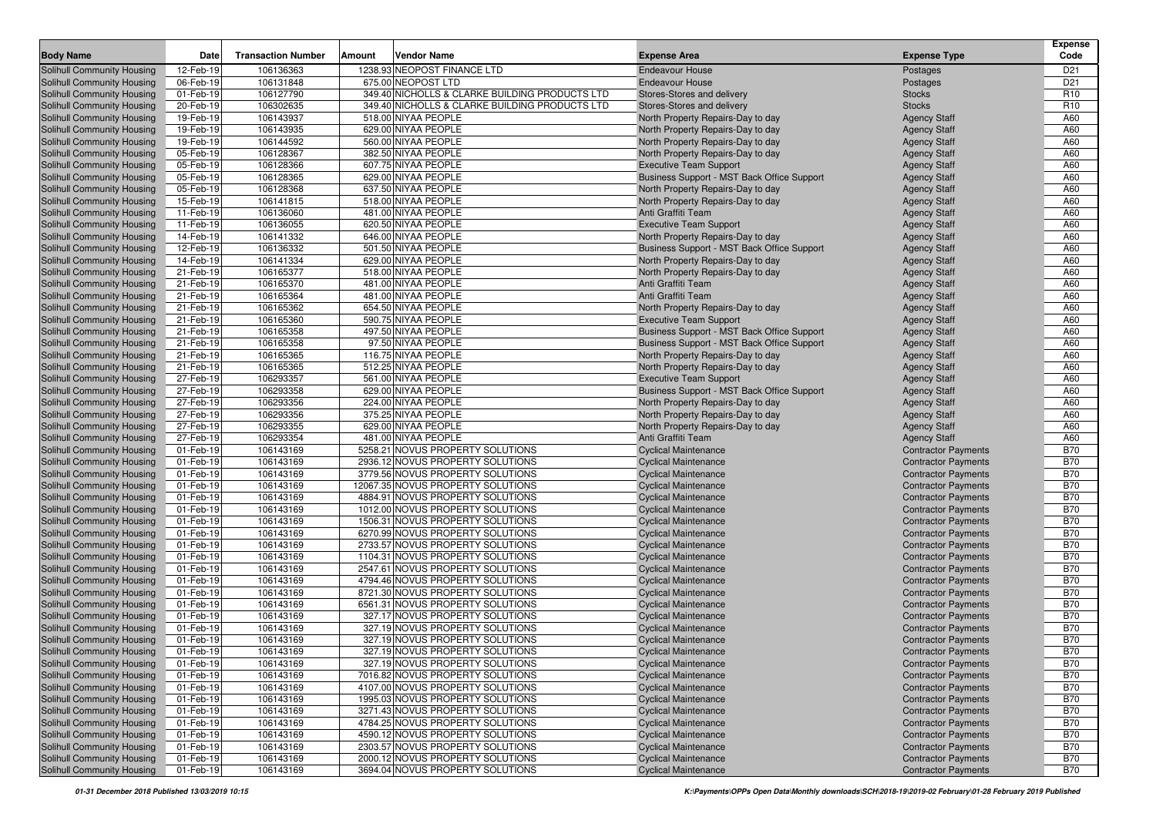|                                                                 |                        |                           |        |                                                                       |                                                                        |                                                          | <b>Expense</b>           |
|-----------------------------------------------------------------|------------------------|---------------------------|--------|-----------------------------------------------------------------------|------------------------------------------------------------------------|----------------------------------------------------------|--------------------------|
| <b>Body Name</b>                                                | Date                   | <b>Transaction Number</b> | Amount | <b>Vendor Name</b>                                                    | <b>Expense Area</b>                                                    | <b>Expense Type</b>                                      | Code                     |
| <b>Solihull Community Housing</b>                               | 12-Feb-19              | 106136363                 |        | 1238.93 NEOPOST FINANCE LTD                                           | <b>Endeavour House</b>                                                 | Postages                                                 | D <sub>21</sub>          |
| Solihull Community Housing                                      | 06-Feb-19              | 106131848                 |        | 675.00 NEOPOST LTD                                                    | <b>Endeavour House</b>                                                 | Postages                                                 | D <sub>21</sub>          |
| Solihull Community Housing                                      | 01-Feb-19              | 106127790                 |        | 349.40 NICHOLLS & CLARKE BUILDING PRODUCTS LTD                        | Stores-Stores and delivery                                             | <b>Stocks</b>                                            | R <sub>10</sub>          |
| <b>Solihull Community Housing</b><br>Solihull Community Housing | 20-Feb-19<br>19-Feb-19 | 106302635                 |        | 349.40 NICHOLLS & CLARKE BUILDING PRODUCTS LTD<br>518.00 NIYAA PEOPLE | Stores-Stores and delivery                                             | <b>Stocks</b>                                            | R <sub>10</sub>          |
| Solihull Community Housing                                      | 19-Feb-19              | 106143937<br>106143935    |        | 629.00 NIYAA PEOPLE                                                   | North Property Repairs-Day to day<br>North Property Repairs-Day to day | <b>Agency Staff</b>                                      | A60<br>A60               |
| <b>Solihull Community Housing</b>                               | 19-Feb-19              | 106144592                 |        | 560.00 NIYAA PEOPLE                                                   | North Property Repairs-Day to day                                      | <b>Agency Staff</b><br><b>Agency Staff</b>               | A60                      |
| <b>Solihull Community Housing</b>                               | 05-Feb-19              | 106128367                 |        | 382.50 NIYAA PEOPLE                                                   | North Property Repairs-Day to day                                      | <b>Agency Staff</b>                                      | A60                      |
| <b>Solihull Community Housing</b>                               | 05-Feb-19              | 106128366                 |        | 607.75 NIYAA PEOPLE                                                   | <b>Executive Team Support</b>                                          | <b>Agency Staff</b>                                      | A60                      |
| <b>Solihull Community Housing</b>                               | 05-Feb-19              | 106128365                 |        | 629.00 NIYAA PEOPLE                                                   | Business Support - MST Back Office Support                             | <b>Agency Staff</b>                                      | A60                      |
| <b>Solihull Community Housing</b>                               | 05-Feb-19              | 106128368                 |        | 637.50 NIYAA PEOPLE                                                   | North Property Repairs-Day to day                                      | <b>Agency Staff</b>                                      | A60                      |
| <b>Solihull Community Housing</b>                               | 15-Feb-19              | 106141815                 |        | 518.00 NIYAA PEOPLE                                                   | North Property Repairs-Day to day                                      | <b>Agency Staff</b>                                      | A60                      |
| Solihull Community Housing                                      | 11-Feb-19              | 106136060                 |        | 481.00 NIYAA PEOPLE                                                   | Anti Graffiti Team                                                     | <b>Agency Staff</b>                                      | A60                      |
| Solihull Community Housing                                      | 11-Feb-19              | 106136055                 |        | 620.50 NIYAA PEOPLE                                                   | <b>Executive Team Support</b>                                          | <b>Agency Staff</b>                                      | A60                      |
| <b>Solihull Community Housing</b>                               | 14-Feb-19              | 106141332                 |        | 646.00 NIYAA PEOPLE                                                   | North Property Repairs-Day to day                                      | <b>Agency Staff</b>                                      | A60                      |
| <b>Solihull Community Housing</b>                               | 12-Feb-19              | 106136332                 |        | 501.50 NIYAA PEOPLE                                                   | Business Support - MST Back Office Support                             | <b>Agency Staff</b>                                      | A60                      |
| <b>Solihull Community Housing</b>                               | 14-Feb-19              | 106141334                 |        | 629.00 NIYAA PEOPLE                                                   | North Property Repairs-Day to day                                      | <b>Agency Staff</b>                                      | A60                      |
| <b>Solihull Community Housing</b>                               | 21-Feb-19              | 106165377                 |        | 518.00 NIYAA PEOPLE                                                   | North Property Repairs-Day to day                                      | <b>Agency Staff</b>                                      | A60                      |
| <b>Solihull Community Housing</b>                               | 21-Feb-19              | 106165370                 |        | 481.00 NIYAA PEOPLE                                                   | Anti Graffiti Team                                                     | <b>Agency Staff</b>                                      | A60                      |
| <b>Solihull Community Housing</b>                               | 21-Feb-19              | 106165364                 |        | 481.00 NIYAA PEOPLE                                                   | Anti Graffiti Team                                                     | <b>Agency Staff</b>                                      | A60                      |
| <b>Solihull Community Housing</b>                               | 21-Feb-19              | 106165362                 |        | 654.50 NIYAA PEOPLE                                                   | North Property Repairs-Day to day                                      | <b>Agency Staff</b>                                      | A60                      |
| Solihull Community Housing                                      | 21-Feb-19              | 106165360                 |        | 590.75 NIYAA PEOPLE                                                   | <b>Executive Team Support</b>                                          | <b>Agency Staff</b>                                      | A60                      |
| <b>Solihull Community Housing</b>                               | 21-Feb-19              | 106165358                 |        | 497.50 NIYAA PEOPLE                                                   | Business Support - MST Back Office Support                             | <b>Agency Staff</b>                                      | A60                      |
| Solihull Community Housing                                      | 21-Feb-19              | 106165358                 |        | 97.50 NIYAA PEOPLE                                                    | Business Support - MST Back Office Support                             | <b>Agency Staff</b>                                      | A60                      |
| Solihull Community Housing                                      | 21-Feb-19              | 106165365                 |        | 116.75 NIYAA PEOPLE                                                   | North Property Repairs-Day to day                                      | <b>Agency Staff</b>                                      | A60                      |
| <b>Solihull Community Housing</b>                               | 21-Feb-19              | 106165365                 |        | 512.25 NIYAA PEOPLE                                                   | North Property Repairs-Day to day                                      | <b>Agency Staff</b>                                      | A60                      |
| <b>Solihull Community Housing</b>                               | 27-Feb-19              | 106293357                 |        | 561.00 NIYAA PEOPLE                                                   | <b>Executive Team Support</b>                                          | <b>Agency Staff</b>                                      | A60                      |
| Solihull Community Housing                                      | 27-Feb-19              | 106293358                 |        | 629.00 NIYAA PEOPLE                                                   | Business Support - MST Back Office Support                             | <b>Agency Staff</b>                                      | A60                      |
| <b>Solihull Community Housing</b>                               | 27-Feb-19              | 106293356                 |        | 224.00 NIYAA PEOPLE                                                   | North Property Repairs-Day to day                                      | <b>Agency Staff</b>                                      | A60                      |
| <b>Solihull Community Housing</b>                               | 27-Feb-19              | 106293356                 |        | 375.25 NIYAA PEOPLE                                                   | North Property Repairs-Day to day                                      | <b>Agency Staff</b>                                      | A60                      |
| <b>Solihull Community Housing</b>                               | 27-Feb-19              | 106293355                 |        | 629.00 NIYAA PEOPLE                                                   | North Property Repairs-Day to day                                      | <b>Agency Staff</b>                                      | A60                      |
| <b>Solihull Community Housing</b>                               | 27-Feb-19              | 106293354                 |        | 481.00 NIYAA PEOPLE                                                   | Anti Graffiti Team                                                     | <b>Agency Staff</b>                                      | A60                      |
| <b>Solihull Community Housing</b>                               | 01-Feb-19              | 106143169                 |        | 5258.21 NOVUS PROPERTY SOLUTIONS                                      | <b>Cyclical Maintenance</b>                                            | <b>Contractor Payments</b>                               | <b>B70</b>               |
| <b>Solihull Community Housing</b>                               | 01-Feb-19              | 106143169                 |        | 2936.12 NOVUS PROPERTY SOLUTIONS                                      | <b>Cyclical Maintenance</b>                                            | <b>Contractor Payments</b>                               | <b>B70</b>               |
| <b>Solihull Community Housing</b>                               | 01-Feb-19              | 106143169                 |        | 3779.56 NOVUS PROPERTY SOLUTIONS                                      | <b>Cyclical Maintenance</b>                                            | <b>Contractor Payments</b>                               | <b>B70</b>               |
| <b>Solihull Community Housing</b>                               | 01-Feb-19              | 106143169                 |        | 12067.35 NOVUS PROPERTY SOLUTIONS                                     | <b>Cyclical Maintenance</b>                                            | <b>Contractor Payments</b>                               | <b>B70</b>               |
| <b>Solihull Community Housing</b>                               | 01-Feb-19              | 106143169                 |        | 4884.91 NOVUS PROPERTY SOLUTIONS                                      | <b>Cyclical Maintenance</b>                                            | <b>Contractor Payments</b>                               | <b>B70</b>               |
| <b>Solihull Community Housing</b>                               | 01-Feb-19              | 106143169                 |        | 1012.00 NOVUS PROPERTY SOLUTIONS                                      | <b>Cyclical Maintenance</b>                                            | <b>Contractor Payments</b>                               | <b>B70</b>               |
| <b>Solihull Community Housing</b>                               | 01-Feb-19              | 106143169                 |        | 1506.31 NOVUS PROPERTY SOLUTIONS                                      | <b>Cyclical Maintenance</b>                                            | <b>Contractor Payments</b>                               | <b>B70</b>               |
| <b>Solihull Community Housing</b>                               | 01-Feb-19              | 106143169                 |        | 6270.99 NOVUS PROPERTY SOLUTIONS                                      | <b>Cyclical Maintenance</b>                                            | <b>Contractor Payments</b>                               | <b>B70</b>               |
| <b>Solihull Community Housing</b>                               | 01-Feb-19              | 106143169                 |        | 2733.57 NOVUS PROPERTY SOLUTIONS                                      | <b>Cyclical Maintenance</b>                                            | <b>Contractor Payments</b>                               | <b>B70</b>               |
| <b>Solihull Community Housing</b>                               | 01-Feb-19              | 106143169                 |        | 1104.31 NOVUS PROPERTY SOLUTIONS                                      | <b>Cyclical Maintenance</b>                                            | <b>Contractor Payments</b>                               | <b>B70</b>               |
| <b>Solihull Community Housing</b>                               | 01-Feb-19              | 106143169                 |        | 2547.61 NOVUS PROPERTY SOLUTIONS                                      | <b>Cyclical Maintenance</b>                                            | <b>Contractor Payments</b>                               | <b>B70</b>               |
| <b>Solihull Community Housing</b>                               | 01-Feb-19              | 106143169                 |        | 4794.46 NOVUS PROPERTY SOLUTIONS                                      | <b>Cyclical Maintenance</b>                                            | <b>Contractor Payments</b>                               | <b>B70</b>               |
| Solihull Community Housing                                      | 01-Feb-19              | 106143169                 |        | 8721.30 NOVUS PROPERTY SOLUTIONS                                      | <b>Cyclical Maintenance</b>                                            | <b>Contractor Payments</b>                               | <b>B70</b>               |
| Solihull Community Housing                                      | 01-Feb-19              | 106143169                 |        | 6561.31 NOVUS PROPERTY SOLUTIONS                                      | <b>Cyclical Maintenance</b>                                            | <b>Contractor Payments</b>                               | <b>B70</b>               |
| Solihull Community Housing                                      | 01-Feb-19              | 106143169                 |        | 327.17 NOVUS PROPERTY SOLUTIONS                                       | <b>Cyclical Maintenance</b>                                            | <b>Contractor Payments</b>                               | <b>B70</b><br><b>B70</b> |
| Solihull Community Housing                                      | 01-Feb-19              | 106143169                 |        | 327.19 NOVUS PROPERTY SOLUTIONS                                       | <b>Cyclical Maintenance</b>                                            | <b>Contractor Payments</b>                               |                          |
| <b>Solihull Community Housing</b>                               | 01-Feb-19              | 106143169                 |        | 327.19 NOVUS PROPERTY SOLUTIONS                                       | <b>Cyclical Maintenance</b>                                            | <b>Contractor Payments</b>                               | <b>B70</b>               |
| <b>Solihull Community Housing</b>                               | 01-Feb-19              | 106143169                 |        | 327.19 NOVUS PROPERTY SOLUTIONS                                       | <b>Cyclical Maintenance</b>                                            | <b>Contractor Payments</b>                               | <b>B70</b>               |
| Solihull Community Housing<br>Solihull Community Housing        | 01-Feb-19              | 106143169                 |        | 327.19 NOVUS PROPERTY SOLUTIONS<br>7016.82 NOVUS PROPERTY SOLUTIONS   | <b>Cyclical Maintenance</b><br><b>Cyclical Maintenance</b>             | <b>Contractor Payments</b><br><b>Contractor Payments</b> | <b>B70</b>               |
| Solihull Community Housing                                      | 01-Feb-19<br>01-Feb-19 | 106143169                 |        | 4107.00 NOVUS PROPERTY SOLUTIONS                                      | <b>Cyclical Maintenance</b>                                            | <b>Contractor Payments</b>                               | B70                      |
| Solihull Community Housing                                      |                        | 106143169                 |        | 1995.03 NOVUS PROPERTY SOLUTIONS                                      |                                                                        | <b>Contractor Payments</b>                               | <b>B70</b><br><b>B70</b> |
| Solihull Community Housing                                      | 01-Feb-19<br>01-Feb-19 | 106143169<br>106143169    |        | 3271.43 NOVUS PROPERTY SOLUTIONS                                      | <b>Cyclical Maintenance</b><br><b>Cyclical Maintenance</b>             | <b>Contractor Payments</b>                               | <b>B70</b>               |
| <b>Solihull Community Housing</b>                               |                        | 106143169                 |        | 4784.25 NOVUS PROPERTY SOLUTIONS                                      | <b>Cyclical Maintenance</b>                                            | <b>Contractor Payments</b>                               | <b>B70</b>               |
| <b>Solihull Community Housing</b>                               | 01-Feb-19<br>01-Feb-19 | 106143169                 |        | 4590.12 NOVUS PROPERTY SOLUTIONS                                      | <b>Cyclical Maintenance</b>                                            | <b>Contractor Payments</b>                               | <b>B70</b>               |
| <b>Solihull Community Housing</b>                               | 01-Feb-19              | 106143169                 |        | 2303.57 NOVUS PROPERTY SOLUTIONS                                      | <b>Cyclical Maintenance</b>                                            | <b>Contractor Payments</b>                               | <b>B70</b>               |
| Solihull Community Housing                                      | 01-Feb-19              | 106143169                 |        | 2000.12 NOVUS PROPERTY SOLUTIONS                                      | <b>Cyclical Maintenance</b>                                            | <b>Contractor Payments</b>                               | B70                      |
| Solihull Community Housing                                      | 01-Feb-19              | 106143169                 |        | 3694.04 NOVUS PROPERTY SOLUTIONS                                      | <b>Cyclical Maintenance</b>                                            | <b>Contractor Payments</b>                               | B70                      |
|                                                                 |                        |                           |        |                                                                       |                                                                        |                                                          |                          |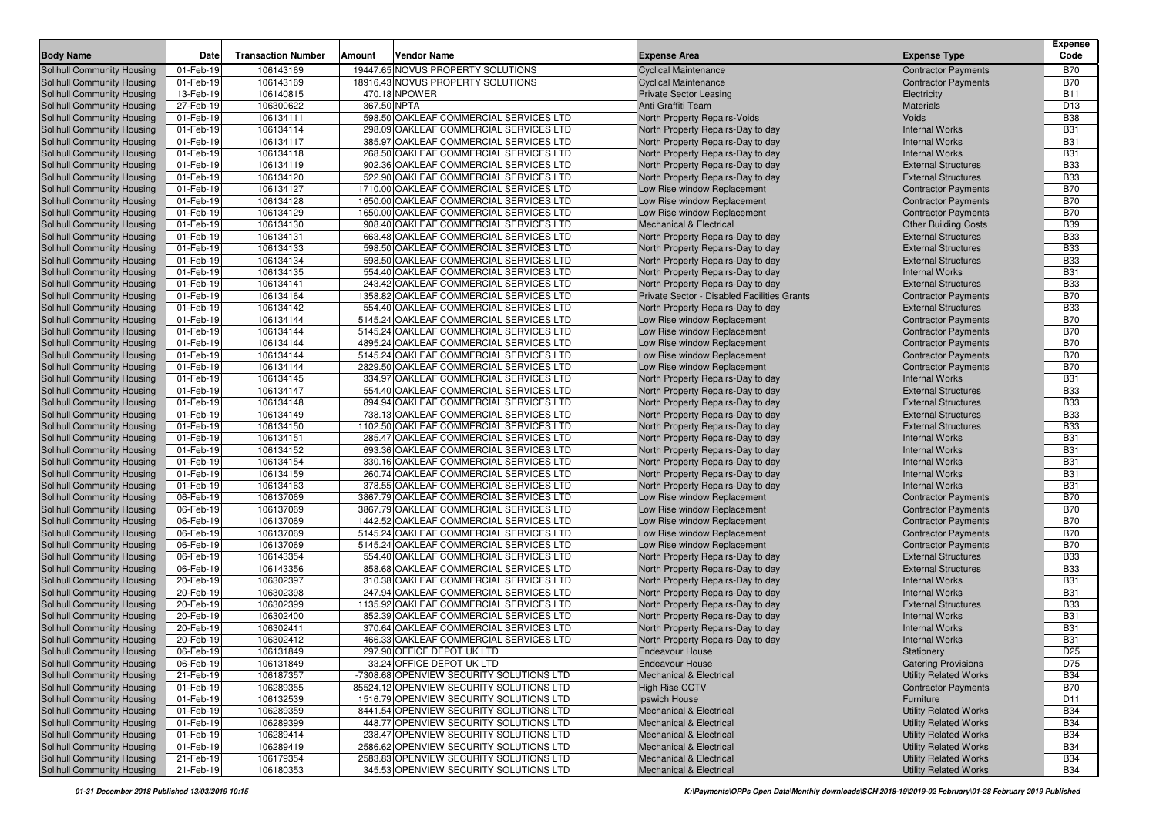| 106143169<br>19447.65 NOVUS PROPERTY SOLUTIONS<br><b>Cyclical Maintenance</b><br><b>Contractor Payments</b><br><b>B70</b><br>Solihull Community Housing<br>01-Feb-19<br><b>B70</b><br>Solihull Community Housing<br>01-Feb-19<br>106143169<br>18916.43 NOVUS PROPERTY SOLUTIONS<br><b>Cyclical Maintenance</b><br><b>Contractor Payments</b><br>106140815<br>470.18 NPOWER<br>13-Feb-19<br><b>Private Sector Leasing</b><br><b>B11</b><br><b>Solihull Community Housing</b><br>Electricity<br>106300622<br>367.50 NPTA<br>D13<br>Solihull Community Housing<br>27-Feb-19<br>Anti Graffiti Team<br><b>Materials</b><br>01-Feb-19<br>598.50 OAKLEAF COMMERCIAL SERVICES LTD<br><b>B38</b><br>Solihull Community Housing<br>106134111<br>North Property Repairs-Voids<br>Voids<br>01-Feb-19<br>298.09 OAKLEAF COMMERCIAL SERVICES LTD<br><b>B31</b><br>Solihull Community Housing<br>106134114<br>North Property Repairs-Day to day<br><b>Internal Works</b><br><b>B31</b><br>Solihull Community Housing<br>01-Feb-19<br>106134117<br>385.97 OAKLEAF COMMERCIAL SERVICES LTD<br>North Property Repairs-Day to day<br><b>Internal Works</b><br>268.50 OAKLEAF COMMERCIAL SERVICES LTD<br><b>B31</b><br>Solihull Community Housing<br>01-Feb-19<br>106134118<br>North Property Repairs-Day to day<br><b>Internal Works</b><br>01-Feb-19<br>902.36 OAKLEAF COMMERCIAL SERVICES LTD<br><b>B33</b><br>Solihull Community Housing<br>106134119<br>North Property Repairs-Day to day<br><b>External Structures</b><br>106134120<br>522.90 OAKLEAF COMMERCIAL SERVICES LTD<br><b>B33</b><br>Solihull Community Housing<br>01-Feb-19<br>North Property Repairs-Day to day<br><b>External Structures</b><br><b>B70</b><br>Solihull Community Housing<br>01-Feb-19<br>106134127<br>1710.00 OAKLEAF COMMERCIAL SERVICES LTD<br>Low Rise window Replacement<br><b>Contractor Payments</b><br><b>B70</b><br>Solihull Community Housing<br>01-Feb-19<br>106134128<br>1650.00 OAKLEAF COMMERCIAL SERVICES LTD<br>Low Rise window Replacement<br><b>Contractor Payments</b><br>01-Feb-19<br>1650.00 OAKLEAF COMMERCIAL SERVICES LTD<br><b>B70</b><br>Solihull Community Housing<br>106134129<br>Low Rise window Replacement<br><b>Contractor Payments</b><br>106134130<br><b>B39</b><br>Solihull Community Housing<br>01-Feb-19<br>908.40 OAKLEAF COMMERCIAL SERVICES LTD<br><b>Mechanical &amp; Electrical</b><br><b>Other Building Costs</b><br><b>B33</b><br>Solihull Community Housing<br>01-Feb-19<br>106134131<br>663.48 OAKLEAF COMMERCIAL SERVICES LTD<br>North Property Repairs-Day to day<br><b>External Structures</b><br>01-Feb-19<br><b>B33</b><br>Solihull Community Housing<br>106134133<br>598.50 OAKLEAF COMMERCIAL SERVICES LTD<br>North Property Repairs-Day to day<br><b>External Structures</b><br>106134134<br>598.50 OAKLEAF COMMERCIAL SERVICES LTD<br><b>B33</b><br>Solihull Community Housing<br>01-Feb-19<br>North Property Repairs-Day to day<br><b>External Structures</b><br>106134135<br>554.40 OAKLEAF COMMERCIAL SERVICES LTD<br><b>B31</b><br>Solihull Community Housing<br>01-Feb-19<br>North Property Repairs-Day to day<br><b>Internal Works</b><br><b>B33</b><br>Solihull Community Housing<br>01-Feb-19<br>106134141<br>243.42 OAKLEAF COMMERCIAL SERVICES LTD<br>North Property Repairs-Day to day<br><b>External Structures</b><br>1358.82 OAKLEAF COMMERCIAL SERVICES LTD<br><b>B70</b><br>Solihull Community Housing<br>01-Feb-19<br>106134164<br>Private Sector - Disabled Facilities Grants<br><b>Contractor Payments</b><br>106134142<br>554.40 OAKLEAF COMMERCIAL SERVICES LTD<br><b>B33</b><br>Solihull Community Housing<br>01-Feb-19<br>North Property Repairs-Day to day<br><b>External Structures</b><br>5145.24 OAKLEAF COMMERCIAL SERVICES LTD<br><b>B70</b><br>01-Feb-19<br>106134144<br>Low Rise window Replacement<br><b>Contractor Payments</b><br><b>B70</b><br>01-Feb-19<br>106134144<br>5145.24 OAKLEAF COMMERCIAL SERVICES LTD<br>Low Rise window Replacement<br><b>Contractor Payments</b><br>106134144<br><b>B70</b><br>01-Feb-19<br>4895.24 OAKLEAF COMMERCIAL SERVICES LTD<br>Low Rise window Replacement<br><b>Contractor Payments</b><br>5145.24 OAKLEAF COMMERCIAL SERVICES LTD<br><b>B70</b><br>01-Feb-19<br>106134144<br>Low Rise window Replacement<br><b>Contractor Payments</b><br>01-Feb-19<br>106134144<br>2829.50 OAKLEAF COMMERCIAL SERVICES LTD<br><b>B70</b><br>Low Rise window Replacement<br><b>Contractor Payments</b><br>334.97 OAKLEAF COMMERCIAL SERVICES LTD<br><b>B31</b><br>01-Feb-19<br>106134145<br>North Property Repairs-Day to day<br><b>Internal Works</b><br>01-Feb-19<br>106134147<br>554.40 OAKLEAF COMMERCIAL SERVICES LTD<br>North Property Repairs-Day to day<br><b>External Structures</b><br><b>B33</b><br>894.94 OAKLEAF COMMERCIAL SERVICES LTD<br><b>B33</b><br>01-Feb-19<br>106134148<br>North Property Repairs-Day to day<br><b>External Structures</b><br>738.13 OAKLEAF COMMERCIAL SERVICES LTD<br><b>B33</b><br>01-Feb-19<br>106134149<br>North Property Repairs-Day to day<br><b>External Structures</b><br><b>B33</b><br>01-Feb-19<br>106134150<br>1102.50 OAKLEAF COMMERCIAL SERVICES LTD<br>North Property Repairs-Day to day<br><b>External Structures</b><br><b>B31</b><br>01-Feb-19<br>106134151<br>285.47 OAKLEAF COMMERCIAL SERVICES LTD<br>North Property Repairs-Day to day<br><b>Internal Works</b><br>106134152<br>693.36 OAKLEAF COMMERCIAL SERVICES LTD<br><b>B31</b><br>01-Feb-19<br>North Property Repairs-Day to day<br><b>Internal Works</b><br>330.16 OAKLEAF COMMERCIAL SERVICES LTD<br><b>B31</b><br>01-Feb-19<br>106134154<br>North Property Repairs-Day to day<br><b>Internal Works</b><br>106134159<br>260.74 OAKLEAF COMMERCIAL SERVICES LTD<br><b>B31</b><br>01-Feb-19<br>North Property Repairs-Day to day<br><b>Internal Works</b><br><b>B31</b><br>01-Feb-19<br>106134163<br>378.55 OAKLEAF COMMERCIAL SERVICES LTD<br>North Property Repairs-Day to day<br><b>Internal Works</b><br><b>B70</b><br>06-Feb-19<br>106137069<br>3867.79 OAKLEAF COMMERCIAL SERVICES LTD<br>Low Rise window Replacement<br><b>Contractor Payments</b><br>106137069<br>3867.79 OAKLEAF COMMERCIAL SERVICES LTD<br><b>B70</b><br>06-Feb-19<br>Low Rise window Replacement<br><b>Contractor Payments</b><br>106137069<br>1442.52 OAKLEAF COMMERCIAL SERVICES LTD<br><b>B70</b><br>Solihull Community Housing<br>06-Feb-19<br>Low Rise window Replacement<br><b>Contractor Payments</b><br>Solihull Community Housing<br>06-Feb-19<br>106137069<br>5145.24 OAKLEAF COMMERCIAL SERVICES LTD<br>Low Rise window Replacement<br><b>Contractor Payments</b><br><b>B70</b><br><b>B70</b><br>Solihull Community Housing<br>06-Feb-19<br>106137069<br>5145.24 OAKLEAF COMMERCIAL SERVICES LTD<br>Low Rise window Replacement<br><b>Contractor Payments</b><br>106143354<br>554.40 OAKLEAF COMMERCIAL SERVICES LTD<br><b>B33</b><br>Solihull Community Housing<br>06-Feb-19<br>North Property Repairs-Day to day<br><b>External Structures</b><br>106143356<br>858.68 OAKLEAF COMMERCIAL SERVICES LTD<br><b>B33</b><br>Solihull Community Housing<br>06-Feb-19<br>North Property Repairs-Day to day<br><b>External Structures</b><br>106302397<br><b>B31</b><br>Solihull Community Housing<br>20-Feb-19<br>310.38 OAKLEAF COMMERCIAL SERVICES LTD<br>North Property Repairs-Day to day<br><b>Internal Works</b><br>106302398<br>247.94 OAKLEAF COMMERCIAL SERVICES LTD<br><b>B31</b><br>Solihull Community Housing<br>20-Feb-19<br>North Property Repairs-Day to day<br><b>Internal Works</b><br>106302399<br>1135.92 OAKLEAF COMMERCIAL SERVICES LTD<br><b>B33</b><br>Solihull Community Housing<br>20-Feb-19<br>North Property Repairs-Day to day<br><b>External Structures</b><br>852.39 OAKLEAF COMMERCIAL SERVICES LTD<br><b>B31</b><br>Solihull Community Housing<br>20-Feb-19<br>106302400<br>North Property Repairs-Day to day<br><b>Internal Works</b><br><b>B31</b><br>Solihull Community Housing<br>20-Feb-19<br>106302411<br>370.64 OAKLEAF COMMERCIAL SERVICES LTD<br>North Property Repairs-Day to day<br><b>Internal Works</b><br><b>Solihull Community Housing</b><br>466.33 OAKLEAF COMMERCIAL SERVICES LTD<br><b>B31</b><br>20-Feb-19<br>106302412<br>North Property Repairs-Day to day<br><b>Internal Works</b><br>Solihull Community Housing<br>06-Feb-19<br>297.90 OFFICE DEPOT UK LTD<br>D <sub>25</sub><br>106131849<br><b>Endeavour House</b><br>Stationery<br>33.24 OFFICE DEPOT UK LTD<br>D75<br>Solihull Community Housing<br>06-Feb-19<br><b>Catering Provisions</b><br>106131849<br><b>Endeavour House</b><br>Solihull Community Housing<br>21-Feb-19<br>106187357<br>-7308.68 OPENVIEW SECURITY SOLUTIONS LTD<br><b>Mechanical &amp; Electrical</b><br><b>Utility Related Works</b><br><b>B34</b><br>Solihull Community Housing<br>01-Feb-19<br>106289355<br>85524.12 OPENVIEW SECURITY SOLUTIONS LTD<br><b>High Rise CCTV</b><br><b>Contractor Payments</b><br><b>B70</b><br><b>Solihull Community Housing</b><br>01-Feb-19<br>106132539<br>1516.79 OPENVIEW SECURITY SOLUTIONS LTD<br>Ipswich House<br>Furniture<br>D11<br>106289359<br>8441.54 OPENVIEW SECURITY SOLUTIONS LTD<br>Solihull Community Housing<br>01-Feb-19<br><b>Mechanical &amp; Electrical</b><br><b>Utility Related Works</b><br><b>B34</b><br>Solihull Community Housing<br>106289399<br><b>Utility Related Works</b><br>01-Feb-19<br>448.77 OPENVIEW SECURITY SOLUTIONS LTD<br><b>Mechanical &amp; Electrical</b><br><b>B34</b><br>Solihull Community Housing<br>01-Feb-19<br>106289414<br>238.47 OPENVIEW SECURITY SOLUTIONS LTD<br><b>Mechanical &amp; Electrical</b><br><b>Utility Related Works</b><br><b>B34</b><br>Solihull Community Housing<br>01-Feb-19<br>106289419<br>2586.62 OPENVIEW SECURITY SOLUTIONS LTD<br><b>Mechanical &amp; Electrical</b><br><b>Utility Related Works</b><br><b>B34</b><br>Solihull Community Housing<br>106179354<br>2583.83 OPENVIEW SECURITY SOLUTIONS LTD<br>21-Feb-19<br><b>Mechanical &amp; Electrical</b><br><b>Utility Related Works</b><br><b>B34</b><br>345.53 OPENVIEW SECURITY SOLUTIONS LTD | <b>Body Name</b>           | Date      | <b>Transaction Number</b> | Amount | <b>Vendor Name</b> | <b>Expense Area</b>                | <b>Expense Type</b>          | <b>Expense</b><br>Code |
|---------------------------------------------------------------------------------------------------------------------------------------------------------------------------------------------------------------------------------------------------------------------------------------------------------------------------------------------------------------------------------------------------------------------------------------------------------------------------------------------------------------------------------------------------------------------------------------------------------------------------------------------------------------------------------------------------------------------------------------------------------------------------------------------------------------------------------------------------------------------------------------------------------------------------------------------------------------------------------------------------------------------------------------------------------------------------------------------------------------------------------------------------------------------------------------------------------------------------------------------------------------------------------------------------------------------------------------------------------------------------------------------------------------------------------------------------------------------------------------------------------------------------------------------------------------------------------------------------------------------------------------------------------------------------------------------------------------------------------------------------------------------------------------------------------------------------------------------------------------------------------------------------------------------------------------------------------------------------------------------------------------------------------------------------------------------------------------------------------------------------------------------------------------------------------------------------------------------------------------------------------------------------------------------------------------------------------------------------------------------------------------------------------------------------------------------------------------------------------------------------------------------------------------------------------------------------------------------------------------------------------------------------------------------------------------------------------------------------------------------------------------------------------------------------------------------------------------------------------------------------------------------------------------------------------------------------------------------------------------------------------------------------------------------------------------------------------------------------------------------------------------------------------------------------------------------------------------------------------------------------------------------------------------------------------------------------------------------------------------------------------------------------------------------------------------------------------------------------------------------------------------------------------------------------------------------------------------------------------------------------------------------------------------------------------------------------------------------------------------------------------------------------------------------------------------------------------------------------------------------------------------------------------------------------------------------------------------------------------------------------------------------------------------------------------------------------------------------------------------------------------------------------------------------------------------------------------------------------------------------------------------------------------------------------------------------------------------------------------------------------------------------------------------------------------------------------------------------------------------------------------------------------------------------------------------------------------------------------------------------------------------------------------------------------------------------------------------------------------------------------------------------------------------------------------------------------------------------------------------------------------------------------------------------------------------------------------------------------------------------------------------------------------------------------------------------------------------------------------------------------------------------------------------------------------------------------------------------------------------------------------------------------------------------------------------------------------------------------------------------------------------------------------------------------------------------------------------------------------------------------------------------------------------------------------------------------------------------------------------------------------------------------------------------------------------------------------------------------------------------------------------------------------------------------------------------------------------------------------------------------------------------------------------------------------------------------------------------------------------------------------------------------------------------------------------------------------------------------------------------------------------------------------------------------------------------------------------------------------------------------------------------------------------------------------------------------------------------------------------------------------------------------------------------------------------------------------------------------------------------------------------------------------------------------------------------------------------------------------------------------------------------------------------------------------------------------------------------------------------------------------------------------------------------------------------------------------------------------------------------------------------------------------------------------------------------------------------------------------------------------------------------------------------------------------------------------------------------------------------------------------------------------------------------------------------------------------------------------------------------------------------------------------------------------------------------------------------------------------------------------------------------------------------------------------------------------------------------------------------------------------------------------------------------------------------------------------------------------------------------------------------------------------------------------------------------------------------------------------------------------------------------------------------------------------------------------------------------------------------------------------------------------------------------------------------------------------------------------------------------------------------------------------------------------------------------------------------------------------------------------------------------------------------------------------------------------------------------------------------------------------------------------------------------------------------------------------------------------------------------------------------------------------------------------------------------------------------------------------------------------------------------------------------------------------------------------------------------------------------------------------------------------------------------------------------------------------------------------------------------------------------------------------------------------------------------------------------------------------------------------------------------------------------------------------------------------------------------------------------------------------------------------------------------------------------------------------------------------------------------------------------------------------------------------------------------------------------------------------------------------------------------------------------------------------------------------------------------------------------------------------------------------------------------------------------------------------------------------------------------------------------------------------------------------------------------------------------------------------------------------------------------------------------------------------------------------------------------------------------------------------------------------------------------------------------------------------------------------------------------------------------------------------------------------------------------------------------------------------------------------------------------------------------------------------------------------------------------------------------------------------------------|----------------------------|-----------|---------------------------|--------|--------------------|------------------------------------|------------------------------|------------------------|
|                                                                                                                                                                                                                                                                                                                                                                                                                                                                                                                                                                                                                                                                                                                                                                                                                                                                                                                                                                                                                                                                                                                                                                                                                                                                                                                                                                                                                                                                                                                                                                                                                                                                                                                                                                                                                                                                                                                                                                                                                                                                                                                                                                                                                                                                                                                                                                                                                                                                                                                                                                                                                                                                                                                                                                                                                                                                                                                                                                                                                                                                                                                                                                                                                                                                                                                                                                                                                                                                                                                                                                                                                                                                                                                                                                                                                                                                                                                                                                                                                                                                                                                                                                                                                                                                                                                                                                                                                                                                                                                                                                                                                                                                                                                                                                                                                                                                                                                                                                                                                                                                                                                                                                                                                                                                                                                                                                                                                                                                                                                                                                                                                                                                                                                                                                                                                                                                                                                                                                                                                                                                                                                                                                                                                                                                                                                                                                                                                                                                                                                                                                                                                                                                                                                                                                                                                                                                                                                                                                                                                                                                                                                                                                                                                                                                                                                                                                                                                                                                                                                                                                                                                                                                                                                                                                                                                                                                                                                                                                                                                                                                                                                                                                                                                                                                                                                                                                                                                                                                                                                                                                                                                                                                                                                                                                                                                                                                                                                                                                                                                                                                                                                                                                                                                                                                                                                                                                                                                                                                                                                                                                                                                                                                                                                                                                                                                                                                                                                                                                                                                                                                                                                                             |                            |           |                           |        |                    |                                    |                              |                        |
|                                                                                                                                                                                                                                                                                                                                                                                                                                                                                                                                                                                                                                                                                                                                                                                                                                                                                                                                                                                                                                                                                                                                                                                                                                                                                                                                                                                                                                                                                                                                                                                                                                                                                                                                                                                                                                                                                                                                                                                                                                                                                                                                                                                                                                                                                                                                                                                                                                                                                                                                                                                                                                                                                                                                                                                                                                                                                                                                                                                                                                                                                                                                                                                                                                                                                                                                                                                                                                                                                                                                                                                                                                                                                                                                                                                                                                                                                                                                                                                                                                                                                                                                                                                                                                                                                                                                                                                                                                                                                                                                                                                                                                                                                                                                                                                                                                                                                                                                                                                                                                                                                                                                                                                                                                                                                                                                                                                                                                                                                                                                                                                                                                                                                                                                                                                                                                                                                                                                                                                                                                                                                                                                                                                                                                                                                                                                                                                                                                                                                                                                                                                                                                                                                                                                                                                                                                                                                                                                                                                                                                                                                                                                                                                                                                                                                                                                                                                                                                                                                                                                                                                                                                                                                                                                                                                                                                                                                                                                                                                                                                                                                                                                                                                                                                                                                                                                                                                                                                                                                                                                                                                                                                                                                                                                                                                                                                                                                                                                                                                                                                                                                                                                                                                                                                                                                                                                                                                                                                                                                                                                                                                                                                                                                                                                                                                                                                                                                                                                                                                                                                                                                                                                             |                            |           |                           |        |                    |                                    |                              |                        |
|                                                                                                                                                                                                                                                                                                                                                                                                                                                                                                                                                                                                                                                                                                                                                                                                                                                                                                                                                                                                                                                                                                                                                                                                                                                                                                                                                                                                                                                                                                                                                                                                                                                                                                                                                                                                                                                                                                                                                                                                                                                                                                                                                                                                                                                                                                                                                                                                                                                                                                                                                                                                                                                                                                                                                                                                                                                                                                                                                                                                                                                                                                                                                                                                                                                                                                                                                                                                                                                                                                                                                                                                                                                                                                                                                                                                                                                                                                                                                                                                                                                                                                                                                                                                                                                                                                                                                                                                                                                                                                                                                                                                                                                                                                                                                                                                                                                                                                                                                                                                                                                                                                                                                                                                                                                                                                                                                                                                                                                                                                                                                                                                                                                                                                                                                                                                                                                                                                                                                                                                                                                                                                                                                                                                                                                                                                                                                                                                                                                                                                                                                                                                                                                                                                                                                                                                                                                                                                                                                                                                                                                                                                                                                                                                                                                                                                                                                                                                                                                                                                                                                                                                                                                                                                                                                                                                                                                                                                                                                                                                                                                                                                                                                                                                                                                                                                                                                                                                                                                                                                                                                                                                                                                                                                                                                                                                                                                                                                                                                                                                                                                                                                                                                                                                                                                                                                                                                                                                                                                                                                                                                                                                                                                                                                                                                                                                                                                                                                                                                                                                                                                                                                                                             |                            |           |                           |        |                    |                                    |                              |                        |
|                                                                                                                                                                                                                                                                                                                                                                                                                                                                                                                                                                                                                                                                                                                                                                                                                                                                                                                                                                                                                                                                                                                                                                                                                                                                                                                                                                                                                                                                                                                                                                                                                                                                                                                                                                                                                                                                                                                                                                                                                                                                                                                                                                                                                                                                                                                                                                                                                                                                                                                                                                                                                                                                                                                                                                                                                                                                                                                                                                                                                                                                                                                                                                                                                                                                                                                                                                                                                                                                                                                                                                                                                                                                                                                                                                                                                                                                                                                                                                                                                                                                                                                                                                                                                                                                                                                                                                                                                                                                                                                                                                                                                                                                                                                                                                                                                                                                                                                                                                                                                                                                                                                                                                                                                                                                                                                                                                                                                                                                                                                                                                                                                                                                                                                                                                                                                                                                                                                                                                                                                                                                                                                                                                                                                                                                                                                                                                                                                                                                                                                                                                                                                                                                                                                                                                                                                                                                                                                                                                                                                                                                                                                                                                                                                                                                                                                                                                                                                                                                                                                                                                                                                                                                                                                                                                                                                                                                                                                                                                                                                                                                                                                                                                                                                                                                                                                                                                                                                                                                                                                                                                                                                                                                                                                                                                                                                                                                                                                                                                                                                                                                                                                                                                                                                                                                                                                                                                                                                                                                                                                                                                                                                                                                                                                                                                                                                                                                                                                                                                                                                                                                                                                                             |                            |           |                           |        |                    |                                    |                              |                        |
|                                                                                                                                                                                                                                                                                                                                                                                                                                                                                                                                                                                                                                                                                                                                                                                                                                                                                                                                                                                                                                                                                                                                                                                                                                                                                                                                                                                                                                                                                                                                                                                                                                                                                                                                                                                                                                                                                                                                                                                                                                                                                                                                                                                                                                                                                                                                                                                                                                                                                                                                                                                                                                                                                                                                                                                                                                                                                                                                                                                                                                                                                                                                                                                                                                                                                                                                                                                                                                                                                                                                                                                                                                                                                                                                                                                                                                                                                                                                                                                                                                                                                                                                                                                                                                                                                                                                                                                                                                                                                                                                                                                                                                                                                                                                                                                                                                                                                                                                                                                                                                                                                                                                                                                                                                                                                                                                                                                                                                                                                                                                                                                                                                                                                                                                                                                                                                                                                                                                                                                                                                                                                                                                                                                                                                                                                                                                                                                                                                                                                                                                                                                                                                                                                                                                                                                                                                                                                                                                                                                                                                                                                                                                                                                                                                                                                                                                                                                                                                                                                                                                                                                                                                                                                                                                                                                                                                                                                                                                                                                                                                                                                                                                                                                                                                                                                                                                                                                                                                                                                                                                                                                                                                                                                                                                                                                                                                                                                                                                                                                                                                                                                                                                                                                                                                                                                                                                                                                                                                                                                                                                                                                                                                                                                                                                                                                                                                                                                                                                                                                                                                                                                                                                             |                            |           |                           |        |                    |                                    |                              |                        |
|                                                                                                                                                                                                                                                                                                                                                                                                                                                                                                                                                                                                                                                                                                                                                                                                                                                                                                                                                                                                                                                                                                                                                                                                                                                                                                                                                                                                                                                                                                                                                                                                                                                                                                                                                                                                                                                                                                                                                                                                                                                                                                                                                                                                                                                                                                                                                                                                                                                                                                                                                                                                                                                                                                                                                                                                                                                                                                                                                                                                                                                                                                                                                                                                                                                                                                                                                                                                                                                                                                                                                                                                                                                                                                                                                                                                                                                                                                                                                                                                                                                                                                                                                                                                                                                                                                                                                                                                                                                                                                                                                                                                                                                                                                                                                                                                                                                                                                                                                                                                                                                                                                                                                                                                                                                                                                                                                                                                                                                                                                                                                                                                                                                                                                                                                                                                                                                                                                                                                                                                                                                                                                                                                                                                                                                                                                                                                                                                                                                                                                                                                                                                                                                                                                                                                                                                                                                                                                                                                                                                                                                                                                                                                                                                                                                                                                                                                                                                                                                                                                                                                                                                                                                                                                                                                                                                                                                                                                                                                                                                                                                                                                                                                                                                                                                                                                                                                                                                                                                                                                                                                                                                                                                                                                                                                                                                                                                                                                                                                                                                                                                                                                                                                                                                                                                                                                                                                                                                                                                                                                                                                                                                                                                                                                                                                                                                                                                                                                                                                                                                                                                                                                                                             |                            |           |                           |        |                    |                                    |                              |                        |
|                                                                                                                                                                                                                                                                                                                                                                                                                                                                                                                                                                                                                                                                                                                                                                                                                                                                                                                                                                                                                                                                                                                                                                                                                                                                                                                                                                                                                                                                                                                                                                                                                                                                                                                                                                                                                                                                                                                                                                                                                                                                                                                                                                                                                                                                                                                                                                                                                                                                                                                                                                                                                                                                                                                                                                                                                                                                                                                                                                                                                                                                                                                                                                                                                                                                                                                                                                                                                                                                                                                                                                                                                                                                                                                                                                                                                                                                                                                                                                                                                                                                                                                                                                                                                                                                                                                                                                                                                                                                                                                                                                                                                                                                                                                                                                                                                                                                                                                                                                                                                                                                                                                                                                                                                                                                                                                                                                                                                                                                                                                                                                                                                                                                                                                                                                                                                                                                                                                                                                                                                                                                                                                                                                                                                                                                                                                                                                                                                                                                                                                                                                                                                                                                                                                                                                                                                                                                                                                                                                                                                                                                                                                                                                                                                                                                                                                                                                                                                                                                                                                                                                                                                                                                                                                                                                                                                                                                                                                                                                                                                                                                                                                                                                                                                                                                                                                                                                                                                                                                                                                                                                                                                                                                                                                                                                                                                                                                                                                                                                                                                                                                                                                                                                                                                                                                                                                                                                                                                                                                                                                                                                                                                                                                                                                                                                                                                                                                                                                                                                                                                                                                                                                                             |                            |           |                           |        |                    |                                    |                              |                        |
|                                                                                                                                                                                                                                                                                                                                                                                                                                                                                                                                                                                                                                                                                                                                                                                                                                                                                                                                                                                                                                                                                                                                                                                                                                                                                                                                                                                                                                                                                                                                                                                                                                                                                                                                                                                                                                                                                                                                                                                                                                                                                                                                                                                                                                                                                                                                                                                                                                                                                                                                                                                                                                                                                                                                                                                                                                                                                                                                                                                                                                                                                                                                                                                                                                                                                                                                                                                                                                                                                                                                                                                                                                                                                                                                                                                                                                                                                                                                                                                                                                                                                                                                                                                                                                                                                                                                                                                                                                                                                                                                                                                                                                                                                                                                                                                                                                                                                                                                                                                                                                                                                                                                                                                                                                                                                                                                                                                                                                                                                                                                                                                                                                                                                                                                                                                                                                                                                                                                                                                                                                                                                                                                                                                                                                                                                                                                                                                                                                                                                                                                                                                                                                                                                                                                                                                                                                                                                                                                                                                                                                                                                                                                                                                                                                                                                                                                                                                                                                                                                                                                                                                                                                                                                                                                                                                                                                                                                                                                                                                                                                                                                                                                                                                                                                                                                                                                                                                                                                                                                                                                                                                                                                                                                                                                                                                                                                                                                                                                                                                                                                                                                                                                                                                                                                                                                                                                                                                                                                                                                                                                                                                                                                                                                                                                                                                                                                                                                                                                                                                                                                                                                                                                             |                            |           |                           |        |                    |                                    |                              |                        |
|                                                                                                                                                                                                                                                                                                                                                                                                                                                                                                                                                                                                                                                                                                                                                                                                                                                                                                                                                                                                                                                                                                                                                                                                                                                                                                                                                                                                                                                                                                                                                                                                                                                                                                                                                                                                                                                                                                                                                                                                                                                                                                                                                                                                                                                                                                                                                                                                                                                                                                                                                                                                                                                                                                                                                                                                                                                                                                                                                                                                                                                                                                                                                                                                                                                                                                                                                                                                                                                                                                                                                                                                                                                                                                                                                                                                                                                                                                                                                                                                                                                                                                                                                                                                                                                                                                                                                                                                                                                                                                                                                                                                                                                                                                                                                                                                                                                                                                                                                                                                                                                                                                                                                                                                                                                                                                                                                                                                                                                                                                                                                                                                                                                                                                                                                                                                                                                                                                                                                                                                                                                                                                                                                                                                                                                                                                                                                                                                                                                                                                                                                                                                                                                                                                                                                                                                                                                                                                                                                                                                                                                                                                                                                                                                                                                                                                                                                                                                                                                                                                                                                                                                                                                                                                                                                                                                                                                                                                                                                                                                                                                                                                                                                                                                                                                                                                                                                                                                                                                                                                                                                                                                                                                                                                                                                                                                                                                                                                                                                                                                                                                                                                                                                                                                                                                                                                                                                                                                                                                                                                                                                                                                                                                                                                                                                                                                                                                                                                                                                                                                                                                                                                                                             |                            |           |                           |        |                    |                                    |                              |                        |
|                                                                                                                                                                                                                                                                                                                                                                                                                                                                                                                                                                                                                                                                                                                                                                                                                                                                                                                                                                                                                                                                                                                                                                                                                                                                                                                                                                                                                                                                                                                                                                                                                                                                                                                                                                                                                                                                                                                                                                                                                                                                                                                                                                                                                                                                                                                                                                                                                                                                                                                                                                                                                                                                                                                                                                                                                                                                                                                                                                                                                                                                                                                                                                                                                                                                                                                                                                                                                                                                                                                                                                                                                                                                                                                                                                                                                                                                                                                                                                                                                                                                                                                                                                                                                                                                                                                                                                                                                                                                                                                                                                                                                                                                                                                                                                                                                                                                                                                                                                                                                                                                                                                                                                                                                                                                                                                                                                                                                                                                                                                                                                                                                                                                                                                                                                                                                                                                                                                                                                                                                                                                                                                                                                                                                                                                                                                                                                                                                                                                                                                                                                                                                                                                                                                                                                                                                                                                                                                                                                                                                                                                                                                                                                                                                                                                                                                                                                                                                                                                                                                                                                                                                                                                                                                                                                                                                                                                                                                                                                                                                                                                                                                                                                                                                                                                                                                                                                                                                                                                                                                                                                                                                                                                                                                                                                                                                                                                                                                                                                                                                                                                                                                                                                                                                                                                                                                                                                                                                                                                                                                                                                                                                                                                                                                                                                                                                                                                                                                                                                                                                                                                                                                                             |                            |           |                           |        |                    |                                    |                              |                        |
|                                                                                                                                                                                                                                                                                                                                                                                                                                                                                                                                                                                                                                                                                                                                                                                                                                                                                                                                                                                                                                                                                                                                                                                                                                                                                                                                                                                                                                                                                                                                                                                                                                                                                                                                                                                                                                                                                                                                                                                                                                                                                                                                                                                                                                                                                                                                                                                                                                                                                                                                                                                                                                                                                                                                                                                                                                                                                                                                                                                                                                                                                                                                                                                                                                                                                                                                                                                                                                                                                                                                                                                                                                                                                                                                                                                                                                                                                                                                                                                                                                                                                                                                                                                                                                                                                                                                                                                                                                                                                                                                                                                                                                                                                                                                                                                                                                                                                                                                                                                                                                                                                                                                                                                                                                                                                                                                                                                                                                                                                                                                                                                                                                                                                                                                                                                                                                                                                                                                                                                                                                                                                                                                                                                                                                                                                                                                                                                                                                                                                                                                                                                                                                                                                                                                                                                                                                                                                                                                                                                                                                                                                                                                                                                                                                                                                                                                                                                                                                                                                                                                                                                                                                                                                                                                                                                                                                                                                                                                                                                                                                                                                                                                                                                                                                                                                                                                                                                                                                                                                                                                                                                                                                                                                                                                                                                                                                                                                                                                                                                                                                                                                                                                                                                                                                                                                                                                                                                                                                                                                                                                                                                                                                                                                                                                                                                                                                                                                                                                                                                                                                                                                                                                             |                            |           |                           |        |                    |                                    |                              |                        |
|                                                                                                                                                                                                                                                                                                                                                                                                                                                                                                                                                                                                                                                                                                                                                                                                                                                                                                                                                                                                                                                                                                                                                                                                                                                                                                                                                                                                                                                                                                                                                                                                                                                                                                                                                                                                                                                                                                                                                                                                                                                                                                                                                                                                                                                                                                                                                                                                                                                                                                                                                                                                                                                                                                                                                                                                                                                                                                                                                                                                                                                                                                                                                                                                                                                                                                                                                                                                                                                                                                                                                                                                                                                                                                                                                                                                                                                                                                                                                                                                                                                                                                                                                                                                                                                                                                                                                                                                                                                                                                                                                                                                                                                                                                                                                                                                                                                                                                                                                                                                                                                                                                                                                                                                                                                                                                                                                                                                                                                                                                                                                                                                                                                                                                                                                                                                                                                                                                                                                                                                                                                                                                                                                                                                                                                                                                                                                                                                                                                                                                                                                                                                                                                                                                                                                                                                                                                                                                                                                                                                                                                                                                                                                                                                                                                                                                                                                                                                                                                                                                                                                                                                                                                                                                                                                                                                                                                                                                                                                                                                                                                                                                                                                                                                                                                                                                                                                                                                                                                                                                                                                                                                                                                                                                                                                                                                                                                                                                                                                                                                                                                                                                                                                                                                                                                                                                                                                                                                                                                                                                                                                                                                                                                                                                                                                                                                                                                                                                                                                                                                                                                                                                                                             |                            |           |                           |        |                    |                                    |                              |                        |
|                                                                                                                                                                                                                                                                                                                                                                                                                                                                                                                                                                                                                                                                                                                                                                                                                                                                                                                                                                                                                                                                                                                                                                                                                                                                                                                                                                                                                                                                                                                                                                                                                                                                                                                                                                                                                                                                                                                                                                                                                                                                                                                                                                                                                                                                                                                                                                                                                                                                                                                                                                                                                                                                                                                                                                                                                                                                                                                                                                                                                                                                                                                                                                                                                                                                                                                                                                                                                                                                                                                                                                                                                                                                                                                                                                                                                                                                                                                                                                                                                                                                                                                                                                                                                                                                                                                                                                                                                                                                                                                                                                                                                                                                                                                                                                                                                                                                                                                                                                                                                                                                                                                                                                                                                                                                                                                                                                                                                                                                                                                                                                                                                                                                                                                                                                                                                                                                                                                                                                                                                                                                                                                                                                                                                                                                                                                                                                                                                                                                                                                                                                                                                                                                                                                                                                                                                                                                                                                                                                                                                                                                                                                                                                                                                                                                                                                                                                                                                                                                                                                                                                                                                                                                                                                                                                                                                                                                                                                                                                                                                                                                                                                                                                                                                                                                                                                                                                                                                                                                                                                                                                                                                                                                                                                                                                                                                                                                                                                                                                                                                                                                                                                                                                                                                                                                                                                                                                                                                                                                                                                                                                                                                                                                                                                                                                                                                                                                                                                                                                                                                                                                                                                                             |                            |           |                           |        |                    |                                    |                              |                        |
|                                                                                                                                                                                                                                                                                                                                                                                                                                                                                                                                                                                                                                                                                                                                                                                                                                                                                                                                                                                                                                                                                                                                                                                                                                                                                                                                                                                                                                                                                                                                                                                                                                                                                                                                                                                                                                                                                                                                                                                                                                                                                                                                                                                                                                                                                                                                                                                                                                                                                                                                                                                                                                                                                                                                                                                                                                                                                                                                                                                                                                                                                                                                                                                                                                                                                                                                                                                                                                                                                                                                                                                                                                                                                                                                                                                                                                                                                                                                                                                                                                                                                                                                                                                                                                                                                                                                                                                                                                                                                                                                                                                                                                                                                                                                                                                                                                                                                                                                                                                                                                                                                                                                                                                                                                                                                                                                                                                                                                                                                                                                                                                                                                                                                                                                                                                                                                                                                                                                                                                                                                                                                                                                                                                                                                                                                                                                                                                                                                                                                                                                                                                                                                                                                                                                                                                                                                                                                                                                                                                                                                                                                                                                                                                                                                                                                                                                                                                                                                                                                                                                                                                                                                                                                                                                                                                                                                                                                                                                                                                                                                                                                                                                                                                                                                                                                                                                                                                                                                                                                                                                                                                                                                                                                                                                                                                                                                                                                                                                                                                                                                                                                                                                                                                                                                                                                                                                                                                                                                                                                                                                                                                                                                                                                                                                                                                                                                                                                                                                                                                                                                                                                                                                             |                            |           |                           |        |                    |                                    |                              |                        |
|                                                                                                                                                                                                                                                                                                                                                                                                                                                                                                                                                                                                                                                                                                                                                                                                                                                                                                                                                                                                                                                                                                                                                                                                                                                                                                                                                                                                                                                                                                                                                                                                                                                                                                                                                                                                                                                                                                                                                                                                                                                                                                                                                                                                                                                                                                                                                                                                                                                                                                                                                                                                                                                                                                                                                                                                                                                                                                                                                                                                                                                                                                                                                                                                                                                                                                                                                                                                                                                                                                                                                                                                                                                                                                                                                                                                                                                                                                                                                                                                                                                                                                                                                                                                                                                                                                                                                                                                                                                                                                                                                                                                                                                                                                                                                                                                                                                                                                                                                                                                                                                                                                                                                                                                                                                                                                                                                                                                                                                                                                                                                                                                                                                                                                                                                                                                                                                                                                                                                                                                                                                                                                                                                                                                                                                                                                                                                                                                                                                                                                                                                                                                                                                                                                                                                                                                                                                                                                                                                                                                                                                                                                                                                                                                                                                                                                                                                                                                                                                                                                                                                                                                                                                                                                                                                                                                                                                                                                                                                                                                                                                                                                                                                                                                                                                                                                                                                                                                                                                                                                                                                                                                                                                                                                                                                                                                                                                                                                                                                                                                                                                                                                                                                                                                                                                                                                                                                                                                                                                                                                                                                                                                                                                                                                                                                                                                                                                                                                                                                                                                                                                                                                                                             |                            |           |                           |        |                    |                                    |                              |                        |
|                                                                                                                                                                                                                                                                                                                                                                                                                                                                                                                                                                                                                                                                                                                                                                                                                                                                                                                                                                                                                                                                                                                                                                                                                                                                                                                                                                                                                                                                                                                                                                                                                                                                                                                                                                                                                                                                                                                                                                                                                                                                                                                                                                                                                                                                                                                                                                                                                                                                                                                                                                                                                                                                                                                                                                                                                                                                                                                                                                                                                                                                                                                                                                                                                                                                                                                                                                                                                                                                                                                                                                                                                                                                                                                                                                                                                                                                                                                                                                                                                                                                                                                                                                                                                                                                                                                                                                                                                                                                                                                                                                                                                                                                                                                                                                                                                                                                                                                                                                                                                                                                                                                                                                                                                                                                                                                                                                                                                                                                                                                                                                                                                                                                                                                                                                                                                                                                                                                                                                                                                                                                                                                                                                                                                                                                                                                                                                                                                                                                                                                                                                                                                                                                                                                                                                                                                                                                                                                                                                                                                                                                                                                                                                                                                                                                                                                                                                                                                                                                                                                                                                                                                                                                                                                                                                                                                                                                                                                                                                                                                                                                                                                                                                                                                                                                                                                                                                                                                                                                                                                                                                                                                                                                                                                                                                                                                                                                                                                                                                                                                                                                                                                                                                                                                                                                                                                                                                                                                                                                                                                                                                                                                                                                                                                                                                                                                                                                                                                                                                                                                                                                                                                                             |                            |           |                           |        |                    |                                    |                              |                        |
|                                                                                                                                                                                                                                                                                                                                                                                                                                                                                                                                                                                                                                                                                                                                                                                                                                                                                                                                                                                                                                                                                                                                                                                                                                                                                                                                                                                                                                                                                                                                                                                                                                                                                                                                                                                                                                                                                                                                                                                                                                                                                                                                                                                                                                                                                                                                                                                                                                                                                                                                                                                                                                                                                                                                                                                                                                                                                                                                                                                                                                                                                                                                                                                                                                                                                                                                                                                                                                                                                                                                                                                                                                                                                                                                                                                                                                                                                                                                                                                                                                                                                                                                                                                                                                                                                                                                                                                                                                                                                                                                                                                                                                                                                                                                                                                                                                                                                                                                                                                                                                                                                                                                                                                                                                                                                                                                                                                                                                                                                                                                                                                                                                                                                                                                                                                                                                                                                                                                                                                                                                                                                                                                                                                                                                                                                                                                                                                                                                                                                                                                                                                                                                                                                                                                                                                                                                                                                                                                                                                                                                                                                                                                                                                                                                                                                                                                                                                                                                                                                                                                                                                                                                                                                                                                                                                                                                                                                                                                                                                                                                                                                                                                                                                                                                                                                                                                                                                                                                                                                                                                                                                                                                                                                                                                                                                                                                                                                                                                                                                                                                                                                                                                                                                                                                                                                                                                                                                                                                                                                                                                                                                                                                                                                                                                                                                                                                                                                                                                                                                                                                                                                                                                             |                            |           |                           |        |                    |                                    |                              |                        |
|                                                                                                                                                                                                                                                                                                                                                                                                                                                                                                                                                                                                                                                                                                                                                                                                                                                                                                                                                                                                                                                                                                                                                                                                                                                                                                                                                                                                                                                                                                                                                                                                                                                                                                                                                                                                                                                                                                                                                                                                                                                                                                                                                                                                                                                                                                                                                                                                                                                                                                                                                                                                                                                                                                                                                                                                                                                                                                                                                                                                                                                                                                                                                                                                                                                                                                                                                                                                                                                                                                                                                                                                                                                                                                                                                                                                                                                                                                                                                                                                                                                                                                                                                                                                                                                                                                                                                                                                                                                                                                                                                                                                                                                                                                                                                                                                                                                                                                                                                                                                                                                                                                                                                                                                                                                                                                                                                                                                                                                                                                                                                                                                                                                                                                                                                                                                                                                                                                                                                                                                                                                                                                                                                                                                                                                                                                                                                                                                                                                                                                                                                                                                                                                                                                                                                                                                                                                                                                                                                                                                                                                                                                                                                                                                                                                                                                                                                                                                                                                                                                                                                                                                                                                                                                                                                                                                                                                                                                                                                                                                                                                                                                                                                                                                                                                                                                                                                                                                                                                                                                                                                                                                                                                                                                                                                                                                                                                                                                                                                                                                                                                                                                                                                                                                                                                                                                                                                                                                                                                                                                                                                                                                                                                                                                                                                                                                                                                                                                                                                                                                                                                                                                                                             |                            |           |                           |        |                    |                                    |                              |                        |
|                                                                                                                                                                                                                                                                                                                                                                                                                                                                                                                                                                                                                                                                                                                                                                                                                                                                                                                                                                                                                                                                                                                                                                                                                                                                                                                                                                                                                                                                                                                                                                                                                                                                                                                                                                                                                                                                                                                                                                                                                                                                                                                                                                                                                                                                                                                                                                                                                                                                                                                                                                                                                                                                                                                                                                                                                                                                                                                                                                                                                                                                                                                                                                                                                                                                                                                                                                                                                                                                                                                                                                                                                                                                                                                                                                                                                                                                                                                                                                                                                                                                                                                                                                                                                                                                                                                                                                                                                                                                                                                                                                                                                                                                                                                                                                                                                                                                                                                                                                                                                                                                                                                                                                                                                                                                                                                                                                                                                                                                                                                                                                                                                                                                                                                                                                                                                                                                                                                                                                                                                                                                                                                                                                                                                                                                                                                                                                                                                                                                                                                                                                                                                                                                                                                                                                                                                                                                                                                                                                                                                                                                                                                                                                                                                                                                                                                                                                                                                                                                                                                                                                                                                                                                                                                                                                                                                                                                                                                                                                                                                                                                                                                                                                                                                                                                                                                                                                                                                                                                                                                                                                                                                                                                                                                                                                                                                                                                                                                                                                                                                                                                                                                                                                                                                                                                                                                                                                                                                                                                                                                                                                                                                                                                                                                                                                                                                                                                                                                                                                                                                                                                                                                                             |                            |           |                           |        |                    |                                    |                              |                        |
|                                                                                                                                                                                                                                                                                                                                                                                                                                                                                                                                                                                                                                                                                                                                                                                                                                                                                                                                                                                                                                                                                                                                                                                                                                                                                                                                                                                                                                                                                                                                                                                                                                                                                                                                                                                                                                                                                                                                                                                                                                                                                                                                                                                                                                                                                                                                                                                                                                                                                                                                                                                                                                                                                                                                                                                                                                                                                                                                                                                                                                                                                                                                                                                                                                                                                                                                                                                                                                                                                                                                                                                                                                                                                                                                                                                                                                                                                                                                                                                                                                                                                                                                                                                                                                                                                                                                                                                                                                                                                                                                                                                                                                                                                                                                                                                                                                                                                                                                                                                                                                                                                                                                                                                                                                                                                                                                                                                                                                                                                                                                                                                                                                                                                                                                                                                                                                                                                                                                                                                                                                                                                                                                                                                                                                                                                                                                                                                                                                                                                                                                                                                                                                                                                                                                                                                                                                                                                                                                                                                                                                                                                                                                                                                                                                                                                                                                                                                                                                                                                                                                                                                                                                                                                                                                                                                                                                                                                                                                                                                                                                                                                                                                                                                                                                                                                                                                                                                                                                                                                                                                                                                                                                                                                                                                                                                                                                                                                                                                                                                                                                                                                                                                                                                                                                                                                                                                                                                                                                                                                                                                                                                                                                                                                                                                                                                                                                                                                                                                                                                                                                                                                                                                             |                            |           |                           |        |                    |                                    |                              |                        |
|                                                                                                                                                                                                                                                                                                                                                                                                                                                                                                                                                                                                                                                                                                                                                                                                                                                                                                                                                                                                                                                                                                                                                                                                                                                                                                                                                                                                                                                                                                                                                                                                                                                                                                                                                                                                                                                                                                                                                                                                                                                                                                                                                                                                                                                                                                                                                                                                                                                                                                                                                                                                                                                                                                                                                                                                                                                                                                                                                                                                                                                                                                                                                                                                                                                                                                                                                                                                                                                                                                                                                                                                                                                                                                                                                                                                                                                                                                                                                                                                                                                                                                                                                                                                                                                                                                                                                                                                                                                                                                                                                                                                                                                                                                                                                                                                                                                                                                                                                                                                                                                                                                                                                                                                                                                                                                                                                                                                                                                                                                                                                                                                                                                                                                                                                                                                                                                                                                                                                                                                                                                                                                                                                                                                                                                                                                                                                                                                                                                                                                                                                                                                                                                                                                                                                                                                                                                                                                                                                                                                                                                                                                                                                                                                                                                                                                                                                                                                                                                                                                                                                                                                                                                                                                                                                                                                                                                                                                                                                                                                                                                                                                                                                                                                                                                                                                                                                                                                                                                                                                                                                                                                                                                                                                                                                                                                                                                                                                                                                                                                                                                                                                                                                                                                                                                                                                                                                                                                                                                                                                                                                                                                                                                                                                                                                                                                                                                                                                                                                                                                                                                                                                                                             |                            |           |                           |        |                    |                                    |                              |                        |
|                                                                                                                                                                                                                                                                                                                                                                                                                                                                                                                                                                                                                                                                                                                                                                                                                                                                                                                                                                                                                                                                                                                                                                                                                                                                                                                                                                                                                                                                                                                                                                                                                                                                                                                                                                                                                                                                                                                                                                                                                                                                                                                                                                                                                                                                                                                                                                                                                                                                                                                                                                                                                                                                                                                                                                                                                                                                                                                                                                                                                                                                                                                                                                                                                                                                                                                                                                                                                                                                                                                                                                                                                                                                                                                                                                                                                                                                                                                                                                                                                                                                                                                                                                                                                                                                                                                                                                                                                                                                                                                                                                                                                                                                                                                                                                                                                                                                                                                                                                                                                                                                                                                                                                                                                                                                                                                                                                                                                                                                                                                                                                                                                                                                                                                                                                                                                                                                                                                                                                                                                                                                                                                                                                                                                                                                                                                                                                                                                                                                                                                                                                                                                                                                                                                                                                                                                                                                                                                                                                                                                                                                                                                                                                                                                                                                                                                                                                                                                                                                                                                                                                                                                                                                                                                                                                                                                                                                                                                                                                                                                                                                                                                                                                                                                                                                                                                                                                                                                                                                                                                                                                                                                                                                                                                                                                                                                                                                                                                                                                                                                                                                                                                                                                                                                                                                                                                                                                                                                                                                                                                                                                                                                                                                                                                                                                                                                                                                                                                                                                                                                                                                                                                                             | Solihull Community Housing |           |                           |        |                    |                                    |                              |                        |
|                                                                                                                                                                                                                                                                                                                                                                                                                                                                                                                                                                                                                                                                                                                                                                                                                                                                                                                                                                                                                                                                                                                                                                                                                                                                                                                                                                                                                                                                                                                                                                                                                                                                                                                                                                                                                                                                                                                                                                                                                                                                                                                                                                                                                                                                                                                                                                                                                                                                                                                                                                                                                                                                                                                                                                                                                                                                                                                                                                                                                                                                                                                                                                                                                                                                                                                                                                                                                                                                                                                                                                                                                                                                                                                                                                                                                                                                                                                                                                                                                                                                                                                                                                                                                                                                                                                                                                                                                                                                                                                                                                                                                                                                                                                                                                                                                                                                                                                                                                                                                                                                                                                                                                                                                                                                                                                                                                                                                                                                                                                                                                                                                                                                                                                                                                                                                                                                                                                                                                                                                                                                                                                                                                                                                                                                                                                                                                                                                                                                                                                                                                                                                                                                                                                                                                                                                                                                                                                                                                                                                                                                                                                                                                                                                                                                                                                                                                                                                                                                                                                                                                                                                                                                                                                                                                                                                                                                                                                                                                                                                                                                                                                                                                                                                                                                                                                                                                                                                                                                                                                                                                                                                                                                                                                                                                                                                                                                                                                                                                                                                                                                                                                                                                                                                                                                                                                                                                                                                                                                                                                                                                                                                                                                                                                                                                                                                                                                                                                                                                                                                                                                                                                                             | Solihull Community Housing |           |                           |        |                    |                                    |                              |                        |
|                                                                                                                                                                                                                                                                                                                                                                                                                                                                                                                                                                                                                                                                                                                                                                                                                                                                                                                                                                                                                                                                                                                                                                                                                                                                                                                                                                                                                                                                                                                                                                                                                                                                                                                                                                                                                                                                                                                                                                                                                                                                                                                                                                                                                                                                                                                                                                                                                                                                                                                                                                                                                                                                                                                                                                                                                                                                                                                                                                                                                                                                                                                                                                                                                                                                                                                                                                                                                                                                                                                                                                                                                                                                                                                                                                                                                                                                                                                                                                                                                                                                                                                                                                                                                                                                                                                                                                                                                                                                                                                                                                                                                                                                                                                                                                                                                                                                                                                                                                                                                                                                                                                                                                                                                                                                                                                                                                                                                                                                                                                                                                                                                                                                                                                                                                                                                                                                                                                                                                                                                                                                                                                                                                                                                                                                                                                                                                                                                                                                                                                                                                                                                                                                                                                                                                                                                                                                                                                                                                                                                                                                                                                                                                                                                                                                                                                                                                                                                                                                                                                                                                                                                                                                                                                                                                                                                                                                                                                                                                                                                                                                                                                                                                                                                                                                                                                                                                                                                                                                                                                                                                                                                                                                                                                                                                                                                                                                                                                                                                                                                                                                                                                                                                                                                                                                                                                                                                                                                                                                                                                                                                                                                                                                                                                                                                                                                                                                                                                                                                                                                                                                                                                                             | Solihull Community Housing |           |                           |        |                    |                                    |                              |                        |
|                                                                                                                                                                                                                                                                                                                                                                                                                                                                                                                                                                                                                                                                                                                                                                                                                                                                                                                                                                                                                                                                                                                                                                                                                                                                                                                                                                                                                                                                                                                                                                                                                                                                                                                                                                                                                                                                                                                                                                                                                                                                                                                                                                                                                                                                                                                                                                                                                                                                                                                                                                                                                                                                                                                                                                                                                                                                                                                                                                                                                                                                                                                                                                                                                                                                                                                                                                                                                                                                                                                                                                                                                                                                                                                                                                                                                                                                                                                                                                                                                                                                                                                                                                                                                                                                                                                                                                                                                                                                                                                                                                                                                                                                                                                                                                                                                                                                                                                                                                                                                                                                                                                                                                                                                                                                                                                                                                                                                                                                                                                                                                                                                                                                                                                                                                                                                                                                                                                                                                                                                                                                                                                                                                                                                                                                                                                                                                                                                                                                                                                                                                                                                                                                                                                                                                                                                                                                                                                                                                                                                                                                                                                                                                                                                                                                                                                                                                                                                                                                                                                                                                                                                                                                                                                                                                                                                                                                                                                                                                                                                                                                                                                                                                                                                                                                                                                                                                                                                                                                                                                                                                                                                                                                                                                                                                                                                                                                                                                                                                                                                                                                                                                                                                                                                                                                                                                                                                                                                                                                                                                                                                                                                                                                                                                                                                                                                                                                                                                                                                                                                                                                                                                                             | Solihull Community Housing |           |                           |        |                    |                                    |                              |                        |
|                                                                                                                                                                                                                                                                                                                                                                                                                                                                                                                                                                                                                                                                                                                                                                                                                                                                                                                                                                                                                                                                                                                                                                                                                                                                                                                                                                                                                                                                                                                                                                                                                                                                                                                                                                                                                                                                                                                                                                                                                                                                                                                                                                                                                                                                                                                                                                                                                                                                                                                                                                                                                                                                                                                                                                                                                                                                                                                                                                                                                                                                                                                                                                                                                                                                                                                                                                                                                                                                                                                                                                                                                                                                                                                                                                                                                                                                                                                                                                                                                                                                                                                                                                                                                                                                                                                                                                                                                                                                                                                                                                                                                                                                                                                                                                                                                                                                                                                                                                                                                                                                                                                                                                                                                                                                                                                                                                                                                                                                                                                                                                                                                                                                                                                                                                                                                                                                                                                                                                                                                                                                                                                                                                                                                                                                                                                                                                                                                                                                                                                                                                                                                                                                                                                                                                                                                                                                                                                                                                                                                                                                                                                                                                                                                                                                                                                                                                                                                                                                                                                                                                                                                                                                                                                                                                                                                                                                                                                                                                                                                                                                                                                                                                                                                                                                                                                                                                                                                                                                                                                                                                                                                                                                                                                                                                                                                                                                                                                                                                                                                                                                                                                                                                                                                                                                                                                                                                                                                                                                                                                                                                                                                                                                                                                                                                                                                                                                                                                                                                                                                                                                                                                                             | Solihull Community Housing |           |                           |        |                    |                                    |                              |                        |
|                                                                                                                                                                                                                                                                                                                                                                                                                                                                                                                                                                                                                                                                                                                                                                                                                                                                                                                                                                                                                                                                                                                                                                                                                                                                                                                                                                                                                                                                                                                                                                                                                                                                                                                                                                                                                                                                                                                                                                                                                                                                                                                                                                                                                                                                                                                                                                                                                                                                                                                                                                                                                                                                                                                                                                                                                                                                                                                                                                                                                                                                                                                                                                                                                                                                                                                                                                                                                                                                                                                                                                                                                                                                                                                                                                                                                                                                                                                                                                                                                                                                                                                                                                                                                                                                                                                                                                                                                                                                                                                                                                                                                                                                                                                                                                                                                                                                                                                                                                                                                                                                                                                                                                                                                                                                                                                                                                                                                                                                                                                                                                                                                                                                                                                                                                                                                                                                                                                                                                                                                                                                                                                                                                                                                                                                                                                                                                                                                                                                                                                                                                                                                                                                                                                                                                                                                                                                                                                                                                                                                                                                                                                                                                                                                                                                                                                                                                                                                                                                                                                                                                                                                                                                                                                                                                                                                                                                                                                                                                                                                                                                                                                                                                                                                                                                                                                                                                                                                                                                                                                                                                                                                                                                                                                                                                                                                                                                                                                                                                                                                                                                                                                                                                                                                                                                                                                                                                                                                                                                                                                                                                                                                                                                                                                                                                                                                                                                                                                                                                                                                                                                                                                                             | Solihull Community Housing |           |                           |        |                    |                                    |                              |                        |
|                                                                                                                                                                                                                                                                                                                                                                                                                                                                                                                                                                                                                                                                                                                                                                                                                                                                                                                                                                                                                                                                                                                                                                                                                                                                                                                                                                                                                                                                                                                                                                                                                                                                                                                                                                                                                                                                                                                                                                                                                                                                                                                                                                                                                                                                                                                                                                                                                                                                                                                                                                                                                                                                                                                                                                                                                                                                                                                                                                                                                                                                                                                                                                                                                                                                                                                                                                                                                                                                                                                                                                                                                                                                                                                                                                                                                                                                                                                                                                                                                                                                                                                                                                                                                                                                                                                                                                                                                                                                                                                                                                                                                                                                                                                                                                                                                                                                                                                                                                                                                                                                                                                                                                                                                                                                                                                                                                                                                                                                                                                                                                                                                                                                                                                                                                                                                                                                                                                                                                                                                                                                                                                                                                                                                                                                                                                                                                                                                                                                                                                                                                                                                                                                                                                                                                                                                                                                                                                                                                                                                                                                                                                                                                                                                                                                                                                                                                                                                                                                                                                                                                                                                                                                                                                                                                                                                                                                                                                                                                                                                                                                                                                                                                                                                                                                                                                                                                                                                                                                                                                                                                                                                                                                                                                                                                                                                                                                                                                                                                                                                                                                                                                                                                                                                                                                                                                                                                                                                                                                                                                                                                                                                                                                                                                                                                                                                                                                                                                                                                                                                                                                                                                                             | Solihull Community Housing |           |                           |        |                    |                                    |                              |                        |
|                                                                                                                                                                                                                                                                                                                                                                                                                                                                                                                                                                                                                                                                                                                                                                                                                                                                                                                                                                                                                                                                                                                                                                                                                                                                                                                                                                                                                                                                                                                                                                                                                                                                                                                                                                                                                                                                                                                                                                                                                                                                                                                                                                                                                                                                                                                                                                                                                                                                                                                                                                                                                                                                                                                                                                                                                                                                                                                                                                                                                                                                                                                                                                                                                                                                                                                                                                                                                                                                                                                                                                                                                                                                                                                                                                                                                                                                                                                                                                                                                                                                                                                                                                                                                                                                                                                                                                                                                                                                                                                                                                                                                                                                                                                                                                                                                                                                                                                                                                                                                                                                                                                                                                                                                                                                                                                                                                                                                                                                                                                                                                                                                                                                                                                                                                                                                                                                                                                                                                                                                                                                                                                                                                                                                                                                                                                                                                                                                                                                                                                                                                                                                                                                                                                                                                                                                                                                                                                                                                                                                                                                                                                                                                                                                                                                                                                                                                                                                                                                                                                                                                                                                                                                                                                                                                                                                                                                                                                                                                                                                                                                                                                                                                                                                                                                                                                                                                                                                                                                                                                                                                                                                                                                                                                                                                                                                                                                                                                                                                                                                                                                                                                                                                                                                                                                                                                                                                                                                                                                                                                                                                                                                                                                                                                                                                                                                                                                                                                                                                                                                                                                                                                                             | Solihull Community Housing |           |                           |        |                    |                                    |                              |                        |
|                                                                                                                                                                                                                                                                                                                                                                                                                                                                                                                                                                                                                                                                                                                                                                                                                                                                                                                                                                                                                                                                                                                                                                                                                                                                                                                                                                                                                                                                                                                                                                                                                                                                                                                                                                                                                                                                                                                                                                                                                                                                                                                                                                                                                                                                                                                                                                                                                                                                                                                                                                                                                                                                                                                                                                                                                                                                                                                                                                                                                                                                                                                                                                                                                                                                                                                                                                                                                                                                                                                                                                                                                                                                                                                                                                                                                                                                                                                                                                                                                                                                                                                                                                                                                                                                                                                                                                                                                                                                                                                                                                                                                                                                                                                                                                                                                                                                                                                                                                                                                                                                                                                                                                                                                                                                                                                                                                                                                                                                                                                                                                                                                                                                                                                                                                                                                                                                                                                                                                                                                                                                                                                                                                                                                                                                                                                                                                                                                                                                                                                                                                                                                                                                                                                                                                                                                                                                                                                                                                                                                                                                                                                                                                                                                                                                                                                                                                                                                                                                                                                                                                                                                                                                                                                                                                                                                                                                                                                                                                                                                                                                                                                                                                                                                                                                                                                                                                                                                                                                                                                                                                                                                                                                                                                                                                                                                                                                                                                                                                                                                                                                                                                                                                                                                                                                                                                                                                                                                                                                                                                                                                                                                                                                                                                                                                                                                                                                                                                                                                                                                                                                                                                                             | Solihull Community Housing |           |                           |        |                    |                                    |                              |                        |
|                                                                                                                                                                                                                                                                                                                                                                                                                                                                                                                                                                                                                                                                                                                                                                                                                                                                                                                                                                                                                                                                                                                                                                                                                                                                                                                                                                                                                                                                                                                                                                                                                                                                                                                                                                                                                                                                                                                                                                                                                                                                                                                                                                                                                                                                                                                                                                                                                                                                                                                                                                                                                                                                                                                                                                                                                                                                                                                                                                                                                                                                                                                                                                                                                                                                                                                                                                                                                                                                                                                                                                                                                                                                                                                                                                                                                                                                                                                                                                                                                                                                                                                                                                                                                                                                                                                                                                                                                                                                                                                                                                                                                                                                                                                                                                                                                                                                                                                                                                                                                                                                                                                                                                                                                                                                                                                                                                                                                                                                                                                                                                                                                                                                                                                                                                                                                                                                                                                                                                                                                                                                                                                                                                                                                                                                                                                                                                                                                                                                                                                                                                                                                                                                                                                                                                                                                                                                                                                                                                                                                                                                                                                                                                                                                                                                                                                                                                                                                                                                                                                                                                                                                                                                                                                                                                                                                                                                                                                                                                                                                                                                                                                                                                                                                                                                                                                                                                                                                                                                                                                                                                                                                                                                                                                                                                                                                                                                                                                                                                                                                                                                                                                                                                                                                                                                                                                                                                                                                                                                                                                                                                                                                                                                                                                                                                                                                                                                                                                                                                                                                                                                                                                                             | Solihull Community Housing |           |                           |        |                    |                                    |                              |                        |
|                                                                                                                                                                                                                                                                                                                                                                                                                                                                                                                                                                                                                                                                                                                                                                                                                                                                                                                                                                                                                                                                                                                                                                                                                                                                                                                                                                                                                                                                                                                                                                                                                                                                                                                                                                                                                                                                                                                                                                                                                                                                                                                                                                                                                                                                                                                                                                                                                                                                                                                                                                                                                                                                                                                                                                                                                                                                                                                                                                                                                                                                                                                                                                                                                                                                                                                                                                                                                                                                                                                                                                                                                                                                                                                                                                                                                                                                                                                                                                                                                                                                                                                                                                                                                                                                                                                                                                                                                                                                                                                                                                                                                                                                                                                                                                                                                                                                                                                                                                                                                                                                                                                                                                                                                                                                                                                                                                                                                                                                                                                                                                                                                                                                                                                                                                                                                                                                                                                                                                                                                                                                                                                                                                                                                                                                                                                                                                                                                                                                                                                                                                                                                                                                                                                                                                                                                                                                                                                                                                                                                                                                                                                                                                                                                                                                                                                                                                                                                                                                                                                                                                                                                                                                                                                                                                                                                                                                                                                                                                                                                                                                                                                                                                                                                                                                                                                                                                                                                                                                                                                                                                                                                                                                                                                                                                                                                                                                                                                                                                                                                                                                                                                                                                                                                                                                                                                                                                                                                                                                                                                                                                                                                                                                                                                                                                                                                                                                                                                                                                                                                                                                                                                                             | Solihull Community Housing |           |                           |        |                    |                                    |                              |                        |
|                                                                                                                                                                                                                                                                                                                                                                                                                                                                                                                                                                                                                                                                                                                                                                                                                                                                                                                                                                                                                                                                                                                                                                                                                                                                                                                                                                                                                                                                                                                                                                                                                                                                                                                                                                                                                                                                                                                                                                                                                                                                                                                                                                                                                                                                                                                                                                                                                                                                                                                                                                                                                                                                                                                                                                                                                                                                                                                                                                                                                                                                                                                                                                                                                                                                                                                                                                                                                                                                                                                                                                                                                                                                                                                                                                                                                                                                                                                                                                                                                                                                                                                                                                                                                                                                                                                                                                                                                                                                                                                                                                                                                                                                                                                                                                                                                                                                                                                                                                                                                                                                                                                                                                                                                                                                                                                                                                                                                                                                                                                                                                                                                                                                                                                                                                                                                                                                                                                                                                                                                                                                                                                                                                                                                                                                                                                                                                                                                                                                                                                                                                                                                                                                                                                                                                                                                                                                                                                                                                                                                                                                                                                                                                                                                                                                                                                                                                                                                                                                                                                                                                                                                                                                                                                                                                                                                                                                                                                                                                                                                                                                                                                                                                                                                                                                                                                                                                                                                                                                                                                                                                                                                                                                                                                                                                                                                                                                                                                                                                                                                                                                                                                                                                                                                                                                                                                                                                                                                                                                                                                                                                                                                                                                                                                                                                                                                                                                                                                                                                                                                                                                                                                                             | Solihull Community Housing |           |                           |        |                    |                                    |                              |                        |
|                                                                                                                                                                                                                                                                                                                                                                                                                                                                                                                                                                                                                                                                                                                                                                                                                                                                                                                                                                                                                                                                                                                                                                                                                                                                                                                                                                                                                                                                                                                                                                                                                                                                                                                                                                                                                                                                                                                                                                                                                                                                                                                                                                                                                                                                                                                                                                                                                                                                                                                                                                                                                                                                                                                                                                                                                                                                                                                                                                                                                                                                                                                                                                                                                                                                                                                                                                                                                                                                                                                                                                                                                                                                                                                                                                                                                                                                                                                                                                                                                                                                                                                                                                                                                                                                                                                                                                                                                                                                                                                                                                                                                                                                                                                                                                                                                                                                                                                                                                                                                                                                                                                                                                                                                                                                                                                                                                                                                                                                                                                                                                                                                                                                                                                                                                                                                                                                                                                                                                                                                                                                                                                                                                                                                                                                                                                                                                                                                                                                                                                                                                                                                                                                                                                                                                                                                                                                                                                                                                                                                                                                                                                                                                                                                                                                                                                                                                                                                                                                                                                                                                                                                                                                                                                                                                                                                                                                                                                                                                                                                                                                                                                                                                                                                                                                                                                                                                                                                                                                                                                                                                                                                                                                                                                                                                                                                                                                                                                                                                                                                                                                                                                                                                                                                                                                                                                                                                                                                                                                                                                                                                                                                                                                                                                                                                                                                                                                                                                                                                                                                                                                                                                                             | Solihull Community Housing |           |                           |        |                    |                                    |                              |                        |
|                                                                                                                                                                                                                                                                                                                                                                                                                                                                                                                                                                                                                                                                                                                                                                                                                                                                                                                                                                                                                                                                                                                                                                                                                                                                                                                                                                                                                                                                                                                                                                                                                                                                                                                                                                                                                                                                                                                                                                                                                                                                                                                                                                                                                                                                                                                                                                                                                                                                                                                                                                                                                                                                                                                                                                                                                                                                                                                                                                                                                                                                                                                                                                                                                                                                                                                                                                                                                                                                                                                                                                                                                                                                                                                                                                                                                                                                                                                                                                                                                                                                                                                                                                                                                                                                                                                                                                                                                                                                                                                                                                                                                                                                                                                                                                                                                                                                                                                                                                                                                                                                                                                                                                                                                                                                                                                                                                                                                                                                                                                                                                                                                                                                                                                                                                                                                                                                                                                                                                                                                                                                                                                                                                                                                                                                                                                                                                                                                                                                                                                                                                                                                                                                                                                                                                                                                                                                                                                                                                                                                                                                                                                                                                                                                                                                                                                                                                                                                                                                                                                                                                                                                                                                                                                                                                                                                                                                                                                                                                                                                                                                                                                                                                                                                                                                                                                                                                                                                                                                                                                                                                                                                                                                                                                                                                                                                                                                                                                                                                                                                                                                                                                                                                                                                                                                                                                                                                                                                                                                                                                                                                                                                                                                                                                                                                                                                                                                                                                                                                                                                                                                                                                                             | Solihull Community Housing |           |                           |        |                    |                                    |                              |                        |
|                                                                                                                                                                                                                                                                                                                                                                                                                                                                                                                                                                                                                                                                                                                                                                                                                                                                                                                                                                                                                                                                                                                                                                                                                                                                                                                                                                                                                                                                                                                                                                                                                                                                                                                                                                                                                                                                                                                                                                                                                                                                                                                                                                                                                                                                                                                                                                                                                                                                                                                                                                                                                                                                                                                                                                                                                                                                                                                                                                                                                                                                                                                                                                                                                                                                                                                                                                                                                                                                                                                                                                                                                                                                                                                                                                                                                                                                                                                                                                                                                                                                                                                                                                                                                                                                                                                                                                                                                                                                                                                                                                                                                                                                                                                                                                                                                                                                                                                                                                                                                                                                                                                                                                                                                                                                                                                                                                                                                                                                                                                                                                                                                                                                                                                                                                                                                                                                                                                                                                                                                                                                                                                                                                                                                                                                                                                                                                                                                                                                                                                                                                                                                                                                                                                                                                                                                                                                                                                                                                                                                                                                                                                                                                                                                                                                                                                                                                                                                                                                                                                                                                                                                                                                                                                                                                                                                                                                                                                                                                                                                                                                                                                                                                                                                                                                                                                                                                                                                                                                                                                                                                                                                                                                                                                                                                                                                                                                                                                                                                                                                                                                                                                                                                                                                                                                                                                                                                                                                                                                                                                                                                                                                                                                                                                                                                                                                                                                                                                                                                                                                                                                                                                                             | Solihull Community Housing |           |                           |        |                    |                                    |                              |                        |
|                                                                                                                                                                                                                                                                                                                                                                                                                                                                                                                                                                                                                                                                                                                                                                                                                                                                                                                                                                                                                                                                                                                                                                                                                                                                                                                                                                                                                                                                                                                                                                                                                                                                                                                                                                                                                                                                                                                                                                                                                                                                                                                                                                                                                                                                                                                                                                                                                                                                                                                                                                                                                                                                                                                                                                                                                                                                                                                                                                                                                                                                                                                                                                                                                                                                                                                                                                                                                                                                                                                                                                                                                                                                                                                                                                                                                                                                                                                                                                                                                                                                                                                                                                                                                                                                                                                                                                                                                                                                                                                                                                                                                                                                                                                                                                                                                                                                                                                                                                                                                                                                                                                                                                                                                                                                                                                                                                                                                                                                                                                                                                                                                                                                                                                                                                                                                                                                                                                                                                                                                                                                                                                                                                                                                                                                                                                                                                                                                                                                                                                                                                                                                                                                                                                                                                                                                                                                                                                                                                                                                                                                                                                                                                                                                                                                                                                                                                                                                                                                                                                                                                                                                                                                                                                                                                                                                                                                                                                                                                                                                                                                                                                                                                                                                                                                                                                                                                                                                                                                                                                                                                                                                                                                                                                                                                                                                                                                                                                                                                                                                                                                                                                                                                                                                                                                                                                                                                                                                                                                                                                                                                                                                                                                                                                                                                                                                                                                                                                                                                                                                                                                                                                                             | Solihull Community Housing |           |                           |        |                    |                                    |                              |                        |
|                                                                                                                                                                                                                                                                                                                                                                                                                                                                                                                                                                                                                                                                                                                                                                                                                                                                                                                                                                                                                                                                                                                                                                                                                                                                                                                                                                                                                                                                                                                                                                                                                                                                                                                                                                                                                                                                                                                                                                                                                                                                                                                                                                                                                                                                                                                                                                                                                                                                                                                                                                                                                                                                                                                                                                                                                                                                                                                                                                                                                                                                                                                                                                                                                                                                                                                                                                                                                                                                                                                                                                                                                                                                                                                                                                                                                                                                                                                                                                                                                                                                                                                                                                                                                                                                                                                                                                                                                                                                                                                                                                                                                                                                                                                                                                                                                                                                                                                                                                                                                                                                                                                                                                                                                                                                                                                                                                                                                                                                                                                                                                                                                                                                                                                                                                                                                                                                                                                                                                                                                                                                                                                                                                                                                                                                                                                                                                                                                                                                                                                                                                                                                                                                                                                                                                                                                                                                                                                                                                                                                                                                                                                                                                                                                                                                                                                                                                                                                                                                                                                                                                                                                                                                                                                                                                                                                                                                                                                                                                                                                                                                                                                                                                                                                                                                                                                                                                                                                                                                                                                                                                                                                                                                                                                                                                                                                                                                                                                                                                                                                                                                                                                                                                                                                                                                                                                                                                                                                                                                                                                                                                                                                                                                                                                                                                                                                                                                                                                                                                                                                                                                                                                                             | Solihull Community Housing |           |                           |        |                    |                                    |                              |                        |
|                                                                                                                                                                                                                                                                                                                                                                                                                                                                                                                                                                                                                                                                                                                                                                                                                                                                                                                                                                                                                                                                                                                                                                                                                                                                                                                                                                                                                                                                                                                                                                                                                                                                                                                                                                                                                                                                                                                                                                                                                                                                                                                                                                                                                                                                                                                                                                                                                                                                                                                                                                                                                                                                                                                                                                                                                                                                                                                                                                                                                                                                                                                                                                                                                                                                                                                                                                                                                                                                                                                                                                                                                                                                                                                                                                                                                                                                                                                                                                                                                                                                                                                                                                                                                                                                                                                                                                                                                                                                                                                                                                                                                                                                                                                                                                                                                                                                                                                                                                                                                                                                                                                                                                                                                                                                                                                                                                                                                                                                                                                                                                                                                                                                                                                                                                                                                                                                                                                                                                                                                                                                                                                                                                                                                                                                                                                                                                                                                                                                                                                                                                                                                                                                                                                                                                                                                                                                                                                                                                                                                                                                                                                                                                                                                                                                                                                                                                                                                                                                                                                                                                                                                                                                                                                                                                                                                                                                                                                                                                                                                                                                                                                                                                                                                                                                                                                                                                                                                                                                                                                                                                                                                                                                                                                                                                                                                                                                                                                                                                                                                                                                                                                                                                                                                                                                                                                                                                                                                                                                                                                                                                                                                                                                                                                                                                                                                                                                                                                                                                                                                                                                                                                                             |                            |           |                           |        |                    |                                    |                              |                        |
|                                                                                                                                                                                                                                                                                                                                                                                                                                                                                                                                                                                                                                                                                                                                                                                                                                                                                                                                                                                                                                                                                                                                                                                                                                                                                                                                                                                                                                                                                                                                                                                                                                                                                                                                                                                                                                                                                                                                                                                                                                                                                                                                                                                                                                                                                                                                                                                                                                                                                                                                                                                                                                                                                                                                                                                                                                                                                                                                                                                                                                                                                                                                                                                                                                                                                                                                                                                                                                                                                                                                                                                                                                                                                                                                                                                                                                                                                                                                                                                                                                                                                                                                                                                                                                                                                                                                                                                                                                                                                                                                                                                                                                                                                                                                                                                                                                                                                                                                                                                                                                                                                                                                                                                                                                                                                                                                                                                                                                                                                                                                                                                                                                                                                                                                                                                                                                                                                                                                                                                                                                                                                                                                                                                                                                                                                                                                                                                                                                                                                                                                                                                                                                                                                                                                                                                                                                                                                                                                                                                                                                                                                                                                                                                                                                                                                                                                                                                                                                                                                                                                                                                                                                                                                                                                                                                                                                                                                                                                                                                                                                                                                                                                                                                                                                                                                                                                                                                                                                                                                                                                                                                                                                                                                                                                                                                                                                                                                                                                                                                                                                                                                                                                                                                                                                                                                                                                                                                                                                                                                                                                                                                                                                                                                                                                                                                                                                                                                                                                                                                                                                                                                                                                             |                            |           |                           |        |                    |                                    |                              |                        |
|                                                                                                                                                                                                                                                                                                                                                                                                                                                                                                                                                                                                                                                                                                                                                                                                                                                                                                                                                                                                                                                                                                                                                                                                                                                                                                                                                                                                                                                                                                                                                                                                                                                                                                                                                                                                                                                                                                                                                                                                                                                                                                                                                                                                                                                                                                                                                                                                                                                                                                                                                                                                                                                                                                                                                                                                                                                                                                                                                                                                                                                                                                                                                                                                                                                                                                                                                                                                                                                                                                                                                                                                                                                                                                                                                                                                                                                                                                                                                                                                                                                                                                                                                                                                                                                                                                                                                                                                                                                                                                                                                                                                                                                                                                                                                                                                                                                                                                                                                                                                                                                                                                                                                                                                                                                                                                                                                                                                                                                                                                                                                                                                                                                                                                                                                                                                                                                                                                                                                                                                                                                                                                                                                                                                                                                                                                                                                                                                                                                                                                                                                                                                                                                                                                                                                                                                                                                                                                                                                                                                                                                                                                                                                                                                                                                                                                                                                                                                                                                                                                                                                                                                                                                                                                                                                                                                                                                                                                                                                                                                                                                                                                                                                                                                                                                                                                                                                                                                                                                                                                                                                                                                                                                                                                                                                                                                                                                                                                                                                                                                                                                                                                                                                                                                                                                                                                                                                                                                                                                                                                                                                                                                                                                                                                                                                                                                                                                                                                                                                                                                                                                                                                                                             |                            |           |                           |        |                    |                                    |                              |                        |
|                                                                                                                                                                                                                                                                                                                                                                                                                                                                                                                                                                                                                                                                                                                                                                                                                                                                                                                                                                                                                                                                                                                                                                                                                                                                                                                                                                                                                                                                                                                                                                                                                                                                                                                                                                                                                                                                                                                                                                                                                                                                                                                                                                                                                                                                                                                                                                                                                                                                                                                                                                                                                                                                                                                                                                                                                                                                                                                                                                                                                                                                                                                                                                                                                                                                                                                                                                                                                                                                                                                                                                                                                                                                                                                                                                                                                                                                                                                                                                                                                                                                                                                                                                                                                                                                                                                                                                                                                                                                                                                                                                                                                                                                                                                                                                                                                                                                                                                                                                                                                                                                                                                                                                                                                                                                                                                                                                                                                                                                                                                                                                                                                                                                                                                                                                                                                                                                                                                                                                                                                                                                                                                                                                                                                                                                                                                                                                                                                                                                                                                                                                                                                                                                                                                                                                                                                                                                                                                                                                                                                                                                                                                                                                                                                                                                                                                                                                                                                                                                                                                                                                                                                                                                                                                                                                                                                                                                                                                                                                                                                                                                                                                                                                                                                                                                                                                                                                                                                                                                                                                                                                                                                                                                                                                                                                                                                                                                                                                                                                                                                                                                                                                                                                                                                                                                                                                                                                                                                                                                                                                                                                                                                                                                                                                                                                                                                                                                                                                                                                                                                                                                                                                                             |                            |           |                           |        |                    |                                    |                              |                        |
|                                                                                                                                                                                                                                                                                                                                                                                                                                                                                                                                                                                                                                                                                                                                                                                                                                                                                                                                                                                                                                                                                                                                                                                                                                                                                                                                                                                                                                                                                                                                                                                                                                                                                                                                                                                                                                                                                                                                                                                                                                                                                                                                                                                                                                                                                                                                                                                                                                                                                                                                                                                                                                                                                                                                                                                                                                                                                                                                                                                                                                                                                                                                                                                                                                                                                                                                                                                                                                                                                                                                                                                                                                                                                                                                                                                                                                                                                                                                                                                                                                                                                                                                                                                                                                                                                                                                                                                                                                                                                                                                                                                                                                                                                                                                                                                                                                                                                                                                                                                                                                                                                                                                                                                                                                                                                                                                                                                                                                                                                                                                                                                                                                                                                                                                                                                                                                                                                                                                                                                                                                                                                                                                                                                                                                                                                                                                                                                                                                                                                                                                                                                                                                                                                                                                                                                                                                                                                                                                                                                                                                                                                                                                                                                                                                                                                                                                                                                                                                                                                                                                                                                                                                                                                                                                                                                                                                                                                                                                                                                                                                                                                                                                                                                                                                                                                                                                                                                                                                                                                                                                                                                                                                                                                                                                                                                                                                                                                                                                                                                                                                                                                                                                                                                                                                                                                                                                                                                                                                                                                                                                                                                                                                                                                                                                                                                                                                                                                                                                                                                                                                                                                                                                             |                            |           |                           |        |                    |                                    |                              |                        |
|                                                                                                                                                                                                                                                                                                                                                                                                                                                                                                                                                                                                                                                                                                                                                                                                                                                                                                                                                                                                                                                                                                                                                                                                                                                                                                                                                                                                                                                                                                                                                                                                                                                                                                                                                                                                                                                                                                                                                                                                                                                                                                                                                                                                                                                                                                                                                                                                                                                                                                                                                                                                                                                                                                                                                                                                                                                                                                                                                                                                                                                                                                                                                                                                                                                                                                                                                                                                                                                                                                                                                                                                                                                                                                                                                                                                                                                                                                                                                                                                                                                                                                                                                                                                                                                                                                                                                                                                                                                                                                                                                                                                                                                                                                                                                                                                                                                                                                                                                                                                                                                                                                                                                                                                                                                                                                                                                                                                                                                                                                                                                                                                                                                                                                                                                                                                                                                                                                                                                                                                                                                                                                                                                                                                                                                                                                                                                                                                                                                                                                                                                                                                                                                                                                                                                                                                                                                                                                                                                                                                                                                                                                                                                                                                                                                                                                                                                                                                                                                                                                                                                                                                                                                                                                                                                                                                                                                                                                                                                                                                                                                                                                                                                                                                                                                                                                                                                                                                                                                                                                                                                                                                                                                                                                                                                                                                                                                                                                                                                                                                                                                                                                                                                                                                                                                                                                                                                                                                                                                                                                                                                                                                                                                                                                                                                                                                                                                                                                                                                                                                                                                                                                                                             |                            |           |                           |        |                    |                                    |                              |                        |
|                                                                                                                                                                                                                                                                                                                                                                                                                                                                                                                                                                                                                                                                                                                                                                                                                                                                                                                                                                                                                                                                                                                                                                                                                                                                                                                                                                                                                                                                                                                                                                                                                                                                                                                                                                                                                                                                                                                                                                                                                                                                                                                                                                                                                                                                                                                                                                                                                                                                                                                                                                                                                                                                                                                                                                                                                                                                                                                                                                                                                                                                                                                                                                                                                                                                                                                                                                                                                                                                                                                                                                                                                                                                                                                                                                                                                                                                                                                                                                                                                                                                                                                                                                                                                                                                                                                                                                                                                                                                                                                                                                                                                                                                                                                                                                                                                                                                                                                                                                                                                                                                                                                                                                                                                                                                                                                                                                                                                                                                                                                                                                                                                                                                                                                                                                                                                                                                                                                                                                                                                                                                                                                                                                                                                                                                                                                                                                                                                                                                                                                                                                                                                                                                                                                                                                                                                                                                                                                                                                                                                                                                                                                                                                                                                                                                                                                                                                                                                                                                                                                                                                                                                                                                                                                                                                                                                                                                                                                                                                                                                                                                                                                                                                                                                                                                                                                                                                                                                                                                                                                                                                                                                                                                                                                                                                                                                                                                                                                                                                                                                                                                                                                                                                                                                                                                                                                                                                                                                                                                                                                                                                                                                                                                                                                                                                                                                                                                                                                                                                                                                                                                                                                                             |                            |           |                           |        |                    |                                    |                              |                        |
|                                                                                                                                                                                                                                                                                                                                                                                                                                                                                                                                                                                                                                                                                                                                                                                                                                                                                                                                                                                                                                                                                                                                                                                                                                                                                                                                                                                                                                                                                                                                                                                                                                                                                                                                                                                                                                                                                                                                                                                                                                                                                                                                                                                                                                                                                                                                                                                                                                                                                                                                                                                                                                                                                                                                                                                                                                                                                                                                                                                                                                                                                                                                                                                                                                                                                                                                                                                                                                                                                                                                                                                                                                                                                                                                                                                                                                                                                                                                                                                                                                                                                                                                                                                                                                                                                                                                                                                                                                                                                                                                                                                                                                                                                                                                                                                                                                                                                                                                                                                                                                                                                                                                                                                                                                                                                                                                                                                                                                                                                                                                                                                                                                                                                                                                                                                                                                                                                                                                                                                                                                                                                                                                                                                                                                                                                                                                                                                                                                                                                                                                                                                                                                                                                                                                                                                                                                                                                                                                                                                                                                                                                                                                                                                                                                                                                                                                                                                                                                                                                                                                                                                                                                                                                                                                                                                                                                                                                                                                                                                                                                                                                                                                                                                                                                                                                                                                                                                                                                                                                                                                                                                                                                                                                                                                                                                                                                                                                                                                                                                                                                                                                                                                                                                                                                                                                                                                                                                                                                                                                                                                                                                                                                                                                                                                                                                                                                                                                                                                                                                                                                                                                                                                             |                            |           |                           |        |                    |                                    |                              |                        |
|                                                                                                                                                                                                                                                                                                                                                                                                                                                                                                                                                                                                                                                                                                                                                                                                                                                                                                                                                                                                                                                                                                                                                                                                                                                                                                                                                                                                                                                                                                                                                                                                                                                                                                                                                                                                                                                                                                                                                                                                                                                                                                                                                                                                                                                                                                                                                                                                                                                                                                                                                                                                                                                                                                                                                                                                                                                                                                                                                                                                                                                                                                                                                                                                                                                                                                                                                                                                                                                                                                                                                                                                                                                                                                                                                                                                                                                                                                                                                                                                                                                                                                                                                                                                                                                                                                                                                                                                                                                                                                                                                                                                                                                                                                                                                                                                                                                                                                                                                                                                                                                                                                                                                                                                                                                                                                                                                                                                                                                                                                                                                                                                                                                                                                                                                                                                                                                                                                                                                                                                                                                                                                                                                                                                                                                                                                                                                                                                                                                                                                                                                                                                                                                                                                                                                                                                                                                                                                                                                                                                                                                                                                                                                                                                                                                                                                                                                                                                                                                                                                                                                                                                                                                                                                                                                                                                                                                                                                                                                                                                                                                                                                                                                                                                                                                                                                                                                                                                                                                                                                                                                                                                                                                                                                                                                                                                                                                                                                                                                                                                                                                                                                                                                                                                                                                                                                                                                                                                                                                                                                                                                                                                                                                                                                                                                                                                                                                                                                                                                                                                                                                                                                                                             |                            |           |                           |        |                    |                                    |                              |                        |
|                                                                                                                                                                                                                                                                                                                                                                                                                                                                                                                                                                                                                                                                                                                                                                                                                                                                                                                                                                                                                                                                                                                                                                                                                                                                                                                                                                                                                                                                                                                                                                                                                                                                                                                                                                                                                                                                                                                                                                                                                                                                                                                                                                                                                                                                                                                                                                                                                                                                                                                                                                                                                                                                                                                                                                                                                                                                                                                                                                                                                                                                                                                                                                                                                                                                                                                                                                                                                                                                                                                                                                                                                                                                                                                                                                                                                                                                                                                                                                                                                                                                                                                                                                                                                                                                                                                                                                                                                                                                                                                                                                                                                                                                                                                                                                                                                                                                                                                                                                                                                                                                                                                                                                                                                                                                                                                                                                                                                                                                                                                                                                                                                                                                                                                                                                                                                                                                                                                                                                                                                                                                                                                                                                                                                                                                                                                                                                                                                                                                                                                                                                                                                                                                                                                                                                                                                                                                                                                                                                                                                                                                                                                                                                                                                                                                                                                                                                                                                                                                                                                                                                                                                                                                                                                                                                                                                                                                                                                                                                                                                                                                                                                                                                                                                                                                                                                                                                                                                                                                                                                                                                                                                                                                                                                                                                                                                                                                                                                                                                                                                                                                                                                                                                                                                                                                                                                                                                                                                                                                                                                                                                                                                                                                                                                                                                                                                                                                                                                                                                                                                                                                                                                                             |                            |           |                           |        |                    |                                    |                              |                        |
|                                                                                                                                                                                                                                                                                                                                                                                                                                                                                                                                                                                                                                                                                                                                                                                                                                                                                                                                                                                                                                                                                                                                                                                                                                                                                                                                                                                                                                                                                                                                                                                                                                                                                                                                                                                                                                                                                                                                                                                                                                                                                                                                                                                                                                                                                                                                                                                                                                                                                                                                                                                                                                                                                                                                                                                                                                                                                                                                                                                                                                                                                                                                                                                                                                                                                                                                                                                                                                                                                                                                                                                                                                                                                                                                                                                                                                                                                                                                                                                                                                                                                                                                                                                                                                                                                                                                                                                                                                                                                                                                                                                                                                                                                                                                                                                                                                                                                                                                                                                                                                                                                                                                                                                                                                                                                                                                                                                                                                                                                                                                                                                                                                                                                                                                                                                                                                                                                                                                                                                                                                                                                                                                                                                                                                                                                                                                                                                                                                                                                                                                                                                                                                                                                                                                                                                                                                                                                                                                                                                                                                                                                                                                                                                                                                                                                                                                                                                                                                                                                                                                                                                                                                                                                                                                                                                                                                                                                                                                                                                                                                                                                                                                                                                                                                                                                                                                                                                                                                                                                                                                                                                                                                                                                                                                                                                                                                                                                                                                                                                                                                                                                                                                                                                                                                                                                                                                                                                                                                                                                                                                                                                                                                                                                                                                                                                                                                                                                                                                                                                                                                                                                                                                             |                            |           |                           |        |                    |                                    |                              |                        |
|                                                                                                                                                                                                                                                                                                                                                                                                                                                                                                                                                                                                                                                                                                                                                                                                                                                                                                                                                                                                                                                                                                                                                                                                                                                                                                                                                                                                                                                                                                                                                                                                                                                                                                                                                                                                                                                                                                                                                                                                                                                                                                                                                                                                                                                                                                                                                                                                                                                                                                                                                                                                                                                                                                                                                                                                                                                                                                                                                                                                                                                                                                                                                                                                                                                                                                                                                                                                                                                                                                                                                                                                                                                                                                                                                                                                                                                                                                                                                                                                                                                                                                                                                                                                                                                                                                                                                                                                                                                                                                                                                                                                                                                                                                                                                                                                                                                                                                                                                                                                                                                                                                                                                                                                                                                                                                                                                                                                                                                                                                                                                                                                                                                                                                                                                                                                                                                                                                                                                                                                                                                                                                                                                                                                                                                                                                                                                                                                                                                                                                                                                                                                                                                                                                                                                                                                                                                                                                                                                                                                                                                                                                                                                                                                                                                                                                                                                                                                                                                                                                                                                                                                                                                                                                                                                                                                                                                                                                                                                                                                                                                                                                                                                                                                                                                                                                                                                                                                                                                                                                                                                                                                                                                                                                                                                                                                                                                                                                                                                                                                                                                                                                                                                                                                                                                                                                                                                                                                                                                                                                                                                                                                                                                                                                                                                                                                                                                                                                                                                                                                                                                                                                                                             |                            |           |                           |        |                    |                                    |                              |                        |
|                                                                                                                                                                                                                                                                                                                                                                                                                                                                                                                                                                                                                                                                                                                                                                                                                                                                                                                                                                                                                                                                                                                                                                                                                                                                                                                                                                                                                                                                                                                                                                                                                                                                                                                                                                                                                                                                                                                                                                                                                                                                                                                                                                                                                                                                                                                                                                                                                                                                                                                                                                                                                                                                                                                                                                                                                                                                                                                                                                                                                                                                                                                                                                                                                                                                                                                                                                                                                                                                                                                                                                                                                                                                                                                                                                                                                                                                                                                                                                                                                                                                                                                                                                                                                                                                                                                                                                                                                                                                                                                                                                                                                                                                                                                                                                                                                                                                                                                                                                                                                                                                                                                                                                                                                                                                                                                                                                                                                                                                                                                                                                                                                                                                                                                                                                                                                                                                                                                                                                                                                                                                                                                                                                                                                                                                                                                                                                                                                                                                                                                                                                                                                                                                                                                                                                                                                                                                                                                                                                                                                                                                                                                                                                                                                                                                                                                                                                                                                                                                                                                                                                                                                                                                                                                                                                                                                                                                                                                                                                                                                                                                                                                                                                                                                                                                                                                                                                                                                                                                                                                                                                                                                                                                                                                                                                                                                                                                                                                                                                                                                                                                                                                                                                                                                                                                                                                                                                                                                                                                                                                                                                                                                                                                                                                                                                                                                                                                                                                                                                                                                                                                                                                                             |                            |           |                           |        |                    |                                    |                              |                        |
|                                                                                                                                                                                                                                                                                                                                                                                                                                                                                                                                                                                                                                                                                                                                                                                                                                                                                                                                                                                                                                                                                                                                                                                                                                                                                                                                                                                                                                                                                                                                                                                                                                                                                                                                                                                                                                                                                                                                                                                                                                                                                                                                                                                                                                                                                                                                                                                                                                                                                                                                                                                                                                                                                                                                                                                                                                                                                                                                                                                                                                                                                                                                                                                                                                                                                                                                                                                                                                                                                                                                                                                                                                                                                                                                                                                                                                                                                                                                                                                                                                                                                                                                                                                                                                                                                                                                                                                                                                                                                                                                                                                                                                                                                                                                                                                                                                                                                                                                                                                                                                                                                                                                                                                                                                                                                                                                                                                                                                                                                                                                                                                                                                                                                                                                                                                                                                                                                                                                                                                                                                                                                                                                                                                                                                                                                                                                                                                                                                                                                                                                                                                                                                                                                                                                                                                                                                                                                                                                                                                                                                                                                                                                                                                                                                                                                                                                                                                                                                                                                                                                                                                                                                                                                                                                                                                                                                                                                                                                                                                                                                                                                                                                                                                                                                                                                                                                                                                                                                                                                                                                                                                                                                                                                                                                                                                                                                                                                                                                                                                                                                                                                                                                                                                                                                                                                                                                                                                                                                                                                                                                                                                                                                                                                                                                                                                                                                                                                                                                                                                                                                                                                                                                             |                            |           |                           |        |                    |                                    |                              |                        |
|                                                                                                                                                                                                                                                                                                                                                                                                                                                                                                                                                                                                                                                                                                                                                                                                                                                                                                                                                                                                                                                                                                                                                                                                                                                                                                                                                                                                                                                                                                                                                                                                                                                                                                                                                                                                                                                                                                                                                                                                                                                                                                                                                                                                                                                                                                                                                                                                                                                                                                                                                                                                                                                                                                                                                                                                                                                                                                                                                                                                                                                                                                                                                                                                                                                                                                                                                                                                                                                                                                                                                                                                                                                                                                                                                                                                                                                                                                                                                                                                                                                                                                                                                                                                                                                                                                                                                                                                                                                                                                                                                                                                                                                                                                                                                                                                                                                                                                                                                                                                                                                                                                                                                                                                                                                                                                                                                                                                                                                                                                                                                                                                                                                                                                                                                                                                                                                                                                                                                                                                                                                                                                                                                                                                                                                                                                                                                                                                                                                                                                                                                                                                                                                                                                                                                                                                                                                                                                                                                                                                                                                                                                                                                                                                                                                                                                                                                                                                                                                                                                                                                                                                                                                                                                                                                                                                                                                                                                                                                                                                                                                                                                                                                                                                                                                                                                                                                                                                                                                                                                                                                                                                                                                                                                                                                                                                                                                                                                                                                                                                                                                                                                                                                                                                                                                                                                                                                                                                                                                                                                                                                                                                                                                                                                                                                                                                                                                                                                                                                                                                                                                                                                                                             |                            |           |                           |        |                    |                                    |                              |                        |
|                                                                                                                                                                                                                                                                                                                                                                                                                                                                                                                                                                                                                                                                                                                                                                                                                                                                                                                                                                                                                                                                                                                                                                                                                                                                                                                                                                                                                                                                                                                                                                                                                                                                                                                                                                                                                                                                                                                                                                                                                                                                                                                                                                                                                                                                                                                                                                                                                                                                                                                                                                                                                                                                                                                                                                                                                                                                                                                                                                                                                                                                                                                                                                                                                                                                                                                                                                                                                                                                                                                                                                                                                                                                                                                                                                                                                                                                                                                                                                                                                                                                                                                                                                                                                                                                                                                                                                                                                                                                                                                                                                                                                                                                                                                                                                                                                                                                                                                                                                                                                                                                                                                                                                                                                                                                                                                                                                                                                                                                                                                                                                                                                                                                                                                                                                                                                                                                                                                                                                                                                                                                                                                                                                                                                                                                                                                                                                                                                                                                                                                                                                                                                                                                                                                                                                                                                                                                                                                                                                                                                                                                                                                                                                                                                                                                                                                                                                                                                                                                                                                                                                                                                                                                                                                                                                                                                                                                                                                                                                                                                                                                                                                                                                                                                                                                                                                                                                                                                                                                                                                                                                                                                                                                                                                                                                                                                                                                                                                                                                                                                                                                                                                                                                                                                                                                                                                                                                                                                                                                                                                                                                                                                                                                                                                                                                                                                                                                                                                                                                                                                                                                                                                                             |                            |           |                           |        |                    |                                    |                              |                        |
|                                                                                                                                                                                                                                                                                                                                                                                                                                                                                                                                                                                                                                                                                                                                                                                                                                                                                                                                                                                                                                                                                                                                                                                                                                                                                                                                                                                                                                                                                                                                                                                                                                                                                                                                                                                                                                                                                                                                                                                                                                                                                                                                                                                                                                                                                                                                                                                                                                                                                                                                                                                                                                                                                                                                                                                                                                                                                                                                                                                                                                                                                                                                                                                                                                                                                                                                                                                                                                                                                                                                                                                                                                                                                                                                                                                                                                                                                                                                                                                                                                                                                                                                                                                                                                                                                                                                                                                                                                                                                                                                                                                                                                                                                                                                                                                                                                                                                                                                                                                                                                                                                                                                                                                                                                                                                                                                                                                                                                                                                                                                                                                                                                                                                                                                                                                                                                                                                                                                                                                                                                                                                                                                                                                                                                                                                                                                                                                                                                                                                                                                                                                                                                                                                                                                                                                                                                                                                                                                                                                                                                                                                                                                                                                                                                                                                                                                                                                                                                                                                                                                                                                                                                                                                                                                                                                                                                                                                                                                                                                                                                                                                                                                                                                                                                                                                                                                                                                                                                                                                                                                                                                                                                                                                                                                                                                                                                                                                                                                                                                                                                                                                                                                                                                                                                                                                                                                                                                                                                                                                                                                                                                                                                                                                                                                                                                                                                                                                                                                                                                                                                                                                                                                             |                            |           |                           |        |                    |                                    |                              |                        |
|                                                                                                                                                                                                                                                                                                                                                                                                                                                                                                                                                                                                                                                                                                                                                                                                                                                                                                                                                                                                                                                                                                                                                                                                                                                                                                                                                                                                                                                                                                                                                                                                                                                                                                                                                                                                                                                                                                                                                                                                                                                                                                                                                                                                                                                                                                                                                                                                                                                                                                                                                                                                                                                                                                                                                                                                                                                                                                                                                                                                                                                                                                                                                                                                                                                                                                                                                                                                                                                                                                                                                                                                                                                                                                                                                                                                                                                                                                                                                                                                                                                                                                                                                                                                                                                                                                                                                                                                                                                                                                                                                                                                                                                                                                                                                                                                                                                                                                                                                                                                                                                                                                                                                                                                                                                                                                                                                                                                                                                                                                                                                                                                                                                                                                                                                                                                                                                                                                                                                                                                                                                                                                                                                                                                                                                                                                                                                                                                                                                                                                                                                                                                                                                                                                                                                                                                                                                                                                                                                                                                                                                                                                                                                                                                                                                                                                                                                                                                                                                                                                                                                                                                                                                                                                                                                                                                                                                                                                                                                                                                                                                                                                                                                                                                                                                                                                                                                                                                                                                                                                                                                                                                                                                                                                                                                                                                                                                                                                                                                                                                                                                                                                                                                                                                                                                                                                                                                                                                                                                                                                                                                                                                                                                                                                                                                                                                                                                                                                                                                                                                                                                                                                                                             |                            |           |                           |        |                    |                                    |                              |                        |
|                                                                                                                                                                                                                                                                                                                                                                                                                                                                                                                                                                                                                                                                                                                                                                                                                                                                                                                                                                                                                                                                                                                                                                                                                                                                                                                                                                                                                                                                                                                                                                                                                                                                                                                                                                                                                                                                                                                                                                                                                                                                                                                                                                                                                                                                                                                                                                                                                                                                                                                                                                                                                                                                                                                                                                                                                                                                                                                                                                                                                                                                                                                                                                                                                                                                                                                                                                                                                                                                                                                                                                                                                                                                                                                                                                                                                                                                                                                                                                                                                                                                                                                                                                                                                                                                                                                                                                                                                                                                                                                                                                                                                                                                                                                                                                                                                                                                                                                                                                                                                                                                                                                                                                                                                                                                                                                                                                                                                                                                                                                                                                                                                                                                                                                                                                                                                                                                                                                                                                                                                                                                                                                                                                                                                                                                                                                                                                                                                                                                                                                                                                                                                                                                                                                                                                                                                                                                                                                                                                                                                                                                                                                                                                                                                                                                                                                                                                                                                                                                                                                                                                                                                                                                                                                                                                                                                                                                                                                                                                                                                                                                                                                                                                                                                                                                                                                                                                                                                                                                                                                                                                                                                                                                                                                                                                                                                                                                                                                                                                                                                                                                                                                                                                                                                                                                                                                                                                                                                                                                                                                                                                                                                                                                                                                                                                                                                                                                                                                                                                                                                                                                                                                                             |                            |           |                           |        |                    |                                    |                              |                        |
|                                                                                                                                                                                                                                                                                                                                                                                                                                                                                                                                                                                                                                                                                                                                                                                                                                                                                                                                                                                                                                                                                                                                                                                                                                                                                                                                                                                                                                                                                                                                                                                                                                                                                                                                                                                                                                                                                                                                                                                                                                                                                                                                                                                                                                                                                                                                                                                                                                                                                                                                                                                                                                                                                                                                                                                                                                                                                                                                                                                                                                                                                                                                                                                                                                                                                                                                                                                                                                                                                                                                                                                                                                                                                                                                                                                                                                                                                                                                                                                                                                                                                                                                                                                                                                                                                                                                                                                                                                                                                                                                                                                                                                                                                                                                                                                                                                                                                                                                                                                                                                                                                                                                                                                                                                                                                                                                                                                                                                                                                                                                                                                                                                                                                                                                                                                                                                                                                                                                                                                                                                                                                                                                                                                                                                                                                                                                                                                                                                                                                                                                                                                                                                                                                                                                                                                                                                                                                                                                                                                                                                                                                                                                                                                                                                                                                                                                                                                                                                                                                                                                                                                                                                                                                                                                                                                                                                                                                                                                                                                                                                                                                                                                                                                                                                                                                                                                                                                                                                                                                                                                                                                                                                                                                                                                                                                                                                                                                                                                                                                                                                                                                                                                                                                                                                                                                                                                                                                                                                                                                                                                                                                                                                                                                                                                                                                                                                                                                                                                                                                                                                                                                                                                             |                            |           |                           |        |                    |                                    |                              |                        |
|                                                                                                                                                                                                                                                                                                                                                                                                                                                                                                                                                                                                                                                                                                                                                                                                                                                                                                                                                                                                                                                                                                                                                                                                                                                                                                                                                                                                                                                                                                                                                                                                                                                                                                                                                                                                                                                                                                                                                                                                                                                                                                                                                                                                                                                                                                                                                                                                                                                                                                                                                                                                                                                                                                                                                                                                                                                                                                                                                                                                                                                                                                                                                                                                                                                                                                                                                                                                                                                                                                                                                                                                                                                                                                                                                                                                                                                                                                                                                                                                                                                                                                                                                                                                                                                                                                                                                                                                                                                                                                                                                                                                                                                                                                                                                                                                                                                                                                                                                                                                                                                                                                                                                                                                                                                                                                                                                                                                                                                                                                                                                                                                                                                                                                                                                                                                                                                                                                                                                                                                                                                                                                                                                                                                                                                                                                                                                                                                                                                                                                                                                                                                                                                                                                                                                                                                                                                                                                                                                                                                                                                                                                                                                                                                                                                                                                                                                                                                                                                                                                                                                                                                                                                                                                                                                                                                                                                                                                                                                                                                                                                                                                                                                                                                                                                                                                                                                                                                                                                                                                                                                                                                                                                                                                                                                                                                                                                                                                                                                                                                                                                                                                                                                                                                                                                                                                                                                                                                                                                                                                                                                                                                                                                                                                                                                                                                                                                                                                                                                                                                                                                                                                                                             | Solihull Community Housing | 21-Feb-19 | 106180353                 |        |                    | <b>Mechanical &amp; Electrical</b> | <b>Utility Related Works</b> | <b>B34</b>             |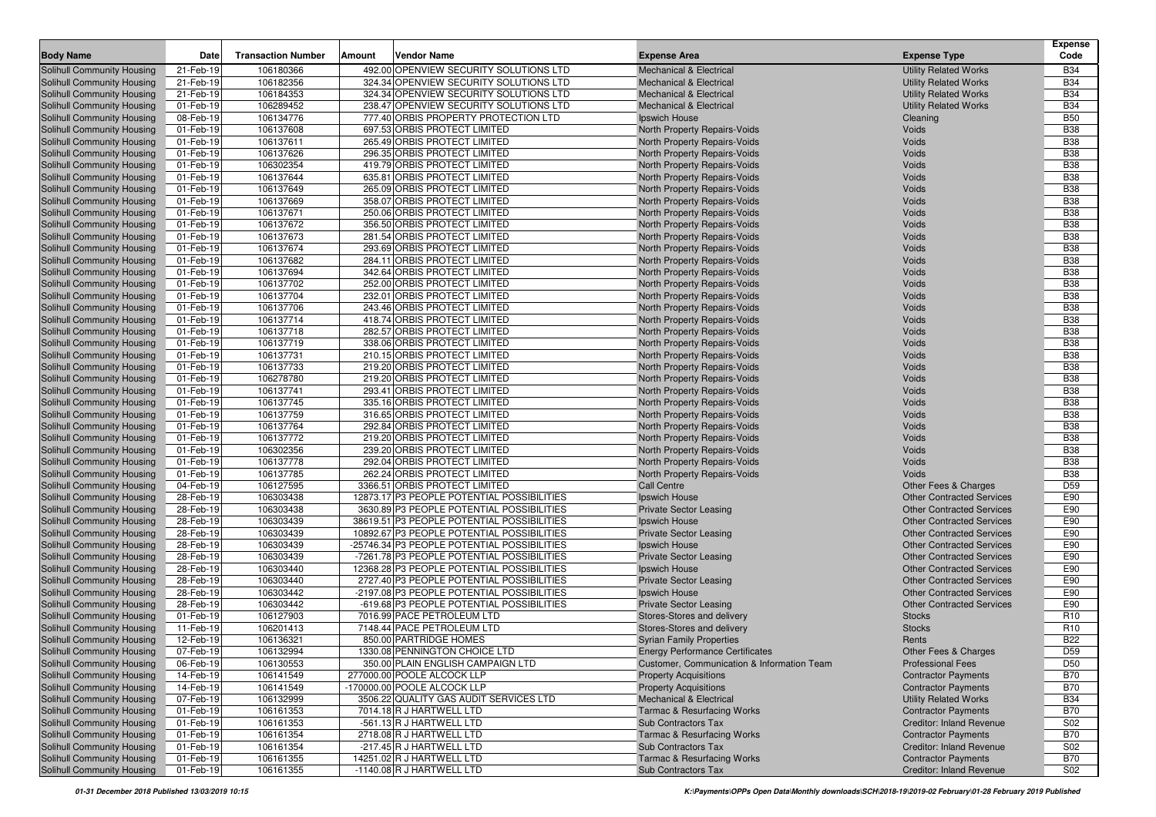| <b>Body Name</b>                                                       | Date                   | <b>Transaction Number</b> | Amount | Vendor Name                                                   | <b>Expense Area</b>                         | <b>Expense Type</b>              | <b>Expense</b><br>Code   |
|------------------------------------------------------------------------|------------------------|---------------------------|--------|---------------------------------------------------------------|---------------------------------------------|----------------------------------|--------------------------|
| Solihull Community Housing                                             | 21-Feb-19              | 106180366                 |        | 492.00 OPENVIEW SECURITY SOLUTIONS LTD                        | <b>Mechanical &amp; Electrical</b>          | <b>Utility Related Works</b>     | <b>B34</b>               |
| <b>Solihull Community Housing</b>                                      | 21-Feb-19              | 106182356                 |        | 324.34 OPENVIEW SECURITY SOLUTIONS LTD                        | <b>Mechanical &amp; Electrical</b>          | <b>Utility Related Works</b>     | <b>B34</b>               |
| <b>Solihull Community Housing</b>                                      | 21-Feb-19              | 106184353                 |        | 324.34 OPENVIEW SECURITY SOLUTIONS LTD                        | <b>Mechanical &amp; Electrical</b>          | <b>Utility Related Works</b>     | <b>B34</b>               |
| <b>Solihull Community Housing</b>                                      | 01-Feb-19              | 106289452                 |        | 238.47 OPENVIEW SECURITY SOLUTIONS LTD                        | <b>Mechanical &amp; Electrical</b>          | <b>Utility Related Works</b>     | <b>B34</b>               |
| <b>Solihull Community Housing</b>                                      | 08-Feb-19              | 106134776                 |        | 777.40 ORBIS PROPERTY PROTECTION LTD                          | Ipswich House                               | Cleaning                         | <b>B50</b>               |
| Solihull Community Housing                                             | 01-Feb-19              | 106137608                 |        | 697.53 ORBIS PROTECT LIMITED                                  | North Property Repairs-Voids                | Voids                            | <b>B38</b>               |
| <b>Solihull Community Housing</b>                                      | 01-Feb-19              | 106137611                 |        | 265.49 ORBIS PROTECT LIMITED                                  | North Property Repairs-Voids                | Voids                            | <b>B38</b>               |
| Solihull Community Housing                                             | 01-Feb-19              | 106137626                 |        | 296.35 ORBIS PROTECT LIMITED                                  | North Property Repairs-Voids                | Voids                            | <b>B38</b>               |
| <b>Solihull Community Housing</b>                                      | 01-Feb-19              | 106302354                 |        | 419.79 ORBIS PROTECT LIMITED                                  | North Property Repairs-Voids                | Voids                            | <b>B38</b>               |
| <b>Solihull Community Housing</b>                                      | 01-Feb-19              | 106137644                 |        | 635.81 ORBIS PROTECT LIMITED                                  | North Property Repairs-Voids                | Voids                            | <b>B38</b>               |
| <b>Solihull Community Housing</b>                                      | 01-Feb-19              | 106137649                 |        | 265.09 ORBIS PROTECT LIMITED                                  | North Property Repairs-Voids                | Voids                            | <b>B38</b>               |
| <b>Solihull Community Housing</b>                                      | 01-Feb-19              | 106137669                 |        | 358.07 ORBIS PROTECT LIMITED                                  | North Property Repairs-Voids                | Voids                            | <b>B38</b>               |
| <b>Solihull Community Housing</b>                                      | 01-Feb-19              | 106137671                 |        | 250.06 ORBIS PROTECT LIMITED                                  | North Property Repairs-Voids                | Voids                            | <b>B38</b>               |
| <b>Solihull Community Housing</b>                                      | 01-Feb-19              | 106137672                 |        | 356.50 ORBIS PROTECT LIMITED                                  | North Property Repairs-Voids                | Voids                            | <b>B38</b>               |
| Solihull Community Housing                                             | 01-Feb-19              | 106137673                 |        | 281.54 ORBIS PROTECT LIMITED                                  | North Property Repairs-Voids                | Voids                            | <b>B38</b>               |
| <b>Solihull Community Housing</b>                                      | 01-Feb-19              | 106137674                 |        | 293.69 ORBIS PROTECT LIMITED                                  | North Property Repairs-Voids                | Voids                            | <b>B38</b>               |
| Solihull Community Housing                                             | 01-Feb-19              | 106137682                 |        | 284.11 ORBIS PROTECT LIMITED                                  | North Property Repairs-Voids                | Voids                            | <b>B38</b>               |
| Solihull Community Housing                                             | 01-Feb-19              | 106137694                 |        | 342.64 ORBIS PROTECT LIMITED                                  | North Property Repairs-Voids                | Voids                            | <b>B38</b>               |
| <b>Solihull Community Housing</b>                                      | 01-Feb-19              | 106137702                 |        | 252.00 ORBIS PROTECT LIMITED                                  | North Property Repairs-Voids                | Voids                            | <b>B38</b>               |
| <b>Solihull Community Housing</b>                                      | 01-Feb-19              | 106137704                 |        | 232.01 ORBIS PROTECT LIMITED                                  | North Property Repairs-Voids                | Voids                            | <b>B38</b>               |
| <b>Solihull Community Housing</b>                                      | 01-Feb-19              | 106137706                 |        | 243.46 ORBIS PROTECT LIMITED                                  | North Property Repairs-Voids                | Voids                            | <b>B38</b>               |
| Solihull Community Housing                                             | 01-Feb-19              | 106137714                 |        | 418.74 ORBIS PROTECT LIMITED                                  | North Property Repairs-Voids                | Voids                            | <b>B38</b>               |
| <b>Solihull Community Housing</b>                                      | 01-Feb-19              | 106137718                 |        | 282.57 ORBIS PROTECT LIMITED                                  | North Property Repairs-Voids                | Voids                            | <b>B38</b>               |
| <b>Solihull Community Housing</b>                                      | 01-Feb-19              | 106137719                 |        | 338.06 ORBIS PROTECT LIMITED                                  | North Property Repairs-Voids                | Voids                            | <b>B38</b>               |
| Solihull Community Housing                                             | 01-Feb-19              | 106137731                 |        | 210.15 ORBIS PROTECT LIMITED                                  | North Property Repairs-Voids                | Voids                            | <b>B38</b>               |
| <b>Solihull Community Housing</b>                                      | 01-Feb-19              | 106137733                 |        | 219.20 ORBIS PROTECT LIMITED                                  | North Property Repairs-Voids                | Voids                            | <b>B38</b>               |
| <b>Solihull Community Housing</b>                                      | 01-Feb-19              | 106278780                 |        | 219.20 ORBIS PROTECT LIMITED                                  | North Property Repairs-Voids                | Voids                            | <b>B38</b>               |
| Solihull Community Housing                                             | 01-Feb-19              | 106137741                 |        | 293.41 ORBIS PROTECT LIMITED                                  | North Property Repairs-Voids                | Voids                            | <b>B38</b>               |
| <b>Solihull Community Housing</b>                                      | 01-Feb-19              | 106137745                 |        | 335.16 ORBIS PROTECT LIMITED                                  | North Property Repairs-Voids                | Voids                            | <b>B38</b>               |
| <b>Solihull Community Housing</b>                                      | 01-Feb-19              | 106137759                 |        | 316.65 ORBIS PROTECT LIMITED                                  | North Property Repairs-Voids                | Voids                            | <b>B38</b>               |
| Solihull Community Housing                                             | 01-Feb-19              | 106137764                 |        | 292.84 ORBIS PROTECT LIMITED                                  | North Property Repairs-Voids                | Voids                            | <b>B38</b>               |
| <b>Solihull Community Housing</b>                                      | 01-Feb-19              | 106137772                 |        | 219.20 ORBIS PROTECT LIMITED                                  | North Property Repairs-Voids                | Voids                            | <b>B38</b>               |
| Solihull Community Housing                                             | 01-Feb-19              | 106302356                 |        | 239.20 ORBIS PROTECT LIMITED                                  | North Property Repairs-Voids                | Voids                            | <b>B38</b>               |
| <b>Solihull Community Housing</b>                                      | 01-Feb-19              | 106137778<br>106137785    |        | 292.04 ORBIS PROTECT LIMITED                                  | North Property Repairs-Voids                | Voids<br>Voids                   | <b>B38</b><br><b>B38</b> |
| Solihull Community Housing                                             | 01-Feb-19<br>04-Feb-19 | 106127595                 |        | 262.24 ORBIS PROTECT LIMITED<br>3366.51 ORBIS PROTECT LIMITED | North Property Repairs-Voids<br>Call Centre | Other Fees & Charges             | D <sub>59</sub>          |
| <b>Solihull Community Housing</b><br><b>Solihull Community Housing</b> | 28-Feb-19              | 106303438                 |        | 12873.17 P3 PEOPLE POTENTIAL POSSIBILITIES                    | Ipswich House                               | <b>Other Contracted Services</b> | E90                      |
| <b>Solihull Community Housing</b>                                      | 28-Feb-19              | 106303438                 |        | 3630.89 P3 PEOPLE POTENTIAL POSSIBILITIES                     | <b>Private Sector Leasing</b>               | <b>Other Contracted Services</b> | E90                      |
| Solihull Community Housing                                             | 28-Feb-19              | 106303439                 |        | 38619.51 P3 PEOPLE POTENTIAL POSSIBILITIES                    | Ipswich House                               | <b>Other Contracted Services</b> | E90                      |
| Solihull Community Housing                                             | 28-Feb-19              | 106303439                 |        | 10892.67 P3 PEOPLE POTENTIAL POSSIBILITIES                    | <b>Private Sector Leasing</b>               | <b>Other Contracted Services</b> | E90                      |
| <b>Solihull Community Housing</b>                                      | 28-Feb-19              | 106303439                 |        | -25746.34 P3 PEOPLE POTENTIAL POSSIBILITIES                   | Ipswich House                               | <b>Other Contracted Services</b> | E90                      |
| Solihull Community Housing                                             | 28-Feb-19              | 106303439                 |        | -7261.78 P3 PEOPLE POTENTIAL POSSIBILITIES                    | <b>Private Sector Leasing</b>               | <b>Other Contracted Services</b> | E90                      |
| <b>Solihull Community Housing</b>                                      | 28-Feb-19              | 106303440                 |        | 12368.28 P3 PEOPLE POTENTIAL POSSIBILITIES                    | Ipswich House                               | <b>Other Contracted Services</b> | E90                      |
| Solihull Community Housing                                             | 28-Feb-19              | 106303440                 |        | 2727.40 P3 PEOPLE POTENTIAL POSSIBILITIES                     | <b>Private Sector Leasing</b>               | <b>Other Contracted Services</b> | E90                      |
| <b>Solihull Community Housing</b>                                      | 28-Feb-19              | 106303442                 |        | -2197.08 P3 PEOPLE POTENTIAL POSSIBILITIES                    | Ipswich House                               | <b>Other Contracted Services</b> | E90                      |
| <b>Solihull Community Housing</b>                                      | 28-Feb-19              | 106303442                 |        | -619.68 P3 PEOPLE POTENTIAL POSSIBILITIES                     | <b>Private Sector Leasing</b>               | <b>Other Contracted Services</b> | E90                      |
| Solihull Community Housing                                             | 01-Feb-19              | 106127903                 |        | 7016.99 PACE PETROLEUM LTD                                    | Stores-Stores and delivery                  | <b>Stocks</b>                    | R <sub>10</sub>          |
| <b>Solihull Community Housing</b>                                      | 11-Feb-19              | 106201413                 |        | 7148.44 PACE PETROLEUM LTD                                    | Stores-Stores and delivery                  | <b>Stocks</b>                    | R <sub>10</sub>          |
| <b>Solihull Community Housing</b>                                      | 12-Feb-19              | 106136321                 |        | 850.00 PARTRIDGE HOMES                                        | <b>Syrian Family Properties</b>             | Rents                            | <b>B22</b>               |
| Solihull Community Housing                                             | 07-Feb-19              | 106132994                 |        | 1330.08 PENNINGTON CHOICE LTD                                 | <b>Energy Performance Certificates</b>      | Other Fees & Charges             | D <sub>59</sub>          |
| Solihull Community Housing                                             | 06-Feb-19              | 106130553                 |        | 350.00 PLAIN ENGLISH CAMPAIGN LTD                             | Customer, Communication & Information Team  | <b>Professional Fees</b>         | D <sub>50</sub>          |
| Solihull Community Housing                                             | 14-Feb-19              | 106141549                 |        | 277000.00 POOLE ALCOCK LLP                                    | <b>Property Acquisitions</b>                | <b>Contractor Payments</b>       | <b>B70</b>               |
| <b>Solihull Community Housing</b>                                      | 14-Feb-19              | 106141549                 |        | -170000.00 POOLE ALCOCK LLP                                   | <b>Property Acquisitions</b>                | <b>Contractor Payments</b>       | <b>B70</b>               |
| Solihull Community Housing                                             | 07-Feb-19              | 106132999                 |        | 3506.22 QUALITY GAS AUDIT SERVICES LTD                        | <b>Mechanical &amp; Electrical</b>          | <b>Utility Related Works</b>     | <b>B34</b>               |
| <b>Solihull Community Housing</b>                                      | 01-Feb-19              | 106161353                 |        | 7014.18 R J HARTWELL LTD                                      | <b>Tarmac &amp; Resurfacing Works</b>       | <b>Contractor Payments</b>       | <b>B70</b>               |
| <b>Solihull Community Housing</b>                                      | 01-Feb-19              | 106161353                 |        | -561.13 R J HARTWELL LTD                                      | Sub Contractors Tax                         | Creditor: Inland Revenue         | S02                      |
| Solihull Community Housing                                             | 01-Feb-19              | 106161354                 |        | 2718.08 R J HARTWELL LTD                                      | <b>Tarmac &amp; Resurfacing Works</b>       | <b>Contractor Payments</b>       | <b>B70</b>               |
| <b>Solihull Community Housing</b>                                      | 01-Feb-19              | 106161354                 |        | -217.45 R J HARTWELL LTD                                      | Sub Contractors Tax                         | Creditor: Inland Revenue         | S02                      |
| <b>Solihull Community Housing</b>                                      | 01-Feb-19              | 106161355                 |        | 14251.02 R J HARTWELL LTD                                     | <b>Tarmac &amp; Resurfacing Works</b>       | <b>Contractor Payments</b>       | <b>B70</b>               |
| Solihull Community Housing                                             | 01-Feb-19              | 106161355                 |        | -1140.08 R J HARTWELL LTD                                     | Sub Contractors Tax                         | <b>Creditor: Inland Revenue</b>  | S02                      |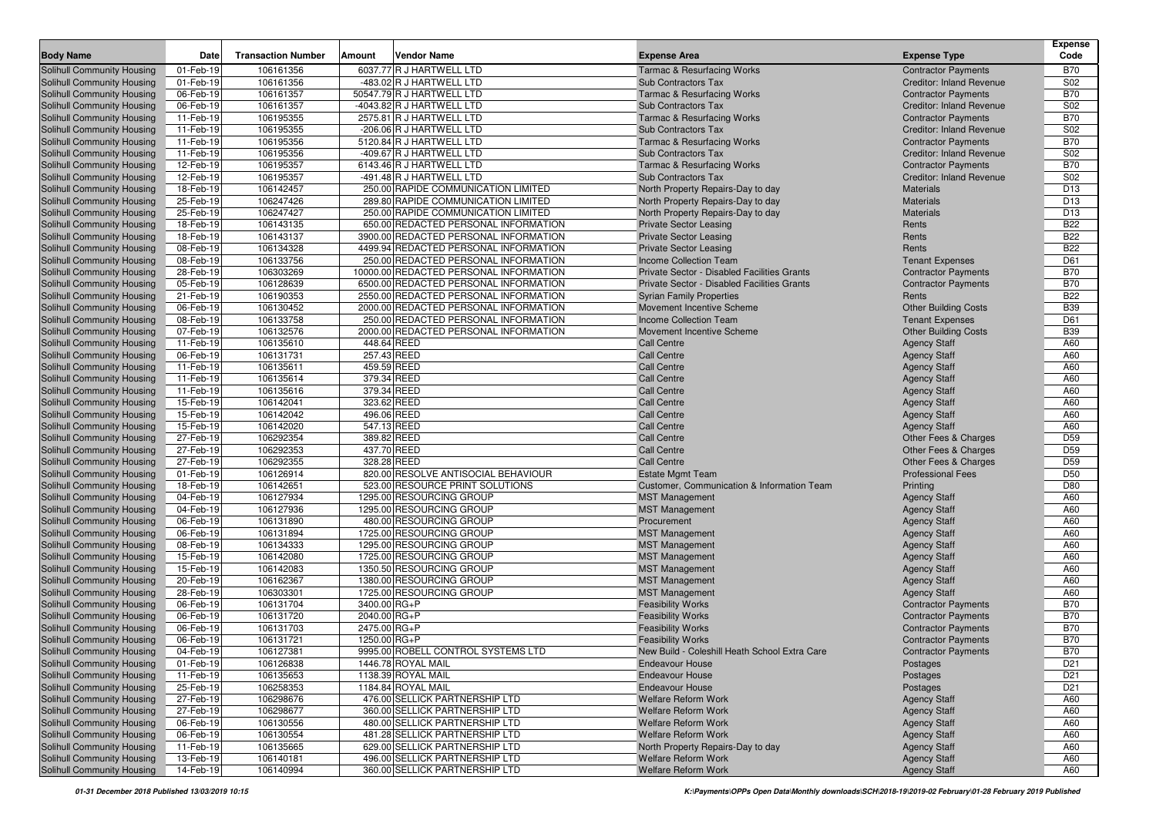|                                                                 |                        |                           |        |                                                                  |                                                          |                                                          | <b>Expense</b>                |
|-----------------------------------------------------------------|------------------------|---------------------------|--------|------------------------------------------------------------------|----------------------------------------------------------|----------------------------------------------------------|-------------------------------|
| <b>Body Name</b>                                                | Date                   | <b>Transaction Number</b> | Amount | <b>Vendor Name</b>                                               | <b>Expense Area</b>                                      | <b>Expense Type</b>                                      | Code                          |
| <b>Solihull Community Housing</b>                               | 01-Feb-19              | 106161356                 |        | 6037.77 R J HARTWELL LTD                                         | <b>Tarmac &amp; Resurfacing Works</b>                    | <b>Contractor Payments</b>                               | <b>B70</b>                    |
| <b>Solihull Community Housing</b>                               | 01-Feb-19              | 106161356                 |        | -483.02 R J HARTWELL LTD                                         | Sub Contractors Tax                                      | Creditor: Inland Revenue                                 | S02                           |
| <b>Solihull Community Housing</b>                               | 06-Feb-19              | 106161357                 |        | 50547.79 R J HARTWELL LTD                                        | <b>Tarmac &amp; Resurfacing Works</b>                    | <b>Contractor Payments</b>                               | <b>B70</b>                    |
| <b>Solihull Community Housing</b>                               | 06-Feb-19              | 106161357                 |        | -4043.82 R J HARTWELL LTD                                        | Sub Contractors Tax                                      | <b>Creditor: Inland Revenue</b>                          | S02                           |
| Solihull Community Housing                                      | 11-Feb-19              | 106195355                 |        | 2575.81 R J HARTWELL LTD                                         | <b>Tarmac &amp; Resurfacing Works</b>                    | <b>Contractor Payments</b>                               | <b>B70</b>                    |
| <b>Solihull Community Housing</b>                               | 11-Feb-19              | 106195355                 |        | -206.06 R J HARTWELL LTD                                         | <b>Sub Contractors Tax</b>                               | <b>Creditor: Inland Revenue</b>                          | S02                           |
| <b>Solihull Community Housing</b>                               | 11-Feb-19              | 106195356                 |        | 5120.84 R J HARTWELL LTD                                         | <b>Tarmac &amp; Resurfacing Works</b>                    | <b>Contractor Payments</b>                               | <b>B70</b>                    |
| <b>Solihull Community Housing</b>                               | 11-Feb-19              | 106195356                 |        | -409.67 R J HARTWELL LTD                                         | Sub Contractors Tax                                      | <b>Creditor: Inland Revenue</b>                          | S02                           |
| <b>Solihull Community Housing</b>                               | 12-Feb-19              | 106195357                 |        | 6143.46 R J HARTWELL LTD                                         | <b>Tarmac &amp; Resurfacing Works</b>                    | <b>Contractor Payments</b>                               | <b>B70</b>                    |
| Solihull Community Housing                                      | 12-Feb-19              | 106195357                 |        | -491.48 R J HARTWELL LTD                                         | Sub Contractors Tax                                      | <b>Creditor: Inland Revenue</b>                          | S02                           |
| <b>Solihull Community Housing</b>                               | 18-Feb-19              | 106142457                 |        | 250.00 RAPIDE COMMUNICATION LIMITED                              | North Property Repairs-Day to day                        | <b>Materials</b>                                         | D <sub>13</sub>               |
| <b>Solihull Community Housing</b>                               | 25-Feb-19              | 106247426                 |        | 289.80 RAPIDE COMMUNICATION LIMITED                              | North Property Repairs-Day to day                        | <b>Materials</b>                                         | D <sub>13</sub>               |
| <b>Solihull Community Housing</b>                               | 25-Feb-19              | 106247427                 |        | 250.00 RAPIDE COMMUNICATION LIMITED                              | North Property Repairs-Day to day                        | <b>Materials</b>                                         | D <sub>13</sub>               |
| <b>Solihull Community Housing</b>                               | 18-Feb-19              | 106143135                 |        | 650.00 REDACTED PERSONAL INFORMATION                             | <b>Private Sector Leasing</b>                            | Rents                                                    | <b>B22</b>                    |
| Solihull Community Housing                                      | 18-Feb-19              | 106143137                 |        | 3900.00 REDACTED PERSONAL INFORMATION                            | <b>Private Sector Leasing</b>                            | Rents                                                    | <b>B22</b>                    |
| <b>Solihull Community Housing</b>                               | 08-Feb-19              | 106134328                 |        | 4499.94 REDACTED PERSONAL INFORMATION                            | <b>Private Sector Leasing</b>                            | Rents                                                    | <b>B22</b>                    |
| <b>Solihull Community Housing</b>                               | 08-Feb-19              | 106133756                 |        | 250.00 REDACTED PERSONAL INFORMATION                             | <b>Income Collection Team</b>                            | <b>Tenant Expenses</b>                                   | D61                           |
| <b>Solihull Community Housing</b>                               | 28-Feb-19              | 106303269                 |        | 10000.00 REDACTED PERSONAL INFORMATION                           | Private Sector - Disabled Facilities Grants              | <b>Contractor Payments</b>                               | <b>B70</b>                    |
| Solihull Community Housing                                      | 05-Feb-19              | 106128639                 |        | 6500.00 REDACTED PERSONAL INFORMATION                            | Private Sector - Disabled Facilities Grants              | <b>Contractor Payments</b>                               | <b>B70</b>                    |
| <b>Solihull Community Housing</b>                               | 21-Feb-19              | 106190353                 |        | 2550.00 REDACTED PERSONAL INFORMATION                            | <b>Syrian Family Properties</b>                          | Rents                                                    | <b>B22</b>                    |
| Solihull Community Housing                                      | 06-Feb-19              | 106130452                 |        | 2000.00 REDACTED PERSONAL INFORMATION                            | Movement Incentive Scheme                                | <b>Other Building Costs</b>                              | <b>B39</b>                    |
| <b>Solihull Community Housing</b>                               | 08-Feb-19              | 106133758                 |        | 250.00 REDACTED PERSONAL INFORMATION                             | Income Collection Team                                   | <b>Tenant Expenses</b>                                   | D61                           |
| Solihull Community Housing                                      | 07-Feb-19              | 106132576                 |        | 2000.00 REDACTED PERSONAL INFORMATION                            | Movement Incentive Scheme                                | <b>Other Building Costs</b>                              | <b>B39</b>                    |
| <b>Solihull Community Housing</b>                               | 11-Feb-19              | 106135610                 |        | 448.64 REED                                                      | <b>Call Centre</b>                                       | <b>Agency Staff</b>                                      | A60                           |
| <b>Solihull Community Housing</b>                               | 06-Feb-19              | 106131731                 |        | 257.43 REED                                                      | <b>Call Centre</b>                                       | <b>Agency Staff</b>                                      | A60                           |
| Solihull Community Housing                                      | 11-Feb-19              | 106135611                 |        | 459.59 REED                                                      | <b>Call Centre</b>                                       | <b>Agency Staff</b>                                      | A60                           |
| <b>Solihull Community Housing</b>                               | 11-Feb-19              | 106135614                 |        | 379.34 REED                                                      | <b>Call Centre</b>                                       | <b>Agency Staff</b>                                      | A60                           |
| <b>Solihull Community Housing</b>                               | 11-Feb-19              | 106135616                 |        | 379.34 REED                                                      | <b>Call Centre</b>                                       | <b>Agency Staff</b>                                      | A60                           |
| <b>Solihull Community Housing</b>                               | 15-Feb-19              | 106142041                 |        | 323.62 REED                                                      | <b>Call Centre</b>                                       | <b>Agency Staff</b>                                      | A60                           |
| Solihull Community Housing                                      | 15-Feb-19              | 106142042                 |        | 496.06 REED                                                      | <b>Call Centre</b>                                       | <b>Agency Staff</b>                                      | A60                           |
| <b>Solihull Community Housing</b>                               | 15-Feb-19              | 106142020                 |        | 547.13 REED                                                      | <b>Call Centre</b>                                       | <b>Agency Staff</b>                                      | A60                           |
| <b>Solihull Community Housing</b>                               | 27-Feb-19              | 106292354                 |        | 389.82 REED                                                      | <b>Call Centre</b>                                       | Other Fees & Charges                                     | D59                           |
| <b>Solihull Community Housing</b>                               | 27-Feb-19              | 106292353                 |        | 437.70 REED                                                      | <b>Call Centre</b>                                       | Other Fees & Charges                                     | D59                           |
| <b>Solihull Community Housing</b>                               | 27-Feb-19              | 106292355                 |        | 328.28 REED                                                      | <b>Call Centre</b>                                       | Other Fees & Charges                                     | D59                           |
| <b>Solihull Community Housing</b>                               | 01-Feb-19              | 106126914                 |        | 820.00 RESOLVE ANTISOCIAL BEHAVIOUR                              | <b>Estate Mgmt Team</b>                                  | <b>Professional Fees</b>                                 | D <sub>50</sub>               |
| <b>Solihull Community Housing</b>                               | 18-Feb-19              | 106142651                 |        | 523.00 RESOURCE PRINT SOLUTIONS                                  | Customer, Communication & Information Team               | Printing                                                 | D80                           |
| <b>Solihull Community Housing</b>                               | 04-Feb-19              | 106127934                 |        | 1295.00 RESOURCING GROUP                                         | <b>MST Management</b>                                    | <b>Agency Staff</b>                                      | A60                           |
| <b>Solihull Community Housing</b>                               | 04-Feb-19              | 106127936                 |        | 1295.00 RESOURCING GROUP                                         | <b>MST Management</b>                                    | <b>Agency Staff</b>                                      | A60                           |
| <b>Solihull Community Housing</b>                               | 06-Feb-19              | 106131890                 |        | 480.00 RESOURCING GROUP                                          | Procurement                                              | <b>Agency Staff</b>                                      | A60                           |
| <b>Solihull Community Housing</b>                               | 06-Feb-19              | 106131894                 |        | 1725.00 RESOURCING GROUP                                         | <b>MST Management</b>                                    | <b>Agency Staff</b>                                      | A60                           |
| <b>Solihull Community Housing</b>                               | 08-Feb-19              | 106134333                 |        | 1295.00 RESOURCING GROUP                                         | <b>MST Management</b>                                    | <b>Agency Staff</b>                                      | A60                           |
| <b>Solihull Community Housing</b>                               | 15-Feb-19              | 106142080                 |        | 1725.00 RESOURCING GROUP                                         | <b>MST Management</b>                                    | <b>Agency Staff</b>                                      | A60<br>A60                    |
| <b>Solihull Community Housing</b>                               | 15-Feb-19              | 106142083                 |        | 1350.50 RESOURCING GROUP                                         | <b>MST Management</b>                                    | <b>Agency Staff</b>                                      | A60                           |
| <b>Solihull Community Housing</b>                               | 20-Feb-19<br>28-Feb-19 | 106162367<br>106303301    |        | 1380.00 RESOURCING GROUP<br>1725.00 RESOURCING GROUP             | <b>MST Management</b><br><b>MST Management</b>           | <b>Agency Staff</b>                                      | A60                           |
| <b>Solihull Community Housing</b><br>Solihull Community Housing | 06-Feb-19              | 106131704                 |        | 3400.00 RG+P                                                     |                                                          | <b>Agency Staff</b>                                      | <b>B70</b>                    |
| Solihull Community Housing                                      |                        |                           |        | 2040.00 RG+P                                                     | <b>Feasibility Works</b>                                 | <b>Contractor Payments</b>                               | <b>B70</b>                    |
| <b>Solihull Community Housing</b>                               | 06-Feb-19<br>06-Feb-19 | 106131720<br>106131703    |        | 2475.00 RG+P                                                     | <b>Feasibility Works</b><br><b>Feasibility Works</b>     | <b>Contractor Payments</b><br><b>Contractor Payments</b> | <b>B70</b>                    |
|                                                                 |                        | 106131721                 |        |                                                                  |                                                          |                                                          | <b>B70</b>                    |
| <b>Solihull Community Housing</b>                               | 06-Feb-19              |                           |        | 1250.00 RG+P                                                     | <b>Feasibility Works</b>                                 | <b>Contractor Payments</b>                               |                               |
| <b>Solihull Community Housing</b>                               | 04-Feb-19              | 106127381<br>106126838    |        | 9995.00 ROBELL CONTROL SYSTEMS LTD                               | New Build - Coleshill Heath School Extra Care            | <b>Contractor Payments</b>                               | <b>B70</b><br>D <sub>21</sub> |
| Solihull Community Housing                                      | 01-Feb-19              |                           |        | 1446.78 ROYAL MAIL                                               | <b>Endeavour House</b>                                   | Postages                                                 |                               |
| Solihull Community Housing<br>Solihull Community Housing        | 11-Feb-19<br>25-Feb-19 | 106135653<br>106258353    |        | 1138.39 ROYAL MAIL<br>1184.84 ROYAL MAIL                         | <b>Endeavour House</b><br><b>Endeavour House</b>         | Postages                                                 | D <sub>21</sub>               |
|                                                                 |                        |                           |        |                                                                  |                                                          | Postages                                                 | D <sub>21</sub>               |
| Solihull Community Housing<br>Solihull Community Housing        | 27-Feb-19              | 106298676                 |        | 476.00 SELLICK PARTNERSHIP LTD                                   | Welfare Reform Work<br><b>Welfare Reform Work</b>        | <b>Agency Staff</b>                                      | A60                           |
|                                                                 | 27-Feb-19              | 106298677                 |        | 360.00 SELLICK PARTNERSHIP LTD                                   |                                                          | <b>Agency Staff</b>                                      | A60                           |
| <b>Solihull Community Housing</b><br>Solihull Community Housing | 06-Feb-19              | 106130556                 |        | 480.00 SELLICK PARTNERSHIP LTD<br>481.28 SELLICK PARTNERSHIP LTD | Welfare Reform Work<br>Welfare Reform Work               | <b>Agency Staff</b>                                      | A60                           |
| <b>Solihull Community Housing</b>                               | 06-Feb-19              | 106130554<br>106135665    |        | 629.00 SELLICK PARTNERSHIP LTD                                   |                                                          | <b>Agency Staff</b>                                      | A60                           |
| Solihull Community Housing                                      | 11-Feb-19              |                           |        | 496.00 SELLICK PARTNERSHIP LTD                                   | North Property Repairs-Day to day<br>Welfare Reform Work | <b>Agency Staff</b>                                      | A60                           |
| <b>Solihull Community Housing</b>                               | 13-Feb-19              | 106140181                 |        | 360.00 SELLICK PARTNERSHIP LTD                                   | Welfare Reform Work                                      | <b>Agency Staff</b>                                      | A60<br>A60                    |
|                                                                 | 14-Feb-19              | 106140994                 |        |                                                                  |                                                          | <b>Agency Staff</b>                                      |                               |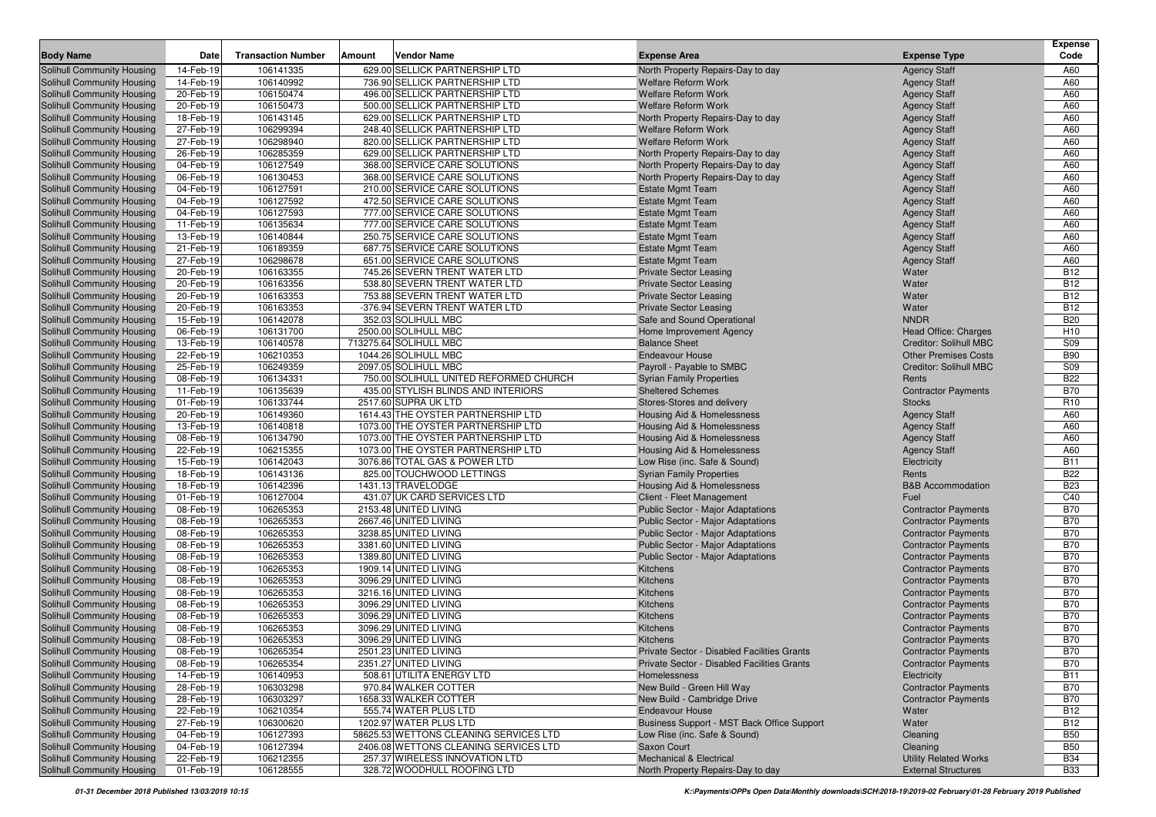|                                                                 |                        |                           |        |                                                                |                                                             |                                                       | <b>Expense</b>    |
|-----------------------------------------------------------------|------------------------|---------------------------|--------|----------------------------------------------------------------|-------------------------------------------------------------|-------------------------------------------------------|-------------------|
| <b>Body Name</b>                                                | Date                   | <b>Transaction Number</b> | Amount | <b>Vendor Name</b>                                             | <b>Expense Area</b>                                         | <b>Expense Type</b>                                   | Code              |
| <b>Solihull Community Housing</b>                               | 14-Feb-19              | 106141335                 |        | 629.00 SELLICK PARTNERSHIP LTD                                 | North Property Repairs-Day to day                           | <b>Agency Staff</b>                                   | A60               |
| <b>Solihull Community Housing</b>                               | 14-Feb-19              | 106140992                 |        | 736.90 SELLICK PARTNERSHIP LTD                                 | <b>Welfare Reform Work</b>                                  | <b>Agency Staff</b>                                   | A60               |
| Solihull Community Housing                                      | 20-Feb-19              | 106150474                 |        | 496.00 SELLICK PARTNERSHIP LTD                                 | <b>Welfare Reform Work</b>                                  | <b>Agency Staff</b>                                   | A60               |
| <b>Solihull Community Housing</b>                               | 20-Feb-19              | 106150473                 |        | 500.00 SELLICK PARTNERSHIP LTD                                 | <b>Welfare Reform Work</b>                                  | <b>Agency Staff</b>                                   | A60               |
| Solihull Community Housing                                      | 18-Feb-19              | 106143145                 |        | 629.00 SELLICK PARTNERSHIP LTD                                 | North Property Repairs-Day to day                           | <b>Agency Staff</b>                                   | A60               |
| <b>Solihull Community Housing</b>                               | 27-Feb-19              | 106299394                 |        | 248.40 SELLICK PARTNERSHIP LTD                                 | <b>Welfare Reform Work</b>                                  | <b>Agency Staff</b>                                   | A60               |
| <b>Solihull Community Housing</b>                               | 27-Feb-19              | 106298940                 |        | 820.00 SELLICK PARTNERSHIP LTD                                 | <b>Welfare Reform Work</b>                                  | <b>Agency Staff</b>                                   | A60               |
| <b>Solihull Community Housing</b>                               | 26-Feb-19              | 106285359                 |        | 629.00 SELLICK PARTNERSHIP LTD                                 | North Property Repairs-Day to day                           | <b>Agency Staff</b>                                   | A60               |
| <b>Solihull Community Housing</b>                               | 04-Feb-19              | 106127549                 |        | 368.00 SERVICE CARE SOLUTIONS                                  | North Property Repairs-Day to day                           | <b>Agency Staff</b>                                   | A60               |
| <b>Solihull Community Housing</b>                               | 06-Feb-19              | 106130453                 |        | 368.00 SERVICE CARE SOLUTIONS                                  | North Property Repairs-Day to day                           | <b>Agency Staff</b>                                   | A60               |
| <b>Solihull Community Housing</b>                               | 04-Feb-19              | 106127591                 |        | 210.00 SERVICE CARE SOLUTIONS                                  | <b>Estate Mgmt Team</b>                                     | <b>Agency Staff</b>                                   | A60               |
| <b>Solihull Community Housing</b>                               | 04-Feb-19              | 106127592                 |        | 472.50 SERVICE CARE SOLUTIONS<br>777.00 SERVICE CARE SOLUTIONS | <b>Estate Mgmt Team</b>                                     | <b>Agency Staff</b>                                   | A60               |
| <b>Solihull Community Housing</b><br>Solihull Community Housing | 04-Feb-19              | 106127593                 |        | 777.00 SERVICE CARE SOLUTIONS                                  | <b>Estate Mgmt Team</b>                                     | <b>Agency Staff</b>                                   | A60               |
| Solihull Community Housing                                      | 11-Feb-19              | 106135634<br>106140844    |        |                                                                | <b>Estate Mgmt Team</b>                                     | <b>Agency Staff</b>                                   | A60<br>A60        |
|                                                                 | 13-Feb-19              | 106189359                 |        | 250.75 SERVICE CARE SOLUTIONS<br>687.75 SERVICE CARE SOLUTIONS | <b>Estate Mgmt Team</b>                                     | <b>Agency Staff</b>                                   | A60               |
| <b>Solihull Community Housing</b>                               | 21-Feb-19<br>27-Feb-19 | 106298678                 |        | 651.00 SERVICE CARE SOLUTIONS                                  | <b>Estate Mgmt Team</b>                                     | <b>Agency Staff</b>                                   |                   |
| <b>Solihull Community Housing</b>                               |                        |                           |        |                                                                | <b>Estate Mgmt Team</b>                                     | <b>Agency Staff</b>                                   | A60<br><b>B12</b> |
| <b>Solihull Community Housing</b>                               | 20-Feb-19              | 106163355<br>106163356    |        | 745.26 SEVERN TRENT WATER LTD<br>538.80 SEVERN TRENT WATER LTD | <b>Private Sector Leasing</b>                               | Water                                                 | <b>B12</b>        |
| <b>Solihull Community Housing</b>                               | 20-Feb-19<br>20-Feb-19 | 106163353                 |        | 753.88 SEVERN TRENT WATER LTD                                  | <b>Private Sector Leasing</b>                               | Water<br>Water                                        | <b>B12</b>        |
| Solihull Community Housing                                      | 20-Feb-19              | 106163353                 |        | -376.94 SEVERN TRENT WATER LTD                                 | <b>Private Sector Leasing</b>                               | Water                                                 | <b>B12</b>        |
| Solihull Community Housing<br>Solihull Community Housing        | 15-Feb-19              | 106142078                 |        | 352.03 SOLIHULL MBC                                            | <b>Private Sector Leasing</b><br>Safe and Sound Operational | <b>NNDR</b>                                           | <b>B20</b>        |
| Solihull Community Housing                                      | 06-Feb-19              | 106131700                 |        | 2500.00 SOLIHULL MBC                                           |                                                             |                                                       | H <sub>10</sub>   |
| Solihull Community Housing                                      | 13-Feb-19              | 106140578                 |        | 713275.64 SOLIHULL MBC                                         | Home Improvement Agency<br><b>Balance Sheet</b>             | Head Office: Charges<br><b>Creditor: Solihull MBC</b> | <b>S09</b>        |
| Solihull Community Housing                                      | 22-Feb-19              | 106210353                 |        | 1044.26 SOLIHULL MBC                                           | <b>Endeavour House</b>                                      | <b>Other Premises Costs</b>                           | <b>B90</b>        |
| Solihull Community Housing                                      | 25-Feb-19              | 106249359                 |        | 2097.05 SOLIHULL MBC                                           | Payroll - Payable to SMBC                                   | <b>Creditor: Solihull MBC</b>                         | <b>S09</b>        |
| Solihull Community Housing                                      | 08-Feb-19              | 106134331                 |        | 750.00 SOLIHULL UNITED REFORMED CHURCH                         | <b>Syrian Family Properties</b>                             | Rents                                                 | <b>B22</b>        |
| <b>Solihull Community Housing</b>                               | 11-Feb-19              | 106135639                 |        | 435.00 STYLISH BLINDS AND INTERIORS                            | <b>Sheltered Schemes</b>                                    | <b>Contractor Payments</b>                            | <b>B70</b>        |
| Solihull Community Housing                                      | 01-Feb-19              | 106133744                 |        | 2517.60 SUPRA UK LTD                                           | Stores-Stores and delivery                                  | <b>Stocks</b>                                         | R <sub>10</sub>   |
| <b>Solihull Community Housing</b>                               | 20-Feb-19              | 106149360                 |        | 1614.43 THE OYSTER PARTNERSHIP LTD                             | Housing Aid & Homelessness                                  | <b>Agency Staff</b>                                   | A60               |
| <b>Solihull Community Housing</b>                               | 13-Feb-19              | 106140818                 |        | 1073.00 THE OYSTER PARTNERSHIP LTD                             | Housing Aid & Homelessness                                  | <b>Agency Staff</b>                                   | A60               |
| <b>Solihull Community Housing</b>                               | 08-Feb-19              | 106134790                 |        | 1073.00 THE OYSTER PARTNERSHIP LTD                             | Housing Aid & Homelessness                                  | <b>Agency Staff</b>                                   | A60               |
| <b>Solihull Community Housing</b>                               | 22-Feb-19              | 106215355                 |        | 1073.00 THE OYSTER PARTNERSHIP LTD                             | Housing Aid & Homelessness                                  | <b>Agency Staff</b>                                   | A60               |
| <b>Solihull Community Housing</b>                               | 15-Feb-19              | 106142043                 |        | 3076.86 TOTAL GAS & POWER LTD                                  | Low Rise (inc. Safe & Sound)                                | Electricity                                           | <b>B11</b>        |
| <b>Solihull Community Housing</b>                               | 18-Feb-19              | 106143136                 |        | 825.00 TOUCHWOOD LETTINGS                                      | <b>Syrian Family Properties</b>                             | Rents                                                 | <b>B22</b>        |
| <b>Solihull Community Housing</b>                               | 18-Feb-19              | 106142396                 |        | 1431.13 TRAVELODGE                                             | Housing Aid & Homelessness                                  | <b>B&amp;B</b> Accommodation                          | <b>B23</b>        |
| <b>Solihull Community Housing</b>                               | 01-Feb-19              | 106127004                 |        | 431.07 UK CARD SERVICES LTD                                    | Client - Fleet Management                                   | Fuel                                                  | C40               |
| <b>Solihull Community Housing</b>                               | 08-Feb-19              | 106265353                 |        | 2153.48 UNITED LIVING                                          | Public Sector - Major Adaptations                           | <b>Contractor Payments</b>                            | <b>B70</b>        |
| <b>Solihull Community Housing</b>                               | 08-Feb-19              | 106265353                 |        | 2667.46 UNITED LIVING                                          | Public Sector - Major Adaptations                           | <b>Contractor Payments</b>                            | <b>B70</b>        |
| <b>Solihull Community Housing</b>                               | 08-Feb-19              | 106265353                 |        | 3238.85 UNITED LIVING                                          | Public Sector - Major Adaptations                           | <b>Contractor Payments</b>                            | <b>B70</b>        |
| <b>Solihull Community Housing</b>                               | 08-Feb-19              | 106265353                 |        | 3381.60 UNITED LIVING                                          | Public Sector - Major Adaptations                           | <b>Contractor Payments</b>                            | <b>B70</b>        |
| <b>Solihull Community Housing</b>                               | 08-Feb-19              | 106265353                 |        | 1389.80 UNITED LIVING                                          | Public Sector - Major Adaptations                           | <b>Contractor Payments</b>                            | <b>B70</b>        |
| Solihull Community Housing                                      | 08-Feb-19              | 106265353                 |        | 1909.14 UNITED LIVING                                          | <b>Kitchens</b>                                             | <b>Contractor Payments</b>                            | <b>B70</b>        |
| <b>Solihull Community Housing</b>                               | 08-Feb-19              | 106265353                 |        | 3096.29 UNITED LIVING                                          | <b>Kitchens</b>                                             | <b>Contractor Payments</b>                            | <b>B70</b>        |
| <b>Solihull Community Housing</b>                               | 08-Feb-19              | 106265353                 |        | 3216.16 UNITED LIVING                                          | Kitchens                                                    | <b>Contractor Payments</b>                            | <b>B70</b>        |
| <b>Solihull Community Housing</b>                               | 08-Feb-19              | 106265353                 |        | 3096.29 UNITED LIVING                                          | Kitchens                                                    | <b>Contractor Payments</b>                            | <b>B70</b>        |
| <b>Solihull Community Housing</b>                               | 08-Feb-19              | 106265353                 |        | 3096.29 UNITED LIVING                                          | Kitchens                                                    | <b>Contractor Payments</b>                            | <b>B70</b>        |
| <b>Solihull Community Housing</b>                               | 08-Feb-19              | 106265353                 |        | 3096.29 UNITED LIVING                                          | <b>Kitchens</b>                                             | <b>Contractor Payments</b>                            | <b>B70</b>        |
| <b>Solihull Community Housing</b>                               | 08-Feb-19              | 106265353                 |        | 3096.29 UNITED LIVING                                          | Kitchens                                                    | <b>Contractor Payments</b>                            | <b>B70</b>        |
| Solihull Community Housing                                      | 08-Feb-19              | 106265354                 |        | 2501.23 UNITED LIVING                                          | Private Sector - Disabled Facilities Grants                 | <b>Contractor Payments</b>                            | <b>B70</b>        |
| Solihull Community Housing                                      | 08-Feb-19              | 106265354                 |        | 2351.27 UNITED LIVING                                          | Private Sector - Disabled Facilities Grants                 | <b>Contractor Payments</b>                            | <b>B70</b>        |
| Solihull Community Housing                                      | 14-Feb-19              | 106140953                 |        | 508.61 UTILITA ENERGY LTD                                      | Homelessness                                                | Electricity                                           | <b>B11</b>        |
| Solihull Community Housing                                      | 28-Feb-19              | 106303298                 |        | 970.84 WALKER COTTER                                           | New Build - Green Hill Way                                  | <b>Contractor Payments</b>                            | <b>B70</b>        |
| Solihull Community Housing                                      | 28-Feb-19              | 106303297                 |        | 1658.33 WALKER COTTER                                          | New Build - Cambridge Drive                                 | <b>Contractor Payments</b>                            | <b>B70</b>        |
| Solihull Community Housing                                      | 22-Feb-19              | 106210354                 |        | 555.74 WATER PLUS LTD                                          | <b>Endeavour House</b>                                      | Water                                                 | <b>B12</b>        |
| Solihull Community Housing                                      | 27-Feb-19              | 106300620                 |        | 1202.97 WATER PLUS LTD                                         | Business Support - MST Back Office Support                  | Water                                                 | <b>B12</b>        |
| Solihull Community Housing                                      | 04-Feb-19              | 106127393                 |        | 58625.53 WETTONS CLEANING SERVICES LTD                         | Low Rise (inc. Safe & Sound)                                | Cleaning                                              | <b>B50</b>        |
| Solihull Community Housing                                      | 04-Feb-19              | 106127394                 |        | 2406.08 WETTONS CLEANING SERVICES LTD                          | Saxon Court                                                 | Cleaning                                              | <b>B50</b>        |
| Solihull Community Housing                                      | 22-Feb-19              | 106212355                 |        | 257.37 WIRELESS INNOVATION LTD                                 | Mechanical & Electrical                                     | <b>Utility Related Works</b>                          | <b>B34</b>        |
| Solihull Community Housing                                      | 01-Feb-19              | 106128555                 |        | 328.72 WOODHULL ROOFING LTD                                    | North Property Repairs-Day to day                           | <b>External Structures</b>                            | <b>B33</b>        |